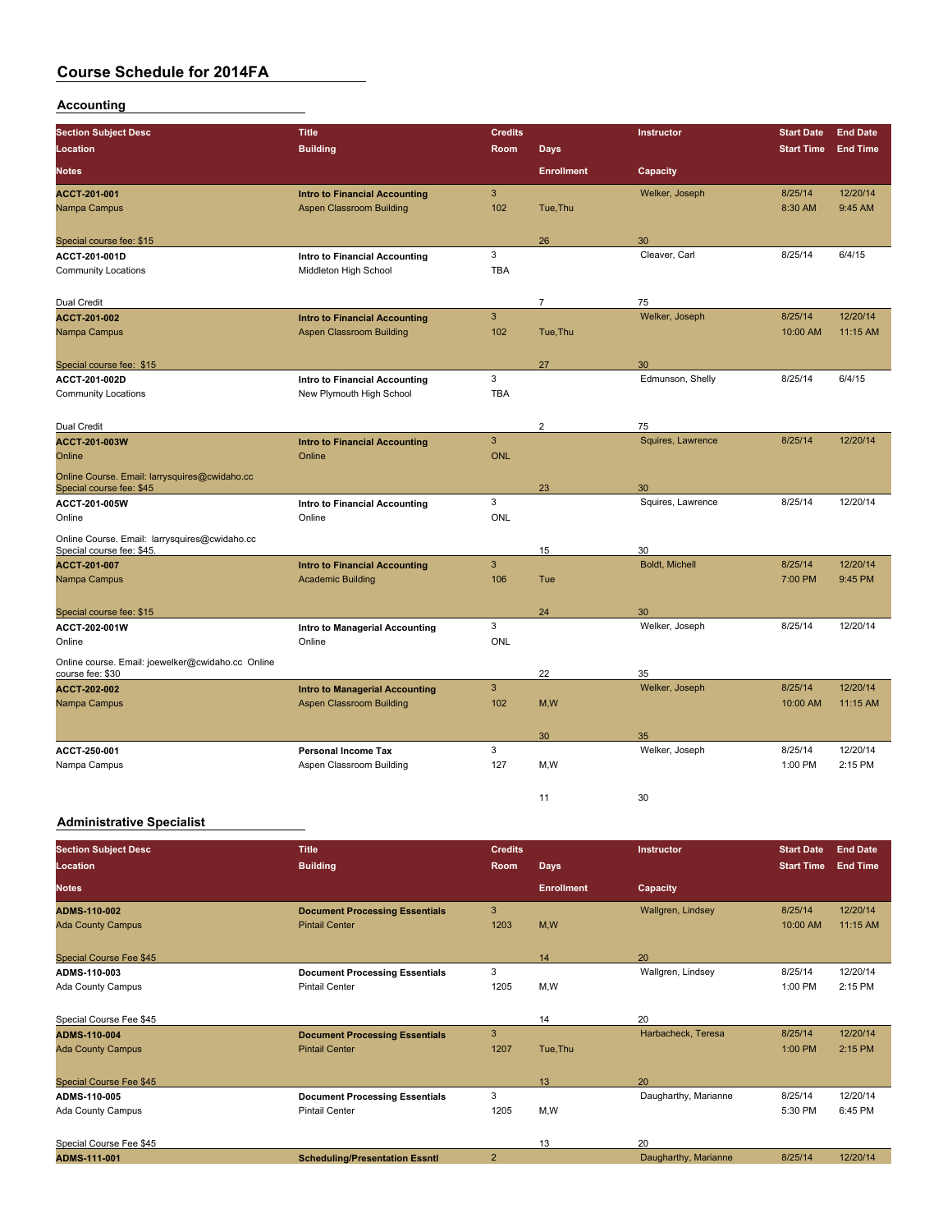### **Accounting**

| <b>Section Subject Desc</b>                       | <b>Title</b>                                                     | <b>Credits</b> |                   | Instructor                  | <b>Start Date</b> | <b>End Date</b> |
|---------------------------------------------------|------------------------------------------------------------------|----------------|-------------------|-----------------------------|-------------------|-----------------|
| Location                                          | <b>Building</b>                                                  | Room           | Days              |                             | <b>Start Time</b> | <b>End Time</b> |
| <b>Notes</b>                                      |                                                                  |                | <b>Enrollment</b> | Capacity                    |                   |                 |
| ACCT-201-001                                      | <b>Intro to Financial Accounting</b>                             | 3              |                   | Welker, Joseph              | 8/25/14           | 12/20/14        |
| Nampa Campus                                      | <b>Aspen Classroom Building</b>                                  | 102            | Tue, Thu          |                             | 8:30 AM           | 9:45 AM         |
|                                                   |                                                                  |                |                   |                             |                   |                 |
| Special course fee: \$15                          |                                                                  |                | 26                | 30                          |                   |                 |
| ACCT-201-001D                                     | Intro to Financial Accounting                                    | 3              |                   | Cleaver, Carl               | 8/25/14           | 6/4/15          |
| <b>Community Locations</b>                        | Middleton High School                                            | <b>TBA</b>     |                   |                             |                   |                 |
| Dual Credit                                       |                                                                  |                | $\overline{7}$    | 75                          |                   |                 |
| <b>ACCT 201-002</b>                               | <b>Intro to Financial Accounting</b>                             | 3              |                   | Welker, Joseph              | 8/25/14           | 12/20/14        |
| Nampa Campus                                      | <b>Aspen Classroom Building</b>                                  | 102            | Tue, Thu          |                             | 10:00 AM          | 11:15 AM        |
|                                                   |                                                                  |                |                   |                             |                   |                 |
| Special course fee: \$15                          |                                                                  |                | 27                | 30                          |                   |                 |
| ACCT 201 002D                                     | Intro to Financial Accounting                                    | 3              |                   | Edmunson, Shelly            | 8/25/14           | 6/4/15          |
| <b>Community Locations</b>                        | New Plymouth High School                                         | <b>TBA</b>     |                   |                             |                   |                 |
|                                                   |                                                                  |                |                   |                             |                   |                 |
| Dual Credit                                       |                                                                  |                | $\overline{2}$    | 75                          |                   |                 |
| <b>ACCT-201-003W</b>                              | <b>Intro to Financial Accounting</b>                             | 3              |                   | Squires, Lawrence           | 8/25/14           | 12/20/14        |
| Online                                            | Online                                                           | <b>ONL</b>     |                   |                             |                   |                 |
| Online Course. Email: larrysquires@cwidaho.cc     |                                                                  |                |                   |                             |                   |                 |
| Special course fee: \$45                          |                                                                  |                | 23                | 30                          |                   |                 |
| ACCT-201-005W                                     | Intro to Financial Accounting                                    | 3              |                   | Squires, Lawrence           | 8/25/14           | 12/20/14        |
| Online                                            | Online                                                           | <b>ONL</b>     |                   |                             |                   |                 |
| Online Course. Email: larrysquires@cwidaho.cc     |                                                                  |                |                   |                             |                   |                 |
| Special course fee: \$45.                         |                                                                  | $\overline{3}$ | 15                | 30<br><b>Boldt, Michell</b> | 8/25/14           | 12/20/14        |
| <b>ACCT 201-007</b><br>Nampa Campus               | <b>Intro to Financial Accounting</b><br><b>Academic Building</b> | 106            | Tue               |                             | 7:00 PM           | 9:45 PM         |
|                                                   |                                                                  |                |                   |                             |                   |                 |
| Special course fee: \$15                          |                                                                  |                | 24                | 30                          |                   |                 |
| ACCT-202-001W                                     | Intro to Managerial Accounting                                   | 3              |                   | Welker, Joseph              | 8/25/14           | 12/20/14        |
| Online                                            | Online                                                           | <b>ONL</b>     |                   |                             |                   |                 |
| Online course. Email: joewelker@cwidaho.cc_Online |                                                                  |                |                   |                             |                   |                 |
| course fee: \$30                                  |                                                                  |                | 22                | 35                          |                   |                 |
| <b>ACCT 202 002</b>                               | <b>Intro to Managerial Accounting</b>                            | 3              |                   | Welker, Joseph              | 8/25/14           | 12/20/14        |
| Nampa Campus                                      | <b>Aspen Classroom Building</b>                                  | 102            | M, W              |                             | 10:00 AM          | 11:15 AM        |
|                                                   |                                                                  |                |                   |                             |                   |                 |
|                                                   |                                                                  |                | 30                | 35                          |                   |                 |
| ACCT 250-001                                      | <b>Personal Income Tax</b>                                       | 3              |                   | Welker, Joseph              | 8/25/14           | 12/20/14        |
| Nampa Campus                                      | Aspen Classroom Building                                         | 127            | M,W               |                             | 1:00 PM           | 2:15 PM         |
|                                                   |                                                                  |                |                   |                             |                   |                 |
|                                                   |                                                                  |                | 11                | 30                          |                   |                 |

### **Administrative Specialist**

| <b>Section Subject Desc</b> | <b>Title</b>                          | <b>Credits</b> |                   | Instructor           | <b>Start Date</b> | <b>End Date</b> |
|-----------------------------|---------------------------------------|----------------|-------------------|----------------------|-------------------|-----------------|
| Location                    | <b>Building</b>                       | <b>Room</b>    | <b>Days</b>       |                      | <b>Start Time</b> | <b>End Time</b> |
| <b>Notes</b>                |                                       |                | <b>Enrollment</b> | Capacity             |                   |                 |
| <b>ADMS-110-002</b>         | <b>Document Processing Essentials</b> | 3              |                   | Wallgren, Lindsey    | 8/25/14           | 12/20/14        |
| <b>Ada County Campus</b>    | <b>Pintail Center</b>                 | 1203           | M,W               |                      | 10:00 AM          | 11:15 AM        |
| Special Course Fee \$45     |                                       |                | 14                | 20                   |                   |                 |
| ADMS-110-003                | <b>Document Processing Essentials</b> | 3              |                   | Wallgren, Lindsey    | 8/25/14           | 12/20/14        |
| Ada County Campus           | <b>Pintail Center</b>                 | 1205           | M,W               |                      | 1:00 PM           | 2:15 PM         |
| Special Course Fee \$45     |                                       |                | 14                | 20                   |                   |                 |
| <b>ADMS-110-004</b>         | <b>Document Processing Essentials</b> | 3              |                   | Harbacheck, Teresa   | 8/25/14           | 12/20/14        |
| <b>Ada County Campus</b>    | <b>Pintail Center</b>                 | 1207           | Tue, Thu          |                      | 1:00 PM           | 2:15 PM         |
| Special Course Fee \$45     |                                       |                | 13                | 20                   |                   |                 |
| ADMS-110-005                | <b>Document Processing Essentials</b> | 3              |                   | Daugharthy, Marianne | 8/25/14           | 12/20/14        |
| Ada County Campus           | <b>Pintail Center</b>                 | 1205           | M,W               |                      | 5:30 PM           | 6:45 PM         |
| Special Course Fee \$45     |                                       |                | 13                | 20                   |                   |                 |
| ADMS-111-001                | <b>Scheduling/Presentation Essntl</b> | $\overline{2}$ |                   | Daugharthy, Marianne | 8/25/14           | 12/20/14        |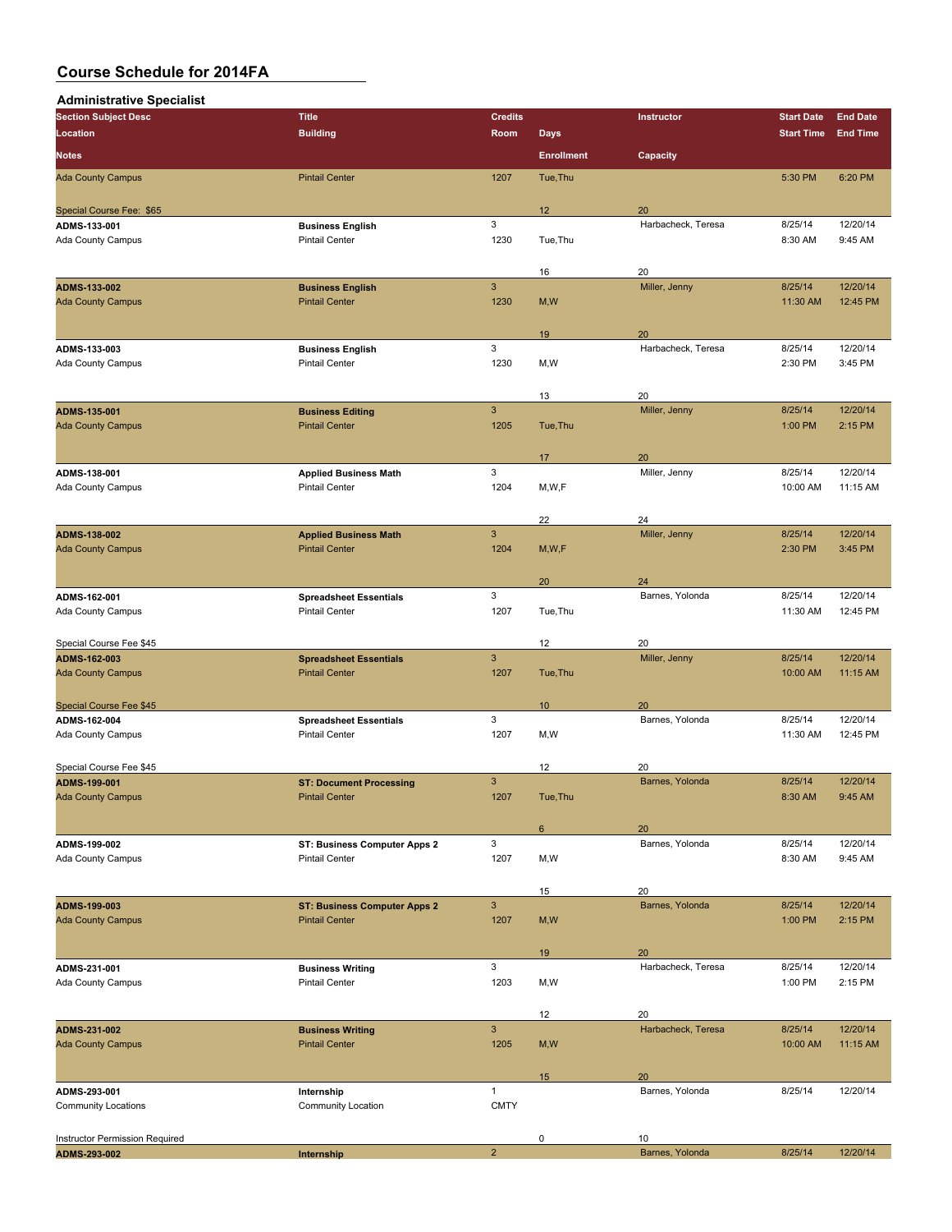| <b>Administrative Specialist</b>         |                                                        |                      |                   |                       |                     |                      |
|------------------------------------------|--------------------------------------------------------|----------------------|-------------------|-----------------------|---------------------|----------------------|
| <b>Section Subject Desc</b>              | <b>Title</b>                                           | <b>Credits</b>       |                   | Instructor            | <b>Start Date</b>   | <b>End Date</b>      |
| Location                                 | <b>Building</b>                                        | Room                 | <b>Days</b>       |                       | <b>Start Time</b>   | <b>End Time</b>      |
| <b>Notes</b>                             |                                                        |                      | <b>Enrollment</b> | Capacity              |                     |                      |
| <b>Ada County Campus</b>                 | <b>Pintail Center</b>                                  | 1207                 | Tue, Thu          |                       | 5:30 PM             | 6:20 PM              |
| Special Course Fee: \$65                 |                                                        |                      | 12                | 20                    |                     |                      |
| ADMS-133-001                             | <b>Business English</b>                                | 3                    |                   | Harbacheck, Teresa    | 8/25/14             | 12/20/14             |
| Ada County Campus                        | <b>Pintail Center</b>                                  | 1230                 | Tue, Thu          |                       | 8:30 AM             | 9:45 AM              |
|                                          |                                                        |                      |                   |                       |                     |                      |
|                                          |                                                        |                      | 16                | 20                    |                     |                      |
| ADMS-133-002<br><b>Ada County Campus</b> | <b>Business English</b><br><b>Pintail Center</b>       | $\mathbf{3}$<br>1230 |                   | Miller, Jenny         | 8/25/14<br>11:30 AM | 12/20/14<br>12:45 PM |
|                                          |                                                        |                      | M, W              |                       |                     |                      |
|                                          |                                                        |                      | 19                | 20                    |                     |                      |
| ADMS-133-003                             | <b>Business English</b>                                | 3                    |                   | Harbacheck, Teresa    | 8/25/14             | 12/20/14             |
| Ada County Campus                        | <b>Pintail Center</b>                                  | 1230                 | M,W               |                       | 2:30 PM             | 3:45 PM              |
|                                          |                                                        |                      | 13                | 20                    |                     |                      |
| ADMS-135-001                             | <b>Business Editing</b>                                | $\mathbf{3}$         |                   | Miller, Jenny         | 8/25/14             | 12/20/14             |
| <b>Ada County Campus</b>                 | <b>Pintail Center</b>                                  | 1205                 | Tue, Thu          |                       | 1:00 PM             | 2:15 PM              |
|                                          |                                                        |                      | 17                | 20                    |                     |                      |
| ADMS-138-001                             | <b>Applied Business Math</b>                           | 3                    |                   | Miller, Jenny         | 8/25/14             | 12/20/14             |
| Ada County Campus                        | <b>Pintail Center</b>                                  | 1204                 | M, W, F           |                       | 10:00 AM            | 11:15 AM             |
|                                          |                                                        |                      |                   |                       |                     |                      |
|                                          |                                                        |                      | 22                | 24                    |                     |                      |
| ADMS-138-002                             | <b>Applied Business Math</b><br><b>Pintail Center</b>  | $\mathbf{3}$         |                   | Miller, Jenny         | 8/25/14             | 12/20/14<br>3:45 PM  |
| <b>Ada County Campus</b>                 |                                                        | 1204                 | M, W, F           |                       | 2:30 PM             |                      |
|                                          |                                                        |                      | 20                | 24                    |                     |                      |
| ADMS-162-001                             | <b>Spreadsheet Essentials</b>                          | 3                    |                   | Barnes, Yolonda       | 8/25/14             | 12/20/14             |
| Ada County Campus                        | <b>Pintail Center</b>                                  | 1207                 | Tue, Thu          |                       | 11:30 AM            | 12:45 PM             |
| Special Course Fee \$45                  |                                                        |                      | 12                | 20                    |                     |                      |
| ADMS-162-003                             | <b>Spreadsheet Essentials</b>                          | $\mathbf{3}$         |                   | Miller, Jenny         | 8/25/14             | 12/20/14             |
| <b>Ada County Campus</b>                 | <b>Pintail Center</b>                                  | 1207                 | Tue, Thu          |                       | 10:00 AM            | 11:15 AM             |
|                                          |                                                        |                      |                   |                       |                     |                      |
| <b>Special Course Fee \$45</b>           |                                                        | 3                    | 10                | 20<br>Barnes, Yolonda | 8/25/14             | 12/20/14             |
| ADMS-162-004<br>Ada County Campus        | <b>Spreadsheet Essentials</b><br><b>Pintail Center</b> | 1207                 | M,W               |                       | 11:30 AM            | 12:45 PM             |
|                                          |                                                        |                      |                   |                       |                     |                      |
| Special Course Fee \$45                  |                                                        |                      | 12                | 20                    |                     |                      |
| ADMS-199-001                             | <b>ST: Document Processing</b>                         | 3                    |                   | Barnes, Yolonda       | 8/25/14             | 12/20/14             |
| <b>Ada County Campus</b>                 | <b>Pintail Center</b>                                  | 1207                 | Tue, Thu          |                       | 8:30 AM             | 9:45 AM              |
|                                          |                                                        |                      | 6                 | 20                    |                     |                      |
| ADMS-199-002                             | ST: Business Computer Apps 2                           | $\mathbf{3}$         |                   | Barnes, Yolonda       | 8/25/14             | 12/20/14             |
| Ada County Campus                        | <b>Pintail Center</b>                                  | 1207                 | M,W               |                       | 8:30 AM             | 9:45 AM              |
|                                          |                                                        |                      | 15                | 20                    |                     |                      |
| ADMS-199-003                             | <b>ST: Business Computer Apps 2</b>                    | $\mathbf{3}$         |                   | Barnes, Yolonda       | 8/25/14             | 12/20/14             |
| <b>Ada County Campus</b>                 | <b>Pintail Center</b>                                  | 1207                 | M, W              |                       | 1:00 PM             | 2:15 PM              |
|                                          |                                                        |                      |                   |                       |                     |                      |
|                                          |                                                        |                      | 19                | 20                    |                     |                      |
| ADMS-231-001                             | <b>Business Writing</b>                                | 3                    |                   | Harbacheck, Teresa    | 8/25/14             | 12/20/14             |
| Ada County Campus                        | <b>Pintail Center</b>                                  | 1203                 | M, W              |                       | 1:00 PM             | 2:15 PM              |
|                                          |                                                        |                      | 12                | 20                    |                     |                      |
| ADMS-231-002                             | <b>Business Writing</b>                                | $\mathsf 3$          |                   | Harbacheck, Teresa    | 8/25/14             | 12/20/14             |
| <b>Ada County Campus</b>                 | <b>Pintail Center</b>                                  | 1205                 | M, W              |                       | 10:00 AM            | 11:15 AM             |
|                                          |                                                        |                      |                   |                       |                     |                      |
| ADMS-293-001                             | Internship                                             | $\mathbf{1}$         | 15                | 20<br>Barnes, Yolonda | 8/25/14             | 12/20/14             |
| <b>Community Locations</b>               | Community Location                                     | <b>CMTY</b>          |                   |                       |                     |                      |
|                                          |                                                        |                      |                   |                       |                     |                      |
| Instructor Permission Required           |                                                        |                      | 0                 | 10                    |                     |                      |
| ADMS-293-002                             | Internship                                             | $\overline{2}$       |                   | Barnes, Yolonda       | 8/25/14             | 12/20/14             |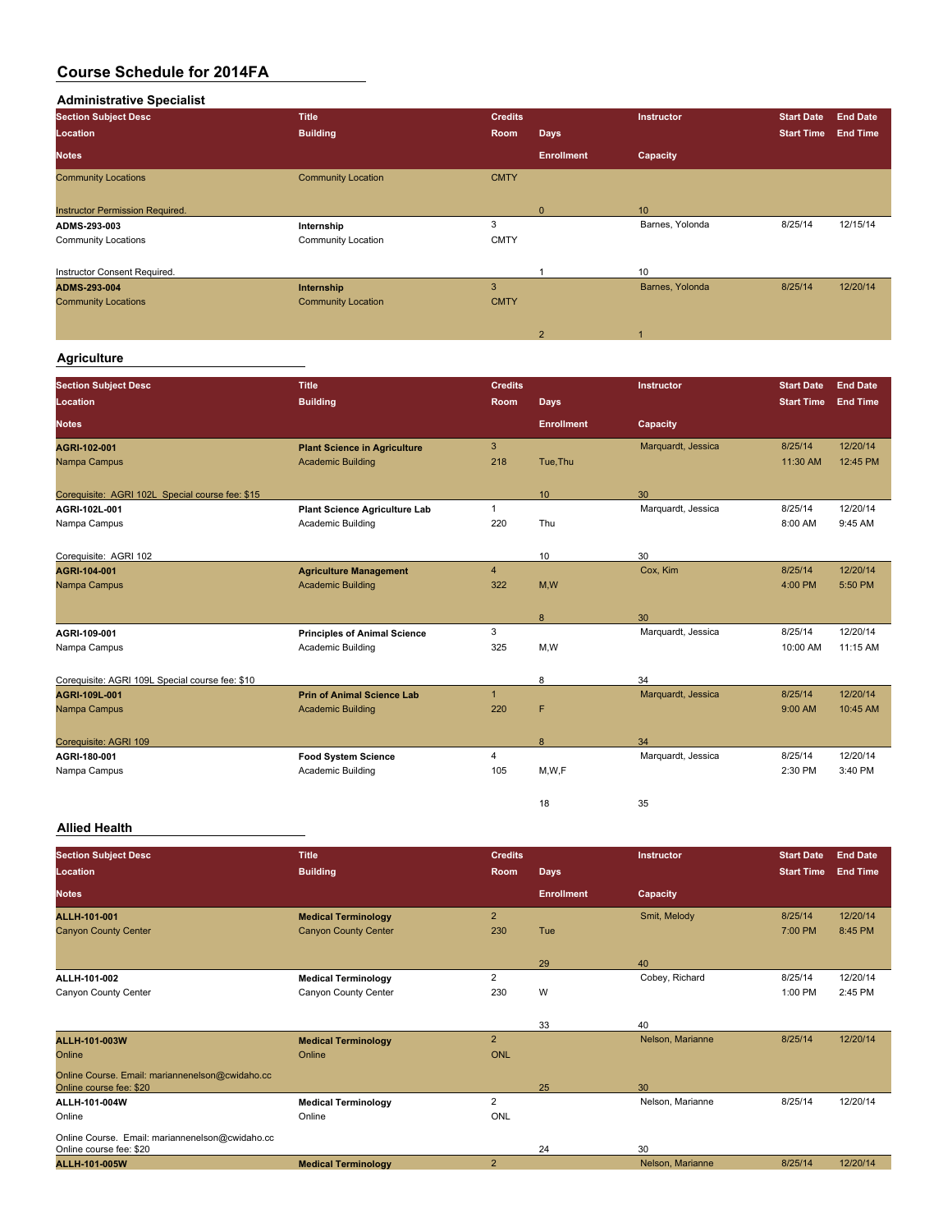**Administrative Specialist Section Subject Desc Title Credits Instructor Start Date End Date Location Building Room Days Start Time End Time Notes Enrollment Capacity Community Locations** Community Location CMTY Instructor Permission Required. <br> **ADMS-293-003** Barnes, Yolonda **Development Contract Contract Contract Contract Contract Contract Contract Contract Contract Contract Contract Contract Contract Contract Contract Contract ADMS-293-003 Internship** 3 Barnes, Yolonda 8/25/14 12/15/14 Community Locations Community Location CMTY Instructor Consent Required. 1 100 and 10 and 10 and 10 and 10 and 10 and 10 and 10 and 10 and 10 and 10 and 10 and 10 and 10 and 10 and 10 and 10 and 10 and 10 and 10 and 10 and 10 and 10 and 10 and 10 and 10 and 10 and 1 **ADMS-293-004 Internship** 3 Barnes, Yolonda 8/25/14 12/20/14 Community Locations Community Location Community Location CMTY 2 1

### **Agriculture**

| <b>Section Subject Desc</b>                     | <b>Title</b>                         | <b>Credits</b> |                   | <b>Instructor</b>  | <b>Start Date</b> | <b>End Date</b> |
|-------------------------------------------------|--------------------------------------|----------------|-------------------|--------------------|-------------------|-----------------|
| Location                                        | <b>Building</b>                      | <b>Room</b>    | Days              |                    | <b>Start Time</b> | <b>End Time</b> |
| <b>Notes</b>                                    |                                      |                | <b>Enrollment</b> | Capacity           |                   |                 |
| AGRI-102-001                                    | <b>Plant Science in Agriculture</b>  | 3              |                   | Marquardt, Jessica | 8/25/14           | 12/20/14        |
| Nampa Campus                                    | <b>Academic Building</b>             | 218            | Tue.Thu           |                    | 11:30 AM          | 12:45 PM        |
| Corequisite: AGRI 102L Special course fee: \$15 |                                      |                | 10                | 30                 |                   |                 |
| AGRI 102L 001                                   | <b>Plant Science Agriculture Lab</b> | 1              |                   | Marquardt, Jessica | 8/25/14           | 12/20/14        |
| Nampa Campus                                    | Academic Building                    | 220            | Thu               |                    | 8:00 AM           | 9:45 AM         |
| Corequisite: AGRI 102                           |                                      |                | 10                | 30                 |                   |                 |
| AGRI-104-001                                    | <b>Agriculture Management</b>        | $\overline{4}$ |                   | Cox. Kim           | 8/25/14           | 12/20/14        |
| Nampa Campus                                    | <b>Academic Building</b>             | 322            | M,W               |                    | 4:00 PM           | 5:50 PM         |
|                                                 |                                      |                | 8                 | 30                 |                   |                 |
| AGRI 109 001                                    | <b>Principles of Animal Science</b>  | 3              |                   | Marquardt, Jessica | 8/25/14           | 12/20/14        |
| Nampa Campus                                    | Academic Building                    | 325            | M,W               |                    | 10:00 AM          | 11:15 AM        |
| Corequisite: AGRI 109L Special course fee: \$10 |                                      |                | 8                 | 34                 |                   |                 |
| AGRI 109L 001                                   | <b>Prin of Animal Science Lab</b>    | $\mathbf{1}$   |                   | Marquardt, Jessica | 8/25/14           | 12/20/14        |
| Nampa Campus                                    | <b>Academic Building</b>             | 220            | F                 |                    | 9:00 AM           | 10:45 AM        |
| Corequisite: AGRI 109                           |                                      |                | 8                 | 34                 |                   |                 |
| AGRI 180 001                                    | <b>Food System Science</b>           | 4              |                   | Marquardt, Jessica | 8/25/14           | 12/20/14        |
| Nampa Campus                                    | Academic Building                    | 105            | M,W,F             |                    | 2:30 PM           | 3:40 PM         |
|                                                 |                                      |                | 18                | 35                 |                   |                 |

### **Allied Health**

| <b>Section Subject Desc</b>                     | <b>Title</b>                | <b>Credits</b> |                   | Instructor       | <b>Start Date</b> | <b>End Date</b> |
|-------------------------------------------------|-----------------------------|----------------|-------------------|------------------|-------------------|-----------------|
| Location                                        | <b>Building</b>             | <b>Room</b>    | <b>Days</b>       |                  | <b>Start Time</b> | <b>End Time</b> |
| <b>Notes</b>                                    |                             |                | <b>Enrollment</b> | Capacity         |                   |                 |
| <b>ALLH-101-001</b>                             | <b>Medical Terminology</b>  | $\overline{2}$ |                   | Smit, Melody     | 8/25/14           | 12/20/14        |
| <b>Canyon County Center</b>                     | <b>Canyon County Center</b> | 230            | Tue               |                  | 7:00 PM           | 8:45 PM         |
|                                                 |                             |                |                   |                  |                   |                 |
|                                                 |                             |                | 29                | 40               |                   |                 |
| ALLII 101-002                                   | <b>Medical Terminology</b>  | $\overline{2}$ |                   | Cobey, Richard   | 8/25/14           | 12/20/14        |
| Canyon County Center                            | Canyon County Center        | 230            | W                 |                  | 1:00 PM           | 2:45 PM         |
|                                                 |                             |                |                   |                  |                   |                 |
|                                                 |                             |                | 33                | 40               |                   |                 |
| ALLH-101-003W                                   | <b>Medical Terminology</b>  | $\overline{2}$ |                   | Nelson, Marianne | 8/25/14           | 12/20/14        |
| Online                                          | Online                      | <b>ONL</b>     |                   |                  |                   |                 |
| Online Course. Email: mariannenelson@cwidaho.cc |                             |                |                   |                  |                   |                 |
| Online course fee: \$20                         |                             |                | 25                | 30               |                   |                 |
| ALLH-101-004W                                   | <b>Medical Terminology</b>  | $\overline{2}$ |                   | Nelson, Marianne | 8/25/14           | 12/20/14        |
| Online                                          | Online                      | ONL            |                   |                  |                   |                 |
| Online Course. Email: mariannenelson@cwidaho.cc |                             |                |                   |                  |                   |                 |
| Online course fee: \$20                         |                             |                | 24                | 30               |                   |                 |
| <b>ALLH-101-005W</b>                            | <b>Medical Terminology</b>  | $\overline{2}$ |                   | Nelson, Marianne | 8/25/14           | 12/20/14        |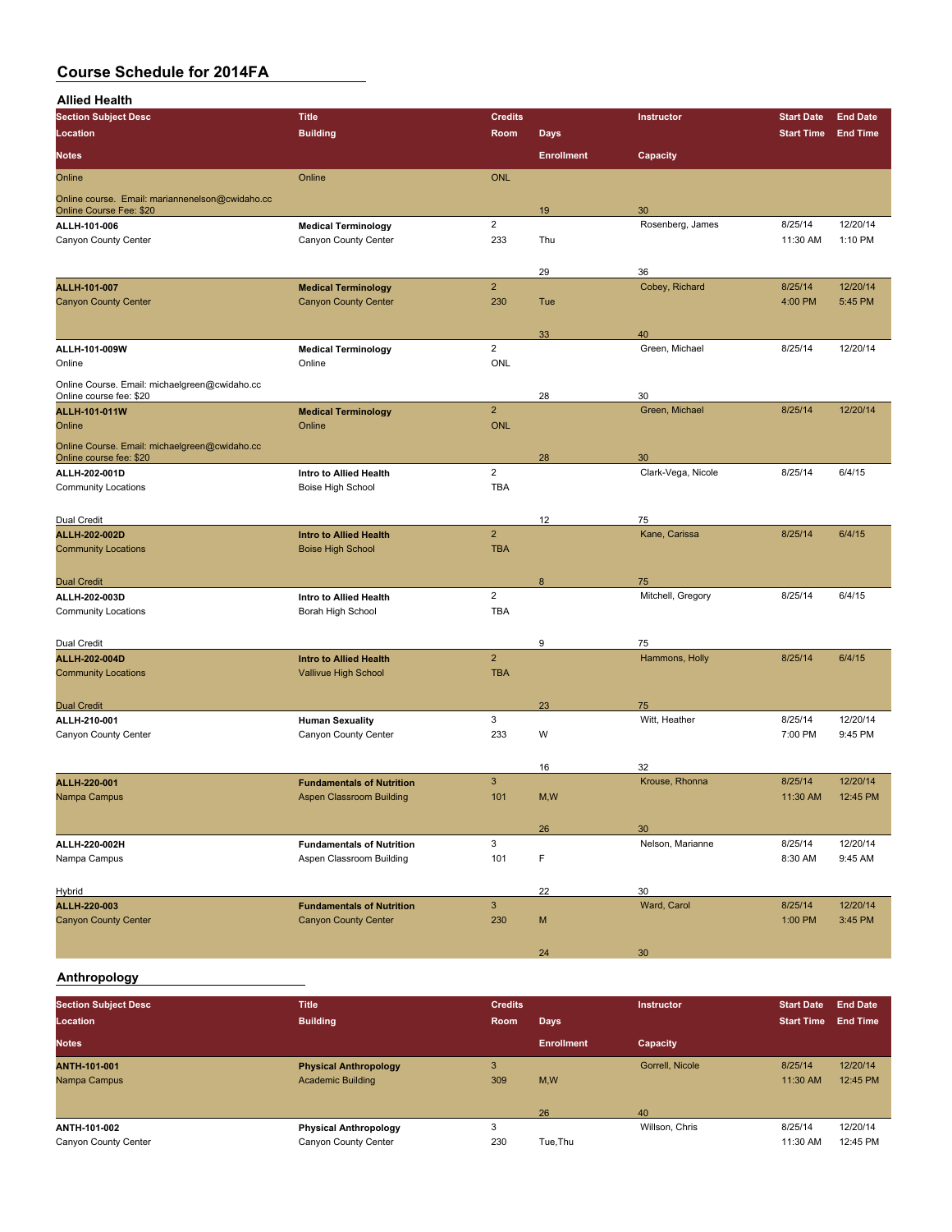**Allied Health**

| <b>Section Subject Desc</b>                                                | <b>Title</b>                                              | <b>Credits</b>               |                   | Instructor           | <b>Start Date</b> | <b>End Date</b> |
|----------------------------------------------------------------------------|-----------------------------------------------------------|------------------------------|-------------------|----------------------|-------------------|-----------------|
| Location                                                                   | <b>Building</b>                                           | Room                         | <b>Days</b>       |                      | <b>Start Time</b> | <b>End Time</b> |
| <b>Notes</b>                                                               |                                                           |                              | <b>Enrollment</b> | Capacity             |                   |                 |
| Online                                                                     | Online                                                    | <b>ONL</b>                   |                   |                      |                   |                 |
|                                                                            |                                                           |                              |                   |                      |                   |                 |
| Online course. Email: mariannenelson@cwidaho.cc<br>Online Course Fee: \$20 |                                                           |                              | 19                | 30                   |                   |                 |
| ALLH-101-006                                                               | <b>Medical Terminology</b>                                | $\overline{2}$               |                   | Rosenberg, James     | 8/25/14           | 12/20/14        |
| Canyon County Center                                                       | Canyon County Center                                      | 233                          | Thu               |                      | 11:30 AM          | 1:10 PM         |
|                                                                            |                                                           |                              |                   |                      |                   |                 |
| ALLH-101-007                                                               |                                                           | $\overline{2}$               | 29                | 36<br>Cobey, Richard | 8/25/14           | 12/20/14        |
| <b>Canyon County Center</b>                                                | <b>Medical Terminology</b><br><b>Canyon County Center</b> | 230                          | Tue               |                      | 4:00 PM           | 5:45 PM         |
|                                                                            |                                                           |                              |                   |                      |                   |                 |
|                                                                            |                                                           |                              | 33                | 40                   |                   |                 |
| ALLH-101-009W                                                              | <b>Medical Terminology</b>                                | $\overline{2}$               |                   | Green, Michael       | 8/25/14           | 12/20/14        |
| Online                                                                     | Online                                                    | ONL                          |                   |                      |                   |                 |
| Online Course. Email: michaelgreen@cwidaho.cc                              |                                                           |                              |                   |                      |                   |                 |
| Online course fee: \$20                                                    |                                                           |                              | 28                | 30                   |                   |                 |
| ALLH-101-011W<br>Online                                                    | <b>Medical Terminology</b><br>Online                      | $\overline{2}$<br><b>ONL</b> |                   | Green, Michael       | 8/25/14           | 12/20/14        |
|                                                                            |                                                           |                              |                   |                      |                   |                 |
| Online Course. Email: michaelgreen@cwidaho.cc<br>Online course fee: \$20   |                                                           |                              | 28                | 30                   |                   |                 |
| ALLH-202-001D                                                              | Intro to Allied Health                                    | $\overline{2}$               |                   | Clark-Vega, Nicole   | 8/25/14           | 6/4/15          |
| <b>Community Locations</b>                                                 | Boise High School                                         | <b>TBA</b>                   |                   |                      |                   |                 |
|                                                                            |                                                           |                              |                   |                      |                   |                 |
| <b>Dual Credit</b>                                                         |                                                           |                              | 12                | 75                   |                   |                 |
| ALLH-202-002D                                                              | <b>Intro to Allied Health</b>                             | $\overline{2}$               |                   | Kane, Carissa        | 8/25/14           | 6/4/15          |
| <b>Community Locations</b>                                                 | <b>Boise High School</b>                                  | <b>TBA</b>                   |                   |                      |                   |                 |
|                                                                            |                                                           |                              | 8                 | 75                   |                   |                 |
| <b>Dual Credit</b><br>ALLH-202-003D                                        | Intro to Allied Health                                    | $\overline{2}$               |                   | Mitchell, Gregory    | 8/25/14           | 6/4/15          |
| <b>Community Locations</b>                                                 | Borah High School                                         | <b>TBA</b>                   |                   |                      |                   |                 |
|                                                                            |                                                           |                              |                   |                      |                   |                 |
| Dual Credit                                                                |                                                           |                              | 9                 | 75                   |                   |                 |
| ALLH-202-004D                                                              | <b>Intro to Allied Health</b>                             | $\overline{2}$               |                   | Hammons, Holly       | 8/25/14           | 6/4/15          |
| <b>Community Locations</b>                                                 | Vallivue High School                                      | <b>TBA</b>                   |                   |                      |                   |                 |
|                                                                            |                                                           |                              |                   |                      |                   |                 |
| <b>Dual Credit</b>                                                         |                                                           | 3                            | 23                | 75<br>Witt, Heather  | 8/25/14           | 12/20/14        |
| ALLH-210-001<br>Canyon County Center                                       | <b>Human Sexuality</b><br>Canyon County Center            | 233                          | W                 |                      | 7:00 PM           | 9:45 PM         |
|                                                                            |                                                           |                              |                   |                      |                   |                 |
|                                                                            |                                                           |                              | 16                | 32                   |                   |                 |
| ALLH-220-001                                                               | <b>Fundamentals of Nutrition</b>                          | 3                            |                   | Krouse, Rhonna       | 8/25/14           | 12/20/14        |
| Nampa Campus                                                               | <b>Aspen Classroom Building</b>                           | 101                          | M,W               |                      | 11:30 AM          | 12:45 PM        |
|                                                                            |                                                           |                              |                   |                      |                   |                 |
|                                                                            |                                                           |                              | 26                | 30                   |                   |                 |
| ALLH-220-002H                                                              | <b>Fundamentals of Nutrition</b>                          | 3                            |                   | Nelson, Marianne     | 8/25/14           | 12/20/14        |
| Nampa Campus                                                               | Aspen Classroom Building                                  | 101                          | F                 |                      | 8:30 AM           | 9:45 AM         |
| Hybrid                                                                     |                                                           |                              | 22                | 30                   |                   |                 |
| ALLH-220-003                                                               | <b>Fundamentals of Nutrition</b>                          | $\mathsf 3$                  |                   | Ward, Carol          | 8/25/14           | 12/20/14        |
| <b>Canyon County Center</b>                                                | <b>Canyon County Center</b>                               | 230                          | M                 |                      | 1:00 PM           | 3:45 PM         |
|                                                                            |                                                           |                              |                   |                      |                   |                 |
|                                                                            |                                                           |                              | 24                | 30                   |                   |                 |
|                                                                            |                                                           |                              |                   |                      |                   |                 |

### **Anthropology**

| <b>Section Subject Desc</b><br>Location | <b>Title</b><br><b>Building</b> | <b>Credits</b><br>Room | Days              | <b>Instructor</b> | <b>Start Date</b><br><b>Start Time</b> | <b>End Date</b><br><b>End Time</b> |
|-----------------------------------------|---------------------------------|------------------------|-------------------|-------------------|----------------------------------------|------------------------------------|
| <b>Notes</b>                            |                                 |                        | <b>Enrollment</b> | Capacity          |                                        |                                    |
| <b>ANTH-101-001</b>                     | <b>Physical Anthropology</b>    | 3                      |                   | Gorrell, Nicole   | 8/25/14                                | 12/20/14                           |
| Nampa Campus                            | <b>Academic Building</b>        | 309                    | M,W               |                   | 11:30 AM                               | 12:45 PM                           |
|                                         |                                 |                        | 26                | 40                |                                        |                                    |
| ANTH-101-002                            | <b>Physical Anthropology</b>    |                        |                   | Willson, Chris    | 8/25/14                                | 12/20/14                           |
| Canyon County Center                    | Canyon County Center            | 230                    | Tue, Thu          |                   | 11:30 AM                               | 12:45 PM                           |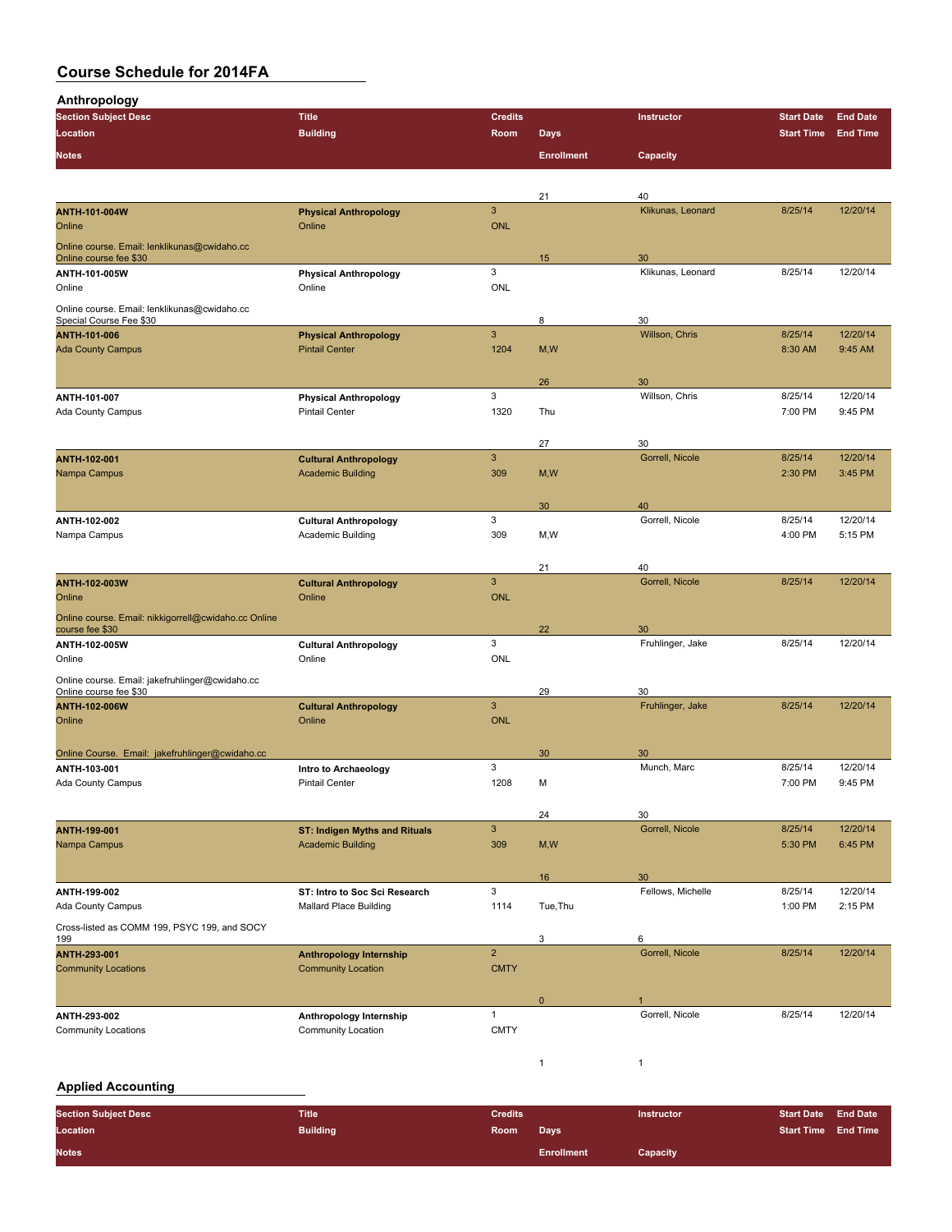| <b>Anthropology</b>                                                     |                                      |                |                   |                        |                   |                 |
|-------------------------------------------------------------------------|--------------------------------------|----------------|-------------------|------------------------|-------------------|-----------------|
| <b>Section Subject Desc</b>                                             | <b>Title</b>                         | <b>Credits</b> |                   | Instructor             | <b>Start Date</b> | <b>End Date</b> |
| Location                                                                | <b>Building</b>                      | Room           | <b>Days</b>       |                        | <b>Start Time</b> | <b>End Time</b> |
| <b>Notes</b>                                                            |                                      |                | <b>Enrollment</b> | Capacity               |                   |                 |
|                                                                         |                                      |                |                   |                        |                   |                 |
|                                                                         |                                      |                | 21                | 40                     |                   |                 |
| <b>ANTH-101-004W</b>                                                    | <b>Physical Anthropology</b>         | $\mathbf{3}$   |                   | Klikunas, Leonard      | 8/25/14           | 12/20/14        |
| Online                                                                  | Online                               | <b>ONL</b>     |                   |                        |                   |                 |
| Online course. Email: lenklikunas@cwidaho.cc<br>Online course fee \$30  |                                      |                | 15                | 30                     |                   |                 |
| ANTH-101-005W                                                           | <b>Physical Anthropology</b>         | 3              |                   | Klikunas, Leonard      | 8/25/14           | 12/20/14        |
| Online                                                                  | Online                               | ONL            |                   |                        |                   |                 |
|                                                                         |                                      |                |                   |                        |                   |                 |
| Online course. Email: lenklikunas@cwidaho.cc<br>Special Course Fee \$30 |                                      |                | 8                 | 30                     |                   |                 |
| ANTH-101-006                                                            | <b>Physical Anthropology</b>         | 3              |                   | Willson, Chris         | 8/25/14           | 12/20/14        |
| <b>Ada County Campus</b>                                                | <b>Pintail Center</b>                | 1204           | M, W              |                        | 8:30 AM           | 9:45 AM         |
|                                                                         |                                      |                |                   |                        |                   |                 |
|                                                                         |                                      |                | 26                | 30                     |                   |                 |
| ANTII 101 007                                                           | <b>Physical Anthropology</b>         | 3              |                   | Willson, Chris         | 8/25/14           | 12/20/14        |
| Ada County Campus                                                       | <b>Pintail Center</b>                | 1320           | Thu               |                        | 7:00 PM           | 9:45 PM         |
|                                                                         |                                      |                |                   |                        |                   |                 |
|                                                                         |                                      |                | 27                | 30                     |                   |                 |
| ANTH-102-001                                                            | <b>Cultural Anthropology</b>         | $\mathbf{3}$   |                   | Gorrell, Nicole        | 8/25/14           | 12/20/14        |
| Nampa Campus                                                            | <b>Academic Building</b>             | 309            | M, W              |                        | 2:30 PM           | 3:45 PM         |
|                                                                         |                                      |                |                   |                        |                   |                 |
|                                                                         |                                      |                | 30                | 40                     |                   |                 |
| ANTH 102-002                                                            | <b>Cultural Anthropology</b>         | 3              |                   | Gorrell, Nicole        | 8/25/14           | 12/20/14        |
| Nampa Campus                                                            | Academic Building                    | 309            | M, W              |                        | 4:00 PM           | 5:15 PM         |
|                                                                         |                                      |                |                   |                        |                   |                 |
|                                                                         |                                      |                | 21                | 40                     |                   |                 |
| ANTH-102-003W                                                           | <b>Cultural Anthropology</b>         | $\mathbf{3}$   |                   | Gorrell, Nicole        | 8/25/14           | 12/20/14        |
| Online                                                                  | Online                               | <b>ONL</b>     |                   |                        |                   |                 |
| Online course. Email: nikkigorrell@cwidaho.cc Online                    |                                      |                |                   |                        |                   |                 |
| course fee \$30                                                         |                                      |                | 22                | 30                     |                   |                 |
| ANTH-102-005W                                                           | <b>Cultural Anthropology</b>         | 3<br>ONL       |                   | Fruhlinger, Jake       | 8/25/14           | 12/20/14        |
| Online                                                                  | Online                               |                |                   |                        |                   |                 |
| Online course. Email: jakefruhlinger@cwidaho.cc                         |                                      |                |                   |                        |                   |                 |
| Online course fee \$30<br><b>ANTH-102-006W</b>                          | <b>Cultural Anthropology</b>         | 3              | 29                | 30<br>Fruhlinger, Jake | 8/25/14           | 12/20/14        |
| Online                                                                  | Online                               | <b>ONL</b>     |                   |                        |                   |                 |
|                                                                         |                                      |                |                   |                        |                   |                 |
| Online Course. Email: jakefruhlinger@cwidaho.cc                         |                                      |                | 30                | 30                     |                   |                 |
| ANTII-103-001                                                           | Intro to Archaeology                 | 3              |                   | Munch, Marc            | 8/25/14           | 12/20/14        |
| Ada County Campus                                                       | <b>Pintail Center</b>                | 1208           | M                 |                        | 7:00 PM           | 9:45 PM         |
|                                                                         |                                      |                |                   |                        |                   |                 |
|                                                                         |                                      |                | 24                | 30                     |                   |                 |
| ANTH-199-001                                                            | <b>ST: Indigen Myths and Rituals</b> | $\mathbf{3}$   |                   | Gorrell, Nicole        | 8/25/14           | 12/20/14        |
| Nampa Campus                                                            | <b>Academic Building</b>             | 309            | M, W              |                        | 5:30 PM           | 6:45 PM         |
|                                                                         |                                      |                |                   |                        |                   |                 |
|                                                                         |                                      |                | 16                | 30                     |                   |                 |
| ANTH-199-002                                                            | ST: Intro to Soc Sci Research        | 3              |                   | Fellows, Michelle      | 8/25/14           | 12/20/14        |
| Ada County Campus                                                       | <b>Mallard Place Building</b>        | 1114           | Tue, Thu          |                        | 1:00 PM           | 2:15 PM         |
| Cross-listed as COMM 199, PSYC 199, and SOCY                            |                                      |                |                   |                        |                   |                 |
| 199                                                                     |                                      |                | 3                 | 6                      |                   |                 |
| ANTH-293-001                                                            | <b>Anthropology Internship</b>       | $\overline{2}$ |                   | Gorrell, Nicole        | 8/25/14           | 12/20/14        |
| <b>Community Locations</b>                                              | <b>Community Location</b>            | <b>CMTY</b>    |                   |                        |                   |                 |
|                                                                         |                                      |                |                   |                        |                   |                 |
|                                                                         |                                      |                | $\mathbf 0$       |                        |                   |                 |
| ANTH-293-002                                                            | Anthropology Internship              | $\mathbf{1}$   |                   | Gorrell, Nicole        | 8/25/14           | 12/20/14        |
| <b>Community Locations</b>                                              | Community Location                   | <b>CMTY</b>    |                   |                        |                   |                 |
|                                                                         |                                      |                |                   |                        |                   |                 |
|                                                                         |                                      |                | $\mathbf{1}$      | 1                      |                   |                 |

### **Applied Accounting**

| <b>Section Subject Desc</b> | <b>Title</b>    | <b>Credits</b> |                   | <b>Instructor</b> | <b>Start Date End Date</b> |  |
|-----------------------------|-----------------|----------------|-------------------|-------------------|----------------------------|--|
| Location                    | <b>Building</b> | <b>Room</b>    | Days              |                   | <b>Start Time End Time</b> |  |
| <b>Notes</b>                |                 |                | <b>Enrollment</b> | Capacity          |                            |  |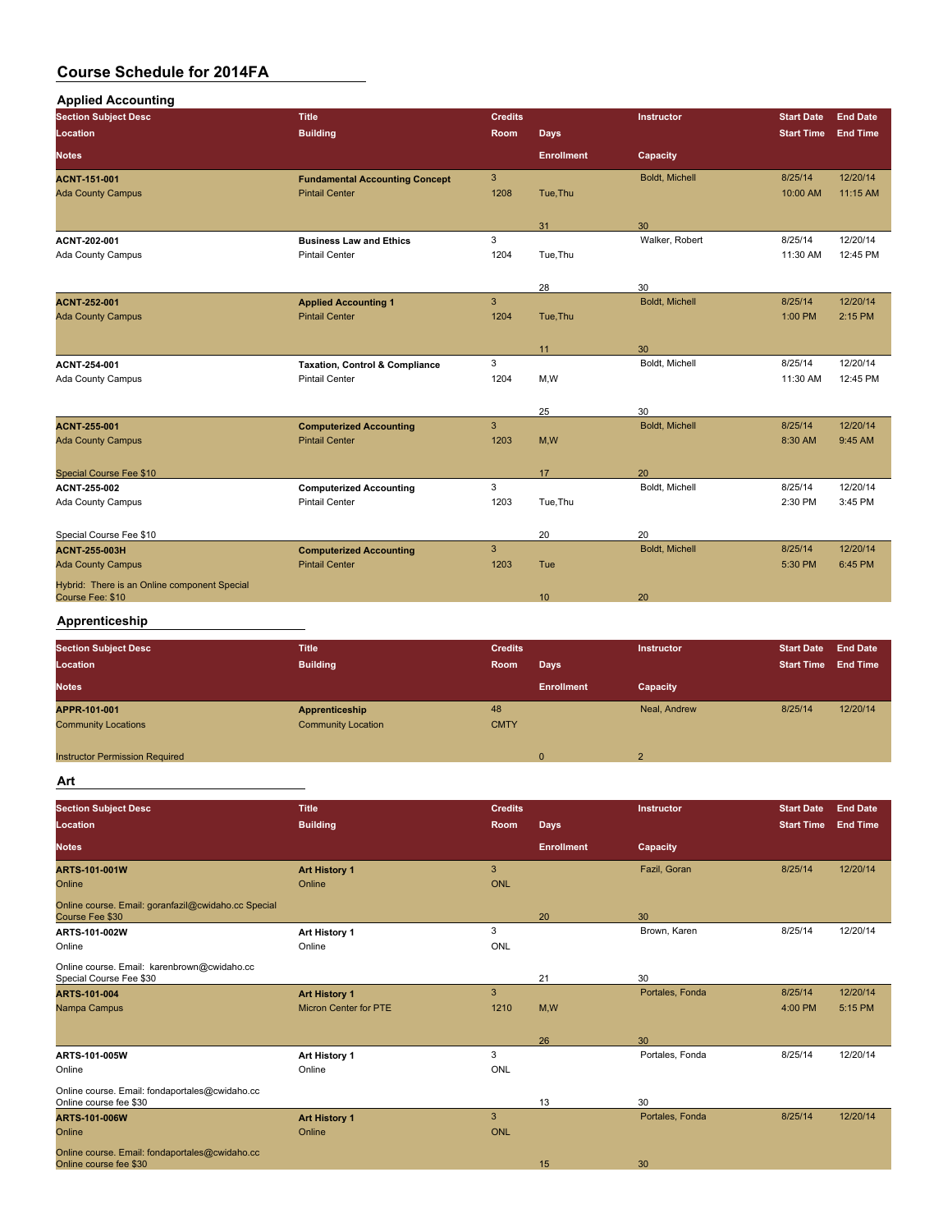| <b>Applied Accounting</b>                                        |                                           |                |                   |                |                   |                 |
|------------------------------------------------------------------|-------------------------------------------|----------------|-------------------|----------------|-------------------|-----------------|
| <b>Section Subject Desc</b>                                      | <b>Title</b>                              | <b>Credits</b> |                   | Instructor     | <b>Start Date</b> | <b>End Date</b> |
| Location                                                         | <b>Building</b>                           | Room           | <b>Days</b>       |                | <b>Start Time</b> | <b>End Time</b> |
| <b>Notes</b>                                                     |                                           |                | <b>Enrollment</b> | Capacity       |                   |                 |
| <b>ACNT-151-001</b>                                              | <b>Fundamental Accounting Concept</b>     | 3 <sup>5</sup> |                   | Boldt, Michell | 8/25/14           | 12/20/14        |
| <b>Ada County Campus</b>                                         | <b>Pintail Center</b>                     | 1208           | Tue, Thu          |                | 10:00 AM          | 11:15 AM        |
|                                                                  |                                           |                | 31                | 30             |                   |                 |
| ACNT 202-001                                                     | <b>Business Law and Ethics</b>            | 3              |                   | Walker, Robert | 8/25/14           | 12/20/14        |
| <b>Ada County Campus</b>                                         | <b>Pintail Center</b>                     | 1204           | Tue, Thu          |                | 11:30 AM          | 12:45 PM        |
|                                                                  |                                           |                | 28                | 30             |                   |                 |
| <b>ACNT 252 001</b>                                              | <b>Applied Accounting 1</b>               | $\overline{3}$ |                   | Boldt, Michell | 8/25/14           | 12/20/14        |
| <b>Ada County Campus</b>                                         | <b>Pintail Center</b>                     | 1204           | Tue, Thu          |                | 1:00 PM           | 2:15 PM         |
|                                                                  |                                           |                | 11                | 30             |                   |                 |
| ACNT 254-001                                                     | <b>Taxation, Control &amp; Compliance</b> | 3              |                   | Boldt, Michell | 8/25/14           | 12/20/14        |
| Ada County Campus                                                | <b>Pintail Center</b>                     | 1204           | M, W              |                | 11:30 AM          | 12:45 PM        |
|                                                                  |                                           |                |                   | 30             |                   |                 |
| <b>ACNT 255-001</b>                                              | <b>Computerized Accounting</b>            | $\mathbf{3}$   | 25                | Boldt, Michell | 8/25/14           | 12/20/14        |
| <b>Ada County Campus</b>                                         | <b>Pintail Center</b>                     | 1203           | M,W               |                | 8:30 AM           | 9:45 AM         |
|                                                                  |                                           |                |                   |                |                   |                 |
| <b>Special Course Fee \$10</b>                                   |                                           |                | 17                | 20             |                   |                 |
| ACNT 255-002                                                     | <b>Computerized Accounting</b>            | 3              |                   | Boldt, Michell | 8/25/14           | 12/20/14        |
| Ada County Campus                                                | <b>Pintail Center</b>                     | 1203           | Tue.Thu           |                | 2:30 PM           | 3:45 PM         |
| Special Course Fee \$10                                          |                                           |                | 20                | 20             |                   |                 |
| <b>ACNT 255 003H</b>                                             | <b>Computerized Accounting</b>            | 3              |                   | Boldt, Michell | 8/25/14           | 12/20/14        |
| <b>Ada County Campus</b>                                         | <b>Pintail Center</b>                     | 1203           | Tue               |                | 5:30 PM           | 6:45 PM         |
| Hybrid: There is an Online component Special<br>Course Fee: \$10 |                                           |                | 10                | 20             |                   |                 |
|                                                                  |                                           |                |                   |                |                   |                 |

### **Apprenticeship**

| <b>Section Subject Desc</b><br>Location    | <b>Title</b><br><b>Building</b>             | <b>Credits</b><br>Room | <b>Days</b>       | <b>Instructor</b> | <b>Start Date</b><br><b>Start Time</b> | <b>End Date</b><br><b>End Time</b> |
|--------------------------------------------|---------------------------------------------|------------------------|-------------------|-------------------|----------------------------------------|------------------------------------|
| <b>Notes</b>                               |                                             |                        | <b>Enrollment</b> | Capacity          |                                        |                                    |
| APPR-101-001<br><b>Community Locations</b> | Apprenticeship<br><b>Community Location</b> | 48<br><b>CMTY</b>      |                   | Neal, Andrew      | 8/25/14                                | 12/20/14                           |
| <b>Instructor Permission Required</b>      |                                             |                        | $\mathbf{0}$      | $\overline{2}$    |                                        |                                    |

#### **Art**

| <b>Section Subject Desc</b>                                              | <b>Title</b>                 | <b>Credits</b> |                   | Instructor      | <b>Start Date</b> | <b>End Date</b> |
|--------------------------------------------------------------------------|------------------------------|----------------|-------------------|-----------------|-------------------|-----------------|
| <b>Location</b>                                                          | <b>Building</b>              | <b>Room</b>    | <b>Days</b>       |                 | <b>Start Time</b> | <b>End Time</b> |
| <b>Notes</b>                                                             |                              |                | <b>Enrollment</b> | Capacity        |                   |                 |
| <b>ARTS-101-001W</b>                                                     | <b>Art History 1</b>         | 3              |                   | Fazil, Goran    | 8/25/14           | 12/20/14        |
| Online                                                                   | Online                       | <b>ONL</b>     |                   |                 |                   |                 |
| Online course. Email: goranfazil@cwidaho.cc Special<br>Course Fee \$30   |                              |                | 20                | 30              |                   |                 |
| ARTS-101-002W                                                            | Art History 1                | 3              |                   | Brown, Karen    | 8/25/14           | 12/20/14        |
| Online                                                                   | Online                       | ONL            |                   |                 |                   |                 |
| Online course. Email: karenbrown@cwidaho.cc<br>Special Course Fee \$30   |                              |                | 21                | 30              |                   |                 |
| <b>ARTS 101-004</b>                                                      | <b>Art History 1</b>         | 3              |                   | Portales, Fonda | 8/25/14           | 12/20/14        |
| Nampa Campus                                                             | <b>Micron Center for PTE</b> | 1210           | M,W               |                 | 4:00 PM           | 5:15 PM         |
|                                                                          |                              |                | 26                | 30              |                   |                 |
| ARTS-101-005W                                                            | Art History 1                | 3              |                   | Portales, Fonda | 8/25/14           | 12/20/14        |
| Online                                                                   | Online                       | ONL            |                   |                 |                   |                 |
| Online course. Email: fondaportales@cwidaho.cc<br>Online course fee \$30 |                              |                | 13                | 30              |                   |                 |
| <b>ARTS-101-006W</b>                                                     | <b>Art History 1</b>         | 3              |                   | Portales, Fonda | 8/25/14           | 12/20/14        |
| Online                                                                   | Online                       | ONL            |                   |                 |                   |                 |
| Online course. Email: fondaportales@cwidaho.cc<br>Online course fee \$30 |                              |                | 15                | 30              |                   |                 |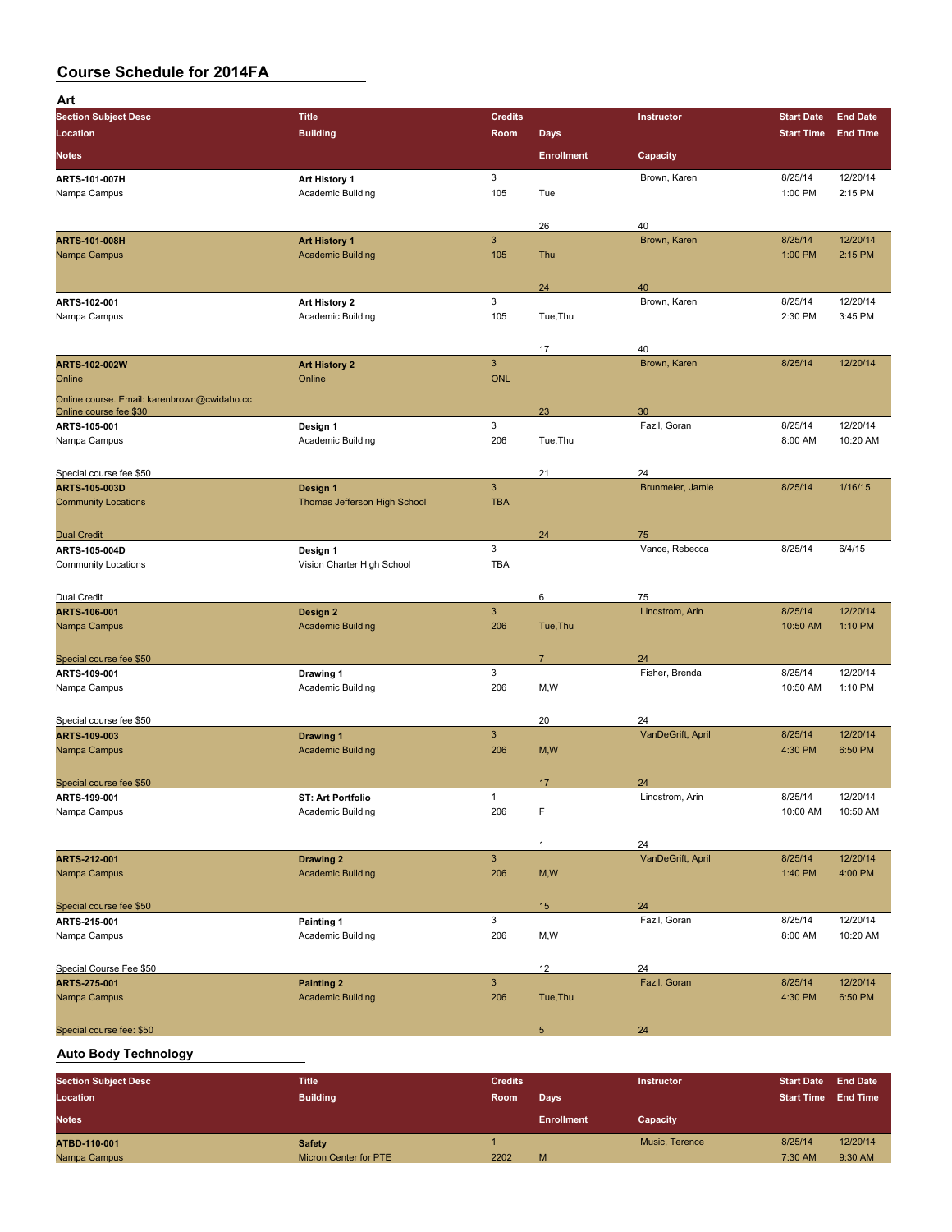| Art                                                                   |                                    |                            |                   |                         |                   |                 |
|-----------------------------------------------------------------------|------------------------------------|----------------------------|-------------------|-------------------------|-------------------|-----------------|
| <b>Section Subject Desc</b>                                           | <b>Title</b>                       | <b>Credits</b>             |                   | Instructor              | <b>Start Date</b> | <b>End Date</b> |
| Location                                                              | <b>Building</b>                    | <b>Room</b>                | <b>Days</b>       |                         | <b>Start Time</b> | <b>End Time</b> |
| <b>Notes</b>                                                          |                                    |                            | <b>Enrollment</b> | Capacity                |                   |                 |
| ARTS-101-007H                                                         | Art History 1                      | 3                          |                   | Brown, Karen            | 8/25/14           | 12/20/14        |
| Nampa Campus                                                          | Academic Building                  | 105                        | Tue               |                         | 1:00 PM           | 2:15 PM         |
|                                                                       |                                    |                            | 26                | 40                      |                   |                 |
| ARTS-101-008H                                                         | <b>Art History 1</b>               | $\mathsf 3$                |                   | Brown, Karen            | 8/25/14           | 12/20/14        |
| Nampa Campus                                                          | <b>Academic Building</b>           | 105                        | Thu               |                         | 1:00 PM           | 2:15 PM         |
|                                                                       |                                    |                            |                   |                         |                   |                 |
| ARTS-102-001                                                          |                                    | 3                          | 24                | 40<br>Brown, Karen      | 8/25/14           | 12/20/14        |
| Nampa Campus                                                          | Art History 2<br>Academic Building | 105                        | Tue, Thu          |                         | 2:30 PM           | 3:45 PM         |
|                                                                       |                                    |                            |                   |                         |                   |                 |
|                                                                       |                                    |                            | 17                | 40                      |                   |                 |
| ARTS-102-002W                                                         | <b>Art History 2</b>               | $\mathbf{3}$<br><b>ONL</b> |                   | Brown, Karen            | 8/25/14           | 12/20/14        |
| Online                                                                | Online                             |                            |                   |                         |                   |                 |
| Online course. Email: karenbrown@cwidaho.cc<br>Online course fee \$30 |                                    |                            | 23                | 30                      |                   |                 |
| ARTS-105-001                                                          | Design 1                           | 3                          |                   | Fazil, Goran            | 8/25/14           | 12/20/14        |
| Nampa Campus                                                          | Academic Building                  | 206                        | Tue, Thu          |                         | 8:00 AM           | 10:20 AM        |
|                                                                       |                                    |                            |                   |                         |                   |                 |
| Special course fee \$50<br>ARTS-105-003D                              | Design 1                           | $\mathbf{3}$               | 21                | 24<br>Brunmeier, Jamie  | 8/25/14           | 1/16/15         |
| <b>Community Locations</b>                                            | Thomas Jefferson High School       | <b>TBA</b>                 |                   |                         |                   |                 |
|                                                                       |                                    |                            |                   |                         |                   |                 |
| <b>Dual Credit</b>                                                    |                                    |                            | 24                | 75                      |                   |                 |
| ARTS-105-004D                                                         | Design 1                           | 3                          |                   | Vance, Rebecca          | 8/25/14           | 6/4/15          |
| <b>Community Locations</b>                                            | Vision Charter High School         | <b>TBA</b>                 |                   |                         |                   |                 |
| Dual Credit                                                           |                                    |                            | 6                 | 75                      |                   |                 |
| ARTS-106-001                                                          | Design 2                           | $\mathsf 3$                |                   | Lindstrom, Arin         | 8/25/14           | 12/20/14        |
| Nampa Campus                                                          | <b>Academic Building</b>           | 206                        | Tue, Thu          |                         | 10:50 AM          | 1:10 PM         |
|                                                                       |                                    |                            |                   |                         |                   |                 |
| Special course fee \$50                                               |                                    | 3                          | $\overline{7}$    | 24<br>Fisher, Brenda    | 8/25/14           | 12/20/14        |
| ARTS-109-001<br>Nampa Campus                                          | Drawing 1<br>Academic Building     | 206                        | M,W               |                         | 10:50 AM          | 1:10 PM         |
|                                                                       |                                    |                            |                   |                         |                   |                 |
| Special course fee \$50                                               |                                    |                            | 20                | 24                      |                   |                 |
| ARTS-109-003                                                          | <b>Drawing 1</b>                   | $\mathbf{3}$               |                   | VanDeGrift, April       | 8/25/14           | 12/20/14        |
| Nampa Campus                                                          | <b>Academic Building</b>           | 206                        | M, W              |                         | 4:30 PM           | 6:50 PM         |
| Special course fee \$50                                               |                                    |                            | 17                | 24                      |                   |                 |
| ARTS-199-001                                                          | <b>ST: Art Portfolio</b>           | $\mathbf{1}$               |                   | Lindstrom, Arin         | 8/25/14           | 12/20/14        |
| Nampa Campus                                                          | Academic Building                  | 206                        | F                 |                         | 10:00 AM          | 10:50 AM        |
|                                                                       |                                    |                            |                   |                         |                   |                 |
| ARTS-212-001                                                          | <b>Drawing 2</b>                   | $\mathbf{3}$               | 1                 | 24<br>VanDeGrift, April | 8/25/14           | 12/20/14        |
| Nampa Campus                                                          | <b>Academic Building</b>           | 206                        | M, W              |                         | 1:40 PM           | 4:00 PM         |
|                                                                       |                                    |                            |                   |                         |                   |                 |
| Special course fee \$50                                               |                                    |                            | 15                | 24                      |                   |                 |
| ARTS-215-001                                                          | Painting 1                         | 3                          |                   | Fazil, Goran            | 8/25/14           | 12/20/14        |
| Nampa Campus                                                          | Academic Building                  | 206                        | M,W               |                         | 8:00 AM           | 10:20 AM        |
| Special Course Fee \$50                                               |                                    |                            | 12                | 24                      |                   |                 |
| ARTS-275-001                                                          | <b>Painting 2</b>                  | $\mathsf 3$                |                   | Fazil, Goran            | 8/25/14           | 12/20/14        |
| Nampa Campus                                                          | <b>Academic Building</b>           | 206                        | Tue, Thu          |                         | 4:30 PM           | 6:50 PM         |
|                                                                       |                                    |                            |                   |                         |                   |                 |
| Special course fee: \$50                                              |                                    |                            | $5\phantom{.0}$   | 24                      |                   |                 |
| <b>Auto Body Technology</b>                                           |                                    |                            |                   |                         |                   |                 |
| <b>Section Subject Desc</b>                                           | <b>Title</b>                       | <b>Credits</b>             |                   | Instructor              | <b>Start Date</b> | <b>End Date</b> |
|                                                                       |                                    |                            |                   |                         |                   |                 |

| Location     | <b>Building</b>       | Room | Days              |                | <b>Start Time End Time</b> |          |
|--------------|-----------------------|------|-------------------|----------------|----------------------------|----------|
| <b>Notes</b> |                       |      | <b>Enrollment</b> | Capacity       |                            |          |
| ATBD-110-001 | <b>Safety</b>         |      |                   | Music, Terence | 8/25/14                    | 12/20/14 |
| Nampa Campus | Micron Center for PTE | 2202 | M                 |                | 7:30 AM                    | 9:30 AM  |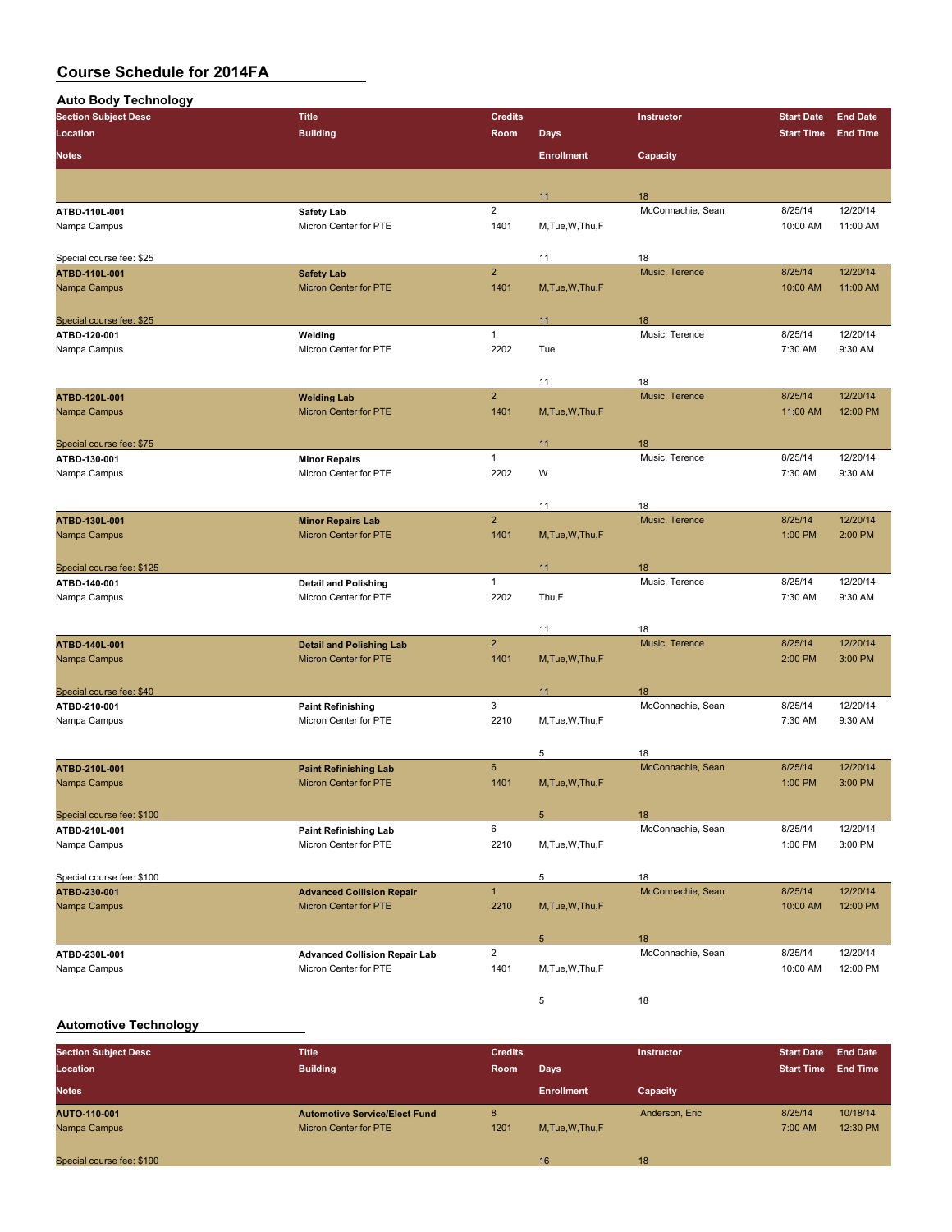| <b>Auto Body Technology</b> |                                                       |                |                   |                         |                   |                 |
|-----------------------------|-------------------------------------------------------|----------------|-------------------|-------------------------|-------------------|-----------------|
| <b>Section Subject Desc</b> | <b>Title</b>                                          | <b>Credits</b> |                   | Instructor              | <b>Start Date</b> | <b>End Date</b> |
| Location                    | <b>Building</b>                                       | Room           | <b>Days</b>       |                         | <b>Start Time</b> | <b>End Time</b> |
| <b>Notes</b>                |                                                       |                | <b>Enrollment</b> | Capacity                |                   |                 |
|                             |                                                       |                |                   |                         |                   |                 |
|                             |                                                       |                | 11                | 18                      |                   |                 |
| ATBD-110L-001               | Safety Lab                                            | $\overline{2}$ |                   | McConnachie, Sean       | 8/25/14           | 12/20/14        |
| Nampa Campus                | Micron Center for PTE                                 | 1401           | M, Tue, W, Thu, F |                         | 10:00 AM          | 11:00 AM        |
|                             |                                                       |                |                   |                         |                   |                 |
| Special course fee: \$25    |                                                       |                | 11                | 18                      |                   |                 |
| ATBD-110L-001               | <b>Safety Lab</b>                                     | $\overline{2}$ |                   | Music, Terence          | 8/25/14           | 12/20/14        |
| Nampa Campus                | Micron Center for PTE                                 | 1401           | M, Tue, W, Thu, F |                         | 10:00 AM          | 11:00 AM        |
|                             |                                                       |                |                   |                         |                   |                 |
| Special course fee: \$25    |                                                       | $\mathbf{1}$   | 11                | 18<br>Music, Terence    | 8/25/14           |                 |
| ATBD-120-001                | Welding                                               |                |                   |                         |                   | 12/20/14        |
| Nampa Campus                | Micron Center for PTE                                 | 2202           | Tue               |                         | 7:30 AM           | 9:30 AM         |
|                             |                                                       |                | 11                | 18                      |                   |                 |
| ATBD-120L-001               | <b>Welding Lab</b>                                    | $\overline{2}$ |                   | Music, Terence          | 8/25/14           | 12/20/14        |
| Nampa Campus                | Micron Center for PTE                                 | 1401           | M, Tue, W, Thu, F |                         | 11:00 AM          | 12:00 PM        |
|                             |                                                       |                |                   |                         |                   |                 |
| Special course fee: \$75    |                                                       |                | 11                | 18                      |                   |                 |
| ATBD-130-001                | <b>Minor Repairs</b>                                  | $\mathbf{1}$   |                   | Music, Terence          | 8/25/14           | 12/20/14        |
| Nampa Campus                | Micron Center for PTE                                 | 2202           | W                 |                         | 7:30 AM           | 9:30 AM         |
|                             |                                                       |                |                   |                         |                   |                 |
|                             |                                                       |                | 11                | 18                      |                   |                 |
| ATBD-130L-001               | <b>Minor Repairs Lab</b>                              | $\overline{2}$ |                   | Music. Terence          | 8/25/14           | 12/20/14        |
| Nampa Campus                | Micron Center for PTE                                 | 1401           | M, Tue, W, Thu, F |                         | 1:00 PM           | 2:00 PM         |
|                             |                                                       |                |                   |                         |                   |                 |
| Special course fee: \$125   |                                                       |                | 11                | 18                      |                   |                 |
| ATBD-140-001                | <b>Detail and Polishing</b>                           | $\mathbf{1}$   |                   | Music, Terence          | 8/25/14           | 12/20/14        |
| Nampa Campus                | Micron Center for PTE                                 | 2202           | Thu,F             |                         | 7:30 AM           | 9:30 AM         |
|                             |                                                       |                |                   |                         |                   |                 |
| ATBD-140L-001               | <b>Detail and Polishing Lab</b>                       | $\overline{2}$ | 11                | 18<br>Music, Terence    | 8/25/14           | 12/20/14        |
| Nampa Campus                | <b>Micron Center for PTE</b>                          | 1401           | M, Tue, W, Thu, F |                         | 2:00 PM           | 3:00 PM         |
|                             |                                                       |                |                   |                         |                   |                 |
| Special course fee: \$40    |                                                       |                | 11                | 18                      |                   |                 |
| ATBD-210-001                | <b>Paint Refinishing</b>                              | 3              |                   | McConnachie, Sean       | 8/25/14           | 12/20/14        |
| Nampa Campus                | Micron Center for PTE                                 | 2210           | M, Tue, W, Thu, F |                         | 7:30 AM           | 9:30 AM         |
|                             |                                                       |                |                   |                         |                   |                 |
|                             |                                                       |                | 5                 | 18                      |                   |                 |
| <b>ATBD 210L 001</b>        | <b>Paint Refinishing Lab</b>                          | $6\phantom{1}$ |                   | McConnachie, Sean       | 8/25/14           | 12/20/14        |
| Nampa Campus                | Micron Center for PTE                                 | 1401           | M, Tue, W, Thu, F |                         | 1:00 PM           | 3:00 PM         |
|                             |                                                       |                |                   |                         |                   |                 |
| Special course fee: \$100   |                                                       | 6              | 5                 | 18<br>McConnachie, Sean | 8/25/14           | 12/20/14        |
| ATBD-210L-001               | <b>Paint Refinishing Lab</b><br>Micron Center for PTE |                |                   |                         |                   | 3:00 PM         |
| Nampa Campus                |                                                       | 2210           | M, Tue, W, Thu, F |                         | 1:00 PM           |                 |
| Special course fee: \$100   |                                                       |                | 5                 | 18                      |                   |                 |
| ATBD-230-001                | <b>Advanced Collision Repair</b>                      | $\mathbf{1}$   |                   | McConnachie, Sean       | 8/25/14           | 12/20/14        |
| Nampa Campus                | Micron Center for PTE                                 | 2210           | M, Tue, W, Thu, F |                         | 10:00 AM          | 12:00 PM        |
|                             |                                                       |                |                   |                         |                   |                 |
|                             |                                                       |                | $5\phantom{.0}$   | 18                      |                   |                 |
| ATBD-230L-001               | <b>Advanced Collision Repair Lab</b>                  | $\overline{2}$ |                   | McConnachie, Sean       | 8/25/14           | 12/20/14        |
| Nampa Campus                | Micron Center for PTE                                 | 1401           | M, Tue, W, Thu, F |                         | 10:00 AM          | 12:00 PM        |
|                             |                                                       |                |                   |                         |                   |                 |
|                             |                                                       |                | 5                 | 18                      |                   |                 |

### **Automotive Technology**

| <b>Section Subject Desc</b><br>Location | <b>Title</b><br><b>Building</b>      | <b>Credits</b><br><b>Room</b> | Days              | <b>Instructor</b> | <b>Start Date</b><br><b>Start Time</b> | <b>End Date</b><br><b>End Time</b> |
|-----------------------------------------|--------------------------------------|-------------------------------|-------------------|-------------------|----------------------------------------|------------------------------------|
| <b>Notes</b>                            |                                      |                               | <b>Enrollment</b> | Capacity          |                                        |                                    |
| AUTO-110-001                            | <b>Automotive Service/Elect Fund</b> | 8                             |                   | Anderson, Eric    | 8/25/14                                | 10/18/14                           |
| Nampa Campus                            | <b>Micron Center for PTE</b>         | 1201                          | M.Tue, W.Thu, F   |                   | 7:00 AM                                | 12:30 PM                           |
| Special course fee: \$190               |                                      |                               | 16                | 18                |                                        |                                    |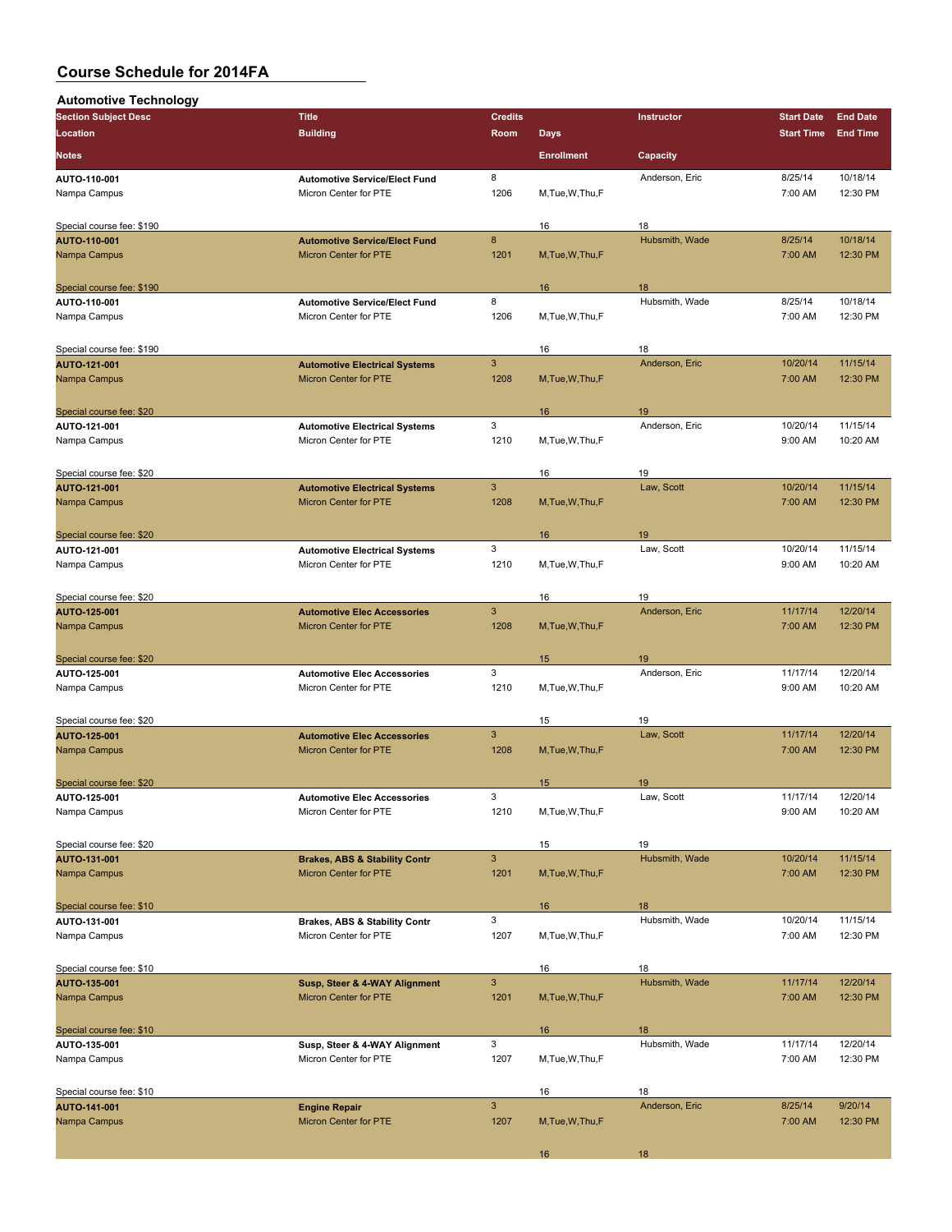| <b>Automotive Technology</b> |                                          |                |                   |                 |                   |                 |
|------------------------------|------------------------------------------|----------------|-------------------|-----------------|-------------------|-----------------|
| <b>Section Subject Desc</b>  | <b>Title</b>                             | <b>Credits</b> |                   | Instructor      | <b>Start Date</b> | <b>End Date</b> |
| Location                     | <b>Building</b>                          | Room           | <b>Days</b>       |                 | <b>Start Time</b> | <b>End Time</b> |
| Notes                        |                                          |                | <b>Enrollment</b> | <b>Capacity</b> |                   |                 |
| AUTO-110-001                 | <b>Automotive Service/Elect Fund</b>     | 8              |                   | Anderson, Eric  | 8/25/14           | 10/18/14        |
| Nampa Campus                 | Micron Center for PTE                    | 1206           | M, Tue, W, Thu, F |                 | 7:00 AM           | 12:30 PM        |
| Special course fee: \$190    |                                          |                | 16                | 18              |                   |                 |
| AUTO-110-001                 | <b>Automotive Service/Elect Fund</b>     | $\bf{8}$       |                   | Hubsmith, Wade  | 8/25/14           | 10/18/14        |
| Nampa Campus                 | Micron Center for PTE                    | 1201           | M, Tue, W, Thu, F |                 | 7:00 AM           | 12:30 PM        |
| Special course fee: \$190    |                                          |                | 16                | 18              |                   |                 |
| AUTO-110-001                 | <b>Automotive Service/Elect Fund</b>     | 8              |                   | Hubsmith, Wade  | 8/25/14           | 10/18/14        |
| Nampa Campus                 | Micron Center for PTE                    | 1206           | M, Tue, W, Thu, F |                 | 7:00 AM           | 12:30 PM        |
| Special course fee: \$190    |                                          |                | 16                | 18              |                   |                 |
| AUTO-121-001                 | <b>Automotive Electrical Systems</b>     | $\mathbf{3}$   |                   | Anderson, Eric  | 10/20/14          | 11/15/14        |
| Nampa Campus                 | Micron Center for PTE                    | 1208           | M, Tue, W, Thu, F |                 | 7:00 AM           | 12:30 PM        |
| Special course fee: \$20     |                                          |                | 16                | 19              |                   |                 |
| AUTO-121-001                 | <b>Automotive Electrical Systems</b>     | 3              |                   | Anderson, Eric  | 10/20/14          | 11/15/14        |
| Nampa Campus                 | Micron Center for PTE                    | 1210           | M, Tue, W, Thu, F |                 | 9:00 AM           | 10:20 AM        |
| Special course fee: \$20     |                                          |                | 16                | 19              |                   |                 |
| AUTO-121-001                 | <b>Automotive Electrical Systems</b>     | $\mathbf{3}$   |                   | Law, Scott      | 10/20/14          | 11/15/14        |
| Nampa Campus                 | Micron Center for PTE                    | 1208           | M, Tue, W, Thu, F |                 | 7:00 AM           | 12:30 PM        |
| Special course fee: \$20     |                                          |                | 16                | 19              |                   |                 |
| AUTO-121-001                 | <b>Automotive Electrical Systems</b>     | 3              |                   | Law, Scott      | 10/20/14          | 11/15/14        |
| Nampa Campus                 | Micron Center for PTE                    | 1210           | M, Tue, W, Thu, F |                 | 9:00 AM           | 10:20 AM        |
| Special course fee: \$20     |                                          |                | 16                | 19              |                   |                 |
| AUTO-125-001                 | <b>Automotive Elec Accessories</b>       | $\mathbf{3}$   |                   | Anderson, Eric  | 11/17/14          | 12/20/14        |
| Nampa Campus                 | Micron Center for PTE                    | 1208           | M, Tue, W, Thu, F |                 | 7:00 AM           | 12:30 PM        |
| Special course fee: \$20     |                                          |                | 15                | 19              |                   |                 |
| AUTO-125-001                 | <b>Automotive Elec Accessories</b>       | 3              |                   | Anderson, Eric  | 11/17/14          | 12/20/14        |
| Nampa Campus                 | Micron Center for PTE                    | 1210           | M, Tue, W, Thu, F |                 | 9:00 AM           | 10:20 AM        |
| Special course fee: \$20     |                                          |                | 15                | 19              |                   |                 |
| AUTO-125-001                 | <b>Automotive Elec Accessories</b>       | $\mathbf{3}$   |                   | Law, Scott      | 11/17/14          | 12/20/14        |
| Nampa Campus                 | Micron Center for PTE                    | 1208           | M, Tue, W, Thu, F |                 | 7:00 AM           | 12:30 PM        |
| Special course fee: \$20     |                                          |                | 15                | 19              |                   |                 |
| AUTO-125-001                 | <b>Automotive Elec Accessories</b>       | 3              |                   | Law, Scott      | 11/17/14          | 12/20/14        |
| Nampa Campus                 | Micron Center for PTE                    | 1210           | M,Tue,W,Thu,F     |                 | 9:00 AM           | 10:20 AM        |
| Special course fee: \$20     |                                          |                | 15                | 19              |                   |                 |
| AUTO-131-001                 | <b>Brakes, ABS &amp; Stability Contr</b> | $\mathbf{3}$   |                   | Hubsmith, Wade  | 10/20/14          | 11/15/14        |
| Nampa Campus                 | Micron Center for PTE                    | 1201           | M, Tue, W, Thu, F |                 | 7:00 AM           | 12:30 PM        |
| Special course fee: \$10     |                                          |                | 16                | 18              |                   |                 |
| AUTO-131-001                 | <b>Brakes, ABS &amp; Stability Contr</b> | $\mathbf{3}$   |                   | Hubsmith, Wade  | 10/20/14          | 11/15/14        |
| Nampa Campus                 | Micron Center for PTE                    | 1207           | M, Tue, W, Thu, F |                 | 7:00 AM           | 12:30 PM        |
| Special course fee: \$10     |                                          |                | 16                | 18              |                   |                 |
| AUTO-135-001                 | Susp, Steer & 4-WAY Alignment            | $\mathbf{3}$   |                   | Hubsmith, Wade  | 11/17/14          | 12/20/14        |
| Nampa Campus                 | Micron Center for PTE                    | 1201           | M, Tue, W, Thu, F |                 | 7:00 AM           | 12:30 PM        |
| Special course fee: \$10     |                                          |                | 16                | 18              |                   |                 |
| AUTO-135-001                 | Susp, Steer & 4-WAY Alignment            | 3              |                   | Hubsmith, Wade  | 11/17/14          | 12/20/14        |
| Nampa Campus                 | Micron Center for PTE                    | 1207           | M, Tue, W, Thu, F |                 | 7:00 AM           | 12:30 PM        |
| Special course fee: \$10     |                                          |                | 16                | 18              |                   |                 |
| AUTO-141-001                 | <b>Engine Repair</b>                     | $\mathbf{3}$   |                   | Anderson, Eric  | 8/25/14           | 9/20/14         |
| Nampa Campus                 | Micron Center for PTE                    | 1207           | M, Tue, W, Thu, F |                 | 7:00 AM           | 12:30 PM        |
|                              |                                          |                | 16                | 18              |                   |                 |
|                              |                                          |                |                   |                 |                   |                 |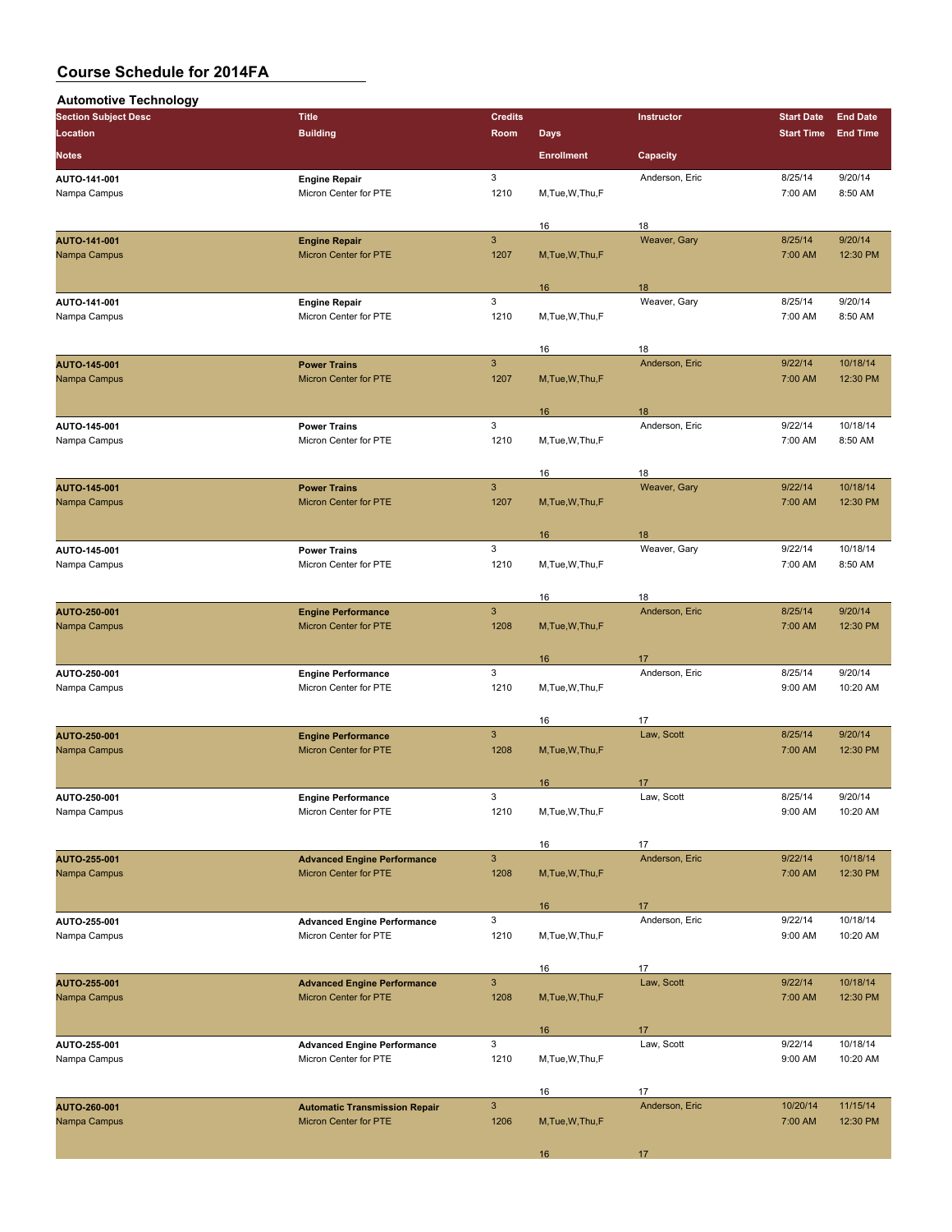| <b>Automotive Technology</b>        |                                                                    |                      |                   |                      |                    |                      |
|-------------------------------------|--------------------------------------------------------------------|----------------------|-------------------|----------------------|--------------------|----------------------|
| <b>Section Subject Desc</b>         | <b>Title</b>                                                       | <b>Credits</b>       |                   | Instructor           | <b>Start Date</b>  | <b>End Date</b>      |
| Location                            | <b>Building</b>                                                    | Room                 | <b>Days</b>       |                      | <b>Start Time</b>  | <b>End Time</b>      |
| <b>Notes</b>                        |                                                                    |                      | <b>Enrollment</b> | Capacity             |                    |                      |
| AUTO-141-001                        | <b>Engine Repair</b>                                               | 3                    |                   | Anderson, Eric       | 8/25/14            | 9/20/14              |
| Nampa Campus                        | Micron Center for PTE                                              | 1210                 | M, Tue, W, Thu, F |                      | 7:00 AM            | 8:50 AM              |
|                                     |                                                                    |                      | 16                | 18                   |                    |                      |
| AUTO-141-001                        | <b>Engine Repair</b>                                               | $\mathbf{3}$         |                   | Weaver, Gary         | 8/25/14            | 9/20/14              |
| Nampa Campus                        | <b>Micron Center for PTE</b>                                       | 1207                 | M, Tue, W, Thu, F |                      | 7:00 AM            | 12:30 PM             |
|                                     |                                                                    |                      | 16                | 18                   |                    |                      |
| AUTO-141-001                        | <b>Engine Repair</b>                                               | 3                    |                   | Weaver, Gary         | 8/25/14            | 9/20/14              |
| Nampa Campus                        | Micron Center for PTE                                              | 1210                 | M, Tue, W, Thu, F |                      | 7:00 AM            | 8:50 AM              |
|                                     |                                                                    |                      | 16                | 18                   |                    |                      |
| <b>AUTO-145-001</b>                 | <b>Power Trains</b>                                                | $\mathbf{3}$         |                   | Anderson, Eric       | 9/22/14            | 10/18/14             |
| Nampa Campus                        | Micron Center for PTE                                              | 1207                 | M, Tue, W, Thu, F |                      | 7:00 AM            | 12:30 PM             |
|                                     |                                                                    |                      |                   |                      |                    |                      |
| AUTO-145-001                        | <b>Power Trains</b>                                                | 3                    | 16                | 18<br>Anderson, Eric | 9/22/14            | 10/18/14             |
| Nampa Campus                        | Micron Center for PTE                                              | 1210                 | M, Tue, W, Thu, F |                      | 7:00 AM            | 8:50 AM              |
|                                     |                                                                    |                      |                   |                      |                    |                      |
| <b>AUTO-145-001</b>                 | <b>Power Trains</b>                                                | $\mathbf{3}$         | 16                | 18<br>Weaver, Gary   | 9/22/14            | 10/18/14             |
| Nampa Campus                        | <b>Micron Center for PTE</b>                                       | 1207                 | M, Tue, W, Thu, F |                      | 7:00 AM            | 12:30 PM             |
|                                     |                                                                    |                      |                   |                      |                    |                      |
| AUTO-145-001                        | <b>Power Trains</b>                                                | 3                    | 16                | 18<br>Weaver, Gary   | 9/22/14            | 10/18/14             |
| Nampa Campus                        | Micron Center for PTE                                              | 1210                 | M, Tue, W, Thu, F |                      | 7:00 AM            | 8:50 AM              |
|                                     |                                                                    |                      |                   |                      |                    |                      |
|                                     |                                                                    | $\mathsf 3$          | 16                | 18<br>Anderson, Eric | 8/25/14            | 9/20/14              |
| <b>AUTO-250-001</b><br>Nampa Campus | <b>Engine Performance</b><br>Micron Center for PTE                 | 1208                 | M, Tue, W, Thu, F |                      | 7:00 AM            | 12:30 PM             |
|                                     |                                                                    |                      |                   |                      |                    |                      |
|                                     |                                                                    |                      | 16                | 17                   |                    |                      |
| AUTO-250-001<br>Nampa Campus        | <b>Engine Performance</b><br>Micron Center for PTE                 | 3<br>1210            | M, Tue, W, Thu, F | Anderson, Eric       | 8/25/14<br>9:00 AM | 9/20/14<br>10:20 AM  |
|                                     |                                                                    |                      |                   |                      |                    |                      |
|                                     |                                                                    |                      | 16                | 17                   |                    |                      |
| <b>AUTO-250-001</b><br>Nampa Campus | <b>Engine Performance</b><br><b>Micron Center for PTE</b>          | $\mathbf{3}$<br>1208 | M, Tue, W, Thu, F | Law, Scott           | 8/25/14<br>7:00 AM | 9/20/14<br>12:30 PM  |
|                                     |                                                                    |                      |                   |                      |                    |                      |
|                                     |                                                                    |                      | 16                | 17                   |                    |                      |
| AUTO-250-001<br>Nampa Campus        | <b>Engine Performance</b><br>Micron Center for PTE                 | 3<br>1210            | M, Tue, W, Thu, F | Law, Scott           | 8/25/14<br>9:00 AM | 9/20/14<br>10:20 AM  |
|                                     |                                                                    |                      |                   |                      |                    |                      |
|                                     |                                                                    |                      | 16                | 17                   |                    |                      |
| <b>AUTO-255-001</b><br>Nampa Campus | <b>Advanced Engine Performance</b><br><b>Micron Center for PTE</b> | $\mathbf{3}$<br>1208 | M, Tue, W, Thu, F | Anderson, Eric       | 9/22/14<br>7:00 AM | 10/18/14<br>12:30 PM |
|                                     |                                                                    |                      |                   |                      |                    |                      |
|                                     |                                                                    |                      | 16                | 17                   |                    |                      |
| AUTO-255-001                        | <b>Advanced Engine Performance</b>                                 | $\mathbf{3}$         |                   | Anderson, Eric       | 9/22/14            | 10/18/14             |
| Nampa Campus                        | Micron Center for PTE                                              | 1210                 | M, Tue, W, Thu, F |                      | 9:00 AM            | 10:20 AM             |
|                                     |                                                                    |                      | 16                | 17                   |                    |                      |
| AUTO-255-001                        | <b>Advanced Engine Performance</b>                                 | $\mathbf{3}$         |                   | Law, Scott           | 9/22/14            | 10/18/14             |
| Nampa Campus                        | Micron Center for PTE                                              | 1208                 | M, Tue, W, Thu, F |                      | 7:00 AM            | 12:30 PM             |
|                                     |                                                                    |                      | 16                | 17                   |                    |                      |
| AUTO-255-001                        | <b>Advanced Engine Performance</b>                                 | 3                    |                   | Law, Scott           | 9/22/14            | 10/18/14             |
| Nampa Campus                        | Micron Center for PTE                                              | 1210                 | M, Tue, W, Thu, F |                      | 9:00 AM            | 10:20 AM             |
|                                     |                                                                    |                      | 16                | 17                   |                    |                      |
| AUTO-260-001                        | <b>Automatic Transmission Repair</b>                               | $\mathbf{3}$         |                   | Anderson, Eric       | 10/20/14           | 11/15/14             |
| Nampa Campus                        | Micron Center for PTE                                              | 1206                 | M, Tue, W, Thu, F |                      | 7:00 AM            | 12:30 PM             |
|                                     |                                                                    |                      | 16                | 17                   |                    |                      |
|                                     |                                                                    |                      |                   |                      |                    |                      |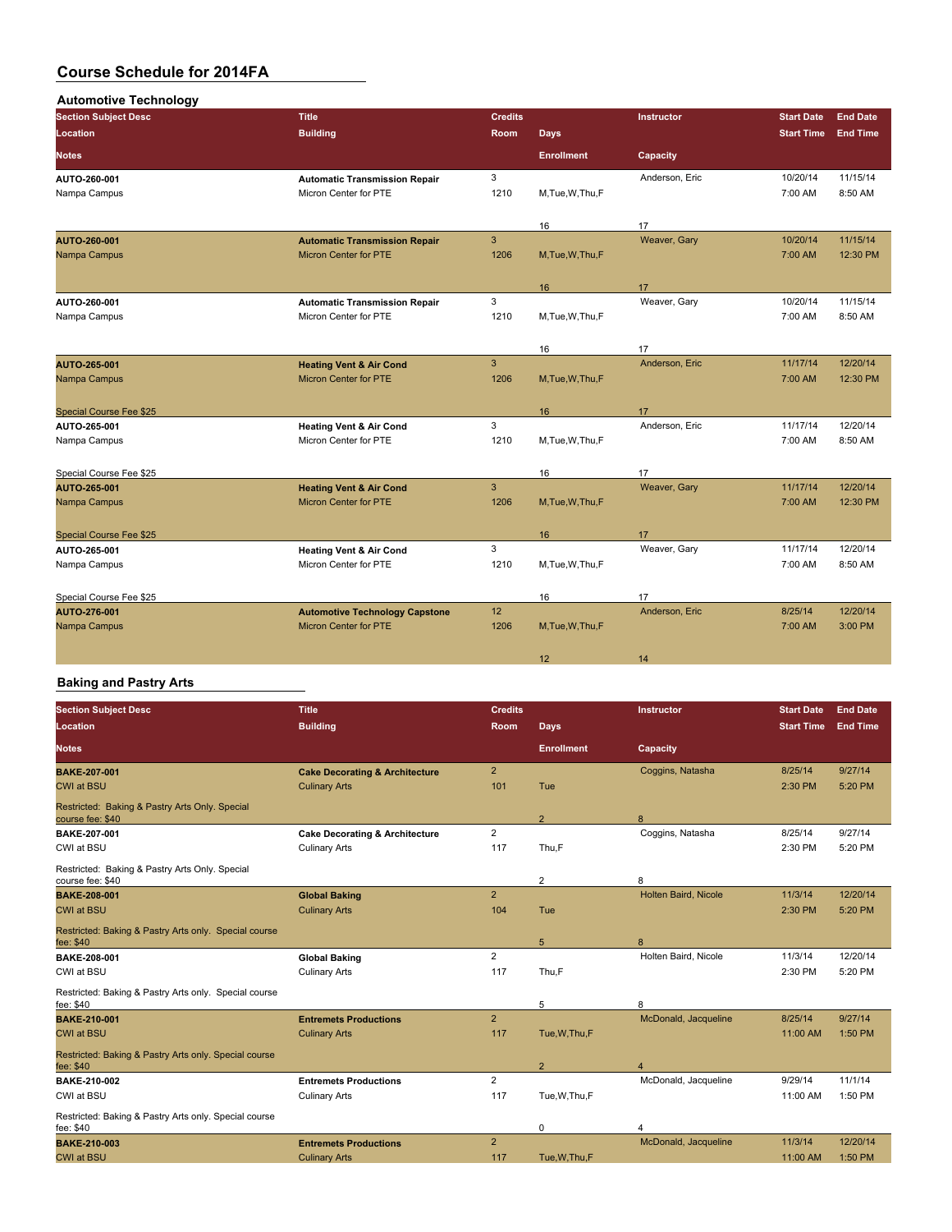| <b>Automotive Technology</b>   |                                       |                |                   |                |                   |                 |
|--------------------------------|---------------------------------------|----------------|-------------------|----------------|-------------------|-----------------|
| <b>Section Subject Desc</b>    | <b>Title</b>                          | <b>Credits</b> |                   | Instructor     | <b>Start Date</b> | <b>End Date</b> |
| Location                       | <b>Building</b>                       | Room           | <b>Days</b>       |                | <b>Start Time</b> | <b>End Time</b> |
| <b>Notes</b>                   |                                       |                | <b>Enrollment</b> | Capacity       |                   |                 |
| AUTO-260-001                   | <b>Automatic Transmission Repair</b>  | 3              |                   | Anderson, Eric | 10/20/14          | 11/15/14        |
| Nampa Campus                   | Micron Center for PTE                 | 1210           | M,Tue,W,Thu,F     |                | 7:00 AM           | 8:50 AM         |
|                                |                                       |                | 16                | 17             |                   |                 |
| AUTO-260-001                   | <b>Automatic Transmission Repair</b>  | $\mathbf{3}$   |                   | Weaver, Gary   | 10/20/14          | 11/15/14        |
| Nampa Campus                   | <b>Micron Center for PTE</b>          | 1206           | M, Tue, W, Thu, F |                | 7:00 AM           | 12:30 PM        |
|                                |                                       |                | 16                | 17             |                   |                 |
| AUTO-260-001                   | <b>Automatic Transmission Repair</b>  | 3              |                   | Weaver, Gary   | 10/20/14          | 11/15/14        |
| Nampa Campus                   | Micron Center for PTE                 | 1210           | M, Tue, W, Thu, F |                | 7:00 AM           | 8:50 AM         |
|                                |                                       |                | 16                | 17             |                   |                 |
| AUTO 265-001                   | <b>Heating Vent &amp; Air Cond</b>    | 3              |                   | Anderson, Eric | 11/17/14          | 12/20/14        |
| Nampa Campus                   | <b>Micron Center for PTE</b>          | 1206           | M,Tue,W,Thu,F     |                | 7:00 AM           | 12:30 PM        |
| <b>Special Course Fee \$25</b> |                                       |                | 16                | 17             |                   |                 |
| AUTO-265-001                   | <b>Heating Vent &amp; Air Cond</b>    | 3              |                   | Anderson, Eric | 11/17/14          | 12/20/14        |
| Nampa Campus                   | Micron Center for PTE                 | 1210           | M, Tue, W, Thu, F |                | 7:00 AM           | 8:50 AM         |
| Special Course Fee \$25        |                                       |                | 16                | 17             |                   |                 |
| AUTO 265-001                   | <b>Heating Vent &amp; Air Cond</b>    | 3              |                   | Weaver, Gary   | 11/17/14          | 12/20/14        |
| Nampa Campus                   | <b>Micron Center for PTE</b>          | 1206           | M.Tue, W.Thu, F   |                | 7:00 AM           | 12:30 PM        |
| Special Course Fee \$25        |                                       |                | 16                | 17             |                   |                 |
| AUTO 265 001                   | <b>Heating Vent &amp; Air Cond</b>    | 3              |                   | Weaver, Gary   | 11/17/14          | 12/20/14        |
| Nampa Campus                   | Micron Center for PTE                 | 1210           | M, Tue, W, Thu, F |                | 7:00 AM           | 8:50 AM         |
| Special Course Fee \$25        |                                       |                | 16                | 17             |                   |                 |
| AUTO-276-001                   | <b>Automotive Technology Capstone</b> | 12             |                   | Anderson, Eric | 8/25/14           | 12/20/14        |
| Nampa Campus                   | <b>Micron Center for PTE</b>          | 1206           | M, Tue, W, Thu, F |                | 7:00 AM           | 3:00 PM         |
|                                |                                       |                | 12                | 14             |                   |                 |

### **Baking and Pastry Arts**

| <b>Section Subject Desc</b>                                        | <b>Title</b>                              | <b>Credits</b> |                   | <b>Instructor</b>         | <b>Start Date</b> | <b>End Date</b> |
|--------------------------------------------------------------------|-------------------------------------------|----------------|-------------------|---------------------------|-------------------|-----------------|
| Location                                                           | <b>Building</b>                           | Room           | <b>Days</b>       |                           | <b>Start Time</b> | <b>End Time</b> |
| <b>Notes</b>                                                       |                                           |                | <b>Enrollment</b> | Capacity                  |                   |                 |
| <b>BAKE-207-001</b>                                                | <b>Cake Decorating &amp; Architecture</b> | $\overline{2}$ |                   | Coggins, Natasha          | 8/25/14           | 9/27/14         |
| <b>CWI at BSU</b>                                                  | <b>Culinary Arts</b>                      | 101            | Tue               |                           | 2:30 PM           | 5:20 PM         |
| Restricted: Baking & Pastry Arts Only. Special<br>course fee: \$40 |                                           |                | $\overline{2}$    | 8                         |                   |                 |
| BAKE 207-001                                                       | <b>Cake Decorating &amp; Architecture</b> | $\overline{2}$ |                   | Coggins, Natasha          | 8/25/14           | 9/27/14         |
| CWI at BSU                                                         | <b>Culinary Arts</b>                      | 117            | Thu,F             |                           | 2:30 PM           | 5:20 PM         |
| Restricted: Baking & Pastry Arts Only. Special<br>course fee: \$40 |                                           |                | $\overline{2}$    | 8                         |                   |                 |
| <b>BAKE-208-001</b>                                                | <b>Global Baking</b>                      | $\overline{2}$ |                   | Holten Baird, Nicole      | 11/3/14           | 12/20/14        |
| <b>CWI at BSU</b>                                                  | <b>Culinary Arts</b>                      | 104            | Tue               |                           | 2:30 PM           | 5:20 PM         |
| Restricted: Baking & Pastry Arts only. Special course              |                                           |                |                   |                           |                   |                 |
| fee: \$40                                                          |                                           | $\overline{2}$ | 5                 | 8<br>Holten Baird, Nicole | 11/3/14           | 12/20/14        |
| BAKE 208-001                                                       | <b>Global Baking</b>                      |                |                   |                           |                   |                 |
| CWI at BSU                                                         | <b>Culinary Arts</b>                      | 117            | Thu,F             |                           | 2:30 PM           | 5:20 PM         |
| Restricted: Baking & Pastry Arts only. Special course<br>fee: \$40 |                                           |                | 5                 | 8                         |                   |                 |
| <b>BAKE 210 001</b>                                                | <b>Entremets Productions</b>              | $\overline{2}$ |                   | McDonald, Jacqueline      | 8/25/14           | 9/27/14         |
| <b>CWI at BSU</b>                                                  | <b>Culinary Arts</b>                      | 117            | Tue, W, Thu, F    |                           | 11:00 AM          | 1:50 PM         |
| Restricted: Baking & Pastry Arts only. Special course<br>fee: \$40 |                                           |                | $\overline{2}$    | 4                         |                   |                 |
| <b>BAKE 210-002</b>                                                | <b>Entremets Productions</b>              | $\overline{2}$ |                   | McDonald, Jacqueline      | 9/29/14           | 11/1/14         |
| CWI at BSU                                                         | <b>Culinary Arts</b>                      | 117            | Tue, W, Thu, F    |                           | 11:00 AM          | 1:50 PM         |
| Restricted: Baking & Pastry Arts only. Special course<br>fee: \$40 |                                           |                | $\mathbf 0$       | 4                         |                   |                 |
| <b>BAKE-210-003</b>                                                | <b>Entremets Productions</b>              | $\overline{2}$ |                   | McDonald, Jacqueline      | 11/3/14           | 12/20/14        |
| <b>CWI at BSU</b>                                                  | <b>Culinary Arts</b>                      | 117            | Tue.W.Thu.F       |                           | 11:00 AM          | 1:50 PM         |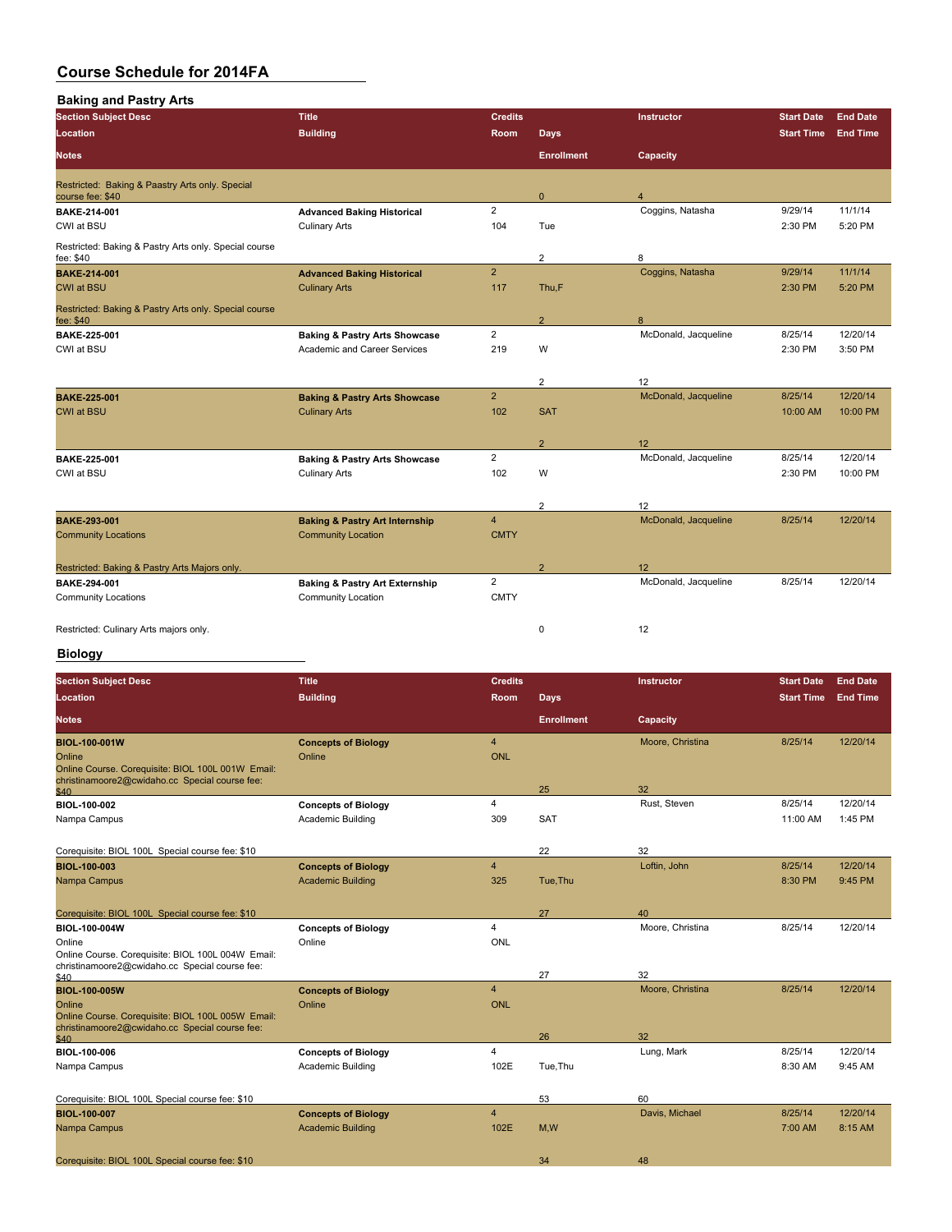| <b>Section Subject Desc</b>                                         | <b>Title</b>                                                                    | <b>Credits</b>                |                   | Instructor           | <b>Start Date</b>   | <b>End Date</b>      |
|---------------------------------------------------------------------|---------------------------------------------------------------------------------|-------------------------------|-------------------|----------------------|---------------------|----------------------|
| Location                                                            | <b>Building</b>                                                                 | <b>Room</b>                   | <b>Days</b>       |                      | <b>Start Time</b>   | <b>End Time</b>      |
| <b>Notes</b>                                                        |                                                                                 |                               | <b>Enrollment</b> | Capacity             |                     |                      |
| Restricted: Baking & Paastry Arts only. Special<br>course fee: \$40 |                                                                                 |                               | $\mathbf{0}$      |                      |                     |                      |
| BAKE-214-001<br>CWI at BSU                                          | <b>Advanced Baking Historical</b><br><b>Culinary Arts</b>                       | $\overline{2}$<br>104         | Tue               | Coggins, Natasha     | 9/29/14<br>2:30 PM  | 11/1/14<br>5:20 PM   |
| Restricted: Baking & Pastry Arts only. Special course<br>fee: \$40  |                                                                                 |                               | $\overline{2}$    | 8                    |                     |                      |
| <b>BAKE 214-001</b><br><b>CWI at BSU</b>                            | <b>Advanced Baking Historical</b><br><b>Culinary Arts</b>                       | $\overline{2}$<br>117         | Thu,F             | Coggins, Natasha     | 9/29/14<br>2:30 PM  | 11/1/14<br>5:20 PM   |
| Restricted: Baking & Pastry Arts only. Special course<br>fee: \$40  |                                                                                 |                               | $\overline{2}$    | 8                    |                     |                      |
| <b>BAKE 225-001</b><br>CWI at BSU                                   | <b>Baking &amp; Pastry Arts Showcase</b><br><b>Academic and Career Services</b> | $\overline{2}$<br>219         | W                 | McDonald, Jacqueline | 8/25/14<br>2:30 PM  | 12/20/14<br>3:50 PM  |
|                                                                     |                                                                                 |                               | $\overline{2}$    | 12                   |                     |                      |
| <b>BAKE 225-001</b><br><b>CWI at BSU</b>                            | <b>Baking &amp; Pastry Arts Showcase</b><br><b>Culinary Arts</b>                | $\overline{2}$<br>102         | <b>SAT</b>        | McDonald, Jacqueline | 8/25/14<br>10:00 AM | 12/20/14<br>10:00 PM |
|                                                                     |                                                                                 |                               | $\overline{2}$    | 12                   |                     |                      |
| BAKE-225-001<br>CWI at BSU                                          | <b>Baking &amp; Pastry Arts Showcase</b><br><b>Culinary Arts</b>                | $\overline{2}$<br>102         | W                 | McDonald, Jacqueline | 8/25/14<br>2:30 PM  | 12/20/14<br>10:00 PM |
|                                                                     |                                                                                 |                               | $\overline{2}$    | 12                   |                     |                      |
| <b>BAKE 293-001</b><br><b>Community Locations</b>                   | <b>Baking &amp; Pastry Art Internship</b><br><b>Community Location</b>          | $\overline{4}$<br><b>CMTY</b> |                   | McDonald, Jacqueline | 8/25/14             | 12/20/14             |
| Restricted: Baking & Pastry Arts Majors only.                       |                                                                                 |                               | $\overline{2}$    | 12                   |                     |                      |
| <b>BAKE-294-001</b>                                                 | <b>Baking &amp; Pastry Art Externship</b>                                       | 2                             |                   | McDonald, Jacqueline | 8/25/14             | 12/20/14             |
| <b>Community Locations</b>                                          | <b>Community Location</b>                                                       | <b>CMTY</b>                   |                   |                      |                     |                      |
| Restricted: Culinary Arts majors only.                              |                                                                                 |                               | $\mathbf 0$       | 12                   |                     |                      |

### **Biology**

| <b>Section Subject Desc</b>                                                                         | <b>Title</b>               | <b>Credits</b> |                   | Instructor       | <b>Start Date</b> | <b>End Date</b> |
|-----------------------------------------------------------------------------------------------------|----------------------------|----------------|-------------------|------------------|-------------------|-----------------|
| Location                                                                                            | <b>Building</b>            | <b>Room</b>    | <b>Days</b>       |                  | <b>Start Time</b> | <b>End Time</b> |
| <b>Notes</b>                                                                                        |                            |                | <b>Enrollment</b> | Capacity         |                   |                 |
| <b>BIOL 100 001W</b>                                                                                | <b>Concepts of Biology</b> | $\overline{4}$ |                   | Moore, Christina | 8/25/14           | 12/20/14        |
| Online                                                                                              | Online                     | <b>ONL</b>     |                   |                  |                   |                 |
| Online Course. Corequisite: BIOL 100L 001W Email:<br>christinamoore2@cwidaho.cc Special course fee: |                            |                |                   |                  |                   |                 |
| \$40                                                                                                |                            |                | 25                | 32               |                   |                 |
| <b>BIOL 100 002</b>                                                                                 | <b>Concepts of Biology</b> | 4              |                   | Rust, Steven     | 8/25/14           | 12/20/14        |
| Nampa Campus                                                                                        | Academic Building          | 309            | <b>SAT</b>        |                  | 11:00 AM          | 1:45 PM         |
|                                                                                                     |                            |                |                   |                  |                   |                 |
| Corequisite: BIOL 100L Special course fee: \$10                                                     |                            |                | 22                | 32               |                   |                 |
| <b>BIOL 100 003</b>                                                                                 | <b>Concepts of Biology</b> | $\overline{4}$ |                   | Loftin, John     | 8/25/14           | 12/20/14        |
| Nampa Campus                                                                                        | <b>Academic Building</b>   | 325            | Tue, Thu          |                  | 8:30 PM           | 9:45 PM         |
|                                                                                                     |                            |                |                   |                  |                   |                 |
| Corequisite: BIOL 100L Special course fee: \$10                                                     |                            |                | 27                | 40               |                   |                 |
| <b>BIOL-100-004W</b>                                                                                | <b>Concepts of Biology</b> | $\overline{4}$ |                   | Moore, Christina | 8/25/14           | 12/20/14        |
| Online                                                                                              | Online                     | <b>ONL</b>     |                   |                  |                   |                 |
| Online Course. Corequisite: BIOL 100L 004W Email:<br>christinamoore2@cwidaho.cc Special course fee: |                            |                |                   |                  |                   |                 |
| \$40                                                                                                |                            |                | 27                | 32               |                   |                 |
| <b>BIOL 100 005W</b>                                                                                | <b>Concepts of Biology</b> | $\overline{4}$ |                   | Moore, Christina | 8/25/14           | 12/20/14        |
| Online                                                                                              | Online                     | <b>ONL</b>     |                   |                  |                   |                 |
| Online Course. Corequisite: BIOL 100L 005W Email:<br>christinamoore2@cwidaho.cc Special course fee: |                            |                |                   |                  |                   |                 |
| \$40                                                                                                |                            |                | 26                | 32               |                   |                 |
| <b>BIOL 100-006</b>                                                                                 | <b>Concepts of Biology</b> | 4              |                   | Lung, Mark       | 8/25/14           | 12/20/14        |
| Nampa Campus                                                                                        | Academic Building          | 102E           | Tue, Thu          |                  | 8:30 AM           | 9:45 AM         |
|                                                                                                     |                            |                |                   |                  |                   |                 |
| Corequisite: BIOL 100L Special course fee: \$10                                                     |                            |                | 53                | 60               |                   |                 |
| <b>BIOL 100 007</b>                                                                                 | <b>Concepts of Biology</b> | $\overline{4}$ |                   | Davis, Michael   | 8/25/14           | 12/20/14        |
| Nampa Campus                                                                                        | <b>Academic Building</b>   | 102E           | M,W               |                  | 7:00 AM           | 8:15 AM         |
|                                                                                                     |                            |                |                   |                  |                   |                 |
| Corequisite: BIOL 100L Special course fee: \$10                                                     |                            |                | 34                | 48               |                   |                 |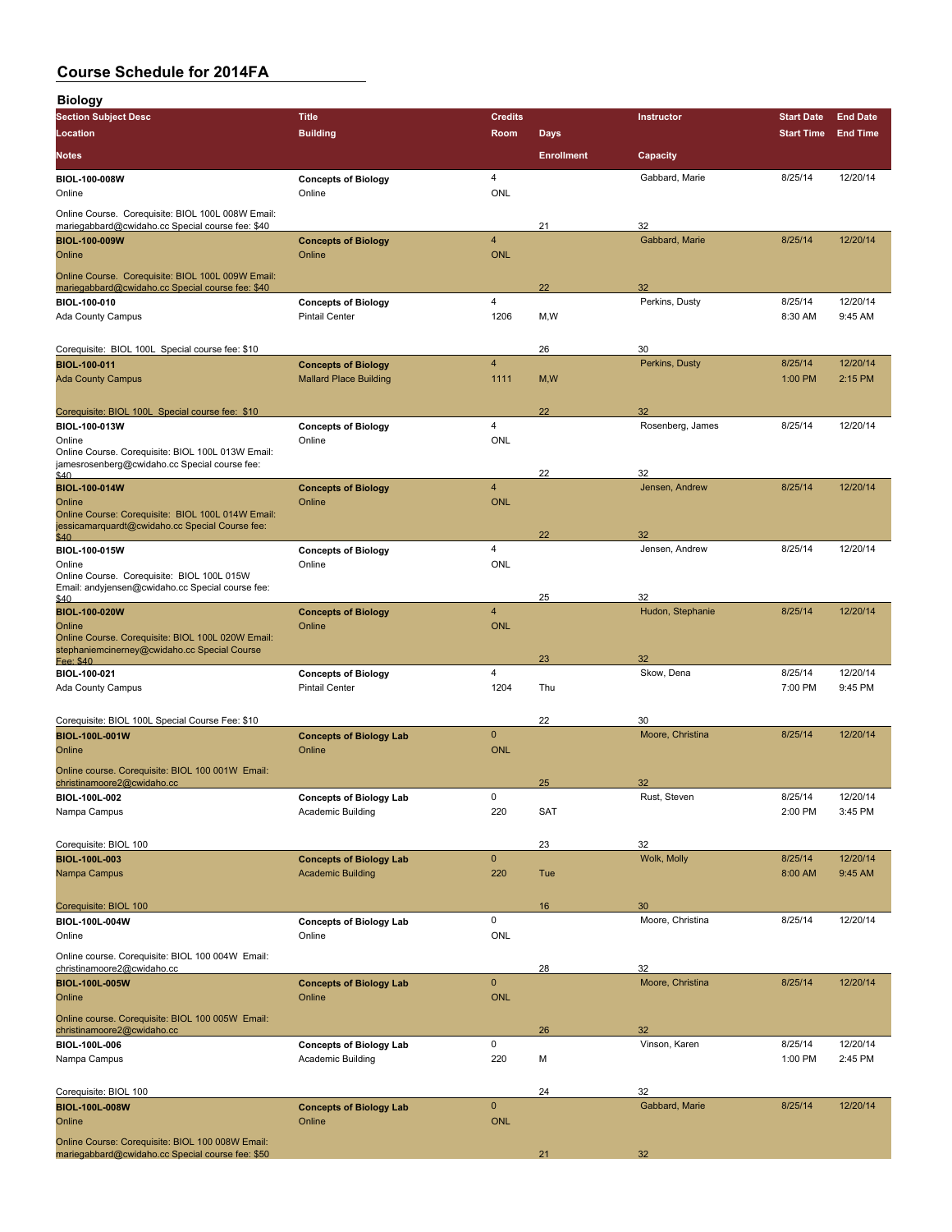| <b>Biology</b>                                                                                        |                                                            |                         |                   |                      |                    |                     |
|-------------------------------------------------------------------------------------------------------|------------------------------------------------------------|-------------------------|-------------------|----------------------|--------------------|---------------------|
| <b>Section Subject Desc</b>                                                                           | <b>Title</b>                                               | <b>Credits</b>          |                   | Instructor           | <b>Start Date</b>  | <b>End Date</b>     |
| Location                                                                                              | <b>Building</b>                                            | <b>Room</b>             | <b>Days</b>       |                      | <b>Start Time</b>  | <b>End Time</b>     |
| <b>Notes</b>                                                                                          |                                                            |                         | <b>Enrollment</b> | Capacity             |                    |                     |
| <b>BIOL-100-008W</b><br>Online                                                                        | <b>Concepts of Biology</b><br>Online                       | 4<br><b>ONL</b>         |                   | Gabbard, Marie       | 8/25/14            | 12/20/14            |
| Online Course. Corequisite: BIOL 100L 008W Email:<br>mariegabbard@cwidaho.cc Special course fee: \$40 |                                                            |                         | 21                | 32                   |                    |                     |
| <b>BIOL 100 009W</b>                                                                                  | <b>Concepts of Biology</b>                                 | $\overline{\mathbf{4}}$ |                   | Gabbard, Marie       | 8/25/14            | 12/20/14            |
| Online                                                                                                | Online                                                     | <b>ONL</b>              |                   |                      |                    |                     |
| Online Course. Corequisite: BIOL 100L 009W Email:                                                     |                                                            |                         |                   | 32                   |                    |                     |
| mariegabbard@cwidaho.cc Special course fee: \$40<br><b>BIOL-100-010</b>                               | <b>Concepts of Biology</b>                                 | 4                       | 22                | Perkins, Dusty       | 8/25/14            | 12/20/14            |
| Ada County Campus                                                                                     | <b>Pintail Center</b>                                      | 1206                    | M, W              |                      | 8:30 AM            | 9:45 AM             |
| Corequisite: BIOL 100L Special course fee: \$10                                                       |                                                            |                         | 26                | 30                   |                    |                     |
| <b>BIOL-100-011</b>                                                                                   | <b>Concepts of Biology</b>                                 | $\overline{4}$          |                   | Perkins, Dusty       | 8/25/14            | 12/20/14            |
| <b>Ada County Campus</b>                                                                              | <b>Mallard Place Building</b>                              | 1111                    | M, W              |                      | 1:00 PM            | 2:15 PM             |
| Corequisite: BIOL 100L Special course fee: \$10                                                       |                                                            |                         | 22                | 32                   |                    |                     |
| <b>BIOL 100-013W</b>                                                                                  | <b>Concepts of Biology</b>                                 | 4                       |                   | Rosenberg, James     | 8/25/14            | 12/20/14            |
| Online                                                                                                | Online                                                     | <b>ONL</b>              |                   |                      |                    |                     |
| Online Course. Corequisite: BIOL 100L 013W Email:<br>jamesrosenberg@cwidaho.cc Special course fee:    |                                                            |                         |                   |                      |                    |                     |
| \$40                                                                                                  |                                                            | 4                       | 22                | 32<br>Jensen, Andrew | 8/25/14            | 12/20/14            |
| <b>BIOL-100-014W</b><br>Online                                                                        | <b>Concepts of Biology</b><br>Online                       | <b>ONL</b>              |                   |                      |                    |                     |
| Online Course: Corequisite: BIOL 100L 014W Email:                                                     |                                                            |                         |                   |                      |                    |                     |
| jessicamarquardt@cwidaho.cc Special Course fee:<br>\$40                                               |                                                            |                         | 22                | 32                   |                    |                     |
| BIOL-100-015W                                                                                         | <b>Concepts of Biology</b>                                 | 4                       |                   | Jensen, Andrew       | 8/25/14            | 12/20/14            |
| Online<br>Online Course. Corequisite: BIOL 100L 015W                                                  | Online                                                     | <b>ONL</b>              |                   |                      |                    |                     |
| Email: andyjensen@cwidaho.cc Special course fee:                                                      |                                                            |                         | 25                | 32                   |                    |                     |
| \$40<br><b>BIOL-100-020W</b>                                                                          | <b>Concepts of Biology</b>                                 | 4                       |                   | Hudon, Stephanie     | 8/25/14            | 12/20/14            |
| Online                                                                                                | Online                                                     | <b>ONL</b>              |                   |                      |                    |                     |
| Online Course. Corequisite: BIOL 100L 020W Email:<br>stephaniemcinerney@cwidaho.cc Special Course     |                                                            |                         |                   |                      |                    |                     |
| Fee: \$40                                                                                             |                                                            |                         | 23                | 32                   |                    |                     |
| BIOL-100-021<br>Ada County Campus                                                                     | <b>Concepts of Biology</b><br><b>Pintail Center</b>        | 4<br>1204               | Thu               | Skow, Dena           | 8/25/14<br>7:00 PM | 12/20/14<br>9:45 PM |
|                                                                                                       |                                                            |                         |                   |                      |                    |                     |
| Corequisite: BIOL 100L Special Course Fee: \$10                                                       |                                                            |                         | 22                | 30                   |                    |                     |
| <b>BIOL-100L-001W</b>                                                                                 | <b>Concepts of Biology Lab</b>                             | $\mathbf{0}$            |                   | Moore, Christina     | 8/25/14            | 12/20/14            |
| Online                                                                                                | Online                                                     | <b>ONL</b>              |                   |                      |                    |                     |
| Online course. Corequisite: BIOL 100 001W Email:<br>christinamoore2@cwidaho.cc                        |                                                            |                         | 25                | 32                   |                    |                     |
| BIOL-100L-002                                                                                         | <b>Concepts of Biology Lab</b>                             | 0                       |                   | Rust, Steven         | 8/25/14            | 12/20/14            |
| Nampa Campus                                                                                          | Academic Building                                          | 220                     | <b>SAT</b>        |                      | 2:00 PM            | 3:45 PM             |
|                                                                                                       |                                                            |                         |                   |                      |                    |                     |
| Corequisite: BIOL 100                                                                                 |                                                            | $\mathbf 0$             | 23                | 32<br>Wolk, Molly    |                    |                     |
| <b>BIOL-100L-003</b><br>Nampa Campus                                                                  | <b>Concepts of Biology Lab</b><br><b>Academic Building</b> | 220                     | Tue               |                      | 8/25/14<br>8:00 AM | 12/20/14<br>9:45 AM |
|                                                                                                       |                                                            |                         |                   |                      |                    |                     |
| Corequisite: BIOL 100                                                                                 |                                                            |                         | 16                | 30                   |                    |                     |
| BIOL-100L-004W                                                                                        | <b>Concepts of Biology Lab</b>                             | 0                       |                   | Moore, Christina     | 8/25/14            | 12/20/14            |
| Online                                                                                                | Online                                                     | ONL                     |                   |                      |                    |                     |
| Online course. Corequisite: BIOL 100 004W Email:<br>christinamoore2@cwidaho.cc                        |                                                            |                         | 28                | 32                   |                    |                     |
| <b>BIOL 100L 005W</b>                                                                                 | <b>Concepts of Biology Lab</b>                             | $\mathbf 0$             |                   | Moore, Christina     | 8/25/14            | 12/20/14            |
| Online                                                                                                | Online                                                     | <b>ONL</b>              |                   |                      |                    |                     |
| Online course. Corequisite: BIOL 100 005W Email:                                                      |                                                            |                         |                   |                      |                    |                     |
| christinamoore2@cwidaho.cc<br>BIOL-100L-006                                                           |                                                            | 0                       | 26                | 32<br>Vinson, Karen  | 8/25/14            | 12/20/14            |
| Nampa Campus                                                                                          | <b>Concepts of Biology Lab</b><br>Academic Building        | 220                     | М                 |                      | 1:00 PM            | 2:45 PM             |
|                                                                                                       |                                                            |                         |                   |                      |                    |                     |
| Corequisite: BIOL 100                                                                                 |                                                            |                         | 24                | 32                   |                    |                     |
| <b>BIOL-100L-008W</b>                                                                                 | <b>Concepts of Biology Lab</b>                             | $\mathbf 0$             |                   | Gabbard, Marie       | 8/25/14            | 12/20/14            |
| Online                                                                                                | Online                                                     | <b>ONL</b>              |                   |                      |                    |                     |
| Online Course: Corequisite: BIOL 100 008W Email:<br>mariegabbard@cwidaho.cc Special course fee: \$50  |                                                            |                         | 21                | 32                   |                    |                     |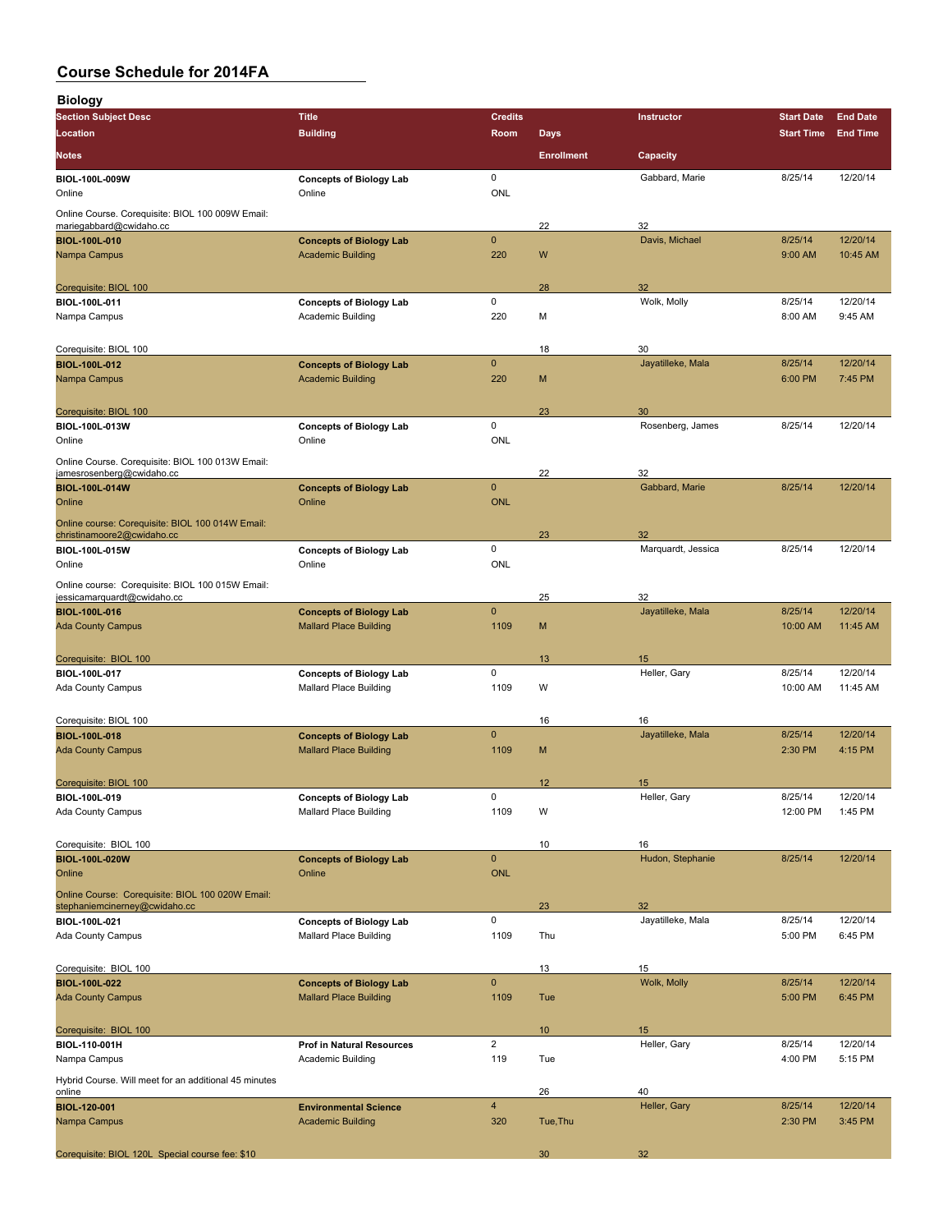| <b>Biology</b>                                                                    |                                                            |                           |                   |                    |                    |                     |
|-----------------------------------------------------------------------------------|------------------------------------------------------------|---------------------------|-------------------|--------------------|--------------------|---------------------|
| <b>Section Subject Desc</b>                                                       | <b>Title</b>                                               | <b>Credits</b>            |                   | Instructor         | <b>Start Date</b>  | <b>End Date</b>     |
| Location                                                                          | <b>Building</b>                                            | Room                      | <b>Days</b>       |                    | <b>Start Time</b>  | <b>End Time</b>     |
| <b>Notes</b>                                                                      |                                                            |                           | <b>Enrollment</b> | Capacity           |                    |                     |
| <b>BIOL-100L-009W</b><br>Online                                                   | <b>Concepts of Biology Lab</b><br>Online                   | 0<br>ONL                  |                   | Gabbard, Marie     | 8/25/14            | 12/20/14            |
| Online Course. Corequisite: BIOL 100 009W Email:<br>mariegabbard@cwidaho.cc       |                                                            |                           | 22                | 32                 |                    |                     |
| <b>BIOL-100L-010</b>                                                              | <b>Concepts of Biology Lab</b>                             | $\mathbf{0}$              |                   | Davis, Michael     | 8/25/14            | 12/20/14            |
| Nampa Campus                                                                      | <b>Academic Building</b>                                   | 220                       | W                 |                    | 9:00 AM            | 10:45 AM            |
| Corequisite: BIOL 100                                                             |                                                            |                           | 28                | 32                 |                    |                     |
| BIOL-100L-011<br>Nampa Campus                                                     | <b>Concepts of Biology Lab</b><br><b>Academic Building</b> | 0<br>220                  | M                 | Wolk, Molly        | 8/25/14<br>8:00 AM | 12/20/14<br>9:45 AM |
| Corequisite: BIOL 100                                                             |                                                            |                           | 18                | 30                 |                    |                     |
| <b>BIOL-100L-012</b>                                                              | <b>Concepts of Biology Lab</b>                             | $\mathbf{0}$              |                   | Jayatilleke, Mala  | 8/25/14            | 12/20/14            |
| Nampa Campus                                                                      | <b>Academic Building</b>                                   | 220                       | M                 |                    | 6:00 PM            | 7:45 PM             |
| Corequisite: BIOL 100                                                             |                                                            |                           | 23                | 30                 |                    |                     |
| BIOL-100L-013W<br>Online                                                          | <b>Concepts of Biology Lab</b><br>Online                   | 0<br>ONL                  |                   | Rosenberg, James   | 8/25/14            | 12/20/14            |
| Online Course. Corequisite: BIOL 100 013W Email:<br>jamesrosenberg@cwidaho.cc     |                                                            |                           | 22                | 32                 |                    |                     |
| <b>BIOL-100L-014W</b>                                                             | <b>Concepts of Biology Lab</b>                             | $\mathbf 0$               |                   | Gabbard, Marie     | 8/25/14            | 12/20/14            |
| Online                                                                            | Online                                                     | <b>ONL</b>                |                   |                    |                    |                     |
| Online course: Corequisite: BIOL 100 014W Email:<br>christinamoore2@cwidaho.cc    |                                                            |                           | 23                | 32                 |                    |                     |
| BIOL-100L-015W                                                                    | <b>Concepts of Biology Lab</b>                             | 0                         |                   | Marquardt, Jessica | 8/25/14            | 12/20/14            |
| Online                                                                            | Online                                                     | ONL                       |                   |                    |                    |                     |
| Online course: Corequisite: BIOL 100 015W Email:<br>jessicamarquardt@cwidaho.cc   |                                                            |                           | 25                | 32                 |                    |                     |
| <b>BIOL-100L-016</b>                                                              | <b>Concepts of Biology Lab</b>                             | $\mathbf 0$               |                   | Jayatilleke, Mala  | 8/25/14            | 12/20/14            |
| <b>Ada County Campus</b>                                                          | <b>Mallard Place Building</b>                              | 1109                      | M                 |                    | 10:00 AM           | 11:45 AM            |
| Corequisite: BIOL 100                                                             |                                                            |                           | 13                | 15                 |                    |                     |
| BIOL-100L-017                                                                     | <b>Concepts of Biology Lab</b>                             | 0                         |                   | Heller, Gary       | 8/25/14            | 12/20/14            |
| Ada County Campus                                                                 | <b>Mallard Place Building</b>                              | 1109                      | W                 |                    | 10:00 AM           | 11:45 AM            |
| Corequisite: BIOL 100                                                             |                                                            |                           | 16                | 16                 |                    |                     |
| <b>BIOL-100L-018</b>                                                              | <b>Concepts of Biology Lab</b>                             | $\mathbf{0}$              |                   | Jayatilleke, Mala  | 8/25/14            | 12/20/14            |
| <b>Ada County Campus</b>                                                          | <b>Mallard Place Building</b>                              | 1109                      | M                 |                    | 2:30 PM            | 4:15 PM             |
| Corequisite: BIOL 100                                                             |                                                            |                           | 12                | 15                 |                    |                     |
| BIOL-100L-019                                                                     | <b>Concepts of Biology Lab</b>                             | 0                         |                   | Heller, Gary       | 8/25/14            | 12/20/14            |
| <b>Ada County Campus</b>                                                          | <b>Mallard Place Building</b>                              | 1109                      | W                 |                    | 12:00 PM           | 1:45 PM             |
| Corequisite: BIOL 100                                                             |                                                            |                           | 10                | 16                 |                    |                     |
| <b>BIOL-100L-020W</b><br>Online                                                   | <b>Concepts of Biology Lab</b><br>Online                   | $\mathbf 0$<br><b>ONL</b> |                   | Hudon, Stephanie   | 8/25/14            | 12/20/14            |
| Online Course: Corequisite: BIOL 100 020W Email:<br>stephaniemcinerney@cwidaho.cc |                                                            |                           | 23                | 32                 |                    |                     |
| BIOL-100L-021                                                                     | <b>Concepts of Biology Lab</b>                             | 0                         |                   | Jayatilleke, Mala  | 8/25/14            | 12/20/14            |
| <b>Ada County Campus</b>                                                          | <b>Mallard Place Building</b>                              | 1109                      | Thu               |                    | 5:00 PM            | 6:45 PM             |
| Corequisite: BIOL 100                                                             |                                                            |                           | 13                | 15                 |                    |                     |
| <b>BIOL 100L 022</b>                                                              | <b>Concepts of Biology Lab</b>                             | $\pmb{0}$                 |                   | Wolk, Molly        | 8/25/14            | 12/20/14            |
| <b>Ada County Campus</b>                                                          | <b>Mallard Place Building</b>                              | 1109                      | Tue               |                    | 5:00 PM            | 6:45 PM             |
| Corequisite: BIOL 100                                                             |                                                            |                           | 10 <sup>°</sup>   | 15                 |                    |                     |
| BIOL-110-001H                                                                     | <b>Prof in Natural Resources</b>                           | $\overline{2}$            |                   | Heller, Gary       | 8/25/14            | 12/20/14            |
| Nampa Campus<br>Hybrid Course. Will meet for an additional 45 minutes             | Academic Building                                          | 119                       | Tue               |                    | 4:00 PM            | 5:15 PM             |
| online                                                                            |                                                            |                           | 26                | 40                 |                    |                     |
| <b>BIOL-120-001</b><br>Nampa Campus                                               | <b>Environmental Science</b><br><b>Academic Building</b>   | $\overline{4}$<br>320     | Tue, Thu          | Heller, Gary       | 8/25/14<br>2:30 PM | 12/20/14<br>3:45 PM |
| Corequisite: BIOL 120L Special course fee: \$10                                   |                                                            |                           | 30                | 32                 |                    |                     |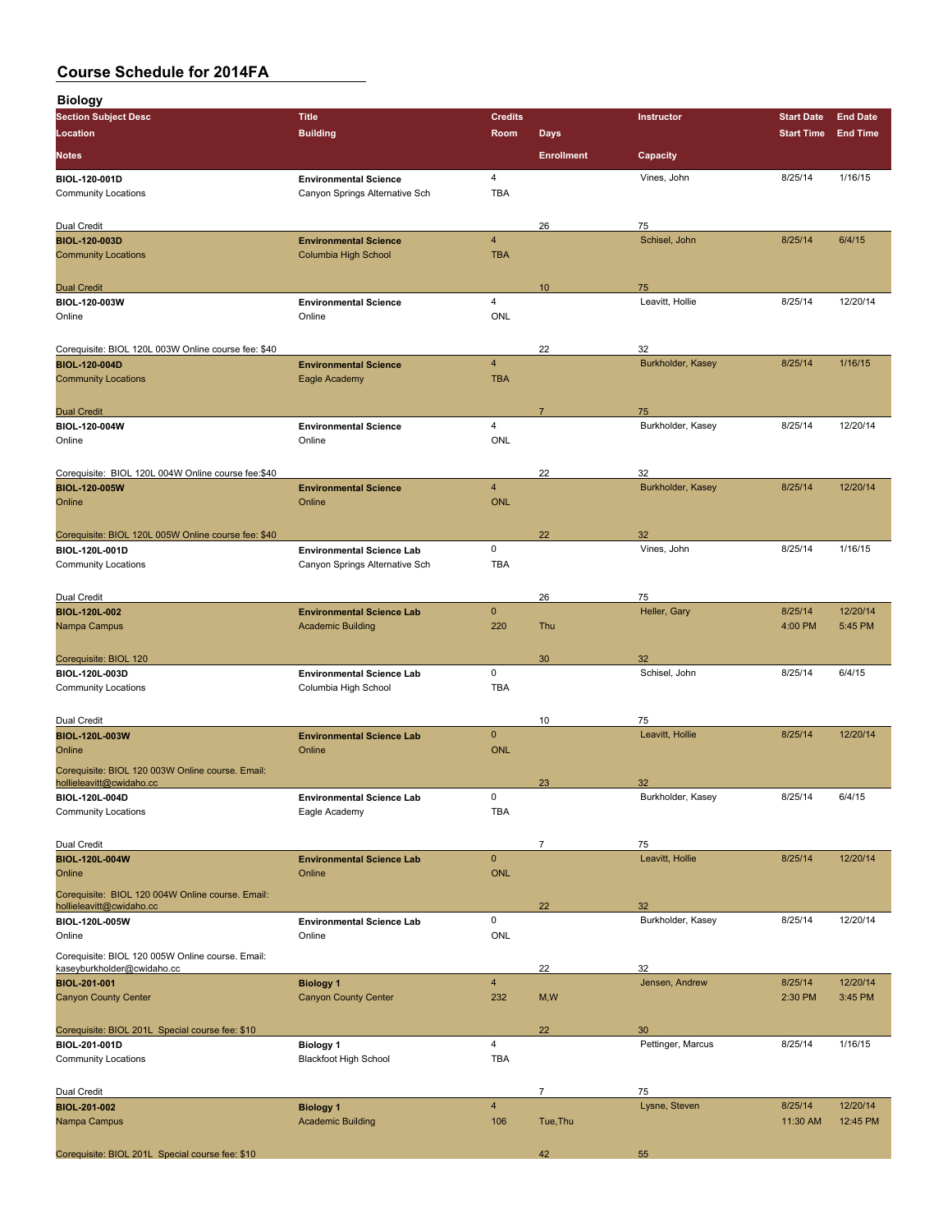| <b>Biology</b>                                                        |                                                              |                         |                   |                         |                    |                     |
|-----------------------------------------------------------------------|--------------------------------------------------------------|-------------------------|-------------------|-------------------------|--------------------|---------------------|
| <b>Section Subject Desc</b>                                           | <b>Title</b>                                                 | <b>Credits</b>          |                   | Instructor              | <b>Start Date</b>  | <b>End Date</b>     |
| Location                                                              | <b>Building</b>                                              | Room                    | <b>Days</b>       |                         | <b>Start Time</b>  | <b>End Time</b>     |
| <b>Notes</b>                                                          |                                                              |                         | <b>Enrollment</b> | Capacity                |                    |                     |
| BIOL-120-001D                                                         | <b>Environmental Science</b>                                 | 4                       |                   | Vines, John             | 8/25/14            | 1/16/15             |
| <b>Community Locations</b>                                            | Canyon Springs Alternative Sch                               | <b>TBA</b>              |                   |                         |                    |                     |
| Dual Credit                                                           |                                                              |                         | 26                | 75                      |                    |                     |
| <b>BIOL-120-003D</b>                                                  | <b>Environmental Science</b>                                 | $\overline{\mathbf{4}}$ |                   | Schisel, John           | 8/25/14            | 6/4/15              |
| <b>Community Locations</b>                                            | Columbia High School                                         | <b>TBA</b>              |                   |                         |                    |                     |
|                                                                       |                                                              |                         |                   |                         |                    |                     |
| <b>Dual Credit</b><br><b>BIOL-120-003W</b>                            | <b>Environmental Science</b>                                 | 4                       | 10                | 75<br>Leavitt, Hollie   | 8/25/14            | 12/20/14            |
| Online                                                                | Online                                                       | <b>ONL</b>              |                   |                         |                    |                     |
|                                                                       |                                                              |                         |                   |                         |                    |                     |
| Corequisite: BIOL 120L 003W Online course fee: \$40                   |                                                              | $\overline{4}$          | 22                | 32                      |                    |                     |
| <b>BIOL-120-004D</b><br><b>Community Locations</b>                    | <b>Environmental Science</b><br>Eagle Academy                | <b>TBA</b>              |                   | Burkholder, Kasey       | 8/25/14            | 1/16/15             |
|                                                                       |                                                              |                         |                   |                         |                    |                     |
| <b>Dual Credit</b>                                                    |                                                              |                         | $\overline{7}$    | 75                      |                    |                     |
| BIOL-120-004W                                                         | <b>Environmental Science</b>                                 | 4                       |                   | Burkholder, Kasey       | 8/25/14            | 12/20/14            |
| Online                                                                | Online                                                       | <b>ONL</b>              |                   |                         |                    |                     |
| Corequisite: BIOL 120L 004W Online course fee:\$40                    |                                                              |                         | 22                | 32                      |                    |                     |
| <b>BIOL 120 005W</b>                                                  | <b>Environmental Science</b>                                 | 4                       |                   | Burkholder, Kasey       | 8/25/14            | 12/20/14            |
| Online                                                                | Online                                                       | <b>ONL</b>              |                   |                         |                    |                     |
|                                                                       |                                                              |                         |                   |                         |                    |                     |
| Corequisite: BIOL 120L 005W Online course fee: \$40<br>BIOL-120L-001D | <b>Environmental Science Lab</b>                             | 0                       | 22                | 32<br>Vines, John       | 8/25/14            | 1/16/15             |
| <b>Community Locations</b>                                            | Canyon Springs Alternative Sch                               | <b>TBA</b>              |                   |                         |                    |                     |
|                                                                       |                                                              |                         |                   |                         |                    |                     |
| Dual Credit                                                           |                                                              |                         | 26                | 75                      |                    |                     |
| <b>BIOL-120L-002</b><br>Nampa Campus                                  | <b>Environmental Science Lab</b><br><b>Academic Building</b> | $\pmb{0}$<br>220        | Thu               | Heller, Gary            | 8/25/14<br>4:00 PM | 12/20/14<br>5:45 PM |
|                                                                       |                                                              |                         |                   |                         |                    |                     |
| Corequisite: BIOL 120                                                 |                                                              |                         | 30                | 32                      |                    |                     |
| BIOL-120L-003D                                                        | <b>Environmental Science Lab</b>                             | 0                       |                   | Schisel, John           | 8/25/14            | 6/4/15              |
| <b>Community Locations</b>                                            | Columbia High School                                         | <b>TBA</b>              |                   |                         |                    |                     |
| Dual Credit                                                           |                                                              |                         | 10                | 75                      |                    |                     |
| <b>BIOL-120L-003W</b>                                                 | <b>Environmental Science Lab</b>                             | $\mathbf 0$             |                   | Leavitt, Hollie         | 8/25/14            | 12/20/14            |
| Online                                                                | Online                                                       | <b>ONL</b>              |                   |                         |                    |                     |
| Corequisite: BIOL 120 003W Online course. Email:                      |                                                              |                         |                   |                         |                    |                     |
| hollieleavitt@cwidaho.cc<br>BIOL-120L-004D                            | <b>Environmental Science Lab</b>                             | 0                       | 23                | 32<br>Burkholder, Kasey | 8/25/14            | 6/4/15              |
| <b>Community Locations</b>                                            | Eagle Academy                                                | <b>TBA</b>              |                   |                         |                    |                     |
|                                                                       |                                                              |                         |                   |                         |                    |                     |
| Dual Credit<br><b>BIOL-120L-004W</b>                                  | <b>Environmental Science Lab</b>                             | $\pmb{0}$               | 7                 | 75<br>Leavitt, Hollie   | 8/25/14            | 12/20/14            |
| Online                                                                | Online                                                       | <b>ONL</b>              |                   |                         |                    |                     |
| Corequisite: BIOL 120 004W Online course. Email:                      |                                                              |                         |                   |                         |                    |                     |
| hollieleavitt@cwidaho.cc                                              |                                                              |                         | 22                | 32                      |                    |                     |
| <b>BIOL-120L-005W</b><br>Online                                       | <b>Environmental Science Lab</b><br>Online                   | 0<br><b>ONL</b>         |                   | Burkholder, Kasey       | 8/25/14            | 12/20/14            |
| Corequisite: BIOL 120 005W Online course. Email:                      |                                                              |                         |                   |                         |                    |                     |
| kaseyburkholder@cwidaho.cc                                            |                                                              |                         | 22                | 32                      |                    |                     |
| <b>BIOL-201-001</b>                                                   | <b>Biology 1</b>                                             | $\overline{4}$          |                   | Jensen, Andrew          | 8/25/14            | 12/20/14            |
| <b>Canyon County Center</b>                                           | <b>Canyon County Center</b>                                  | 232                     | M, W              |                         | 2:30 PM            | 3:45 PM             |
| Corequisite: BIOL 201L Special course fee: \$10                       |                                                              |                         | 22                | 30                      |                    |                     |
| BIOL-201-001D                                                         | <b>Biology 1</b>                                             | 4                       |                   | Pettinger, Marcus       | 8/25/14            | 1/16/15             |
| <b>Community Locations</b>                                            | <b>Blackfoot High School</b>                                 | <b>TBA</b>              |                   |                         |                    |                     |
|                                                                       |                                                              |                         |                   |                         |                    |                     |
| Dual Credit<br><b>BIOL-201-002</b>                                    | <b>Biology 1</b>                                             | 4                       | $\overline{7}$    | 75<br>Lysne, Steven     | 8/25/14            | 12/20/14            |
| Nampa Campus                                                          | <b>Academic Building</b>                                     | 106                     | Tue, Thu          |                         | 11:30 AM           | 12:45 PM            |
|                                                                       |                                                              |                         |                   |                         |                    |                     |
| Corequisite: BIOL 201L Special course fee: \$10                       |                                                              |                         | 42                | 55                      |                    |                     |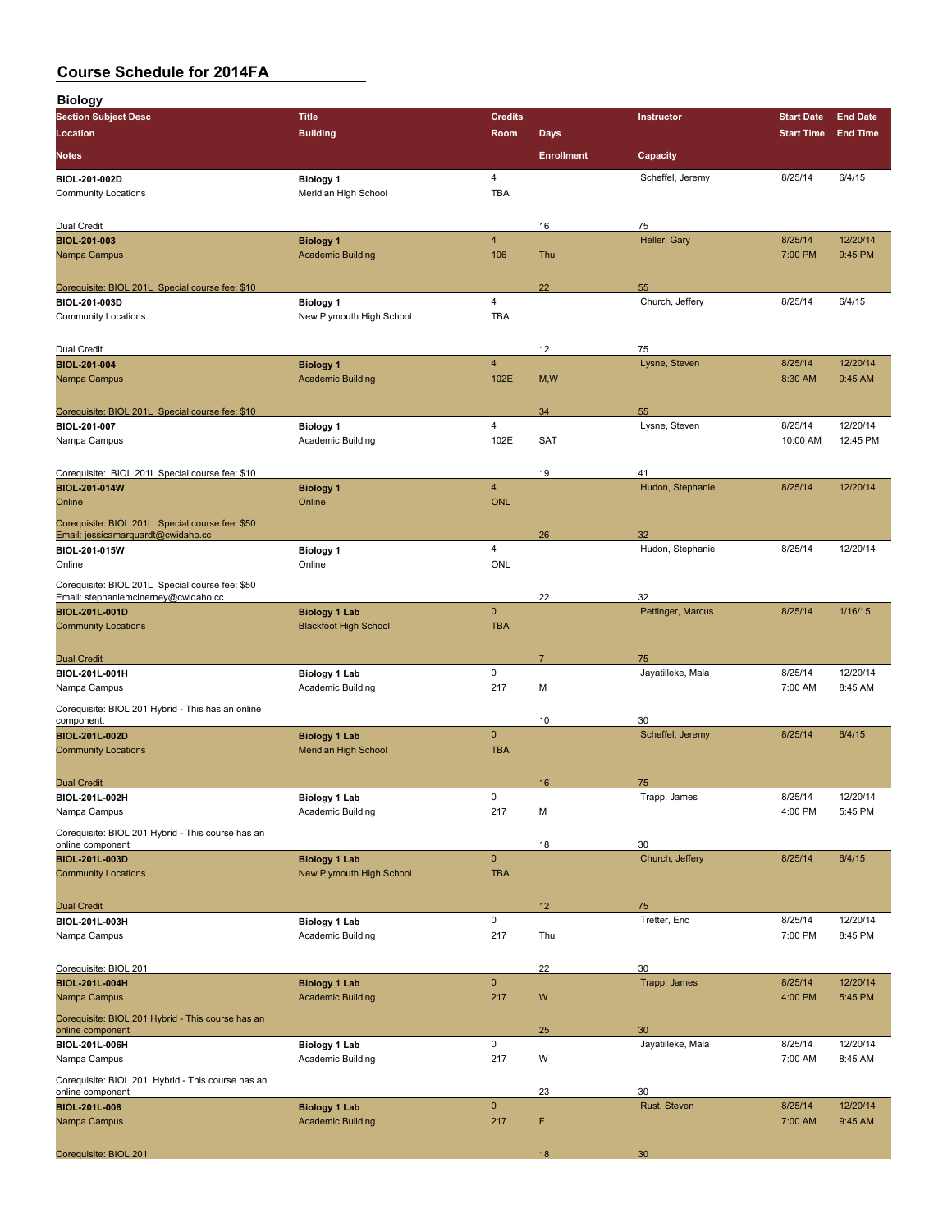| <b>Biology</b>                                                        |                                              |                         |                   |                        |                    |                     |
|-----------------------------------------------------------------------|----------------------------------------------|-------------------------|-------------------|------------------------|--------------------|---------------------|
| <b>Section Subject Desc</b>                                           | <b>Title</b>                                 | <b>Credits</b>          |                   | Instructor             | <b>Start Date</b>  | <b>End Date</b>     |
| Location                                                              | <b>Building</b>                              | Room                    | <b>Days</b>       |                        | <b>Start Time</b>  | <b>End Time</b>     |
| <b>Notes</b>                                                          |                                              |                         | <b>Enrollment</b> | Capacity               |                    |                     |
| BIOL-201-002D                                                         | <b>Biology 1</b>                             | 4                       |                   | Scheffel, Jeremy       | 8/25/14            | 6/4/15              |
| <b>Community Locations</b>                                            | Meridian High School                         | <b>TBA</b>              |                   |                        |                    |                     |
|                                                                       |                                              |                         |                   |                        |                    |                     |
| Dual Credit<br><b>BIOL-201-003</b>                                    | <b>Biology 1</b>                             | $\overline{\mathbf{4}}$ | 16                | 75<br>Heller, Gary     | 8/25/14            | 12/20/14            |
| Nampa Campus                                                          | <b>Academic Building</b>                     | 106                     | Thu               |                        | 7:00 PM            | 9:45 PM             |
|                                                                       |                                              |                         |                   |                        |                    |                     |
| Corequisite: BIOL 201L Special course fee: \$10                       |                                              |                         | 22                | 55                     |                    |                     |
| BIOL-201-003D                                                         | <b>Biology 1</b>                             | 4                       |                   | Church, Jeffery        | 8/25/14            | 6/4/15              |
| <b>Community Locations</b>                                            | New Plymouth High School                     | <b>TBA</b>              |                   |                        |                    |                     |
|                                                                       |                                              |                         |                   |                        |                    |                     |
| Dual Credit                                                           |                                              | $\overline{\mathbf{4}}$ | 12                | 75<br>Lysne, Steven    | 8/25/14            | 12/20/14            |
| <b>BIOL-201-004</b><br>Nampa Campus                                   | <b>Biology 1</b><br><b>Academic Building</b> | 102E                    | M, W              |                        | 8:30 AM            | 9:45 AM             |
|                                                                       |                                              |                         |                   |                        |                    |                     |
| Corequisite: BIOL 201L Special course fee: \$10                       |                                              |                         | 34                | 55                     |                    |                     |
| BIOL-201-007                                                          | <b>Biology 1</b>                             | 4                       |                   | Lysne, Steven          | 8/25/14            | 12/20/14            |
| Nampa Campus                                                          | Academic Building                            | 102E                    | <b>SAT</b>        |                        | 10:00 AM           | 12:45 PM            |
|                                                                       |                                              |                         |                   |                        |                    |                     |
| Corequisite: BIOL 201L Special course fee: \$10                       |                                              |                         | 19                | 41                     |                    |                     |
| <b>BIOL-201-014W</b>                                                  | <b>Biology 1</b>                             | $\overline{4}$          |                   | Hudon, Stephanie       | 8/25/14            | 12/20/14            |
| Online                                                                | Online                                       | <b>ONL</b>              |                   |                        |                    |                     |
| Corequisite: BIOL 201L Special course fee: \$50                       |                                              |                         |                   |                        |                    |                     |
| Email: jessicamarquardt@cwidaho.cc<br>BIOL-201-015W                   | <b>Biology 1</b>                             | 4                       | 26                | 32<br>Hudon, Stephanie | 8/25/14            | 12/20/14            |
| Online                                                                | Online                                       | ONL                     |                   |                        |                    |                     |
| Corequisite: BIOL 201L Special course fee: \$50                       |                                              |                         |                   |                        |                    |                     |
| Email: stephaniemcinerney@cwidaho.cc                                  |                                              |                         | 22                | 32                     |                    |                     |
| <b>BIOL-201L-001D</b>                                                 | <b>Biology 1 Lab</b>                         | $\mathbf 0$             |                   | Pettinger, Marcus      | 8/25/14            | 1/16/15             |
| <b>Community Locations</b>                                            | <b>Blackfoot High School</b>                 | <b>TBA</b>              |                   |                        |                    |                     |
|                                                                       |                                              |                         |                   |                        |                    |                     |
| <b>Dual Credit</b>                                                    |                                              |                         | $\overline{7}$    | 75                     |                    |                     |
| BIOL-201L-001H<br>Nampa Campus                                        | <b>Biology 1 Lab</b><br>Academic Building    | 0<br>217                | М                 | Jayatilleke, Mala      | 8/25/14<br>7:00 AM | 12/20/14<br>8:45 AM |
|                                                                       |                                              |                         |                   |                        |                    |                     |
| Corequisite: BIOL 201 Hybrid - This has an online<br>component.       |                                              |                         | 10                | 30                     |                    |                     |
| <b>BIOL-201L-002D</b>                                                 | <b>Biology 1 Lab</b>                         | $\mathbf{0}$            |                   | Scheffel, Jeremy       | 8/25/14            | 6/4/15              |
| <b>Community Locations</b>                                            | <b>Meridian High School</b>                  | <b>TBA</b>              |                   |                        |                    |                     |
|                                                                       |                                              |                         |                   |                        |                    |                     |
| <b>Dual Credit</b>                                                    |                                              |                         | 16                | 75                     |                    |                     |
| BIOL-201L-002H                                                        | <b>Biology 1 Lab</b>                         | 0                       |                   | Trapp, James           | 8/25/14            | 12/20/14            |
| Nampa Campus                                                          | Academic Building                            | 217                     | М                 |                        | 4:00 PM            | 5:45 PM             |
| Corequisite: BIOL 201 Hybrid - This course has an                     |                                              |                         |                   |                        |                    |                     |
| online component<br><b>BIOL-201L-003D</b>                             | <b>Biology 1 Lab</b>                         | $\mathbf 0$             | 18                | 30<br>Church, Jeffery  | 8/25/14            | 6/4/15              |
| <b>Community Locations</b>                                            | New Plymouth High School                     | <b>TBA</b>              |                   |                        |                    |                     |
|                                                                       |                                              |                         |                   |                        |                    |                     |
| <b>Dual Credit</b>                                                    |                                              |                         | 12                | 75                     |                    |                     |
| <b>BIOL 201L 003H</b>                                                 | <b>Biology 1 Lab</b>                         | 0                       |                   | Tretter, Eric          | 8/25/14            | 12/20/14            |
| Nampa Campus                                                          | Academic Building                            | 217                     | Thu               |                        | 7:00 PM            | 8:45 PM             |
|                                                                       |                                              |                         |                   |                        |                    |                     |
| Corequisite: BIOL 201                                                 |                                              |                         | 22                | 30                     |                    |                     |
| <b>BIOL-201L-004H</b>                                                 | <b>Biology 1 Lab</b>                         | $\pmb{0}$               |                   | Trapp, James           | 8/25/14            | 12/20/14            |
| Nampa Campus                                                          | <b>Academic Building</b>                     | 217                     | W                 |                        | 4:00 PM            | 5:45 PM             |
| Corequisite: BIOL 201 Hybrid - This course has an<br>online component |                                              |                         | 25                | 30                     |                    |                     |
| BIOL-201L-006H                                                        | <b>Biology 1 Lab</b>                         | 0                       |                   | Jayatilleke, Mala      | 8/25/14            | 12/20/14            |
| Nampa Campus                                                          | <b>Academic Building</b>                     | 217                     | W                 |                        | 7:00 AM            | 8:45 AM             |
| Corequisite: BIOL 201 Hybrid - This course has an                     |                                              |                         |                   |                        |                    |                     |
| online component                                                      |                                              |                         | 23                | 30                     |                    |                     |
| <b>BIOL-201L-008</b>                                                  | <b>Biology 1 Lab</b>                         | $\pmb{0}$               |                   | Rust, Steven           | 8/25/14            | 12/20/14            |
| Nampa Campus                                                          | <b>Academic Building</b>                     | 217                     | F                 |                        | 7:00 AM            | 9:45 AM             |
|                                                                       |                                              |                         |                   |                        |                    |                     |
| Corequisite: BIOL 201                                                 |                                              |                         | 18                | 30                     |                    |                     |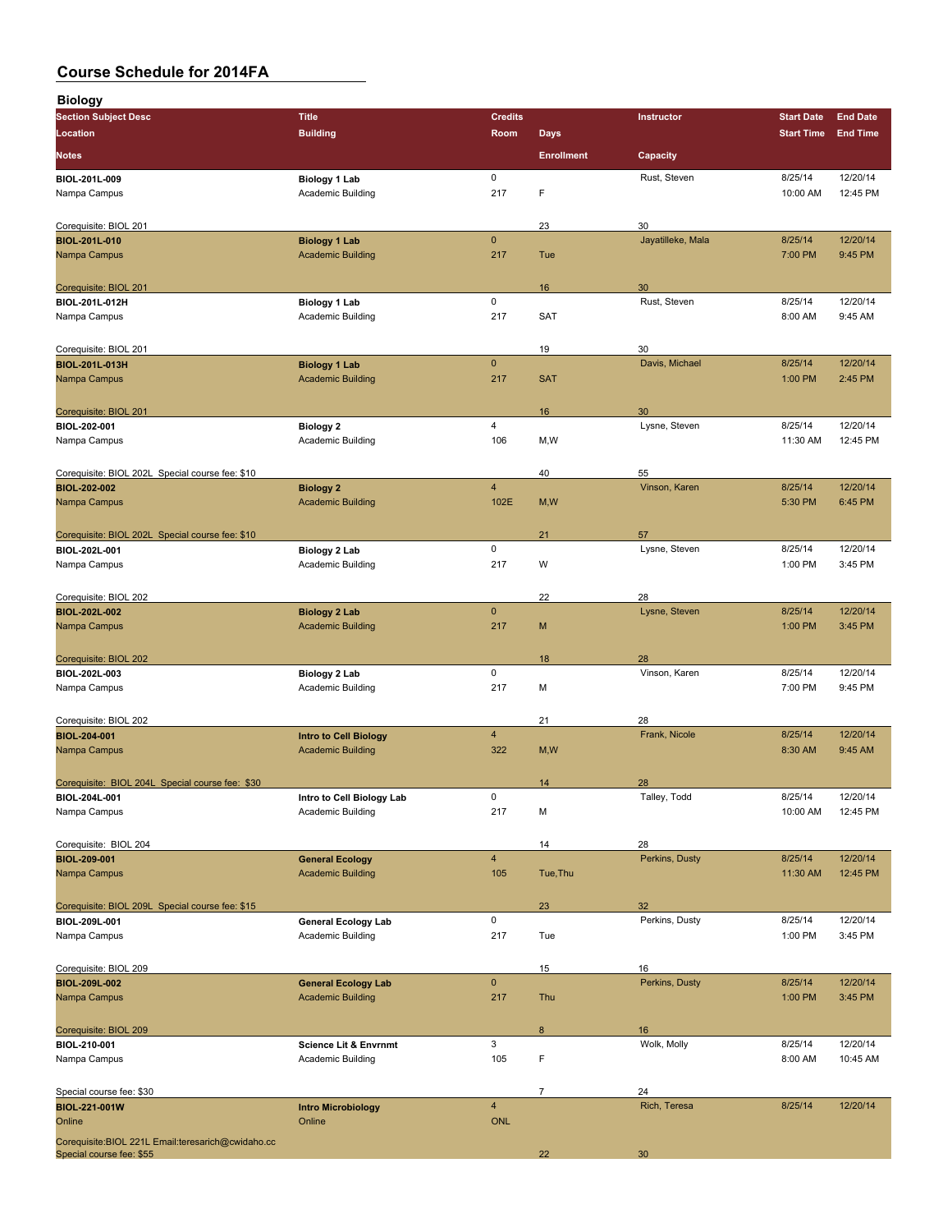| <b>Biology</b>                                      |                                                       |                    |                   |                      |                    |                      |
|-----------------------------------------------------|-------------------------------------------------------|--------------------|-------------------|----------------------|--------------------|----------------------|
| <b>Section Subject Desc</b>                         | <b>Title</b>                                          | <b>Credits</b>     |                   | <b>Instructor</b>    | <b>Start Date</b>  | <b>End Date</b>      |
| Location                                            | <b>Building</b>                                       | Room               | <b>Days</b>       |                      | <b>Start Time</b>  | <b>End Time</b>      |
| <b>Notes</b>                                        |                                                       |                    | <b>Enrollment</b> | Capacity             |                    |                      |
|                                                     |                                                       |                    |                   |                      |                    |                      |
| BIOL-201L-009                                       | <b>Biology 1 Lab</b>                                  | $\mathsf 0$        |                   | Rust, Steven         | 8/25/14            | 12/20/14             |
| Nampa Campus                                        | Academic Building                                     | 217                | F                 |                      | 10:00 AM           | 12:45 PM             |
|                                                     |                                                       |                    | 23                | 30                   |                    |                      |
| Corequisite: BIOL 201<br><b>BIOL-201L-010</b>       | <b>Biology 1 Lab</b>                                  | $\mathbf{0}$       |                   | Jayatilleke, Mala    | 8/25/14            | 12/20/14             |
| Nampa Campus                                        | <b>Academic Building</b>                              | 217                | Tue               |                      | 7:00 PM            | 9:45 PM              |
|                                                     |                                                       |                    |                   |                      |                    |                      |
| Corequisite: BIOL 201                               |                                                       |                    | 16                | 30                   |                    |                      |
| BIOL-201L-012H                                      | <b>Biology 1 Lab</b>                                  | $\mathsf 0$        |                   | Rust, Steven         | 8/25/14            | 12/20/14             |
| Nampa Campus                                        | Academic Building                                     | 217                | SAT               |                      | 8:00 AM            | 9:45 AM              |
|                                                     |                                                       |                    |                   |                      |                    |                      |
| Corequisite: BIOL 201                               |                                                       |                    | 19                | 30                   |                    |                      |
| <b>BIOL-201L-013H</b>                               | <b>Biology 1 Lab</b>                                  | $\mathbf{0}$       |                   | Davis, Michael       | 8/25/14            | 12/20/14             |
| Nampa Campus                                        | <b>Academic Building</b>                              | 217                | <b>SAT</b>        |                      | 1:00 PM            | 2:45 PM              |
|                                                     |                                                       |                    |                   |                      |                    |                      |
| Corequisite: BIOL 201<br>BIOL-202-001               |                                                       | 4                  | 16                | 30<br>Lysne, Steven  | 8/25/14            | 12/20/14             |
| Nampa Campus                                        | <b>Biology 2</b><br>Academic Building                 | 106                | M,W               |                      | 11:30 AM           | 12:45 PM             |
|                                                     |                                                       |                    |                   |                      |                    |                      |
| Corequisite: BIOL 202L Special course fee: \$10     |                                                       |                    | 40                | 55                   |                    |                      |
| <b>BIOL-202-002</b>                                 | <b>Biology 2</b>                                      | $\overline{4}$     |                   | Vinson, Karen        | 8/25/14            | 12/20/14             |
| Nampa Campus                                        | <b>Academic Building</b>                              | 102E               | M, W              |                      | 5:30 PM            | 6:45 PM              |
|                                                     |                                                       |                    |                   |                      |                    |                      |
| Corequisite: BIOL 202L Special course fee: \$10     |                                                       |                    | 21                | 57                   |                    |                      |
| BIOL-202L-001                                       | <b>Biology 2 Lab</b>                                  | 0                  |                   | Lysne, Steven        | 8/25/14            | 12/20/14             |
| Nampa Campus                                        | Academic Building                                     | 217                | W                 |                      | 1:00 PM            | 3:45 PM              |
|                                                     |                                                       |                    |                   |                      |                    |                      |
| Corequisite: BIOL 202                               |                                                       |                    | 22                | 28                   |                    |                      |
| <b>BIOL-202L-002</b>                                | <b>Biology 2 Lab</b>                                  | $\mathbf 0$<br>217 | M                 | Lysne, Steven        | 8/25/14            | 12/20/14<br>3:45 PM  |
| Nampa Campus                                        | <b>Academic Building</b>                              |                    |                   |                      | 1:00 PM            |                      |
| Corequisite: BIOL 202                               |                                                       |                    | 18                | 28                   |                    |                      |
| BIOL-202L-003                                       | <b>Biology 2 Lab</b>                                  | $\mathsf 0$        |                   | Vinson, Karen        | 8/25/14            | 12/20/14             |
| Nampa Campus                                        | Academic Building                                     | 217                | М                 |                      | 7:00 PM            | 9:45 PM              |
|                                                     |                                                       |                    |                   |                      |                    |                      |
| Corequisite: BIOL 202                               |                                                       |                    | 21                | 28                   |                    |                      |
| <b>BIOL-204-001</b>                                 | <b>Intro to Cell Biology</b>                          | $\overline{4}$     |                   | Frank, Nicole        | 8/25/14            | 12/20/14             |
| Nampa Campus                                        | <b>Academic Building</b>                              | 322                | M, W              |                      | 8:30 AM            | 9:45 AM              |
|                                                     |                                                       |                    |                   |                      |                    |                      |
| Corequisite: BIOL 204L Special course fee: \$30     |                                                       |                    | 14                | 28                   |                    |                      |
| BIOL-204L-001                                       | Intro to Cell Biology Lab                             | 0                  |                   | Talley, Todd         | 8/25/14            | 12/20/14             |
| Nampa Campus                                        | Academic Building                                     | 217                | М                 |                      | 10:00 AM           | 12:45 PM             |
|                                                     |                                                       |                    |                   |                      |                    |                      |
| Corequisite: BIOL 204<br><b>BIOL-209-001</b>        |                                                       | $\overline{4}$     | 14                | 28<br>Perkins, Dusty | 8/25/14            | 12/20/14             |
| Nampa Campus                                        | <b>General Ecology</b><br><b>Academic Building</b>    | 105                | Tue, Thu          |                      | 11:30 AM           | 12:45 PM             |
|                                                     |                                                       |                    |                   |                      |                    |                      |
| Corequisite: BIOL 209L Special course fee: \$15     |                                                       |                    | 23                | 32                   |                    |                      |
| BIOL-209L-001                                       | <b>General Ecology Lab</b>                            | $\mathsf 0$        |                   | Perkins, Dusty       | 8/25/14            | 12/20/14             |
| Nampa Campus                                        | Academic Building                                     | 217                | Tue               |                      | 1:00 PM            | 3:45 PM              |
|                                                     |                                                       |                    |                   |                      |                    |                      |
| Corequisite: BIOL 209                               |                                                       |                    | 15                | 16                   |                    |                      |
| <b>BIOL 209L 002</b>                                | <b>General Ecology Lab</b>                            | $\pmb{0}$          |                   | Perkins, Dusty       | 8/25/14            | 12/20/14             |
| Nampa Campus                                        | <b>Academic Building</b>                              | 217                | Thu               |                      | 1:00 PM            | 3:45 PM              |
|                                                     |                                                       |                    |                   |                      |                    |                      |
| Corequisite: BIOL 209                               |                                                       |                    | 8                 | 16                   |                    |                      |
| BIOL-210-001<br>Nampa Campus                        | <b>Science Lit &amp; Envrnmt</b><br>Academic Building | 3<br>105           | F                 | Wolk, Molly          | 8/25/14<br>8:00 AM | 12/20/14<br>10:45 AM |
|                                                     |                                                       |                    |                   |                      |                    |                      |
| Special course fee: \$30                            |                                                       |                    | $\overline{7}$    | 24                   |                    |                      |
| <b>BIOL-221-001W</b>                                | <b>Intro Microbiology</b>                             | $\overline{4}$     |                   | Rich, Teresa         | 8/25/14            | 12/20/14             |
| Online                                              | Online                                                | <b>ONL</b>         |                   |                      |                    |                      |
| Corequisite: BIOL 221L Email: teresarich@cwidaho.cc |                                                       |                    |                   |                      |                    |                      |
| Special course fee: \$55                            |                                                       |                    | 22                | 30 <sub>o</sub>      |                    |                      |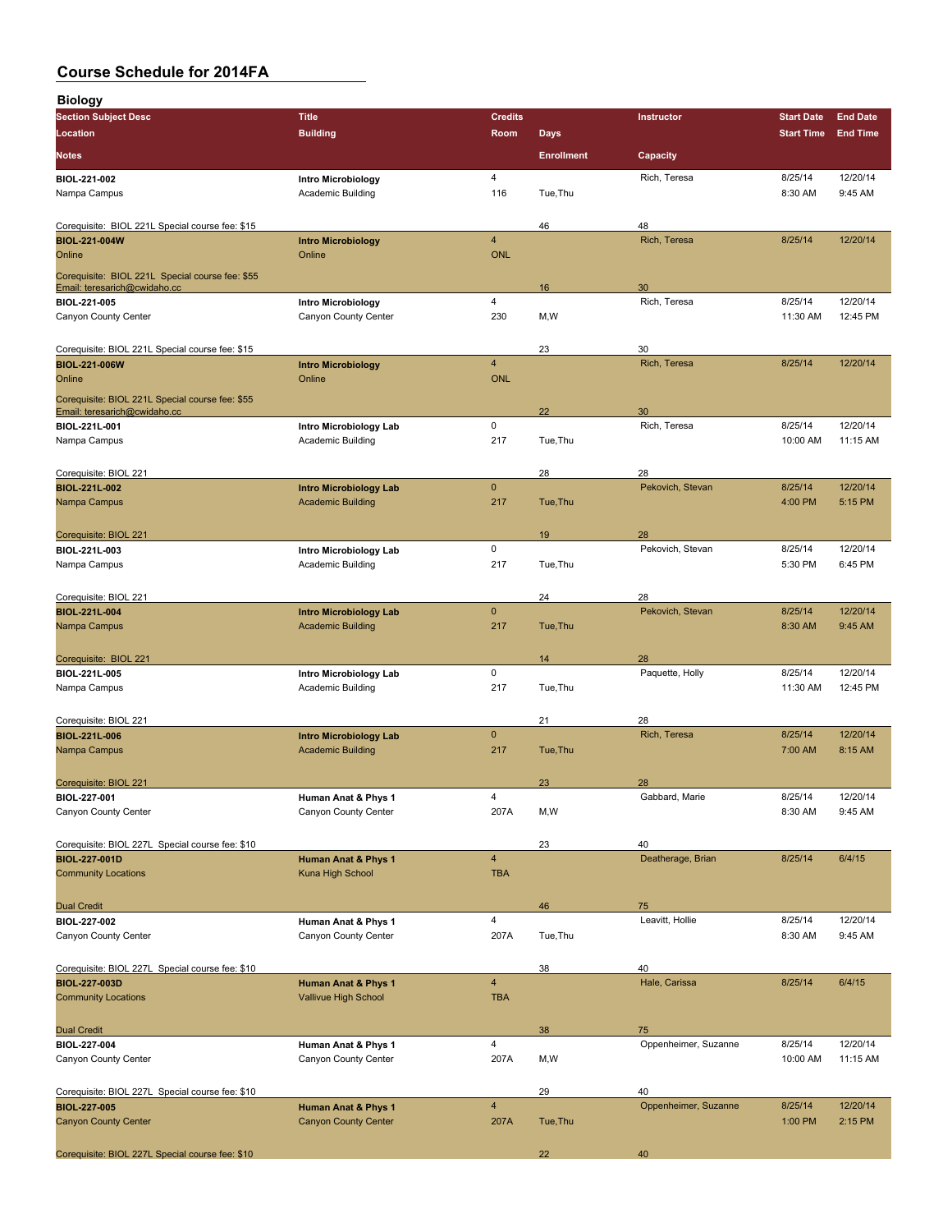| <b>OUGLOG OUTGUULG TUL EVITLA</b> |                           |                |                   |                   |                   |                 |
|-----------------------------------|---------------------------|----------------|-------------------|-------------------|-------------------|-----------------|
| <b>Biology</b>                    |                           |                |                   |                   |                   |                 |
| <b>Section Subject Desc</b>       | Title <sup>'</sup>        | <b>Credits</b> |                   | <b>Instructor</b> | <b>Start Date</b> | <b>End Date</b> |
| Location                          | <b>Building</b>           | Room           | <b>Days</b>       |                   | <b>Start Time</b> | <b>End Tim</b>  |
| <b>Notes</b>                      |                           |                | <b>Enrollment</b> | Capacity          |                   |                 |
| <b>BIOL-221-002</b>               | <b>Intro Microbiology</b> | 4              |                   | Rich, Teresa      | 8/25/14           | 12/20/14        |
| Nampa Campus                      | Academic Building         | 116            | Tue.Thu           |                   | 8:30 AM           | 9:45 AM         |
|                                   |                           |                |                   |                   |                   |                 |

**Section Subject Desc Title Credits Instructor Start Date End Date Location Building Room Days Start Time End Time**

| Corequisite: BIOL 221L Special course fee: \$15                                 |                                |                         | 46       | 48                   |          |          |
|---------------------------------------------------------------------------------|--------------------------------|-------------------------|----------|----------------------|----------|----------|
| <b>BIOL-221-004W</b>                                                            | <b>Intro Microbiology</b>      | $\overline{\mathbf{4}}$ |          | Rich, Teresa         | 8/25/14  | 12/20/14 |
| Online                                                                          | Online                         | <b>ONL</b>              |          |                      |          |          |
| Corequisite: BIOL 221L Special course fee: \$55<br>Email: teresarich@cwidaho.cc |                                |                         | 16       | 30                   |          |          |
| BIOL-221-005                                                                    | <b>Intro Microbiology</b>      | 4                       |          | Rich, Teresa         | 8/25/14  | 12/20/14 |
| Canyon County Center                                                            | Canyon County Center           | 230                     | M, W     |                      | 11:30 AM | 12:45 PM |
| Corequisite: BIOL 221L Special course fee: \$15                                 |                                |                         | 23       | 30                   |          |          |
| <b>BIOL-221-006W</b>                                                            | <b>Intro Microbiology</b>      | $\overline{4}$          |          | Rich, Teresa         | 8/25/14  | 12/20/14 |
| Online                                                                          | Online                         | <b>ONL</b>              |          |                      |          |          |
| Corequisite: BIOL 221L Special course fee: \$55<br>Email: teresarich@cwidaho.cc |                                |                         | 22       | 30                   |          |          |
| BIOL-221L-001                                                                   | Intro Microbiology Lab         | 0                       |          | Rich, Teresa         | 8/25/14  | 12/20/14 |
| Nampa Campus                                                                    | Academic Building              | 217                     | Tue, Thu |                      | 10:00 AM | 11:15 AM |
| Corequisite: BIOL 221                                                           |                                |                         | 28       | 28                   |          |          |
| <b>BIOL-221L-002</b>                                                            | <b>Intro Microbiology Lab</b>  | $\mathbf{0}$            |          | Pekovich, Stevan     | 8/25/14  | 12/20/14 |
| Nampa Campus                                                                    | <b>Academic Building</b>       | 217                     | Tue, Thu |                      | 4:00 PM  | 5:15 PM  |
| Corequisite: BIOL 221                                                           |                                |                         | 19       | 28                   |          |          |
| BIOL-221L-003                                                                   | Intro Microbiology Lab         | $\mathbf 0$             |          | Pekovich, Stevan     | 8/25/14  | 12/20/14 |
| Nampa Campus                                                                    | <b>Academic Building</b>       | 217                     | Tue, Thu |                      | 5:30 PM  | 6:45 PM  |
| Corequisite: BIOL 221                                                           |                                |                         | 24       | 28                   |          |          |
| <b>BIOL-221L-004</b>                                                            | <b>Intro Microbiology Lab</b>  | $\mathbf{0}$            |          | Pekovich, Stevan     | 8/25/14  | 12/20/14 |
| Nampa Campus                                                                    | <b>Academic Building</b>       | 217                     | Tue, Thu |                      | 8:30 AM  | 9:45 AM  |
| Corequisite: BIOL 221                                                           |                                |                         | 14       | 28                   |          |          |
| BIOL-221L-005                                                                   | Intro Microbiology Lab         | 0                       |          | Paquette, Holly      | 8/25/14  | 12/20/14 |
| Nampa Campus                                                                    | <b>Academic Building</b>       | 217                     | Tue, Thu |                      | 11:30 AM | 12:45 PM |
| Corequisite: BIOL 221                                                           |                                |                         | 21       | 28                   |          |          |
| <b>BIOL-221L-006</b>                                                            | <b>Intro Microbiology Lab</b>  | $\mathbf{0}$            |          | Rich, Teresa         | 8/25/14  | 12/20/14 |
| Nampa Campus                                                                    | <b>Academic Building</b>       | 217                     | Tue, Thu |                      | 7:00 AM  | 8:15 AM  |
| Corequisite: BIOL 221                                                           |                                |                         | 23       | 28                   |          |          |
| BIOL-227-001                                                                    | Human Anat & Phys 1            | 4                       |          | Gabbard, Marie       | 8/25/14  | 12/20/14 |
| Canyon County Center                                                            | Canyon County Center           | 207A                    | M,W      |                      | 8:30 AM  | 9:45 AM  |
| Corequisite: BIOL 227L Special course fee: \$10                                 |                                |                         | 23       | 40                   |          |          |
| <b>BIOL-227-001D</b>                                                            | <b>Human Anat &amp; Phys 1</b> | $\overline{4}$          |          | Deatherage, Brian    | 8/25/14  | 6/4/15   |
| <b>Community Locations</b>                                                      | Kuna High School               | <b>TBA</b>              |          |                      |          |          |
| <b>Dual Credit</b>                                                              |                                |                         | 46       | 75                   |          |          |
| BIOL-227-002                                                                    | Human Anat & Phys 1            | 4                       |          | Leavitt, Hollie      | 8/25/14  | 12/20/14 |
| Canyon County Center                                                            | Canyon County Center           | 207A                    | Tue, Thu |                      | 8:30 AM  | 9:45 AM  |
| Corequisite: BIOL 227L Special course fee: \$10                                 |                                |                         | 38       | 40                   |          |          |
| <b>BIOL-227-003D</b>                                                            | Human Anat & Phys 1            | $\overline{4}$          |          | Hale, Carissa        | 8/25/14  | 6/4/15   |
| <b>Community Locations</b>                                                      | Vallivue High School           | <b>TBA</b>              |          |                      |          |          |
| <b>Dual Credit</b>                                                              |                                |                         | 38       | 75                   |          |          |
| <b>BIOL 227 004</b>                                                             | Human Anat & Phys 1            | 4                       |          | Oppenheimer, Suzanne | 8/25/14  | 12/20/14 |
| Canyon County Center                                                            | Canyon County Center           | 207A                    | M,W      |                      | 10:00 AM | 11:15 AM |
| Corequisite: BIOL 227L Special course fee: \$10                                 |                                |                         | 29       | 40                   |          |          |
| <b>BIOL-227-005</b>                                                             | <b>Human Anat &amp; Phys 1</b> | $\overline{4}$          |          | Oppenheimer, Suzanne | 8/25/14  | 12/20/14 |
| <b>Canyon County Center</b>                                                     | <b>Canyon County Center</b>    | 207A                    | Tue, Thu |                      | 1:00 PM  | 2:15 PM  |
| Corequisite: BIOL 227L Special course fee: \$10                                 |                                |                         | 22       | 40                   |          |          |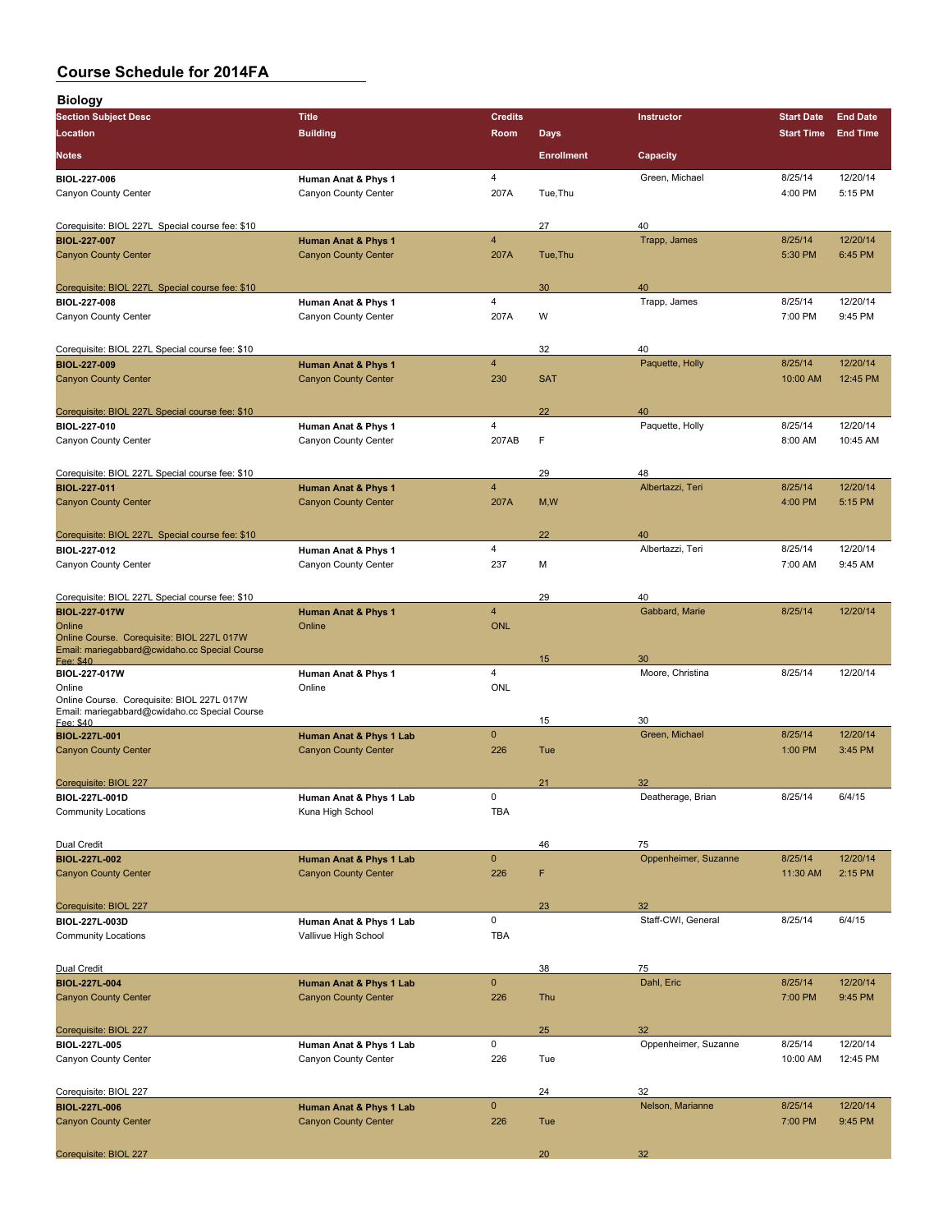| <b>Biology</b>                                                                              |                             |                         |                   |                      |                   |                 |
|---------------------------------------------------------------------------------------------|-----------------------------|-------------------------|-------------------|----------------------|-------------------|-----------------|
| <b>Section Subject Desc</b>                                                                 | <b>Title</b>                | <b>Credits</b>          |                   | <b>Instructor</b>    | <b>Start Date</b> | <b>End Date</b> |
| Location                                                                                    | <b>Building</b>             | Room                    | <b>Days</b>       |                      | <b>Start Time</b> | <b>End Time</b> |
| <b>Notes</b>                                                                                |                             |                         | <b>Enrollment</b> | Capacity             |                   |                 |
| <b>BIOL 227-006</b>                                                                         | Human Anat & Phys 1         | 4                       |                   | Green, Michael       | 8/25/14           | 12/20/14        |
| Canyon County Center                                                                        | Canyon County Center        | 207A                    | Tue, Thu          |                      | 4:00 PM           | 5:15 PM         |
| Corequisite: BIOL 227L Special course fee: \$10                                             |                             |                         | 27                | 40                   |                   |                 |
| <b>BIOL-227-007</b>                                                                         | Human Anat & Phys 1         | $\overline{\mathbf{4}}$ |                   | Trapp, James         | 8/25/14           | 12/20/14        |
| <b>Canyon County Center</b>                                                                 | <b>Canyon County Center</b> | 207A                    | Tue, Thu          |                      | 5:30 PM           | 6:45 PM         |
| Corequisite: BIOL 227L Special course fee: \$10                                             |                             |                         | 30                | 40                   |                   |                 |
| <b>BIOL-227-008</b>                                                                         | Human Anat & Phys 1         | 4                       |                   | Trapp, James         | 8/25/14           | 12/20/14        |
| Canyon County Center                                                                        | Canyon County Center        | 207A                    | W                 |                      | 7:00 PM           | 9:45 PM         |
| Corequisite: BIOL 227L Special course fee: \$10                                             |                             |                         | 32                | 40                   |                   |                 |
| <b>BIOL-227-009</b>                                                                         | Human Anat & Phys 1         | $\overline{4}$          |                   | Paquette, Holly      | 8/25/14           | 12/20/14        |
| <b>Canyon County Center</b>                                                                 | <b>Canyon County Center</b> | 230                     | <b>SAT</b>        |                      | 10:00 AM          | 12:45 PM        |
| Corequisite: BIOL 227L Special course fee: \$10                                             |                             |                         | 22                | 40                   |                   |                 |
| BIOL-227-010                                                                                | Human Anat & Phys 1         | 4                       |                   | Paquette, Holly      | 8/25/14           | 12/20/14        |
| Canyon County Center                                                                        | Canyon County Center        | 207AB                   | F                 |                      | 8:00 AM           | 10:45 AM        |
| Corequisite: BIOL 227L Special course fee: \$10                                             |                             |                         | 29                | 48                   |                   |                 |
| <b>BIOL-227-011</b>                                                                         | Human Anat & Phys 1         | $\overline{4}$          |                   | Albertazzi, Teri     | 8/25/14           | 12/20/14        |
| <b>Canyon County Center</b>                                                                 | <b>Canyon County Center</b> | 207A                    | M, W              |                      | 4:00 PM           | 5:15 PM         |
| Corequisite: BIOL 227L Special course fee: \$10                                             |                             |                         | 22                | 40                   |                   |                 |
| <b>BIOL 227 012</b>                                                                         | Human Anat & Phys 1         | 4                       |                   | Albertazzi, Teri     | 8/25/14           | 12/20/14        |
| Canyon County Center                                                                        | Canyon County Center        | 237                     | М                 |                      | 7:00 AM           | 9:45 AM         |
| Corequisite: BIOL 227L Special course fee: \$10                                             |                             |                         | 29                | 40                   |                   |                 |
| <b>BIOL-227-017W</b>                                                                        | Human Anat & Phys 1         | $\overline{4}$          |                   | Gabbard, Marie       | 8/25/14           | 12/20/14        |
| Online<br>Online Course. Corequisite: BIOL 227L 017W                                        | Online                      | <b>ONL</b>              |                   |                      |                   |                 |
| Email: mariegabbard@cwidaho.cc Special Course<br>Fee: \$40                                  |                             |                         | 15                | 30                   |                   |                 |
| BIOL-227-017W                                                                               | Human Anat & Phys 1         | 4                       |                   | Moore, Christina     | 8/25/14           | 12/20/14        |
| Online                                                                                      | Online                      | ONL                     |                   |                      |                   |                 |
| Online Course. Corequisite: BIOL 227L 017W<br>Email: mariegabbard@cwidaho.cc Special Course |                             |                         | 15                | 30                   |                   |                 |
| Fee: \$40<br><b>BIOL-227L-001</b>                                                           | Human Anat & Phys 1 Lab     | $\mathbf{0}$            |                   | Green, Michael       | 8/25/14           | 12/20/14        |
| <b>Canyon County Center</b>                                                                 | <b>Canyon County Center</b> | 226                     | Tue               |                      | 1:00 PM           | 3:45 PM         |
| Corequisite: BIOL 227                                                                       |                             |                         | 21                | 32                   |                   |                 |
| BIOL-227L-001D                                                                              | Human Anat & Phys 1 Lab     | 0                       |                   | Deatherage, Brian    | 8/25/14           | 6/4/15          |
| <b>Community Locations</b>                                                                  | Kuna High School            | <b>TBA</b>              |                   |                      |                   |                 |
| Dual Credit                                                                                 |                             |                         | 46                | 75                   |                   |                 |
| <b>BIOL-227L-002</b>                                                                        | Human Anat & Phys 1 Lab     | $\mathbf 0$             |                   | Oppenheimer, Suzanne | 8/25/14           | 12/20/14        |
| <b>Canyon County Center</b>                                                                 | <b>Canyon County Center</b> | 226                     | F                 |                      | 11:30 AM          | 2:15 PM         |
| Corequisite: BIOL 227                                                                       |                             |                         | 23                | 32                   |                   |                 |
| BIOL-227L-003D                                                                              | Human Anat & Phys 1 Lab     | 0                       |                   | Staff-CWI, General   | 8/25/14           | 6/4/15          |
| <b>Community Locations</b>                                                                  | Vallivue High School        | <b>TBA</b>              |                   |                      |                   |                 |
| Dual Credit                                                                                 |                             |                         | 38                | 75                   |                   |                 |
| <b>BIOL-227L-004</b>                                                                        | Human Anat & Phys 1 Lab     | $\pmb{0}$               |                   | Dahl, Eric           | 8/25/14           | 12/20/14        |
| <b>Canyon County Center</b>                                                                 | <b>Canyon County Center</b> | 226                     | Thu               |                      | 7:00 PM           | 9:45 PM         |
| Corequisite: BIOL 227                                                                       |                             |                         | 25                | 32                   |                   |                 |
| <b>BIOL-227L-005</b>                                                                        | Human Anat & Phys 1 Lab     | 0                       |                   | Oppenheimer, Suzanne | 8/25/14           | 12/20/14        |
| Canyon County Center                                                                        | Canyon County Center        | 226                     | Tue               |                      | 10:00 AM          | 12:45 PM        |
| Corequisite: BIOL 227                                                                       |                             |                         | 24                | 32                   |                   |                 |
| <b>BIOL-227L-006</b>                                                                        | Human Anat & Phys 1 Lab     | $\mathbf 0$             |                   | Nelson, Marianne     | 8/25/14           | 12/20/14        |
| <b>Canyon County Center</b>                                                                 | <b>Canyon County Center</b> | 226                     | Tue               |                      | 7:00 PM           | 9:45 PM         |
| Corequisite: BIOL 227                                                                       |                             |                         | 20                | 32                   |                   |                 |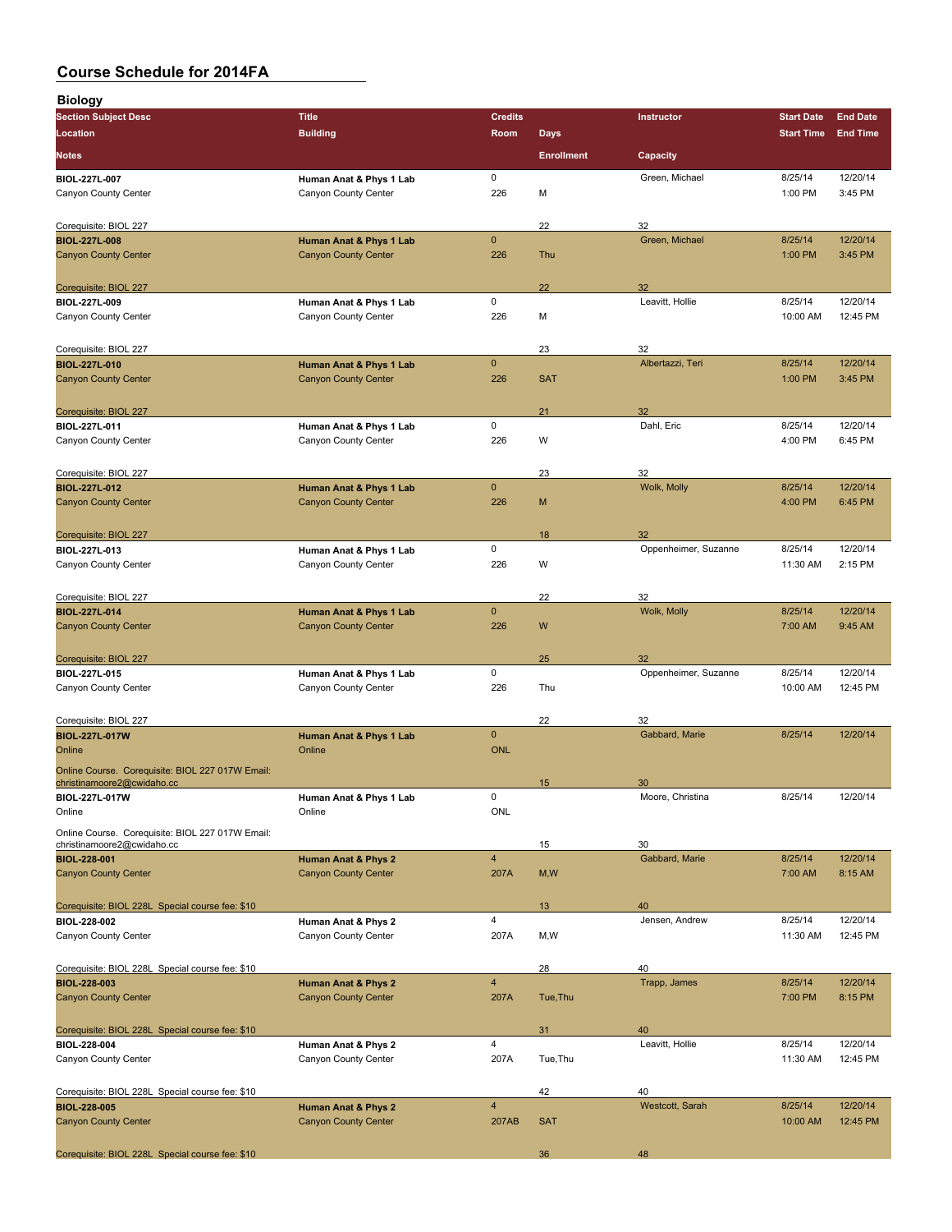| <b>Biology</b>                                                                 |                                |                         |                   |                      |                   |                 |
|--------------------------------------------------------------------------------|--------------------------------|-------------------------|-------------------|----------------------|-------------------|-----------------|
| <b>Section Subject Desc</b>                                                    | <b>Title</b>                   | <b>Credits</b>          |                   | Instructor           | <b>Start Date</b> | <b>End Date</b> |
| Location                                                                       | <b>Building</b>                | Room                    | <b>Days</b>       |                      | <b>Start Time</b> | <b>End Time</b> |
| <b>Notes</b>                                                                   |                                |                         | <b>Enrollment</b> | Capacity             |                   |                 |
| BIOL-227L-007                                                                  | Human Anat & Phys 1 Lab        | 0                       |                   | Green, Michael       | 8/25/14           | 12/20/14        |
| Canyon County Center                                                           | Canyon County Center           | 226                     | M                 |                      | 1:00 PM           | 3:45 PM         |
| Corequisite: BIOL 227                                                          |                                |                         | 22                | 32                   |                   |                 |
| <b>BIOL-227L-008</b>                                                           | Human Anat & Phys 1 Lab        | $\mathbf 0$             |                   | Green, Michael       | 8/25/14           | 12/20/14        |
| <b>Canyon County Center</b>                                                    | <b>Canyon County Center</b>    | 226                     | Thu               |                      | 1:00 PM           | 3:45 PM         |
| Corequisite: BIOL 227                                                          |                                |                         | 22                | 32                   |                   |                 |
| BIOL-227L-009                                                                  | Human Anat & Phys 1 Lab        | 0                       |                   | Leavitt, Hollie      | 8/25/14           | 12/20/14        |
| Canyon County Center                                                           | Canyon County Center           | 226                     | M                 |                      | 10:00 AM          | 12:45 PM        |
| Corequisite: BIOL 227                                                          |                                |                         | 23                | 32                   |                   |                 |
| <b>BIOL-227L-010</b>                                                           | Human Anat & Phys 1 Lab        | $\mathbf{0}$            |                   | Albertazzi, Teri     | 8/25/14           | 12/20/14        |
| <b>Canyon County Center</b>                                                    | <b>Canyon County Center</b>    | 226                     | <b>SAT</b>        |                      | 1:00 PM           | 3:45 PM         |
| Corequisite: BIOL 227                                                          |                                |                         | 21                | 32                   |                   |                 |
| BIOL-227L-011                                                                  | Human Anat & Phys 1 Lab        | 0                       |                   | Dahl, Eric           | 8/25/14           | 12/20/14        |
| Canyon County Center                                                           | Canyon County Center           | 226                     | W                 |                      | 4:00 PM           | 6:45 PM         |
| Corequisite: BIOL 227                                                          |                                |                         | 23                | 32                   |                   |                 |
| <b>BIOL 227L 012</b>                                                           | Human Anat & Phys 1 Lab        | $\mathbf{0}$            |                   | Wolk, Molly          | 8/25/14           | 12/20/14        |
| <b>Canyon County Center</b>                                                    | <b>Canyon County Center</b>    | 226                     | M                 |                      | 4:00 PM           | 6:45 PM         |
| Corequisite: BIOL 227                                                          |                                |                         | 18                | 32                   |                   |                 |
| BIOL-227L-013                                                                  | Human Anat & Phys 1 Lab        | 0                       |                   | Oppenheimer, Suzanne | 8/25/14           | 12/20/14        |
| Canyon County Center                                                           | Canyon County Center           | 226                     | W                 |                      | 11:30 AM          | 2:15 PM         |
| Corequisite: BIOL 227                                                          |                                |                         | 22                | 32                   |                   |                 |
| <b>BIOL-227L-014</b>                                                           | Human Anat & Phys 1 Lab        | $\mathbf 0$             |                   | Wolk, Molly          | 8/25/14           | 12/20/14        |
| <b>Canyon County Center</b>                                                    | <b>Canyon County Center</b>    | 226                     | W                 |                      | 7:00 AM           | 9:45 AM         |
| Corequisite: BIOL 227                                                          |                                |                         | 25                | 32                   |                   |                 |
| BIOL-227L-015                                                                  | Human Anat & Phys 1 Lab        | 0                       |                   | Oppenheimer, Suzanne | 8/25/14           | 12/20/14        |
| Canyon County Center                                                           | Canyon County Center           | 226                     | Thu               |                      | 10:00 AM          | 12:45 PM        |
| Corequisite: BIOL 227                                                          |                                |                         | 22                | 32                   |                   |                 |
| <b>BIOL-227L-017W</b>                                                          | Human Anat & Phys 1 Lab        | $\mathbf{0}$            |                   | Gabbard, Marie       | 8/25/14           | 12/20/14        |
| Online                                                                         | Online                         | <b>ONL</b>              |                   |                      |                   |                 |
| Online Course. Corequisite: BIOL 227 017W Email:<br>christinamoore2@cwidaho.cc |                                |                         | 15                | 30                   |                   |                 |
| BIOL-227L-017W                                                                 | Human Anat & Phys 1 Lab        | 0                       |                   | Moore, Christina     | 8/25/14           | 12/20/14        |
| Online                                                                         | Online                         | <b>ONL</b>              |                   |                      |                   |                 |
| Online Course. Corequisite: BIOL 227 017W Email:<br>christinamoore2@cwidaho.cc |                                |                         | 15                | 30                   |                   |                 |
| <b>BIOL-228-001</b>                                                            | Human Anat & Phys 2            | $\overline{\mathbf{4}}$ |                   | Gabbard, Marie       | 8/25/14           | 12/20/14        |
| <b>Canyon County Center</b>                                                    | <b>Canyon County Center</b>    | 207A                    | M, W              |                      | 7:00 AM           | 8:15 AM         |
| Corequisite: BIOL 228L Special course fee: \$10                                |                                |                         | 13                | 40                   |                   |                 |
| <b>BIOL 228 002</b>                                                            | Human Anat & Phys 2            | 4                       |                   | Jensen, Andrew       | 8/25/14           | 12/20/14        |
| Canyon County Center                                                           | Canyon County Center           | 207A                    | M, W              |                      | 11:30 AM          | 12:45 PM        |
| Corequisite: BIOL 228L Special course fee: \$10                                |                                |                         | 28                | 40                   |                   |                 |
| <b>BIOL-228-003</b>                                                            | <b>Human Anat &amp; Phys 2</b> | $\overline{\mathbf{4}}$ |                   | Trapp, James         | 8/25/14           | 12/20/14        |
| <b>Canyon County Center</b>                                                    | <b>Canyon County Center</b>    | 207A                    | Tue, Thu          |                      | 7:00 PM           | 8:15 PM         |
| Corequisite: BIOL 228L Special course fee: \$10                                |                                |                         | 31                | 40                   |                   |                 |
| BIOL-228-004                                                                   | Human Anat & Phys 2            | 4                       |                   | Leavitt, Hollie      | 8/25/14           | 12/20/14        |
| Canyon County Center                                                           | Canyon County Center           | 207A                    | Tue, Thu          |                      | 11:30 AM          | 12:45 PM        |
| Corequisite: BIOL 228L Special course fee: \$10                                |                                |                         | 42                | 40                   |                   |                 |
| <b>BIOL-228-005</b>                                                            | Human Anat & Phys 2            | $\overline{\mathbf{4}}$ |                   | Westcott, Sarah      | 8/25/14           | 12/20/14        |
| <b>Canyon County Center</b>                                                    | <b>Canyon County Center</b>    | 207AB                   | <b>SAT</b>        |                      | 10:00 AM          | 12:45 PM        |
| Corequisite: BIOL 228L Special course fee: \$10                                |                                |                         | 36                | 48                   |                   |                 |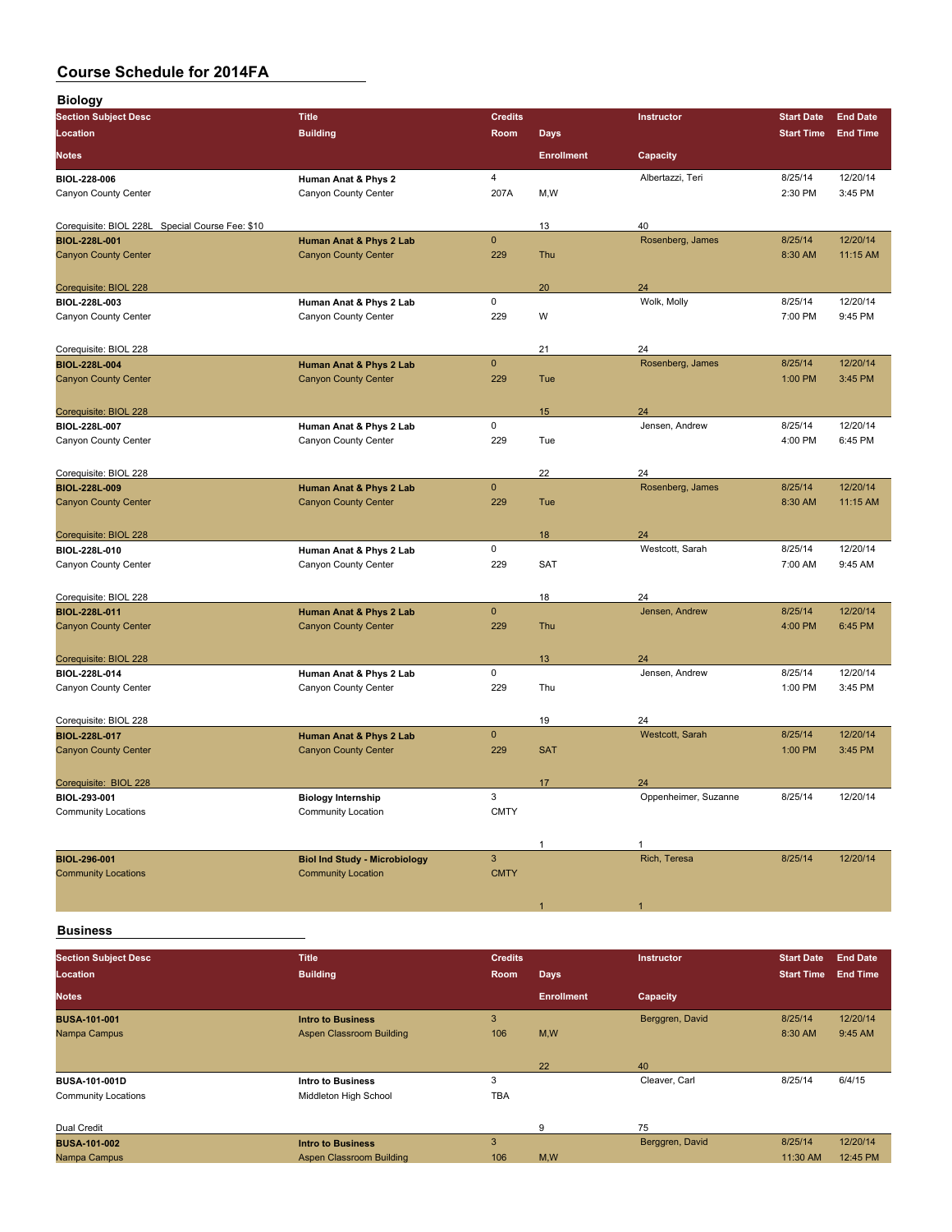| <b>Biology</b>                                    |                                                                   |                |                   |                       |                   |                 |
|---------------------------------------------------|-------------------------------------------------------------------|----------------|-------------------|-----------------------|-------------------|-----------------|
| <b>Section Subject Desc</b>                       | <b>Title</b>                                                      | <b>Credits</b> |                   | Instructor            | <b>Start Date</b> | <b>End Date</b> |
| Location                                          | <b>Building</b>                                                   | Room           | <b>Days</b>       |                       | <b>Start Time</b> | <b>End Time</b> |
| <b>Notes</b>                                      |                                                                   |                | <b>Enrollment</b> | Capacity              |                   |                 |
| <b>BIOL 228 006</b>                               | Human Anat & Phys 2                                               | 4              |                   | Albertazzi, Teri      | 8/25/14           | 12/20/14        |
| Canyon County Center                              | Canyon County Center                                              | 207A           | M, W              |                       | 2:30 PM           | 3:45 PM         |
|                                                   |                                                                   |                |                   |                       |                   |                 |
| Corequisite: BIOL 228L Special Course Fee: \$10   |                                                                   |                | 13                | 40                    |                   |                 |
| <b>BIOL-228L-001</b>                              | Human Anat & Phys 2 Lab                                           | $\mathbf 0$    |                   | Rosenberg, James      | 8/25/14           | 12/20/14        |
| <b>Canyon County Center</b>                       | <b>Canyon County Center</b>                                       | 229            | Thu               |                       | 8:30 AM           | 11:15 AM        |
| Corequisite: BIOL 228                             |                                                                   |                | 20                | 24                    |                   |                 |
| BIOL-228L-003                                     | Human Anat & Phys 2 Lab                                           | 0              |                   | Wolk, Molly           | 8/25/14           | 12/20/14        |
| Canyon County Center                              | Canyon County Center                                              | 229            | W                 |                       | 7:00 PM           | 9:45 PM         |
|                                                   |                                                                   |                |                   |                       |                   |                 |
| Corequisite: BIOL 228                             |                                                                   |                | 21                | 24                    |                   |                 |
| <b>BIOL-228L-004</b>                              | Human Anat & Phys 2 Lab                                           | $\mathbf 0$    |                   | Rosenberg, James      | 8/25/14           | 12/20/14        |
| <b>Canyon County Center</b>                       | <b>Canyon County Center</b>                                       | 229            | Tue               |                       | 1:00 PM           | 3:45 PM         |
|                                                   |                                                                   |                |                   |                       |                   |                 |
| Corequisite: BIOL 228<br>BIOL-228L-007            | Human Anat & Phys 2 Lab                                           | 0              | 15                | 24<br>Jensen, Andrew  | 8/25/14           | 12/20/14        |
| Canyon County Center                              | Canyon County Center                                              | 229            | Tue               |                       | 4:00 PM           | 6:45 PM         |
|                                                   |                                                                   |                |                   |                       |                   |                 |
| Corequisite: BIOL 228                             |                                                                   |                | 22                | 24                    |                   |                 |
| <b>BIOL-228L-009</b>                              | Human Anat & Phys 2 Lab                                           | $\pmb{0}$      |                   | Rosenberg, James      | 8/25/14           | 12/20/14        |
| <b>Canyon County Center</b>                       | <b>Canyon County Center</b>                                       | 229            | Tue               |                       | 8:30 AM           | 11:15 AM        |
|                                                   |                                                                   |                |                   |                       |                   |                 |
| Corequisite: BIOL 228                             |                                                                   |                | 18                | 24                    |                   |                 |
| BIOL-228L-010                                     | Human Anat & Phys 2 Lab                                           | 0              |                   | Westcott, Sarah       | 8/25/14           | 12/20/14        |
| Canyon County Center                              | Canyon County Center                                              | 229            | <b>SAT</b>        |                       | 7:00 AM           | 9:45 AM         |
| Corequisite: BIOL 228                             |                                                                   |                | 18                | 24                    |                   |                 |
| <b>BIOL-228L-011</b>                              | Human Anat & Phys 2 Lab                                           | $\mathbf 0$    |                   | Jensen, Andrew        | 8/25/14           | 12/20/14        |
| <b>Canyon County Center</b>                       | <b>Canyon County Center</b>                                       | 229            | Thu               |                       | 4:00 PM           | 6:45 PM         |
|                                                   |                                                                   |                |                   |                       |                   |                 |
| Corequisite: BIOL 228                             |                                                                   |                | 13                | 24                    |                   |                 |
| BIOL-228L-014                                     | Human Anat & Phys 2 Lab                                           | 0              |                   | Jensen, Andrew        | 8/25/14           | 12/20/14        |
| Canyon County Center                              | Canyon County Center                                              | 229            | Thu               |                       | 1:00 PM           | 3:45 PM         |
|                                                   |                                                                   |                |                   |                       |                   |                 |
| Corequisite: BIOL 228<br><b>BIOL-228L-017</b>     |                                                                   | $\mathbf 0$    | 19                | 24<br>Westcott, Sarah | 8/25/14           | 12/20/14        |
| <b>Canyon County Center</b>                       | Human Anat & Phys 2 Lab<br><b>Canyon County Center</b>            | 229            | <b>SAT</b>        |                       | 1:00 PM           | 3:45 PM         |
|                                                   |                                                                   |                |                   |                       |                   |                 |
| Corequisite: BIOL 228                             |                                                                   |                | 17                | 24                    |                   |                 |
| BIOL-293-001                                      | <b>Biology Internship</b>                                         | 3              |                   | Oppenheimer, Suzanne  | 8/25/14           | 12/20/14        |
| <b>Community Locations</b>                        | <b>Community Location</b>                                         | <b>CMTY</b>    |                   |                       |                   |                 |
|                                                   |                                                                   |                |                   |                       |                   |                 |
|                                                   |                                                                   | $\mathsf 3$    | 1                 | 1                     |                   |                 |
| <b>BIOL-296-001</b><br><b>Community Locations</b> | <b>Biol Ind Study - Microbiology</b><br><b>Community Location</b> | <b>CMTY</b>    |                   | Rich, Teresa          | 8/25/14           | 12/20/14        |
|                                                   |                                                                   |                |                   |                       |                   |                 |
|                                                   |                                                                   |                | 1                 | 1                     |                   |                 |
|                                                   |                                                                   |                |                   |                       |                   |                 |

**Business**

| <b>Section Subject Desc</b> | <b>Title</b>             | <b>Credits</b> |                   | <b>Instructor</b> | <b>Start Date</b> | <b>End Date</b> |
|-----------------------------|--------------------------|----------------|-------------------|-------------------|-------------------|-----------------|
|                             |                          |                |                   |                   |                   |                 |
| Location                    | <b>Building</b>          | Room           | Days              |                   | <b>Start Time</b> | <b>End Time</b> |
| <b>Notes</b>                |                          |                | <b>Enrollment</b> | Capacity          |                   |                 |
| <b>BUSA-101-001</b>         | <b>Intro to Business</b> | 3              |                   | Berggren, David   | 8/25/14           | 12/20/14        |
| Nampa Campus                | Aspen Classroom Building | 106            | M,W               |                   | 8:30 AM           | 9:45 AM         |
|                             |                          |                |                   |                   |                   |                 |
|                             |                          |                | 22                | 40                |                   |                 |
| <b>BUSA-101-001D</b>        | Intro to Business        | 3              |                   | Cleaver, Carl     | 8/25/14           | 6/4/15          |
| <b>Community Locations</b>  | Middleton High School    | <b>TBA</b>     |                   |                   |                   |                 |
|                             |                          |                |                   |                   |                   |                 |
| Dual Credit                 |                          |                | 9                 | 75                |                   |                 |
| <b>BUSA-101-002</b>         | <b>Intro to Business</b> | 3              |                   | Berggren, David   | 8/25/14           | 12/20/14        |
| Nampa Campus                | Aspen Classroom Building | 106            | M,W               |                   | 11:30 AM          | 12:45 PM        |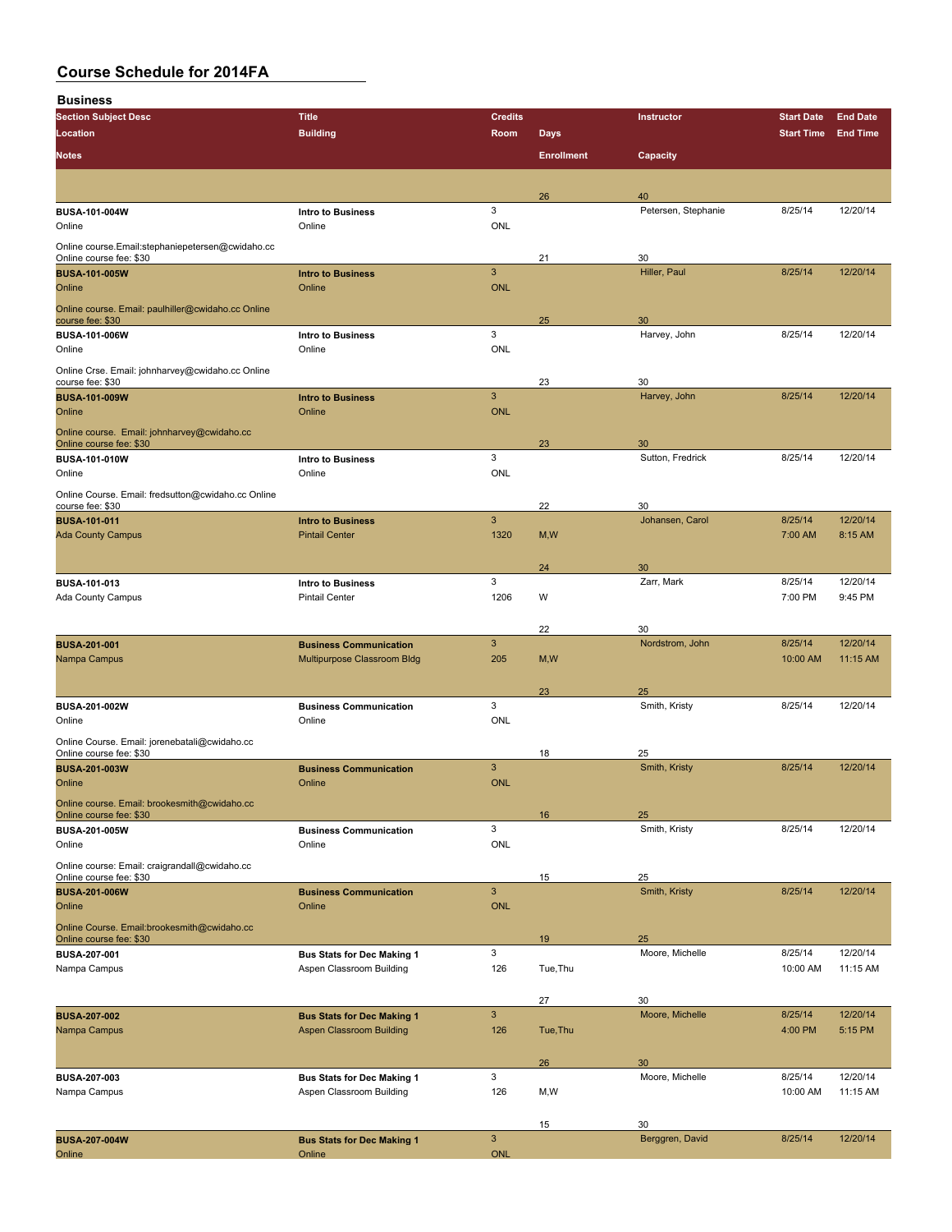**Business**

| -<br><b>Section Subject Desc</b>                                         | <b>Title</b>                                                  | <b>Credits</b>            |                   | Instructor            | <b>Start Date</b> | <b>End Date</b> |
|--------------------------------------------------------------------------|---------------------------------------------------------------|---------------------------|-------------------|-----------------------|-------------------|-----------------|
| Location                                                                 | <b>Building</b>                                               | Room                      | <b>Days</b>       |                       | <b>Start Time</b> | <b>End Time</b> |
|                                                                          |                                                               |                           |                   |                       |                   |                 |
| <b>Notes</b>                                                             |                                                               |                           | <b>Enrollment</b> | Capacity              |                   |                 |
|                                                                          |                                                               |                           |                   |                       |                   |                 |
|                                                                          |                                                               |                           | 26                | 40                    |                   |                 |
| BUSA-101-004W                                                            | <b>Intro to Business</b>                                      | 3                         |                   | Petersen, Stephanie   | 8/25/14           | 12/20/14        |
| Online                                                                   | Online                                                        | ONL                       |                   |                       |                   |                 |
| Online course.Email:stephaniepetersen@cwidaho.cc                         |                                                               |                           |                   |                       |                   |                 |
| Online course fee: \$30                                                  |                                                               | $\mathbf{3}$              | 21                | 30<br>Hiller, Paul    | 8/25/14           | 12/20/14        |
| <b>BUSA-101-005W</b><br>Online                                           | <b>Intro to Business</b><br>Online                            | <b>ONL</b>                |                   |                       |                   |                 |
|                                                                          |                                                               |                           |                   |                       |                   |                 |
| Online course. Email: paulhiller@cwidaho.cc Online<br>course fee: \$30   |                                                               |                           | 25                | 30                    |                   |                 |
| BUSA-101-006W                                                            | Intro to Business                                             | 3                         |                   | Harvey, John          | 8/25/14           | 12/20/14        |
| Online                                                                   | Online                                                        | ONL                       |                   |                       |                   |                 |
| Online Crse. Email: johnharvey@cwidaho.cc Online                         |                                                               |                           |                   |                       |                   |                 |
| course fee: \$30                                                         |                                                               |                           | 23                | 30                    |                   |                 |
| <b>BUSA-101-009W</b>                                                     | <b>Intro to Business</b>                                      | 3                         |                   | Harvey, John          | 8/25/14           | 12/20/14        |
| Online                                                                   | Online                                                        | <b>ONL</b>                |                   |                       |                   |                 |
| Online course. Email: johnharvey@cwidaho.cc                              |                                                               |                           |                   |                       |                   |                 |
| Online course fee: \$30                                                  |                                                               |                           | 23                | 30                    |                   |                 |
| <b>BUSA-101-010W</b><br>Online                                           | <b>Intro to Business</b><br>Online                            | 3<br><b>ONL</b>           |                   | Sutton, Fredrick      | 8/25/14           | 12/20/14        |
|                                                                          |                                                               |                           |                   |                       |                   |                 |
| Online Course. Email: fredsutton@cwidaho.cc Online<br>course fee: \$30   |                                                               |                           | 22                | 30                    |                   |                 |
| <b>BUSA-101-011</b>                                                      | <b>Intro to Business</b>                                      | $\mathbf{3}$              |                   | Johansen, Carol       | 8/25/14           | 12/20/14        |
| <b>Ada County Campus</b>                                                 | <b>Pintail Center</b>                                         | 1320                      | M, W              |                       | 7:00 AM           | 8:15 AM         |
|                                                                          |                                                               |                           |                   |                       |                   |                 |
|                                                                          |                                                               |                           | 24                | 30                    |                   |                 |
| BUSA-101-013                                                             | Intro to Business                                             | 3                         |                   | Zarr, Mark            | 8/25/14           | 12/20/14        |
| <b>Ada County Campus</b>                                                 | <b>Pintail Center</b>                                         | 1206                      | W                 |                       | 7:00 PM           | 9:45 PM         |
|                                                                          |                                                               |                           |                   |                       |                   |                 |
|                                                                          |                                                               |                           | 22                | 30                    |                   |                 |
| <b>BUSA-201-001</b>                                                      | <b>Business Communication</b>                                 | 3                         |                   | Nordstrom, John       | 8/25/14           | 12/20/14        |
| Nampa Campus                                                             | Multipurpose Classroom Bldg                                   | 205                       | M,W               |                       | 10:00 AM          | 11:15 AM        |
|                                                                          |                                                               |                           |                   |                       |                   |                 |
| <b>BUSA-201-002W</b>                                                     | <b>Business Communication</b>                                 | 3                         | 23                | 25<br>Smith, Kristy   | 8/25/14           | 12/20/14        |
| Online                                                                   | Online                                                        | ONL                       |                   |                       |                   |                 |
|                                                                          |                                                               |                           |                   |                       |                   |                 |
| Online Course. Email: jorenebatali@cwidaho.cc<br>Online course fee: \$30 |                                                               |                           | 18                | 25                    |                   |                 |
| <b>BUSA-201-003W</b>                                                     | <b>Business Communication</b>                                 | 3                         |                   | Smith, Kristy         | 8/25/14           | 12/20/14        |
| Online                                                                   | Online                                                        | <b>ONL</b>                |                   |                       |                   |                 |
| Online course. Email: brookesmith@cwidaho.cc                             |                                                               |                           |                   |                       |                   |                 |
| Online course fee: \$30                                                  |                                                               |                           | 16                | 25                    |                   |                 |
| BUSA-201-005W                                                            | <b>Business Communication</b>                                 | $\ensuremath{\mathsf{3}}$ |                   | Smith, Kristy         | 8/25/14           | 12/20/14        |
| Online                                                                   | Online                                                        | ONL                       |                   |                       |                   |                 |
| Online course: Email: craigrandall@cwidaho.cc                            |                                                               |                           |                   |                       |                   |                 |
| Online course fee: \$30<br><b>BUSA 201-006W</b>                          | <b>Business Communication</b>                                 | $\mathbf{3}$              | 15                | 25<br>Smith, Kristy   | 8/25/14           | 12/20/14        |
| Online                                                                   | Online                                                        | <b>ONL</b>                |                   |                       |                   |                 |
|                                                                          |                                                               |                           |                   |                       |                   |                 |
| Online Course. Email:brookesmith@cwidaho.cc<br>Online course fee: \$30   |                                                               |                           | 19                | 25                    |                   |                 |
| <b>BUSA-207-001</b>                                                      | <b>Bus Stats for Dec Making 1</b>                             | $\mathbf{3}$              |                   | Moore, Michelle       | 8/25/14           | 12/20/14        |
| Nampa Campus                                                             | Aspen Classroom Building                                      | 126                       | Tue, Thu          |                       | 10:00 AM          | 11:15 AM        |
|                                                                          |                                                               |                           |                   |                       |                   |                 |
|                                                                          |                                                               |                           | 27                | 30                    |                   |                 |
| <b>BUSA-207-002</b>                                                      | <b>Bus Stats for Dec Making 1</b>                             | $\mathsf 3$               |                   | Moore, Michelle       | 8/25/14           | 12/20/14        |
| Nampa Campus                                                             | Aspen Classroom Building                                      | 126                       | Tue, Thu          |                       | 4:00 PM           | 5:15 PM         |
|                                                                          |                                                               |                           |                   |                       |                   |                 |
|                                                                          |                                                               | 3                         | 26                | 30<br>Moore, Michelle | 8/25/14           | 12/20/14        |
| <b>BUSA-207-003</b><br>Nampa Campus                                      | <b>Bus Stats for Dec Making 1</b><br>Aspen Classroom Building | 126                       | M,W               |                       | 10:00 AM          | 11:15 AM        |
|                                                                          |                                                               |                           |                   |                       |                   |                 |
|                                                                          |                                                               |                           | 15                | 30                    |                   |                 |
| <b>BUSA 207 004W</b>                                                     | <b>Bus Stats for Dec Making 1</b>                             | $\mathsf 3$               |                   | Berggren, David       | 8/25/14           | 12/20/14        |
| Online                                                                   | Online                                                        | ONL                       |                   |                       |                   |                 |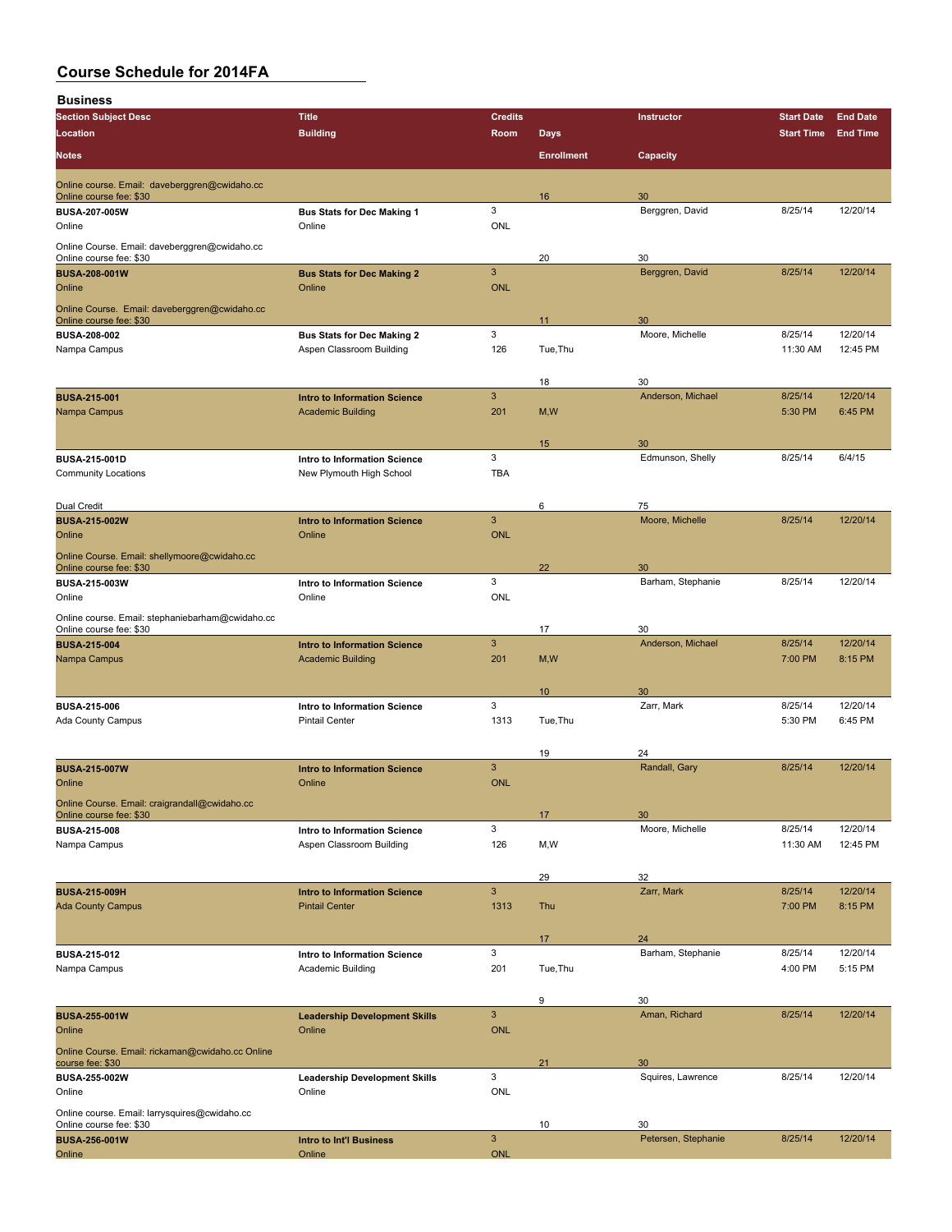| <b>Business</b>                                                          |                                               |                 |                   |                       |                   |                 |
|--------------------------------------------------------------------------|-----------------------------------------------|-----------------|-------------------|-----------------------|-------------------|-----------------|
| <b>Section Subject Desc</b>                                              | <b>Title</b>                                  | <b>Credits</b>  |                   | <b>Instructor</b>     | <b>Start Date</b> | <b>End Date</b> |
| Location                                                                 | <b>Building</b>                               | Room            | <b>Days</b>       |                       | <b>Start Time</b> | <b>End Time</b> |
| <b>Notes</b>                                                             |                                               |                 | <b>Enrollment</b> | Capacity              |                   |                 |
| Online course. Email: daveberggren@cwidaho.cc<br>Online course fee: \$30 |                                               |                 | 16                | 30                    |                   |                 |
| <b>BUSA-207-005W</b>                                                     | <b>Bus Stats for Dec Making 1</b>             | 3               |                   | Berggren, David       | 8/25/14           | 12/20/14        |
| Online                                                                   | Online                                        | ONL             |                   |                       |                   |                 |
| Online Course. Email: daveberggren@cwidaho.cc<br>Online course fee: \$30 |                                               |                 | 20                | 30                    |                   |                 |
| <b>BUSA-208-001W</b>                                                     | <b>Bus Stats for Dec Making 2</b>             | $\mathbf{3}$    |                   | Berggren, David       | 8/25/14           | 12/20/14        |
| Online                                                                   | Online                                        | <b>ONL</b>      |                   |                       |                   |                 |
| Online Course. Email: daveberggren@cwidaho.cc<br>Online course fee: \$30 |                                               |                 | 11                | 30                    |                   |                 |
| <b>BUSA 208-002</b>                                                      | <b>Bus Stats for Dec Making 2</b>             | 3               |                   | Moore, Michelle       | 8/25/14           | 12/20/14        |
| Nampa Campus                                                             | Aspen Classroom Building                      | 126             | Tue, Thu          |                       | 11:30 AM          | 12:45 PM        |
|                                                                          |                                               |                 | 18                | 30                    |                   |                 |
| <b>BUSA-215-001</b>                                                      | <b>Intro to Information Science</b>           | $\mathbf{3}$    |                   | Anderson, Michael     | 8/25/14           | 12/20/14        |
| Nampa Campus                                                             | <b>Academic Building</b>                      | 201             | M, W              |                       | 5:30 PM           | 6:45 PM         |
|                                                                          |                                               |                 | 15                | 30                    |                   |                 |
| <b>BUSA-215-001D</b>                                                     | Intro to Information Science                  | 3               |                   | Edmunson, Shelly      | 8/25/14           | 6/4/15          |
| <b>Community Locations</b>                                               | New Plymouth High School                      | <b>TBA</b>      |                   |                       |                   |                 |
|                                                                          |                                               |                 |                   |                       |                   |                 |
| Dual Credit<br><b>BUSA-215-002W</b>                                      | <b>Intro to Information Science</b>           | $\mathbf{3}$    | 6                 | 75<br>Moore, Michelle | 8/25/14           | 12/20/14        |
| Online                                                                   | Online                                        | <b>ONL</b>      |                   |                       |                   |                 |
| Online Course. Email: shellymoore@cwidaho.cc<br>Online course fee: \$30  |                                               |                 | 22                | 30                    |                   |                 |
| <b>BUSA-215-003W</b>                                                     | Intro to Information Science                  | 3               |                   | Barham, Stephanie     | 8/25/14           | 12/20/14        |
| Online                                                                   | Online                                        | ONL             |                   |                       |                   |                 |
| Online course. Email: stephaniebarham@cwidaho.cc                         |                                               |                 | 17                | 30                    |                   |                 |
| Online course fee: \$30<br><b>BUSA-215-004</b>                           | <b>Intro to Information Science</b>           | $\mathbf{3}$    |                   | Anderson, Michael     | 8/25/14           | 12/20/14        |
| Nampa Campus                                                             | <b>Academic Building</b>                      | 201             | M, W              |                       | 7:00 PM           | 8:15 PM         |
|                                                                          |                                               |                 |                   |                       |                   |                 |
| <b>BUSA 215-006</b>                                                      | Intro to Information Science                  | 3               | 10                | 30<br>Zarr, Mark      | 8/25/14           | 12/20/14        |
| <b>Ada County Campus</b>                                                 | <b>Pintail Center</b>                         | 1313            | Tue, Thu          |                       | 5:30 PM           | 6:45 PM         |
|                                                                          |                                               |                 |                   |                       |                   |                 |
|                                                                          |                                               |                 | 19                | 24                    |                   |                 |
| <b>BUSA-215-007W</b><br>Online                                           | <b>Intro to Information Science</b><br>Online | 3<br><b>ONL</b> |                   | Randall, Gary         | 8/25/14           | 12/20/14        |
| Online Course. Email: craigrandall@cwidaho.cc                            |                                               |                 |                   |                       |                   |                 |
| Online course fee: \$30                                                  |                                               |                 | 17                | 30                    |                   |                 |
| <b>BUSA 215-008</b>                                                      | Intro to Information Science                  | 3               |                   | Moore, Michelle       | 8/25/14           | 12/20/14        |
| Nampa Campus                                                             | Aspen Classroom Building                      | 126             | M, W              |                       | 11:30 AM          | 12:45 PM        |
|                                                                          |                                               |                 | 29                | 32                    |                   |                 |
| <b>BUSA-215-009H</b>                                                     | <b>Intro to Information Science</b>           | $\mathbf{3}$    |                   | Zarr, Mark            | 8/25/14           | 12/20/14        |
| <b>Ada County Campus</b>                                                 | <b>Pintail Center</b>                         | 1313            | Thu               |                       | 7:00 PM           | 8:15 PM         |
|                                                                          |                                               |                 | 17                | 24                    |                   |                 |
| <b>BUSA 215-012</b>                                                      | Intro to Information Science                  | 3               |                   | Barham, Stephanie     | 8/25/14           | 12/20/14        |
| Nampa Campus                                                             | Academic Building                             | 201             | Tue, Thu          |                       | 4:00 PM           | 5:15 PM         |
|                                                                          |                                               |                 | 9                 | 30                    |                   |                 |
| <b>BUSA-255-001W</b>                                                     | <b>Leadership Development Skills</b>          | $\mathbf{3}$    |                   | Aman, Richard         | 8/25/14           | 12/20/14        |
| Online                                                                   | Online                                        | <b>ONL</b>      |                   |                       |                   |                 |
| Online Course. Email: rickaman@cwidaho.cc Online<br>course fee: \$30     |                                               |                 | 21                | 30                    |                   |                 |
| <b>BUSA 255-002W</b>                                                     | <b>Leadership Development Skills</b>          | 3               |                   | Squires, Lawrence     | 8/25/14           | 12/20/14        |
| Online                                                                   | Online                                        | ONL             |                   |                       |                   |                 |
| Online course. Email: larrysquires@cwidaho.cc                            |                                               |                 | 10                | 30                    |                   |                 |
| Online course fee: \$30<br><b>BUSA-256-001W</b>                          | Intro to Int'l Business                       | $\mathbf{3}$    |                   | Petersen, Stephanie   | 8/25/14           | 12/20/14        |
| Online                                                                   | Online                                        | <b>ONL</b>      |                   |                       |                   |                 |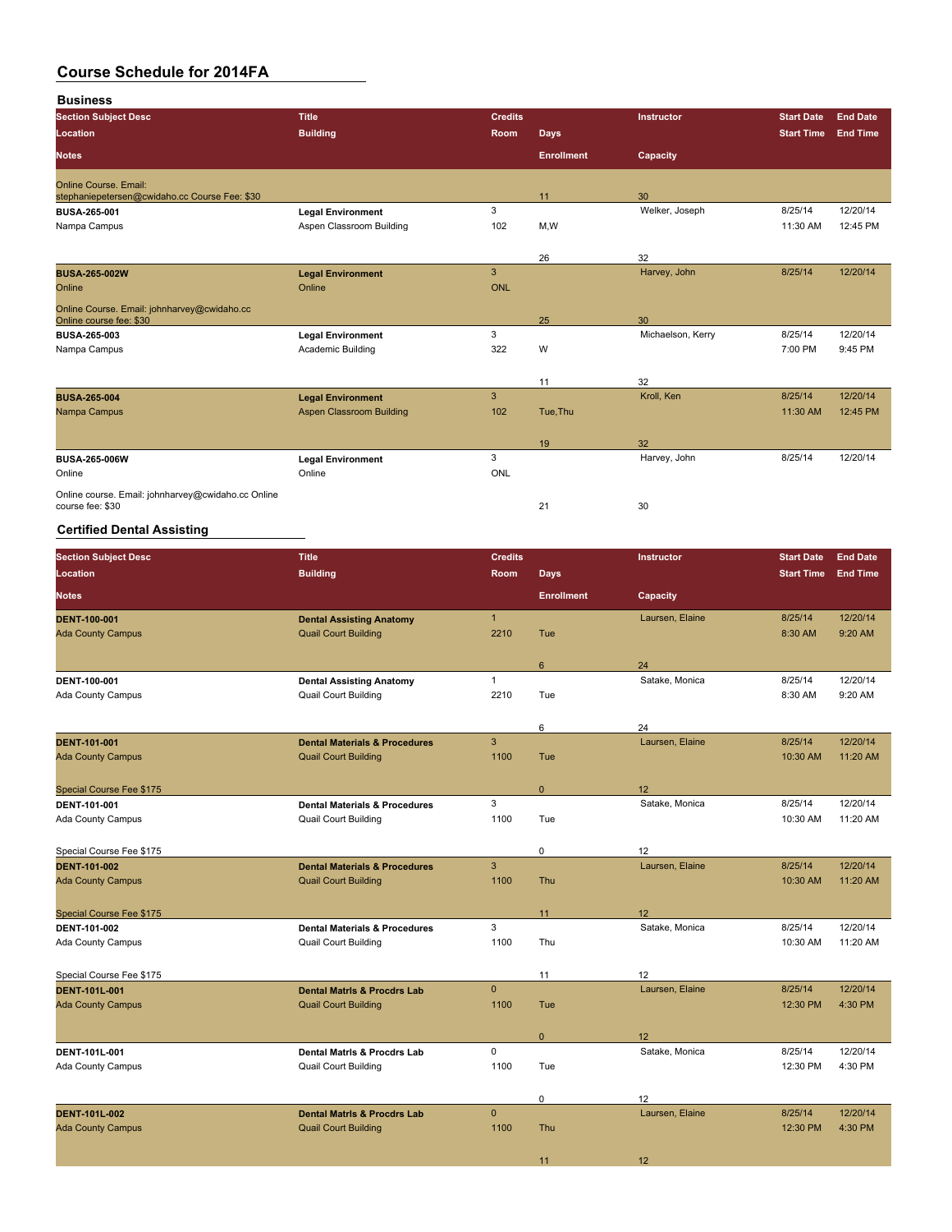**Business Section Subject Desc Title Credits Instructor Start Date End Date Location Building Room Days Start Time End Time Notes Enrollment Capacity** Online Course. Email: stephaniepetersen.@cwidaho.cc Course Fee: \$30 **11** 30 nm = 30 11 30 nm = 30 11 30 12 30 12 30 12 30 12 30 12 30 12 30 12 30 12 30 12 30 12 30 12 30 12 30 12 30 12 30 12 30 12 30 12 30 12 30 12 30 12 30 12 30 12 30 12 30 12 **BUSA-265-001 Legal Environment** 3 Welker, Joseph 8/25/14 12/20/14 Nampa Campus **Aspen Classroom Building** 102 M, W 102 M, W 11:30 AM 12:45 PM 26 32<br>
Harvey, John **BUSA-265-002W Legal Environment** 3 Harvey, John 8/25/14 12/20/14 Online **Online Online Online Community of Community** Online **Online** Online Community of Community Online Online of Community of Community of Community of Community of Community of Community of Community of Community of Co Online Course. Email: johnharvey@cwidaho.cc Online course fee: \$30 25 30 **BUSA-265-003 Legal Environment** 3 Michaelson, Kerry 8/25/14 12/20/14 Nampa Campus Academic Building 322 W 7:00 PM 9:45 PM 11 32 **BUSA-265-004 Legal Environment** 3 Kroll, Ken 8/25/14 12/20/14 Aspen Classroom Building 19 32 **BUSA-265-006W Legal Environment** 3 Harvey, John 8/25/14 12/20/14 Online Online ONL

Online course. Email: johnharvey@cwidaho.cc Online course fee: \$30 21 30

### **Certified Dental Assisting**

| <b>Section Subject Desc</b>              | <b>Title</b>                                                          | <b>Credits</b> |                   | Instructor      | <b>Start Date</b>   | <b>End Date</b>     |
|------------------------------------------|-----------------------------------------------------------------------|----------------|-------------------|-----------------|---------------------|---------------------|
| Location                                 | <b>Building</b>                                                       | Room           | <b>Days</b>       |                 | <b>Start Time</b>   | <b>End Time</b>     |
| <b>Notes</b>                             |                                                                       |                | <b>Enrollment</b> | Capacity        |                     |                     |
| <b>DENT 100-001</b>                      | <b>Dental Assisting Anatomy</b>                                       | $\mathbf{1}$   |                   | Laursen, Elaine | 8/25/14             | 12/20/14            |
| <b>Ada County Campus</b>                 | <b>Quail Court Building</b>                                           | 2210           | Tue               |                 | 8:30 AM             | 9:20 AM             |
|                                          |                                                                       |                |                   |                 |                     |                     |
|                                          |                                                                       |                | 6                 | 24              |                     |                     |
| DENT-100-001                             | <b>Dental Assisting Anatomy</b>                                       | $\mathbf{1}$   |                   | Satake, Monica  | 8/25/14             | 12/20/14            |
| Ada County Campus                        | <b>Quail Court Building</b>                                           | 2210           | Tue               |                 | 8:30 AM             | 9:20 AM             |
|                                          |                                                                       |                |                   |                 |                     |                     |
|                                          |                                                                       |                | 6                 | 24              |                     |                     |
| <b>DENT 101-001</b>                      | <b>Dental Materials &amp; Procedures</b>                              | 3              |                   | Laursen, Elaine | 8/25/14             | 12/20/14            |
| <b>Ada County Campus</b>                 | <b>Quail Court Building</b>                                           | 1100           | Tue               |                 | 10:30 AM            | 11:20 AM            |
|                                          |                                                                       |                | $\mathbf{0}$      | 12              |                     |                     |
| Special Course Fee \$175<br>DENT-101-001 | <b>Dental Materials &amp; Procedures</b>                              | 3              |                   | Satake, Monica  | 8/25/14             | 12/20/14            |
| Ada County Campus                        | <b>Quail Court Building</b>                                           | 1100           | Tue               |                 | 10:30 AM            | 11:20 AM            |
|                                          |                                                                       |                |                   |                 |                     |                     |
| Special Course Fee \$175                 |                                                                       |                | 0                 | 12              |                     |                     |
| <b>DENT 101-002</b>                      | <b>Dental Materials &amp; Procedures</b>                              | $\overline{3}$ |                   | Laursen, Elaine | 8/25/14             | 12/20/14            |
| <b>Ada County Campus</b>                 | <b>Quail Court Building</b>                                           | 1100           | Thu               |                 | 10:30 AM            | 11:20 AM            |
|                                          |                                                                       |                |                   |                 |                     |                     |
| Special Course Fee \$175                 |                                                                       |                | 11                | 12              |                     |                     |
| DENT-101-002                             | <b>Dental Materials &amp; Procedures</b>                              | 3              |                   | Satake, Monica  | 8/25/14             | 12/20/14            |
| <b>Ada County Campus</b>                 | <b>Quail Court Building</b>                                           | 1100           | Thu               |                 | 10:30 AM            | 11:20 AM            |
|                                          |                                                                       |                |                   |                 |                     |                     |
| Special Course Fee \$175                 |                                                                       |                | 11                | 12              |                     |                     |
| <b>DENT-101L-001</b>                     | <b>Dental Matris &amp; Procdrs Lab</b>                                | $\mathbf{0}$   |                   | Laursen, Elaine | 8/25/14             | 12/20/14            |
| <b>Ada County Campus</b>                 | <b>Quail Court Building</b>                                           | 1100           | Tue               |                 | 12:30 PM            | 4:30 PM             |
|                                          |                                                                       |                |                   |                 |                     |                     |
|                                          |                                                                       |                | $\pmb{0}$         | 12              |                     |                     |
| DENT-101L-001                            | <b>Dental Matris &amp; Procdrs Lab</b><br><b>Quail Court Building</b> | 0<br>1100      | Tue               | Satake, Monica  | 8/25/14<br>12:30 PM | 12/20/14<br>4:30 PM |
| Ada County Campus                        |                                                                       |                |                   |                 |                     |                     |
|                                          |                                                                       |                | 0                 | 12              |                     |                     |
| <b>DENT 101L 002</b>                     | <b>Dental Matris &amp; Procdrs Lab</b>                                | $\mathbf{0}$   |                   | Laursen, Elaine | 8/25/14             | 12/20/14            |
| <b>Ada County Campus</b>                 | <b>Quail Court Building</b>                                           | 1100           | Thu               |                 | 12:30 PM            | 4:30 PM             |
|                                          |                                                                       |                |                   |                 |                     |                     |
|                                          |                                                                       |                | 11                | 12              |                     |                     |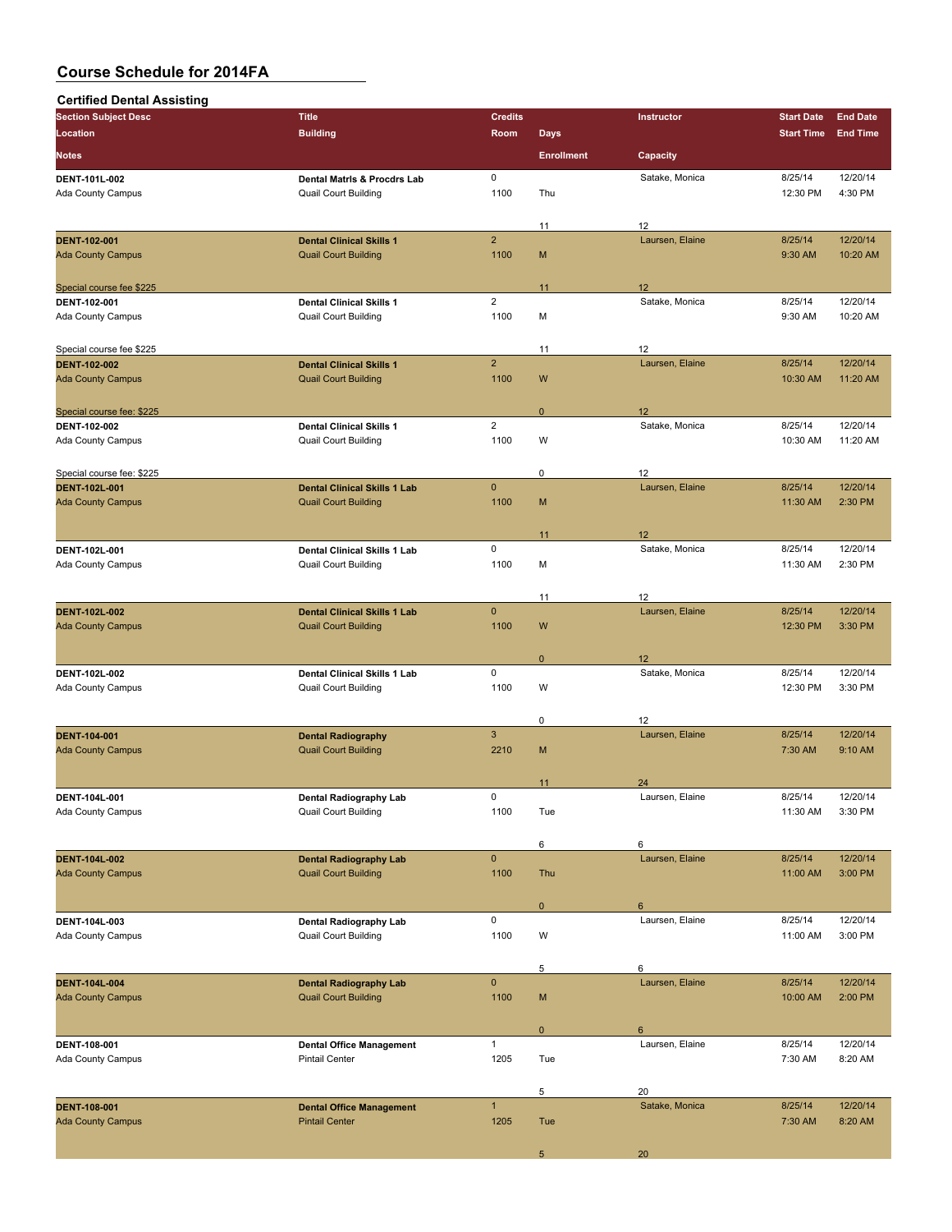| <b>Certified Dental Assisting</b>                 |                                     |                |                   |                       |                   |                      |
|---------------------------------------------------|-------------------------------------|----------------|-------------------|-----------------------|-------------------|----------------------|
| <b>Section Subject Desc</b>                       | <b>Title</b>                        | <b>Credits</b> |                   | Instructor            | <b>Start Date</b> | <b>End Date</b>      |
| Location                                          | <b>Building</b>                     | Room           | <b>Days</b>       |                       | <b>Start Time</b> | <b>End Time</b>      |
| <b>Notes</b>                                      |                                     |                | <b>Enrollment</b> | Capacity              |                   |                      |
| DENT 101L-002                                     | Dental Matris & Procdrs Lab         | $\mathsf 0$    |                   | Satake, Monica        | 8/25/14           | 12/20/14             |
| Ada County Campus                                 | Quail Court Building                | 1100           | Thu               |                       | 12:30 PM          | 4:30 PM              |
|                                                   |                                     |                |                   |                       |                   |                      |
|                                                   |                                     |                | 11                | 12                    |                   |                      |
| DENT-102-001                                      | <b>Dental Clinical Skills 1</b>     | $\overline{2}$ |                   | Laursen, Elaine       | 8/25/14           | 12/20/14             |
| <b>Ada County Campus</b>                          | <b>Quail Court Building</b>         | 1100           | M                 |                       | 9:30 AM           | 10:20 AM             |
| Special course fee \$225                          |                                     |                | 11                | 12                    |                   |                      |
| DENT-102-001                                      | <b>Dental Clinical Skills 1</b>     | $\overline{2}$ |                   | Satake, Monica        | 8/25/14           | 12/20/14             |
| Ada County Campus                                 | <b>Quail Court Building</b>         | 1100           | М                 |                       | 9:30 AM           | 10:20 AM             |
|                                                   |                                     |                |                   |                       |                   |                      |
| Special course fee \$225                          |                                     | $\overline{2}$ | 11                | 12                    |                   |                      |
| <b>DENT 102-002</b>                               | <b>Dental Clinical Skills 1</b>     | 1100           | W                 | Laursen, Elaine       | 8/25/14           | 12/20/14<br>11:20 AM |
| <b>Ada County Campus</b>                          | <b>Quail Court Building</b>         |                |                   |                       | 10:30 AM          |                      |
| Special course fee: \$225                         |                                     |                | $\mathbf 0$       | 12                    |                   |                      |
| DENT-102-002                                      | <b>Dental Clinical Skills 1</b>     | $\overline{2}$ |                   | Satake, Monica        | 8/25/14           | 12/20/14             |
| Ada County Campus                                 | <b>Quail Court Building</b>         | 1100           | W                 |                       | 10:30 AM          | 11:20 AM             |
|                                                   |                                     |                |                   |                       |                   |                      |
| Special course fee: \$225<br><b>DENT-102L-001</b> | <b>Dental Clinical Skills 1 Lab</b> | $\mathbf{0}$   | 0                 | 12<br>Laursen, Elaine | 8/25/14           | 12/20/14             |
| <b>Ada County Campus</b>                          | <b>Quail Court Building</b>         | 1100           | M                 |                       | 11:30 AM          | 2:30 PM              |
|                                                   |                                     |                |                   |                       |                   |                      |
|                                                   |                                     |                | 11                | 12                    |                   |                      |
| DENT-102L-001                                     | Dental Clinical Skills 1 Lab        | 0              |                   | Satake, Monica        | 8/25/14           | 12/20/14             |
| Ada County Campus                                 | Quail Court Building                | 1100           | М                 |                       | 11:30 AM          | 2:30 PM              |
|                                                   |                                     |                | 11                | 12                    |                   |                      |
| <b>DENT 102L-002</b>                              | <b>Dental Clinical Skills 1 Lab</b> | $\mathbf{0}$   |                   | Laursen, Elaine       | 8/25/14           | 12/20/14             |
| <b>Ada County Campus</b>                          | <b>Quail Court Building</b>         | 1100           | W                 |                       | 12:30 PM          | 3:30 PM              |
|                                                   |                                     |                |                   |                       |                   |                      |
|                                                   | Dental Clinical Skills 1 Lab        | 0              | $\mathbf 0$       | 12<br>Satake, Monica  | 8/25/14           | 12/20/14             |
| DENT-102L-002<br>Ada County Campus                | Quail Court Building                | 1100           | W                 |                       | 12:30 PM          | 3:30 PM              |
|                                                   |                                     |                |                   |                       |                   |                      |
|                                                   |                                     |                | 0                 | 12                    |                   |                      |
| <b>DENT-104-001</b>                               | <b>Dental Radiography</b>           | $\mathbf{3}$   |                   | Laursen, Elaine       | 8/25/14           | 12/20/14             |
| <b>Ada County Campus</b>                          | <b>Quail Court Building</b>         | 2210           | M                 |                       | 7:30 AM           | 9:10 AM              |
|                                                   |                                     |                | 11                | 24                    |                   |                      |
| DENT-104L-001                                     | Dental Radiography Lab              | 0              |                   | Laursen, Elaine       | 8/25/14           | 12/20/14             |
| Ada County Campus                                 | Quail Court Building                | 1100           | Tue               |                       | 11:30 AM          | 3:30 PM              |
|                                                   |                                     |                |                   |                       |                   |                      |
| <b>DENT-104L-002</b>                              | <b>Dental Radiography Lab</b>       | $\pmb{0}$      | 6                 | 6<br>Laursen, Elaine  | 8/25/14           | 12/20/14             |
| <b>Ada County Campus</b>                          | <b>Quail Court Building</b>         | 1100           | Thu               |                       | 11:00 AM          | 3:00 PM              |
|                                                   |                                     |                |                   |                       |                   |                      |
|                                                   |                                     |                | $\mathbf{0}$      | 6                     |                   |                      |
| DENT-104L-003                                     | <b>Dental Radiography Lab</b>       | 0              |                   | Laursen, Elaine       | 8/25/14           | 12/20/14             |
| Ada County Campus                                 | <b>Quail Court Building</b>         | 1100           | W                 |                       | 11:00 AM          | 3:00 PM              |
|                                                   |                                     |                | 5                 | 6                     |                   |                      |
| <b>DENT-104L-004</b>                              | <b>Dental Radiography Lab</b>       | $\mathbf{0}$   |                   | Laursen, Elaine       | 8/25/14           | 12/20/14             |
| <b>Ada County Campus</b>                          | <b>Quail Court Building</b>         | 1100           | M                 |                       | 10:00 AM          | 2:00 PM              |
|                                                   |                                     |                |                   |                       |                   |                      |
| DENT-108-001                                      | <b>Dental Office Management</b>     | $\mathbf{1}$   | $\mathbf{0}$      | 6<br>Laursen, Elaine  | 8/25/14           | 12/20/14             |
| Ada County Campus                                 | <b>Pintail Center</b>               | 1205           | Tue               |                       | 7:30 AM           | 8:20 AM              |
|                                                   |                                     |                |                   |                       |                   |                      |
|                                                   |                                     |                | 5                 | 20                    |                   |                      |
| <b>DENT-108-001</b>                               | <b>Dental Office Management</b>     | $\mathbf{1}$   |                   | Satake, Monica        | 8/25/14           | 12/20/14             |
| <b>Ada County Campus</b>                          | <b>Pintail Center</b>               | 1205           | Tue               |                       | 7:30 AM           | 8:20 AM              |
|                                                   |                                     |                | 5                 | 20                    |                   |                      |
|                                                   |                                     |                |                   |                       |                   |                      |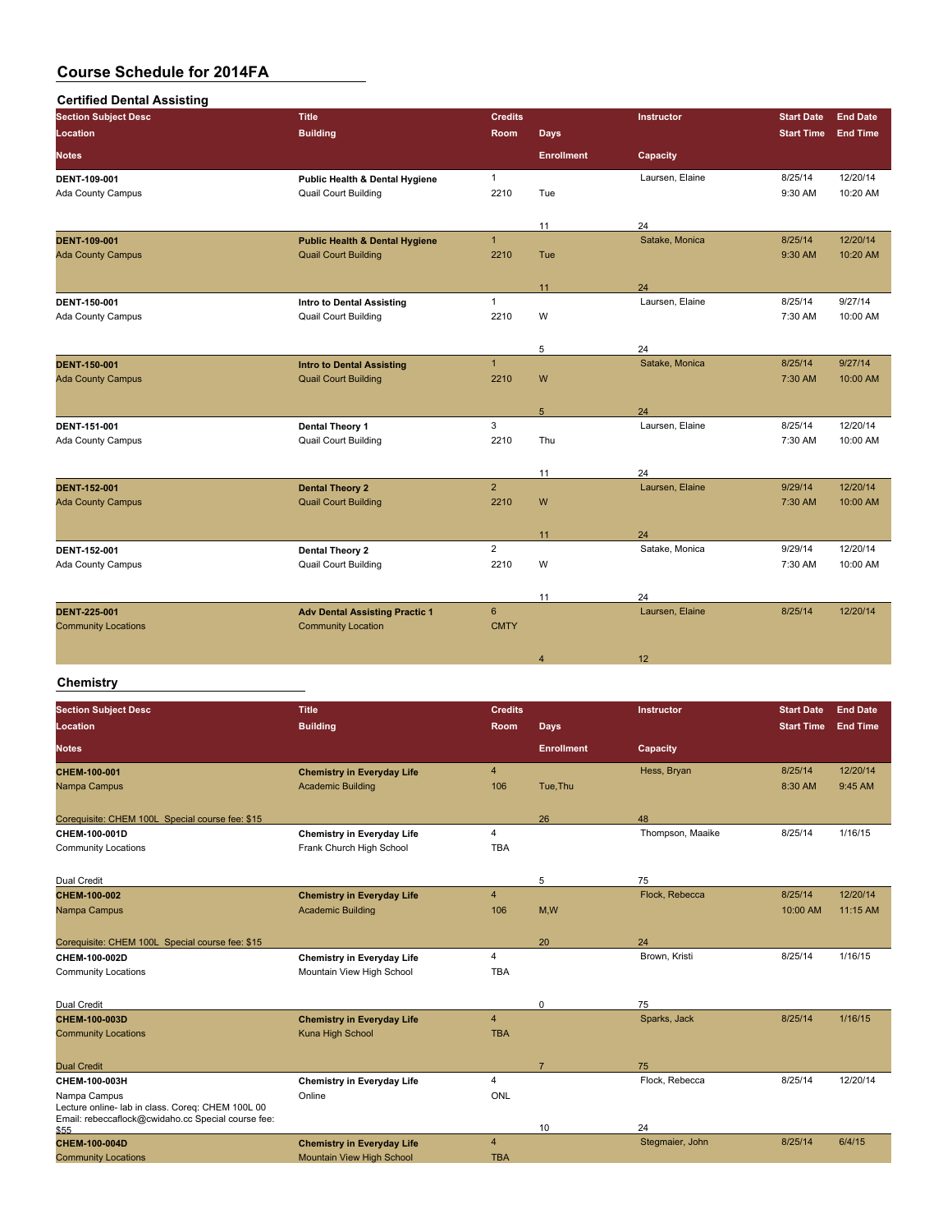| <b>Certified Dental Assisting</b> |                                           |                |                   |                   |                   |                 |
|-----------------------------------|-------------------------------------------|----------------|-------------------|-------------------|-------------------|-----------------|
| <b>Section Subject Desc</b>       | <b>Title</b>                              | <b>Credits</b> |                   | <b>Instructor</b> | <b>Start Date</b> | <b>End Date</b> |
| <b>Location</b>                   | <b>Building</b>                           | Room           | <b>Days</b>       |                   | <b>Start Time</b> | <b>End Time</b> |
| <b>Notes</b>                      |                                           |                | <b>Enrollment</b> | Capacity          |                   |                 |
| DENT-109-001                      | Public Health & Dental Hygiene            | $\mathbf{1}$   |                   | Laursen, Elaine   | 8/25/14           | 12/20/14        |
| Ada County Campus                 | <b>Quail Court Building</b>               | 2210           | Tue               |                   | 9:30 AM           | 10:20 AM        |
|                                   |                                           |                | 11                | 24                |                   |                 |
| <b>DENT 109 001</b>               | <b>Public Health &amp; Dental Hygiene</b> | $\mathbf{1}$   |                   | Satake, Monica    | 8/25/14           | 12/20/14        |
| <b>Ada County Campus</b>          | <b>Quail Court Building</b>               | 2210           | Tue               |                   | 9:30 AM           | 10:20 AM        |
|                                   |                                           |                | 11                | 24                |                   |                 |
| DENT-150-001                      | <b>Intro to Dental Assisting</b>          | $\mathbf{1}$   |                   | Laursen, Elaine   | 8/25/14           | 9/27/14         |
| Ada County Campus                 | <b>Quail Court Building</b>               | 2210           | W                 |                   | 7:30 AM           | 10:00 AM        |
|                                   |                                           |                | 5                 | 24                |                   |                 |
| <b>DENT 150 001</b>               | <b>Intro to Dental Assisting</b>          | $\mathbf{1}$   |                   | Satake, Monica    | 8/25/14           | 9/27/14         |
| <b>Ada County Campus</b>          | <b>Quail Court Building</b>               | 2210           | W                 |                   | 7:30 AM           | 10:00 AM        |
|                                   |                                           |                | 5                 | 24                |                   |                 |
| DENT-151-001                      | Dental Theory 1                           | 3              |                   | Laursen, Elaine   | 8/25/14           | 12/20/14        |
| Ada County Campus                 | <b>Quail Court Building</b>               | 2210           | Thu               |                   | 7:30 AM           | 10:00 AM        |
|                                   |                                           |                | 11                | 24                |                   |                 |
| <b>DENT 152 001</b>               | <b>Dental Theory 2</b>                    | $\overline{2}$ |                   | Laursen, Elaine   | 9/29/14           | 12/20/14        |
| <b>Ada County Campus</b>          | <b>Quail Court Building</b>               | 2210           | W                 |                   | 7:30 AM           | 10:00 AM        |
|                                   |                                           |                | 11                | 24                |                   |                 |
| <b>DENT 152 001</b>               | Dental Theory 2                           | $\overline{2}$ |                   | Satake, Monica    | 9/29/14           | 12/20/14        |
| Ada County Campus                 | <b>Quail Court Building</b>               | 2210           | W                 |                   | 7:30 AM           | 10:00 AM        |
|                                   |                                           |                | 11                | 24                |                   |                 |
| <b>DENT 225 001</b>               | <b>Adv Dental Assisting Practic 1</b>     | $6\phantom{a}$ |                   | Laursen, Elaine   | 8/25/14           | 12/20/14        |
| <b>Community Locations</b>        | <b>Community Location</b>                 | <b>CMTY</b>    |                   |                   |                   |                 |
|                                   |                                           |                | $\overline{4}$    | 12                |                   |                 |

| <b>Section Subject Desc</b>                                                                                             | <b>Title</b>                      | <b>Credits</b>          |                   | <b>Instructor</b> | <b>Start Date</b> | <b>End Date</b> |
|-------------------------------------------------------------------------------------------------------------------------|-----------------------------------|-------------------------|-------------------|-------------------|-------------------|-----------------|
| Location                                                                                                                | <b>Building</b>                   | <b>Room</b>             | <b>Days</b>       |                   | <b>Start Time</b> | <b>End Time</b> |
| <b>Notes</b>                                                                                                            |                                   |                         | <b>Enrollment</b> | Capacity          |                   |                 |
| CHEM-100-001                                                                                                            | <b>Chemistry in Everyday Life</b> | $\overline{\mathbf{4}}$ |                   | Hess, Bryan       | 8/25/14           | 12/20/14        |
| Nampa Campus                                                                                                            | <b>Academic Building</b>          | 106                     | Tue.Thu           |                   | 8:30 AM           | 9:45 AM         |
| Corequisite: CHEM 100L Special course fee: \$15                                                                         |                                   |                         | 26                | 48                |                   |                 |
| CHEM-100-001D                                                                                                           | <b>Chemistry in Everyday Life</b> | $\overline{4}$          |                   | Thompson, Maaike  | 8/25/14           | 1/16/15         |
| <b>Community Locations</b>                                                                                              | Frank Church High School          | <b>TBA</b>              |                   |                   |                   |                 |
| <b>Dual Credit</b>                                                                                                      |                                   |                         | 5                 | 75                |                   |                 |
| CHEM-100-002                                                                                                            | <b>Chemistry in Everyday Life</b> | $\overline{\mathbf{4}}$ |                   | Flock, Rebecca    | 8/25/14           | 12/20/14        |
| Nampa Campus                                                                                                            | <b>Academic Building</b>          | 106                     | M,W               |                   | 10:00 AM          | 11:15 AM        |
| Corequisite: CHEM 100L Special course fee: \$15                                                                         |                                   |                         | 20                | 24                |                   |                 |
| CHEM-100-002D                                                                                                           | <b>Chemistry in Everyday Life</b> | $\overline{4}$          |                   | Brown, Kristi     | 8/25/14           | 1/16/15         |
| <b>Community Locations</b>                                                                                              | Mountain View High School         | <b>TBA</b>              |                   |                   |                   |                 |
| <b>Dual Credit</b>                                                                                                      |                                   |                         | $\mathbf 0$       | 75                |                   |                 |
| <b>CHEM 100 003D</b>                                                                                                    | <b>Chemistry in Everyday Life</b> | $\overline{4}$          |                   | Sparks, Jack      | 8/25/14           | 1/16/15         |
| <b>Community Locations</b>                                                                                              | Kuna High School                  | <b>TBA</b>              |                   |                   |                   |                 |
| <b>Dual Credit</b>                                                                                                      |                                   |                         |                   | 75                |                   |                 |
| CHEM-100-003H                                                                                                           | <b>Chemistry in Everyday Life</b> | $\overline{4}$          |                   | Flock, Rebecca    | 8/25/14           | 12/20/14        |
| Nampa Campus<br>Lecture online- lab in class. Coreq: CHEM 100L 00<br>Email: rebeccaflock@cwidaho.cc Special course fee: | Online                            | ONL                     |                   | 24                |                   |                 |
| \$55<br><b>CHEM-100-004D</b>                                                                                            | <b>Chemistry in Everyday Life</b> | $\overline{4}$          | 10                | Stegmaier, John   | 8/25/14           | 6/4/15          |
| <b>Community Locations</b>                                                                                              | <b>Mountain View High School</b>  | <b>TBA</b>              |                   |                   |                   |                 |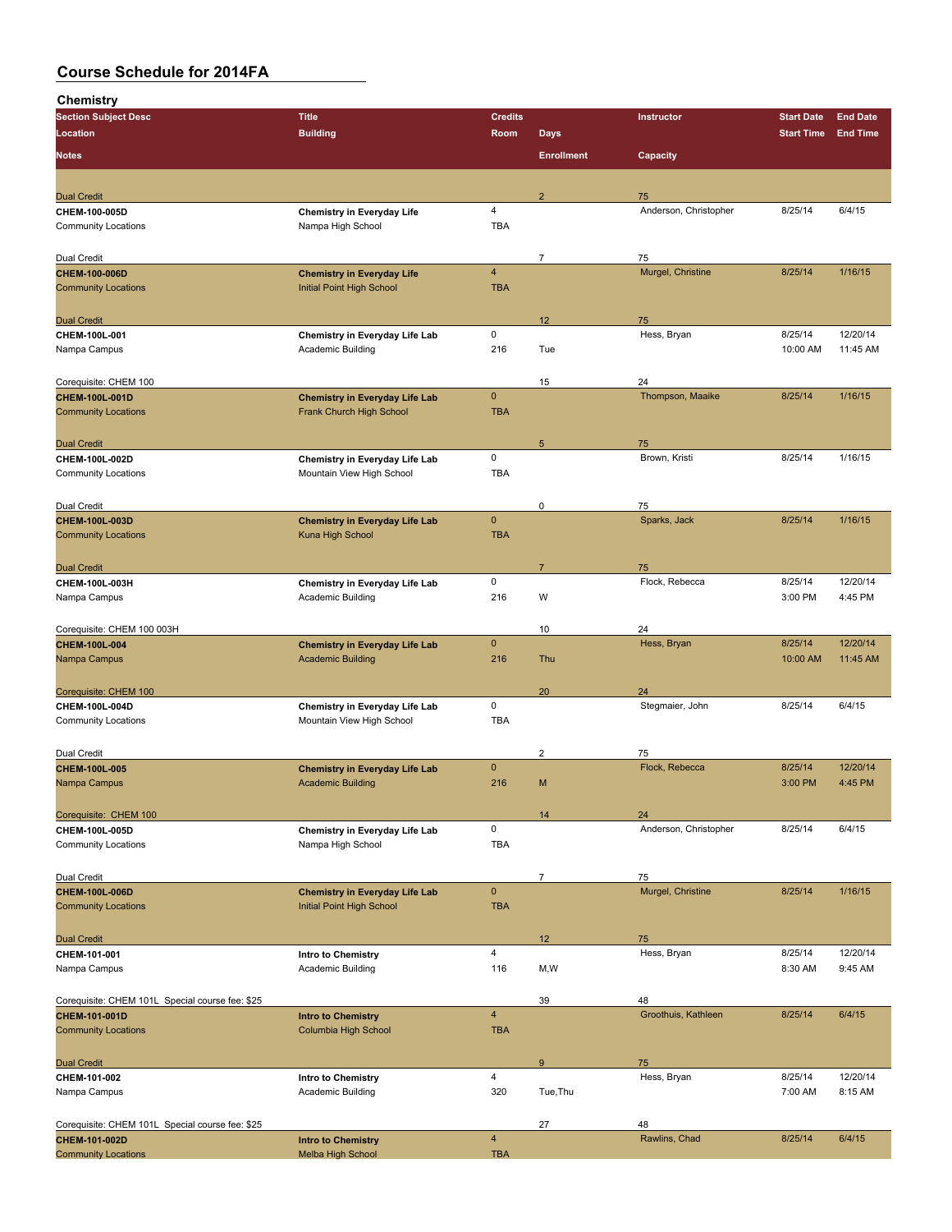| unennsuy                                        |                                                            |                         |                   |                       |                   |                 |
|-------------------------------------------------|------------------------------------------------------------|-------------------------|-------------------|-----------------------|-------------------|-----------------|
| <b>Section Subject Desc</b>                     | <b>Title</b>                                               | <b>Credits</b>          |                   | Instructor            | <b>Start Date</b> | <b>End Date</b> |
| Location                                        | <b>Building</b>                                            | Room                    | <b>Days</b>       |                       | <b>Start Time</b> | <b>End Time</b> |
| <b>Notes</b>                                    |                                                            |                         | <b>Enrollment</b> | Capacity              |                   |                 |
|                                                 |                                                            |                         |                   |                       |                   |                 |
| <b>Dual Credit</b>                              |                                                            |                         | $\overline{2}$    | 75                    |                   |                 |
| CHEM-100-005D                                   | <b>Chemistry in Everyday Life</b>                          | $\overline{4}$          |                   | Anderson, Christopher | 8/25/14           | 6/4/15          |
| <b>Community Locations</b>                      | Nampa High School                                          | <b>TBA</b>              |                   |                       |                   |                 |
| Dual Credit                                     |                                                            |                         | $\overline{7}$    | 75                    |                   |                 |
| CHEM-100-006D                                   | <b>Chemistry in Everyday Life</b>                          | $\overline{\mathbf{4}}$ |                   | Murgel, Christine     | 8/25/14           | 1/16/15         |
| <b>Community Locations</b>                      | Initial Point High School                                  | <b>TBA</b>              |                   |                       |                   |                 |
|                                                 |                                                            |                         |                   |                       |                   |                 |
| <b>Dual Credit</b>                              |                                                            | 0                       | 12                | 75<br>Hess, Bryan     | 8/25/14           | 12/20/14        |
| CHEM-100L-001<br>Nampa Campus                   | Chemistry in Everyday Life Lab<br><b>Academic Building</b> | 216                     | Tue               |                       | 10:00 AM          | 11:45 AM        |
| Corequisite: CHEM 100                           |                                                            |                         | 15                | 24                    |                   |                 |
| CHEM-100L-001D                                  | <b>Chemistry in Everyday Life Lab</b>                      | $\pmb{0}$               |                   | Thompson, Maaike      | 8/25/14           | 1/16/15         |
| <b>Community Locations</b>                      | Frank Church High School                                   | <b>TBA</b>              |                   |                       |                   |                 |
| <b>Dual Credit</b>                              |                                                            |                         | 5                 | 75                    |                   |                 |
| CHEM-100L-002D                                  | Chemistry in Everyday Life Lab                             | 0                       |                   | Brown, Kristi         | 8/25/14           | 1/16/15         |
| <b>Community Locations</b>                      | Mountain View High School                                  | <b>TBA</b>              |                   |                       |                   |                 |
| Dual Credit                                     |                                                            |                         | 0                 | 75                    |                   |                 |
| CHEM-100L-003D                                  |                                                            | $\mathbf 0$             |                   | Sparks, Jack          | 8/25/14           | 1/16/15         |
| <b>Community Locations</b>                      | <b>Chemistry in Everyday Life Lab</b><br>Kuna High School  | <b>TBA</b>              |                   |                       |                   |                 |
|                                                 |                                                            |                         |                   |                       |                   |                 |
| <b>Dual Credit</b>                              |                                                            |                         | $\overline{7}$    | 75                    |                   |                 |
| CHEM-100L-003H                                  | Chemistry in Everyday Life Lab                             | $\mathsf 0$             |                   | Flock, Rebecca        | 8/25/14           | 12/20/14        |
| Nampa Campus                                    | Academic Building                                          | 216                     | W                 |                       | 3:00 PM           | 4:45 PM         |
| Corequisite: CHEM 100 003H                      |                                                            |                         | 10                | 24                    |                   |                 |
| CHEM-100L-004                                   | <b>Chemistry in Everyday Life Lab</b>                      | $\mathbf 0$             |                   | Hess, Bryan           | 8/25/14           | 12/20/14        |
| Nampa Campus                                    | <b>Academic Building</b>                                   | 216                     | Thu               |                       | 10:00 AM          | 11:45 AM        |
| Corequisite: CHEM 100                           |                                                            |                         | 20                | 24                    |                   |                 |
| CHEM-100L-004D                                  | Chemistry in Everyday Life Lab                             | $\mathsf 0$             |                   | Stegmaier, John       | 8/25/14           | 6/4/15          |
| <b>Community Locations</b>                      | Mountain View High School                                  | <b>TBA</b>              |                   |                       |                   |                 |
| Dual Credit                                     |                                                            |                         | $\overline{2}$    | 75                    |                   |                 |
| CHEM-100L-005                                   | <b>Chemistry in Everyday Life Lab</b>                      | $\mathbf 0$             |                   | Flock, Rebecca        | 8/25/14           | 12/20/14        |
| Nampa Campus                                    | <b>Academic Building</b>                                   | 216                     | M                 |                       | 3:00 PM           | 4:45 PM         |
| Corequisite: CHEM 100                           |                                                            |                         | 14                | 24                    |                   |                 |
| CHEM-100L-005D                                  | Chemistry in Everyday Life Lab                             | 0                       |                   | Anderson, Christopher | 8/25/14           | 6/4/15          |
| <b>Community Locations</b>                      | Nampa High School                                          | <b>TBA</b>              |                   |                       |                   |                 |
| Dual Credit                                     |                                                            |                         | $\overline{7}$    | 75                    |                   |                 |
| CHEM-100L-006D                                  | <b>Chemistry in Everyday Life Lab</b>                      | $\mathbf 0$             |                   | Murgel, Christine     | 8/25/14           | 1/16/15         |
| <b>Community Locations</b>                      | Initial Point High School                                  | <b>TBA</b>              |                   |                       |                   |                 |
| <b>Dual Credit</b>                              |                                                            |                         | 12                | 75                    |                   |                 |
| CHEM-101-001                                    | Intro to Chemistry                                         | $\overline{\mathbf{4}}$ |                   | Hess, Bryan           | 8/25/14           | 12/20/14        |
| Nampa Campus                                    | Academic Building                                          | 116                     | M,W               |                       | 8:30 AM           | 9:45 AM         |
| Corequisite: CHEM 101L Special course fee: \$25 |                                                            |                         | 39                | 48                    |                   |                 |
| CHEM-101-001D                                   | <b>Intro to Chemistry</b>                                  | $\overline{\mathbf{4}}$ |                   | Groothuis, Kathleen   | 8/25/14           | 6/4/15          |
| <b>Community Locations</b>                      | Columbia High School                                       | <b>TBA</b>              |                   |                       |                   |                 |
| <b>Dual Credit</b>                              |                                                            |                         | 9                 | 75                    |                   |                 |
| CHEM-101-002                                    | Intro to Chemistry                                         | $\overline{\mathbf{4}}$ |                   | Hess, Bryan           | 8/25/14           | 12/20/14        |
| Nampa Campus                                    | <b>Academic Building</b>                                   | 320                     | Tue, Thu          |                       | 7:00 AM           | 8:15 AM         |
| Corequisite: CHEM 101L Special course fee: \$25 |                                                            |                         | 27                | 48                    |                   |                 |
| CHEM-101-002D                                   | <b>Intro to Chemistry</b>                                  | $\overline{\mathbf{4}}$ |                   | Rawlins, Chad         | 8/25/14           | 6/4/15          |
| <b>Community Locations</b>                      | <b>Melba High School</b>                                   | <b>TBA</b>              |                   |                       |                   |                 |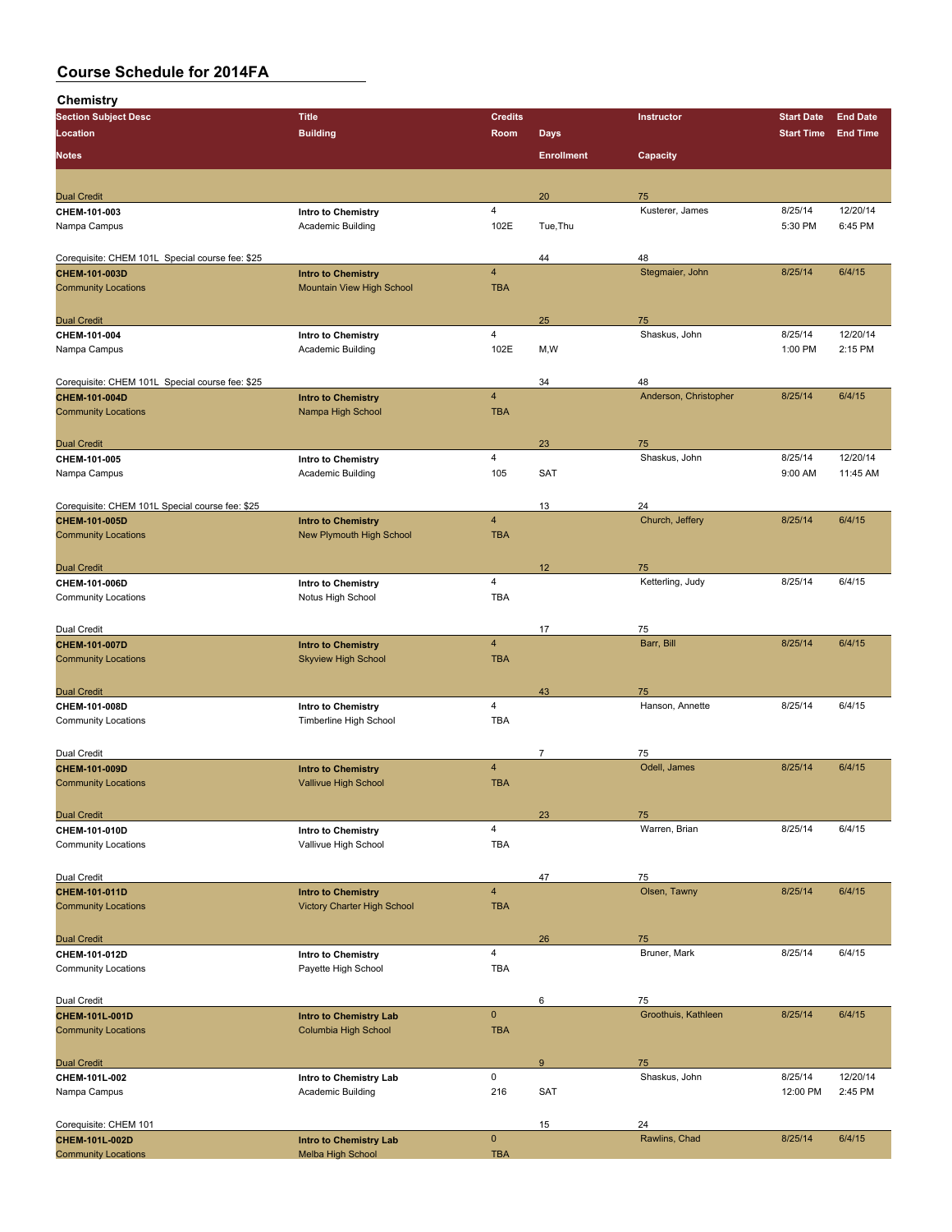| .<br><b>Section Subject Desc</b>                | <b>Title</b>                       | <b>Credits</b>          |                   | Instructor            | <b>Start Date</b> | <b>End Date</b> |
|-------------------------------------------------|------------------------------------|-------------------------|-------------------|-----------------------|-------------------|-----------------|
| Location                                        | <b>Building</b>                    | Room                    | <b>Days</b>       |                       | <b>Start Time</b> | <b>End Time</b> |
|                                                 |                                    |                         |                   |                       |                   |                 |
| <b>Notes</b>                                    |                                    |                         | <b>Enrollment</b> | Capacity              |                   |                 |
|                                                 |                                    |                         |                   |                       |                   |                 |
| <b>Dual Credit</b>                              |                                    |                         | 20                | 75                    |                   |                 |
| CHEM-101-003                                    | Intro to Chemistry                 | $\overline{4}$          |                   | Kusterer, James       | 8/25/14           | 12/20/14        |
| Nampa Campus                                    | Academic Building                  | 102E                    | Tue, Thu          |                       | 5:30 PM           | 6:45 PM         |
|                                                 |                                    |                         |                   |                       |                   |                 |
| Corequisite: CHEM 101L Special course fee: \$25 |                                    |                         | 44                | 48                    |                   |                 |
| CHEM-101-003D                                   | <b>Intro to Chemistry</b>          | $\overline{4}$          |                   | Stegmaier, John       | 8/25/14           | 6/4/15          |
| <b>Community Locations</b>                      | Mountain View High School          | <b>TBA</b>              |                   |                       |                   |                 |
|                                                 |                                    |                         |                   |                       |                   |                 |
| <b>Dual Credit</b>                              |                                    |                         | 25                | 75                    |                   |                 |
| CHEM-101-004                                    | Intro to Chemistry                 | $\overline{4}$          |                   | Shaskus, John         | 8/25/14           | 12/20/14        |
| Nampa Campus                                    | Academic Building                  | 102E                    | M,W               |                       | 1:00 PM           | 2:15 PM         |
|                                                 |                                    |                         |                   |                       |                   |                 |
| Corequisite: CHEM 101L Special course fee: \$25 |                                    |                         | 34                | 48                    |                   |                 |
| CHEM-101-004D                                   | <b>Intro to Chemistry</b>          | $\overline{4}$          |                   | Anderson, Christopher | 8/25/14           | 6/4/15          |
| <b>Community Locations</b>                      | Nampa High School                  | <b>TBA</b>              |                   |                       |                   |                 |
|                                                 |                                    |                         |                   |                       |                   |                 |
| <b>Dual Credit</b>                              |                                    |                         | 23                | 75                    |                   |                 |
| CHEM-101-005                                    | Intro to Chemistry                 | $\overline{4}$          |                   | Shaskus, John         | 8/25/14           | 12/20/14        |
| Nampa Campus                                    | Academic Building                  | 105                     | <b>SAT</b>        |                       | 9:00 AM           | 11:45 AM        |
|                                                 |                                    |                         |                   |                       |                   |                 |
| Corequisite: CHEM 101L Special course fee: \$25 |                                    |                         | 13                | 24                    |                   |                 |
| CHEM-101-005D                                   | <b>Intro to Chemistry</b>          | $\overline{4}$          |                   | Church, Jeffery       | 8/25/14           | 6/4/15          |
| <b>Community Locations</b>                      | New Plymouth High School           | <b>TBA</b>              |                   |                       |                   |                 |
|                                                 |                                    |                         |                   |                       |                   |                 |
| <b>Dual Credit</b>                              |                                    |                         | 12                | 75                    |                   |                 |
| CHEM-101-006D                                   | Intro to Chemistry                 | 4                       |                   | Ketterling, Judy      | 8/25/14           | 6/4/15          |
| <b>Community Locations</b>                      | Notus High School                  | <b>TBA</b>              |                   |                       |                   |                 |
|                                                 |                                    |                         |                   |                       |                   |                 |
| Dual Credit                                     |                                    |                         | 17                | 75                    |                   |                 |
| CHEM-101-007D                                   | <b>Intro to Chemistry</b>          | $\overline{\mathbf{4}}$ |                   | Barr, Bill            | 8/25/14           | 6/4/15          |
| <b>Community Locations</b>                      | <b>Skyview High School</b>         | <b>TBA</b>              |                   |                       |                   |                 |
|                                                 |                                    |                         |                   |                       |                   |                 |
| <b>Dual Credit</b>                              |                                    |                         | 43                | 75                    |                   |                 |
| CHEM-101-008D                                   | Intro to Chemistry                 | 4                       |                   | Hanson, Annette       | 8/25/14           | 6/4/15          |
| <b>Community Locations</b>                      | Timberline High School             | <b>TBA</b>              |                   |                       |                   |                 |
|                                                 |                                    |                         |                   |                       |                   |                 |
| Dual Credit                                     |                                    |                         | 7                 | 75                    |                   |                 |
| CHEM-101-009D                                   | <b>Intro to Chemistry</b>          | $\overline{4}$          |                   | Odell, James          | 8/25/14           | 6/4/15          |
| <b>Community Locations</b>                      | Vallivue High School               | <b>TBA</b>              |                   |                       |                   |                 |
|                                                 |                                    |                         |                   |                       |                   |                 |
| <b>Dual Credit</b>                              |                                    |                         | 23                | 75                    |                   |                 |
| CHEM-101-010D                                   | Intro to Chemistry                 | $\overline{4}$          |                   | Warren, Brian         | 8/25/14           | 6/4/15          |
| <b>Community Locations</b>                      | Vallivue High School               | <b>TBA</b>              |                   |                       |                   |                 |
|                                                 |                                    |                         |                   |                       |                   |                 |
| Dual Credit                                     |                                    |                         | 47                | 75                    |                   |                 |
| CHEM-101-011D                                   | <b>Intro to Chemistry</b>          | $\overline{4}$          |                   | Olsen, Tawny          | 8/25/14           | 6/4/15          |
| <b>Community Locations</b>                      | <b>Victory Charter High School</b> | <b>TBA</b>              |                   |                       |                   |                 |
|                                                 |                                    |                         |                   |                       |                   |                 |
| <b>Dual Credit</b>                              |                                    |                         | 26                | 75                    |                   |                 |
| CHEM-101-012D                                   | <b>Intro to Chemistry</b>          | $\overline{4}$          |                   | Bruner, Mark          | 8/25/14           | 6/4/15          |
| <b>Community Locations</b>                      | Payette High School                | <b>TBA</b>              |                   |                       |                   |                 |
|                                                 |                                    |                         |                   |                       |                   |                 |
| Dual Credit                                     |                                    |                         | 6                 | 75                    |                   |                 |
| CHEM-101L-001D                                  | <b>Intro to Chemistry Lab</b>      | $\mathbf 0$             |                   | Groothuis, Kathleen   | 8/25/14           | 6/4/15          |
| <b>Community Locations</b>                      | Columbia High School               | <b>TBA</b>              |                   |                       |                   |                 |
|                                                 |                                    |                         |                   |                       |                   |                 |
| <b>Dual Credit</b>                              |                                    |                         | 9                 | 75                    |                   |                 |
| CHEM-101L-002                                   | Intro to Chemistry Lab             | 0                       |                   | Shaskus, John         | 8/25/14           | 12/20/14        |
| Nampa Campus                                    | <b>Academic Building</b>           | 216                     | <b>SAT</b>        |                       | 12:00 PM          | 2:45 PM         |
|                                                 |                                    |                         |                   |                       |                   |                 |
| Corequisite: CHEM 101                           |                                    |                         | 15                | 24                    |                   |                 |
| CHEM-101L-002D                                  | <b>Intro to Chemistry Lab</b>      | $\mathbf 0$             |                   | Rawlins, Chad         | 8/25/14           | 6/4/15          |
| <b>Community Locations</b>                      | Melba High School                  | <b>TBA</b>              |                   |                       |                   |                 |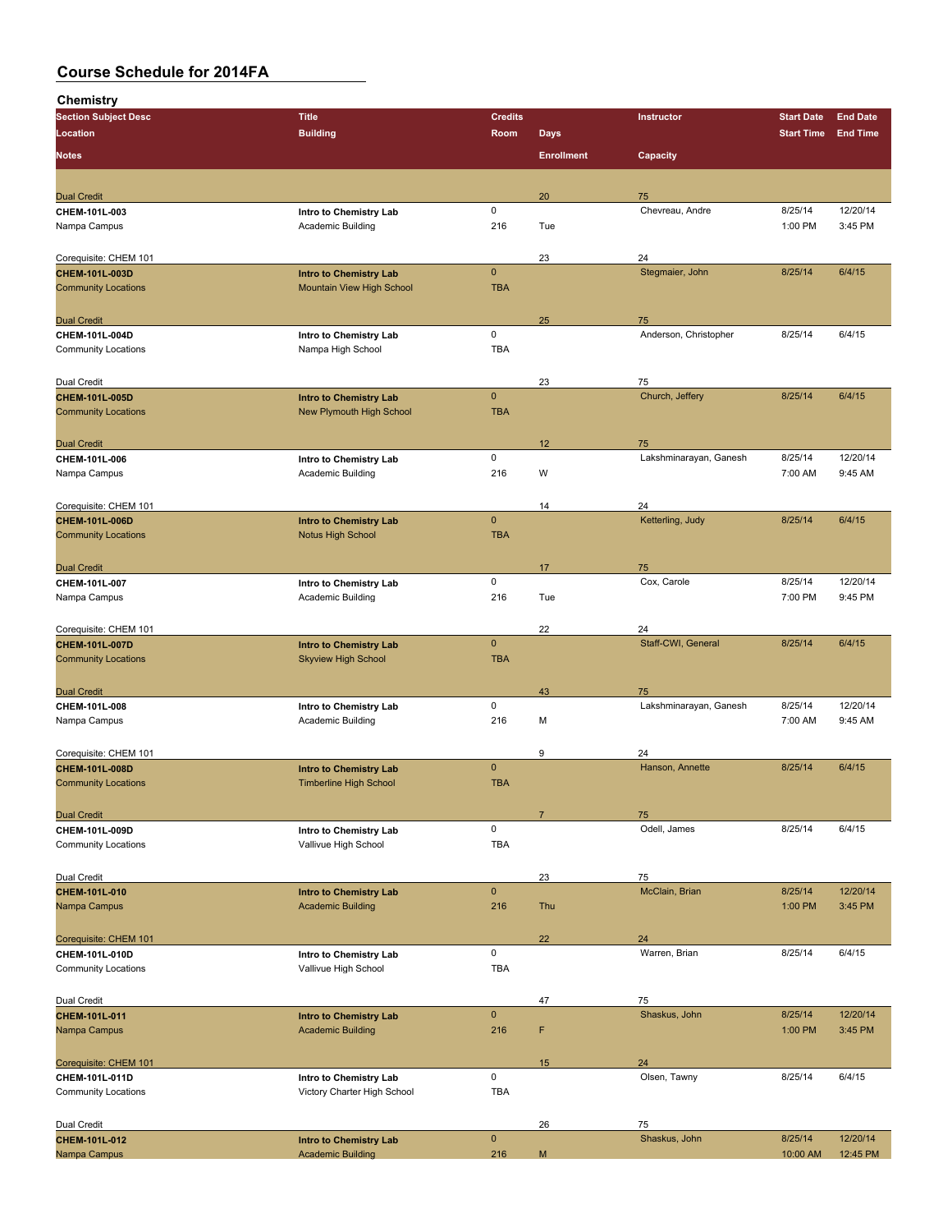| <b>Section Subject Desc</b>                  | <b>Title</b>                                                     | <b>Credits</b> |                   | Instructor                   | <b>Start Date</b> | <b>End Date</b> |
|----------------------------------------------|------------------------------------------------------------------|----------------|-------------------|------------------------------|-------------------|-----------------|
| Location                                     | <b>Building</b>                                                  | Room           | <b>Days</b>       |                              | <b>Start Time</b> | <b>End Time</b> |
|                                              |                                                                  |                |                   |                              |                   |                 |
| <b>Notes</b>                                 |                                                                  |                | <b>Enrollment</b> | Capacity                     |                   |                 |
|                                              |                                                                  |                |                   |                              |                   |                 |
| <b>Dual Credit</b>                           |                                                                  |                | 20                | 75                           |                   |                 |
| CHEM-101L-003                                | Intro to Chemistry Lab                                           | $\mathsf 0$    |                   | Chevreau, Andre              | 8/25/14           | 12/20/14        |
| Nampa Campus                                 | Academic Building                                                | 216            | Tue               |                              | 1:00 PM           | 3:45 PM         |
|                                              |                                                                  |                |                   |                              |                   |                 |
| Corequisite: CHEM 101                        |                                                                  |                | 23                | 24                           |                   |                 |
| CHEM-101L-003D                               | <b>Intro to Chemistry Lab</b>                                    | $\mathbf{0}$   |                   | Stegmaier, John              | 8/25/14           | 6/4/15          |
| <b>Community Locations</b>                   | Mountain View High School                                        | <b>TBA</b>     |                   |                              |                   |                 |
|                                              |                                                                  |                |                   |                              |                   |                 |
| <b>Dual Credit</b>                           |                                                                  |                | 25                | 75                           |                   |                 |
| CHEM-101L-004D                               | Intro to Chemistry Lab                                           | $\mathsf 0$    |                   | Anderson, Christopher        | 8/25/14           | 6/4/15          |
| <b>Community Locations</b>                   | Nampa High School                                                | <b>TBA</b>     |                   |                              |                   |                 |
|                                              |                                                                  |                |                   |                              |                   |                 |
| Dual Credit                                  |                                                                  | $\mathbf 0$    | 23                | 75<br>Church, Jeffery        |                   | 6/4/15          |
| CHEM-101L-005D<br><b>Community Locations</b> | <b>Intro to Chemistry Lab</b><br><b>New Plymouth High School</b> | <b>TBA</b>     |                   |                              | 8/25/14           |                 |
|                                              |                                                                  |                |                   |                              |                   |                 |
|                                              |                                                                  |                |                   |                              |                   |                 |
| <b>Dual Credit</b><br>CHEM-101L-006          |                                                                  | $\mathbf 0$    | 12                | 75<br>Lakshminarayan, Ganesh | 8/25/14           | 12/20/14        |
| Nampa Campus                                 | Intro to Chemistry Lab<br>Academic Building                      | 216            | W                 |                              | 7:00 AM           | 9:45 AM         |
|                                              |                                                                  |                |                   |                              |                   |                 |
| Corequisite: CHEM 101                        |                                                                  |                | 14                | 24                           |                   |                 |
| CHEM-101L-006D                               | <b>Intro to Chemistry Lab</b>                                    | $\mathbf{0}$   |                   | Ketterling, Judy             | 8/25/14           | 6/4/15          |
| <b>Community Locations</b>                   | <b>Notus High School</b>                                         | <b>TBA</b>     |                   |                              |                   |                 |
|                                              |                                                                  |                |                   |                              |                   |                 |
| <b>Dual Credit</b>                           |                                                                  |                | 17                | 75                           |                   |                 |
| CHEM-101L-007                                | Intro to Chemistry Lab                                           | $\mathsf 0$    |                   | Cox, Carole                  | 8/25/14           | 12/20/14        |
| Nampa Campus                                 | Academic Building                                                | 216            | Tue               |                              | 7:00 PM           | 9:45 PM         |
|                                              |                                                                  |                |                   |                              |                   |                 |
| Corequisite: CHEM 101                        |                                                                  |                | 22                | 24                           |                   |                 |
| CHEM-101L-007D                               | <b>Intro to Chemistry Lab</b>                                    | $\mathbf{0}$   |                   | Staff-CWI, General           | 8/25/14           | 6/4/15          |
| <b>Community Locations</b>                   | <b>Skyview High School</b>                                       | <b>TBA</b>     |                   |                              |                   |                 |
|                                              |                                                                  |                |                   |                              |                   |                 |
| <b>Dual Credit</b>                           |                                                                  |                | 43                | 75                           |                   |                 |
| CHEM-101L-008                                | Intro to Chemistry Lab                                           | 0              |                   | Lakshminarayan, Ganesh       | 8/25/14           | 12/20/14        |
| Nampa Campus                                 | Academic Building                                                | 216            | М                 |                              | 7:00 AM           | 9:45 AM         |
|                                              |                                                                  |                |                   |                              |                   |                 |
| Corequisite: CHEM 101                        |                                                                  |                | 9                 | 24                           |                   |                 |
| CHEM-101L-008D                               | <b>Intro to Chemistry Lab</b>                                    | $\mathbf{0}$   |                   | Hanson, Annette              | 8/25/14           | 6/4/15          |
| <b>Community Locations</b>                   | <b>Timberline High School</b>                                    | <b>TBA</b>     |                   |                              |                   |                 |
|                                              |                                                                  |                |                   |                              |                   |                 |
| <b>Dual Credit</b>                           |                                                                  |                | $\overline{7}$    | 75                           |                   |                 |
| CHEM-101L-009D                               | Intro to Chemistry Lab                                           | $\mathsf 0$    |                   | Odell, James                 | 8/25/14           | 6/4/15          |
| <b>Community Locations</b>                   | Vallivue High School                                             | <b>TBA</b>     |                   |                              |                   |                 |
|                                              |                                                                  |                |                   |                              |                   |                 |
| Dual Credit                                  |                                                                  |                | 23                | 75                           |                   |                 |
| CHEM-101L-010                                | <b>Intro to Chemistry Lab</b>                                    | $\pmb{0}$      |                   | McClain, Brian               | 8/25/14           | 12/20/14        |
| Nampa Campus                                 | <b>Academic Building</b>                                         | 216            | Thu               |                              | 1:00 PM           | 3:45 PM         |
|                                              |                                                                  |                |                   |                              |                   |                 |
| Corequisite: CHEM 101                        |                                                                  |                | 22                | 24                           |                   |                 |
| CHEM-101L-010D                               | Intro to Chemistry Lab                                           | 0              |                   | Warren, Brian                | 8/25/14           | 6/4/15          |
| <b>Community Locations</b>                   | Vallivue High School                                             | TBA            |                   |                              |                   |                 |
|                                              |                                                                  |                |                   |                              |                   |                 |
| Dual Credit                                  |                                                                  |                | 47                | 75                           |                   |                 |
| CHEM-101L-011                                | <b>Intro to Chemistry Lab</b>                                    | $\pmb{0}$      |                   | Shaskus, John                | 8/25/14           | 12/20/14        |
| Nampa Campus                                 | <b>Academic Building</b>                                         | 216            | F                 |                              | 1:00 PM           | 3:45 PM         |
|                                              |                                                                  |                |                   |                              |                   |                 |
| Corequisite: CHEM 101                        |                                                                  | $\mathsf 0$    | 15                | 24<br>Olsen, Tawny           | 8/25/14           | 6/4/15          |
| CHEM-101L-011D<br><b>Community Locations</b> | Intro to Chemistry Lab<br>Victory Charter High School            | <b>TBA</b>     |                   |                              |                   |                 |
|                                              |                                                                  |                |                   |                              |                   |                 |
|                                              |                                                                  |                |                   |                              |                   |                 |
| Dual Credit<br>CHEM-101L-012                 | <b>Intro to Chemistry Lab</b>                                    | $\pmb{0}$      | 26                | 75<br>Shaskus, John          | 8/25/14           | 12/20/14        |
| Nampa Campus                                 | <b>Academic Building</b>                                         | 216            | М                 |                              | 10:00 AM          | 12:45 PM        |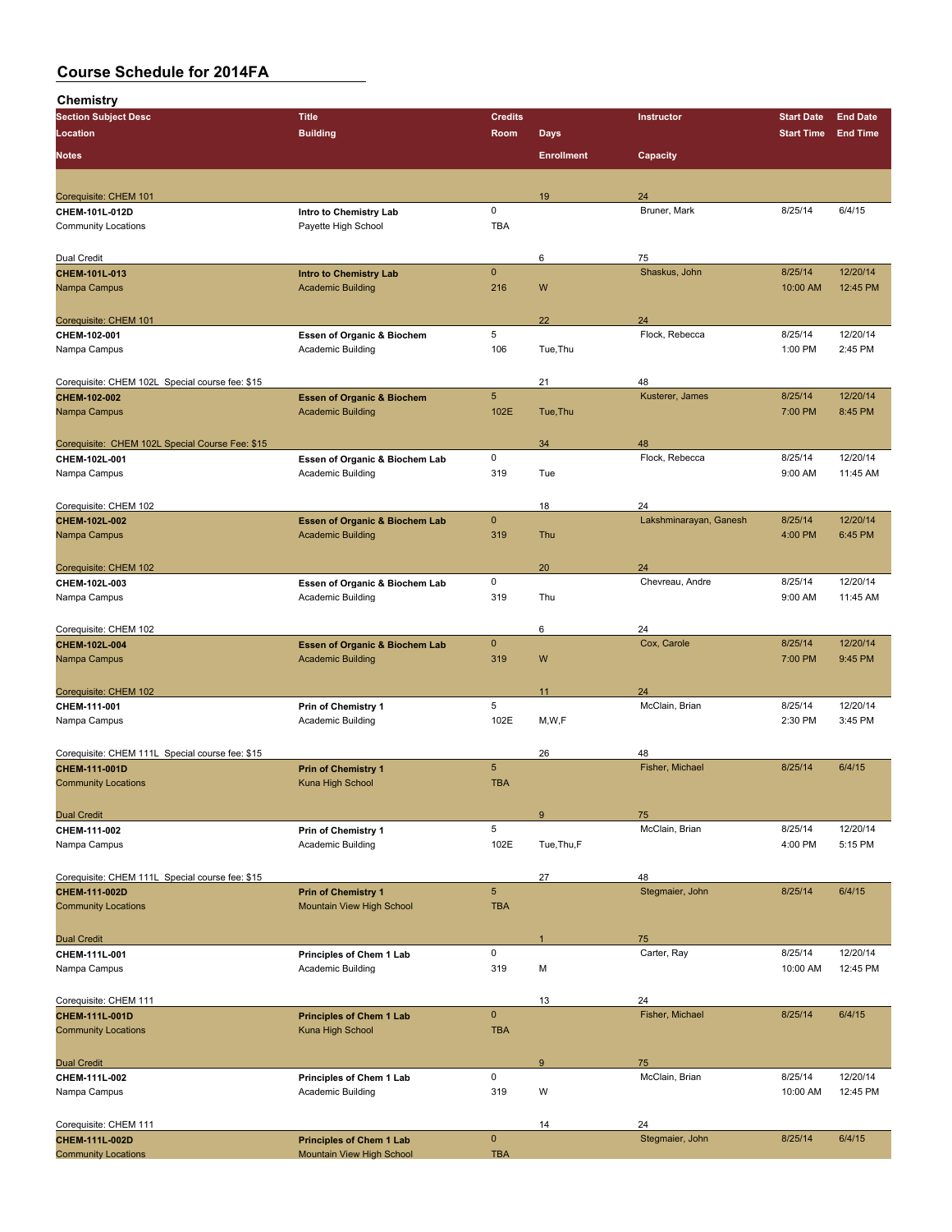| <b>Section Subject Desc</b>                     | <b>Title</b>                              | <b>Credits</b>  |                   | Instructor             | <b>Start Date</b> | <b>End Date</b> |
|-------------------------------------------------|-------------------------------------------|-----------------|-------------------|------------------------|-------------------|-----------------|
| Location                                        | <b>Building</b>                           | Room            | <b>Days</b>       |                        | <b>Start Time</b> | <b>End Time</b> |
|                                                 |                                           |                 |                   |                        |                   |                 |
| <b>Notes</b>                                    |                                           |                 | <b>Enrollment</b> | Capacity               |                   |                 |
|                                                 |                                           |                 |                   |                        |                   |                 |
| Corequisite: CHEM 101                           |                                           |                 | 19                | 24                     |                   |                 |
| CHEM-101L-012D                                  | Intro to Chemistry Lab                    | 0               |                   | Bruner, Mark           | 8/25/14           | 6/4/15          |
| <b>Community Locations</b>                      | Payette High School                       | <b>TBA</b>      |                   |                        |                   |                 |
|                                                 |                                           |                 |                   |                        |                   |                 |
| Dual Credit                                     |                                           |                 | 6                 | 75                     |                   |                 |
| <b>CHEM 101L 013</b>                            | <b>Intro to Chemistry Lab</b>             | $\mathbf 0$     |                   | Shaskus, John          | 8/25/14           | 12/20/14        |
| Nampa Campus                                    | <b>Academic Building</b>                  | 216             | W                 |                        | 10:00 AM          | 12:45 PM        |
|                                                 |                                           |                 |                   |                        |                   |                 |
| Corequisite: CHEM 101                           |                                           |                 | 22                | 24                     |                   |                 |
| CHEM-102-001                                    | Essen of Organic & Biochem                | 5               |                   | Flock, Rebecca         | 8/25/14           | 12/20/14        |
| Nampa Campus                                    | Academic Building                         | 106             | Tue, Thu          |                        | 1:00 PM           | 2:45 PM         |
|                                                 |                                           |                 |                   |                        |                   |                 |
| Corequisite: CHEM 102L Special course fee: \$15 |                                           |                 | 21                | 48                     |                   |                 |
| CHEM-102-002                                    | <b>Essen of Organic &amp; Biochem</b>     | $\overline{5}$  |                   | Kusterer, James        | 8/25/14           | 12/20/14        |
| Nampa Campus                                    | <b>Academic Building</b>                  | 102E            | Tue, Thu          |                        | 7:00 PM           | 8:45 PM         |
|                                                 |                                           |                 |                   |                        |                   |                 |
| Corequisite: CHEM 102L Special Course Fee: \$15 |                                           |                 | 34                | 48                     |                   |                 |
| CHEM-102L-001                                   | Essen of Organic & Biochem Lab            | 0               |                   | Flock, Rebecca         | 8/25/14           | 12/20/14        |
| Nampa Campus                                    | Academic Building                         | 319             | Tue               |                        | 9:00 AM           | 11:45 AM        |
|                                                 |                                           |                 |                   |                        |                   |                 |
|                                                 |                                           |                 |                   | 24                     |                   |                 |
| Corequisite: CHEM 102<br>CHEM-102L-002          | <b>Essen of Organic &amp; Biochem Lab</b> | $\mathbf 0$     | 18                | Lakshminarayan, Ganesh | 8/25/14           | 12/20/14        |
|                                                 |                                           | 319             | Thu               |                        | 4:00 PM           | 6:45 PM         |
| Nampa Campus                                    | <b>Academic Building</b>                  |                 |                   |                        |                   |                 |
|                                                 |                                           |                 |                   |                        |                   |                 |
| Corequisite: CHEM 102                           |                                           |                 | 20                | 24                     |                   |                 |
| CHEM-102L-003                                   | Essen of Organic & Biochem Lab            | 0               |                   | Chevreau, Andre        | 8/25/14           | 12/20/14        |
| Nampa Campus                                    | <b>Academic Building</b>                  | 319             | Thu               |                        | 9:00 AM           | 11:45 AM        |
|                                                 |                                           |                 |                   |                        |                   |                 |
| Corequisite: CHEM 102                           |                                           |                 | 6                 | 24                     |                   |                 |
| CHEM-102L-004                                   | <b>Essen of Organic &amp; Biochem Lab</b> | $\mathbf{0}$    |                   | Cox, Carole            | 8/25/14           | 12/20/14        |
| Nampa Campus                                    | <b>Academic Building</b>                  | 319             | W                 |                        | 7:00 PM           | 9:45 PM         |
|                                                 |                                           |                 |                   |                        |                   |                 |
| Corequisite: CHEM 102                           |                                           |                 | 11                | 24                     |                   |                 |
| CHEM-111-001                                    | Prin of Chemistry 1                       | 5               |                   | McClain, Brian         | 8/25/14           | 12/20/14        |
| Nampa Campus                                    | Academic Building                         | 102E            | M, W, F           |                        | 2:30 PM           | 3:45 PM         |
|                                                 |                                           |                 |                   |                        |                   |                 |
| Corequisite: CHEM 111L Special course fee: \$15 |                                           |                 | 26                | 48                     |                   |                 |
| CHEM-111-001D                                   | <b>Prin of Chemistry 1</b>                | $5\phantom{.0}$ |                   | Fisher, Michael        | 8/25/14           | 6/4/15          |
| <b>Community Locations</b>                      | Kuna High School                          | <b>TBA</b>      |                   |                        |                   |                 |
|                                                 |                                           |                 |                   |                        |                   |                 |
| <b>Dual Credit</b>                              |                                           |                 | $9\,$             | 75                     |                   |                 |
| CHEM-111-002                                    | Prin of Chemistry 1                       | 5               |                   | McClain, Brian         | 8/25/14           | 12/20/14        |
| Nampa Campus                                    | Academic Building                         | 102E            | Tue, Thu, F       |                        | 4:00 PM           | 5:15 PM         |
|                                                 |                                           |                 |                   |                        |                   |                 |
| Corequisite: CHEM 111L Special course fee: \$15 |                                           |                 | 27                | 48                     |                   |                 |
| CHEM-111-002D                                   | <b>Prin of Chemistry 1</b>                | $5\phantom{.0}$ |                   | Stegmaier, John        | 8/25/14           | 6/4/15          |
| <b>Community Locations</b>                      | Mountain View High School                 | <b>TBA</b>      |                   |                        |                   |                 |
|                                                 |                                           |                 |                   |                        |                   |                 |
| <b>Dual Credit</b>                              |                                           |                 | $\mathbf{1}$      | 75                     |                   |                 |
| CHEM-111L-001                                   | Principles of Chem 1 Lab                  | 0               |                   | Carter, Ray            | 8/25/14           | 12/20/14        |
| Nampa Campus                                    | Academic Building                         | 319             | М                 |                        | 10:00 AM          | 12:45 PM        |
|                                                 |                                           |                 |                   |                        |                   |                 |
| Corequisite: CHEM 111                           |                                           |                 | 13                | 24                     |                   |                 |
| CHEM-111L-001D                                  | <b>Principles of Chem 1 Lab</b>           | $\pmb{0}$       |                   | Fisher, Michael        | 8/25/14           | 6/4/15          |
| <b>Community Locations</b>                      | Kuna High School                          | <b>TBA</b>      |                   |                        |                   |                 |
|                                                 |                                           |                 |                   |                        |                   |                 |
| <b>Dual Credit</b>                              |                                           |                 | $\boldsymbol{9}$  | 75                     |                   |                 |
| CHEM-111L-002                                   | Principles of Chem 1 Lab                  | 0               |                   | McClain, Brian         | 8/25/14           | 12/20/14        |
| Nampa Campus                                    | Academic Building                         | 319             | W                 |                        | 10:00 AM          | 12:45 PM        |
|                                                 |                                           |                 |                   |                        |                   |                 |
|                                                 |                                           |                 |                   |                        |                   |                 |
| Corequisite: CHEM 111                           |                                           | $\mathbf 0$     | 14                | 24<br>Stegmaier, John  |                   |                 |
| CHEM-111L-002D                                  | <b>Principles of Chem 1 Lab</b>           |                 |                   |                        | 8/25/14           | 6/4/15          |
| <b>Community Locations</b>                      | Mountain View High School                 | <b>TBA</b>      |                   |                        |                   |                 |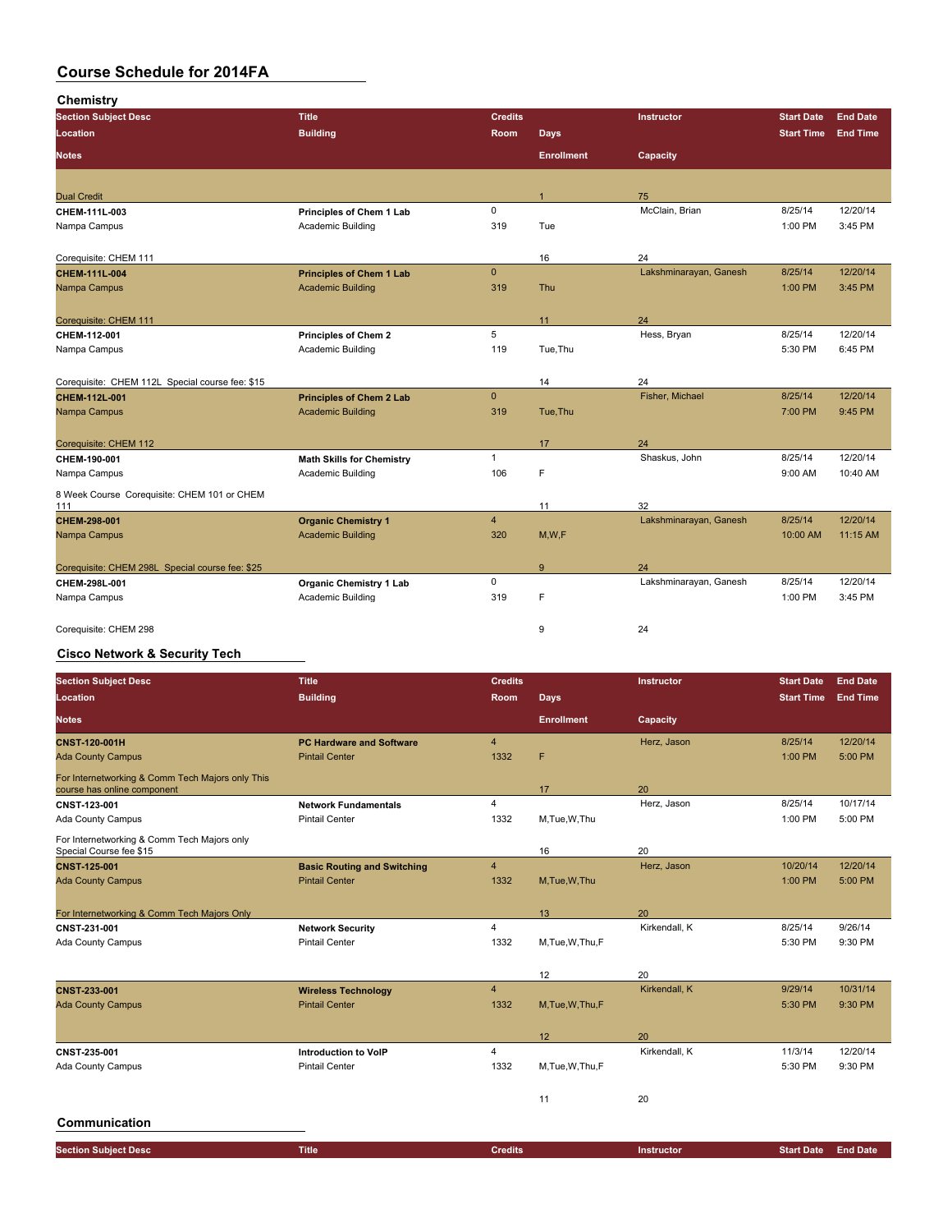| Chemistry                                       |                                  |                |                   |                        |                   |                 |
|-------------------------------------------------|----------------------------------|----------------|-------------------|------------------------|-------------------|-----------------|
| <b>Section Subject Desc</b>                     | <b>Title</b>                     | <b>Credits</b> |                   | Instructor             | <b>Start Date</b> | <b>End Date</b> |
| Location                                        | <b>Building</b>                  | Room           | <b>Days</b>       |                        | <b>Start Time</b> | <b>End Time</b> |
| <b>Notes</b>                                    |                                  |                | <b>Enrollment</b> | Capacity               |                   |                 |
|                                                 |                                  |                |                   |                        |                   |                 |
| <b>Dual Credit</b>                              |                                  |                | $\overline{1}$    | 75                     |                   |                 |
| CHEM-111L-003                                   | Principles of Chem 1 Lab         | $\mathbf 0$    |                   | McClain, Brian         | 8/25/14           | 12/20/14        |
| Nampa Campus                                    | Academic Building                | 319            | Tue               |                        | 1:00 PM           | 3:45 PM         |
| Corequisite: CHEM 111                           |                                  |                |                   | 24                     |                   |                 |
| CHEM-111L-004                                   | <b>Principles of Chem 1 Lab</b>  | $\mathbf{0}$   | 16                | Lakshminarayan, Ganesh | 8/25/14           | 12/20/14        |
| Nampa Campus                                    | <b>Academic Building</b>         | 319            | Thu               |                        | 1:00 PM           | 3:45 PM         |
|                                                 |                                  |                |                   |                        |                   |                 |
| Corequisite: CHEM 111                           |                                  |                | 11                | 24                     |                   |                 |
| CHEM-112-001                                    | <b>Principles of Chem 2</b>      | 5              |                   | Hess, Bryan            | 8/25/14           | 12/20/14        |
| Nampa Campus                                    | Academic Building                | 119            | Tue, Thu          |                        | 5:30 PM           | 6:45 PM         |
|                                                 |                                  |                |                   |                        |                   |                 |
| Corequisite: CHEM 112L Special course fee: \$15 |                                  | $\mathbf{0}$   | 14                | 24<br>Fisher, Michael  |                   | 12/20/14        |
| <b>CHEM-112L-001</b>                            | <b>Principles of Chem 2 Lab</b>  |                |                   |                        | 8/25/14           |                 |
| Nampa Campus                                    | <b>Academic Building</b>         | 319            | Tue, Thu          |                        | 7:00 PM           | 9:45 PM         |
| Corequisite: CHEM 112                           |                                  |                | 17                | 24                     |                   |                 |
| CHEM-190-001                                    | <b>Math Skills for Chemistry</b> | $\mathbf{1}$   |                   | Shaskus, John          | 8/25/14           | 12/20/14        |
| Nampa Campus                                    | Academic Building                | 106            | F                 |                        | 9:00 AM           | 10:40 AM        |
| 8 Week Course Corequisite: CHEM 101 or CHEM     |                                  |                |                   |                        |                   |                 |
| 111                                             |                                  |                | 11                | 32                     |                   |                 |
| CHEM-298-001                                    | <b>Organic Chemistry 1</b>       | $\overline{4}$ |                   | Lakshminarayan, Ganesh | 8/25/14           | 12/20/14        |
| Nampa Campus                                    | <b>Academic Building</b>         | 320            | M,W,F             |                        | 10:00 AM          | 11:15 AM        |
| Corequisite: CHEM 298L Special course fee: \$25 |                                  |                | 9                 | 24                     |                   |                 |
| CHEM-298L-001                                   | <b>Organic Chemistry 1 Lab</b>   | $\mathsf 0$    |                   | Lakshminarayan, Ganesh | 8/25/14           | 12/20/14        |
| Nampa Campus                                    | Academic Building                | 319            | F                 |                        | 1:00 PM           | 3:45 PM         |
| Corequisite: CHEM 298                           |                                  |                | 9                 | 24                     |                   |                 |
|                                                 |                                  |                |                   |                        |                   |                 |

### **Cisco Network & Security Tech**

| <b>Section Subject Desc</b>                                                     | <b>Title</b>                       | <b>Credits</b> |                   | Instructor    | <b>Start Date</b> | <b>End Date</b> |
|---------------------------------------------------------------------------------|------------------------------------|----------------|-------------------|---------------|-------------------|-----------------|
| <b>Location</b>                                                                 | <b>Building</b>                    | Room           | <b>Days</b>       |               | <b>Start Time</b> | <b>End Time</b> |
| <b>Notes</b>                                                                    |                                    |                | <b>Enrollment</b> | Capacity      |                   |                 |
| <b>CNST 120 001H</b>                                                            | <b>PC Hardware and Software</b>    | $\overline{4}$ |                   | Herz, Jason   | 8/25/14           | 12/20/14        |
| <b>Ada County Campus</b>                                                        | <b>Pintail Center</b>              | 1332           | F                 |               | 1:00 PM           | 5:00 PM         |
| For Internetworking & Comm Tech Majors only This<br>course has online component |                                    |                | 17                | 20            |                   |                 |
| CNST 123-001                                                                    | <b>Network Fundamentals</b>        | 4              |                   | Herz, Jason   | 8/25/14           | 10/17/14        |
| Ada County Campus                                                               | <b>Pintail Center</b>              | 1332           | M.Tue.W.Thu       |               | 1:00 PM           | 5:00 PM         |
| For Internetworking & Comm Tech Majors only<br>Special Course fee \$15          |                                    |                | 16                | 20            |                   |                 |
| <b>CNST 125 001</b>                                                             | <b>Basic Routing and Switching</b> | $\overline{4}$ |                   | Herz, Jason   | 10/20/14          | 12/20/14        |
| <b>Ada County Campus</b>                                                        | <b>Pintail Center</b>              | 1332           | M, Tue, W, Thu    |               | 1:00 PM           | 5:00 PM         |
|                                                                                 |                                    |                |                   |               |                   |                 |
| For Internetworking & Comm Tech Majors Only                                     |                                    |                | 13                | 20            |                   |                 |
| CNST 231-001                                                                    | <b>Network Security</b>            | $\overline{4}$ |                   | Kirkendall, K | 8/25/14           | 9/26/14         |
| Ada County Campus                                                               | <b>Pintail Center</b>              | 1332           | M,Tue,W,Thu,F     |               | 5:30 PM           | 9:30 PM         |
|                                                                                 |                                    |                |                   |               |                   |                 |
|                                                                                 |                                    |                | 12                | 20            |                   |                 |
| CNST-233-001                                                                    | <b>Wireless Technology</b>         | $\overline{4}$ |                   | Kirkendall, K | 9/29/14           | 10/31/14        |
| <b>Ada County Campus</b>                                                        | <b>Pintail Center</b>              | 1332           | M, Tue, W, Thu, F |               | 5:30 PM           | 9:30 PM         |
|                                                                                 |                                    |                |                   |               |                   |                 |
|                                                                                 |                                    |                | 12                | 20            |                   |                 |
| CNST 235-001                                                                    | <b>Introduction to VoIP</b>        | $\overline{4}$ |                   | Kirkendall, K | 11/3/14           | 12/20/14        |
| Ada County Campus                                                               | <b>Pintail Center</b>              | 1332           | M,Tue,W,Thu,F     |               | 5:30 PM           | 9:30 PM         |
|                                                                                 |                                    |                |                   |               |                   |                 |
|                                                                                 |                                    |                | 11                | 20            |                   |                 |
|                                                                                 |                                    |                |                   |               |                   |                 |

### **Communication**

| <b>Section Subject Desc</b> | <b>Title</b> | <b>Credits</b> | Instructor | Start Date . | <b>End Date</b> |
|-----------------------------|--------------|----------------|------------|--------------|-----------------|
|                             |              |                |            |              |                 |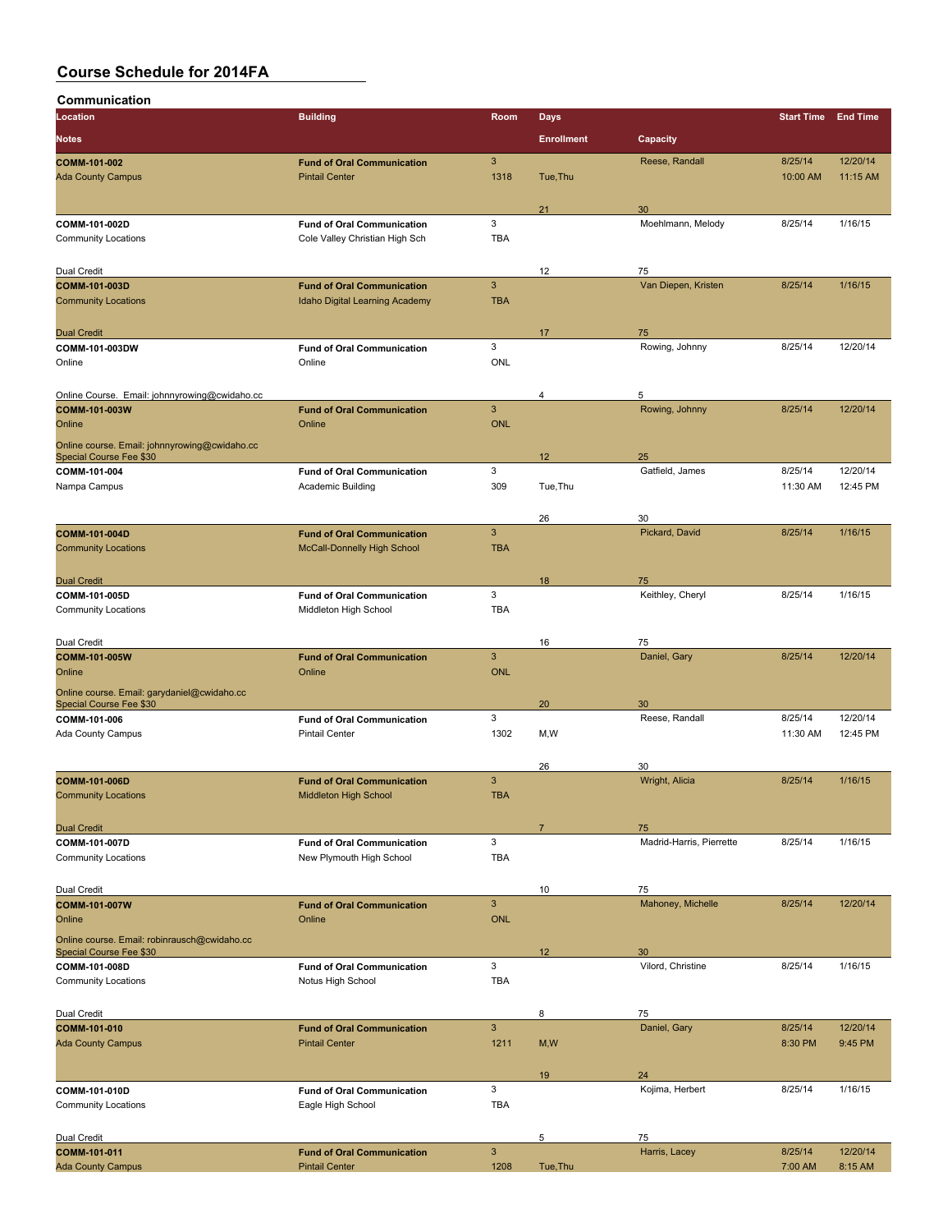| Communication                                 |                                                            |                           |                   |                          |                            |                      |
|-----------------------------------------------|------------------------------------------------------------|---------------------------|-------------------|--------------------------|----------------------------|----------------------|
| Location                                      | <b>Building</b>                                            | Room                      | <b>Days</b>       |                          | <b>Start Time End Time</b> |                      |
| <b>Notes</b>                                  |                                                            |                           | <b>Enrollment</b> | Capacity                 |                            |                      |
|                                               |                                                            |                           |                   |                          |                            |                      |
| COMM-101-002<br><b>Ada County Campus</b>      | <b>Fund of Oral Communication</b><br><b>Pintail Center</b> | 3<br>1318                 | Tue.Thu           | Reese, Randall           | 8/25/14<br>10:00 AM        | 12/20/14<br>11:15 AM |
|                                               |                                                            |                           |                   |                          |                            |                      |
|                                               |                                                            |                           | 21                | 30                       |                            |                      |
| COMM-101-002D                                 | <b>Fund of Oral Communication</b>                          | 3                         |                   | Moehlmann, Melody        | 8/25/14                    | 1/16/15              |
| <b>Community Locations</b>                    | Cole Valley Christian High Sch                             | <b>TBA</b>                |                   |                          |                            |                      |
|                                               |                                                            |                           |                   |                          |                            |                      |
| Dual Credit                                   |                                                            |                           | 12                | 75                       |                            |                      |
| <b>COMM-101-003D</b>                          | <b>Fund of Oral Communication</b>                          | 3                         |                   | Van Diepen, Kristen      | 8/25/14                    | 1/16/15              |
| <b>Community Locations</b>                    | Idaho Digital Learning Academy                             | <b>TBA</b>                |                   |                          |                            |                      |
|                                               |                                                            |                           |                   |                          |                            |                      |
| <b>Dual Credit</b><br>COMM-101-003DW          | <b>Fund of Oral Communication</b>                          | 3                         | 17                | 75<br>Rowing, Johnny     | 8/25/14                    | 12/20/14             |
| Online                                        | Online                                                     | <b>ONL</b>                |                   |                          |                            |                      |
|                                               |                                                            |                           |                   |                          |                            |                      |
| Online Course. Email: johnnyrowing@cwidaho.cc |                                                            |                           | 4                 | 5                        |                            |                      |
| COMM-101-003W                                 | <b>Fund of Oral Communication</b>                          | 3                         |                   | Rowing, Johnny           | 8/25/14                    | 12/20/14             |
| Online                                        | Online                                                     | <b>ONL</b>                |                   |                          |                            |                      |
| Online course. Email: johnnyrowing@cwidaho.cc |                                                            |                           |                   |                          |                            |                      |
| Special Course Fee \$30                       |                                                            |                           | 12                | 25                       |                            |                      |
| COMM-101-004                                  | <b>Fund of Oral Communication</b>                          | 3                         |                   | Gatfield, James          | 8/25/14                    | 12/20/14             |
| Nampa Campus                                  | Academic Building                                          | 309                       | Tue, Thu          |                          | 11:30 AM                   | 12:45 PM             |
|                                               |                                                            |                           |                   |                          |                            |                      |
| <b>COMM-101-004D</b>                          | <b>Fund of Oral Communication</b>                          | 3                         | 26                | 30<br>Pickard, David     | 8/25/14                    | 1/16/15              |
| <b>Community Locations</b>                    | <b>McCall-Donnelly High School</b>                         | <b>TBA</b>                |                   |                          |                            |                      |
|                                               |                                                            |                           |                   |                          |                            |                      |
| <b>Dual Credit</b>                            |                                                            |                           | 18                | 75                       |                            |                      |
| COMM-101-005D                                 | <b>Fund of Oral Communication</b>                          | 3                         |                   | Keithley, Cheryl         | 8/25/14                    | 1/16/15              |
| <b>Community Locations</b>                    | Middleton High School                                      | <b>TBA</b>                |                   |                          |                            |                      |
|                                               |                                                            |                           |                   |                          |                            |                      |
| Dual Credit                                   |                                                            |                           | 16                | 75                       |                            |                      |
| COMM-101-005W                                 | <b>Fund of Oral Communication</b>                          | 3                         |                   | Daniel, Gary             | 8/25/14                    | 12/20/14             |
| Online                                        | Online                                                     | <b>ONL</b>                |                   |                          |                            |                      |
| Online course. Email: garydaniel@cwidaho.cc   |                                                            |                           |                   |                          |                            |                      |
| Special Course Fee \$30<br>COMM-101-006       | <b>Fund of Oral Communication</b>                          | 3                         | 20                | 30<br>Reese, Randall     | 8/25/14                    | 12/20/14             |
| Ada County Campus                             | <b>Pintail Center</b>                                      | 1302                      | M,W               |                          | 11:30 AM                   | 12:45 PM             |
|                                               |                                                            |                           |                   |                          |                            |                      |
|                                               |                                                            |                           | 26                | 30                       |                            |                      |
| <b>COMM-101-006D</b>                          | <b>Fund of Oral Communication</b>                          | 3                         |                   | Wright, Alicia           | 8/25/14                    | 1/16/15              |
| <b>Community Locations</b>                    | Middleton High School                                      | <b>TBA</b>                |                   |                          |                            |                      |
|                                               |                                                            |                           |                   |                          |                            |                      |
| <b>Dual Credit</b>                            |                                                            |                           | $\overline{7}$    | 75                       |                            |                      |
| COMM-101-007D                                 | <b>Fund of Oral Communication</b>                          | 3                         |                   | Madrid-Harris, Pierrette | 8/25/14                    | 1/16/15              |
| <b>Community Locations</b>                    | New Plymouth High School                                   | <b>TBA</b>                |                   |                          |                            |                      |
| Dual Credit                                   |                                                            |                           | 10                | 75                       |                            |                      |
| COMM-101-007W                                 | <b>Fund of Oral Communication</b>                          | 3                         |                   | Mahoney, Michelle        | 8/25/14                    | 12/20/14             |
| Online                                        | Online                                                     | <b>ONL</b>                |                   |                          |                            |                      |
| Online course. Email: robinrausch@cwidaho.cc  |                                                            |                           |                   |                          |                            |                      |
| Special Course Fee \$30                       |                                                            |                           | 12                | 30                       |                            |                      |
| COMM-101-008D                                 | <b>Fund of Oral Communication</b>                          | 3                         |                   | Vilord, Christine        | 8/25/14                    | 1/16/15              |
| <b>Community Locations</b>                    | Notus High School                                          | <b>TBA</b>                |                   |                          |                            |                      |
|                                               |                                                            |                           |                   |                          |                            |                      |
| Dual Credit                                   |                                                            |                           | 8                 | 75                       |                            |                      |
| COMM-101-010<br><b>Ada County Campus</b>      | <b>Fund of Oral Communication</b><br><b>Pintail Center</b> | 3<br>1211                 | M, W              | Daniel, Gary             | 8/25/14<br>8:30 PM         | 12/20/14<br>9:45 PM  |
|                                               |                                                            |                           |                   |                          |                            |                      |
|                                               |                                                            |                           | 19                | 24                       |                            |                      |
| COMM-101-010D                                 | <b>Fund of Oral Communication</b>                          | $\ensuremath{\mathsf{3}}$ |                   | Kojima, Herbert          | 8/25/14                    | 1/16/15              |
| <b>Community Locations</b>                    | Eagle High School                                          | <b>TBA</b>                |                   |                          |                            |                      |
|                                               |                                                            |                           |                   |                          |                            |                      |
| Dual Credit                                   |                                                            |                           | 5                 | 75                       |                            |                      |
| COMM-101-011                                  | <b>Fund of Oral Communication</b>                          | $\mathbf{3}$              |                   | Harris, Lacey            | 8/25/14                    | 12/20/14             |
| <b>Ada County Campus</b>                      | <b>Pintail Center</b>                                      | 1208                      | Tue, Thu          |                          | 7:00 AM                    | 8:15 AM              |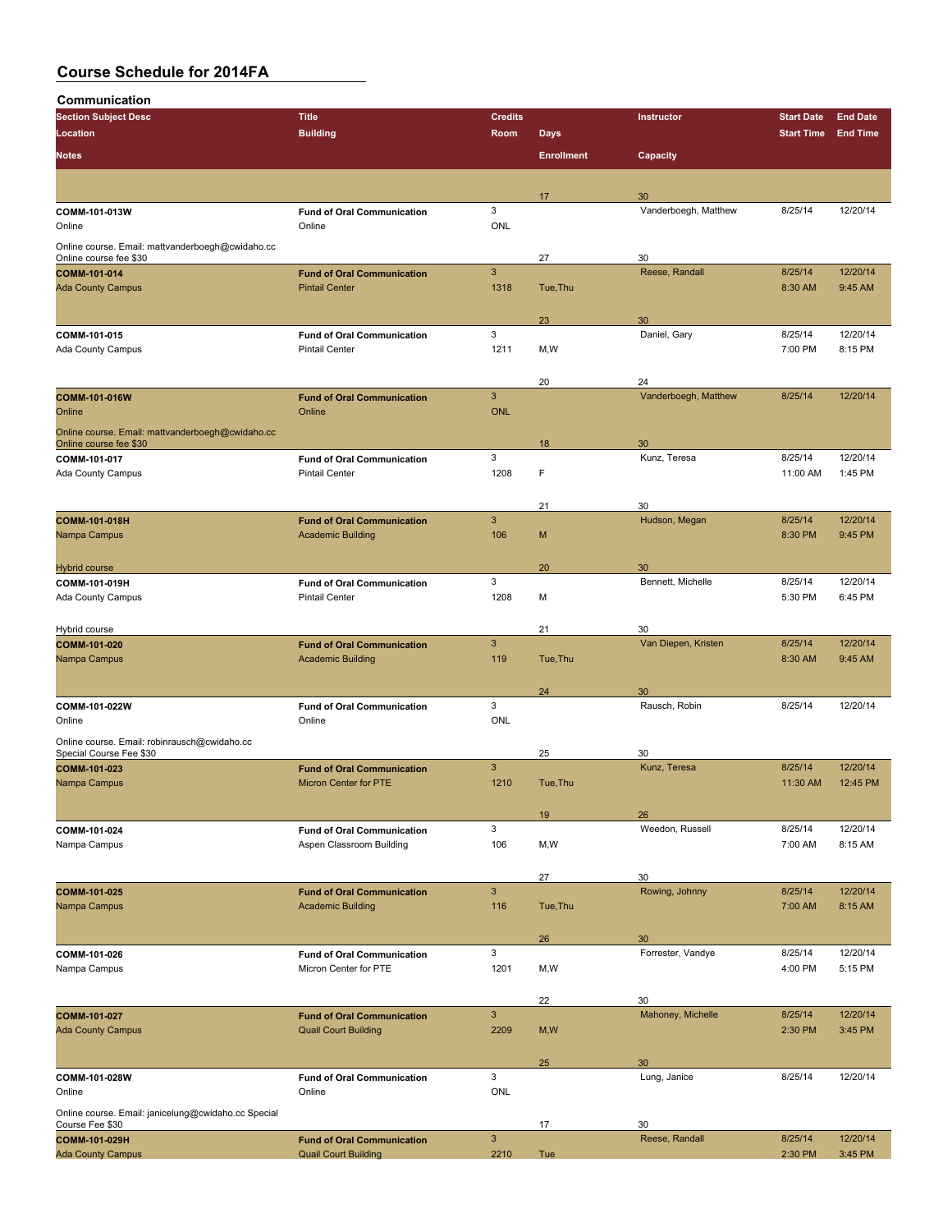**Communication**

| <b>Section Subject Desc</b>                                                | <b>Title</b>                                                     | <b>Credits</b>            |                   | Instructor           | <b>Start Date</b> | <b>End Date</b> |
|----------------------------------------------------------------------------|------------------------------------------------------------------|---------------------------|-------------------|----------------------|-------------------|-----------------|
| Location                                                                   | <b>Building</b>                                                  | Room                      | <b>Days</b>       |                      | <b>Start Time</b> | <b>End Time</b> |
|                                                                            |                                                                  |                           | <b>Enrollment</b> |                      |                   |                 |
| <b>Notes</b>                                                               |                                                                  |                           |                   | Capacity             |                   |                 |
|                                                                            |                                                                  |                           |                   |                      |                   |                 |
|                                                                            |                                                                  |                           | 17                | 30                   |                   |                 |
| COMM-101-013W                                                              | <b>Fund of Oral Communication</b><br>Online                      | 3<br><b>ONL</b>           |                   | Vanderboegh, Matthew | 8/25/14           | 12/20/14        |
| Online                                                                     |                                                                  |                           |                   |                      |                   |                 |
| Online course. Email: mattvanderboegh@cwidaho.cc<br>Online course fee \$30 |                                                                  |                           | 27                | 30                   |                   |                 |
| COMM-101-014                                                               | <b>Fund of Oral Communication</b>                                | $\mathbf{3}$              |                   | Reese, Randall       | 8/25/14           | 12/20/14        |
| <b>Ada County Campus</b>                                                   | <b>Pintail Center</b>                                            | 1318                      | Tue, Thu          |                      | 8:30 AM           | 9:45 AM         |
|                                                                            |                                                                  |                           |                   |                      |                   |                 |
|                                                                            |                                                                  |                           | 23                | 30                   |                   |                 |
| COMM-101-015                                                               | <b>Fund of Oral Communication</b>                                | 3                         |                   | Daniel, Gary         | 8/25/14           | 12/20/14        |
| Ada County Campus                                                          | <b>Pintail Center</b>                                            | 1211                      | M,W               |                      | 7:00 PM           | 8:15 PM         |
|                                                                            |                                                                  |                           |                   |                      |                   |                 |
|                                                                            |                                                                  |                           | 20                | 24                   |                   |                 |
| COMM-101-016W                                                              | <b>Fund of Oral Communication</b>                                | $\mathbf{3}$              |                   | Vanderboegh, Matthew | 8/25/14           | 12/20/14        |
| Online                                                                     | Online                                                           | <b>ONL</b>                |                   |                      |                   |                 |
| Online course. Email: mattvanderboegh@cwidaho.cc                           |                                                                  |                           |                   |                      |                   |                 |
| Online course fee \$30                                                     | <b>Fund of Oral Communication</b>                                | 3                         | 18                | 30<br>Kunz, Teresa   | 8/25/14           | 12/20/14        |
| COMM-101-017<br>Ada County Campus                                          | <b>Pintail Center</b>                                            | 1208                      | F                 |                      | 11:00 AM          | 1:45 PM         |
|                                                                            |                                                                  |                           |                   |                      |                   |                 |
|                                                                            |                                                                  |                           | 21                | 30                   |                   |                 |
| <b>COMM-101-018H</b>                                                       | <b>Fund of Oral Communication</b>                                | $\mathbf{3}$              |                   | Hudson, Megan        | 8/25/14           | 12/20/14        |
| Nampa Campus                                                               | <b>Academic Building</b>                                         | 106                       | M                 |                      | 8:30 PM           | 9:45 PM         |
|                                                                            |                                                                  |                           |                   |                      |                   |                 |
| <b>Hybrid course</b>                                                       |                                                                  |                           | 20                | 30                   |                   |                 |
| COMM-101-019H                                                              | <b>Fund of Oral Communication</b>                                | 3                         |                   | Bennett, Michelle    | 8/25/14           | 12/20/14        |
| Ada County Campus                                                          | <b>Pintail Center</b>                                            | 1208                      | М                 |                      | 5:30 PM           | 6:45 PM         |
|                                                                            |                                                                  |                           |                   |                      |                   |                 |
| Hybrid course                                                              |                                                                  |                           | 21                | 30                   |                   |                 |
| COMM-101-020                                                               | <b>Fund of Oral Communication</b>                                | 3                         |                   | Van Diepen, Kristen  | 8/25/14           | 12/20/14        |
| Nampa Campus                                                               | <b>Academic Building</b>                                         | 119                       | Tue, Thu          |                      | 8:30 AM           | 9:45 AM         |
|                                                                            |                                                                  |                           |                   |                      |                   |                 |
| COMM-101-022W                                                              | <b>Fund of Oral Communication</b>                                | 3                         | 24                | 30<br>Rausch, Robin  | 8/25/14           | 12/20/14        |
| Online                                                                     | Online                                                           | <b>ONL</b>                |                   |                      |                   |                 |
| Online course. Email: robinrausch@cwidaho.cc                               |                                                                  |                           |                   |                      |                   |                 |
| Special Course Fee \$30                                                    |                                                                  |                           | 25                | 30                   |                   |                 |
| COMM-101-023                                                               | <b>Fund of Oral Communication</b>                                | $\mathbf{3}$              |                   | Kunz, Teresa         | 8/25/14           | 12/20/14        |
| Nampa Campus                                                               | <b>Micron Center for PTE</b>                                     | 1210                      | Tue, Thu          |                      | 11:30 AM          | 12:45 PM        |
|                                                                            |                                                                  |                           |                   |                      |                   |                 |
|                                                                            |                                                                  |                           | 19                | 26                   |                   |                 |
| COMM-101-024                                                               | <b>Fund of Oral Communication</b>                                | 3                         |                   | Weedon, Russell      | 8/25/14           | 12/20/14        |
| Nampa Campus                                                               | Aspen Classroom Building                                         | 106                       | M,W               |                      | 7:00 AM           | 8:15 AM         |
|                                                                            |                                                                  |                           |                   |                      |                   |                 |
|                                                                            |                                                                  | $\overline{3}$            | 27                | 30                   | 8/25/14           | 12/20/14        |
| COMM-101-025<br>Nampa Campus                                               | <b>Fund of Oral Communication</b><br><b>Academic Building</b>    | 116                       | Tue, Thu          | Rowing, Johnny       | 7:00 AM           | 8:15 AM         |
|                                                                            |                                                                  |                           |                   |                      |                   |                 |
|                                                                            |                                                                  |                           | 26                | 30                   |                   |                 |
| COMM-101-026                                                               | <b>Fund of Oral Communication</b>                                | 3                         |                   | Forrester, Vandye    | 8/25/14           | 12/20/14        |
| Nampa Campus                                                               | Micron Center for PTE                                            | 1201                      | M,W               |                      | 4:00 PM           | 5:15 PM         |
|                                                                            |                                                                  |                           |                   |                      |                   |                 |
|                                                                            |                                                                  |                           | 22                | 30                   |                   |                 |
| COMM-101-027                                                               | <b>Fund of Oral Communication</b>                                | $\ensuremath{\mathsf{3}}$ |                   | Mahoney, Michelle    | 8/25/14           | 12/20/14        |
| <b>Ada County Campus</b>                                                   | <b>Quail Court Building</b>                                      | 2209                      | M, W              |                      | 2:30 PM           | 3:45 PM         |
|                                                                            |                                                                  |                           |                   |                      |                   |                 |
|                                                                            |                                                                  |                           | 25                | 30                   |                   |                 |
| COMM-101-028W                                                              | <b>Fund of Oral Communication</b>                                | 3                         |                   | Lung, Janice         | 8/25/14           | 12/20/14        |
| Online                                                                     | Online                                                           | <b>ONL</b>                |                   |                      |                   |                 |
| Online course. Email: janicelung@cwidaho.cc Special                        |                                                                  |                           |                   |                      |                   |                 |
| Course Fee \$30                                                            |                                                                  | $\overline{3}$            | 17                | 30<br>Reese, Randall | 8/25/14           | 12/20/14        |
| COMM-101-029H<br><b>Ada County Campus</b>                                  | <b>Fund of Oral Communication</b><br><b>Quail Court Building</b> | 2210                      | Tue               |                      | 2:30 PM           | 3:45 PM         |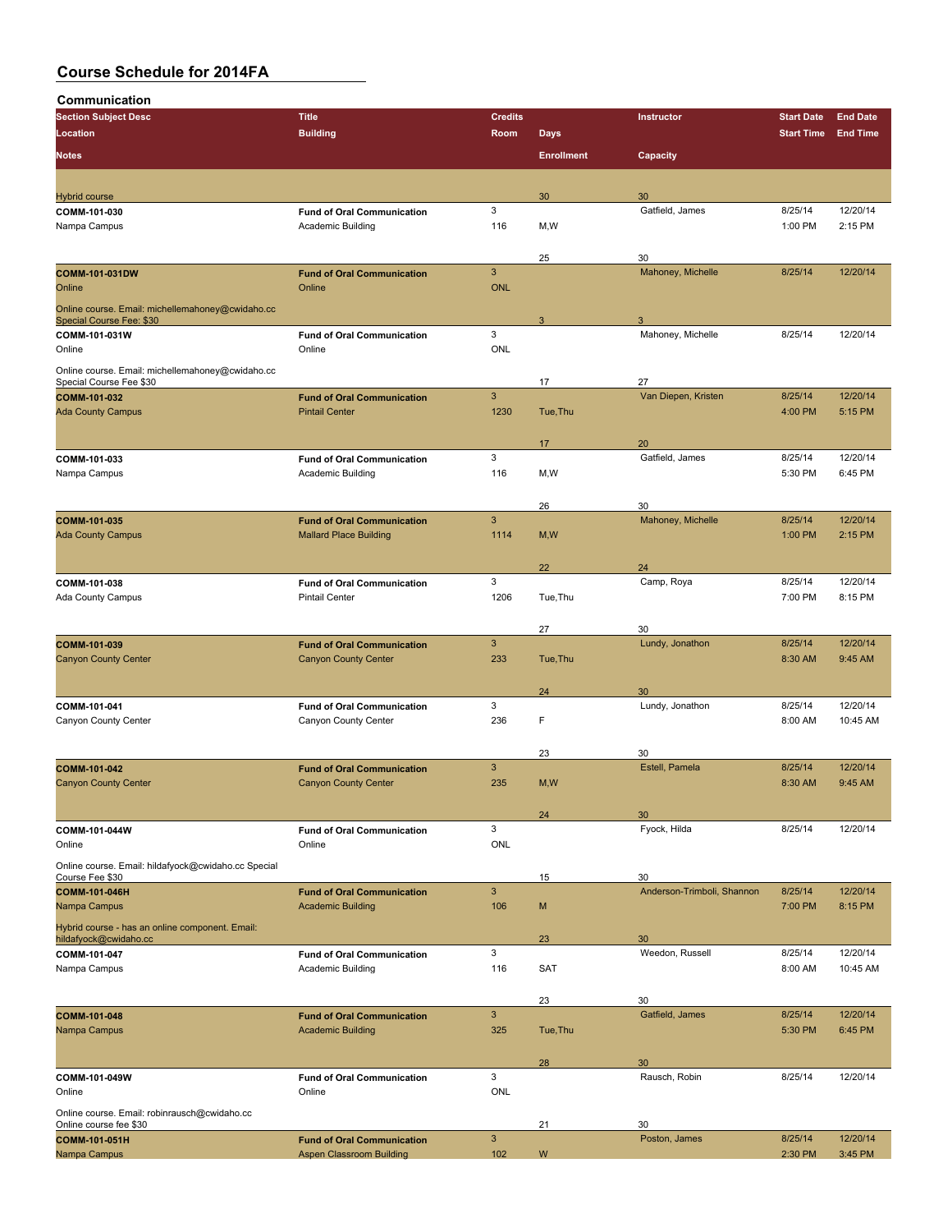| Communication                                                                |                                   |                |                                  |                            |                                                                                                                                                                                                                                                                                                                            |                 |
|------------------------------------------------------------------------------|-----------------------------------|----------------|----------------------------------|----------------------------|----------------------------------------------------------------------------------------------------------------------------------------------------------------------------------------------------------------------------------------------------------------------------------------------------------------------------|-----------------|
| <b>Section Subject Desc</b>                                                  | <b>Title</b>                      | <b>Credits</b> |                                  | Instructor                 | <b>Start Date</b>                                                                                                                                                                                                                                                                                                          | <b>End Date</b> |
| Location<br><b>Notes</b>                                                     | <b>Building</b>                   | Room           | <b>Days</b><br><b>Enrollment</b> | Capacity                   |                                                                                                                                                                                                                                                                                                                            | <b>End Time</b> |
|                                                                              |                                   |                |                                  |                            |                                                                                                                                                                                                                                                                                                                            |                 |
| <b>Hybrid course</b>                                                         |                                   |                | 30                               | 30                         |                                                                                                                                                                                                                                                                                                                            |                 |
| COMM-101-030                                                                 | <b>Fund of Oral Communication</b> | 3              |                                  | Gatfield, James            | 8/25/14                                                                                                                                                                                                                                                                                                                    | 12/20/14        |
| Nampa Campus                                                                 | Academic Building                 | 116            | M, W                             |                            |                                                                                                                                                                                                                                                                                                                            | 2:15 PM         |
|                                                                              |                                   |                | 25                               | 30                         | <b>Start Time</b><br>1:00 PM<br>8/25/14<br>8/25/14<br>8/25/14<br>4:00 PM<br>8/25/14<br>5:30 PM<br>8/25/14<br>1:00 PM<br>8/25/14<br>7:00 PM<br>8/25/14<br>8:30 AM<br>8/25/14<br>8:00 AM<br>8/25/14<br>8:30 AM<br>8/25/14<br>8/25/14<br>7:00 PM<br>8/25/14<br>8:00 AM<br>8/25/14<br>5:30 PM<br>8/25/14<br>8/25/14<br>2:30 PM |                 |
| <b>COMM-101-031DW</b>                                                        | <b>Fund of Oral Communication</b> | 3              |                                  | Mahoney, Michelle          |                                                                                                                                                                                                                                                                                                                            | 12/20/14        |
| Online                                                                       | Online                            | <b>ONL</b>     |                                  |                            |                                                                                                                                                                                                                                                                                                                            |                 |
| Online course. Email: michellemahoney@cwidaho.cc<br>Special Course Fee: \$30 |                                   |                | 3                                | 3                          |                                                                                                                                                                                                                                                                                                                            |                 |
| COMM-101-031W                                                                | <b>Fund of Oral Communication</b> | 3              |                                  | Mahoney, Michelle          |                                                                                                                                                                                                                                                                                                                            | 12/20/14        |
| Online                                                                       | Online                            | ONL            |                                  |                            |                                                                                                                                                                                                                                                                                                                            |                 |
| Online course. Email: michellemahoney@cwidaho.cc<br>Special Course Fee \$30  |                                   |                | 17                               | 27                         |                                                                                                                                                                                                                                                                                                                            |                 |
| COMM-101-032                                                                 | <b>Fund of Oral Communication</b> | $\mathbf{3}$   |                                  | Van Diepen, Kristen        |                                                                                                                                                                                                                                                                                                                            | 12/20/14        |
| <b>Ada County Campus</b>                                                     | <b>Pintail Center</b>             | 1230           | Tue, Thu                         |                            |                                                                                                                                                                                                                                                                                                                            | 5:15 PM         |
|                                                                              |                                   |                | 17                               | 20                         |                                                                                                                                                                                                                                                                                                                            |                 |
| COMM-101-033                                                                 | <b>Fund of Oral Communication</b> | 3              |                                  | Gatfield, James            |                                                                                                                                                                                                                                                                                                                            | 12/20/14        |
| Nampa Campus                                                                 | Academic Building                 | 116            | M, W                             |                            |                                                                                                                                                                                                                                                                                                                            | 6:45 PM         |
|                                                                              |                                   |                | 26                               | 30                         |                                                                                                                                                                                                                                                                                                                            |                 |
| COMM-101-035                                                                 | <b>Fund of Oral Communication</b> | $\mathbf{3}$   |                                  | Mahoney, Michelle          |                                                                                                                                                                                                                                                                                                                            | 12/20/14        |
| <b>Ada County Campus</b>                                                     | <b>Mallard Place Building</b>     | 1114           | M, W                             |                            |                                                                                                                                                                                                                                                                                                                            | 2:15 PM         |
|                                                                              |                                   |                | 22                               | 24                         |                                                                                                                                                                                                                                                                                                                            |                 |
| COMM-101-038                                                                 | <b>Fund of Oral Communication</b> | 3              |                                  | Camp, Roya                 |                                                                                                                                                                                                                                                                                                                            | 12/20/14        |
| <b>Ada County Campus</b>                                                     | <b>Pintail Center</b>             | 1206           | Tue, Thu                         |                            |                                                                                                                                                                                                                                                                                                                            | 8:15 PM         |
|                                                                              |                                   |                | 27                               | 30                         |                                                                                                                                                                                                                                                                                                                            |                 |
| COMM-101-039                                                                 | <b>Fund of Oral Communication</b> | $\mathbf{3}$   |                                  | Lundy, Jonathon            |                                                                                                                                                                                                                                                                                                                            | 12/20/14        |
| <b>Canyon County Center</b>                                                  | <b>Canyon County Center</b>       | 233            | Tue, Thu                         |                            |                                                                                                                                                                                                                                                                                                                            | 9:45 AM         |
|                                                                              |                                   |                | 24                               | 30                         |                                                                                                                                                                                                                                                                                                                            |                 |
| COMM-101-041                                                                 | <b>Fund of Oral Communication</b> | 3              |                                  | Lundy, Jonathon            |                                                                                                                                                                                                                                                                                                                            | 12/20/14        |
| Canyon County Center                                                         | Canyon County Center              | 236            | F                                |                            |                                                                                                                                                                                                                                                                                                                            | 10:45 AM        |
|                                                                              |                                   |                | 23                               | 30                         |                                                                                                                                                                                                                                                                                                                            |                 |
| COMM-101-042                                                                 | <b>Fund of Oral Communication</b> | 3              |                                  | Estell, Pamela             |                                                                                                                                                                                                                                                                                                                            | 12/20/14        |
| <b>Canyon County Center</b>                                                  | <b>Canyon County Center</b>       | 235            | M, W                             |                            |                                                                                                                                                                                                                                                                                                                            | 9:45 AM         |
|                                                                              |                                   |                | 24                               | 30                         |                                                                                                                                                                                                                                                                                                                            |                 |
| COMM-101-044W                                                                | <b>Fund of Oral Communication</b> | 3              |                                  | Fyock, Hilda               |                                                                                                                                                                                                                                                                                                                            | 12/20/14        |
| Online                                                                       | Online                            | <b>ONL</b>     |                                  |                            |                                                                                                                                                                                                                                                                                                                            |                 |
| Online course. Email: hildafyock@cwidaho.cc Special<br>Course Fee \$30       |                                   |                | 15                               | 30                         |                                                                                                                                                                                                                                                                                                                            |                 |
| <b>COMM-101-046H</b>                                                         | <b>Fund of Oral Communication</b> | $\mathbf{3}$   |                                  | Anderson-Trimboli, Shannon |                                                                                                                                                                                                                                                                                                                            | 12/20/14        |
| Nampa Campus                                                                 | <b>Academic Building</b>          | 106            | M                                |                            |                                                                                                                                                                                                                                                                                                                            | 8:15 PM         |
| Hybrid course - has an online component. Email:<br>hildafyock@cwidaho.cc     |                                   |                | 23                               | 30                         |                                                                                                                                                                                                                                                                                                                            |                 |
| COMM-101-047                                                                 | <b>Fund of Oral Communication</b> | 3              |                                  | Weedon, Russell            |                                                                                                                                                                                                                                                                                                                            | 12/20/14        |
| Nampa Campus                                                                 | Academic Building                 | 116            | <b>SAT</b>                       |                            |                                                                                                                                                                                                                                                                                                                            | 10:45 AM        |
|                                                                              |                                   |                | 23                               | 30                         |                                                                                                                                                                                                                                                                                                                            |                 |
| COMM-101-048                                                                 | <b>Fund of Oral Communication</b> | $\mathbf{3}$   |                                  | Gatfield, James            |                                                                                                                                                                                                                                                                                                                            | 12/20/14        |
| Nampa Campus                                                                 | <b>Academic Building</b>          | 325            | Tue, Thu                         |                            |                                                                                                                                                                                                                                                                                                                            | 6:45 PM         |
|                                                                              |                                   |                | 28                               | 30                         |                                                                                                                                                                                                                                                                                                                            |                 |
| COMM-101-049W                                                                | <b>Fund of Oral Communication</b> | 3              |                                  | Rausch, Robin              |                                                                                                                                                                                                                                                                                                                            | 12/20/14        |
| Online                                                                       | Online                            | ONL            |                                  |                            |                                                                                                                                                                                                                                                                                                                            |                 |
| Online course. Email: robinrausch@cwidaho.cc<br>Online course fee \$30       |                                   |                | 21                               | 30                         |                                                                                                                                                                                                                                                                                                                            |                 |
| COMM-101-051H                                                                | <b>Fund of Oral Communication</b> | $\mathbf{3}$   |                                  | Poston, James              |                                                                                                                                                                                                                                                                                                                            | 12/20/14        |
| Nampa Campus                                                                 | <b>Aspen Classroom Building</b>   | 102            | W                                |                            |                                                                                                                                                                                                                                                                                                                            | 3:45 PM         |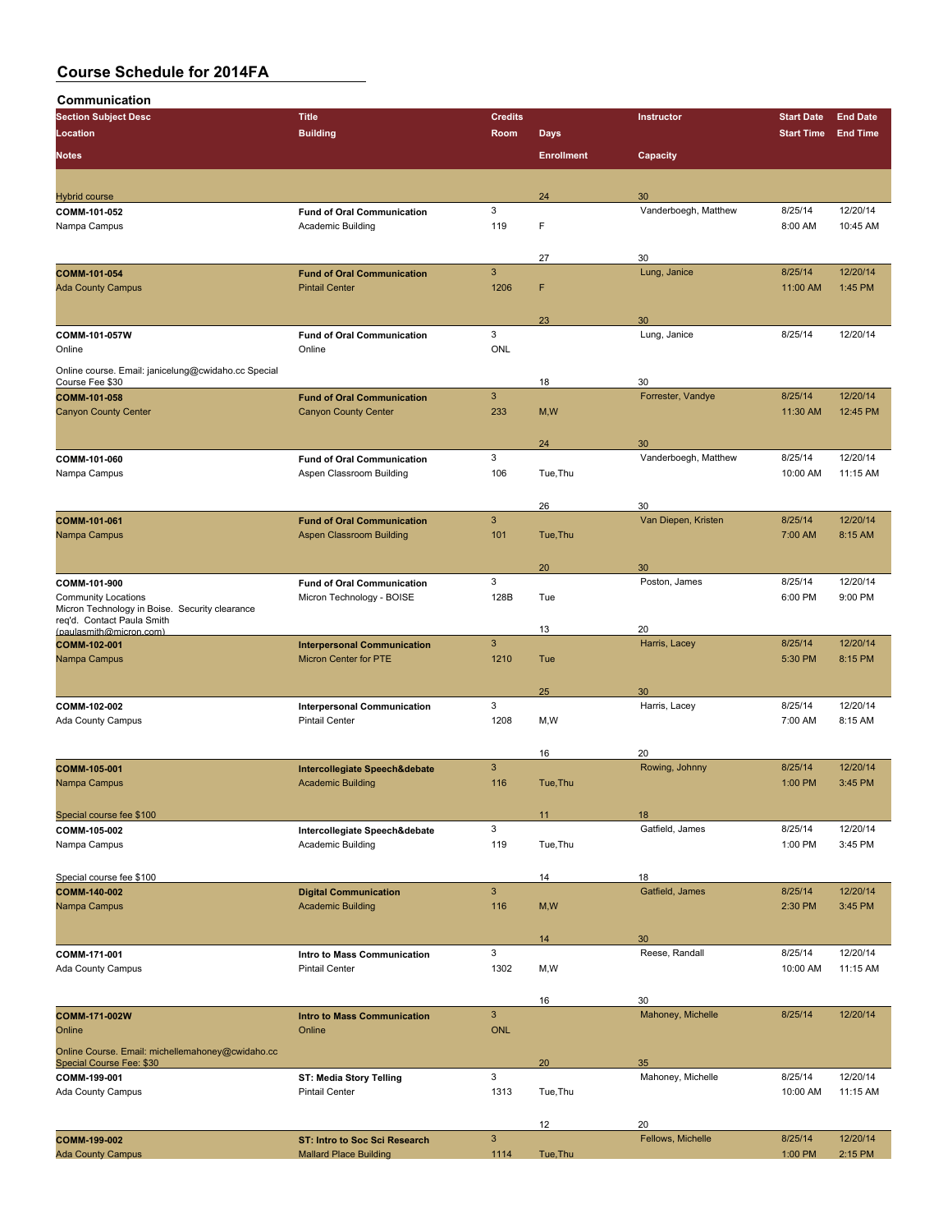| Communication                                                                |                                                    |                     |                   |                            |                    |                     |
|------------------------------------------------------------------------------|----------------------------------------------------|---------------------|-------------------|----------------------------|--------------------|---------------------|
| <b>Section Subject Desc</b>                                                  | <b>Title</b>                                       | <b>Credits</b>      |                   | <b>Instructor</b>          | <b>Start Date</b>  | <b>End Date</b>     |
| Location                                                                     | <b>Building</b>                                    | Room                | <b>Days</b>       |                            | <b>Start Time</b>  | <b>End Time</b>     |
| <b>Notes</b>                                                                 |                                                    |                     | <b>Enrollment</b> | Capacity                   |                    |                     |
|                                                                              |                                                    |                     |                   |                            |                    |                     |
| <b>Hybrid course</b><br>COMM-101-052                                         | <b>Fund of Oral Communication</b>                  | 3                   | 24                | 30<br>Vanderboegh, Matthew | 8/25/14            | 12/20/14            |
| Nampa Campus                                                                 | Academic Building                                  | 119                 | F                 |                            | 8:00 AM            | 10:45 AM            |
|                                                                              |                                                    |                     |                   |                            |                    |                     |
|                                                                              |                                                    |                     | 27                | 30                         |                    |                     |
| <b>COMM-101-054</b>                                                          | <b>Fund of Oral Communication</b>                  | $\mathbf{3}$        |                   | Lung, Janice               | 8/25/14            | 12/20/14            |
| <b>Ada County Campus</b>                                                     | <b>Pintail Center</b>                              | 1206                | F                 |                            | 11:00 AM           | 1:45 PM             |
|                                                                              |                                                    |                     |                   |                            |                    |                     |
|                                                                              |                                                    |                     | 23                | 30                         |                    |                     |
| COMM-101-057W<br>Online                                                      | <b>Fund of Oral Communication</b><br>Online        | 3<br>ONL            |                   | Lung, Janice               | 8/25/14            | 12/20/14            |
|                                                                              |                                                    |                     |                   |                            |                    |                     |
| Online course. Email: janicelung@cwidaho.cc Special<br>Course Fee \$30       |                                                    |                     | 18                | 30                         |                    |                     |
| COMM-101-058                                                                 | <b>Fund of Oral Communication</b>                  | $\mathbf{3}$        |                   | Forrester, Vandye          | 8/25/14            | 12/20/14            |
| <b>Canyon County Center</b>                                                  | <b>Canyon County Center</b>                        | 233                 | M, W              |                            | 11:30 AM           | 12:45 PM            |
|                                                                              |                                                    |                     |                   |                            |                    |                     |
|                                                                              |                                                    |                     | 24                | 30                         |                    |                     |
| COMM-101-060                                                                 | <b>Fund of Oral Communication</b>                  | 3                   |                   | Vanderboegh, Matthew       | 8/25/14            | 12/20/14            |
| Nampa Campus                                                                 | Aspen Classroom Building                           | 106                 | Tue.Thu           |                            | 10:00 AM           | 11:15 AM            |
|                                                                              |                                                    |                     |                   |                            |                    |                     |
| COMM-101-061                                                                 | <b>Fund of Oral Communication</b>                  | $\mathbf{3}$        | 26                | 30<br>Van Diepen, Kristen  | 8/25/14            | 12/20/14            |
| Nampa Campus                                                                 | <b>Aspen Classroom Building</b>                    | 101                 | Tue, Thu          |                            | 7:00 AM            | 8:15 AM             |
|                                                                              |                                                    |                     |                   |                            |                    |                     |
|                                                                              |                                                    |                     | 20                | 30                         |                    |                     |
| COMM-101-900                                                                 | <b>Fund of Oral Communication</b>                  | 3                   |                   | Poston, James              | 8/25/14            | 12/20/14            |
| <b>Community Locations</b>                                                   | Micron Technology - BOISE                          | 128B                | Tue               |                            | 6:00 PM            | 9:00 PM             |
| Micron Technology in Boise. Security clearance<br>req'd. Contact Paula Smith |                                                    |                     |                   |                            |                    |                     |
| (paulasmith@micron.com)                                                      |                                                    |                     | 13                | 20                         |                    |                     |
| COMM-102-001                                                                 | <b>Interpersonal Communication</b>                 | $\mathbf{3}$        |                   | Harris, Lacey              | 8/25/14            | 12/20/14            |
| Nampa Campus                                                                 | <b>Micron Center for PTE</b>                       | 1210                | Tue               |                            | 5:30 PM            | 8:15 PM             |
|                                                                              |                                                    |                     | 25                | 30                         |                    |                     |
| COMM-102-002                                                                 | <b>Interpersonal Communication</b>                 | 3                   |                   | Harris, Lacey              | 8/25/14            | 12/20/14            |
| <b>Ada County Campus</b>                                                     | <b>Pintail Center</b>                              | 1208                | M, W              |                            | 7:00 AM            | 8:15 AM             |
|                                                                              |                                                    |                     |                   |                            |                    |                     |
|                                                                              |                                                    |                     | 16                | 20                         |                    |                     |
| COMM-105-001                                                                 | Intercollegiate Speech&debate                      | 3                   |                   | Rowing, Johnny             | 8/25/14            | 12/20/14            |
| Nampa Campus                                                                 | <b>Academic Building</b>                           | 116                 | Tue, Thu          |                            | 1:00 PM            | 3:45 PM             |
|                                                                              |                                                    |                     |                   |                            |                    |                     |
| Special course fee \$100                                                     |                                                    |                     | 11                | 18                         |                    |                     |
| COMM-105-002<br>Nampa Campus                                                 | Intercollegiate Speech&debate<br>Academic Building | $\mathbf{3}$<br>119 | Tue, Thu          | Gatfield, James            | 8/25/14<br>1:00 PM | 12/20/14<br>3:45 PM |
|                                                                              |                                                    |                     |                   |                            |                    |                     |
| Special course fee \$100                                                     |                                                    |                     | 14                | 18                         |                    |                     |
| COMM-140-002                                                                 | <b>Digital Communication</b>                       | $\mathbf{3}$        |                   | Gatfield, James            | 8/25/14            | 12/20/14            |
| Nampa Campus                                                                 | <b>Academic Building</b>                           | 116                 | M, W              |                            | 2:30 PM            | 3:45 PM             |
|                                                                              |                                                    |                     |                   |                            |                    |                     |
|                                                                              |                                                    |                     | 14                | 30                         |                    |                     |
| COMM-171-001                                                                 | Intro to Mass Communication                        | 3                   |                   | Reese, Randall             | 8/25/14            | 12/20/14            |
| <b>Ada County Campus</b>                                                     | <b>Pintail Center</b>                              | 1302                | M,W               |                            | 10:00 AM           | 11:15 AM            |
|                                                                              |                                                    |                     |                   |                            |                    |                     |
|                                                                              |                                                    | $\mathbf{3}$        | 16                | 30<br>Mahoney, Michelle    | 8/25/14            | 12/20/14            |
| COMM-171-002W<br>Online                                                      | <b>Intro to Mass Communication</b><br>Online       | <b>ONL</b>          |                   |                            |                    |                     |
|                                                                              |                                                    |                     |                   |                            |                    |                     |
| Online Course. Email: michellemahoney@cwidaho.cc<br>Special Course Fee: \$30 |                                                    |                     | 20                | 35                         |                    |                     |
| COMM-199-001                                                                 | ST: Media Story Telling                            | 3                   |                   | Mahoney, Michelle          | 8/25/14            | 12/20/14            |
| <b>Ada County Campus</b>                                                     | <b>Pintail Center</b>                              | 1313                | Tue, Thu          |                            | 10:00 AM           | 11:15 AM            |
|                                                                              |                                                    |                     |                   |                            |                    |                     |
|                                                                              |                                                    |                     | 12                | 20                         |                    |                     |
| COMM-199-002                                                                 | ST: Intro to Soc Sci Research                      | $\mathbf{3}$        |                   | Fellows, Michelle          | 8/25/14            | 12/20/14            |
| <b>Ada County Campus</b>                                                     | <b>Mallard Place Building</b>                      | 1114                | Tue, Thu          |                            | 1:00 PM            | 2:15 PM             |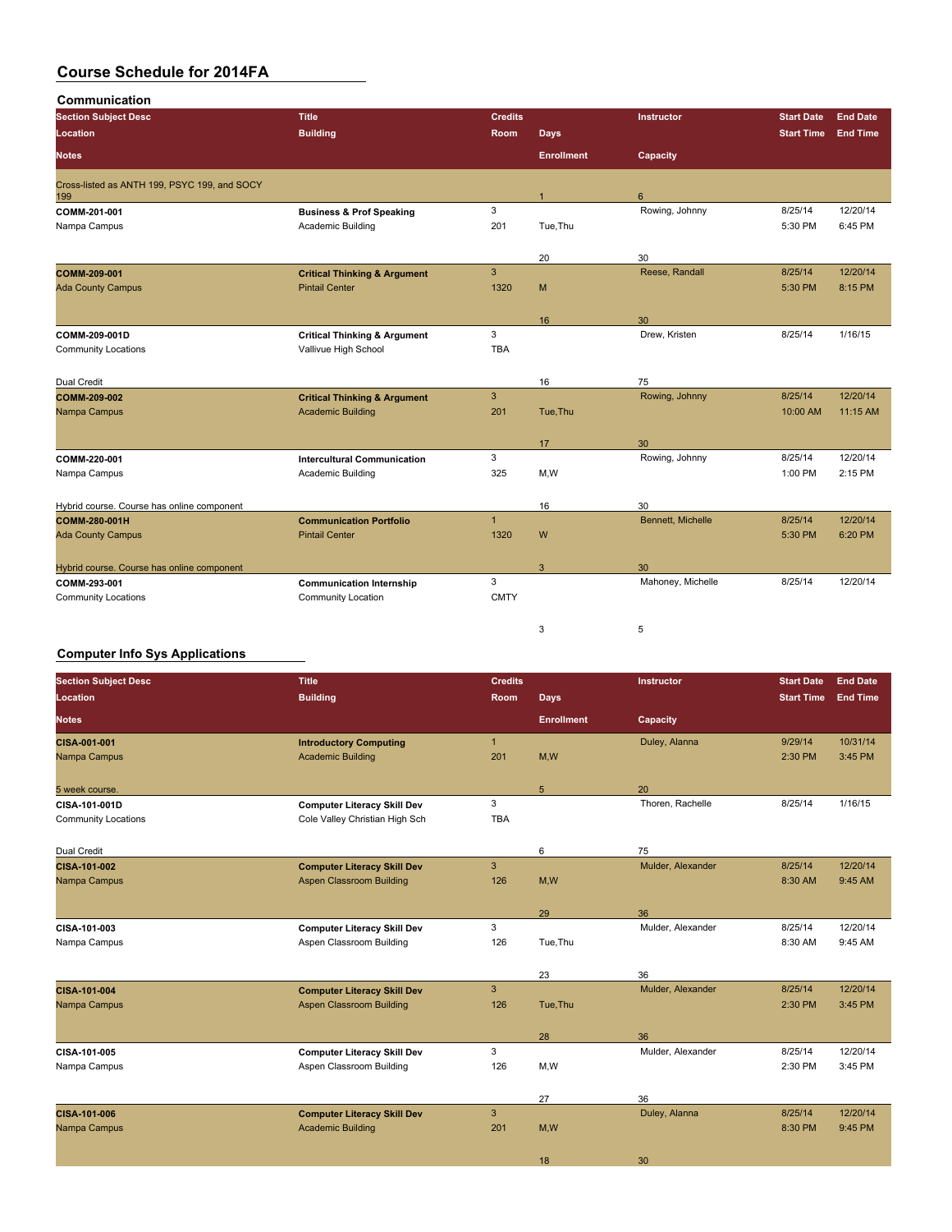| Communication<br><b>Section Subject Desc</b>        | <b>Title</b>                            | <b>Credits</b> |                   | Instructor        | <b>Start Date</b> | <b>End Date</b> |
|-----------------------------------------------------|-----------------------------------------|----------------|-------------------|-------------------|-------------------|-----------------|
| Location                                            | <b>Building</b>                         | Room           | <b>Days</b>       |                   | <b>Start Time</b> | <b>End Time</b> |
|                                                     |                                         |                |                   |                   |                   |                 |
| <b>Notes</b>                                        |                                         |                | <b>Enrollment</b> | Capacity          |                   |                 |
| Cross-listed as ANTH 199, PSYC 199, and SOCY<br>199 |                                         |                | $\mathbf{1}$      | $6\phantom{1}6$   |                   |                 |
| COMM 201-001                                        | <b>Business &amp; Prof Speaking</b>     | 3              |                   | Rowing, Johnny    | 8/25/14           | 12/20/14        |
| Nampa Campus                                        | Academic Building                       | 201            | Tue, Thu          |                   | 5:30 PM           | 6:45 PM         |
|                                                     |                                         |                | 20                | 30                |                   |                 |
| COMM-209-001                                        | <b>Critical Thinking &amp; Argument</b> | 3              |                   | Reese, Randall    | 8/25/14           | 12/20/14        |
| <b>Ada County Campus</b>                            | <b>Pintail Center</b>                   | 1320           | M                 |                   | 5:30 PM           | 8:15 PM         |
|                                                     |                                         |                | 16                | 30                |                   |                 |
| COMM-209-001D                                       | <b>Critical Thinking &amp; Argument</b> | 3              |                   | Drew, Kristen     | 8/25/14           | 1/16/15         |
| <b>Community Locations</b>                          | Vallivue High School                    | <b>TBA</b>     |                   |                   |                   |                 |
| Dual Credit                                         |                                         |                | 16                | 75                |                   |                 |
| <b>COMM-209-002</b>                                 | <b>Critical Thinking &amp; Argument</b> | $\overline{3}$ |                   | Rowing, Johnny    | 8/25/14           | 12/20/14        |
| Nampa Campus                                        | <b>Academic Building</b>                | 201            | Tue, Thu          |                   | 10:00 AM          | 11:15 AM        |
|                                                     |                                         |                | 17                | 30                |                   |                 |
| COMM-220-001                                        | <b>Intercultural Communication</b>      | 3              |                   | Rowing, Johnny    | 8/25/14           | 12/20/14        |
| Nampa Campus                                        | Academic Building                       | 325            | M,W               |                   | 1:00 PM           | 2:15 PM         |
| Hybrid course. Course has online component          |                                         |                | 16                | 30                |                   |                 |
| COMM 280-001H                                       | <b>Communication Portfolio</b>          | $\mathbf{1}$   |                   | Bennett, Michelle | 8/25/14           | 12/20/14        |
| <b>Ada County Campus</b>                            | <b>Pintail Center</b>                   | 1320           | W                 |                   | 5:30 PM           | 6:20 PM         |
| Hybrid course. Course has online component          |                                         |                | 3                 | 30                |                   |                 |
| COMM 293-001                                        | <b>Communication Internship</b>         | 3              |                   | Mahoney, Michelle | 8/25/14           | 12/20/14        |
| <b>Community Locations</b>                          | <b>Community Location</b>               | <b>CMTY</b>    |                   |                   |                   |                 |
|                                                     |                                         |                | 3                 | 5                 |                   |                 |

### **Computer Info Sys Applications**

| <b>Section Subject Desc</b> | <b>Title</b>                       | <b>Credits</b> |                   | Instructor        | <b>Start Date</b> | <b>End Date</b> |
|-----------------------------|------------------------------------|----------------|-------------------|-------------------|-------------------|-----------------|
| Location                    | <b>Building</b>                    | Room           | Days              |                   | <b>Start Time</b> | <b>End Time</b> |
| <b>Notes</b>                |                                    |                | <b>Enrollment</b> | Capacity          |                   |                 |
| <b>CISA 001 001</b>         | <b>Introductory Computing</b>      | $\mathbf{1}$   |                   | Duley, Alanna     | 9/29/14           | 10/31/14        |
| Nampa Campus                | <b>Academic Building</b>           | 201            | M,W               |                   | 2:30 PM           | 3:45 PM         |
| 5 week course.              |                                    |                | $5\phantom{.0}$   | 20                |                   |                 |
| CISA-101-001D               | <b>Computer Literacy Skill Dev</b> | 3              |                   | Thoren, Rachelle  | 8/25/14           | 1/16/15         |
| <b>Community Locations</b>  | Cole Valley Christian High Sch     | <b>TBA</b>     |                   |                   |                   |                 |
| Dual Credit                 |                                    |                | 6                 | 75                |                   |                 |
| <b>CISA 101 002</b>         | <b>Computer Literacy Skill Dev</b> | 3              |                   | Mulder, Alexander | 8/25/14           | 12/20/14        |
| Nampa Campus                | Aspen Classroom Building           | 126            | M,W               |                   | 8:30 AM           | 9:45 AM         |
|                             |                                    |                | 29                | 36                |                   |                 |
| CISA 101 003                | <b>Computer Literacy Skill Dev</b> | 3              |                   | Mulder, Alexander | 8/25/14           | 12/20/14        |
| Nampa Campus                | Aspen Classroom Building           | 126            | Tue, Thu          |                   | 8:30 AM           | 9:45 AM         |
|                             |                                    |                | 23                | 36                |                   |                 |
| CISA 101-004                | <b>Computer Literacy Skill Dev</b> | $\mathbf{3}$   |                   | Mulder, Alexander | 8/25/14           | 12/20/14        |
| Nampa Campus                | <b>Aspen Classroom Building</b>    | 126            | Tue, Thu          |                   | 2:30 PM           | 3:45 PM         |
|                             |                                    |                | 28                | 36                |                   |                 |
| CISA 101 005                | <b>Computer Literacy Skill Dev</b> | 3              |                   | Mulder, Alexander | 8/25/14           | 12/20/14        |
| Nampa Campus                | Aspen Classroom Building           | 126            | M,W               |                   | 2:30 PM           | 3:45 PM         |
|                             |                                    |                |                   |                   |                   |                 |
|                             |                                    |                | 27                | 36                |                   |                 |
| <b>CISA 101 006</b>         | <b>Computer Literacy Skill Dev</b> | $\mathbf{3}$   |                   | Duley, Alanna     | 8/25/14           | 12/20/14        |
| Nampa Campus                | <b>Academic Building</b>           | 201            | M,W               |                   | 8:30 PM           | 9:45 PM         |
|                             |                                    |                | 18                | 30                |                   |                 |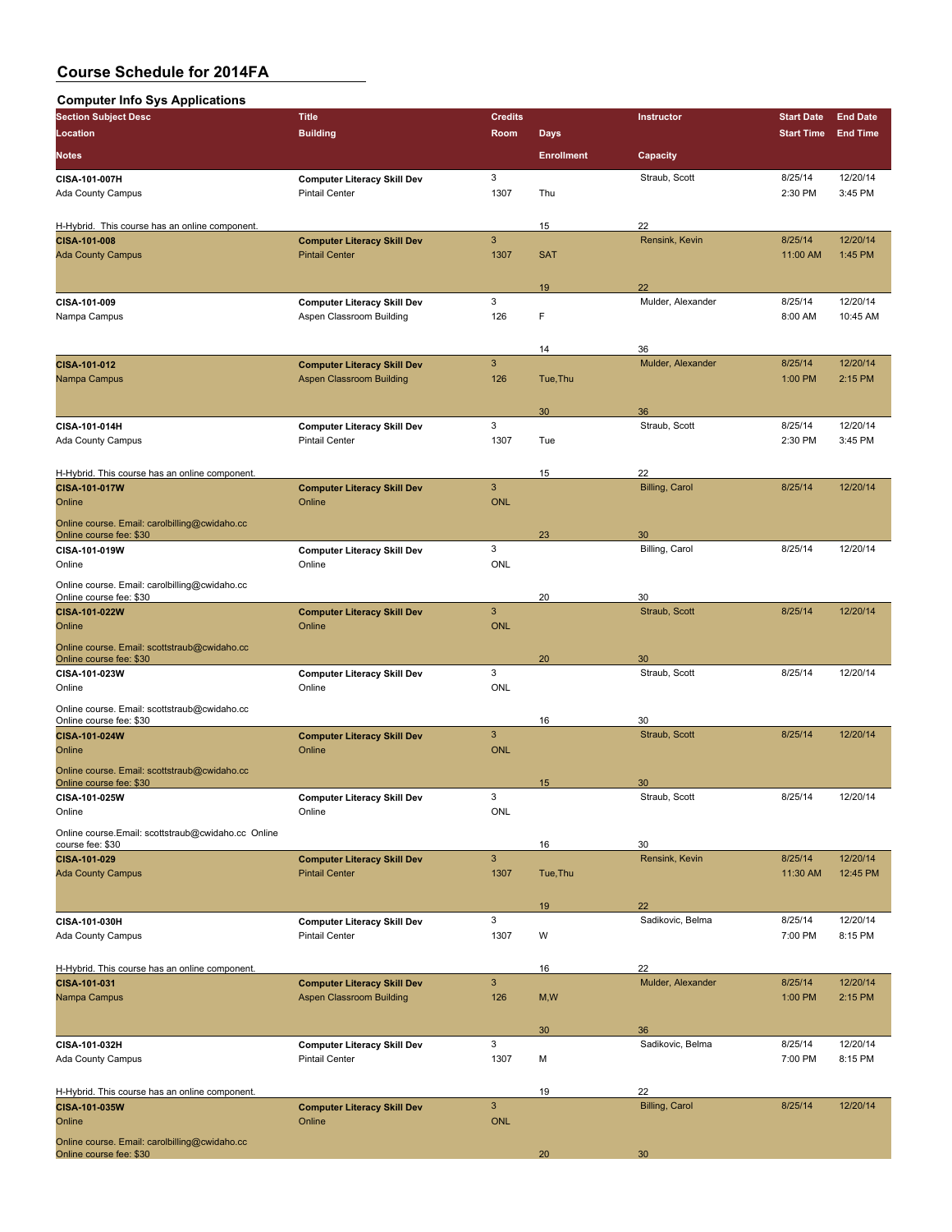| <b>Computer Info Sys Applications</b>                                    |                                                             |                            |                   |                       |                     |                      |
|--------------------------------------------------------------------------|-------------------------------------------------------------|----------------------------|-------------------|-----------------------|---------------------|----------------------|
| <b>Section Subject Desc</b>                                              | <b>Title</b>                                                | <b>Credits</b>             |                   | Instructor            | <b>Start Date</b>   | <b>End Date</b>      |
| Location                                                                 | <b>Building</b>                                             | Room                       | <b>Days</b>       |                       | <b>Start Time</b>   | <b>End Time</b>      |
| <b>Notes</b>                                                             |                                                             |                            | <b>Enrollment</b> | Capacity              |                     |                      |
|                                                                          |                                                             |                            |                   |                       |                     |                      |
| CISA-101-007H                                                            | <b>Computer Literacy Skill Dev</b>                          | 3                          |                   | Straub, Scott         | 8/25/14             | 12/20/14             |
| <b>Ada County Campus</b>                                                 | <b>Pintail Center</b>                                       | 1307                       | Thu               |                       | 2:30 PM             | 3:45 PM              |
|                                                                          |                                                             |                            |                   |                       |                     |                      |
| H-Hybrid. This course has an online component.                           |                                                             | $\mathbf{3}$               | 15                | 22<br>Rensink, Kevin  | 8/25/14             | 12/20/14             |
| CISA-101-008<br><b>Ada County Campus</b>                                 | <b>Computer Literacy Skill Dev</b><br><b>Pintail Center</b> | 1307                       | <b>SAT</b>        |                       | 11:00 AM            | 1:45 PM              |
|                                                                          |                                                             |                            |                   |                       |                     |                      |
|                                                                          |                                                             |                            | 19                | 22                    |                     |                      |
| CISA-101-009                                                             | <b>Computer Literacy Skill Dev</b>                          | 3                          |                   | Mulder, Alexander     | 8/25/14             | 12/20/14             |
| Nampa Campus                                                             | Aspen Classroom Building                                    | 126                        | F                 |                       | 8:00 AM             | 10:45 AM             |
|                                                                          |                                                             |                            |                   |                       |                     |                      |
|                                                                          |                                                             |                            | 14                | 36                    |                     |                      |
| CISA-101-012                                                             | <b>Computer Literacy Skill Dev</b>                          | $\mathbf{3}$               |                   | Mulder, Alexander     | 8/25/14             | 12/20/14             |
| Nampa Campus                                                             | <b>Aspen Classroom Building</b>                             | 126                        | Tue, Thu          |                       | 1:00 PM             | 2:15 PM              |
|                                                                          |                                                             |                            |                   |                       |                     |                      |
|                                                                          |                                                             | 3                          | 30                | 36                    |                     |                      |
| CISA-101-014H<br>Ada County Campus                                       | <b>Computer Literacy Skill Dev</b><br><b>Pintail Center</b> | 1307                       | Tue               | Straub, Scott         | 8/25/14<br>2:30 PM  | 12/20/14<br>3:45 PM  |
|                                                                          |                                                             |                            |                   |                       |                     |                      |
| H-Hybrid. This course has an online component.                           |                                                             |                            | 15                | 22                    |                     |                      |
| CISA-101-017W                                                            | <b>Computer Literacy Skill Dev</b>                          | $\mathbf{3}$               |                   | <b>Billing, Carol</b> | 8/25/14             | 12/20/14             |
| Online                                                                   | Online                                                      | <b>ONL</b>                 |                   |                       |                     |                      |
| Online course. Email: carolbilling@cwidaho.cc                            |                                                             |                            |                   |                       |                     |                      |
| Online course fee: \$30                                                  |                                                             |                            | 23                | 30                    |                     |                      |
| CISA-101-019W                                                            | <b>Computer Literacy Skill Dev</b>                          | 3                          |                   | Billing, Carol        | 8/25/14             | 12/20/14             |
| Online                                                                   | Online                                                      | <b>ONL</b>                 |                   |                       |                     |                      |
| Online course. Email: carolbilling@cwidaho.cc                            |                                                             |                            |                   |                       |                     |                      |
| Online course fee: \$30                                                  |                                                             |                            | 20                | 30                    |                     |                      |
| CISA-101-022W                                                            | <b>Computer Literacy Skill Dev</b>                          | $\mathbf{3}$               |                   | Straub, Scott         | 8/25/14             | 12/20/14             |
| Online                                                                   | Online                                                      | <b>ONL</b>                 |                   |                       |                     |                      |
| Online course. Email: scottstraub@cwidaho.cc                             |                                                             |                            |                   |                       |                     |                      |
| Online course fee: \$30<br>CISA-101-023W                                 | <b>Computer Literacy Skill Dev</b>                          | 3                          | 20                | 30<br>Straub, Scott   | 8/25/14             | 12/20/14             |
| Online                                                                   | Online                                                      | <b>ONL</b>                 |                   |                       |                     |                      |
|                                                                          |                                                             |                            |                   |                       |                     |                      |
| Online course. Email: scottstraub@cwidaho.cc<br>Online course fee: \$30  |                                                             |                            | 16                | 30                    |                     |                      |
| CISA-101-024W                                                            | <b>Computer Literacy Skill Dev</b>                          | $\mathbf{3}$               |                   | Straub, Scott         | 8/25/14             | 12/20/14             |
| Online                                                                   | Online                                                      | <b>ONL</b>                 |                   |                       |                     |                      |
| Online course. Email: scottstraub@cwidaho.cc                             |                                                             |                            |                   |                       |                     |                      |
| Online course fee: \$30                                                  |                                                             |                            | 15                | 30                    |                     |                      |
| CISA-101-025W                                                            | <b>Computer Literacy Skill Dev</b>                          | 3                          |                   | Straub, Scott         | 8/25/14             | 12/20/14             |
| Online                                                                   | Online                                                      | ONL                        |                   |                       |                     |                      |
| Online course.Email: scottstraub@cwidaho.cc_Online                       |                                                             |                            |                   |                       |                     |                      |
| course fee: \$30                                                         |                                                             |                            | 16                | 30                    |                     |                      |
| CISA-101-029<br><b>Ada County Campus</b>                                 | <b>Computer Literacy Skill Dev</b><br><b>Pintail Center</b> | $\mathbf{3}$<br>1307       | Tue, Thu          | Rensink, Kevin        | 8/25/14<br>11:30 AM | 12/20/14<br>12:45 PM |
|                                                                          |                                                             |                            |                   |                       |                     |                      |
|                                                                          |                                                             |                            | 19                | 22                    |                     |                      |
| CISA-101-030H                                                            | <b>Computer Literacy Skill Dev</b>                          | 3                          |                   | Sadikovic, Belma      | 8/25/14             | 12/20/14             |
| Ada County Campus                                                        | <b>Pintail Center</b>                                       | 1307                       | W                 |                       | 7:00 PM             | 8:15 PM              |
|                                                                          |                                                             |                            |                   |                       |                     |                      |
| H-Hybrid. This course has an online component.                           |                                                             |                            | 16                | 22                    |                     |                      |
| CISA-101-031                                                             | <b>Computer Literacy Skill Dev</b>                          | $\mathbf{3}$               |                   | Mulder, Alexander     | 8/25/14             | 12/20/14             |
| Nampa Campus                                                             | <b>Aspen Classroom Building</b>                             | 126                        | M, W              |                       | 1:00 PM             | 2:15 PM              |
|                                                                          |                                                             |                            |                   |                       |                     |                      |
|                                                                          |                                                             |                            | 30                | 36                    |                     |                      |
| CISA-101-032H                                                            | <b>Computer Literacy Skill Dev</b>                          | 3                          |                   | Sadikovic, Belma      | 8/25/14             | 12/20/14             |
| Ada County Campus                                                        | <b>Pintail Center</b>                                       | 1307                       | м                 |                       | 7:00 PM             | 8:15 PM              |
|                                                                          |                                                             |                            |                   |                       |                     |                      |
| H-Hybrid. This course has an online component.                           |                                                             |                            | 19                | 22                    |                     |                      |
| CISA-101-035W<br>Online                                                  | <b>Computer Literacy Skill Dev</b><br>Online                | $\mathbf{3}$<br><b>ONL</b> |                   | <b>Billing, Carol</b> | 8/25/14             | 12/20/14             |
|                                                                          |                                                             |                            |                   |                       |                     |                      |
| Online course. Email: carolbilling@cwidaho.cc<br>Online course fee: \$30 |                                                             |                            | 20                | 30                    |                     |                      |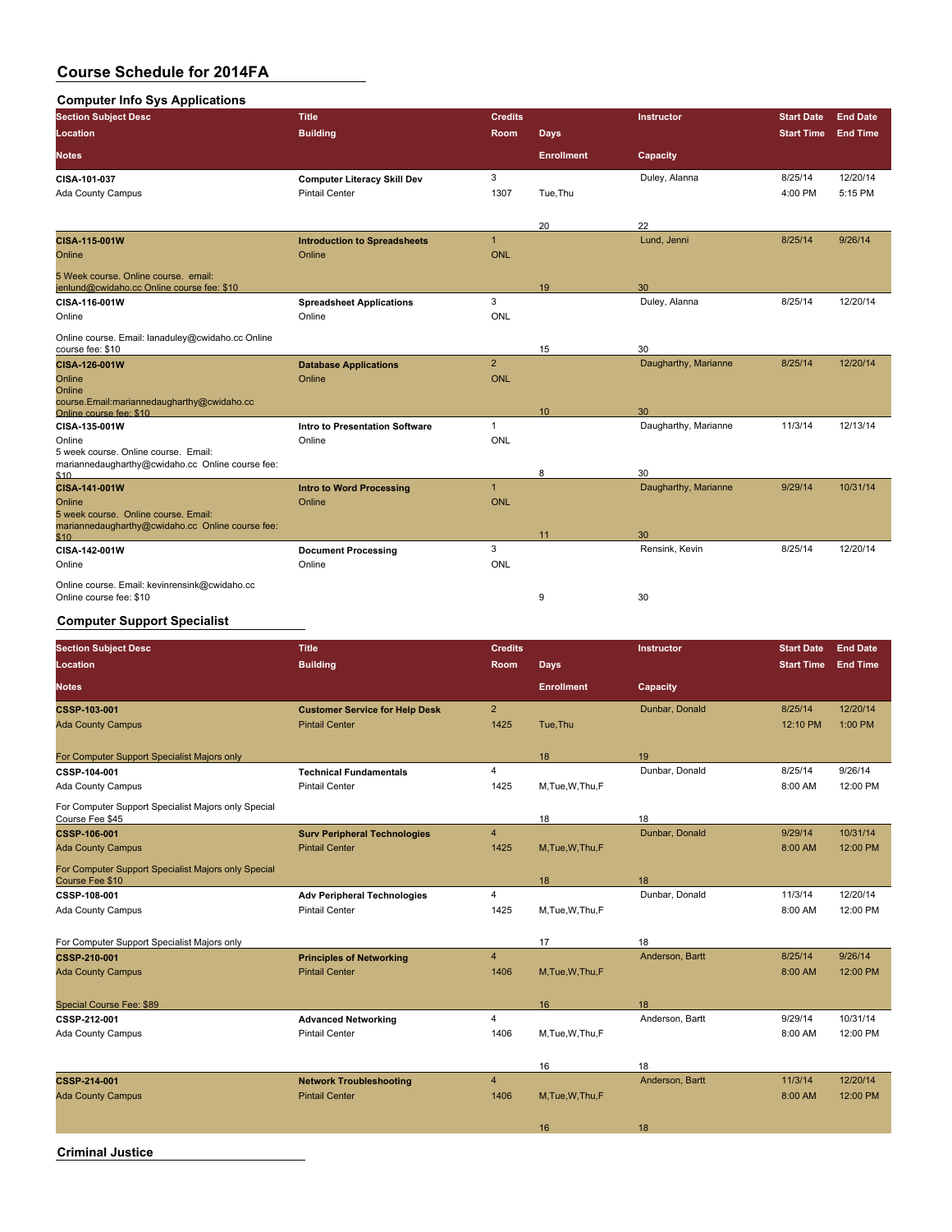| <b>Computer Info Sys Applications</b>                                                            |                                     |                |                   |                      |                   |                 |
|--------------------------------------------------------------------------------------------------|-------------------------------------|----------------|-------------------|----------------------|-------------------|-----------------|
| <b>Section Subject Desc</b>                                                                      | <b>Title</b>                        | <b>Credits</b> |                   | Instructor           | <b>Start Date</b> | <b>End Date</b> |
| <b>Location</b>                                                                                  | <b>Building</b>                     | Room           | Days              |                      | <b>Start Time</b> | <b>End Time</b> |
| <b>Notes</b>                                                                                     |                                     |                | <b>Enrollment</b> | Capacity             |                   |                 |
| CISA-101-037                                                                                     | <b>Computer Literacy Skill Dev</b>  | 3              |                   | Duley, Alanna        | 8/25/14           | 12/20/14        |
| Ada County Campus                                                                                | <b>Pintail Center</b>               | 1307           | Tue, Thu          |                      | 4:00 PM           | 5:15 PM         |
|                                                                                                  |                                     |                | 20                | 22                   |                   |                 |
| <b>CISA 115 001W</b>                                                                             | <b>Introduction to Spreadsheets</b> | $\mathbf{1}$   |                   | Lund, Jenni          | 8/25/14           | 9/26/14         |
| Online                                                                                           | Online                              | <b>ONL</b>     |                   |                      |                   |                 |
| 5 Week course. Online course. email:<br>jenlund@cwidaho.cc Online course fee: \$10               |                                     |                | 19                | 30                   |                   |                 |
| CISA-116-001W                                                                                    | <b>Spreadsheet Applications</b>     | 3              |                   | Duley, Alanna        | 8/25/14           | 12/20/14        |
| Online                                                                                           | Online                              | <b>ONL</b>     |                   |                      |                   |                 |
| Online course. Email: lanaduley@cwidaho.cc Online<br>course fee: \$10                            |                                     |                | 15                | 30                   |                   |                 |
| CISA-126-001W                                                                                    | <b>Database Applications</b>        | $\overline{2}$ |                   | Daugharthy, Marianne | 8/25/14           | 12/20/14        |
| Online<br>Online                                                                                 | Online                              | <b>ONL</b>     |                   |                      |                   |                 |
| course.Email:mariannedaugharthy@cwidaho.cc<br>Online course fee: \$10                            |                                     |                | 10                | 30                   |                   |                 |
| CISA-135-001W                                                                                    | Intro to Presentation Software      | $\mathbf{1}$   |                   | Daugharthy, Marianne | 11/3/14           | 12/13/14        |
| Online<br>5 week course. Online course. Email:                                                   | Online                              | <b>ONL</b>     |                   |                      |                   |                 |
| mariannedaugharthy@cwidaho.cc Online course fee:<br>\$10                                         |                                     |                | 8                 | 30                   |                   |                 |
| CISA-141-001W                                                                                    | <b>Intro to Word Processing</b>     | $\overline{1}$ |                   | Daugharthy, Marianne | 9/29/14           | 10/31/14        |
| Online                                                                                           | Online                              | <b>ONL</b>     |                   |                      |                   |                 |
| 5 week course. Online course, Email:<br>mariannedaugharthy@cwidaho.cc Online course fee:<br>\$10 |                                     |                | 11                | 30                   |                   |                 |
| CISA-142-001W                                                                                    | <b>Document Processing</b>          | 3              |                   | Rensink, Kevin       | 8/25/14           | 12/20/14        |
| Online                                                                                           | Online                              | <b>ONL</b>     |                   |                      |                   |                 |
| Online course. Email: kevinrensink@cwidaho.cc                                                    |                                     |                |                   |                      |                   |                 |
| Online course fee: \$10                                                                          |                                     |                | 9                 | 30                   |                   |                 |

### **Computer Support Specialist**

| <b>Section Subject Desc</b>                                            | <b>Title</b>                                                 | <b>Credits</b>          |                   | Instructor           | <b>Start Date</b> | <b>End Date</b> |
|------------------------------------------------------------------------|--------------------------------------------------------------|-------------------------|-------------------|----------------------|-------------------|-----------------|
| Location                                                               | <b>Building</b>                                              | <b>Room</b>             | <b>Days</b>       |                      | <b>Start Time</b> | <b>End Time</b> |
| <b>Notes</b>                                                           |                                                              |                         | <b>Enrollment</b> | Capacity             |                   |                 |
| CSSP 103 001                                                           | <b>Customer Service for Help Desk</b>                        | $\overline{2}$          |                   | Dunbar, Donald       | 8/25/14           | 12/20/14        |
| <b>Ada County Campus</b>                                               | <b>Pintail Center</b>                                        | 1425                    | Tue, Thu          |                      | 12:10 PM          | 1:00 PM         |
| For Computer Support Specialist Majors only                            |                                                              |                         | 18                | 19                   |                   |                 |
| CSSP-104-001                                                           | <b>Technical Fundamentals</b>                                | $\overline{4}$          |                   | Dunbar, Donald       | 8/25/14           | 9/26/14         |
| Ada County Campus                                                      | <b>Pintail Center</b>                                        | 1425                    | M, Tue, W, Thu, F |                      | 8:00 AM           | 12:00 PM        |
| For Computer Support Specialist Majors only Special                    |                                                              |                         |                   |                      |                   |                 |
| Course Fee \$45                                                        |                                                              | $\overline{4}$          | 18                | 18<br>Dunbar, Donald | 9/29/14           | 10/31/14        |
| <b>CSSP 106 001</b>                                                    | <b>Surv Peripheral Technologies</b><br><b>Pintail Center</b> | 1425                    |                   |                      |                   | 12:00 PM        |
| <b>Ada County Campus</b>                                               |                                                              |                         | M, Tue, W, Thu, F |                      | 8:00 AM           |                 |
| For Computer Support Specialist Majors only Special<br>Course Fee \$10 |                                                              |                         | 18                | 18                   |                   |                 |
| CSSP-108-001                                                           | <b>Adv Peripheral Technologies</b>                           | $\overline{4}$          |                   | Dunbar, Donald       | 11/3/14           | 12/20/14        |
| Ada County Campus                                                      | <b>Pintail Center</b>                                        | 1425                    | M,Tue,W,Thu,F     |                      | 8:00 AM           | 12:00 PM        |
| For Computer Support Specialist Majors only                            |                                                              |                         | 17                | 18                   |                   |                 |
| <b>CSSP 210 001</b>                                                    | <b>Principles of Networking</b>                              | $\overline{4}$          |                   | Anderson, Bartt      | 8/25/14           | 9/26/14         |
| <b>Ada County Campus</b>                                               | <b>Pintail Center</b>                                        | 1406                    | M, Tue, W, Thu, F |                      | 8:00 AM           | 12:00 PM        |
|                                                                        |                                                              |                         |                   |                      |                   |                 |
| Special Course Fee: \$89                                               |                                                              |                         | 16                | 18                   |                   |                 |
| CSSP-212-001                                                           | <b>Advanced Networking</b>                                   | 4                       |                   | Anderson, Bartt      | 9/29/14           | 10/31/14        |
| Ada County Campus                                                      | <b>Pintail Center</b>                                        | 1406                    | M, Tue, W, Thu, F |                      | 8:00 AM           | 12:00 PM        |
|                                                                        |                                                              |                         | 16                | 18                   |                   |                 |
| <b>CSSP 214-001</b>                                                    | <b>Network Troubleshooting</b>                               | $\overline{\mathbf{4}}$ |                   | Anderson, Bartt      | 11/3/14           | 12/20/14        |
| <b>Ada County Campus</b>                                               | <b>Pintail Center</b>                                        | 1406                    | M.Tue.W.Thu.F     |                      | 8:00 AM           | 12:00 PM        |
|                                                                        |                                                              |                         |                   |                      |                   |                 |
|                                                                        |                                                              |                         | 16                | 18                   |                   |                 |
|                                                                        |                                                              |                         |                   |                      |                   |                 |

**Criminal Justice**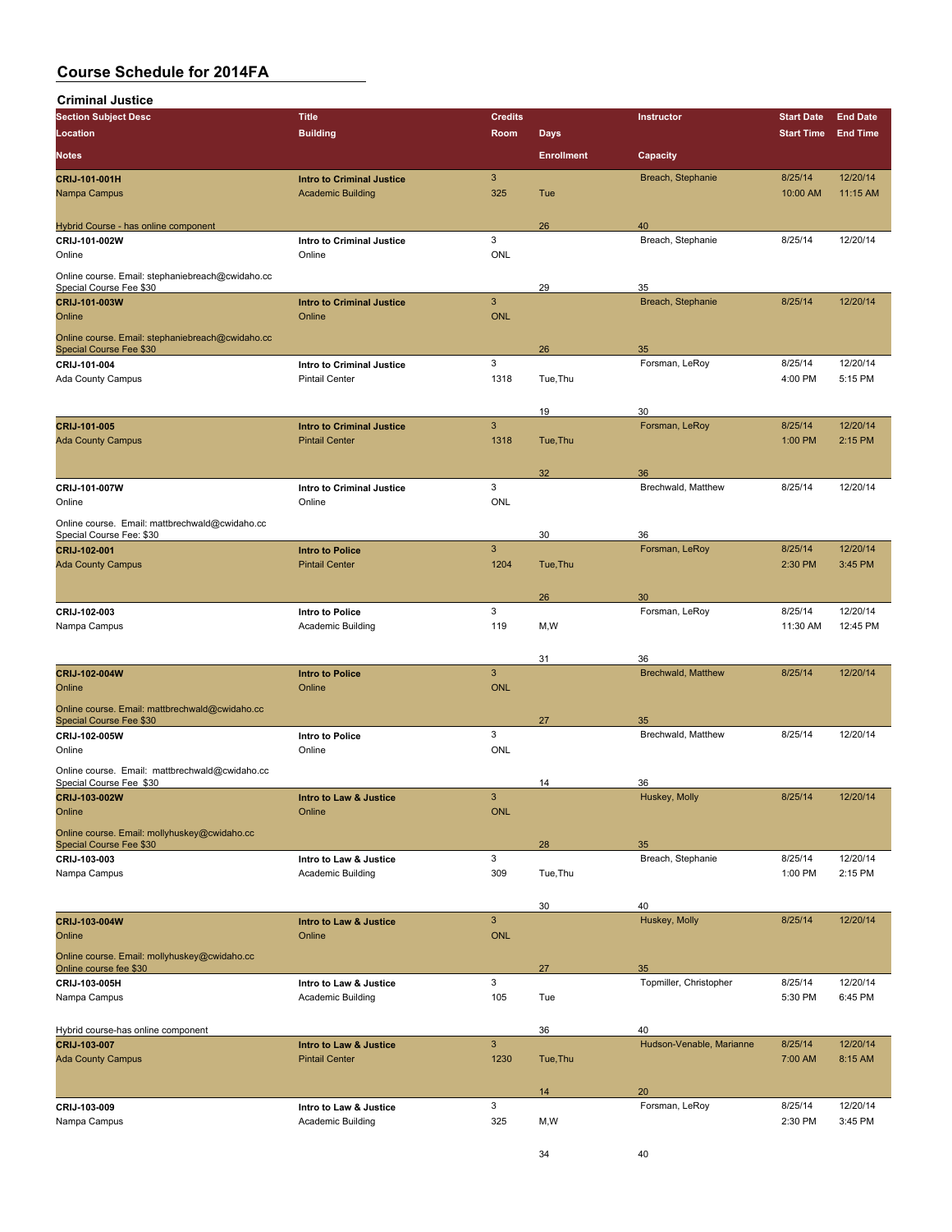| <b>Criminal Justice</b>                                                     |                                  |                 |                   |                           |                   |                 |
|-----------------------------------------------------------------------------|----------------------------------|-----------------|-------------------|---------------------------|-------------------|-----------------|
| <b>Section Subject Desc</b>                                                 | <b>Title</b>                     | <b>Credits</b>  |                   | Instructor                | <b>Start Date</b> | <b>End Date</b> |
| Location                                                                    | <b>Building</b>                  | Room            | <b>Days</b>       |                           | <b>Start Time</b> | <b>End Time</b> |
| <b>Notes</b>                                                                |                                  |                 | <b>Enrollment</b> | Capacity                  |                   |                 |
| CRIJ-101-001H                                                               | <b>Intro to Criminal Justice</b> | $\mathbf{3}$    |                   | Breach, Stephanie         | 8/25/14           | 12/20/14        |
| Nampa Campus                                                                | <b>Academic Building</b>         | 325             | Tue               |                           | 10:00 AM          | 11:15 AM        |
|                                                                             |                                  |                 |                   |                           |                   |                 |
| Hybrid Course - has online component                                        |                                  |                 | 26                | 40                        |                   |                 |
| CRIJ-101-002W                                                               | Intro to Criminal Justice        | 3               |                   | Breach, Stephanie         | 8/25/14           | 12/20/14        |
| Online                                                                      | Online                           | ONL             |                   |                           |                   |                 |
|                                                                             |                                  |                 |                   |                           |                   |                 |
| Online course. Email: stephaniebreach@cwidaho.cc<br>Special Course Fee \$30 |                                  |                 | 29                | 35                        |                   |                 |
| CRIJ-101-003W                                                               | <b>Intro to Criminal Justice</b> | $\mathbf{3}$    |                   | Breach, Stephanie         | 8/25/14           | 12/20/14        |
| Online                                                                      | Online                           | <b>ONL</b>      |                   |                           |                   |                 |
|                                                                             |                                  |                 |                   |                           |                   |                 |
| Online course. Email: stephaniebreach@cwidaho.cc<br>Special Course Fee \$30 |                                  |                 | 26                | 35                        |                   |                 |
| CRIJ-101-004                                                                | Intro to Criminal Justice        | 3               |                   | Forsman, LeRoy            | 8/25/14           | 12/20/14        |
| Ada County Campus                                                           | <b>Pintail Center</b>            | 1318            | Tue, Thu          |                           | 4:00 PM           | 5:15 PM         |
|                                                                             |                                  |                 |                   |                           |                   |                 |
|                                                                             |                                  |                 | 19                | 30                        |                   |                 |
| CRIJ-101-005                                                                | <b>Intro to Criminal Justice</b> | $\overline{3}$  |                   | Forsman, LeRoy            | 8/25/14           | 12/20/14        |
| <b>Ada County Campus</b>                                                    | <b>Pintail Center</b>            | 1318            | Tue, Thu          |                           | 1:00 PM           | 2:15 PM         |
|                                                                             |                                  |                 |                   |                           |                   |                 |
|                                                                             |                                  |                 | 32                | 36                        |                   |                 |
| CRIJ-101-007W                                                               | <b>Intro to Criminal Justice</b> | 3               |                   | Brechwald, Matthew        | 8/25/14           | 12/20/14        |
| Online                                                                      | Online                           | <b>ONL</b>      |                   |                           |                   |                 |
| Online course. Email: mattbrechwald@cwidaho.cc                              |                                  |                 |                   |                           |                   |                 |
| Special Course Fee: \$30                                                    |                                  |                 | 30                | 36                        |                   |                 |
| CRIJ-102-001                                                                | <b>Intro to Police</b>           | $\mathbf{3}$    |                   | Forsman, LeRoy            | 8/25/14           | 12/20/14        |
| <b>Ada County Campus</b>                                                    | <b>Pintail Center</b>            | 1204            | Tue, Thu          |                           | 2:30 PM           | 3:45 PM         |
|                                                                             |                                  |                 |                   |                           |                   |                 |
|                                                                             |                                  |                 | 26                | 30                        |                   |                 |
| CRIJ-102-003                                                                | Intro to Police                  | 3               |                   | Forsman, LeRoy            | 8/25/14           | 12/20/14        |
| Nampa Campus                                                                | <b>Academic Building</b>         | 119             | M, W              |                           | 11:30 AM          | 12:45 PM        |
|                                                                             |                                  |                 |                   |                           |                   |                 |
|                                                                             |                                  |                 | 31                | 36                        |                   |                 |
| CRIJ-102-004W<br>Online                                                     | <b>Intro to Police</b><br>Online | 3<br><b>ONL</b> |                   | <b>Brechwald, Matthew</b> | 8/25/14           | 12/20/14        |
|                                                                             |                                  |                 |                   |                           |                   |                 |
| Online course. Email: mattbrechwald@cwidaho.cc                              |                                  |                 |                   |                           |                   |                 |
| Special Course Fee \$30<br>CRIJ-102-005W                                    | <b>Intro to Police</b>           | 3               | 27                | 35<br>Brechwald, Matthew  | 8/25/14           | 12/20/14        |
| Online                                                                      | Online                           | <b>ONL</b>      |                   |                           |                   |                 |
|                                                                             |                                  |                 |                   |                           |                   |                 |
| Online course. Email: mattbrechwald@cwidaho.cc<br>Special Course Fee \$30   |                                  |                 | 14                | 36                        |                   |                 |
| CRIJ-103-002W                                                               | Intro to Law & Justice           | $\mathbf{3}$    |                   | Huskey, Molly             | 8/25/14           | 12/20/14        |
| Online                                                                      | Online                           | <b>ONL</b>      |                   |                           |                   |                 |
|                                                                             |                                  |                 |                   |                           |                   |                 |
| Online course. Email: mollyhuskey@cwidaho.cc<br>Special Course Fee \$30     |                                  |                 | 28                | 35                        |                   |                 |
| CRIJ-103-003                                                                | Intro to Law & Justice           | 3               |                   | Breach, Stephanie         | 8/25/14           | 12/20/14        |
| Nampa Campus                                                                | <b>Academic Building</b>         | 309             | Tue, Thu          |                           | 1:00 PM           | 2:15 PM         |
|                                                                             |                                  |                 |                   |                           |                   |                 |
|                                                                             |                                  |                 | 30                | 40                        |                   |                 |
| CRIJ-103-004W                                                               | Intro to Law & Justice           | $\mathbf{3}$    |                   | Huskey, Molly             | 8/25/14           | 12/20/14        |

|                                              |                        |            | 3U       | 40.                      |         |          |
|----------------------------------------------|------------------------|------------|----------|--------------------------|---------|----------|
| <b>CRIJ-103-004W</b>                         | Intro to Law & Justice | 3          |          | Huskey, Molly            | 8/25/14 | 12/20/14 |
| Online                                       | Online                 | <b>ONL</b> |          |                          |         |          |
| Online course. Email: mollyhuskey@cwidaho.cc |                        |            |          |                          |         |          |
| Online course fee \$30                       |                        |            | 27       | 35                       |         |          |
| CRIJ-103-005H                                | Intro to Law & Justice | 3          |          | Topmiller, Christopher   | 8/25/14 | 12/20/14 |
| Nampa Campus                                 | Academic Building      | 105        | Tue      |                          | 5:30 PM | 6:45 PM  |
|                                              |                        |            |          |                          |         |          |
|                                              |                        |            |          |                          |         |          |
| Hybrid course-has online component           |                        |            | 36       | 40                       |         |          |
| CRIJ-103-007                                 | Intro to Law & Justice | 3          |          | Hudson-Venable, Marianne | 8/25/14 | 12/20/14 |
| <b>Ada County Campus</b>                     | <b>Pintail Center</b>  | 1230       | Tue, Thu |                          | 7:00 AM | 8:15 AM  |
|                                              |                        |            |          |                          |         |          |
|                                              |                        |            | 14       | 20                       |         |          |
| CRIJ-103-009                                 | Intro to Law & Justice | 3          |          | Forsman, LeRoy           | 8/25/14 | 12/20/14 |
| Nampa Campus                                 | Academic Building      | 325        | M,W      |                          | 2:30 PM | 3:45 PM  |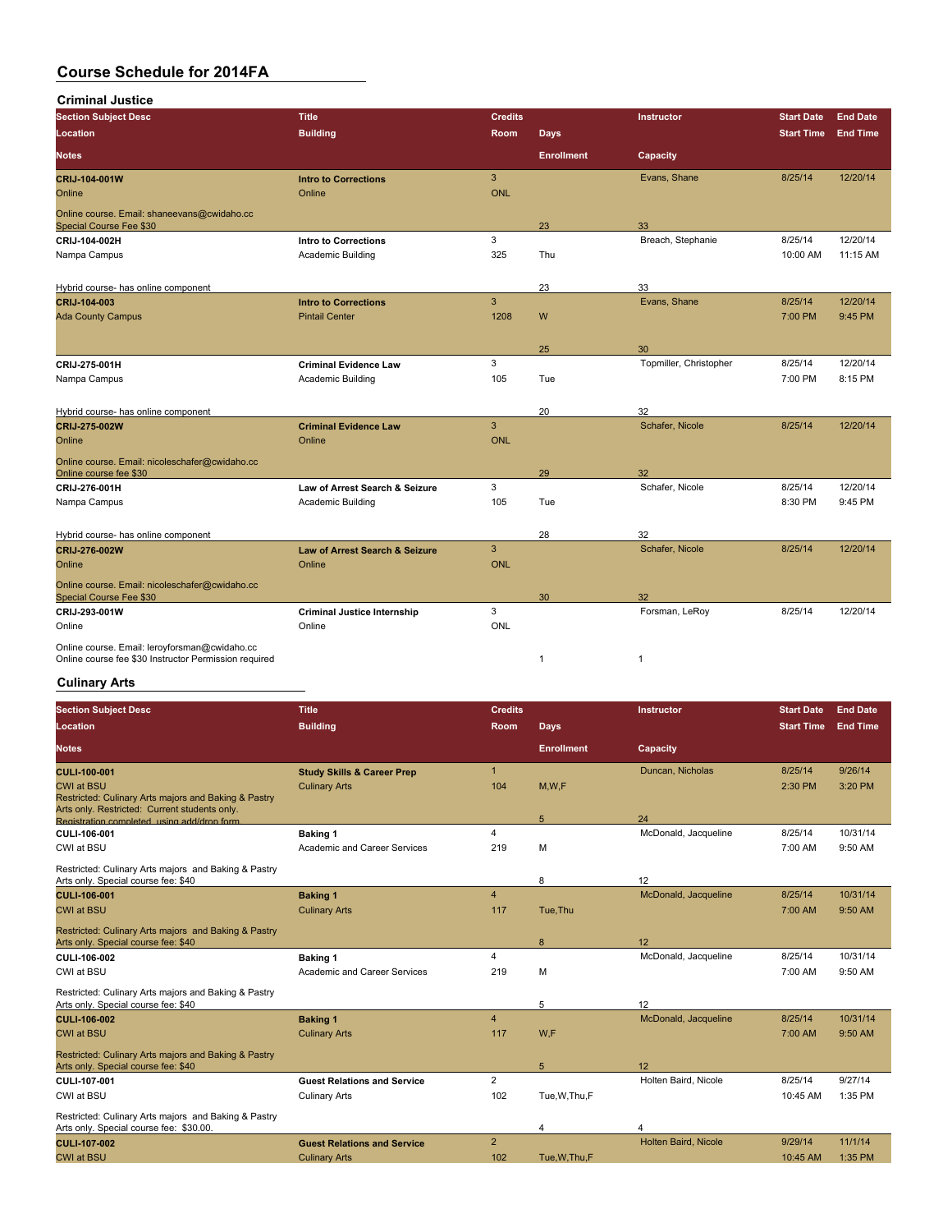**Criminal Justice**

| <b>Section Subject Desc</b>                                                                            | <b>Title</b>                              | <b>Credits</b> |                   | <b>Instructor</b>      | <b>Start Date</b> | <b>End Date</b> |
|--------------------------------------------------------------------------------------------------------|-------------------------------------------|----------------|-------------------|------------------------|-------------------|-----------------|
| Location                                                                                               | <b>Building</b>                           | <b>Room</b>    | <b>Days</b>       |                        | <b>Start Time</b> | <b>End Time</b> |
| <b>Notes</b>                                                                                           |                                           |                | <b>Enrollment</b> | Capacity               |                   |                 |
| CRIJ-104-001W                                                                                          | <b>Intro to Corrections</b>               | 3              |                   | Evans, Shane           | 8/25/14           | 12/20/14        |
| Online                                                                                                 | Online                                    | <b>ONL</b>     |                   |                        |                   |                 |
| Online course. Email: shaneevans@cwidaho.cc<br>Special Course Fee \$30                                 |                                           |                | 23                | 33                     |                   |                 |
| CRIJ-104-002H                                                                                          | <b>Intro to Corrections</b>               | 3              |                   | Breach, Stephanie      | 8/25/14           | 12/20/14        |
| Nampa Campus                                                                                           | Academic Building                         | 325            | Thu               |                        | 10:00 AM          | 11:15 AM        |
| Hybrid course- has online component                                                                    |                                           |                | 23                | 33                     |                   |                 |
| CRIJ-104-003                                                                                           | <b>Intro to Corrections</b>               | 3              |                   | Evans, Shane           | 8/25/14           | 12/20/14        |
| <b>Ada County Campus</b>                                                                               | <b>Pintail Center</b>                     | 1208           | W                 |                        | 7:00 PM           | 9:45 PM         |
|                                                                                                        |                                           |                |                   |                        |                   |                 |
|                                                                                                        |                                           |                | 25                | 30                     |                   |                 |
| CRIJ 275 001H                                                                                          | <b>Criminal Evidence Law</b>              | 3              |                   | Topmiller, Christopher | 8/25/14           | 12/20/14        |
| Nampa Campus                                                                                           | Academic Building                         | 105            | Tue               |                        | 7:00 PM           | 8:15 PM         |
| Hybrid course- has online component                                                                    |                                           |                | 20                | 32                     |                   |                 |
| CRIJ-275-002W                                                                                          | <b>Criminal Evidence Law</b>              | $\overline{3}$ |                   | Schafer, Nicole        | 8/25/14           | 12/20/14        |
| Online                                                                                                 | Online                                    | <b>ONL</b>     |                   |                        |                   |                 |
| Online course. Email: nicoleschafer@cwidaho.cc<br>Online course fee \$30                               |                                           |                | 29                | 32                     |                   |                 |
| CRIJ 276-001H                                                                                          | Law of Arrest Search & Seizure            | 3              |                   | Schafer, Nicole        | 8/25/14           | 12/20/14        |
| Nampa Campus                                                                                           | Academic Building                         | 105            | Tue               |                        | 8:30 PM           | 9:45 PM         |
|                                                                                                        |                                           |                |                   |                        |                   |                 |
| Hybrid course- has online component                                                                    |                                           |                | 28                | 32                     |                   |                 |
| CRIJ-276-002W                                                                                          | <b>Law of Arrest Search &amp; Seizure</b> | 3              |                   | Schafer, Nicole        | 8/25/14           | 12/20/14        |
| Online                                                                                                 | Online                                    | <b>ONL</b>     |                   |                        |                   |                 |
| Online course. Email: nicoleschafer@cwidaho.cc<br>Special Course Fee \$30                              |                                           |                | 30                | 32                     |                   |                 |
| CRIJ 293-001W                                                                                          | <b>Criminal Justice Internship</b>        | 3              |                   | Forsman, LeRoy         | 8/25/14           | 12/20/14        |
| Online                                                                                                 | Online                                    | <b>ONL</b>     |                   |                        |                   |                 |
| Online course. Email: leroyforsman@cwidaho.cc<br>Online course fee \$30 Instructor Permission required |                                           |                | $\mathbf{1}$      | $\mathbf{1}$           |                   |                 |

### **Culinary Arts**

| <b>Section Subject Desc</b>                                                                                                | <b>Title</b>                          | Credits                 |                   | <b>Instructor</b>           | <b>Start Date</b> | <b>End Date</b> |
|----------------------------------------------------------------------------------------------------------------------------|---------------------------------------|-------------------------|-------------------|-----------------------------|-------------------|-----------------|
| Location                                                                                                                   | <b>Building</b>                       | <b>Room</b>             | <b>Days</b>       |                             | <b>Start Time</b> | <b>End Time</b> |
| <b>Notes</b>                                                                                                               |                                       |                         | <b>Enrollment</b> | Capacity                    |                   |                 |
| <b>CULI 100 001</b>                                                                                                        | <b>Study Skills &amp; Career Prep</b> | $\overline{1}$          |                   | Duncan, Nicholas            | 8/25/14           | 9/26/14         |
| <b>CWI at BSU</b><br>Restricted: Culinary Arts majors and Baking & Pastry<br>Arts only. Restricted: Current students only. | <b>Culinary Arts</b>                  | 104                     | M, W, F           |                             | 2:30 PM           | 3:20 PM         |
| Registration completed using add/drop form.                                                                                |                                       |                         | 5                 | 24                          |                   |                 |
| CULI-106-001                                                                                                               | <b>Baking 1</b>                       | $\overline{4}$          |                   | McDonald, Jacqueline        | 8/25/14           | 10/31/14        |
| CWI at BSU                                                                                                                 | Academic and Career Services          | 219                     | M                 |                             | 7:00 AM           | 9:50 AM         |
| Restricted: Culinary Arts majors and Baking & Pastry                                                                       |                                       |                         |                   |                             |                   |                 |
| Arts only. Special course fee: \$40                                                                                        |                                       |                         | 8                 | 12                          |                   |                 |
| CULI-106-001                                                                                                               | <b>Baking 1</b>                       | $\overline{4}$          |                   | McDonald, Jacqueline        | 8/25/14           | 10/31/14        |
| <b>CWI at BSU</b>                                                                                                          | <b>Culinary Arts</b>                  | 117                     | Tue, Thu          |                             | 7:00 AM           | $9:50$ AM       |
| Restricted: Culinary Arts majors and Baking & Pastry<br>Arts only. Special course fee: \$40                                |                                       |                         | 8                 | 12                          |                   |                 |
|                                                                                                                            |                                       | $\overline{\mathbf{4}}$ |                   | McDonald, Jacqueline        | 8/25/14           | 10/31/14        |
| CULI-106-002                                                                                                               | <b>Baking 1</b>                       |                         |                   |                             |                   |                 |
| CWI at BSU                                                                                                                 | Academic and Career Services          | 219                     | M                 |                             | 7:00 AM           | 9:50 AM         |
| Restricted: Culinary Arts majors and Baking & Pastry<br>Arts only. Special course fee: \$40                                |                                       |                         | 5                 | 12                          |                   |                 |
| <b>CULI 106 002</b>                                                                                                        | <b>Baking 1</b>                       | $\overline{4}$          |                   | McDonald, Jacqueline        | 8/25/14           | 10/31/14        |
| <b>CWI at BSU</b>                                                                                                          | <b>Culinary Arts</b>                  | 117                     | W,F               |                             | 7:00 AM           | 9:50 AM         |
| Restricted: Culinary Arts majors and Baking & Pastry<br>Arts only. Special course fee: \$40                                |                                       |                         | 5                 | 12                          |                   |                 |
| CULI-107-001                                                                                                               | <b>Guest Relations and Service</b>    | $\overline{2}$          |                   | Holten Baird, Nicole        | 8/25/14           | 9/27/14         |
| CWI at BSU                                                                                                                 | <b>Culinary Arts</b>                  | 102                     | Tue, W, Thu, F    |                             | 10:45 AM          | 1:35 PM         |
| Restricted: Culinary Arts majors and Baking & Pastry<br>Arts only. Special course fee: \$30.00.                            |                                       |                         | 4                 | 4                           |                   |                 |
| <b>CULI 107 002</b>                                                                                                        | <b>Guest Relations and Service</b>    | $\overline{2}$          |                   | <b>Holten Baird, Nicole</b> | 9/29/14           | 11/1/14         |
| <b>CWI at BSU</b>                                                                                                          | <b>Culinary Arts</b>                  | 102                     | Tue.W.Thu.F       |                             | 10:45 AM          | 1:35 PM         |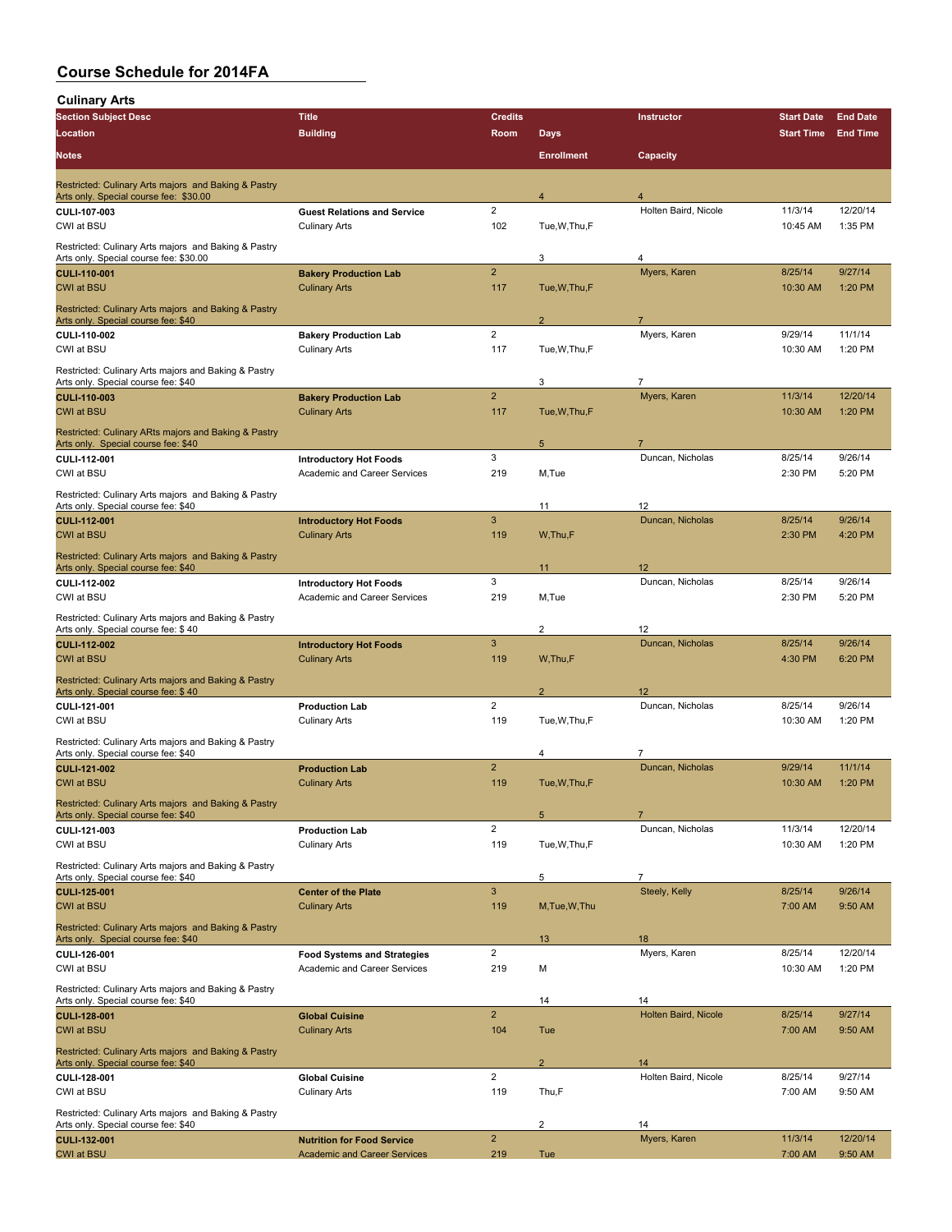| <b>Culinary Arts</b>                                                                           |                                                            |                         |                           |                                    |                                        |                                    |
|------------------------------------------------------------------------------------------------|------------------------------------------------------------|-------------------------|---------------------------|------------------------------------|----------------------------------------|------------------------------------|
| <b>Section Subject Desc</b><br>Location                                                        | <b>Title</b><br><b>Building</b>                            | <b>Credits</b><br>Room  |                           | Instructor                         | <b>Start Date</b><br><b>Start Time</b> | <b>End Date</b><br><b>End Time</b> |
| <b>Notes</b>                                                                                   |                                                            |                         | Days<br><b>Enrollment</b> | Capacity                           |                                        |                                    |
|                                                                                                |                                                            |                         |                           |                                    |                                        |                                    |
| Restricted: Culinary Arts majors and Baking & Pastry<br>Arts only. Special course fee: \$30.00 |                                                            |                         | $\overline{4}$            | 4                                  |                                        |                                    |
| CULI-107-003<br>CWI at BSU                                                                     | <b>Guest Relations and Service</b><br><b>Culinary Arts</b> | $\overline{2}$<br>102   | Tue, W, Thu, F            | Holten Baird, Nicole               | 11/3/14<br>10:45 AM                    | 12/20/14<br>1:35 PM                |
| Restricted: Culinary Arts majors and Baking & Pastry<br>Arts only. Special course fee: \$30.00 |                                                            |                         | 3                         | 4                                  |                                        |                                    |
| <b>CULI-110-001</b>                                                                            | <b>Bakery Production Lab</b>                               | $\overline{2}$          |                           | Myers, Karen                       | 8/25/14                                | 9/27/14                            |
| <b>CWI at BSU</b>                                                                              | <b>Culinary Arts</b>                                       | 117                     | Tue, W, Thu, F            |                                    | 10:30 AM                               | 1:20 PM                            |
| Restricted: Culinary Arts majors and Baking & Pastry<br>Arts only. Special course fee: \$40    |                                                            |                         | $\overline{2}$            | $\overline{7}$                     |                                        |                                    |
| CULI-110-002<br>CWI at BSU                                                                     | <b>Bakery Production Lab</b><br><b>Culinary Arts</b>       | $\overline{2}$<br>117   | Tue, W, Thu, F            | Myers, Karen                       | 9/29/14<br>10:30 AM                    | 11/1/14<br>1:20 PM                 |
| Restricted: Culinary Arts majors and Baking & Pastry                                           |                                                            |                         |                           |                                    |                                        |                                    |
| Arts only. Special course fee: \$40<br><b>CULI 110 003</b>                                     | <b>Bakery Production Lab</b>                               | $\overline{2}$          | 3                         | $\overline{7}$<br>Myers, Karen     | 11/3/14                                | 12/20/14                           |
| <b>CWI at BSU</b>                                                                              | <b>Culinary Arts</b>                                       | 117                     | Tue, W, Thu, F            |                                    | 10:30 AM                               | 1:20 PM                            |
| Restricted: Culinary ARts majors and Baking & Pastry<br>Arts only. Special course fee: \$40    |                                                            |                         | 5                         |                                    |                                        |                                    |
| CULI-112-001                                                                                   | <b>Introductory Hot Foods</b>                              | 3                       |                           | Duncan, Nicholas                   | 8/25/14                                | 9/26/14                            |
| CWI at BSU                                                                                     | Academic and Career Services                               | 219                     | M,Tue                     |                                    | 2:30 PM                                | 5:20 PM                            |
| Restricted: Culinary Arts majors and Baking & Pastry<br>Arts only. Special course fee: \$40    |                                                            |                         | 11                        | 12                                 |                                        |                                    |
| CULI-112-001<br><b>CWI at BSU</b>                                                              | <b>Introductory Hot Foods</b><br><b>Culinary Arts</b>      | 3<br>119                | W.Thu,F                   | Duncan, Nicholas                   | 8/25/14<br>2:30 PM                     | 9/26/14<br>4:20 PM                 |
| Restricted: Culinary Arts majors and Baking & Pastry                                           |                                                            |                         |                           |                                    |                                        |                                    |
| Arts only. Special course fee: \$40<br>CULI-112-002                                            | <b>Introductory Hot Foods</b>                              | 3                       | 11                        | 12<br>Duncan, Nicholas             | 8/25/14                                | 9/26/14                            |
| CWI at BSU                                                                                     | Academic and Career Services                               | 219                     | M,Tue                     |                                    | 2:30 PM                                | 5:20 PM                            |
| Restricted: Culinary Arts majors and Baking & Pastry<br>Arts only. Special course fee: \$40    |                                                            |                         | $\overline{2}$            | 12                                 |                                        |                                    |
| <b>CULI-112-002</b>                                                                            | <b>Introductory Hot Foods</b>                              | 3                       |                           | Duncan, Nicholas                   | 8/25/14                                | 9/26/14                            |
| <b>CWI at BSU</b>                                                                              | <b>Culinary Arts</b>                                       | 119                     | W, Thu, F                 |                                    | 4:30 PM                                | 6:20 PM                            |
| Restricted: Culinary Arts majors and Baking & Pastry<br>Arts only. Special course fee: \$40    |                                                            |                         | $\overline{2}$            | 12                                 |                                        |                                    |
| CULI-121-001                                                                                   | <b>Production Lab</b>                                      | $\overline{2}$          |                           | Duncan, Nicholas                   | 8/25/14                                | 9/26/14                            |
| CWI at BSU                                                                                     | <b>Culinary Arts</b>                                       | 119                     | Tue, W, Thu, F            |                                    | 10:30 AM                               | 1:20 PM                            |
| Restricted: Culinary Arts majors and Baking & Pastry<br>Arts only. Special course fee: \$40    |                                                            |                         | $\overline{4}$            | 7                                  |                                        |                                    |
| <b>CULI-121-002</b><br><b>CWI at BSU</b>                                                       | <b>Production Lab</b><br><b>Culinary Arts</b>              | $\overline{2}$<br>119   | Tue, W, Thu, F            | Duncan, Nicholas                   | 9/29/14<br>10:30 AM                    | 11/1/14<br>1:20 PM                 |
| Restricted: Culinary Arts majors and Baking & Pastry                                           |                                                            |                         |                           |                                    |                                        |                                    |
| Arts only. Special course fee: \$40<br>CULI-121-003                                            | <b>Production Lab</b>                                      | $\overline{\mathbf{c}}$ | 5                         | $\overline{7}$<br>Duncan, Nicholas | 11/3/14                                | 12/20/14                           |
| CWI at BSU                                                                                     | <b>Culinary Arts</b>                                       | 119                     | Tue, W, Thu, F            |                                    | 10:30 AM                               | 1:20 PM                            |
| Restricted: Culinary Arts majors and Baking & Pastry<br>Arts only. Special course fee: \$40    |                                                            |                         | 5                         | $\overline{7}$                     |                                        |                                    |
| <b>CULI-125-001</b>                                                                            | <b>Center of the Plate</b>                                 | 3                       |                           | Steely, Kelly                      | 8/25/14                                | 9/26/14                            |
| <b>CWI at BSU</b>                                                                              | <b>Culinary Arts</b>                                       | 119                     | M, Tue, W, Thu            |                                    | 7:00 AM                                | 9:50 AM                            |
| Restricted: Culinary Arts majors and Baking & Pastry<br>Arts only. Special course fee: \$40    |                                                            |                         | 13                        | 18                                 |                                        |                                    |
| CULI-126-001                                                                                   | <b>Food Systems and Strategies</b>                         | $\overline{2}$          |                           | Myers, Karen                       | 8/25/14                                | 12/20/14                           |
| CWI at BSU                                                                                     | Academic and Career Services                               | 219                     | М                         |                                    | 10:30 AM                               | 1:20 PM                            |
| Restricted: Culinary Arts majors and Baking & Pastry<br>Arts only. Special course fee: \$40    |                                                            |                         | 14                        | 14                                 |                                        |                                    |
| CULI-128-001<br><b>CWI at BSU</b>                                                              | <b>Global Cuisine</b><br><b>Culinary Arts</b>              | $\overline{2}$<br>104   | Tue                       | Holten Baird, Nicole               | 8/25/14<br>7:00 AM                     | 9/27/14<br>9:50 AM                 |
| Restricted: Culinary Arts majors and Baking & Pastry                                           |                                                            |                         |                           |                                    |                                        |                                    |
| Arts only. Special course fee: \$40                                                            |                                                            | $\overline{2}$          | $\overline{2}$            | 14<br>Holten Baird, Nicole         | 8/25/14                                | 9/27/14                            |
| CULI-128-001<br>CWI at BSU                                                                     | <b>Global Cuisine</b><br><b>Culinary Arts</b>              | 119                     | Thu,F                     |                                    | 7:00 AM                                | 9:50 AM                            |
| Restricted: Culinary Arts majors and Baking & Pastry                                           |                                                            |                         | $\overline{\mathbf{c}}$   | 14                                 |                                        |                                    |
| Arts only. Special course fee: \$40<br>CULI-132-001                                            | <b>Nutrition for Food Service</b>                          | $\overline{2}$          |                           | Myers, Karen                       | 11/3/14                                | 12/20/14                           |
| <b>CWI at BSU</b>                                                                              | <b>Academic and Career Services</b>                        | 219                     | Tue                       |                                    | 7:00 AM                                | 9:50 AM                            |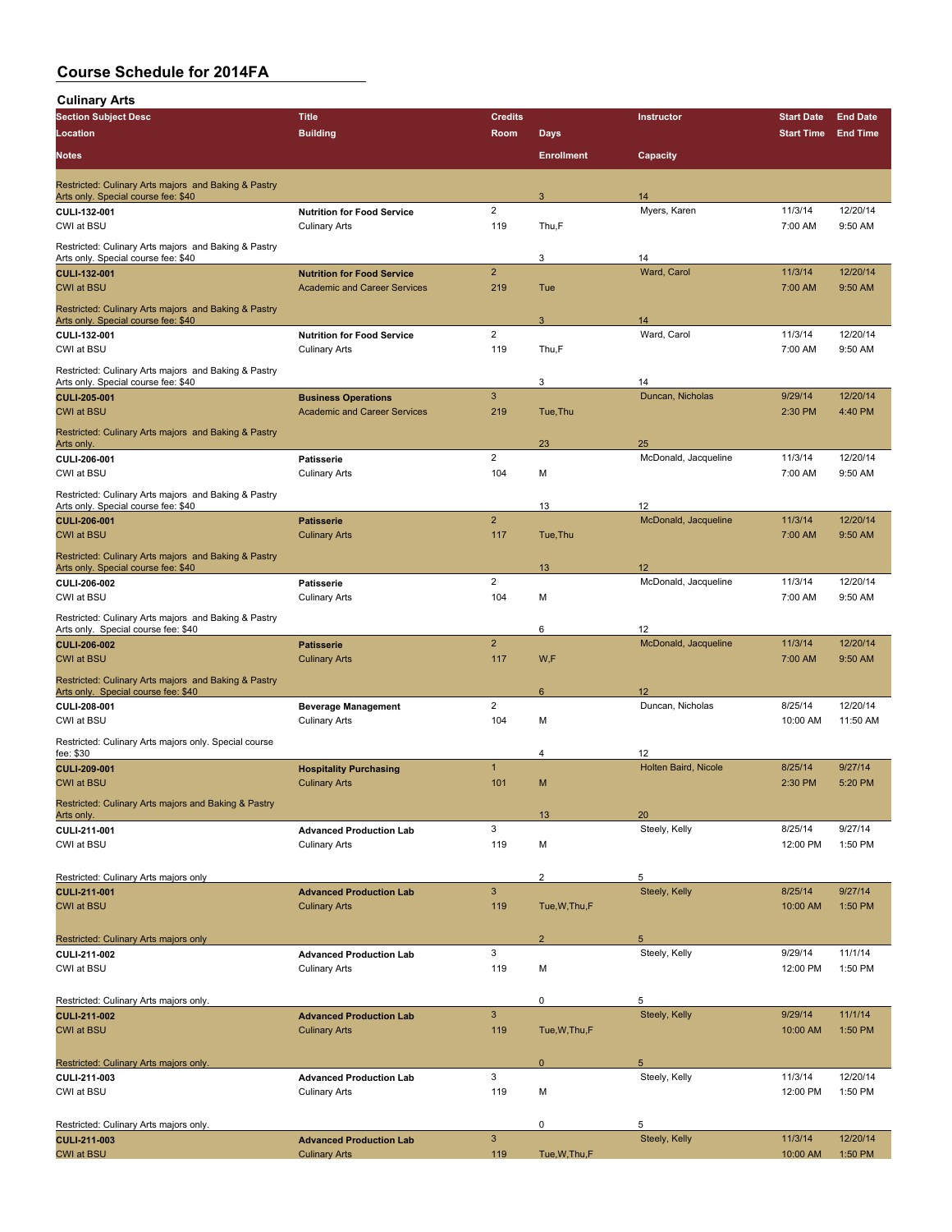| <b>Culinary Arts</b>                                                                        |                                                           |                         |                   |                             |                     |                     |
|---------------------------------------------------------------------------------------------|-----------------------------------------------------------|-------------------------|-------------------|-----------------------------|---------------------|---------------------|
| <b>Section Subject Desc</b>                                                                 | <b>Title</b>                                              | <b>Credits</b>          |                   | Instructor                  | <b>Start Date</b>   | <b>End Date</b>     |
| Location                                                                                    | <b>Building</b>                                           | Room                    | <b>Days</b>       |                             | <b>Start Time</b>   | <b>End Time</b>     |
| <b>Notes</b>                                                                                |                                                           |                         | <b>Enrollment</b> | Capacity                    |                     |                     |
| Restricted: Culinary Arts majors and Baking & Pastry                                        |                                                           |                         |                   |                             |                     |                     |
| Arts only. Special course fee: \$40                                                         |                                                           |                         | 3                 | 14                          |                     |                     |
| CULI-132-001<br>CWI at BSU                                                                  | <b>Nutrition for Food Service</b><br><b>Culinary Arts</b> | 2<br>119                | Thu,F             | Myers, Karen                | 11/3/14<br>7:00 AM  | 12/20/14<br>9:50 AM |
| Restricted: Culinary Arts majors and Baking & Pastry                                        |                                                           |                         |                   |                             |                     |                     |
| Arts only. Special course fee: \$40                                                         |                                                           |                         | 3                 | 14                          |                     |                     |
| <b>CULI-132-001</b>                                                                         | <b>Nutrition for Food Service</b>                         | $\overline{2}$          |                   | Ward, Carol                 | 11/3/14             | 12/20/14            |
| <b>CWI at BSU</b>                                                                           | <b>Academic and Career Services</b>                       | 219                     | Tue               |                             | 7:00 AM             | 9:50 AM             |
| Restricted: Culinary Arts majors and Baking & Pastry<br>Arts only. Special course fee: \$40 |                                                           |                         | 3                 | 14                          |                     |                     |
| CULI-132-001                                                                                | <b>Nutrition for Food Service</b>                         | $\overline{\mathbf{c}}$ |                   | Ward, Carol                 | 11/3/14             | 12/20/14            |
| CWI at BSU                                                                                  | <b>Culinary Arts</b>                                      | 119                     | Thu,F             |                             | 7:00 AM             | 9:50 AM             |
| Restricted: Culinary Arts majors and Baking & Pastry                                        |                                                           |                         |                   |                             |                     |                     |
| Arts only. Special course fee: \$40<br><b>CULI 205 001</b>                                  | <b>Business Operations</b>                                | $\mathbf{3}$            | 3                 | 14<br>Duncan, Nicholas      | 9/29/14             | 12/20/14            |
| <b>CWI at BSU</b>                                                                           | <b>Academic and Career Services</b>                       | 219                     | Tue, Thu          |                             | 2:30 PM             | 4:40 PM             |
| Restricted: Culinary Arts majors and Baking & Pastry                                        |                                                           |                         |                   |                             |                     |                     |
| Arts only.                                                                                  |                                                           | 2                       | 23                | 25<br>McDonald, Jacqueline  |                     | 12/20/14            |
| CULI-206-001<br>CWI at BSU                                                                  | <b>Patisserie</b><br><b>Culinary Arts</b>                 | 104                     | М                 |                             | 11/3/14<br>7:00 AM  | 9:50 AM             |
| Restricted: Culinary Arts majors and Baking & Pastry                                        |                                                           |                         |                   |                             |                     |                     |
| Arts only. Special course fee: \$40                                                         |                                                           |                         | 13                | 12                          |                     |                     |
| <b>CULI-206-001</b>                                                                         | <b>Patisserie</b>                                         | $\overline{2}$          |                   | McDonald, Jacqueline        | 11/3/14             | 12/20/14            |
| <b>CWI at BSU</b>                                                                           | <b>Culinary Arts</b>                                      | 117                     | Tue, Thu          |                             | 7:00 AM             | 9:50 AM             |
| Restricted: Culinary Arts majors and Baking & Pastry<br>Arts only. Special course fee: \$40 |                                                           |                         | 13                | 12                          |                     |                     |
| CULI-206-002                                                                                | <b>Patisserie</b>                                         | $\overline{c}$          |                   | McDonald, Jacqueline        | 11/3/14             | 12/20/14            |
| CWI at BSU                                                                                  | <b>Culinary Arts</b>                                      | 104                     | M                 |                             | 7:00 AM             | 9:50 AM             |
| Restricted: Culinary Arts majors and Baking & Pastry                                        |                                                           |                         |                   |                             |                     |                     |
| Arts only. Special course fee: \$40<br><b>CULI-206-002</b>                                  | <b>Patisserie</b>                                         | $\overline{2}$          | 6                 | 12<br>McDonald, Jacqueline  | 11/3/14             | 12/20/14            |
| <b>CWI at BSU</b>                                                                           | <b>Culinary Arts</b>                                      | 117                     | W,F               |                             | 7:00 AM             | 9:50 AM             |
| Restricted: Culinary Arts majors and Baking & Pastry                                        |                                                           |                         |                   |                             |                     |                     |
| Arts only. Special course fee: \$40                                                         |                                                           | 2                       | 6                 | 12<br>Duncan, Nicholas      | 8/25/14             | 12/20/14            |
| CULI-208-001<br>CWI at BSU                                                                  | <b>Beverage Management</b><br><b>Culinary Arts</b>        | 104                     | М                 |                             | 10:00 AM            | 11:50 AM            |
| Restricted: Culinary Arts majors only. Special course                                       |                                                           |                         |                   |                             |                     |                     |
| fee: \$30                                                                                   |                                                           |                         | 4                 | 12                          |                     |                     |
| <b>CULI-209-001</b>                                                                         | <b>Hospitality Purchasing</b><br><b>Culinary Arts</b>     | $\mathbf{1}$            |                   | <b>Holten Baird, Nicole</b> | 8/25/14             | 9/27/14<br>5:20 PM  |
| <b>CWI at BSU</b>                                                                           |                                                           | 101                     | М                 |                             | 2:30 PM             |                     |
| Restricted: Culinary Arts majors and Baking & Pastry<br>Arts only.                          |                                                           |                         | 13                | 20                          |                     |                     |
| CULI-211-001                                                                                | <b>Advanced Production Lab</b>                            | 3                       |                   | Steely, Kelly               | 8/25/14             | 9/27/14             |
| CWI at BSU                                                                                  | <b>Culinary Arts</b>                                      | 119                     | M                 |                             | 12:00 PM            | 1:50 PM             |
| Restricted: Culinary Arts majors only                                                       |                                                           |                         | $\mathbf 2$       | 5                           |                     |                     |
| <b>CULI-211-001</b>                                                                         | <b>Advanced Production Lab</b>                            | $\mathbf{3}$            |                   | Steely, Kelly               | 8/25/14             | 9/27/14             |
| <b>CWI at BSU</b>                                                                           | <b>Culinary Arts</b>                                      | 119                     | Tue, W, Thu, F    |                             | 10:00 AM            | 1:50 PM             |
|                                                                                             |                                                           |                         |                   |                             |                     |                     |
| Restricted: Culinary Arts majors only<br>CULI 211-002                                       | <b>Advanced Production Lab</b>                            | 3                       | $\overline{2}$    | 5<br>Steely, Kelly          | 9/29/14             | 11/1/14             |
| CWI at BSU                                                                                  | <b>Culinary Arts</b>                                      | 119                     | М                 |                             | 12:00 PM            | 1:50 PM             |
|                                                                                             |                                                           |                         |                   |                             |                     |                     |
| Restricted: Culinary Arts majors only.                                                      |                                                           |                         | 0                 | 5                           |                     |                     |
| <b>CULI-211-002</b><br><b>CWI at BSU</b>                                                    | <b>Advanced Production Lab</b><br><b>Culinary Arts</b>    | $\mathbf{3}$<br>119     | Tue, W, Thu, F    | Steely, Kelly               | 9/29/14<br>10:00 AM | 11/1/14<br>1:50 PM  |
|                                                                                             |                                                           |                         |                   |                             |                     |                     |
| Restricted: Culinary Arts majors only.                                                      |                                                           |                         | $\mathbf 0$       | 5                           |                     |                     |
| CULI 211-003                                                                                | <b>Advanced Production Lab</b>                            | 3                       |                   | Steely, Kelly               | 11/3/14             | 12/20/14            |
| CWI at BSU                                                                                  | <b>Culinary Arts</b>                                      | 119                     | М                 |                             | 12:00 PM            | 1:50 PM             |
| Restricted: Culinary Arts majors only.                                                      |                                                           |                         | 0                 | 5                           |                     |                     |
| CULI-211-003                                                                                | <b>Advanced Production Lab</b>                            | $\mathbf{3}$            |                   | Steely, Kelly               | 11/3/14             | 12/20/14            |
| <b>CWI at BSU</b>                                                                           | <b>Culinary Arts</b>                                      | 119                     | Tue, W, Thu, F    |                             | 10:00 AM            | 1:50 PM             |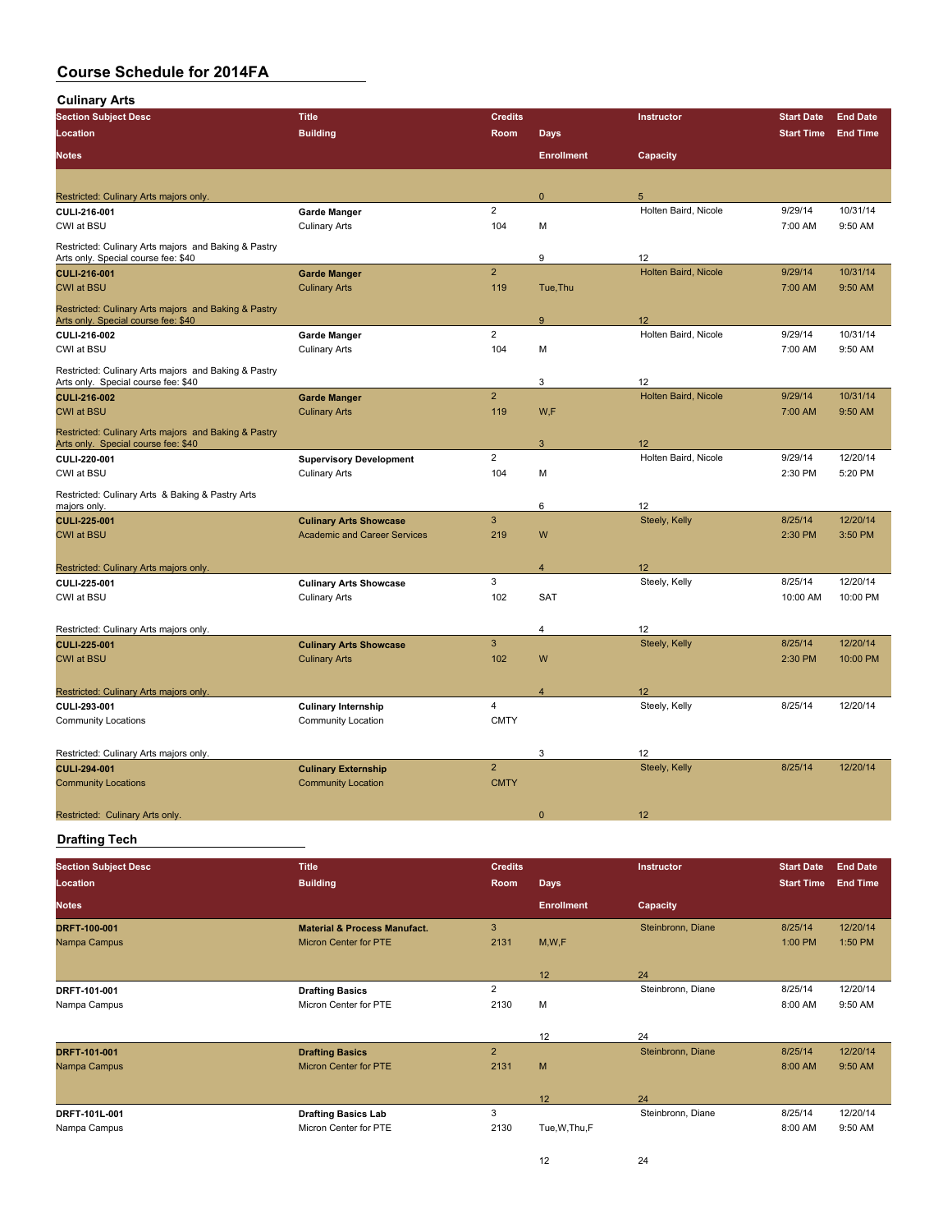| <b>Culinary Arts</b>                                                                        |                                                       |                |                   |                      |                   |                 |
|---------------------------------------------------------------------------------------------|-------------------------------------------------------|----------------|-------------------|----------------------|-------------------|-----------------|
| <b>Section Subject Desc</b>                                                                 | <b>Title</b>                                          | <b>Credits</b> |                   | Instructor           | <b>Start Date</b> | <b>End Date</b> |
| Location                                                                                    | <b>Building</b>                                       | Room           | <b>Days</b>       |                      | <b>Start Time</b> | <b>End Time</b> |
| <b>Notes</b>                                                                                |                                                       |                | <b>Enrollment</b> | Capacity             |                   |                 |
|                                                                                             |                                                       |                |                   |                      |                   |                 |
| Restricted: Culinary Arts majors only.                                                      |                                                       |                | $\mathbf{0}$      | 5                    |                   |                 |
| CULI-216-001                                                                                | <b>Garde Manger</b>                                   | $\overline{2}$ |                   | Holten Baird, Nicole | 9/29/14           | 10/31/14        |
| CWI at BSU                                                                                  | <b>Culinary Arts</b>                                  | 104            | M                 |                      | 7:00 AM           | 9:50 AM         |
| Restricted: Culinary Arts majors and Baking & Pastry<br>Arts only. Special course fee: \$40 |                                                       |                | 9                 | 12                   |                   |                 |
| <b>CULI-216-001</b>                                                                         | <b>Garde Manger</b>                                   | $\overline{2}$ |                   | Holten Baird, Nicole | 9/29/14           | 10/31/14        |
| <b>CWI at BSU</b>                                                                           | <b>Culinary Arts</b>                                  | 119            | Tue, Thu          |                      | 7:00 AM           | 9:50 AM         |
| Restricted: Culinary Arts majors and Baking & Pastry<br>Arts only. Special course fee: \$40 |                                                       |                | 9                 | 12                   |                   |                 |
| CULI-216-002                                                                                | <b>Garde Manger</b>                                   | $\overline{2}$ |                   | Holten Baird, Nicole | 9/29/14           | 10/31/14        |
| CWI at BSU                                                                                  | <b>Culinary Arts</b>                                  | 104            | M                 |                      | 7:00 AM           | 9:50 AM         |
| Restricted: Culinary Arts majors and Baking & Pastry                                        |                                                       |                |                   |                      |                   |                 |
| Arts only. Special course fee: \$40                                                         |                                                       |                | 3                 | 12                   |                   |                 |
| CULI-216-002                                                                                | <b>Garde Manger</b>                                   | $\overline{2}$ |                   | Holten Baird, Nicole | 9/29/14           | 10/31/14        |
| <b>CWI at BSU</b>                                                                           | <b>Culinary Arts</b>                                  | 119            | W,F               |                      | 7:00 AM           | 9:50 AM         |
| Restricted: Culinary Arts majors and Baking & Pastry<br>Arts only. Special course fee: \$40 |                                                       |                | 3                 | 12                   |                   |                 |
| CULI-220-001                                                                                | <b>Supervisory Development</b>                        | $\overline{2}$ |                   | Holten Baird, Nicole | 9/29/14           | 12/20/14        |
| CWI at BSU                                                                                  | <b>Culinary Arts</b>                                  | 104            | M                 |                      | 2:30 PM           | 5:20 PM         |
| Restricted: Culinary Arts & Baking & Pastry Arts<br>majors only.                            |                                                       |                | 6                 | 12                   |                   |                 |
| <b>CULI 225 001</b>                                                                         | <b>Culinary Arts Showcase</b>                         | $\mathbf{3}$   |                   | Steely, Kelly        | 8/25/14           | 12/20/14        |
| <b>CWI at BSU</b>                                                                           | <b>Academic and Career Services</b>                   | 219            | W                 |                      | 2:30 PM           | 3:50 PM         |
|                                                                                             |                                                       |                |                   |                      |                   |                 |
| Restricted: Culinary Arts majors only.                                                      |                                                       |                | $\overline{4}$    | 12                   |                   |                 |
| CULI-225-001                                                                                | <b>Culinary Arts Showcase</b>                         | 3              |                   | Steely, Kelly        | 8/25/14           | 12/20/14        |
| CWI at BSU                                                                                  | <b>Culinary Arts</b>                                  | 102            | <b>SAT</b>        |                      | 10:00 AM          | 10:00 PM        |
|                                                                                             |                                                       |                |                   |                      |                   |                 |
| Restricted: Culinary Arts majors only.                                                      |                                                       | 3              | 4                 | 12<br>Steely, Kelly  | 8/25/14           | 12/20/14        |
| <b>CULI 225-001</b><br><b>CWI at BSU</b>                                                    | <b>Culinary Arts Showcase</b><br><b>Culinary Arts</b> | 102            | W                 |                      | 2:30 PM           | 10:00 PM        |
|                                                                                             |                                                       |                |                   |                      |                   |                 |
| Restricted: Culinary Arts majors only.                                                      |                                                       |                | 4                 | 12                   |                   |                 |
| CULI-293-001                                                                                | <b>Culinary Internship</b>                            | $\overline{4}$ |                   | Steely, Kelly        | 8/25/14           | 12/20/14        |
| <b>Community Locations</b>                                                                  | <b>Community Location</b>                             | <b>CMTY</b>    |                   |                      |                   |                 |
|                                                                                             |                                                       |                |                   |                      |                   |                 |
| Restricted: Culinary Arts majors only.                                                      |                                                       |                | 3                 | 12                   |                   |                 |
| CULI-294-001                                                                                | <b>Culinary Externship</b>                            | $\overline{2}$ |                   | Steely, Kelly        | 8/25/14           | 12/20/14        |
| <b>Community Locations</b>                                                                  | <b>Community Location</b>                             | <b>CMTY</b>    |                   |                      |                   |                 |
|                                                                                             |                                                       |                | $\mathbf{0}$      | 12                   |                   |                 |
| Restricted: Culinary Arts only.                                                             |                                                       |                |                   |                      |                   |                 |

### **Drafting Tech**

| <b>Section Subject Desc</b> | <b>Title</b>                            | <b>Credits</b> |                   | Instructor        | <b>Start Date</b> | <b>End Date</b> |
|-----------------------------|-----------------------------------------|----------------|-------------------|-------------------|-------------------|-----------------|
| Location                    | <b>Building</b>                         | Room           | <b>Days</b>       |                   | <b>Start Time</b> | <b>End Time</b> |
| <b>Notes</b>                |                                         |                | <b>Enrollment</b> | Capacity          |                   |                 |
| DRFT-100-001                | <b>Material &amp; Process Manufact.</b> | 3              |                   | Steinbronn, Diane | 8/25/14           | 12/20/14        |
| Nampa Campus                | Micron Center for PTE                   | 2131           | M, W, F           |                   | 1:00 PM           | 1:50 PM         |
|                             |                                         |                | 12                | 24                |                   |                 |
| DRFT 101-001                | <b>Drafting Basics</b>                  | $\overline{2}$ |                   | Steinbronn, Diane | 8/25/14           | 12/20/14        |
| Nampa Campus                | Micron Center for PTE                   | 2130           | M                 |                   | 8:00 AM           | 9:50 AM         |
|                             |                                         |                | 12                | 24                |                   |                 |
| <b>DRFT 101-001</b>         | <b>Drafting Basics</b>                  | $\overline{2}$ |                   | Steinbronn, Diane | 8/25/14           | 12/20/14        |
| Nampa Campus                | Micron Center for PTE                   | 2131           | M                 |                   | 8:00 AM           | 9:50 AM         |
|                             |                                         |                | 12                | 24                |                   |                 |
| DRFT 101L 001               | <b>Drafting Basics Lab</b>              | 3              |                   | Steinbronn, Diane | 8/25/14           | 12/20/14        |
| Nampa Campus                | Micron Center for PTE                   | 2130           | Tue, W, Thu, F    |                   | 8:00 AM           | 9:50 AM         |
|                             |                                         |                | 12                | 24                |                   |                 |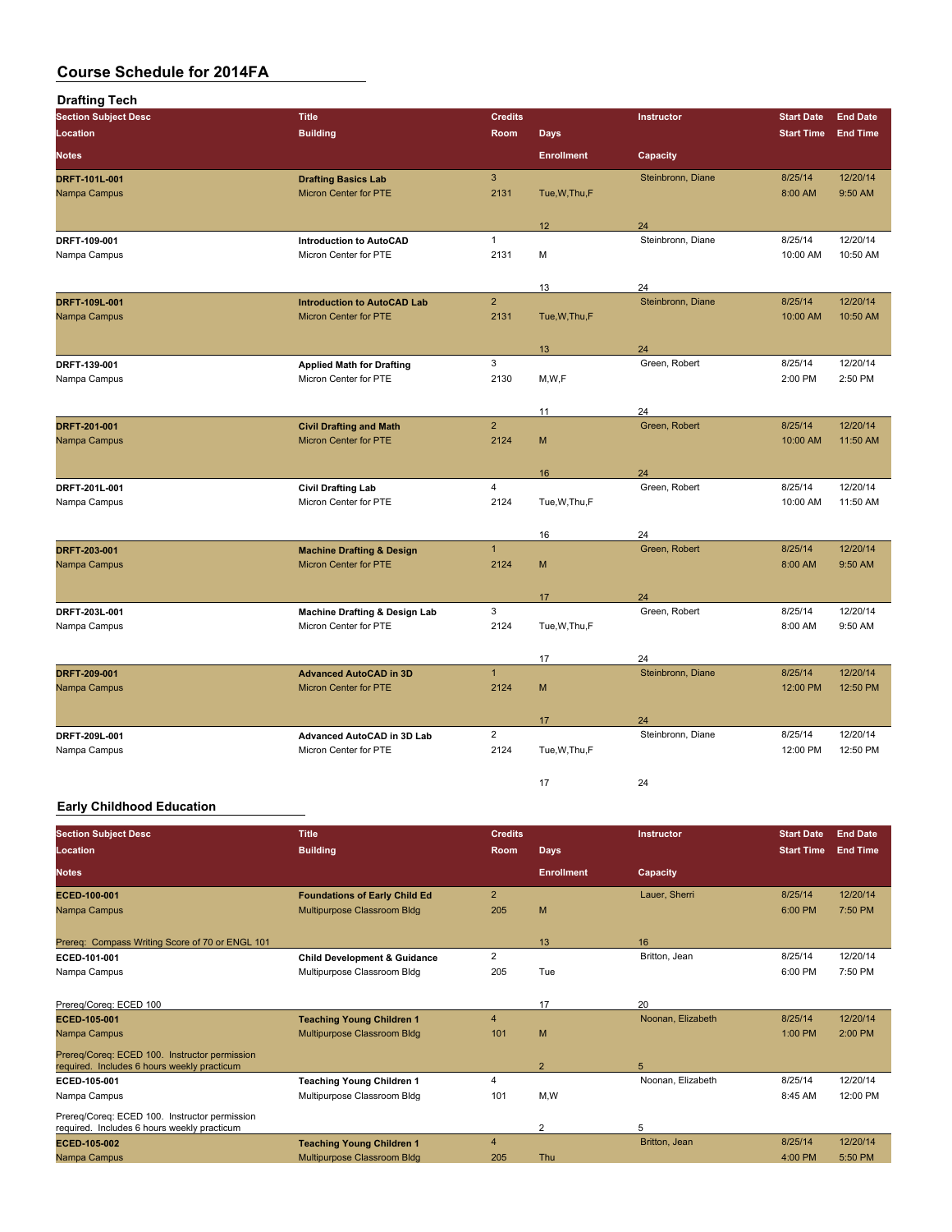| <b>Drafting Tech</b>          |                                                                    |                        |                   |                     |                     |                      |
|-------------------------------|--------------------------------------------------------------------|------------------------|-------------------|---------------------|---------------------|----------------------|
| <b>Section Subject Desc</b>   | <b>Title</b>                                                       | <b>Credits</b>         |                   | Instructor          | <b>Start Date</b>   | <b>End Date</b>      |
| Location                      | <b>Building</b>                                                    | Room                   | <b>Days</b>       |                     | <b>Start Time</b>   | <b>End Time</b>      |
| <b>Notes</b>                  |                                                                    |                        | <b>Enrollment</b> | Capacity            |                     |                      |
| DRFT 101L 001                 | <b>Drafting Basics Lab</b>                                         | $\overline{3}$         |                   | Steinbronn, Diane   | 8/25/14             | 12/20/14             |
| Nampa Campus                  | <b>Micron Center for PTE</b>                                       | 2131                   | Tue, W, Thu, F    |                     | 8:00 AM             | 9:50 AM              |
|                               |                                                                    |                        |                   | 24                  |                     |                      |
| DRFT 109-001                  | <b>Introduction to AutoCAD</b>                                     | $\mathbf{1}$           | 12                | Steinbronn, Diane   | 8/25/14             | 12/20/14             |
| Nampa Campus                  | Micron Center for PTE                                              | 2131                   | M                 |                     | 10:00 AM            | 10:50 AM             |
|                               |                                                                    |                        |                   |                     |                     |                      |
|                               |                                                                    |                        | 13                | 24                  |                     |                      |
| DRFT-109L-001<br>Nampa Campus | <b>Introduction to AutoCAD Lab</b><br><b>Micron Center for PTE</b> | $\overline{2}$<br>2131 | Tue, W, Thu, F    | Steinbronn, Diane   | 8/25/14<br>10:00 AM | 12/20/14<br>10:50 AM |
|                               |                                                                    |                        |                   |                     |                     |                      |
|                               |                                                                    |                        | 13                | 24                  |                     |                      |
| DRFT-139-001                  | <b>Applied Math for Drafting</b>                                   | 3                      |                   | Green, Robert       | 8/25/14             | 12/20/14             |
| Nampa Campus                  | Micron Center for PTE                                              | 2130                   | M,W,F             |                     | 2:00 PM             | 2:50 PM              |
|                               |                                                                    |                        |                   |                     |                     |                      |
|                               |                                                                    | $\overline{2}$         | 11                | 24<br>Green, Robert | 8/25/14             | 12/20/14             |
| DRFT 201-001<br>Nampa Campus  | <b>Civil Drafting and Math</b><br>Micron Center for PTE            | 2124                   | M                 |                     | 10:00 AM            | 11:50 AM             |
|                               |                                                                    |                        |                   |                     |                     |                      |
|                               |                                                                    |                        | 16                | 24                  |                     |                      |
| DRFT 201L 001                 | <b>Civil Drafting Lab</b>                                          | $\overline{4}$         |                   | Green, Robert       | 8/25/14             | 12/20/14             |
| Nampa Campus                  | Micron Center for PTE                                              | 2124                   | Tue, W, Thu, F    |                     | 10:00 AM            | 11:50 AM             |
|                               |                                                                    |                        |                   |                     |                     |                      |
| DRFT 203-001                  | <b>Machine Drafting &amp; Design</b>                               | $\mathbf{1}$           | 16                | 24<br>Green, Robert | 8/25/14             | 12/20/14             |
| Nampa Campus                  | Micron Center for PTE                                              | 2124                   | M                 |                     | 8:00 AM             | 9:50 AM              |
|                               |                                                                    |                        |                   |                     |                     |                      |
|                               |                                                                    |                        | 17                | 24                  |                     |                      |
| DRFT 203L-001                 | <b>Machine Drafting &amp; Design Lab</b>                           | 3                      |                   | Green, Robert       | 8/25/14             | 12/20/14             |
| Nampa Campus                  | Micron Center for PTE                                              | 2124                   | Tue, W, Thu, F    |                     | 8:00 AM             | 9:50 AM              |
|                               |                                                                    |                        | 17                | 24                  |                     |                      |
| DRFT 209-001                  | <b>Advanced AutoCAD in 3D</b>                                      | $\mathbf{1}$           |                   | Steinbronn, Diane   | 8/25/14             | 12/20/14             |
| Nampa Campus                  | Micron Center for PTE                                              | 2124                   | M                 |                     | 12:00 PM            | 12:50 PM             |
|                               |                                                                    |                        |                   |                     |                     |                      |
|                               |                                                                    |                        | 17                | 24                  |                     |                      |
| DRFT-209L-001                 | Advanced AutoCAD in 3D Lab                                         | $\overline{2}$         |                   | Steinbronn, Diane   | 8/25/14             | 12/20/14             |
| Nampa Campus                  | Micron Center for PTE                                              | 2124                   | Tue, W, Thu, F    |                     | 12:00 PM            | 12:50 PM             |
|                               |                                                                    |                        | 17                | 24                  |                     |                      |

### **Early Childhood Education**

| <b>Section Subject Desc</b>                                                                  | <b>Title</b>                            | <b>Credits</b> |                   | <b>Instructor</b> | <b>Start Date</b> | <b>End Date</b> |
|----------------------------------------------------------------------------------------------|-----------------------------------------|----------------|-------------------|-------------------|-------------------|-----------------|
|                                                                                              |                                         |                |                   |                   |                   |                 |
| Location                                                                                     | <b>Building</b>                         | <b>Room</b>    | <b>Days</b>       |                   | <b>Start Time</b> | <b>End Time</b> |
| <b>Notes</b>                                                                                 |                                         |                | <b>Enrollment</b> | Capacity          |                   |                 |
| ECED 100 001                                                                                 | <b>Foundations of Early Child Ed</b>    | $\overline{2}$ |                   | Lauer, Sherri     | 8/25/14           | 12/20/14        |
| Nampa Campus                                                                                 | Multipurpose Classroom Bldg             | 205            | M                 |                   | 6:00 PM           | 7:50 PM         |
| Prereq: Compass Writing Score of 70 or ENGL 101                                              |                                         |                | 13                | 16                |                   |                 |
| ECED-101-001                                                                                 | <b>Child Development &amp; Guidance</b> | $\overline{2}$ |                   | Britton, Jean     | 8/25/14           | 12/20/14        |
| Nampa Campus                                                                                 | Multipurpose Classroom Bldg             | 205            | Tue               |                   | 6:00 PM           | 7:50 PM         |
| Prereg/Coreg: ECED 100                                                                       |                                         |                | 17                | 20                |                   |                 |
| <b>ECED 105 001</b>                                                                          | <b>Teaching Young Children 1</b>        | $\overline{4}$ |                   | Noonan, Elizabeth | 8/25/14           | 12/20/14        |
| Nampa Campus                                                                                 | Multipurpose Classroom Bldg             | 101            | M                 |                   | $1:00$ PM         | $2:00$ PM       |
| Prereg/Coreg: ECED 100. Instructor permission<br>required. Includes 6 hours weekly practicum |                                         |                | $\overline{2}$    | 5                 |                   |                 |
| ECED-105-001                                                                                 | <b>Teaching Young Children 1</b>        | 4              |                   | Noonan, Elizabeth | 8/25/14           | 12/20/14        |
| Nampa Campus                                                                                 | Multipurpose Classroom Bldg             | 101            | M,W               |                   | 8:45 AM           | 12:00 PM        |
| Prereq/Coreq: ECED 100. Instructor permission<br>required. Includes 6 hours weekly practicum |                                         |                | $\overline{2}$    | 5                 |                   |                 |
| ECED-105-002                                                                                 | <b>Teaching Young Children 1</b>        | 4              |                   | Britton, Jean     | 8/25/14           | 12/20/14        |
| Nampa Campus                                                                                 | Multipurpose Classroom Bldg             | 205            | Thu               |                   | 4:00 PM           | 5:50 PM         |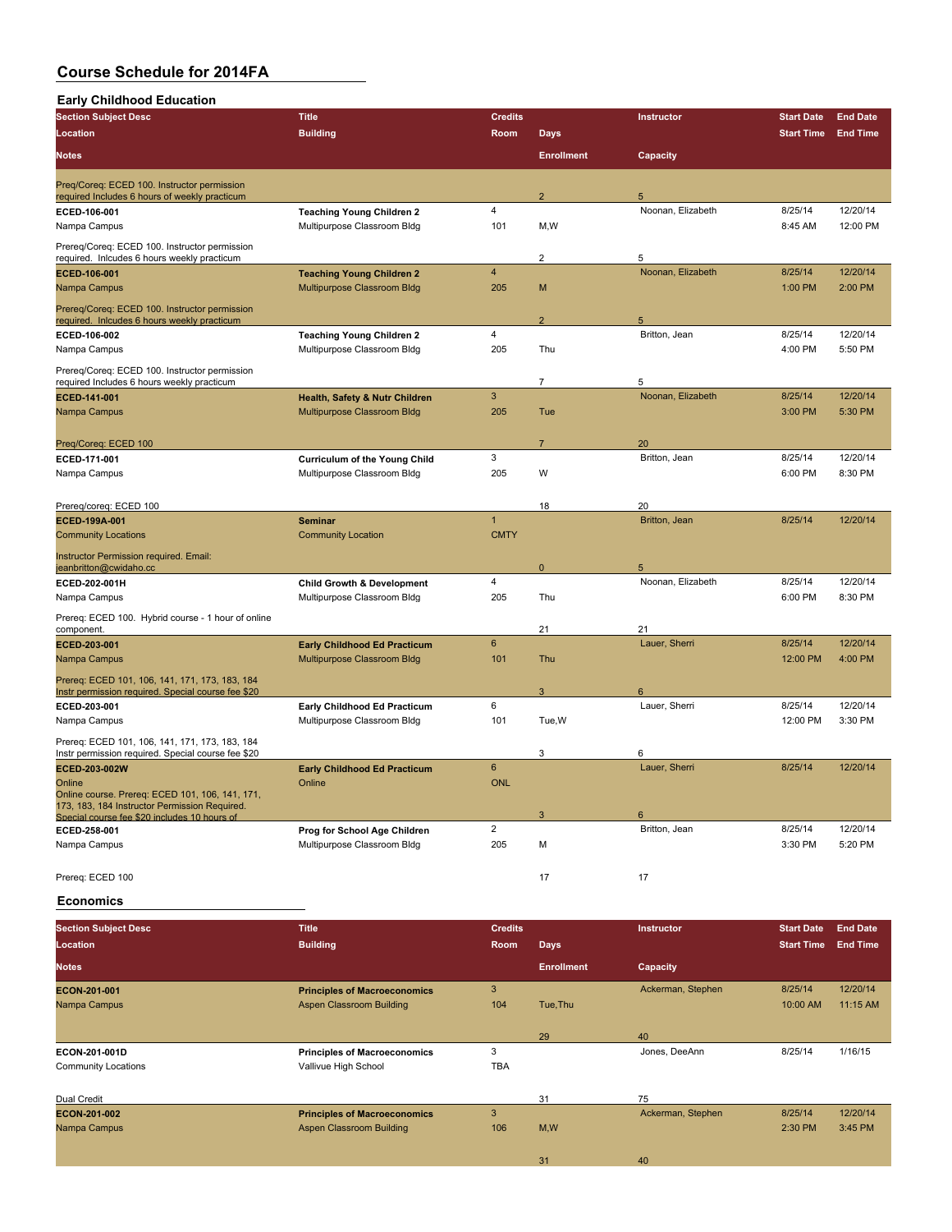| <b>Section Subject Desc</b>                                                                          | <b>Title</b>                                                  | <b>Credits</b> |                   | Instructor             | <b>Start Date</b> | <b>End Date</b> |
|------------------------------------------------------------------------------------------------------|---------------------------------------------------------------|----------------|-------------------|------------------------|-------------------|-----------------|
| <b>Location</b>                                                                                      | <b>Building</b>                                               | Room           | <b>Days</b>       |                        | <b>Start Time</b> | <b>End Time</b> |
| <b>Notes</b>                                                                                         |                                                               |                | <b>Enrollment</b> | Capacity               |                   |                 |
| Preq/Coreq: ECED 100. Instructor permission                                                          |                                                               |                |                   |                        |                   |                 |
| required Includes 6 hours of weekly practicum                                                        |                                                               | $\overline{4}$ | $\overline{2}$    | 5<br>Noonan, Elizabeth | 8/25/14           | 12/20/14        |
| ECED-106-001<br>Nampa Campus                                                                         | <b>Teaching Young Children 2</b>                              | 101            | M, W              |                        | 8:45 AM           | 12:00 PM        |
|                                                                                                      | Multipurpose Classroom Bldg                                   |                |                   |                        |                   |                 |
| Prereq/Coreq: ECED 100. Instructor permission<br>required. Inlcudes 6 hours weekly practicum         |                                                               |                | $\overline{2}$    | 5                      |                   |                 |
| ECED-106-001                                                                                         | <b>Teaching Young Children 2</b>                              | $\overline{4}$ |                   | Noonan, Elizabeth      | 8/25/14           | 12/20/14        |
| Nampa Campus                                                                                         | Multipurpose Classroom Bldg                                   | 205            | M                 |                        | 1:00 PM           | 2:00 PM         |
| Prereq/Coreq: ECED 100. Instructor permission<br>required. Inlcudes 6 hours weekly practicum         |                                                               |                | $\overline{2}$    | 5                      |                   |                 |
| ECED-106-002                                                                                         | <b>Teaching Young Children 2</b>                              | $\overline{4}$ |                   | Britton, Jean          | 8/25/14           | 12/20/14        |
| Nampa Campus                                                                                         | Multipurpose Classroom Bldg                                   | 205            | Thu               |                        | 4:00 PM           | 5:50 PM         |
| Prereq/Coreq: ECED 100. Instructor permission                                                        |                                                               |                |                   |                        |                   |                 |
| required Includes 6 hours weekly practicum                                                           |                                                               | $\mathbf{3}$   | 7                 | 5<br>Noonan, Elizabeth | 8/25/14           | 12/20/14        |
| ECED-141-001<br>Nampa Campus                                                                         | Health, Safety & Nutr Children<br>Multipurpose Classroom Bldg | 205            | Tue               |                        | 3:00 PM           | 5:30 PM         |
|                                                                                                      |                                                               |                |                   |                        |                   |                 |
| Preg/Coreg: ECED 100                                                                                 |                                                               |                | $\overline{7}$    | 20                     |                   |                 |
| ECED-171-001                                                                                         | <b>Curriculum of the Young Child</b>                          | 3              |                   | Britton, Jean          | 8/25/14           | 12/20/14        |
| Nampa Campus                                                                                         | Multipurpose Classroom Bldg                                   | 205            | W                 |                        | 6:00 PM           | 8:30 PM         |
|                                                                                                      |                                                               |                |                   |                        |                   |                 |
| Prereq/coreq: ECED 100                                                                               |                                                               |                | 18                | 20                     |                   |                 |
| ECED-199A-001                                                                                        | <b>Seminar</b>                                                | $\overline{1}$ |                   | Britton, Jean          | 8/25/14           | 12/20/14        |
| <b>Community Locations</b>                                                                           | <b>Community Location</b>                                     | <b>CMTY</b>    |                   |                        |                   |                 |
|                                                                                                      |                                                               |                |                   |                        |                   |                 |
| Instructor Permission required. Email:<br>jeanbritton@cwidaho.cc                                     |                                                               |                | $\mathbf 0$       | 5                      |                   |                 |
| ECED-202-001H                                                                                        | <b>Child Growth &amp; Development</b>                         | $\overline{4}$ |                   | Noonan, Elizabeth      | 8/25/14           | 12/20/14        |
| Nampa Campus                                                                                         | Multipurpose Classroom Bldg                                   | 205            | Thu               |                        | 6:00 PM           | 8:30 PM         |
|                                                                                                      |                                                               |                |                   |                        |                   |                 |
| Prereq: ECED 100. Hybrid course - 1 hour of online<br>component.                                     |                                                               |                | 21                | 21                     |                   |                 |
| <b>ECED 203-001</b>                                                                                  | <b>Early Childhood Ed Practicum</b>                           | 6              |                   | Lauer, Sherri          | 8/25/14           | 12/20/14        |
| Nampa Campus                                                                                         | Multipurpose Classroom Bldg                                   | 101            | Thu               |                        | 12:00 PM          | 4:00 PM         |
|                                                                                                      |                                                               |                |                   |                        |                   |                 |
| Prereq: ECED 101, 106, 141, 171, 173, 183, 184<br>Instr permission required. Special course fee \$20 |                                                               |                | 3                 | $\epsilon$             |                   |                 |
| ECED-203-001                                                                                         | Early Childhood Ed Practicum                                  | 6              |                   | Lauer, Sherri          | 8/25/14           | 12/20/14        |
| Nampa Campus                                                                                         | Multipurpose Classroom Bldg                                   | 101            | Tue, W            |                        | 12:00 PM          | 3:30 PM         |
| Prereq: ECED 101, 106, 141, 171, 173, 183, 184                                                       |                                                               |                |                   |                        |                   |                 |
| Instr permission required. Special course fee \$20                                                   |                                                               |                | 3                 | 6                      |                   |                 |
| ECED-203-002W                                                                                        | <b>Early Childhood Ed Practicum</b>                           | 6              |                   | Lauer, Sherri          | 8/25/14           | 12/20/14        |
| Online                                                                                               | Online                                                        | <b>ONL</b>     |                   |                        |                   |                 |
| Online course. Prereq: ECED 101, 106, 141, 171,<br>173, 183, 184 Instructor Permission Required.     |                                                               |                |                   |                        |                   |                 |
| Special course fee \$20 includes 10 hours of                                                         |                                                               |                | $\sqrt{3}$        | 6                      |                   |                 |
| ECED-258-001                                                                                         | Prog for School Age Children                                  | $\overline{2}$ |                   | Britton, Jean          | 8/25/14           | 12/20/14        |
| Nampa Campus                                                                                         | Multipurpose Classroom Bldg                                   | 205            | М                 |                        | 3:30 PM           | 5:20 PM         |
|                                                                                                      |                                                               |                |                   |                        |                   |                 |
| Prereg: ECED 100                                                                                     |                                                               |                | 17                | 17                     |                   |                 |
|                                                                                                      |                                                               |                |                   |                        |                   |                 |

#### **Economics**

| <b>Section Subject Desc</b> | <b>Title</b>                        | <b>Credits</b> |                   | <b>Instructor</b> | <b>Start Date</b> | <b>End Date</b> |
|-----------------------------|-------------------------------------|----------------|-------------------|-------------------|-------------------|-----------------|
| Location                    | <b>Building</b>                     | Room           | <b>Days</b>       |                   | <b>Start Time</b> | <b>End Time</b> |
| <b>Notes</b>                |                                     |                | <b>Enrollment</b> | Capacity          |                   |                 |
| <b>ECON 201 001</b>         | <b>Principles of Macroeconomics</b> | 3              |                   | Ackerman, Stephen | 8/25/14           | 12/20/14        |
| Nampa Campus                | Aspen Classroom Building            | 104            | Tue, Thu          |                   | 10:00 AM          | 11:15 AM        |
|                             |                                     |                |                   |                   |                   |                 |
|                             |                                     |                | 29                | 40                |                   |                 |
| <b>ECON 201 001D</b>        | <b>Principles of Macroeconomics</b> | 3              |                   | Jones, DeeAnn     | 8/25/14           | 1/16/15         |
| <b>Community Locations</b>  | Vallivue High School                | <b>TBA</b>     |                   |                   |                   |                 |
|                             |                                     |                |                   |                   |                   |                 |
| Dual Credit                 |                                     |                | 31                | 75                |                   |                 |
| <b>ECON 201 002</b>         | <b>Principles of Macroeconomics</b> | 3              |                   | Ackerman, Stephen | 8/25/14           | 12/20/14        |
| Nampa Campus                | Aspen Classroom Building            | 106            | M,W               |                   | 2:30 PM           | 3:45 PM         |
|                             |                                     |                |                   |                   |                   |                 |
|                             |                                     |                | 31                | 40                |                   |                 |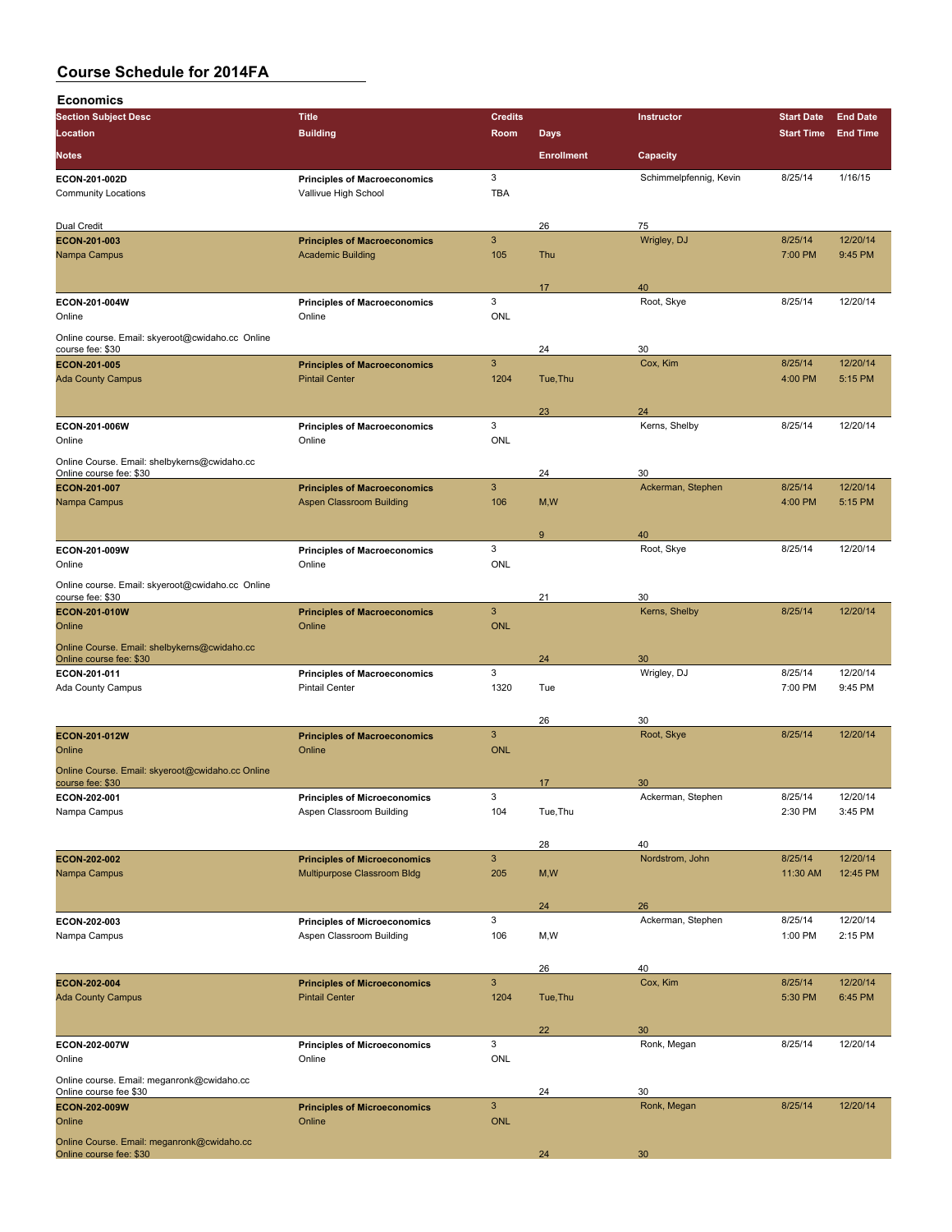| <b>Economics</b>                                                     |                                                                        |                |                   |                         |                    |                     |
|----------------------------------------------------------------------|------------------------------------------------------------------------|----------------|-------------------|-------------------------|--------------------|---------------------|
| <b>Section Subject Desc</b>                                          | <b>Title</b>                                                           | <b>Credits</b> |                   | Instructor              | <b>Start Date</b>  | <b>End Date</b>     |
| Location                                                             | <b>Building</b>                                                        | <b>Room</b>    | <b>Days</b>       |                         | <b>Start Time</b>  | <b>End Time</b>     |
| <b>Notes</b>                                                         |                                                                        |                | <b>Enrollment</b> | Capacity                |                    |                     |
| ECON-201-002D                                                        | <b>Principles of Macroeconomics</b>                                    | 3              |                   | Schimmelpfennig, Kevin  | 8/25/14            | 1/16/15             |
| <b>Community Locations</b>                                           | Vallivue High School                                                   | <b>TBA</b>     |                   |                         |                    |                     |
|                                                                      |                                                                        |                |                   |                         |                    |                     |
| Dual Credit                                                          |                                                                        |                | 26                | 75                      |                    |                     |
| ECON-201-003                                                         | <b>Principles of Macroeconomics</b>                                    | $\mathbf{3}$   |                   | Wrigley, DJ             | 8/25/14            | 12/20/14            |
| Nampa Campus                                                         | <b>Academic Building</b>                                               | 105            | Thu               |                         | 7:00 PM            | 9:45 PM             |
|                                                                      |                                                                        |                | 17                | 40                      |                    |                     |
| ECON-201-004W                                                        | <b>Principles of Macroeconomics</b>                                    | 3              |                   | Root, Skye              | 8/25/14            | 12/20/14            |
| Online                                                               | Online                                                                 | <b>ONL</b>     |                   |                         |                    |                     |
| Online course. Email: skyeroot@cwidaho.cc Online                     |                                                                        |                |                   |                         |                    |                     |
| course fee: \$30                                                     |                                                                        |                | 24                | 30                      |                    |                     |
| <b>ECON-201-005</b><br><b>Ada County Campus</b>                      | <b>Principles of Macroeconomics</b><br><b>Pintail Center</b>           | 3<br>1204      | Tue, Thu          | Cox, Kim                | 8/25/14<br>4:00 PM | 12/20/14<br>5:15 PM |
|                                                                      |                                                                        |                |                   |                         |                    |                     |
|                                                                      |                                                                        |                | 23                | 24                      |                    |                     |
| ECON-201-006W                                                        | <b>Principles of Macroeconomics</b>                                    | 3              |                   | Kerns, Shelby           | 8/25/14            | 12/20/14            |
| Online                                                               | Online                                                                 | <b>ONL</b>     |                   |                         |                    |                     |
| Online Course. Email: shelbykerns@cwidaho.cc                         |                                                                        |                |                   |                         |                    |                     |
| Online course fee: \$30                                              |                                                                        | 3              | 24                | 30<br>Ackerman, Stephen | 8/25/14            | 12/20/14            |
| <b>ECON-201-007</b><br>Nampa Campus                                  | <b>Principles of Macroeconomics</b><br><b>Aspen Classroom Building</b> | 106            | M, W              |                         | 4:00 PM            | 5:15 PM             |
|                                                                      |                                                                        |                |                   |                         |                    |                     |
|                                                                      |                                                                        |                | 9                 | 40                      |                    |                     |
| ECON-201-009W                                                        | <b>Principles of Macroeconomics</b>                                    | 3              |                   | Root, Skye              | 8/25/14            | 12/20/14            |
| Online                                                               | Online                                                                 | <b>ONL</b>     |                   |                         |                    |                     |
| Online course. Email: skyeroot@cwidaho.cc Online                     |                                                                        |                |                   |                         |                    |                     |
| course fee: \$30<br><b>ECON-201-010W</b>                             | <b>Principles of Macroeconomics</b>                                    | $\mathbf{3}$   | 21                | 30<br>Kerns, Shelby     | 8/25/14            | 12/20/14            |
| Online                                                               | Online                                                                 | <b>ONL</b>     |                   |                         |                    |                     |
| Online Course. Email: shelbykerns@cwidaho.cc                         |                                                                        |                |                   |                         |                    |                     |
| Online course fee: \$30                                              |                                                                        |                | 24                | 30                      |                    |                     |
| ECON-201-011                                                         | <b>Principles of Macroeconomics</b>                                    | 3              |                   | Wrigley, DJ             | 8/25/14            | 12/20/14            |
| Ada County Campus                                                    | <b>Pintail Center</b>                                                  | 1320           | Tue               |                         | 7:00 PM            | 9:45 PM             |
|                                                                      |                                                                        |                | 26                | 30                      |                    |                     |
| <b>ECON 201 012W</b>                                                 | <b>Principles of Macroeconomics</b>                                    | 3              |                   | Root, Skye              | 8/25/14            | 12/20/14            |
| Online                                                               | Online                                                                 | <b>ONL</b>     |                   |                         |                    |                     |
| Online Course. Email: skyeroot@cwidaho.cc Online                     |                                                                        |                |                   |                         |                    |                     |
| course fee: \$30                                                     |                                                                        |                | 17                | 30                      |                    |                     |
| ECON-202-001                                                         | <b>Principles of Microeconomics</b>                                    | 3              |                   | Ackerman, Stephen       | 8/25/14            | 12/20/14            |
| Nampa Campus                                                         | Aspen Classroom Building                                               | 104            | Tue, Thu          |                         | 2:30 PM            | 3:45 PM             |
|                                                                      |                                                                        |                | 28                | 40                      |                    |                     |
| <b>ECON 202 002</b>                                                  | <b>Principles of Microeconomics</b>                                    | $\mathbf{3}$   |                   | Nordstrom, John         | 8/25/14            | 12/20/14            |
| Nampa Campus                                                         | Multipurpose Classroom Bldg                                            | 205            | M, W              |                         | 11:30 AM           | 12:45 PM            |
|                                                                      |                                                                        |                |                   |                         |                    |                     |
|                                                                      |                                                                        |                | 24                | 26                      |                    |                     |
| ECON-202-003<br>Nampa Campus                                         | <b>Principles of Microeconomics</b><br>Aspen Classroom Building        | 3<br>106       | M, W              | Ackerman, Stephen       | 8/25/14<br>1:00 PM | 12/20/14<br>2:15 PM |
|                                                                      |                                                                        |                |                   |                         |                    |                     |
|                                                                      |                                                                        |                | 26                | 40                      |                    |                     |
| ECON-202-004                                                         | <b>Principles of Microeconomics</b>                                    | $\mathbf{3}$   |                   | Cox, Kim                | 8/25/14            | 12/20/14            |
| <b>Ada County Campus</b>                                             | <b>Pintail Center</b>                                                  | 1204           | Tue, Thu          |                         | 5:30 PM            | 6:45 PM             |
|                                                                      |                                                                        |                |                   |                         |                    |                     |
|                                                                      |                                                                        | 3              | 22                | 30                      |                    |                     |
| ECON-202-007W<br>Online                                              | <b>Principles of Microeconomics</b><br>Online                          | <b>ONL</b>     |                   | Ronk, Megan             | 8/25/14            | 12/20/14            |
|                                                                      |                                                                        |                |                   |                         |                    |                     |
| Online course. Email: meganronk@cwidaho.cc<br>Online course fee \$30 |                                                                        |                | 24                | 30                      |                    |                     |
| ECON-202-009W                                                        | <b>Principles of Microeconomics</b>                                    | $\mathbf{3}$   |                   | Ronk, Megan             | 8/25/14            | 12/20/14            |
| Online                                                               | Online                                                                 | <b>ONL</b>     |                   |                         |                    |                     |
| Online Course. Email: meganronk@cwidaho.cc                           |                                                                        |                |                   |                         |                    |                     |
| Online course fee: \$30                                              |                                                                        |                | 24                | 30                      |                    |                     |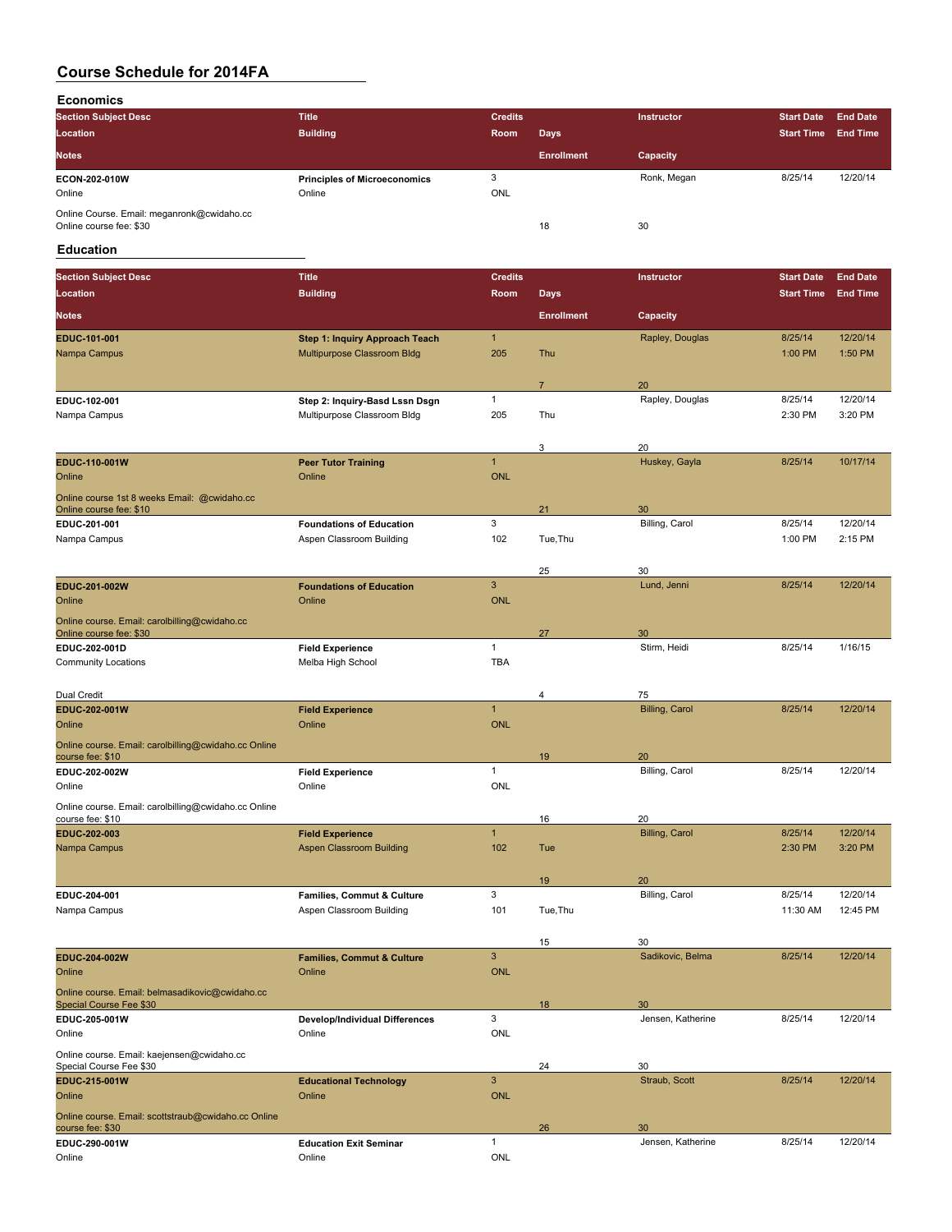**Economics**

| <b>Section Subject Desc</b>                                           | Title                                         | <b>Credits</b>  |                   | Instructor  | <b>Start Date</b> | <b>End Date</b> |
|-----------------------------------------------------------------------|-----------------------------------------------|-----------------|-------------------|-------------|-------------------|-----------------|
| Location                                                              | <b>Building</b>                               | Room            | <b>Days</b>       |             | <b>Start Time</b> | <b>End Time</b> |
| <b>Notes</b>                                                          |                                               |                 | <b>Enrollment</b> | Capacity    |                   |                 |
| <b>ECON-202-010W</b><br>Online                                        | <b>Principles of Microeconomics</b><br>Online | 3<br><b>ONL</b> |                   | Ronk, Megan | 8/25/14           | 12/20/14        |
| Online Course. Email: meganronk@cwidaho.cc<br>Online course fee: \$30 |                                               |                 | 18                | 30          |                   |                 |

### **Education**

| <b>Location</b><br><b>Building</b><br>Room<br><b>Days</b><br><b>Start Time</b><br><b>Enrollment</b><br><b>Notes</b><br>Capacity<br>$\mathbf{1}$<br>12/20/14<br>Rapley, Douglas<br>8/25/14<br><b>Step 1: Inquiry Approach Teach</b><br>EDUC-101-001<br>Multipurpose Classroom Bldg<br>205<br>1:50 PM<br>Nampa Campus<br>Thu<br>1:00 PM<br>20<br>$\overline{7}$<br>Rapley, Douglas<br>8/25/14<br>1<br>EDUC-102-001<br>Step 2: Inquiry-Basd Lssn Dsgn<br>Nampa Campus<br>Multipurpose Classroom Bldg<br>205<br>Thu<br>2:30 PM<br>20<br>3<br>$\mathbf{1}$<br>Huskey, Gayla<br>8/25/14<br>EDUC-110-001W<br><b>Peer Tutor Training</b><br>Online<br>Online<br><b>ONL</b><br>Online course 1st 8 weeks Email: @cwidaho.cc<br>Online course fee: \$10<br>21<br>30<br>3<br>Billing, Carol<br>8/25/14<br>12/20/14<br>EDUC-201-001<br><b>Foundations of Education</b><br>Aspen Classroom Building<br>102<br>1:00 PM<br>2:15 PM<br>Nampa Campus<br>Tue, Thu<br>25<br>30<br>3<br>8/25/14<br>EDUC-201-002W<br>Lund, Jenni<br><b>Foundations of Education</b><br>Online<br>Online<br><b>ONL</b><br>Online course. Email: carolbilling@cwidaho.cc<br>30<br>Online course fee: \$30<br>27<br>$\mathbf{1}$<br>Stirm, Heidi<br>8/25/14<br>1/16/15<br>EDUC-202-001D<br><b>Field Experience</b><br><b>TBA</b><br><b>Community Locations</b><br>Melba High School<br>Dual Credit<br>4<br>75<br>$\mathbf{1}$<br><b>Billing, Carol</b><br>8/25/14<br>EDUC-202-001W<br><b>Field Experience</b><br><b>ONL</b><br>Online<br>Online<br>Online course. Email: carolbilling@cwidaho.cc Online<br>20<br>course fee: \$10<br>19<br>$\mathbf{1}$<br>8/25/14<br>Billing, Carol<br>EDUC-202-002W<br><b>Field Experience</b><br>Online<br>ONL<br>Online<br>Online course. Email: carolbilling@cwidaho.cc Online<br>16<br>20<br>course fee: \$10<br>$\mathbf{1}$<br><b>Billing, Carol</b><br>8/25/14<br>12/20/14<br>EDUC-202-003<br><b>Field Experience</b><br>2:30 PM<br>Nampa Campus<br><b>Aspen Classroom Building</b><br>102<br>Tue<br>19<br>20<br>3<br>Billing, Carol<br>8/25/14<br>EDUC 204-001<br>Families, Commut & Culture<br>Nampa Campus<br>Aspen Classroom Building<br>101<br>11:30 AM<br>Tue, Thu<br>30<br>15<br>3<br>Sadikovic, Belma<br>8/25/14<br>12/20/14<br>EDUC-204-002W<br><b>Families, Commut &amp; Culture</b><br>Online<br>Online<br><b>ONL</b><br>Online course. Email: belmasadikovic@cwidaho.cc<br>Special Course Fee \$30<br>18<br>30<br>3<br>Jensen, Katherine<br>8/25/14<br>EDUC-205-001W<br>Develop/Individual Differences<br><b>ONL</b><br>Online<br>Online<br>Online course. Email: kaejensen@cwidaho.cc<br>24<br>30<br>Special Course Fee \$30<br>$\sqrt{3}$<br><b>EDUC 215 001W</b><br>Straub, Scott<br>8/25/14<br><b>Educational Technology</b><br>Online<br><b>ONL</b><br>Online | <b>Section Subject Desc</b> | <b>Title</b> | <b>Credits</b> | Instructor | <b>Start Date</b> | <b>End Date</b> |
|---------------------------------------------------------------------------------------------------------------------------------------------------------------------------------------------------------------------------------------------------------------------------------------------------------------------------------------------------------------------------------------------------------------------------------------------------------------------------------------------------------------------------------------------------------------------------------------------------------------------------------------------------------------------------------------------------------------------------------------------------------------------------------------------------------------------------------------------------------------------------------------------------------------------------------------------------------------------------------------------------------------------------------------------------------------------------------------------------------------------------------------------------------------------------------------------------------------------------------------------------------------------------------------------------------------------------------------------------------------------------------------------------------------------------------------------------------------------------------------------------------------------------------------------------------------------------------------------------------------------------------------------------------------------------------------------------------------------------------------------------------------------------------------------------------------------------------------------------------------------------------------------------------------------------------------------------------------------------------------------------------------------------------------------------------------------------------------------------------------------------------------------------------------------------------------------------------------------------------------------------------------------------------------------------------------------------------------------------------------------------------------------------------------------------------------------------------------------------------------------------------------------------------------------------------------------------------------------------------------------------------------------------------------------------------------------------------------------------------------------------------------------------------|-----------------------------|--------------|----------------|------------|-------------------|-----------------|
|                                                                                                                                                                                                                                                                                                                                                                                                                                                                                                                                                                                                                                                                                                                                                                                                                                                                                                                                                                                                                                                                                                                                                                                                                                                                                                                                                                                                                                                                                                                                                                                                                                                                                                                                                                                                                                                                                                                                                                                                                                                                                                                                                                                                                                                                                                                                                                                                                                                                                                                                                                                                                                                                                                                                                                                 |                             |              |                |            |                   | <b>End Time</b> |
|                                                                                                                                                                                                                                                                                                                                                                                                                                                                                                                                                                                                                                                                                                                                                                                                                                                                                                                                                                                                                                                                                                                                                                                                                                                                                                                                                                                                                                                                                                                                                                                                                                                                                                                                                                                                                                                                                                                                                                                                                                                                                                                                                                                                                                                                                                                                                                                                                                                                                                                                                                                                                                                                                                                                                                                 |                             |              |                |            |                   |                 |
|                                                                                                                                                                                                                                                                                                                                                                                                                                                                                                                                                                                                                                                                                                                                                                                                                                                                                                                                                                                                                                                                                                                                                                                                                                                                                                                                                                                                                                                                                                                                                                                                                                                                                                                                                                                                                                                                                                                                                                                                                                                                                                                                                                                                                                                                                                                                                                                                                                                                                                                                                                                                                                                                                                                                                                                 |                             |              |                |            |                   |                 |
|                                                                                                                                                                                                                                                                                                                                                                                                                                                                                                                                                                                                                                                                                                                                                                                                                                                                                                                                                                                                                                                                                                                                                                                                                                                                                                                                                                                                                                                                                                                                                                                                                                                                                                                                                                                                                                                                                                                                                                                                                                                                                                                                                                                                                                                                                                                                                                                                                                                                                                                                                                                                                                                                                                                                                                                 |                             |              |                |            |                   |                 |
|                                                                                                                                                                                                                                                                                                                                                                                                                                                                                                                                                                                                                                                                                                                                                                                                                                                                                                                                                                                                                                                                                                                                                                                                                                                                                                                                                                                                                                                                                                                                                                                                                                                                                                                                                                                                                                                                                                                                                                                                                                                                                                                                                                                                                                                                                                                                                                                                                                                                                                                                                                                                                                                                                                                                                                                 |                             |              |                |            |                   |                 |
|                                                                                                                                                                                                                                                                                                                                                                                                                                                                                                                                                                                                                                                                                                                                                                                                                                                                                                                                                                                                                                                                                                                                                                                                                                                                                                                                                                                                                                                                                                                                                                                                                                                                                                                                                                                                                                                                                                                                                                                                                                                                                                                                                                                                                                                                                                                                                                                                                                                                                                                                                                                                                                                                                                                                                                                 |                             |              |                |            |                   |                 |
|                                                                                                                                                                                                                                                                                                                                                                                                                                                                                                                                                                                                                                                                                                                                                                                                                                                                                                                                                                                                                                                                                                                                                                                                                                                                                                                                                                                                                                                                                                                                                                                                                                                                                                                                                                                                                                                                                                                                                                                                                                                                                                                                                                                                                                                                                                                                                                                                                                                                                                                                                                                                                                                                                                                                                                                 |                             |              |                |            |                   | 12/20/14        |
|                                                                                                                                                                                                                                                                                                                                                                                                                                                                                                                                                                                                                                                                                                                                                                                                                                                                                                                                                                                                                                                                                                                                                                                                                                                                                                                                                                                                                                                                                                                                                                                                                                                                                                                                                                                                                                                                                                                                                                                                                                                                                                                                                                                                                                                                                                                                                                                                                                                                                                                                                                                                                                                                                                                                                                                 |                             |              |                |            |                   | 3:20 PM         |
|                                                                                                                                                                                                                                                                                                                                                                                                                                                                                                                                                                                                                                                                                                                                                                                                                                                                                                                                                                                                                                                                                                                                                                                                                                                                                                                                                                                                                                                                                                                                                                                                                                                                                                                                                                                                                                                                                                                                                                                                                                                                                                                                                                                                                                                                                                                                                                                                                                                                                                                                                                                                                                                                                                                                                                                 |                             |              |                |            |                   |                 |
|                                                                                                                                                                                                                                                                                                                                                                                                                                                                                                                                                                                                                                                                                                                                                                                                                                                                                                                                                                                                                                                                                                                                                                                                                                                                                                                                                                                                                                                                                                                                                                                                                                                                                                                                                                                                                                                                                                                                                                                                                                                                                                                                                                                                                                                                                                                                                                                                                                                                                                                                                                                                                                                                                                                                                                                 |                             |              |                |            |                   |                 |
|                                                                                                                                                                                                                                                                                                                                                                                                                                                                                                                                                                                                                                                                                                                                                                                                                                                                                                                                                                                                                                                                                                                                                                                                                                                                                                                                                                                                                                                                                                                                                                                                                                                                                                                                                                                                                                                                                                                                                                                                                                                                                                                                                                                                                                                                                                                                                                                                                                                                                                                                                                                                                                                                                                                                                                                 |                             |              |                |            |                   | 10/17/14        |
|                                                                                                                                                                                                                                                                                                                                                                                                                                                                                                                                                                                                                                                                                                                                                                                                                                                                                                                                                                                                                                                                                                                                                                                                                                                                                                                                                                                                                                                                                                                                                                                                                                                                                                                                                                                                                                                                                                                                                                                                                                                                                                                                                                                                                                                                                                                                                                                                                                                                                                                                                                                                                                                                                                                                                                                 |                             |              |                |            |                   |                 |
|                                                                                                                                                                                                                                                                                                                                                                                                                                                                                                                                                                                                                                                                                                                                                                                                                                                                                                                                                                                                                                                                                                                                                                                                                                                                                                                                                                                                                                                                                                                                                                                                                                                                                                                                                                                                                                                                                                                                                                                                                                                                                                                                                                                                                                                                                                                                                                                                                                                                                                                                                                                                                                                                                                                                                                                 |                             |              |                |            |                   |                 |
|                                                                                                                                                                                                                                                                                                                                                                                                                                                                                                                                                                                                                                                                                                                                                                                                                                                                                                                                                                                                                                                                                                                                                                                                                                                                                                                                                                                                                                                                                                                                                                                                                                                                                                                                                                                                                                                                                                                                                                                                                                                                                                                                                                                                                                                                                                                                                                                                                                                                                                                                                                                                                                                                                                                                                                                 |                             |              |                |            |                   |                 |
|                                                                                                                                                                                                                                                                                                                                                                                                                                                                                                                                                                                                                                                                                                                                                                                                                                                                                                                                                                                                                                                                                                                                                                                                                                                                                                                                                                                                                                                                                                                                                                                                                                                                                                                                                                                                                                                                                                                                                                                                                                                                                                                                                                                                                                                                                                                                                                                                                                                                                                                                                                                                                                                                                                                                                                                 |                             |              |                |            |                   |                 |
|                                                                                                                                                                                                                                                                                                                                                                                                                                                                                                                                                                                                                                                                                                                                                                                                                                                                                                                                                                                                                                                                                                                                                                                                                                                                                                                                                                                                                                                                                                                                                                                                                                                                                                                                                                                                                                                                                                                                                                                                                                                                                                                                                                                                                                                                                                                                                                                                                                                                                                                                                                                                                                                                                                                                                                                 |                             |              |                |            |                   |                 |
|                                                                                                                                                                                                                                                                                                                                                                                                                                                                                                                                                                                                                                                                                                                                                                                                                                                                                                                                                                                                                                                                                                                                                                                                                                                                                                                                                                                                                                                                                                                                                                                                                                                                                                                                                                                                                                                                                                                                                                                                                                                                                                                                                                                                                                                                                                                                                                                                                                                                                                                                                                                                                                                                                                                                                                                 |                             |              |                |            |                   |                 |
|                                                                                                                                                                                                                                                                                                                                                                                                                                                                                                                                                                                                                                                                                                                                                                                                                                                                                                                                                                                                                                                                                                                                                                                                                                                                                                                                                                                                                                                                                                                                                                                                                                                                                                                                                                                                                                                                                                                                                                                                                                                                                                                                                                                                                                                                                                                                                                                                                                                                                                                                                                                                                                                                                                                                                                                 |                             |              |                |            |                   | 12/20/14        |
|                                                                                                                                                                                                                                                                                                                                                                                                                                                                                                                                                                                                                                                                                                                                                                                                                                                                                                                                                                                                                                                                                                                                                                                                                                                                                                                                                                                                                                                                                                                                                                                                                                                                                                                                                                                                                                                                                                                                                                                                                                                                                                                                                                                                                                                                                                                                                                                                                                                                                                                                                                                                                                                                                                                                                                                 |                             |              |                |            |                   |                 |
|                                                                                                                                                                                                                                                                                                                                                                                                                                                                                                                                                                                                                                                                                                                                                                                                                                                                                                                                                                                                                                                                                                                                                                                                                                                                                                                                                                                                                                                                                                                                                                                                                                                                                                                                                                                                                                                                                                                                                                                                                                                                                                                                                                                                                                                                                                                                                                                                                                                                                                                                                                                                                                                                                                                                                                                 |                             |              |                |            |                   |                 |
|                                                                                                                                                                                                                                                                                                                                                                                                                                                                                                                                                                                                                                                                                                                                                                                                                                                                                                                                                                                                                                                                                                                                                                                                                                                                                                                                                                                                                                                                                                                                                                                                                                                                                                                                                                                                                                                                                                                                                                                                                                                                                                                                                                                                                                                                                                                                                                                                                                                                                                                                                                                                                                                                                                                                                                                 |                             |              |                |            |                   |                 |
|                                                                                                                                                                                                                                                                                                                                                                                                                                                                                                                                                                                                                                                                                                                                                                                                                                                                                                                                                                                                                                                                                                                                                                                                                                                                                                                                                                                                                                                                                                                                                                                                                                                                                                                                                                                                                                                                                                                                                                                                                                                                                                                                                                                                                                                                                                                                                                                                                                                                                                                                                                                                                                                                                                                                                                                 |                             |              |                |            |                   |                 |
|                                                                                                                                                                                                                                                                                                                                                                                                                                                                                                                                                                                                                                                                                                                                                                                                                                                                                                                                                                                                                                                                                                                                                                                                                                                                                                                                                                                                                                                                                                                                                                                                                                                                                                                                                                                                                                                                                                                                                                                                                                                                                                                                                                                                                                                                                                                                                                                                                                                                                                                                                                                                                                                                                                                                                                                 |                             |              |                |            |                   |                 |
|                                                                                                                                                                                                                                                                                                                                                                                                                                                                                                                                                                                                                                                                                                                                                                                                                                                                                                                                                                                                                                                                                                                                                                                                                                                                                                                                                                                                                                                                                                                                                                                                                                                                                                                                                                                                                                                                                                                                                                                                                                                                                                                                                                                                                                                                                                                                                                                                                                                                                                                                                                                                                                                                                                                                                                                 |                             |              |                |            |                   |                 |
|                                                                                                                                                                                                                                                                                                                                                                                                                                                                                                                                                                                                                                                                                                                                                                                                                                                                                                                                                                                                                                                                                                                                                                                                                                                                                                                                                                                                                                                                                                                                                                                                                                                                                                                                                                                                                                                                                                                                                                                                                                                                                                                                                                                                                                                                                                                                                                                                                                                                                                                                                                                                                                                                                                                                                                                 |                             |              |                |            |                   | 12/20/14        |
|                                                                                                                                                                                                                                                                                                                                                                                                                                                                                                                                                                                                                                                                                                                                                                                                                                                                                                                                                                                                                                                                                                                                                                                                                                                                                                                                                                                                                                                                                                                                                                                                                                                                                                                                                                                                                                                                                                                                                                                                                                                                                                                                                                                                                                                                                                                                                                                                                                                                                                                                                                                                                                                                                                                                                                                 |                             |              |                |            |                   |                 |
|                                                                                                                                                                                                                                                                                                                                                                                                                                                                                                                                                                                                                                                                                                                                                                                                                                                                                                                                                                                                                                                                                                                                                                                                                                                                                                                                                                                                                                                                                                                                                                                                                                                                                                                                                                                                                                                                                                                                                                                                                                                                                                                                                                                                                                                                                                                                                                                                                                                                                                                                                                                                                                                                                                                                                                                 |                             |              |                |            |                   |                 |
|                                                                                                                                                                                                                                                                                                                                                                                                                                                                                                                                                                                                                                                                                                                                                                                                                                                                                                                                                                                                                                                                                                                                                                                                                                                                                                                                                                                                                                                                                                                                                                                                                                                                                                                                                                                                                                                                                                                                                                                                                                                                                                                                                                                                                                                                                                                                                                                                                                                                                                                                                                                                                                                                                                                                                                                 |                             |              |                |            |                   |                 |
|                                                                                                                                                                                                                                                                                                                                                                                                                                                                                                                                                                                                                                                                                                                                                                                                                                                                                                                                                                                                                                                                                                                                                                                                                                                                                                                                                                                                                                                                                                                                                                                                                                                                                                                                                                                                                                                                                                                                                                                                                                                                                                                                                                                                                                                                                                                                                                                                                                                                                                                                                                                                                                                                                                                                                                                 |                             |              |                |            |                   | 12/20/14        |
|                                                                                                                                                                                                                                                                                                                                                                                                                                                                                                                                                                                                                                                                                                                                                                                                                                                                                                                                                                                                                                                                                                                                                                                                                                                                                                                                                                                                                                                                                                                                                                                                                                                                                                                                                                                                                                                                                                                                                                                                                                                                                                                                                                                                                                                                                                                                                                                                                                                                                                                                                                                                                                                                                                                                                                                 |                             |              |                |            |                   |                 |
|                                                                                                                                                                                                                                                                                                                                                                                                                                                                                                                                                                                                                                                                                                                                                                                                                                                                                                                                                                                                                                                                                                                                                                                                                                                                                                                                                                                                                                                                                                                                                                                                                                                                                                                                                                                                                                                                                                                                                                                                                                                                                                                                                                                                                                                                                                                                                                                                                                                                                                                                                                                                                                                                                                                                                                                 |                             |              |                |            |                   |                 |
|                                                                                                                                                                                                                                                                                                                                                                                                                                                                                                                                                                                                                                                                                                                                                                                                                                                                                                                                                                                                                                                                                                                                                                                                                                                                                                                                                                                                                                                                                                                                                                                                                                                                                                                                                                                                                                                                                                                                                                                                                                                                                                                                                                                                                                                                                                                                                                                                                                                                                                                                                                                                                                                                                                                                                                                 |                             |              |                |            |                   |                 |
|                                                                                                                                                                                                                                                                                                                                                                                                                                                                                                                                                                                                                                                                                                                                                                                                                                                                                                                                                                                                                                                                                                                                                                                                                                                                                                                                                                                                                                                                                                                                                                                                                                                                                                                                                                                                                                                                                                                                                                                                                                                                                                                                                                                                                                                                                                                                                                                                                                                                                                                                                                                                                                                                                                                                                                                 |                             |              |                |            |                   | 3:20 PM         |
|                                                                                                                                                                                                                                                                                                                                                                                                                                                                                                                                                                                                                                                                                                                                                                                                                                                                                                                                                                                                                                                                                                                                                                                                                                                                                                                                                                                                                                                                                                                                                                                                                                                                                                                                                                                                                                                                                                                                                                                                                                                                                                                                                                                                                                                                                                                                                                                                                                                                                                                                                                                                                                                                                                                                                                                 |                             |              |                |            |                   |                 |
|                                                                                                                                                                                                                                                                                                                                                                                                                                                                                                                                                                                                                                                                                                                                                                                                                                                                                                                                                                                                                                                                                                                                                                                                                                                                                                                                                                                                                                                                                                                                                                                                                                                                                                                                                                                                                                                                                                                                                                                                                                                                                                                                                                                                                                                                                                                                                                                                                                                                                                                                                                                                                                                                                                                                                                                 |                             |              |                |            |                   |                 |
|                                                                                                                                                                                                                                                                                                                                                                                                                                                                                                                                                                                                                                                                                                                                                                                                                                                                                                                                                                                                                                                                                                                                                                                                                                                                                                                                                                                                                                                                                                                                                                                                                                                                                                                                                                                                                                                                                                                                                                                                                                                                                                                                                                                                                                                                                                                                                                                                                                                                                                                                                                                                                                                                                                                                                                                 |                             |              |                |            |                   | 12/20/14        |
|                                                                                                                                                                                                                                                                                                                                                                                                                                                                                                                                                                                                                                                                                                                                                                                                                                                                                                                                                                                                                                                                                                                                                                                                                                                                                                                                                                                                                                                                                                                                                                                                                                                                                                                                                                                                                                                                                                                                                                                                                                                                                                                                                                                                                                                                                                                                                                                                                                                                                                                                                                                                                                                                                                                                                                                 |                             |              |                |            |                   | 12:45 PM        |
|                                                                                                                                                                                                                                                                                                                                                                                                                                                                                                                                                                                                                                                                                                                                                                                                                                                                                                                                                                                                                                                                                                                                                                                                                                                                                                                                                                                                                                                                                                                                                                                                                                                                                                                                                                                                                                                                                                                                                                                                                                                                                                                                                                                                                                                                                                                                                                                                                                                                                                                                                                                                                                                                                                                                                                                 |                             |              |                |            |                   |                 |
|                                                                                                                                                                                                                                                                                                                                                                                                                                                                                                                                                                                                                                                                                                                                                                                                                                                                                                                                                                                                                                                                                                                                                                                                                                                                                                                                                                                                                                                                                                                                                                                                                                                                                                                                                                                                                                                                                                                                                                                                                                                                                                                                                                                                                                                                                                                                                                                                                                                                                                                                                                                                                                                                                                                                                                                 |                             |              |                |            |                   |                 |
|                                                                                                                                                                                                                                                                                                                                                                                                                                                                                                                                                                                                                                                                                                                                                                                                                                                                                                                                                                                                                                                                                                                                                                                                                                                                                                                                                                                                                                                                                                                                                                                                                                                                                                                                                                                                                                                                                                                                                                                                                                                                                                                                                                                                                                                                                                                                                                                                                                                                                                                                                                                                                                                                                                                                                                                 |                             |              |                |            |                   |                 |
|                                                                                                                                                                                                                                                                                                                                                                                                                                                                                                                                                                                                                                                                                                                                                                                                                                                                                                                                                                                                                                                                                                                                                                                                                                                                                                                                                                                                                                                                                                                                                                                                                                                                                                                                                                                                                                                                                                                                                                                                                                                                                                                                                                                                                                                                                                                                                                                                                                                                                                                                                                                                                                                                                                                                                                                 |                             |              |                |            |                   |                 |
|                                                                                                                                                                                                                                                                                                                                                                                                                                                                                                                                                                                                                                                                                                                                                                                                                                                                                                                                                                                                                                                                                                                                                                                                                                                                                                                                                                                                                                                                                                                                                                                                                                                                                                                                                                                                                                                                                                                                                                                                                                                                                                                                                                                                                                                                                                                                                                                                                                                                                                                                                                                                                                                                                                                                                                                 |                             |              |                |            |                   |                 |
|                                                                                                                                                                                                                                                                                                                                                                                                                                                                                                                                                                                                                                                                                                                                                                                                                                                                                                                                                                                                                                                                                                                                                                                                                                                                                                                                                                                                                                                                                                                                                                                                                                                                                                                                                                                                                                                                                                                                                                                                                                                                                                                                                                                                                                                                                                                                                                                                                                                                                                                                                                                                                                                                                                                                                                                 |                             |              |                |            |                   | 12/20/14        |
|                                                                                                                                                                                                                                                                                                                                                                                                                                                                                                                                                                                                                                                                                                                                                                                                                                                                                                                                                                                                                                                                                                                                                                                                                                                                                                                                                                                                                                                                                                                                                                                                                                                                                                                                                                                                                                                                                                                                                                                                                                                                                                                                                                                                                                                                                                                                                                                                                                                                                                                                                                                                                                                                                                                                                                                 |                             |              |                |            |                   |                 |
|                                                                                                                                                                                                                                                                                                                                                                                                                                                                                                                                                                                                                                                                                                                                                                                                                                                                                                                                                                                                                                                                                                                                                                                                                                                                                                                                                                                                                                                                                                                                                                                                                                                                                                                                                                                                                                                                                                                                                                                                                                                                                                                                                                                                                                                                                                                                                                                                                                                                                                                                                                                                                                                                                                                                                                                 |                             |              |                |            |                   |                 |
|                                                                                                                                                                                                                                                                                                                                                                                                                                                                                                                                                                                                                                                                                                                                                                                                                                                                                                                                                                                                                                                                                                                                                                                                                                                                                                                                                                                                                                                                                                                                                                                                                                                                                                                                                                                                                                                                                                                                                                                                                                                                                                                                                                                                                                                                                                                                                                                                                                                                                                                                                                                                                                                                                                                                                                                 |                             |              |                |            |                   |                 |
|                                                                                                                                                                                                                                                                                                                                                                                                                                                                                                                                                                                                                                                                                                                                                                                                                                                                                                                                                                                                                                                                                                                                                                                                                                                                                                                                                                                                                                                                                                                                                                                                                                                                                                                                                                                                                                                                                                                                                                                                                                                                                                                                                                                                                                                                                                                                                                                                                                                                                                                                                                                                                                                                                                                                                                                 |                             |              |                |            |                   | 12/20/14        |
|                                                                                                                                                                                                                                                                                                                                                                                                                                                                                                                                                                                                                                                                                                                                                                                                                                                                                                                                                                                                                                                                                                                                                                                                                                                                                                                                                                                                                                                                                                                                                                                                                                                                                                                                                                                                                                                                                                                                                                                                                                                                                                                                                                                                                                                                                                                                                                                                                                                                                                                                                                                                                                                                                                                                                                                 |                             |              |                |            |                   |                 |
| Online course. Email: scottstraub@cwidaho.cc Online                                                                                                                                                                                                                                                                                                                                                                                                                                                                                                                                                                                                                                                                                                                                                                                                                                                                                                                                                                                                                                                                                                                                                                                                                                                                                                                                                                                                                                                                                                                                                                                                                                                                                                                                                                                                                                                                                                                                                                                                                                                                                                                                                                                                                                                                                                                                                                                                                                                                                                                                                                                                                                                                                                                             |                             |              |                |            |                   |                 |
| 30<br>course fee: \$30<br>26<br>Jensen, Katherine<br>1<br>8/25/14                                                                                                                                                                                                                                                                                                                                                                                                                                                                                                                                                                                                                                                                                                                                                                                                                                                                                                                                                                                                                                                                                                                                                                                                                                                                                                                                                                                                                                                                                                                                                                                                                                                                                                                                                                                                                                                                                                                                                                                                                                                                                                                                                                                                                                                                                                                                                                                                                                                                                                                                                                                                                                                                                                               |                             |              |                |            |                   | 12/20/14        |
| EDUC-290-001W<br><b>Education Exit Seminar</b><br>Online<br><b>ONL</b><br>Online                                                                                                                                                                                                                                                                                                                                                                                                                                                                                                                                                                                                                                                                                                                                                                                                                                                                                                                                                                                                                                                                                                                                                                                                                                                                                                                                                                                                                                                                                                                                                                                                                                                                                                                                                                                                                                                                                                                                                                                                                                                                                                                                                                                                                                                                                                                                                                                                                                                                                                                                                                                                                                                                                                |                             |              |                |            |                   |                 |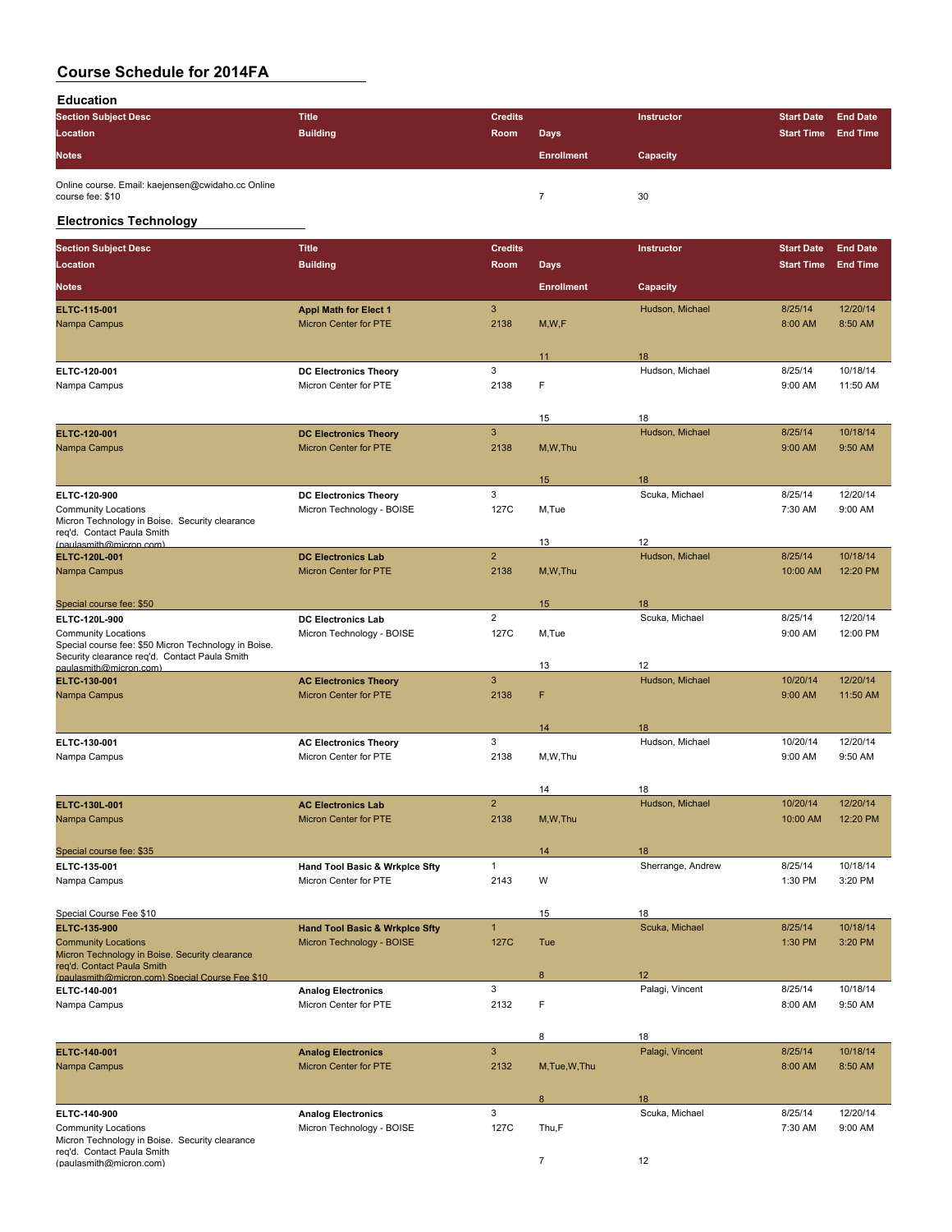**Education**

| <b>Section Subject Desc</b>                                           | <b>Title</b>    | <b>Credits</b> |                   | <b>Instructor</b> | <b>Start Date</b> | <b>End Date</b> |
|-----------------------------------------------------------------------|-----------------|----------------|-------------------|-------------------|-------------------|-----------------|
| Location                                                              | <b>Building</b> | Room           | Days              |                   | <b>Start Time</b> | <b>End Time</b> |
| <b>Notes</b>                                                          |                 |                | <b>Enrollment</b> | Capacity          |                   |                 |
| Online course. Email: kaejensen@cwidaho.cc Online<br>course fee: \$10 |                 |                |                   | 30                |                   |                 |

### **Electronics Technology**

| <b>Section Subject Desc</b>                                                   | <b>Title</b>                                          | <b>Credits</b> |                   | Instructor            | <b>Start Date</b> | <b>End Date</b>      |
|-------------------------------------------------------------------------------|-------------------------------------------------------|----------------|-------------------|-----------------------|-------------------|----------------------|
| Location                                                                      | <b>Building</b>                                       | Room           | <b>Days</b>       |                       | <b>Start Time</b> | <b>End Time</b>      |
| <b>Notes</b>                                                                  |                                                       |                | <b>Enrollment</b> | Capacity              |                   |                      |
| ELTC 115-001                                                                  |                                                       | 3              |                   | Hudson, Michael       | 8/25/14           | 12/20/14             |
| Nampa Campus                                                                  | <b>Appl Math for Elect 1</b><br>Micron Center for PTE | 2138           | M, W, F           |                       | 8:00 AM           | 8:50 AM              |
|                                                                               |                                                       |                |                   |                       |                   |                      |
|                                                                               |                                                       | 3              | 11                | 18<br>Hudson, Michael | 8/25/14           |                      |
| ELTC-120-001<br>Nampa Campus                                                  | <b>DC Electronics Theory</b><br>Micron Center for PTE | 2138           | F                 |                       | 9:00 AM           | 10/18/14<br>11:50 AM |
|                                                                               |                                                       |                |                   |                       |                   |                      |
|                                                                               |                                                       |                | 15                | 18                    |                   |                      |
| ELTC 120-001                                                                  | <b>DC Electronics Theory</b>                          | 3              |                   | Hudson, Michael       | 8/25/14           | 10/18/14             |
| Nampa Campus                                                                  | <b>Micron Center for PTE</b>                          | 2138           | M, W, Thu         |                       | 9:00 AM           | 9:50 AM              |
|                                                                               |                                                       |                | 15                | 18                    |                   |                      |
| ELTC-120-900                                                                  | <b>DC Electronics Theory</b>                          | 3              |                   | Scuka, Michael        | 8/25/14           | 12/20/14             |
| <b>Community Locations</b>                                                    | Micron Technology - BOISE                             | 127C           | M,Tue             |                       | 7:30 AM           | 9:00 AM              |
| Micron Technology in Boise. Security clearance<br>req'd. Contact Paula Smith  |                                                       |                |                   |                       |                   |                      |
| (paulasmith@micron.com)                                                       |                                                       |                | 13                | 12                    |                   |                      |
| ELTC-120L-001                                                                 | <b>DC Electronics Lab</b>                             | $\overline{2}$ |                   | Hudson, Michael       | 8/25/14           | 10/18/14             |
| Nampa Campus                                                                  | <b>Micron Center for PTE</b>                          | 2138           | M, W, Thu         |                       | 10:00 AM          | 12:20 PM             |
| Special course fee: \$50                                                      |                                                       |                | 15                | 18                    |                   |                      |
| ELTC-120L-900                                                                 | <b>DC Electronics Lab</b>                             | $\overline{2}$ |                   | Scuka, Michael        | 8/25/14           | 12/20/14             |
| <b>Community Locations</b>                                                    | Micron Technology - BOISE                             | 127C           | M,Tue             |                       | 9:00 AM           | 12:00 PM             |
| Special course fee: \$50 Micron Technology in Boise.                          |                                                       |                |                   |                       |                   |                      |
| Security clearance reg'd. Contact Paula Smith                                 |                                                       |                |                   |                       |                   |                      |
| paulasmith@micron.com)                                                        |                                                       | $\mathbf{3}$   | 13                | 12                    |                   |                      |
| ELTC-130-001                                                                  | <b>AC Electronics Theory</b>                          |                |                   | Hudson, Michael       | 10/20/14          | 12/20/14             |
| Nampa Campus                                                                  | <b>Micron Center for PTE</b>                          | 2138           | F                 |                       | 9:00 AM           | 11:50 AM             |
|                                                                               |                                                       |                | 14                | 18                    |                   |                      |
| ELTC-130-001                                                                  | <b>AC Electronics Theory</b>                          | 3              |                   | Hudson, Michael       | 10/20/14          | 12/20/14             |
| Nampa Campus                                                                  | Micron Center for PTE                                 | 2138           | M,W,Thu           |                       | 9:00 AM           | 9:50 AM              |
|                                                                               |                                                       |                |                   |                       |                   |                      |
|                                                                               |                                                       |                | 14                | 18                    |                   |                      |
| ELTC-130L-001                                                                 | <b>AC Electronics Lab</b>                             | $\overline{2}$ |                   | Hudson, Michael       | 10/20/14          | 12/20/14             |
| Nampa Campus                                                                  | <b>Micron Center for PTE</b>                          | 2138           | M, W, Thu         |                       | 10:00 AM          | 12:20 PM             |
| Special course fee: \$35                                                      |                                                       |                | 14                | 18                    |                   |                      |
| ELTC-135-001                                                                  | Hand Tool Basic & Wrkplce Sfty                        | $\mathbf{1}$   |                   | Sherrange, Andrew     | 8/25/14           | 10/18/14             |
| Nampa Campus                                                                  | Micron Center for PTE                                 | 2143           | W                 |                       | 1:30 PM           | 3:20 PM              |
|                                                                               |                                                       |                |                   |                       |                   |                      |
| Special Course Fee \$10                                                       |                                                       |                | 15                | 18                    |                   |                      |
| <b>ELTC 135 900</b>                                                           | <b>Hand Tool Basic &amp; Wrkplce Sfty</b>             | $\mathbf{1}$   |                   | Scuka, Michael        | 8/25/14           | 10/18/14             |
| <b>Community Locations</b>                                                    | Micron Technology - BOISE                             | 127C           | Tue               |                       | 1:30 PM           | 3:20 PM              |
| Micron Technology in Boise. Security clearance                                |                                                       |                |                   |                       |                   |                      |
| reg'd. Contact Paula Smith<br>(paulasmith@micron.com) Special Course Fee \$10 |                                                       |                | 8                 | 12                    |                   |                      |
| ELTC-140-001                                                                  | <b>Analog Electronics</b>                             | 3              |                   | Palagi, Vincent       | 8/25/14           | 10/18/14             |
| Nampa Campus                                                                  | Micron Center for PTE                                 | 2132           | F                 |                       | 8:00 AM           | 9:50 AM              |
|                                                                               |                                                       |                |                   |                       |                   |                      |
|                                                                               |                                                       |                | 8                 | 18                    |                   |                      |
| ELTC 140-001                                                                  | <b>Analog Electronics</b>                             | $\sqrt{3}$     |                   | Palagi, Vincent       | 8/25/14           | 10/18/14             |
| Nampa Campus                                                                  | <b>Micron Center for PTE</b>                          | 2132           | M, Tue, W, Thu    |                       | 8:00 AM           | 8:50 AM              |
|                                                                               |                                                       |                |                   |                       |                   |                      |
|                                                                               |                                                       |                | 8                 | 18                    |                   |                      |
| ELTC-140-900                                                                  | <b>Analog Electronics</b>                             | 3              |                   | Scuka, Michael        | 8/25/14           | 12/20/14             |
| <b>Community Locations</b>                                                    | Micron Technology - BOISE                             | 127C           | Thu,F             |                       | 7:30 AM           | 9:00 AM              |
| Micron Technology in Boise. Security clearance<br>req'd. Contact Paula Smith  |                                                       |                |                   |                       |                   |                      |
| (paulasmith@micron.com)                                                       |                                                       |                | $\overline{7}$    | 12                    |                   |                      |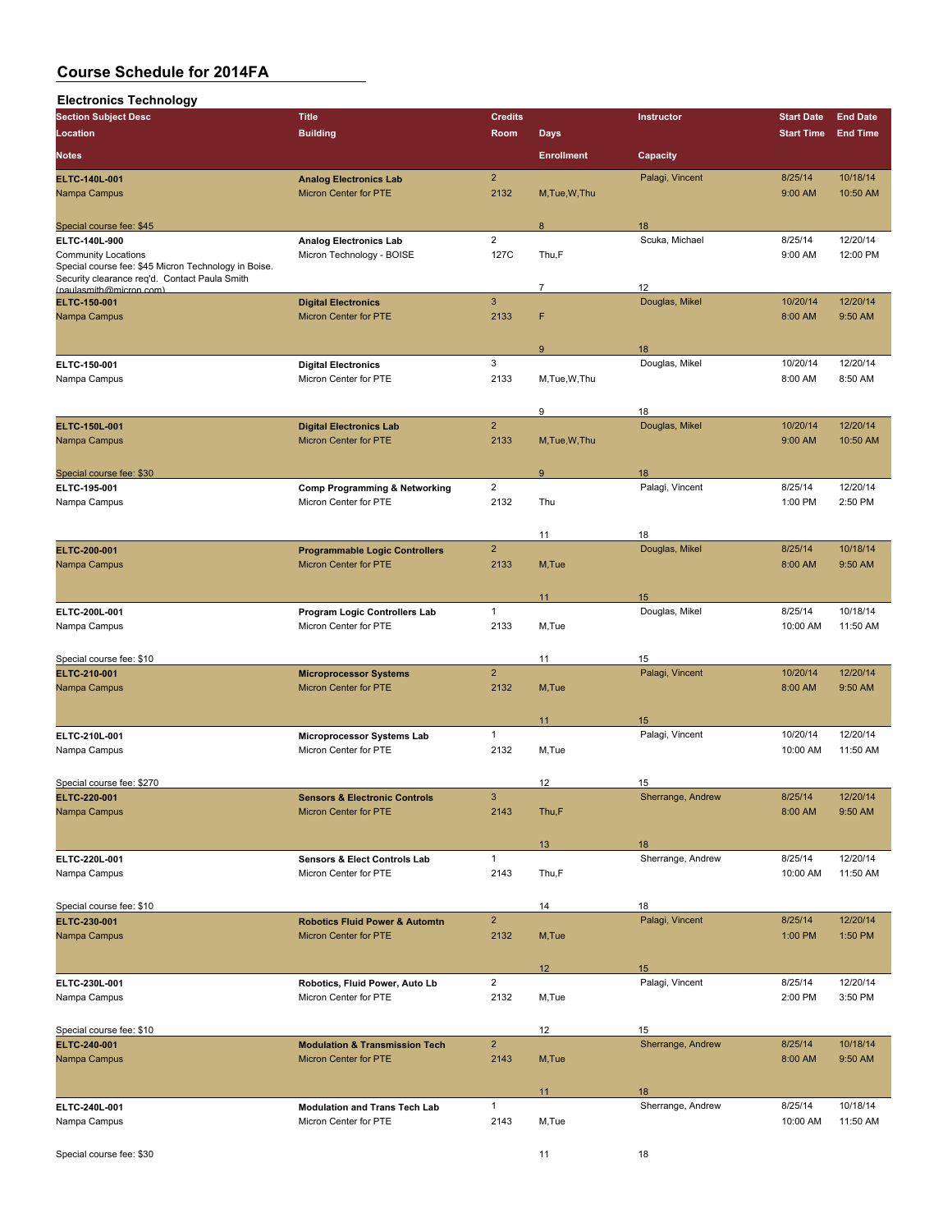| <b>Electronics Technology</b>                                                                         |                                                                           |                |                   |                       |                   |                 |
|-------------------------------------------------------------------------------------------------------|---------------------------------------------------------------------------|----------------|-------------------|-----------------------|-------------------|-----------------|
| <b>Section Subject Desc</b>                                                                           | <b>Title</b>                                                              | <b>Credits</b> |                   | Instructor            | <b>Start Date</b> | <b>End Date</b> |
| Location                                                                                              | <b>Building</b>                                                           | Room           | <b>Days</b>       |                       | <b>Start Time</b> | <b>End Time</b> |
| <b>Notes</b>                                                                                          |                                                                           |                | <b>Enrollment</b> | Capacity              |                   |                 |
| ELTC-140L-001                                                                                         | <b>Analog Electronics Lab</b>                                             | $\overline{2}$ |                   | Palagi, Vincent       | 8/25/14           | 10/18/14        |
| Nampa Campus                                                                                          | Micron Center for PTE                                                     | 2132           | M, Tue, W, Thu    |                       | 9:00 AM           | 10:50 AM        |
|                                                                                                       |                                                                           |                |                   |                       |                   |                 |
| Special course fee: \$45                                                                              |                                                                           |                | 8                 | 18                    |                   |                 |
| ELTC-140L-900                                                                                         | <b>Analog Electronics Lab</b>                                             | $\overline{2}$ |                   | Scuka, Michael        | 8/25/14           | 12/20/14        |
| <b>Community Locations</b>                                                                            | Micron Technology - BOISE                                                 | 127C           | Thu,F             |                       | 9:00 AM           | 12:00 PM        |
| Special course fee: \$45 Micron Technology in Boise.<br>Security clearance req'd. Contact Paula Smith |                                                                           |                |                   |                       |                   |                 |
| (paulasmith@micron.com)                                                                               |                                                                           |                | $\overline{7}$    | 12                    |                   |                 |
| ELTC 150-001                                                                                          | <b>Digital Electronics</b>                                                | 3              |                   | Douglas, Mikel        | 10/20/14          | 12/20/14        |
| Nampa Campus                                                                                          | <b>Micron Center for PTE</b>                                              | 2133           | F                 |                       | 8:00 AM           | 9:50 AM         |
|                                                                                                       |                                                                           |                |                   |                       |                   |                 |
|                                                                                                       |                                                                           |                | 9                 | 18                    |                   |                 |
| ELTC-150-001                                                                                          | <b>Digital Electronics</b>                                                | 3              |                   | Douglas, Mikel        | 10/20/14          | 12/20/14        |
| Nampa Campus                                                                                          | Micron Center for PTE                                                     | 2133           | M,Tue,W,Thu       |                       | 8:00 AM           | 8:50 AM         |
|                                                                                                       |                                                                           |                |                   |                       |                   |                 |
|                                                                                                       |                                                                           |                | 9                 | 18                    |                   |                 |
| ELTC-150L-001                                                                                         | <b>Digital Electronics Lab</b>                                            | $\overline{2}$ |                   | Douglas, Mikel        | 10/20/14          | 12/20/14        |
| Nampa Campus                                                                                          | <b>Micron Center for PTE</b>                                              | 2133           | M, Tue, W, Thu    |                       | 9:00 AM           | 10:50 AM        |
|                                                                                                       |                                                                           |                |                   |                       |                   |                 |
| Special course fee: \$30                                                                              |                                                                           | $\overline{2}$ | 9                 | 18<br>Palagi, Vincent | 8/25/14           | 12/20/14        |
| ELTC-195-001<br>Nampa Campus                                                                          | <b>Comp Programming &amp; Networking</b><br>Micron Center for PTE         | 2132           | Thu               |                       | 1:00 PM           | 2:50 PM         |
|                                                                                                       |                                                                           |                |                   |                       |                   |                 |
|                                                                                                       |                                                                           |                | 11                | 18                    |                   |                 |
| ELTC-200-001                                                                                          | <b>Programmable Logic Controllers</b>                                     | $\overline{2}$ |                   | Douglas, Mikel        | 8/25/14           | 10/18/14        |
| Nampa Campus                                                                                          | <b>Micron Center for PTE</b>                                              | 2133           | M, Tue            |                       | 8:00 AM           | 9:50 AM         |
|                                                                                                       |                                                                           |                |                   |                       |                   |                 |
|                                                                                                       |                                                                           |                | 11                | 15                    |                   |                 |
| ELTC-200L-001                                                                                         | Program Logic Controllers Lab                                             | 1              |                   | Douglas, Mikel        | 8/25/14           | 10/18/14        |
| Nampa Campus                                                                                          | Micron Center for PTE                                                     | 2133           | M,Tue             |                       | 10:00 AM          | 11:50 AM        |
|                                                                                                       |                                                                           |                |                   |                       |                   |                 |
| Special course fee: \$10                                                                              |                                                                           |                | 11                | 15                    |                   |                 |
| ELTC 210-001                                                                                          | <b>Microprocessor Systems</b>                                             | $\overline{2}$ |                   | Palagi, Vincent       | 10/20/14          | 12/20/14        |
| Nampa Campus                                                                                          | Micron Center for PTE                                                     | 2132           | M, Tue            |                       | 8:00 AM           | 9:50 AM         |
|                                                                                                       |                                                                           |                |                   |                       |                   |                 |
|                                                                                                       |                                                                           |                | 11                | 15                    |                   |                 |
| ELTC 210L-001                                                                                         | <b>Microprocessor Systems Lab</b>                                         | $\mathbf{1}$   |                   | Palagi, Vincent       | 10/20/14          | 12/20/14        |
| Nampa Campus                                                                                          | Micron Center for PTE                                                     | 2132           | M,Tue             |                       | 10:00 AM          | 11:50 AM        |
|                                                                                                       |                                                                           |                |                   |                       |                   |                 |
| Special course fee: \$270                                                                             |                                                                           |                | 12                | 15                    |                   |                 |
| ELTC-220-001                                                                                          | <b>Sensors &amp; Electronic Controls</b>                                  | 3              |                   | Sherrange, Andrew     | 8/25/14           | 12/20/14        |
| Nampa Campus                                                                                          | Micron Center for PTE                                                     | 2143           | Thu,F             |                       | 8:00 AM           | 9:50 AM         |
|                                                                                                       |                                                                           |                |                   |                       |                   |                 |
|                                                                                                       |                                                                           |                | 13 <sup>°</sup>   | 18                    |                   |                 |
| ELTC-220L-001                                                                                         | Sensors & Elect Controls Lab                                              | $\mathbf{1}$   |                   | Sherrange, Andrew     | 8/25/14           | 12/20/14        |
| Nampa Campus                                                                                          | Micron Center for PTE                                                     | 2143           | Thu,F             |                       | 10:00 AM          | 11:50 AM        |
|                                                                                                       |                                                                           |                |                   |                       |                   |                 |
| Special course fee: \$10<br>ELTC 230 001                                                              |                                                                           | $\overline{2}$ | 14                | 18<br>Palagi, Vincent | 8/25/14           | 12/20/14        |
| Nampa Campus                                                                                          | <b>Robotics Fluid Power &amp; Automtn</b><br><b>Micron Center for PTE</b> | 2132           | M, Tue            |                       | 1:00 PM           | 1:50 PM         |
|                                                                                                       |                                                                           |                |                   |                       |                   |                 |
|                                                                                                       |                                                                           |                | 12                | 15                    |                   |                 |
| ELTC-230L-001                                                                                         | Robotics, Fluid Power, Auto Lb                                            | $\overline{2}$ |                   | Palagi, Vincent       | 8/25/14           | 12/20/14        |
| Nampa Campus                                                                                          | Micron Center for PTE                                                     | 2132           | M,Tue             |                       | 2:00 PM           | 3:50 PM         |
|                                                                                                       |                                                                           |                |                   |                       |                   |                 |
| Special course fee: \$10                                                                              |                                                                           |                | 12                | 15                    |                   |                 |
| ELTC-240-001                                                                                          | <b>Modulation &amp; Transmission Tech</b>                                 | $\overline{2}$ |                   | Sherrange, Andrew     | 8/25/14           | 10/18/14        |
| Nampa Campus                                                                                          | Micron Center for PTE                                                     | 2143           | M, Tue            |                       | 8:00 AM           | 9:50 AM         |
|                                                                                                       |                                                                           |                |                   |                       |                   |                 |
|                                                                                                       |                                                                           |                | 11                | 18                    |                   |                 |
| ELTC-240L-001                                                                                         | <b>Modulation and Trans Tech Lab</b>                                      | $\mathbf{1}$   |                   | Sherrange, Andrew     | 8/25/14           | 10/18/14        |
| Nampa Campus                                                                                          | Micron Center for PTE                                                     | 2143           | M,Tue             |                       | 10:00 AM          | 11:50 AM        |
|                                                                                                       |                                                                           |                |                   |                       |                   |                 |
| Special course fee: \$30                                                                              |                                                                           |                | 11                | 18                    |                   |                 |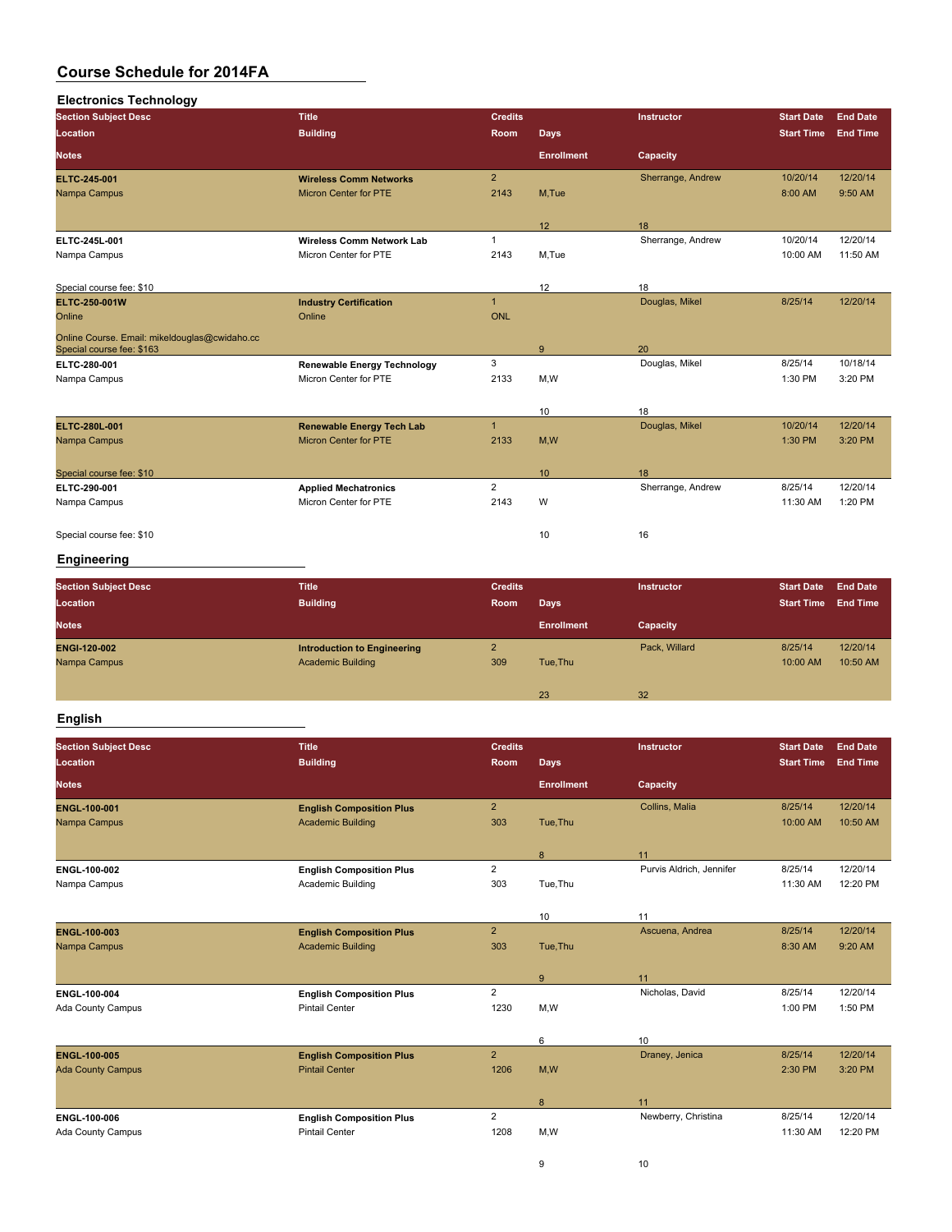| <b>Electronics Technology</b>                                              |                                    |                |                   |                   |                   |                 |
|----------------------------------------------------------------------------|------------------------------------|----------------|-------------------|-------------------|-------------------|-----------------|
| <b>Section Subject Desc</b>                                                | <b>Title</b>                       | <b>Credits</b> |                   | Instructor        | <b>Start Date</b> | End Date        |
| Location                                                                   | <b>Building</b>                    | <b>Room</b>    | <b>Days</b>       |                   | <b>Start Time</b> | <b>End Time</b> |
| Notes                                                                      |                                    |                | <b>Enrollment</b> | Capacity          |                   |                 |
| <b>ELTC 245-001</b>                                                        | <b>Wireless Comm Networks</b>      | $\overline{2}$ |                   | Sherrange, Andrew | 10/20/14          | 12/20/14        |
| Nampa Campus                                                               | <b>Micron Center for PTE</b>       | 2143           | M,Tue             |                   | 8:00 AM           | 9:50 AM         |
|                                                                            |                                    |                | 12                | 18                |                   |                 |
| ELTC-245L-001                                                              | <b>Wireless Comm Network Lab</b>   | $\mathbf{1}$   |                   | Sherrange, Andrew | 10/20/14          | 12/20/14        |
| Nampa Campus                                                               | Micron Center for PTE              | 2143           | M,Tue             |                   | 10:00 AM          | 11:50 AM        |
| Special course fee: \$10                                                   |                                    |                | 12                | 18                |                   |                 |
| <b>ELTC 250 001W</b>                                                       | <b>Industry Certification</b>      | $\overline{1}$ |                   | Douglas, Mikel    | 8/25/14           | 12/20/14        |
| Online                                                                     | Online                             | <b>ONL</b>     |                   |                   |                   |                 |
| Online Course. Email: mikeldouglas@cwidaho.cc<br>Special course fee: \$163 |                                    |                | 9                 | 20                |                   |                 |
| ELTC 280 001                                                               | <b>Renewable Energy Technology</b> | 3              |                   | Douglas, Mikel    | 8/25/14           | 10/18/14        |
| Nampa Campus                                                               | Micron Center for PTE              | 2133           | M,W               |                   | 1:30 PM           | 3:20 PM         |
|                                                                            |                                    |                | 10                | 18                |                   |                 |
| <b>ELTC 280L 001</b>                                                       | <b>Renewable Energy Tech Lab</b>   | $\overline{1}$ |                   | Douglas, Mikel    | 10/20/14          | 12/20/14        |
| Nampa Campus                                                               | <b>Micron Center for PTE</b>       | 2133           | M,W               |                   | 1:30 PM           | 3:20 PM         |
| Special course fee: \$10                                                   |                                    |                | 10                | 18                |                   |                 |
| ELTC 290 001                                                               | <b>Applied Mechatronics</b>        | $\overline{2}$ |                   | Sherrange, Andrew | 8/25/14           | 12/20/14        |
| Nampa Campus                                                               | Micron Center for PTE              | 2143           | W                 |                   | 11:30 AM          | 1:20 PM         |
| Special course fee: \$10                                                   |                                    |                | 10                | 16                |                   |                 |

## **Engineering**

| <b>Section Subject Desc</b> | <b>Title</b>                       | <b>Credits</b> |                   | <b>Instructor</b> | <b>Start Date</b> | <b>End Date</b> |
|-----------------------------|------------------------------------|----------------|-------------------|-------------------|-------------------|-----------------|
| Location                    | <b>Building</b>                    | Room           | <b>Days</b>       |                   | <b>Start Time</b> | <b>End Time</b> |
| <b>Notes</b>                |                                    |                | <b>Enrollment</b> | Capacity          |                   |                 |
| <b>ENGI 120 002</b>         | <b>Introduction to Engineering</b> | $\overline{2}$ |                   | Pack, Willard     | 8/25/14           | 12/20/14        |
| Nampa Campus                | <b>Academic Building</b>           | 309            | Tue, Thu          |                   | 10:00 AM          | 10:50 AM        |
|                             |                                    |                |                   |                   |                   |                 |
|                             |                                    |                | 23                | 32                |                   |                 |

## **English**

| <b>Section Subject Desc</b> | <b>Title</b>                    | <b>Credits</b> |                   | Instructor               | <b>Start Date</b> | <b>End Date</b> |
|-----------------------------|---------------------------------|----------------|-------------------|--------------------------|-------------------|-----------------|
| Location                    | <b>Building</b>                 | Room           | <b>Days</b>       |                          | <b>Start Time</b> | <b>End Time</b> |
| <b>Notes</b>                |                                 |                | <b>Enrollment</b> | Capacity                 |                   |                 |
| <b>ENGL 100-001</b>         | <b>English Composition Plus</b> | $\overline{2}$ |                   | Collins, Malia           | 8/25/14           | 12/20/14        |
| Nampa Campus                | <b>Academic Building</b>        | 303            | Tue, Thu          |                          | 10:00 AM          | 10:50 AM        |
|                             |                                 |                | 8                 | 11                       |                   |                 |
| ENGL-100-002                | <b>English Composition Plus</b> | $\overline{2}$ |                   | Purvis Aldrich, Jennifer | 8/25/14           | 12/20/14        |
| Nampa Campus                | Academic Building               | 303            | Tue, Thu          |                          | 11:30 AM          | 12:20 PM        |
|                             |                                 |                |                   |                          |                   |                 |
|                             |                                 |                | 10                | 11                       |                   |                 |
| <b>ENGL-100-003</b>         | <b>English Composition Plus</b> | $\overline{2}$ |                   | Ascuena, Andrea          | 8/25/14           | 12/20/14        |
| Nampa Campus                | <b>Academic Building</b>        | 303            | Tue, Thu          |                          | 8:30 AM           | 9:20 AM         |
|                             |                                 |                | 9                 | 11                       |                   |                 |
| ENGL 100-004                | <b>English Composition Plus</b> | $\overline{2}$ |                   | Nicholas, David          | 8/25/14           | 12/20/14        |
| Ada County Campus           | <b>Pintail Center</b>           | 1230           | M,W               |                          | 1:00 PM           | 1:50 PM         |
|                             |                                 |                |                   |                          |                   |                 |
|                             |                                 |                | 6                 | 10                       |                   |                 |
| <b>ENGL 100 005</b>         | <b>English Composition Plus</b> | $\overline{2}$ |                   | Draney, Jenica           | 8/25/14           | 12/20/14        |
| <b>Ada County Campus</b>    | <b>Pintail Center</b>           | 1206           | M,W               |                          | 2:30 PM           | 3:20 PM         |
|                             |                                 |                | 8                 | 11                       |                   |                 |
| ENGL 100-006                | <b>English Composition Plus</b> | $\overline{2}$ |                   | Newberry, Christina      | 8/25/14           | 12/20/14        |
| Ada County Campus           | <b>Pintail Center</b>           | 1208           | M,W               |                          | 11:30 AM          | 12:20 PM        |
|                             |                                 |                |                   |                          |                   |                 |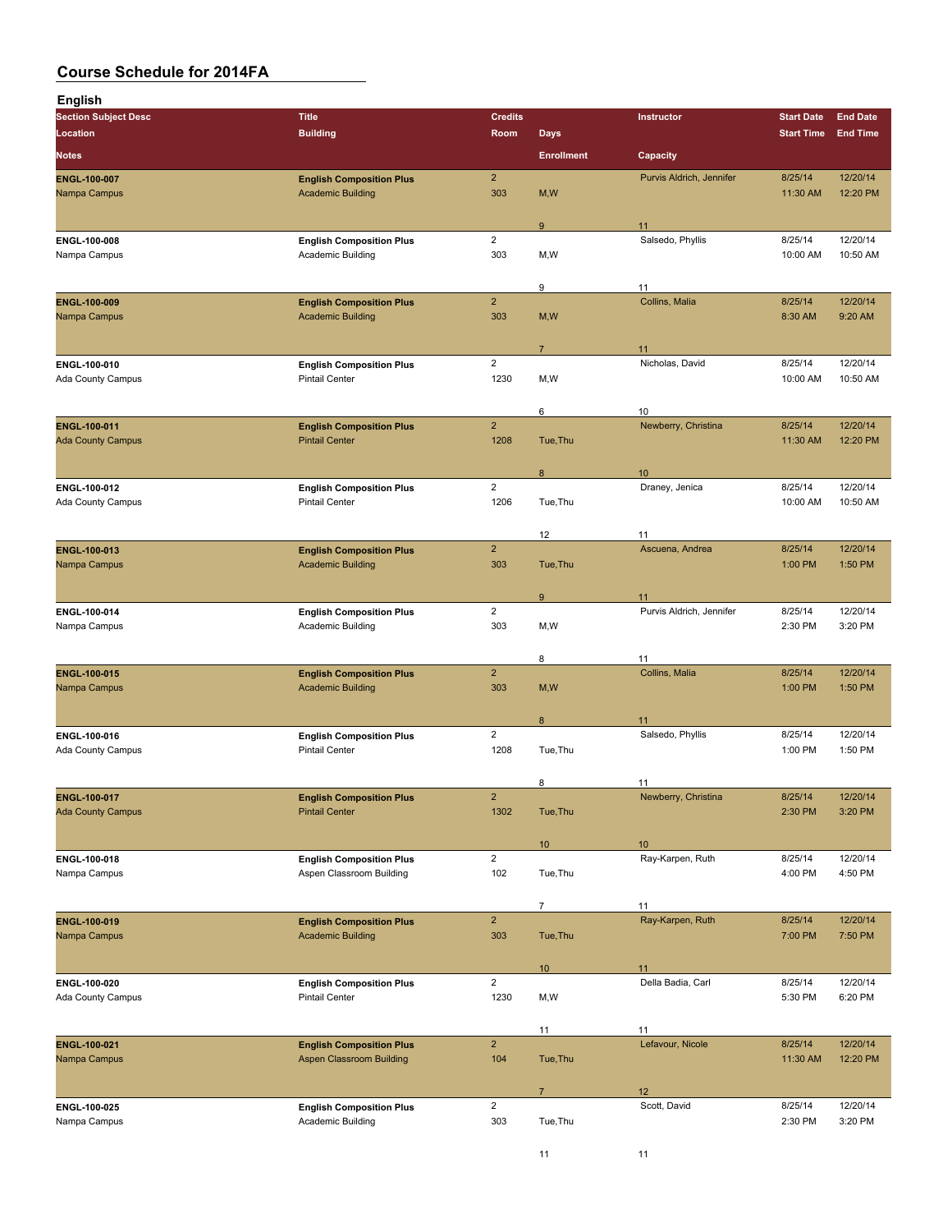| <b>English</b>                           |                                                             |                         |                   |                           |                     |                      |
|------------------------------------------|-------------------------------------------------------------|-------------------------|-------------------|---------------------------|---------------------|----------------------|
| <b>Section Subject Desc</b>              | <b>Title</b>                                                | <b>Credits</b>          |                   | Instructor                | <b>Start Date</b>   | <b>End Date</b>      |
| Location                                 | <b>Building</b>                                             | Room                    | <b>Days</b>       |                           | <b>Start Time</b>   | <b>End Time</b>      |
| <b>Notes</b>                             |                                                             |                         | <b>Enrollment</b> | Capacity                  |                     |                      |
| <b>ENGL 100 007</b>                      | <b>English Composition Plus</b>                             | $\overline{2}$          |                   | Purvis Aldrich, Jennifer  | 8/25/14             | 12/20/14             |
| Nampa Campus                             | <b>Academic Building</b>                                    | 303                     | M, W              |                           | 11:30 AM            | 12:20 PM             |
|                                          |                                                             |                         | 9                 | 11                        |                     |                      |
| ENGL-100-008                             | <b>English Composition Plus</b>                             | $\overline{2}$          |                   | Salsedo, Phyllis          | 8/25/14             | 12/20/14             |
| Nampa Campus                             | Academic Building                                           | 303                     | M,W               |                           | 10:00 AM            | 10:50 AM             |
|                                          |                                                             |                         |                   |                           |                     |                      |
| ENGL-100-009                             | <b>English Composition Plus</b>                             | $\overline{2}$          | 9                 | 11<br>Collins, Malia      | 8/25/14             | 12/20/14             |
| Nampa Campus                             | <b>Academic Building</b>                                    | 303                     | M, W              |                           | 8:30 AM             | 9:20 AM              |
|                                          |                                                             |                         |                   |                           |                     |                      |
| ENGL-100-010                             | <b>English Composition Plus</b>                             | $\overline{2}$          | $\overline{7}$    | 11<br>Nicholas, David     | 8/25/14             | 12/20/14             |
| Ada County Campus                        | <b>Pintail Center</b>                                       | 1230                    | M,W               |                           | 10:00 AM            | 10:50 AM             |
|                                          |                                                             |                         |                   |                           |                     |                      |
|                                          |                                                             |                         | 6                 | 10                        |                     |                      |
| ENGL-100-011<br><b>Ada County Campus</b> | <b>English Composition Plus</b><br><b>Pintail Center</b>    | $\overline{2}$<br>1208  | Tue, Thu          | Newberry, Christina       | 8/25/14<br>11:30 AM | 12/20/14<br>12:20 PM |
|                                          |                                                             |                         |                   |                           |                     |                      |
|                                          |                                                             |                         | 8                 | 10                        |                     |                      |
| ENGL 100 012<br>Ada County Campus        | <b>English Composition Plus</b><br><b>Pintail Center</b>    | $\overline{2}$<br>1206  | Tue, Thu          | Draney, Jenica            | 8/25/14<br>10:00 AM | 12/20/14<br>10:50 AM |
|                                          |                                                             |                         |                   |                           |                     |                      |
|                                          |                                                             |                         | 12                | 11                        |                     |                      |
| ENGL-100-013                             | <b>English Composition Plus</b>                             | $\overline{2}$          |                   | Ascuena, Andrea           | 8/25/14             | 12/20/14             |
| Nampa Campus                             | <b>Academic Building</b>                                    | 303                     | Tue, Thu          |                           | 1:00 PM             | 1:50 PM              |
|                                          |                                                             |                         | 9                 | 11                        |                     |                      |
| ENGL-100-014                             | <b>English Composition Plus</b>                             | $\overline{2}$          |                   | Purvis Aldrich, Jennifer  | 8/25/14             | 12/20/14             |
| Nampa Campus                             | Academic Building                                           | 303                     | M,W               |                           | 2:30 PM             | 3:20 PM              |
|                                          |                                                             |                         | 8                 | 11                        |                     |                      |
| ENGL-100-015                             | <b>English Composition Plus</b>                             | $\overline{2}$          |                   | Collins, Malia            | 8/25/14             | 12/20/14             |
| Nampa Campus                             | <b>Academic Building</b>                                    | 303                     | M, W              |                           | 1:00 PM             | 1:50 PM              |
|                                          |                                                             |                         |                   |                           |                     |                      |
| ENGL 100-016                             | <b>English Composition Plus</b>                             | $\overline{2}$          | 8                 | 11<br>Salsedo, Phyllis    | 8/25/14             | 12/20/14             |
| Ada County Campus                        | <b>Pintail Center</b>                                       | 1208                    | Tue, Thu          |                           | 1:00 PM             | 1:50 PM              |
|                                          |                                                             |                         |                   |                           |                     |                      |
| ENGL-100-017                             | <b>English Composition Plus</b>                             | $\overline{2}$          | 8                 | 11<br>Newberry, Christina | 8/25/14             | 12/20/14             |
| <b>Ada County Campus</b>                 | <b>Pintail Center</b>                                       | 1302                    | Tue, Thu          |                           | 2:30 PM             | 3:20 PM              |
|                                          |                                                             |                         |                   |                           |                     |                      |
|                                          |                                                             | $\overline{c}$          | 10 <sup>°</sup>   | 10<br>Ray-Karpen, Ruth    | 8/25/14             | 12/20/14             |
| ENGL-100-018<br>Nampa Campus             | <b>English Composition Plus</b><br>Aspen Classroom Building | 102                     | Tue, Thu          |                           | 4:00 PM             | 4:50 PM              |
|                                          |                                                             |                         |                   |                           |                     |                      |
|                                          |                                                             |                         | $\overline{7}$    | 11                        |                     |                      |
| ENGL-100-019<br>Nampa Campus             | <b>English Composition Plus</b><br><b>Academic Building</b> | $\overline{2}$<br>303   | Tue, Thu          | Ray-Karpen, Ruth          | 8/25/14<br>7:00 PM  | 12/20/14<br>7:50 PM  |
|                                          |                                                             |                         |                   |                           |                     |                      |
|                                          |                                                             |                         | 10 <sub>1</sub>   | 11                        |                     |                      |
| ENGL-100-020                             | <b>English Composition Plus</b>                             | $\overline{\mathbf{c}}$ |                   | Della Badia, Carl         | 8/25/14             | 12/20/14             |
| Ada County Campus                        | <b>Pintail Center</b>                                       | 1230                    | M,W               |                           | 5:30 PM             | 6:20 PM              |
|                                          |                                                             |                         | 11                | 11                        |                     |                      |
| ENGL-100-021                             | <b>English Composition Plus</b>                             | $\overline{2}$          |                   | Lefavour, Nicole          | 8/25/14             | 12/20/14             |
| Nampa Campus                             | <b>Aspen Classroom Building</b>                             | 104                     | Tue, Thu          |                           | 11:30 AM            | 12:20 PM             |
|                                          |                                                             |                         | $\overline{7}$    | 12                        |                     |                      |
| ENGL-100-025                             | <b>English Composition Plus</b>                             | $\overline{2}$          |                   | Scott, David              | 8/25/14             | 12/20/14             |
| Nampa Campus                             | Academic Building                                           | 303                     | Tue, Thu          |                           | 2:30 PM             | 3:20 PM              |
|                                          |                                                             |                         |                   |                           |                     |                      |

11 11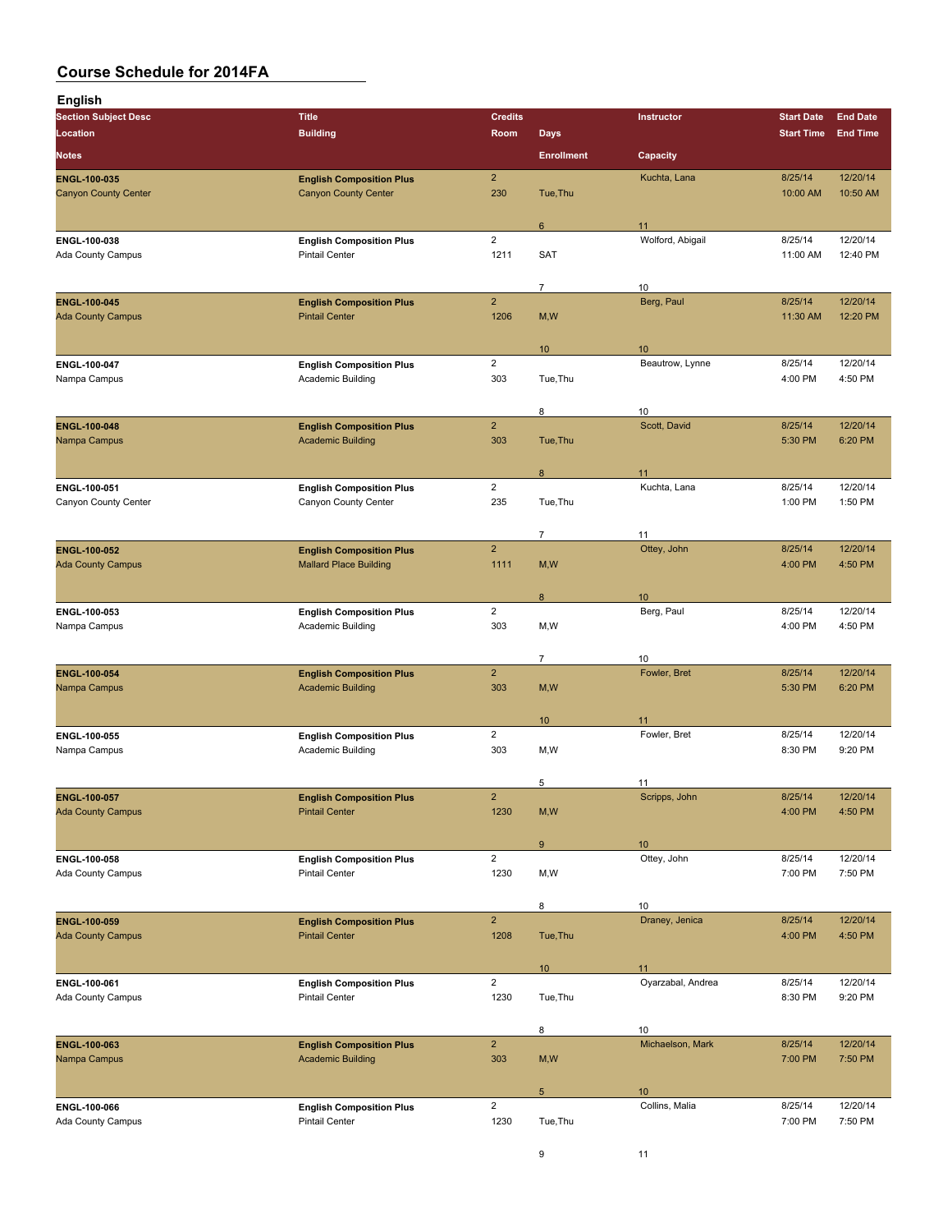| English                                  |                                                                  |                         |                   |                       |                    |                     |
|------------------------------------------|------------------------------------------------------------------|-------------------------|-------------------|-----------------------|--------------------|---------------------|
| <b>Section Subject Desc</b>              | <b>Title</b>                                                     | <b>Credits</b>          |                   | Instructor            | <b>Start Date</b>  | <b>End Date</b>     |
| Location                                 | <b>Building</b>                                                  | Room                    | <b>Days</b>       |                       | <b>Start Time</b>  | <b>End Time</b>     |
| <b>Notes</b>                             |                                                                  |                         | <b>Enrollment</b> | Capacity              |                    |                     |
| ENGL-100-035                             | <b>English Composition Plus</b>                                  | $\overline{2}$          |                   | Kuchta, Lana          | 8/25/14            | 12/20/14            |
| <b>Canyon County Center</b>              | <b>Canyon County Center</b>                                      | 230                     | Tue, Thu          |                       | 10:00 AM           | 10:50 AM            |
|                                          |                                                                  |                         | 6                 | 11                    |                    |                     |
| ENGL 100-038                             | <b>English Composition Plus</b>                                  | $\overline{2}$          |                   | Wolford, Abigail      | 8/25/14            | 12/20/14            |
| Ada County Campus                        | <b>Pintail Center</b>                                            | 1211                    | <b>SAT</b>        |                       | 11:00 AM           | 12:40 PM            |
|                                          |                                                                  |                         |                   |                       |                    |                     |
| <b>ENGL-100-045</b>                      | <b>English Composition Plus</b>                                  | $\overline{2}$          | 7                 | 10<br>Berg, Paul      | 8/25/14            | 12/20/14            |
| <b>Ada County Campus</b>                 | <b>Pintail Center</b>                                            | 1206                    | M, W              |                       | 11:30 AM           | 12:20 PM            |
|                                          |                                                                  |                         |                   |                       |                    |                     |
| ENGL 100 047                             | <b>English Composition Plus</b>                                  | $\overline{2}$          | 10 <sup>°</sup>   | 10<br>Beautrow, Lynne | 8/25/14            | 12/20/14            |
| Nampa Campus                             | Academic Building                                                | 303                     | Tue, Thu          |                       | 4:00 PM            | 4:50 PM             |
|                                          |                                                                  |                         |                   |                       |                    |                     |
| ENGL-100-048                             | <b>English Composition Plus</b>                                  | $\overline{2}$          | 8                 | 10<br>Scott, David    | 8/25/14            | 12/20/14            |
| Nampa Campus                             | <b>Academic Building</b>                                         | 303                     | Tue, Thu          |                       | 5:30 PM            | 6:20 PM             |
|                                          |                                                                  |                         |                   |                       |                    |                     |
| ENGL-100-051                             |                                                                  | $\overline{2}$          | 8                 | 11<br>Kuchta, Lana    | 8/25/14            | 12/20/14            |
| Canyon County Center                     | <b>English Composition Plus</b><br>Canyon County Center          | 235                     | Tue, Thu          |                       | 1:00 PM            | 1:50 PM             |
|                                          |                                                                  |                         |                   |                       |                    |                     |
|                                          |                                                                  |                         | $\overline{7}$    | 11                    |                    |                     |
| ENGL-100-052<br><b>Ada County Campus</b> | <b>English Composition Plus</b><br><b>Mallard Place Building</b> | $\overline{2}$<br>1111  | M, W              | Ottey, John           | 8/25/14<br>4:00 PM | 12/20/14<br>4:50 PM |
|                                          |                                                                  |                         |                   |                       |                    |                     |
|                                          |                                                                  |                         | 8                 | 10 <sup>°</sup>       |                    |                     |
| ENGL-100-053<br>Nampa Campus             | <b>English Composition Plus</b><br>Academic Building             | $\overline{2}$<br>303   | M,W               | Berg, Paul            | 8/25/14<br>4:00 PM | 12/20/14<br>4:50 PM |
|                                          |                                                                  |                         |                   |                       |                    |                     |
|                                          |                                                                  |                         | $\overline{7}$    | 10                    |                    |                     |
| ENGL-100-054<br>Nampa Campus             | <b>English Composition Plus</b><br><b>Academic Building</b>      | $\overline{2}$<br>303   | M, W              | Fowler, Bret          | 8/25/14<br>5:30 PM | 12/20/14<br>6:20 PM |
|                                          |                                                                  |                         |                   |                       |                    |                     |
|                                          |                                                                  |                         | 10 <sup>°</sup>   | 11                    |                    |                     |
| ENGL-100-055                             | <b>English Composition Plus</b>                                  | $\overline{2}$<br>303   | M,W               | Fowler, Bret          | 8/25/14<br>8:30 PM | 12/20/14<br>9:20 PM |
| Nampa Campus                             | Academic Building                                                |                         |                   |                       |                    |                     |
|                                          |                                                                  |                         | 5                 | 11                    |                    |                     |
| ENGL-100-057                             | <b>English Composition Plus</b>                                  | $\overline{2}$          |                   | Scripps, John         | 8/25/14            | 12/20/14            |
| <b>Ada County Campus</b>                 | <b>Pintail Center</b>                                            | 1230                    | M, W              |                       | 4:00 PM            | 4:50 PM             |
|                                          |                                                                  |                         | 9                 | 10                    |                    |                     |
| ENGL-100-058                             | <b>English Composition Plus</b>                                  | $\overline{2}$          |                   | Ottey, John           | 8/25/14            | 12/20/14            |
| Ada County Campus                        | <b>Pintail Center</b>                                            | 1230                    | M,W               |                       | 7:00 PM            | 7:50 PM             |
|                                          |                                                                  |                         | 8                 | 10                    |                    |                     |
| ENGL-100-059                             | <b>English Composition Plus</b>                                  | $\overline{2}$          |                   | Draney, Jenica        | 8/25/14            | 12/20/14            |
| <b>Ada County Campus</b>                 | <b>Pintail Center</b>                                            | 1208                    | Tue, Thu          |                       | 4:00 PM            | 4:50 PM             |
|                                          |                                                                  |                         | 10 <sup>°</sup>   | 11                    |                    |                     |
| ENGL-100-061                             | <b>English Composition Plus</b>                                  | $\overline{2}$          |                   | Oyarzabal, Andrea     | 8/25/14            | 12/20/14            |
| Ada County Campus                        | <b>Pintail Center</b>                                            | 1230                    | Tue, Thu          |                       | 8:30 PM            | 9:20 PM             |
|                                          |                                                                  |                         | 8                 | 10                    |                    |                     |
| ENGL-100-063                             | <b>English Composition Plus</b>                                  | $\overline{2}$          |                   | Michaelson, Mark      | 8/25/14            | 12/20/14            |
| Nampa Campus                             | <b>Academic Building</b>                                         | 303                     | M, W              |                       | 7:00 PM            | 7:50 PM             |
|                                          |                                                                  |                         |                   |                       |                    |                     |
| ENGL 100-066                             | <b>English Composition Plus</b>                                  | $\overline{\mathbf{c}}$ | $5\phantom{.0}$   | 10<br>Collins, Malia  | 8/25/14            | 12/20/14            |
| Ada County Campus                        | <b>Pintail Center</b>                                            | 1230                    | Tue, Thu          |                       | 7:00 PM            | 7:50 PM             |
|                                          |                                                                  |                         |                   |                       |                    |                     |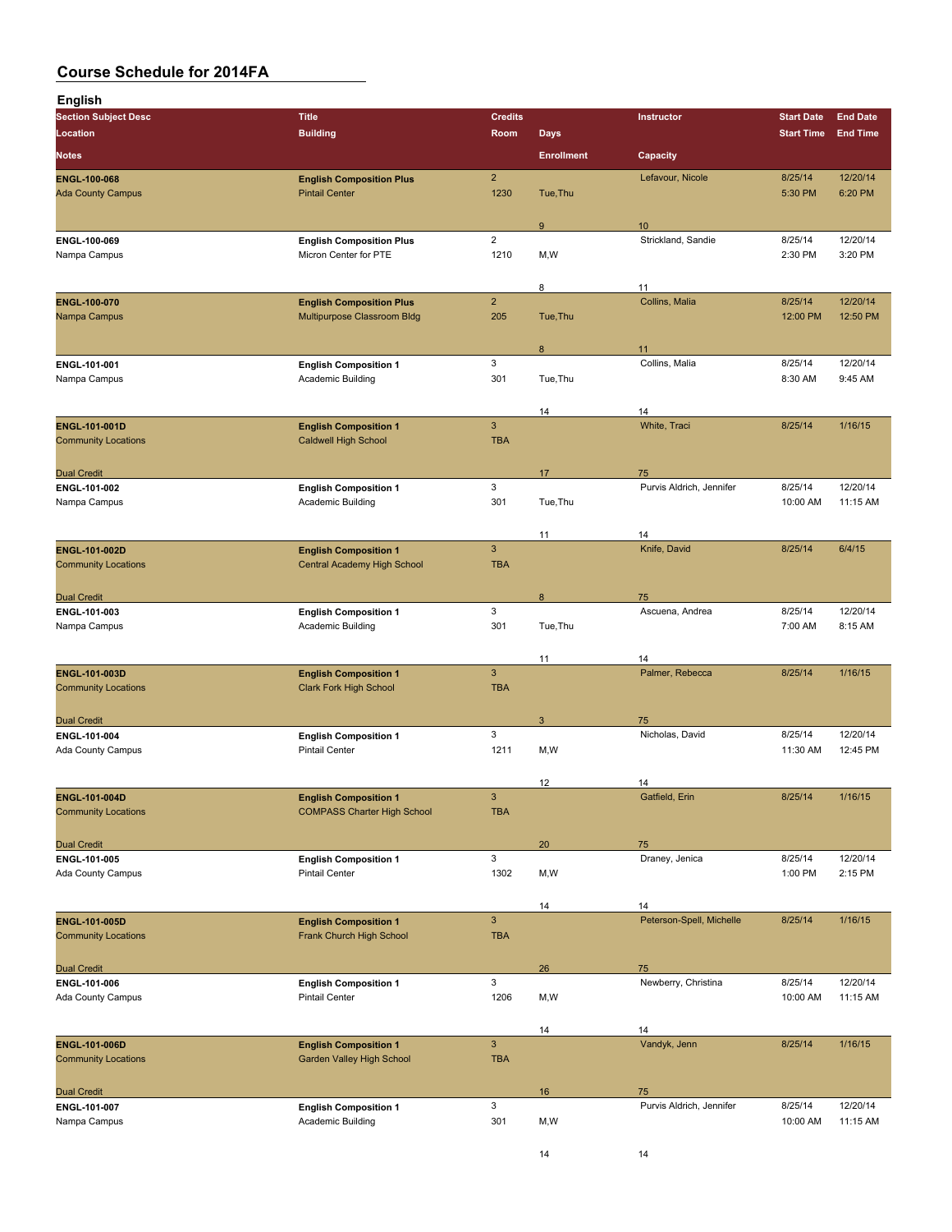| <b>English</b>                              |                                                               |                            |                   |                                |                     |                      |
|---------------------------------------------|---------------------------------------------------------------|----------------------------|-------------------|--------------------------------|---------------------|----------------------|
| <b>Section Subject Desc</b>                 | <b>Title</b>                                                  | <b>Credits</b>             |                   | Instructor                     | <b>Start Date</b>   | <b>End Date</b>      |
| Location                                    | <b>Building</b>                                               | Room                       | <b>Days</b>       |                                | <b>Start Time</b>   | <b>End Time</b>      |
| <b>Notes</b>                                |                                                               |                            | <b>Enrollment</b> | Capacity                       |                     |                      |
| <b>ENGL-100-068</b>                         | <b>English Composition Plus</b>                               | $\overline{2}$             |                   | Lefavour, Nicole               | 8/25/14             | 12/20/14             |
| <b>Ada County Campus</b>                    | <b>Pintail Center</b>                                         | 1230                       | Tue, Thu          |                                | 5:30 PM             | 6:20 PM              |
|                                             |                                                               |                            | 9                 | 10                             |                     |                      |
| ENGL-100-069                                | <b>English Composition Plus</b>                               | $\overline{2}$             |                   | Strickland, Sandie             | 8/25/14             | 12/20/14             |
| Nampa Campus                                | Micron Center for PTE                                         | 1210                       | M,W               |                                | 2:30 PM             | 3:20 PM              |
|                                             |                                                               |                            | 8                 | 11                             |                     |                      |
| ENGL-100-070                                | <b>English Composition Plus</b>                               | $\overline{2}$             |                   | Collins, Malia                 | 8/25/14             | 12/20/14             |
| Nampa Campus                                | Multipurpose Classroom Bldg                                   | 205                        | Tue, Thu          |                                | 12:00 PM            | 12:50 PM             |
|                                             |                                                               |                            |                   |                                |                     |                      |
| ENGL 101-001                                | <b>English Composition 1</b>                                  | 3                          | 8                 | 11<br>Collins, Malia           | 8/25/14             | 12/20/14             |
| Nampa Campus                                | Academic Building                                             | 301                        | Tue, Thu          |                                | 8:30 AM             | 9:45 AM              |
|                                             |                                                               |                            |                   |                                |                     |                      |
| <b>ENGL-101-001D</b>                        | <b>English Composition 1</b>                                  | $\mathbf{3}$               | 14                | 14<br>White, Traci             | 8/25/14             | 1/16/15              |
| <b>Community Locations</b>                  | <b>Caldwell High School</b>                                   | <b>TBA</b>                 |                   |                                |                     |                      |
|                                             |                                                               |                            |                   |                                |                     |                      |
| <b>Dual Credit</b><br>ENGL-101-002          |                                                               | 3                          | 17                | 75<br>Purvis Aldrich, Jennifer | 8/25/14             | 12/20/14             |
| Nampa Campus                                | <b>English Composition 1</b><br>Academic Building             | 301                        | Tue, Thu          |                                | 10:00 AM            | 11:15 AM             |
|                                             |                                                               |                            |                   |                                |                     |                      |
|                                             |                                                               |                            | 11                | 14                             |                     |                      |
| ENGL-101-002D<br><b>Community Locations</b> | <b>English Composition 1</b><br>Central Academy High School   | $\mathbf{3}$<br><b>TBA</b> |                   | Knife, David                   | 8/25/14             | 6/4/15               |
|                                             |                                                               |                            |                   |                                |                     |                      |
| <b>Dual Credit</b>                          |                                                               |                            | 8                 | 75                             |                     |                      |
| ENGL-101-003<br>Nampa Campus                | <b>English Composition 1</b><br>Academic Building             | 3<br>301                   | Tue, Thu          | Ascuena, Andrea                | 8/25/14<br>7:00 AM  | 12/20/14<br>8:15 AM  |
|                                             |                                                               |                            |                   |                                |                     |                      |
|                                             |                                                               |                            | 11                | 14                             |                     |                      |
| ENGL-101-003D<br><b>Community Locations</b> | <b>English Composition 1</b><br><b>Clark Fork High School</b> | 3<br><b>TBA</b>            |                   | Palmer, Rebecca                | 8/25/14             | 1/16/15              |
|                                             |                                                               |                            |                   |                                |                     |                      |
| <b>Dual Credit</b>                          |                                                               |                            | 3                 | 75                             |                     |                      |
| ENGL 101-004                                | <b>English Composition 1</b><br><b>Pintail Center</b>         | 3<br>1211                  | M,W               | Nicholas, David                | 8/25/14<br>11:30 AM | 12/20/14<br>12:45 PM |
| Ada County Campus                           |                                                               |                            |                   |                                |                     |                      |
|                                             |                                                               |                            | 12                | 14                             |                     |                      |
| ENGL-101-004D                               | <b>English Composition 1</b>                                  | 3                          |                   | Gatfield, Erin                 | 8/25/14             | 1/16/15              |
| <b>Community Locations</b>                  | <b>COMPASS Charter High School</b>                            | <b>TBA</b>                 |                   |                                |                     |                      |
| <b>Dual Credit</b>                          |                                                               |                            | 20                | 75                             |                     |                      |
| ENGL-101-005                                | <b>English Composition 1</b>                                  | 3                          |                   | Draney, Jenica                 | 8/25/14             | 12/20/14             |
| Ada County Campus                           | <b>Pintail Center</b>                                         | 1302                       | M,W               |                                | 1:00 PM             | 2:15 PM              |
|                                             |                                                               |                            | 14                | 14                             |                     |                      |
| ENGL-101-005D                               | <b>English Composition 1</b>                                  | $\mathbf{3}$               |                   | Peterson-Spell, Michelle       | 8/25/14             | 1/16/15              |
| <b>Community Locations</b>                  | Frank Church High School                                      | <b>TBA</b>                 |                   |                                |                     |                      |
| <b>Dual Credit</b>                          |                                                               |                            | 26                | 75                             |                     |                      |
| ENGL-101-006                                | <b>English Composition 1</b>                                  | 3                          |                   | Newberry, Christina            | 8/25/14             | 12/20/14             |
| Ada County Campus                           | <b>Pintail Center</b>                                         | 1206                       | M,W               |                                | 10:00 AM            | 11:15 AM             |
|                                             |                                                               |                            | 14                | 14                             |                     |                      |
| ENGL-101-006D                               | <b>English Composition 1</b>                                  | $\mathbf{3}$               |                   | Vandyk, Jenn                   | 8/25/14             | 1/16/15              |
| <b>Community Locations</b>                  | Garden Valley High School                                     | <b>TBA</b>                 |                   |                                |                     |                      |
|                                             |                                                               |                            |                   |                                |                     |                      |
| <b>Dual Credit</b><br>ENGL-101-007          | <b>English Composition 1</b>                                  | 3                          | 16                | 75<br>Purvis Aldrich, Jennifer | 8/25/14             | 12/20/14             |
| Nampa Campus                                | Academic Building                                             | 301                        | M,W               |                                | 10:00 AM            | 11:15 AM             |
|                                             |                                                               |                            |                   |                                |                     |                      |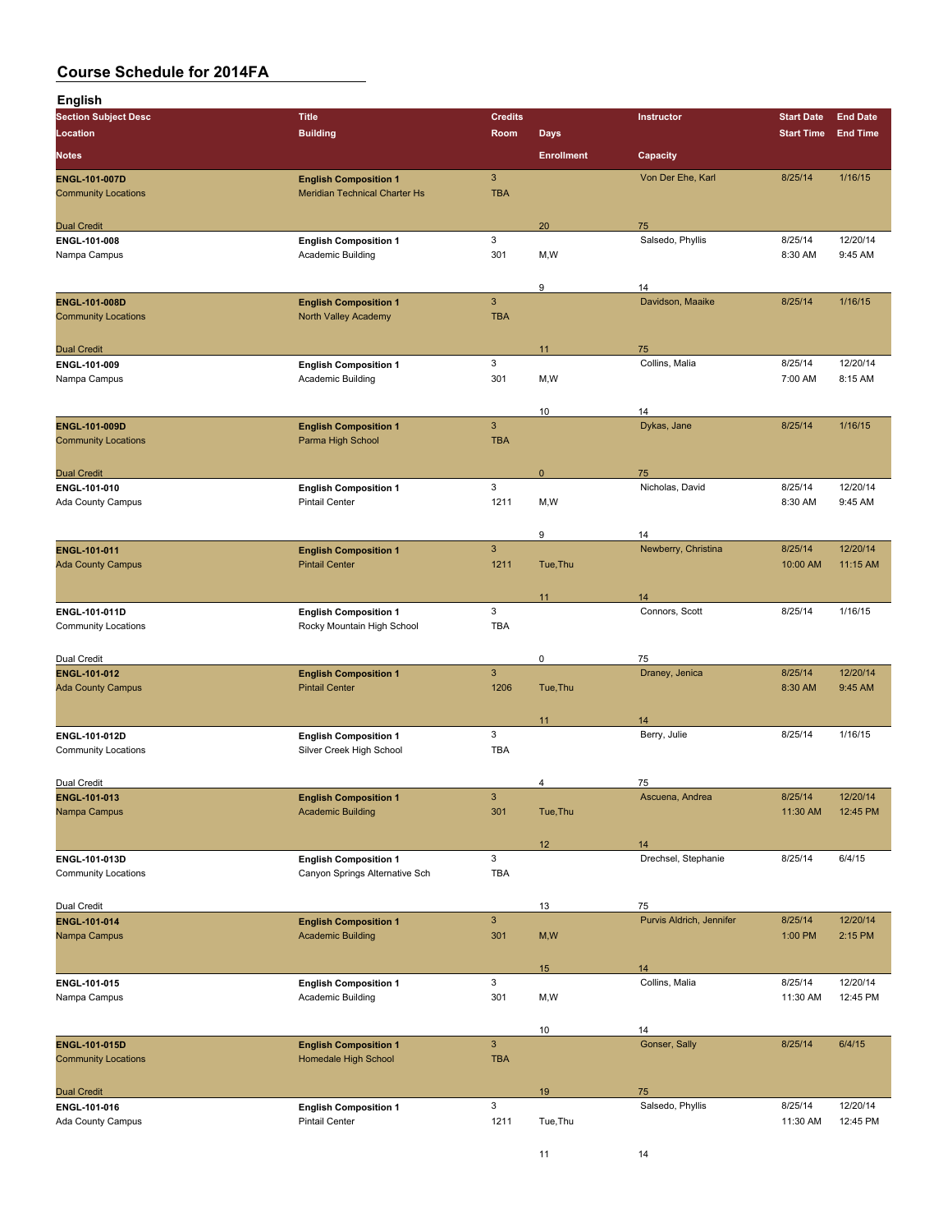| <b>English</b>                              |                                                                |                            |                   |                          |                     |                      |
|---------------------------------------------|----------------------------------------------------------------|----------------------------|-------------------|--------------------------|---------------------|----------------------|
| <b>Section Subject Desc</b>                 | <b>Title</b>                                                   | <b>Credits</b>             |                   | Instructor               | <b>Start Date</b>   | <b>End Date</b>      |
| Location                                    | <b>Building</b>                                                | Room                       | <b>Days</b>       |                          | <b>Start Time</b>   | <b>End Time</b>      |
| <b>Notes</b>                                |                                                                |                            | <b>Enrollment</b> | Capacity                 |                     |                      |
| ENGL-101-007D                               | <b>English Composition 1</b>                                   | $\mathbf{3}$               |                   | Von Der Ehe, Karl        | 8/25/14             | 1/16/15              |
| <b>Community Locations</b>                  | Meridian Technical Charter Hs                                  | <b>TBA</b>                 |                   |                          |                     |                      |
|                                             |                                                                |                            |                   |                          |                     |                      |
| <b>Dual Credit</b><br>ENGL 101-008          | <b>English Composition 1</b>                                   | 3                          | 20                | 75<br>Salsedo, Phyllis   | 8/25/14             | 12/20/14             |
| Nampa Campus                                | <b>Academic Building</b>                                       | 301                        | M, W              |                          | 8:30 AM             | 9:45 AM              |
|                                             |                                                                |                            |                   |                          |                     |                      |
|                                             |                                                                |                            | 9                 | 14                       |                     |                      |
| ENGL-101-008D<br><b>Community Locations</b> | <b>English Composition 1</b><br>North Valley Academy           | $\mathbf{3}$<br><b>TBA</b> |                   | Davidson, Maaike         | 8/25/14             | 1/16/15              |
|                                             |                                                                |                            |                   |                          |                     |                      |
| <b>Dual Credit</b>                          |                                                                |                            | 11                | 75                       |                     |                      |
| ENGL-101-009                                | <b>English Composition 1</b>                                   | 3                          |                   | Collins, Malia           | 8/25/14             | 12/20/14             |
| Nampa Campus                                | Academic Building                                              | 301                        | M, W              |                          | 7:00 AM             | 8:15 AM              |
|                                             |                                                                |                            | 10                | 14                       |                     |                      |
| ENGL-101-009D                               | <b>English Composition 1</b>                                   | $\mathsf 3$                |                   | Dykas, Jane              | 8/25/14             | 1/16/15              |
| <b>Community Locations</b>                  | Parma High School                                              | <b>TBA</b>                 |                   |                          |                     |                      |
|                                             |                                                                |                            |                   |                          |                     |                      |
| <b>Dual Credit</b><br>ENGL-101-010          | <b>English Composition 1</b>                                   | 3                          | $\pmb{0}$         | 75<br>Nicholas, David    | 8/25/14             | 12/20/14             |
| Ada County Campus                           | <b>Pintail Center</b>                                          | 1211                       | M, W              |                          | 8:30 AM             | 9:45 AM              |
|                                             |                                                                |                            |                   |                          |                     |                      |
|                                             |                                                                | $\mathbf{3}$               | 9                 | 14                       |                     |                      |
| ENGL-101-011<br><b>Ada County Campus</b>    | <b>English Composition 1</b><br><b>Pintail Center</b>          | 1211                       | Tue, Thu          | Newberry, Christina      | 8/25/14<br>10:00 AM | 12/20/14<br>11:15 AM |
|                                             |                                                                |                            |                   |                          |                     |                      |
|                                             |                                                                |                            | 11                | 14                       |                     |                      |
| ENGL-101-011D                               | <b>English Composition 1</b>                                   | 3                          |                   | Connors, Scott           | 8/25/14             | 1/16/15              |
| <b>Community Locations</b>                  | Rocky Mountain High School                                     | <b>TBA</b>                 |                   |                          |                     |                      |
| Dual Credit                                 |                                                                |                            | 0                 | 75                       |                     |                      |
| ENGL-101-012                                | <b>English Composition 1</b>                                   | $\mathbf{3}$               |                   | Draney, Jenica           | 8/25/14             | 12/20/14             |
| <b>Ada County Campus</b>                    | <b>Pintail Center</b>                                          | 1206                       | Tue, Thu          |                          | 8:30 AM             | 9:45 AM              |
|                                             |                                                                |                            |                   |                          |                     |                      |
| ENGL-101-012D                               | <b>English Composition 1</b>                                   | 3                          | 11                | 14<br>Berry, Julie       | 8/25/14             | 1/16/15              |
| <b>Community Locations</b>                  | Silver Creek High School                                       | <b>TBA</b>                 |                   |                          |                     |                      |
|                                             |                                                                |                            |                   |                          |                     |                      |
| <b>Dual Credit</b>                          |                                                                | $\mathbf{3}$               | 4                 | 75                       | 8/25/14             |                      |
| ENGL-101-013<br>Nampa Campus                | <b>English Composition 1</b><br><b>Academic Building</b>       | 301                        | Tue, Thu          | Ascuena, Andrea          | 11:30 AM            | 12/20/14<br>12:45 PM |
|                                             |                                                                |                            |                   |                          |                     |                      |
|                                             |                                                                |                            | 12                | 14                       |                     |                      |
| ENGL-101-013D<br><b>Community Locations</b> | <b>English Composition 1</b><br>Canyon Springs Alternative Sch | 3<br>TBA                   |                   | Drechsel, Stephanie      | 8/25/14             | 6/4/15               |
|                                             |                                                                |                            |                   |                          |                     |                      |
| Dual Credit                                 |                                                                |                            | 13                | 75                       |                     |                      |
| ENGL-101-014                                | <b>English Composition 1</b>                                   | $\mathbf{3}$               |                   | Purvis Aldrich, Jennifer | 8/25/14             | 12/20/14             |
| Nampa Campus                                | <b>Academic Building</b>                                       | 301                        | M, W              |                          | 1:00 PM             | 2:15 PM              |
|                                             |                                                                |                            | 15                | 14                       |                     |                      |
| ENGL-101-015                                | <b>English Composition 1</b>                                   | 3                          |                   | Collins, Malia           | 8/25/14             | 12/20/14             |
| Nampa Campus                                | Academic Building                                              | 301                        | M,W               |                          | 11:30 AM            | 12:45 PM             |
|                                             |                                                                |                            |                   |                          |                     |                      |
|                                             |                                                                | $\mathbf{3}$               | 10                | 14<br>Gonser, Sally      | 8/25/14             | 6/4/15               |
| ENGL-101-015D<br><b>Community Locations</b> | <b>English Composition 1</b><br>Homedale High School           | <b>TBA</b>                 |                   |                          |                     |                      |
|                                             |                                                                |                            |                   |                          |                     |                      |
| <b>Dual Credit</b>                          |                                                                |                            | 19                | 75                       |                     |                      |
| ENGL 101-016<br>Ada County Campus           | <b>English Composition 1</b><br><b>Pintail Center</b>          | $\mathbf{3}$<br>1211       | Tue, Thu          | Salsedo, Phyllis         | 8/25/14<br>11:30 AM | 12/20/14<br>12:45 PM |
|                                             |                                                                |                            |                   |                          |                     |                      |

11 14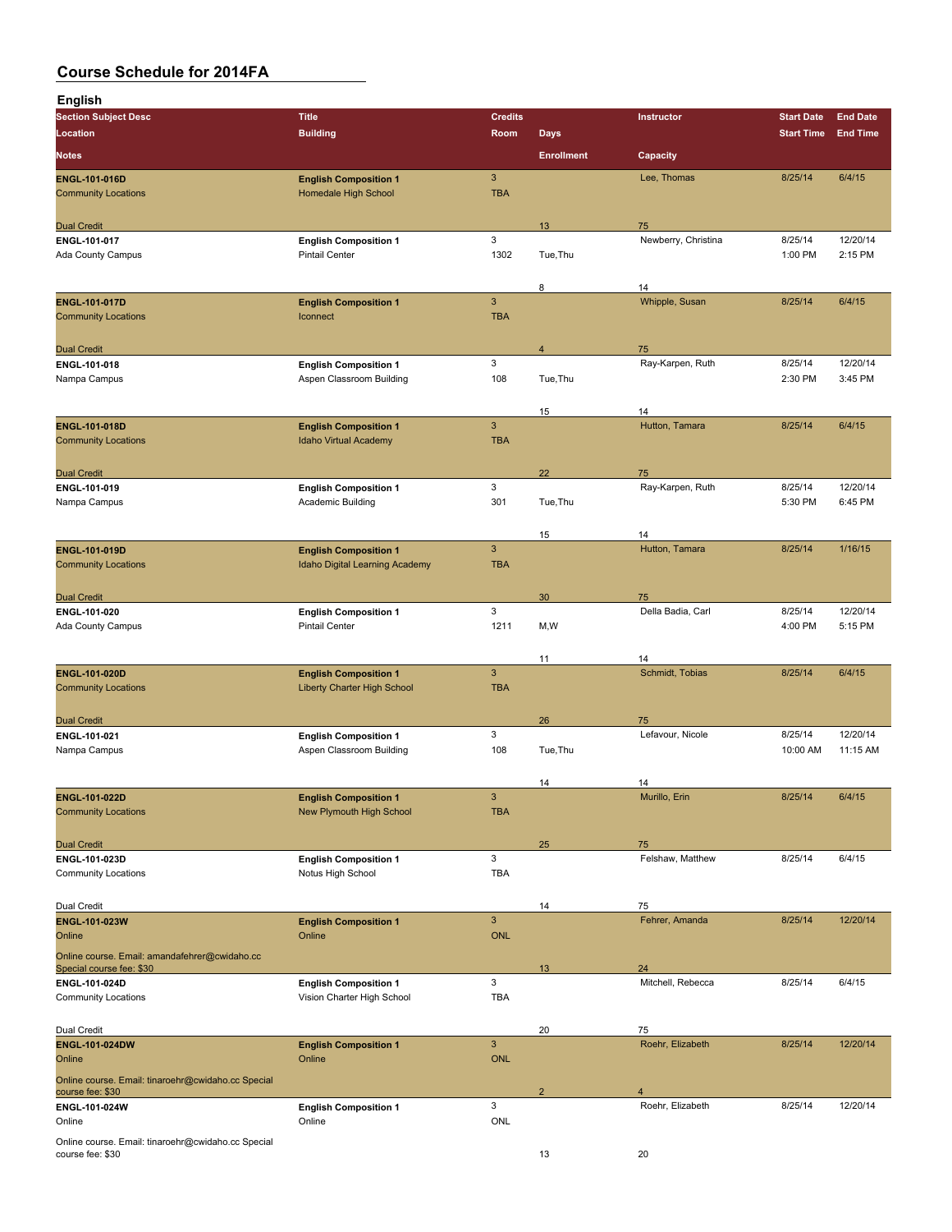| <b>English</b>                                                         |                                                                 |                 |                   |                         |                    |                     |
|------------------------------------------------------------------------|-----------------------------------------------------------------|-----------------|-------------------|-------------------------|--------------------|---------------------|
| <b>Section Subject Desc</b>                                            | <b>Title</b>                                                    | <b>Credits</b>  |                   | Instructor              | <b>Start Date</b>  | <b>End Date</b>     |
| Location                                                               | <b>Building</b>                                                 | Room            | <b>Days</b>       |                         | <b>Start Time</b>  | <b>End Time</b>     |
| <b>Notes</b>                                                           |                                                                 |                 | <b>Enrollment</b> | Capacity                |                    |                     |
| <b>ENGL-101-016D</b>                                                   | <b>English Composition 1</b>                                    | 3               |                   | Lee, Thomas             | 8/25/14            | 6/4/15              |
| <b>Community Locations</b>                                             | Homedale High School                                            | <b>TBA</b>      |                   |                         |                    |                     |
| <b>Dual Credit</b>                                                     |                                                                 |                 | 13                | 75                      |                    |                     |
| ENGL 101-017                                                           | <b>English Composition 1</b>                                    | 3               |                   | Newberry, Christina     | 8/25/14            | 12/20/14            |
| Ada County Campus                                                      | <b>Pintail Center</b>                                           | 1302            | Tue, Thu          |                         | 1:00 PM            | 2:15 PM             |
|                                                                        |                                                                 |                 |                   |                         |                    |                     |
| ENGL-101-017D                                                          | <b>English Composition 1</b>                                    | 3               | 8                 | 14<br>Whipple, Susan    | 8/25/14            | 6/4/15              |
| <b>Community Locations</b>                                             | Iconnect                                                        | <b>TBA</b>      |                   |                         |                    |                     |
|                                                                        |                                                                 |                 |                   |                         |                    |                     |
| <b>Dual Credit</b>                                                     |                                                                 |                 | $\overline{4}$    | 75                      |                    |                     |
| ENGL-101-018                                                           | <b>English Composition 1</b>                                    | 3               |                   | Ray-Karpen, Ruth        | 8/25/14            | 12/20/14            |
| Nampa Campus                                                           | Aspen Classroom Building                                        | 108             | Tue, Thu          |                         | 2:30 PM            | 3:45 PM             |
|                                                                        |                                                                 |                 | 15                | 14                      |                    |                     |
| <b>ENGL-101-018D</b>                                                   | <b>English Composition 1</b>                                    | $\mathbf{3}$    |                   | Hutton, Tamara          | 8/25/14            | 6/4/15              |
| <b>Community Locations</b>                                             | <b>Idaho Virtual Academy</b>                                    | <b>TBA</b>      |                   |                         |                    |                     |
|                                                                        |                                                                 |                 |                   |                         |                    |                     |
| <b>Dual Credit</b>                                                     |                                                                 |                 | 22                | 75                      |                    |                     |
| ENGL-101-019<br>Nampa Campus                                           | <b>English Composition 1</b><br>Academic Building               | 3<br>301        | Tue, Thu          | Ray-Karpen, Ruth        | 8/25/14<br>5:30 PM | 12/20/14<br>6:45 PM |
|                                                                        |                                                                 |                 |                   |                         |                    |                     |
|                                                                        |                                                                 |                 | 15                | 14                      |                    |                     |
| <b>ENGL-101-019D</b>                                                   | <b>English Composition 1</b>                                    | 3               |                   | Hutton, Tamara          | 8/25/14            | 1/16/15             |
| <b>Community Locations</b>                                             | Idaho Digital Learning Academy                                  | <b>TBA</b>      |                   |                         |                    |                     |
|                                                                        |                                                                 |                 |                   |                         |                    |                     |
| <b>Dual Credit</b><br>ENGL-101-020                                     |                                                                 | 3               | 30                | 75<br>Della Badia, Carl | 8/25/14            | 12/20/14            |
| Ada County Campus                                                      | <b>English Composition 1</b><br><b>Pintail Center</b>           | 1211            | M,W               |                         | 4:00 PM            | 5:15 PM             |
|                                                                        |                                                                 |                 |                   |                         |                    |                     |
|                                                                        |                                                                 |                 | 11                | 14                      |                    |                     |
| ENGL-101-020D                                                          | <b>English Composition 1</b>                                    | 3               |                   | Schmidt, Tobias         | 8/25/14            | 6/4/15              |
| <b>Community Locations</b>                                             | Liberty Charter High School                                     | <b>TBA</b>      |                   |                         |                    |                     |
|                                                                        |                                                                 |                 | 26                | 75                      |                    |                     |
| <b>Dual Credit</b><br>ENGL-101-021                                     | <b>English Composition 1</b>                                    | 3               |                   | Lefavour, Nicole        | 8/25/14            | 12/20/14            |
| Nampa Campus                                                           | Aspen Classroom Building                                        | 108             | Tue, Thu          |                         | 10:00 AM           | 11:15 AM            |
|                                                                        |                                                                 |                 |                   |                         |                    |                     |
|                                                                        |                                                                 |                 | 14                | 14                      |                    |                     |
| ENGL-101-022D<br><b>Community Locations</b>                            | <b>English Composition 1</b><br><b>New Plymouth High School</b> | 3<br><b>TBA</b> |                   | Murillo, Erin           | 8/25/14            | 6/4/15              |
|                                                                        |                                                                 |                 |                   |                         |                    |                     |
| <b>Dual Credit</b>                                                     |                                                                 |                 | 25                | 75                      |                    |                     |
| ENGL-101-023D                                                          | <b>English Composition 1</b>                                    | 3               |                   | Felshaw, Matthew        | 8/25/14            | 6/4/15              |
| <b>Community Locations</b>                                             | Notus High School                                               | TBA             |                   |                         |                    |                     |
|                                                                        |                                                                 |                 |                   |                         |                    |                     |
| Dual Credit<br>ENGL-101-023W                                           | <b>English Composition 1</b>                                    | $\mathbf{3}$    | 14                | 75<br>Fehrer, Amanda    | 8/25/14            | 12/20/14            |
| Online                                                                 | Online                                                          | <b>ONL</b>      |                   |                         |                    |                     |
| Online course. Email: amandafehrer@cwidaho.cc                          |                                                                 |                 |                   |                         |                    |                     |
| Special course fee: \$30                                               |                                                                 |                 | 13                | 24                      |                    |                     |
| ENGL-101-024D                                                          | <b>English Composition 1</b>                                    | 3               |                   | Mitchell, Rebecca       | 8/25/14            | 6/4/15              |
| <b>Community Locations</b>                                             | Vision Charter High School                                      | <b>TBA</b>      |                   |                         |                    |                     |
|                                                                        |                                                                 |                 | 20                |                         |                    |                     |
| Dual Credit<br><b>ENGL-101-024DW</b>                                   | <b>English Composition 1</b>                                    | $\mathbf{3}$    |                   | 75<br>Roehr, Elizabeth  | 8/25/14            | 12/20/14            |
| Online                                                                 | Online                                                          | <b>ONL</b>      |                   |                         |                    |                     |
| Online course. Email: tinaroehr@cwidaho.cc Special                     |                                                                 |                 |                   |                         |                    |                     |
| course fee: \$30                                                       |                                                                 |                 | $\overline{2}$    | 4                       |                    |                     |
| ENGL-101-024W                                                          | <b>English Composition 1</b>                                    | 3               |                   | Roehr, Elizabeth        | 8/25/14            | 12/20/14            |
| Online                                                                 | Online                                                          | ONL             |                   |                         |                    |                     |
| Online course. Email: tinaroehr@cwidaho.cc Special<br>course fee: \$30 |                                                                 |                 | 13                | 20                      |                    |                     |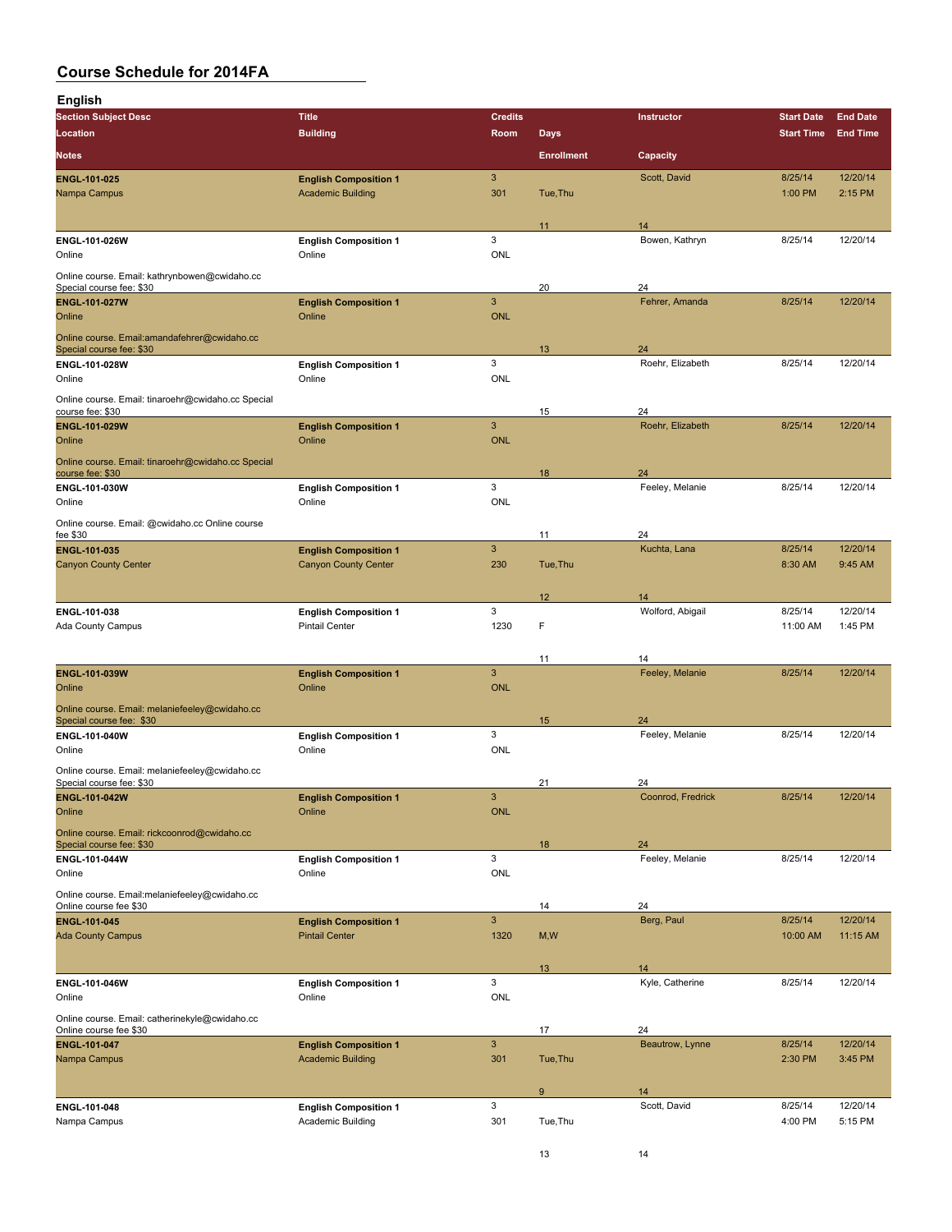# **Co**<br>Eng

| <b>Course Schedule for 2014FA</b> |  |  |
|-----------------------------------|--|--|
|                                   |  |  |
| English                           |  |  |

| <b>Section Subject Desc</b>                                                | <b>Title</b>                                                | <b>Credits</b>            |                   | Instructor            | <b>Start Date</b>  | <b>End Date</b>     |
|----------------------------------------------------------------------------|-------------------------------------------------------------|---------------------------|-------------------|-----------------------|--------------------|---------------------|
| <b>Location</b>                                                            | <b>Building</b>                                             | Room                      | Days              |                       | <b>Start Time</b>  | <b>End Time</b>     |
| <b>Notes</b>                                                               |                                                             |                           | <b>Enrollment</b> | Capacity              |                    |                     |
| <b>ENGL 101 025</b>                                                        | <b>English Composition 1</b>                                | $\mathbf{3}$              |                   | Scott, David          | 8/25/14            | 12/20/14            |
| Nampa Campus                                                               | <b>Academic Building</b>                                    | 301                       | Tue, Thu          |                       | 1:00 PM            | 2:15 PM             |
|                                                                            |                                                             |                           |                   |                       |                    |                     |
|                                                                            |                                                             |                           | 11                | 14                    |                    |                     |
| ENGL-101-026W<br>Online                                                    | <b>English Composition 1</b><br>Online                      | 3<br><b>ONL</b>           |                   | Bowen, Kathryn        | 8/25/14            | 12/20/14            |
|                                                                            |                                                             |                           |                   |                       |                    |                     |
| Online course. Email: kathrynbowen@cwidaho.cc<br>Special course fee: \$30  |                                                             |                           | 20                | 24                    |                    |                     |
| <b>ENGL-101-027W</b>                                                       | <b>English Composition 1</b>                                | $\sqrt{3}$                |                   | Fehrer, Amanda        | 8/25/14            | 12/20/14            |
| Online                                                                     | Online                                                      | <b>ONL</b>                |                   |                       |                    |                     |
| Online course. Email: amandafehrer@cwidaho.cc                              |                                                             |                           |                   | 24                    |                    |                     |
| Special course fee: \$30<br>ENGL-101-028W                                  | <b>English Composition 1</b>                                | 3                         | 13                | Roehr, Elizabeth      | 8/25/14            | 12/20/14            |
| Online                                                                     | Online                                                      | <b>ONL</b>                |                   |                       |                    |                     |
| Online course. Email: tinaroehr@cwidaho.cc Special                         |                                                             |                           |                   |                       |                    |                     |
| course fee: \$30                                                           |                                                             |                           | 15                | 24                    |                    |                     |
| ENGL-101-029W                                                              | <b>English Composition 1</b>                                | 3                         |                   | Roehr, Elizabeth      | 8/25/14            | 12/20/14            |
| Online                                                                     | Online                                                      | <b>ONL</b>                |                   |                       |                    |                     |
| Online course. Email: tinaroehr@cwidaho.cc Special<br>course fee: \$30     |                                                             |                           | 18                | 24                    |                    |                     |
| ENGL-101-030W                                                              | <b>English Composition 1</b>                                | 3                         |                   | Feeley, Melanie       | 8/25/14            | 12/20/14            |
| Online                                                                     | Online                                                      | ONL                       |                   |                       |                    |                     |
| Online course. Email: @cwidaho.cc Online course                            |                                                             |                           |                   |                       |                    |                     |
| fee \$30                                                                   |                                                             |                           | 11                | 24                    |                    |                     |
| ENGL 101-035<br><b>Canyon County Center</b>                                | <b>English Composition 1</b><br><b>Canyon County Center</b> | $\mathbf{3}$<br>230       | Tue, Thu          | Kuchta, Lana          | 8/25/14<br>8:30 AM | 12/20/14<br>9:45 AM |
|                                                                            |                                                             |                           |                   |                       |                    |                     |
|                                                                            |                                                             |                           | 12                | 14                    |                    |                     |
| ENGL-101-038                                                               | <b>English Composition 1</b>                                | 3                         |                   | Wolford, Abigail      | 8/25/14            | 12/20/14            |
| Ada County Campus                                                          | <b>Pintail Center</b>                                       | 1230                      | F                 |                       | 11:00 AM           | 1:45 PM             |
|                                                                            |                                                             |                           |                   |                       |                    |                     |
| ENGL-101-039W                                                              | <b>English Composition 1</b>                                | $\ensuremath{\mathsf{3}}$ | 11                | 14<br>Feeley, Melanie | 8/25/14            | 12/20/14            |
| Online                                                                     | Online                                                      | <b>ONL</b>                |                   |                       |                    |                     |
| Online course. Email: melaniefeeley@cwidaho.cc                             |                                                             |                           |                   |                       |                    |                     |
| Special course fee: \$30                                                   |                                                             |                           | 15                | 24                    |                    |                     |
| ENGL-101-040W                                                              | <b>English Composition 1</b>                                | 3                         |                   | Feeley, Melanie       | 8/25/14            | 12/20/14            |
| Online                                                                     | Online                                                      | ONL                       |                   |                       |                    |                     |
| Online course. Email: melaniefeeley@cwidaho.cc<br>Special course fee: \$30 |                                                             |                           | 21                | 24                    |                    |                     |
| ENGL-101-042W                                                              | <b>English Composition 1</b>                                | $\mathbf{3}$              |                   | Coonrod, Fredrick     | 8/25/14            | 12/20/14            |
| Online                                                                     | Online                                                      | <b>ONL</b>                |                   |                       |                    |                     |
| Online course. Email: rickcoonrod@cwidaho.cc                               |                                                             |                           |                   |                       |                    |                     |
| Special course fee: \$30                                                   |                                                             |                           | 18                | 24                    |                    |                     |
| ENGL-101-044W<br>Online                                                    | <b>English Composition 1</b><br>Online                      | 3<br>ONL                  |                   | Feeley, Melanie       | 8/25/14            | 12/20/14            |
|                                                                            |                                                             |                           |                   |                       |                    |                     |
| Online course. Email:melaniefeeley@cwidaho.cc<br>Online course fee \$30    |                                                             |                           | 14                | 24                    |                    |                     |
| <b>ENGL 101 045</b>                                                        | <b>English Composition 1</b>                                | $\overline{3}$            |                   | Berg, Paul            | 8/25/14            | 12/20/14            |
| <b>Ada County Campus</b>                                                   | <b>Pintail Center</b>                                       | 1320                      | M,W               |                       | 10:00 AM           | 11:15 AM            |
|                                                                            |                                                             |                           |                   |                       |                    |                     |
| ENGL-101-046W                                                              |                                                             | 3                         | 13                | 14<br>Kyle, Catherine | 8/25/14            | 12/20/14            |
| Online                                                                     | <b>English Composition 1</b><br>Online                      | ONL                       |                   |                       |                    |                     |
| Online course. Email: catherinekyle@cwidaho.cc                             |                                                             |                           |                   |                       |                    |                     |
| Online course fee \$30                                                     |                                                             |                           | 17                | 24                    |                    |                     |
| ENGL 101-047                                                               | <b>English Composition 1</b>                                | $\sqrt{3}$                |                   | Beautrow, Lynne       | 8/25/14            | 12/20/14            |
| Nampa Campus                                                               | <b>Academic Building</b>                                    | 301                       | Tue, Thu          |                       | 2:30 PM            | 3:45 PM             |
|                                                                            |                                                             |                           | 9                 |                       |                    |                     |
| ENGL-101-048                                                               | <b>English Composition 1</b>                                | 3                         |                   | 14<br>Scott, David    | 8/25/14            | 12/20/14            |
| Nampa Campus                                                               | Academic Building                                           | 301                       | Tue, Thu          |                       | 4:00 PM            | 5:15 PM             |
|                                                                            |                                                             |                           |                   |                       |                    |                     |
|                                                                            |                                                             |                           | 13                | 14                    |                    |                     |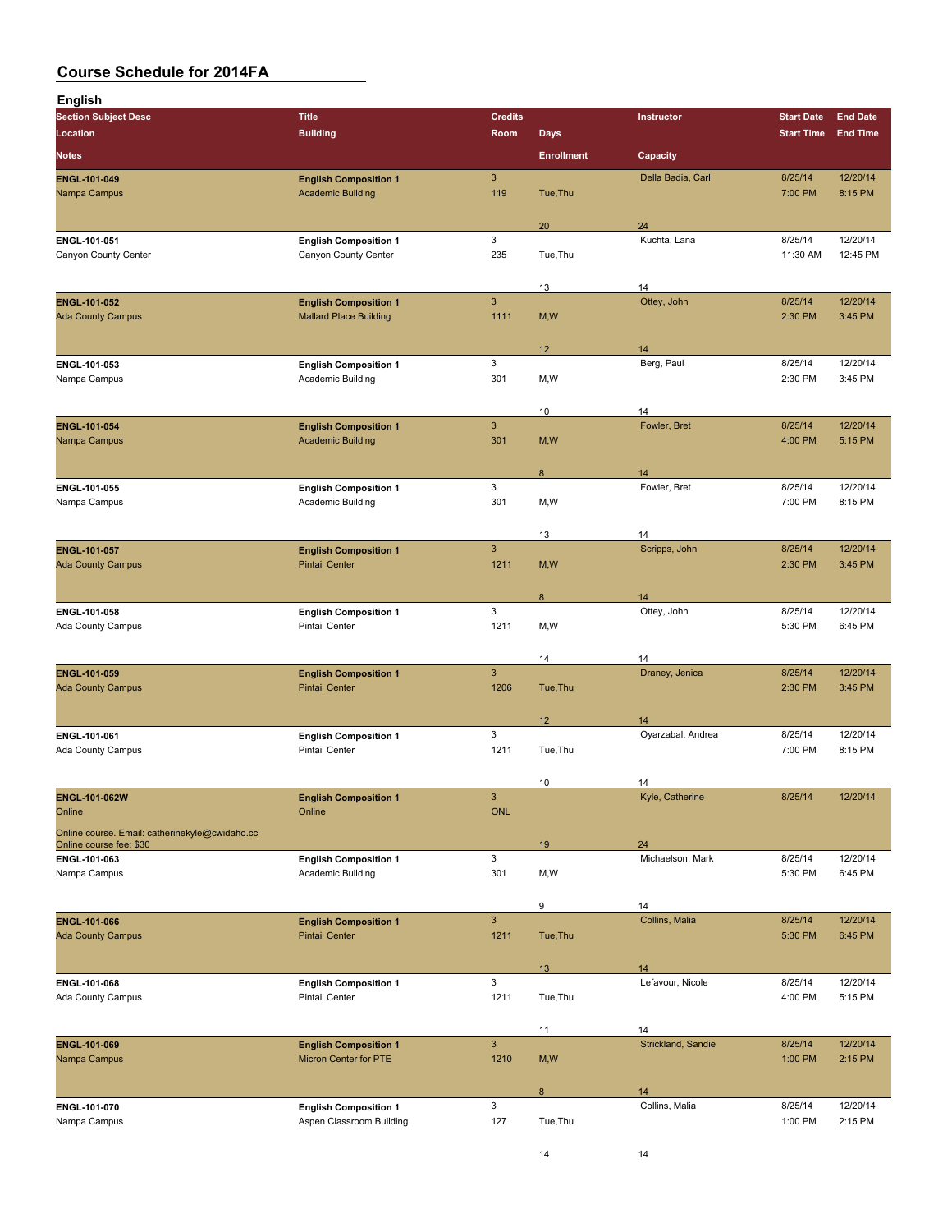| English                                         |                                                       |                      |                   |                        |                    |                     |
|-------------------------------------------------|-------------------------------------------------------|----------------------|-------------------|------------------------|--------------------|---------------------|
| <b>Section Subject Desc</b>                     | <b>Title</b>                                          | <b>Credits</b>       |                   | Instructor             | <b>Start Date</b>  | <b>End Date</b>     |
| Location                                        | <b>Building</b>                                       | Room                 | <b>Days</b>       |                        | <b>Start Time</b>  | <b>End Time</b>     |
| <b>Notes</b>                                    |                                                       |                      | <b>Enrollment</b> | Capacity               |                    |                     |
| ENGL-101-049                                    | <b>English Composition 1</b>                          | 3                    |                   | Della Badia, Carl      | 8/25/14            | 12/20/14            |
| Nampa Campus                                    | <b>Academic Building</b>                              | 119                  | Tue, Thu          |                        | 7:00 PM            | 8:15 PM             |
|                                                 |                                                       |                      | 20                | 24                     |                    |                     |
| ENGL-101-051                                    | <b>English Composition 1</b>                          | 3                    |                   | Kuchta, Lana           | 8/25/14            | 12/20/14            |
| Canyon County Center                            | Canyon County Center                                  | 235                  | Tue, Thu          |                        | 11:30 AM           | 12:45 PM            |
|                                                 |                                                       |                      | 13                | 14                     |                    |                     |
| ENGL-101-052                                    | <b>English Composition 1</b>                          | 3                    |                   | Ottey, John            | 8/25/14            | 12/20/14            |
| <b>Ada County Campus</b>                        | <b>Mallard Place Building</b>                         | 1111                 | M, W              |                        | 2:30 PM            | 3:45 PM             |
|                                                 |                                                       |                      |                   |                        |                    |                     |
| ENGL-101-053                                    | <b>English Composition 1</b>                          | 3                    | 12                | 14<br>Berg, Paul       | 8/25/14            | 12/20/14            |
| Nampa Campus                                    | Academic Building                                     | 301                  | M,W               |                        | 2:30 PM            | 3:45 PM             |
|                                                 |                                                       |                      |                   |                        |                    |                     |
| <b>ENGL 101-054</b>                             | <b>English Composition 1</b>                          | $\mathbf{3}$         | 10                | 14<br>Fowler, Bret     | 8/25/14            | 12/20/14            |
| Nampa Campus                                    | <b>Academic Building</b>                              | 301                  | M, W              |                        | 4:00 PM            | 5:15 PM             |
|                                                 |                                                       |                      |                   |                        |                    |                     |
|                                                 |                                                       |                      | 8                 | 14                     |                    |                     |
| ENGL-101-055<br>Nampa Campus                    | <b>English Composition 1</b><br>Academic Building     | 3<br>301             | M,W               | Fowler, Bret           | 8/25/14<br>7:00 PM | 12/20/14<br>8:15 PM |
|                                                 |                                                       |                      |                   |                        |                    |                     |
|                                                 |                                                       |                      | 13                | 14                     |                    |                     |
| <b>ENGL 101 057</b><br><b>Ada County Campus</b> | <b>English Composition 1</b><br><b>Pintail Center</b> | $\mathbf{3}$<br>1211 | M, W              | Scripps, John          | 8/25/14<br>2:30 PM | 12/20/14<br>3:45 PM |
|                                                 |                                                       |                      |                   |                        |                    |                     |
|                                                 |                                                       |                      | 8                 | 14                     |                    |                     |
| ENGL 101 058                                    | <b>English Composition 1</b>                          | 3                    |                   | Ottey, John            | 8/25/14            | 12/20/14            |
| Ada County Campus                               | <b>Pintail Center</b>                                 | 1211                 | M,W               |                        | 5:30 PM            | 6:45 PM             |
|                                                 |                                                       |                      | 14                | 14                     |                    |                     |
| ENGL-101-059                                    | <b>English Composition 1</b>                          | 3                    |                   | Draney, Jenica         | 8/25/14            | 12/20/14            |
| <b>Ada County Campus</b>                        | <b>Pintail Center</b>                                 | 1206                 | Tue, Thu          |                        | 2:30 PM            | 3:45 PM             |
|                                                 |                                                       |                      | 12 <sup>2</sup>   | 14                     |                    |                     |
| ENGL-101-061                                    | <b>English Composition 1</b>                          | 3                    |                   | Oyarzabal, Andrea      | 8/25/14            | 12/20/14            |
| Ada County Campus                               | <b>Pintail Center</b>                                 | 1211                 | Tue, Thu          |                        | 7:00 PM            | 8:15 PM             |
|                                                 |                                                       |                      | 10                | 14                     |                    |                     |
| ENGL-101-062W                                   | <b>English Composition 1</b>                          | $\mathbf{3}$         |                   | Kyle, Catherine        | 8/25/14            | 12/20/14            |
| Online                                          | Online                                                | <b>ONL</b>           |                   |                        |                    |                     |
| Online course. Email: catherinekyle@cwidaho.cc  |                                                       |                      |                   |                        |                    |                     |
| Online course fee: \$30<br>ENGL 101-063         | <b>English Composition 1</b>                          | 3                    | 19                | 24<br>Michaelson, Mark | 8/25/14            | 12/20/14            |
| Nampa Campus                                    | Academic Building                                     | 301                  | M,W               |                        | 5:30 PM            | 6:45 PM             |
|                                                 |                                                       |                      |                   |                        |                    |                     |
| ENGL-101-066                                    | <b>English Composition 1</b>                          | $\mathbf{3}$         | 9                 | 14<br>Collins, Malia   | 8/25/14            | 12/20/14            |
| <b>Ada County Campus</b>                        | <b>Pintail Center</b>                                 | 1211                 | Tue, Thu          |                        | 5:30 PM            | 6:45 PM             |
|                                                 |                                                       |                      |                   |                        |                    |                     |
|                                                 |                                                       | 3                    | 13                | 14<br>Lefavour, Nicole | 8/25/14            | 12/20/14            |
| ENGL-101-068<br>Ada County Campus               | <b>English Composition 1</b><br><b>Pintail Center</b> | 1211                 | Tue, Thu          |                        | 4:00 PM            | 5:15 PM             |
|                                                 |                                                       |                      |                   |                        |                    |                     |
|                                                 |                                                       |                      | 11                | 14                     |                    |                     |
| ENGL-101-069<br>Nampa Campus                    | <b>English Composition 1</b><br>Micron Center for PTE | $\mathbf{3}$<br>1210 | M, W              | Strickland, Sandie     | 8/25/14<br>1:00 PM | 12/20/14<br>2:15 PM |
|                                                 |                                                       |                      |                   |                        |                    |                     |
|                                                 |                                                       |                      | 8                 | 14                     |                    |                     |
| ENGL 101-070                                    | <b>English Composition 1</b>                          | 3                    |                   | Collins, Malia         | 8/25/14            | 12/20/14            |
| Nampa Campus                                    | Aspen Classroom Building                              | 127                  | Tue, Thu          |                        | 1:00 PM            | 2:15 PM             |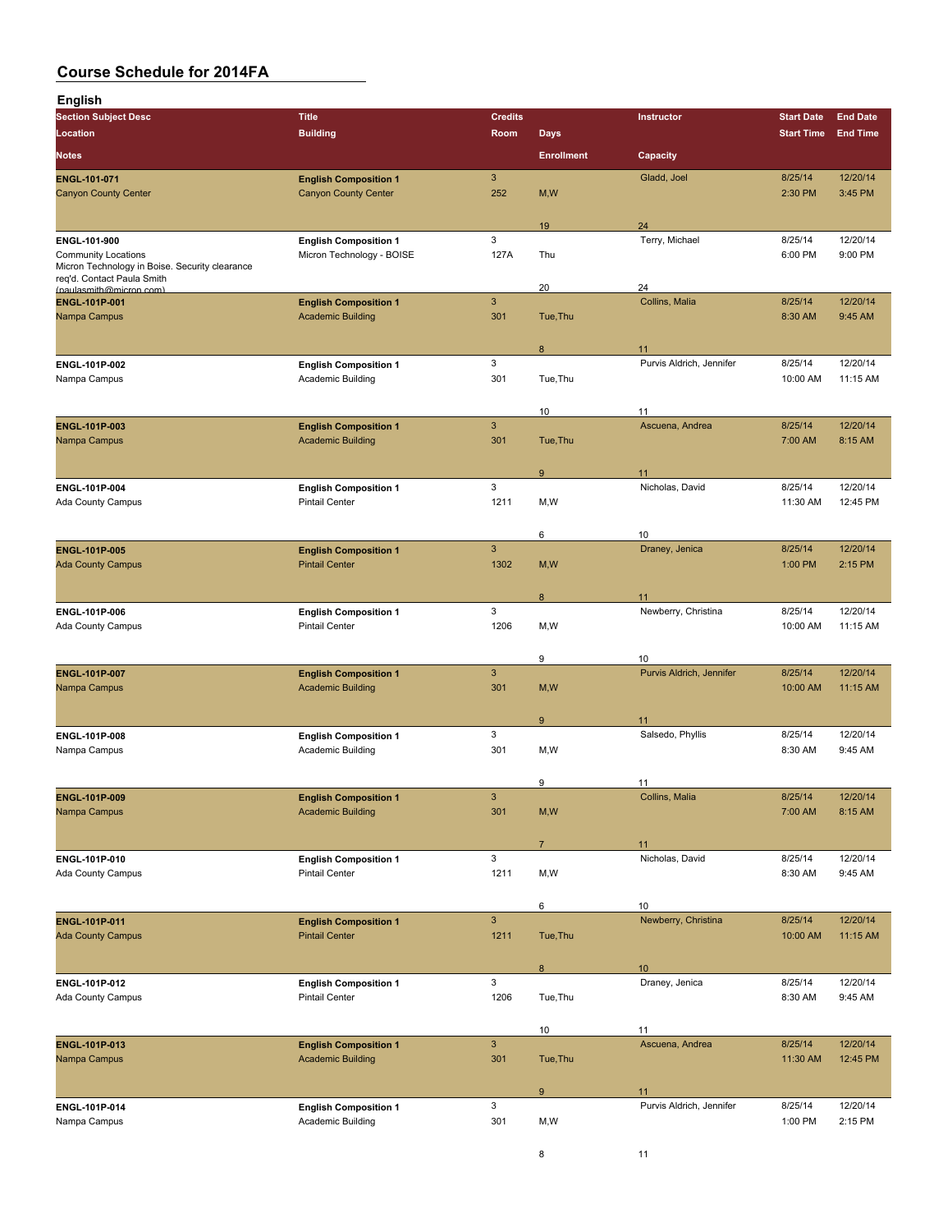| <b>English</b>                                                               |                                                          |                           |                   |                                |                     |                      |
|------------------------------------------------------------------------------|----------------------------------------------------------|---------------------------|-------------------|--------------------------------|---------------------|----------------------|
| <b>Section Subject Desc</b>                                                  | <b>Title</b>                                             | <b>Credits</b>            |                   | Instructor                     | <b>Start Date</b>   | <b>End Date</b>      |
| Location                                                                     | <b>Building</b>                                          | Room                      | <b>Days</b>       |                                | <b>Start Time</b>   | <b>End Time</b>      |
| <b>Notes</b>                                                                 |                                                          |                           | <b>Enrollment</b> | Capacity                       |                     |                      |
| <b>ENGL 101 071</b>                                                          | <b>English Composition 1</b>                             | $\mathbf{3}$              |                   | Gladd, Joel                    | 8/25/14             | 12/20/14             |
| <b>Canyon County Center</b>                                                  | <b>Canyon County Center</b>                              | 252                       | M, W              |                                | 2:30 PM             | 3:45 PM              |
|                                                                              |                                                          |                           | 19                | 24                             |                     |                      |
| ENGL-101-900                                                                 | <b>English Composition 1</b>                             | 3                         |                   | Terry, Michael                 | 8/25/14             | 12/20/14             |
| <b>Community Locations</b><br>Micron Technology in Boise. Security clearance | Micron Technology - BOISE                                | 127A                      | Thu               |                                | 6:00 PM             | 9:00 PM              |
| req'd. Contact Paula Smith                                                   |                                                          |                           | 20                | 24                             |                     |                      |
| (paulasmith@micron.com)<br>ENGL-101P-001                                     | <b>English Composition 1</b>                             | $\mathbf{3}$              |                   | Collins, Malia                 | 8/25/14             | 12/20/14             |
| Nampa Campus                                                                 | <b>Academic Building</b>                                 | 301                       | Tue, Thu          |                                | 8:30 AM             | 9:45 AM              |
|                                                                              |                                                          |                           |                   |                                |                     |                      |
| ENGL-101P-002                                                                | <b>English Composition 1</b>                             | 3                         | 8                 | 11<br>Purvis Aldrich, Jennifer | 8/25/14             | 12/20/14             |
| Nampa Campus                                                                 | Academic Building                                        | 301                       | Tue, Thu          |                                | 10:00 AM            | 11:15 AM             |
|                                                                              |                                                          |                           |                   |                                |                     |                      |
| ENGL-101P-003                                                                | <b>English Composition 1</b>                             | $\mathsf 3$               | 10                | 11<br>Ascuena, Andrea          | 8/25/14             | 12/20/14             |
| Nampa Campus                                                                 | <b>Academic Building</b>                                 | 301                       | Tue, Thu          |                                | 7:00 AM             | 8:15 AM              |
|                                                                              |                                                          |                           |                   |                                |                     |                      |
| ENGL-101P-004                                                                | <b>English Composition 1</b>                             | 3                         | 9                 | 11<br>Nicholas, David          | 8/25/14             | 12/20/14             |
| Ada County Campus                                                            | <b>Pintail Center</b>                                    | 1211                      | M, W              |                                | 11:30 AM            | 12:45 PM             |
|                                                                              |                                                          |                           |                   |                                |                     |                      |
|                                                                              |                                                          | $\mathbf{3}$              | 6                 | 10                             |                     |                      |
| <b>ENGL-101P-005</b><br><b>Ada County Campus</b>                             | <b>English Composition 1</b><br><b>Pintail Center</b>    | 1302                      | M, W              | Draney, Jenica                 | 8/25/14<br>1:00 PM  | 12/20/14<br>2:15 PM  |
|                                                                              |                                                          |                           |                   |                                |                     |                      |
|                                                                              |                                                          |                           | 8                 | 11                             |                     |                      |
| ENGL-101P-006<br>Ada County Campus                                           | <b>English Composition 1</b><br><b>Pintail Center</b>    | 3<br>1206                 | M, W              | Newberry, Christina            | 8/25/14<br>10:00 AM | 12/20/14<br>11:15 AM |
|                                                                              |                                                          |                           |                   |                                |                     |                      |
|                                                                              |                                                          |                           | 9                 | 10                             |                     |                      |
| ENGL-101P-007<br>Nampa Campus                                                | <b>English Composition 1</b><br><b>Academic Building</b> | $\mathbf{3}$<br>301       | M, W              | Purvis Aldrich, Jennifer       | 8/25/14<br>10:00 AM | 12/20/14<br>11:15 AM |
|                                                                              |                                                          |                           |                   |                                |                     |                      |
|                                                                              |                                                          |                           | 9                 | 11                             |                     |                      |
| ENGL-101P-008                                                                | <b>English Composition 1</b>                             | 3                         |                   | Salsedo, Phyllis               | 8/25/14             | 12/20/14             |
| Nampa Campus                                                                 | Academic Building                                        | 301                       | M, W              |                                | 8:30 AM             | 9:45 AM              |
|                                                                              |                                                          |                           | 9                 | 11                             |                     |                      |
| ENGL-101P-009                                                                | <b>English Composition 1</b>                             | $\mathbf{3}$              |                   | Collins, Malia                 | 8/25/14             | 12/20/14             |
| Nampa Campus                                                                 | <b>Academic Building</b>                                 | 301                       | M, W              |                                | 7:00 AM             | 8:15 AM              |
|                                                                              |                                                          |                           | $\overline{7}$    | 11                             |                     |                      |
| ENGL-101P-010                                                                | <b>English Composition 1</b>                             | 3                         |                   | Nicholas, David                | 8/25/14             | 12/20/14             |
| Ada County Campus                                                            | Pintail Center                                           | 1211                      | M,W               |                                | 8:30 AM             | 9:45 AM              |
|                                                                              |                                                          |                           | 6                 | 10                             |                     |                      |
| ENGL-101P-011                                                                | <b>English Composition 1</b>                             | $\mathsf 3$               |                   | Newberry, Christina            | 8/25/14             | 12/20/14             |
| <b>Ada County Campus</b>                                                     | <b>Pintail Center</b>                                    | 1211                      | Tue, Thu          |                                | 10:00 AM            | 11:15 AM             |
|                                                                              |                                                          |                           | 8                 | 10                             |                     |                      |
| ENGL-101P-012                                                                | <b>English Composition 1</b>                             | 3                         |                   | Draney, Jenica                 | 8/25/14             | 12/20/14             |
| Ada County Campus                                                            | <b>Pintail Center</b>                                    | 1206                      | Tue, Thu          |                                | 8:30 AM             | 9:45 AM              |
|                                                                              |                                                          |                           |                   |                                |                     |                      |
| ENGL-101P-013                                                                | <b>English Composition 1</b>                             | $\mathbf{3}$              | 10                | 11<br>Ascuena, Andrea          | 8/25/14             | 12/20/14             |
| Nampa Campus                                                                 | <b>Academic Building</b>                                 | 301                       | Tue, Thu          |                                | 11:30 AM            | 12:45 PM             |
|                                                                              |                                                          |                           |                   |                                |                     |                      |
| ENGL-101P-014                                                                | <b>English Composition 1</b>                             | $\ensuremath{\mathsf{3}}$ | 9                 | 11<br>Purvis Aldrich, Jennifer | 8/25/14             | 12/20/14             |
| Nampa Campus                                                                 | Academic Building                                        | 301                       | M,W               |                                | 1:00 PM             | 2:15 PM              |
|                                                                              |                                                          |                           |                   |                                |                     |                      |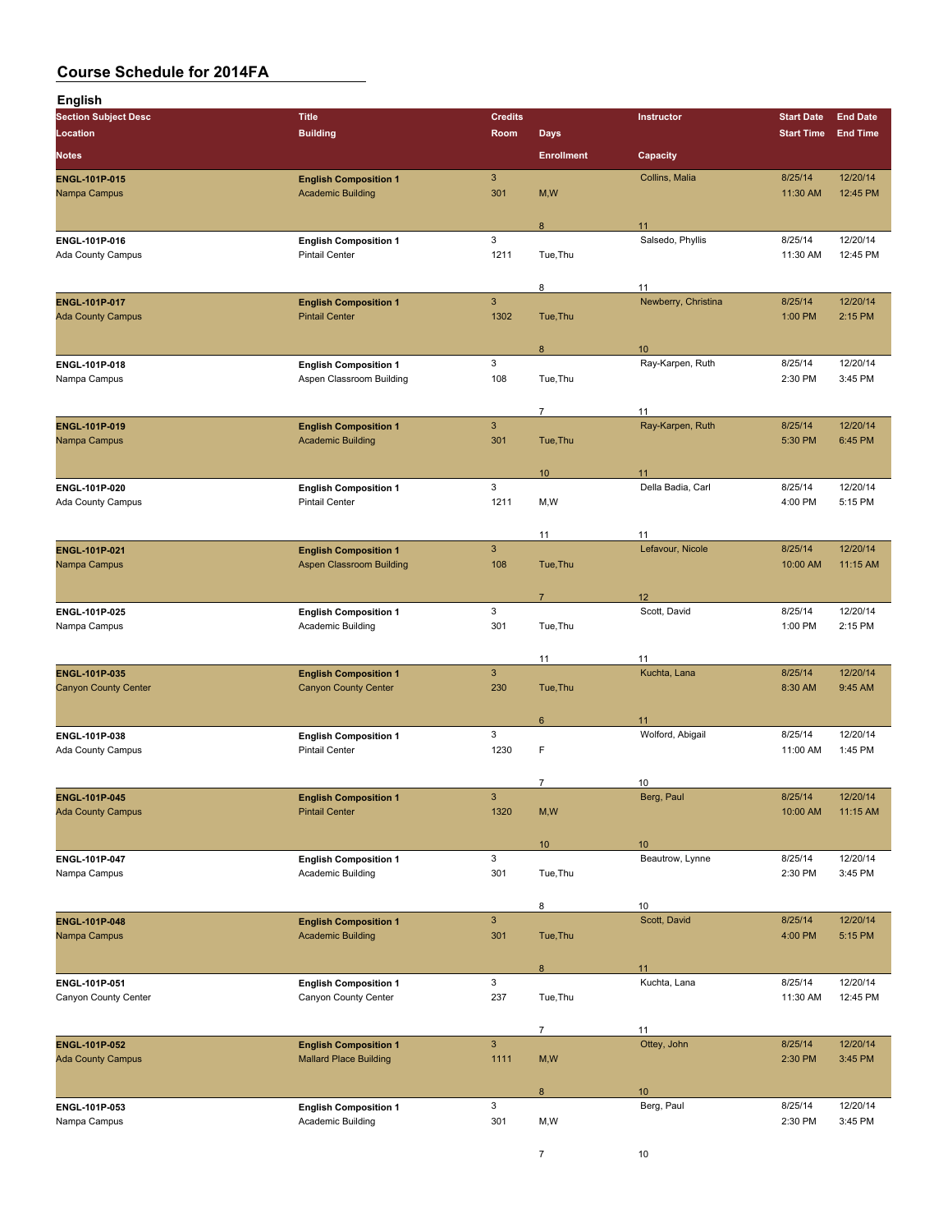| <b>English</b>                            |                                                       |                |                   |                         |                     |                      |
|-------------------------------------------|-------------------------------------------------------|----------------|-------------------|-------------------------|---------------------|----------------------|
| <b>Section Subject Desc</b>               | <b>Title</b>                                          | <b>Credits</b> |                   | Instructor              | <b>Start Date</b>   | <b>End Date</b>      |
| Location                                  | <b>Building</b>                                       | Room           | <b>Days</b>       |                         | <b>Start Time</b>   | <b>End Time</b>      |
| <b>Notes</b>                              |                                                       |                | <b>Enrollment</b> | Capacity                |                     |                      |
| ENGL-101P-015                             | <b>English Composition 1</b>                          | $\mathbf{3}$   |                   | Collins, Malia          | 8/25/14             | 12/20/14             |
| Nampa Campus                              | <b>Academic Building</b>                              | 301            | M,W               |                         | 11:30 AM            | 12:45 PM             |
|                                           |                                                       |                |                   |                         |                     |                      |
|                                           |                                                       | $\mathbf{3}$   | 8                 | 11<br>Salsedo, Phyllis  | 8/25/14             | 12/20/14             |
| ENGL-101P-016<br><b>Ada County Campus</b> | <b>English Composition 1</b><br><b>Pintail Center</b> | 1211           | Tue, Thu          |                         | 11:30 AM            | 12:45 PM             |
|                                           |                                                       |                |                   |                         |                     |                      |
|                                           |                                                       |                | 8                 | 11                      |                     |                      |
| ENGL-101P-017                             | <b>English Composition 1</b>                          | $\mathbf{3}$   |                   | Newberry, Christina     | 8/25/14             | 12/20/14             |
| <b>Ada County Campus</b>                  | <b>Pintail Center</b>                                 | 1302           | Tue, Thu          |                         | 1:00 PM             | 2:15 PM              |
|                                           |                                                       |                | 8                 | 10                      |                     |                      |
| ENGL-101P-018                             | <b>English Composition 1</b>                          | 3              |                   | Ray-Karpen, Ruth        | 8/25/14             | 12/20/14             |
| Nampa Campus                              | Aspen Classroom Building                              | 108            | Tue, Thu          |                         | 2:30 PM             | 3:45 PM              |
|                                           |                                                       |                | $\overline{7}$    | 11                      |                     |                      |
| ENGL-101P-019                             | <b>English Composition 1</b>                          | $\mathbf{3}$   |                   | Ray-Karpen, Ruth        | 8/25/14             | 12/20/14             |
| Nampa Campus                              | <b>Academic Building</b>                              | 301            | Tue, Thu          |                         | 5:30 PM             | 6:45 PM              |
|                                           |                                                       |                |                   |                         |                     |                      |
|                                           |                                                       | 3              | 10 <sup>°</sup>   | 11<br>Della Badia, Carl |                     |                      |
| ENGL-101P-020<br><b>Ada County Campus</b> | <b>English Composition 1</b><br><b>Pintail Center</b> | 1211           | M, W              |                         | 8/25/14<br>4:00 PM  | 12/20/14<br>5:15 PM  |
|                                           |                                                       |                |                   |                         |                     |                      |
|                                           |                                                       |                | 11                | 11                      |                     |                      |
| ENGL-101P-021                             | <b>English Composition 1</b>                          | $\mathbf{3}$   |                   | Lefavour, Nicole        | 8/25/14             | 12/20/14             |
| Nampa Campus                              | <b>Aspen Classroom Building</b>                       | 108            | Tue, Thu          |                         | 10:00 AM            | 11:15 AM             |
|                                           |                                                       |                | $\overline{7}$    | 12                      |                     |                      |
| ENGL-101P-025                             | <b>English Composition 1</b>                          | 3              |                   | Scott, David            | 8/25/14             | 12/20/14             |
| Nampa Campus                              | Academic Building                                     | 301            | Tue, Thu          |                         | 1:00 PM             | 2:15 PM              |
|                                           |                                                       |                |                   |                         |                     |                      |
| <b>ENGL-101P-035</b>                      | <b>English Composition 1</b>                          | $\mathbf{3}$   | 11                | 11<br>Kuchta, Lana      | 8/25/14             | 12/20/14             |
| <b>Canyon County Center</b>               | <b>Canyon County Center</b>                           | 230            | Tue, Thu          |                         | 8:30 AM             | 9:45 AM              |
|                                           |                                                       |                |                   |                         |                     |                      |
|                                           |                                                       | $\mathbf{3}$   | 6                 | 11<br>Wolford, Abigail  | 8/25/14             | 12/20/14             |
| ENGL-101P-038<br><b>Ada County Campus</b> | <b>English Composition 1</b><br><b>Pintail Center</b> | 1230           | F                 |                         | 11:00 AM            | 1:45 PM              |
|                                           |                                                       |                |                   |                         |                     |                      |
|                                           |                                                       |                | 7                 | 10                      |                     |                      |
| ENGL-101P-045                             | <b>English Composition 1</b>                          | $\mathsf 3$    |                   | Berg, Paul              | 8/25/14<br>10:00 AM | 12/20/14<br>11:15 AM |
| <b>Ada County Campus</b>                  | <b>Pintail Center</b>                                 | 1320           | M,W               |                         |                     |                      |
|                                           |                                                       |                | 10 <sup>°</sup>   | 10                      |                     |                      |
| ENGL-101P-047                             | <b>English Composition 1</b>                          | $\mathbf{3}$   |                   | Beautrow, Lynne         | 8/25/14             | 12/20/14             |
| Nampa Campus                              | Academic Building                                     | 301            | Tue, Thu          |                         | 2:30 PM             | 3:45 PM              |
|                                           |                                                       |                | 8                 | 10                      |                     |                      |
| ENGL-101P-048                             | <b>English Composition 1</b>                          | $\mathbf{3}$   |                   | Scott, David            | 8/25/14             | 12/20/14             |
| Nampa Campus                              | <b>Academic Building</b>                              | 301            | Tue, Thu          |                         | 4:00 PM             | 5:15 PM              |
|                                           |                                                       |                |                   |                         |                     |                      |
|                                           | <b>English Composition 1</b>                          | 3              | 8                 | 11<br>Kuchta, Lana      | 8/25/14             | 12/20/14             |
| ENGL-101P-051<br>Canyon County Center     | Canyon County Center                                  | 237            | Tue, Thu          |                         | 11:30 AM            | 12:45 PM             |
|                                           |                                                       |                |                   |                         |                     |                      |
|                                           |                                                       |                | $\overline{7}$    | 11                      |                     |                      |
| ENGL-101P-052                             | <b>English Composition 1</b>                          | $\mathbf{3}$   |                   | Ottey, John             | 8/25/14             | 12/20/14             |
| <b>Ada County Campus</b>                  | <b>Mallard Place Building</b>                         | 1111           | M,W               |                         | 2:30 PM             | 3:45 PM              |
|                                           |                                                       |                | 8                 | 10                      |                     |                      |
| ENGL-101P-053                             | <b>English Composition 1</b>                          | $\mathbf{3}$   |                   | Berg, Paul              | 8/25/14             | 12/20/14             |
| Nampa Campus                              | Academic Building                                     | 301            | M,W               |                         | 2:30 PM             | 3:45 PM              |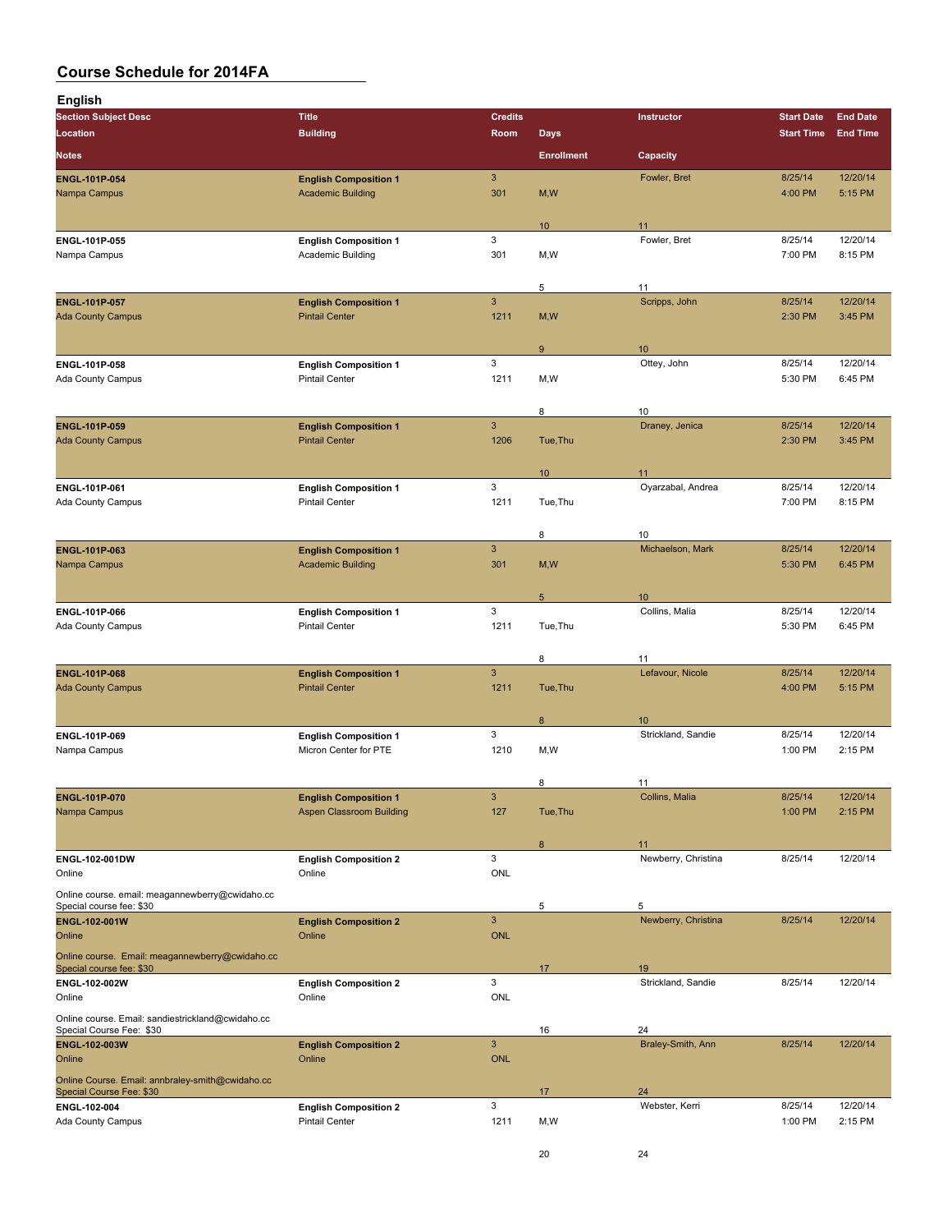| English                                                                       |                                                          |                            |                   |                           |                    |                     |
|-------------------------------------------------------------------------------|----------------------------------------------------------|----------------------------|-------------------|---------------------------|--------------------|---------------------|
| <b>Section Subject Desc</b>                                                   | <b>Title</b>                                             | <b>Credits</b>             |                   | Instructor                | <b>Start Date</b>  | <b>End Date</b>     |
| Location                                                                      | <b>Building</b>                                          | Room                       | <b>Days</b>       |                           | <b>Start Time</b>  | <b>End Time</b>     |
| <b>Notes</b>                                                                  |                                                          |                            | <b>Enrollment</b> | Capacity                  |                    |                     |
| <b>ENGL-101P-054</b>                                                          | <b>English Composition 1</b>                             | 3                          |                   | Fowler, Bret              | 8/25/14            | 12/20/14            |
| Nampa Campus                                                                  | <b>Academic Building</b>                                 | 301                        | M, W              |                           | 4:00 PM            | 5:15 PM             |
|                                                                               |                                                          |                            | 10 <sup>°</sup>   | 11                        |                    |                     |
| ENGL-101P-055                                                                 | <b>English Composition 1</b>                             | 3                          |                   | Fowler, Bret              | 8/25/14            | 12/20/14            |
| Nampa Campus                                                                  | Academic Building                                        | 301                        | M,W               |                           | 7:00 PM            | 8:15 PM             |
|                                                                               |                                                          |                            | 5                 | 11                        |                    |                     |
| ENGL-101P-057                                                                 | <b>English Composition 1</b>                             | $\mathbf{3}$               |                   | Scripps, John             | 8/25/14            | 12/20/14            |
| <b>Ada County Campus</b>                                                      | <b>Pintail Center</b>                                    | 1211                       | M, W              |                           | 2:30 PM            | 3:45 PM             |
|                                                                               |                                                          |                            |                   |                           |                    |                     |
| ENGL-101P-058                                                                 | <b>English Composition 1</b>                             | 3                          | 9                 | 10<br>Ottey, John         | 8/25/14            | 12/20/14            |
| Ada County Campus                                                             | <b>Pintail Center</b>                                    | 1211                       | M,W               |                           | 5:30 PM            | 6:45 PM             |
|                                                                               |                                                          |                            |                   |                           |                    |                     |
| <b>ENGL-101P-059</b>                                                          | <b>English Composition 1</b>                             | $\mathbf{3}$               | 8                 | 10<br>Draney, Jenica      | 8/25/14            | 12/20/14            |
| <b>Ada County Campus</b>                                                      | <b>Pintail Center</b>                                    | 1206                       | Tue, Thu          |                           | 2:30 PM            | 3:45 PM             |
|                                                                               |                                                          |                            |                   |                           |                    |                     |
|                                                                               |                                                          |                            | 10 <sup>°</sup>   | 11                        |                    |                     |
| ENGL-101P-061<br>Ada County Campus                                            | <b>English Composition 1</b><br><b>Pintail Center</b>    | 3<br>1211                  | Tue, Thu          | Oyarzabal, Andrea         | 8/25/14<br>7:00 PM | 12/20/14<br>8:15 PM |
|                                                                               |                                                          |                            |                   |                           |                    |                     |
|                                                                               |                                                          |                            | 8                 | 10                        |                    |                     |
| ENGL-101P-063                                                                 | <b>English Composition 1</b><br><b>Academic Building</b> | 3<br>301                   |                   | Michaelson, Mark          | 8/25/14<br>5:30 PM | 12/20/14<br>6:45 PM |
| Nampa Campus                                                                  |                                                          |                            | M, W              |                           |                    |                     |
|                                                                               |                                                          |                            | $5\phantom{.0}$   | 10 <sup>1</sup>           |                    |                     |
| ENGL-101P-066                                                                 | <b>English Composition 1</b>                             | 3                          |                   | Collins, Malia            | 8/25/14            | 12/20/14            |
| Ada County Campus                                                             | <b>Pintail Center</b>                                    | 1211                       | Tue, Thu          |                           | 5:30 PM            | 6:45 PM             |
|                                                                               |                                                          |                            | 8                 | 11                        |                    |                     |
| <b>ENGL-101P-068</b>                                                          | <b>English Composition 1</b>                             | 3                          |                   | Lefavour, Nicole          | 8/25/14            | 12/20/14            |
| <b>Ada County Campus</b>                                                      | <b>Pintail Center</b>                                    | 1211                       | Tue, Thu          |                           | 4:00 PM            | 5:15 PM             |
|                                                                               |                                                          |                            | 8                 | 10                        |                    |                     |
| ENGL-101P-069                                                                 | <b>English Composition 1</b>                             | 3                          |                   | Strickland, Sandie        | 8/25/14            | 12/20/14            |
| Nampa Campus                                                                  | Micron Center for PTE                                    | 1210                       | M,W               |                           | 1:00 PM            | 2:15 PM             |
|                                                                               |                                                          |                            |                   |                           |                    |                     |
| ENGL-101P-070                                                                 | <b>English Composition 1</b>                             | 3                          | 8                 | 11<br>Collins, Malia      | 8/25/14            | 12/20/14            |
| Nampa Campus                                                                  | <b>Aspen Classroom Building</b>                          | 127                        | Tue, Thu          |                           | 1:00 PM            | 2:15 PM             |
|                                                                               |                                                          |                            |                   |                           |                    |                     |
| ENGL-102-001DW                                                                | <b>English Composition 2</b>                             | 3                          | 8                 | 11<br>Newberry, Christina | 8/25/14            | 12/20/14            |
| Online                                                                        | Online                                                   | ONL                        |                   |                           |                    |                     |
| Online course. email: meagannewberry@cwidaho.cc                               |                                                          |                            |                   |                           |                    |                     |
| Special course fee: \$30                                                      |                                                          |                            | 5                 | 5                         |                    |                     |
| ENGL-102-001W<br>Online                                                       | <b>English Composition 2</b><br>Online                   | $\mathbf{3}$<br><b>ONL</b> |                   | Newberry, Christina       | 8/25/14            | 12/20/14            |
| Online course. Email: meagannewberry@cwidaho.cc                               |                                                          |                            |                   |                           |                    |                     |
| Special course fee: \$30                                                      |                                                          |                            | 17                | 19                        |                    |                     |
| ENGL-102-002W<br>Online                                                       | <b>English Composition 2</b><br>Online                   | 3<br>ONL                   |                   | Strickland, Sandie        | 8/25/14            | 12/20/14            |
|                                                                               |                                                          |                            |                   |                           |                    |                     |
| Online course. Email: sandiestrickland@cwidaho.cc<br>Special Course Fee: \$30 |                                                          |                            | 16                | 24                        |                    |                     |
| ENGL-102-003W                                                                 | <b>English Composition 2</b>                             | $\mathbf{3}$               |                   | Braley-Smith, Ann         | 8/25/14            | 12/20/14            |
| Online                                                                        | Online                                                   | <b>ONL</b>                 |                   |                           |                    |                     |
| Online Course. Email: annbraley-smith@cwidaho.cc<br>Special Course Fee: \$30  |                                                          |                            | 17                | 24                        |                    |                     |
| ENGL-102-004                                                                  | <b>English Composition 2</b>                             | 3                          |                   | Webster, Kerri            | 8/25/14            | 12/20/14            |
| Ada County Campus                                                             | <b>Pintail Center</b>                                    | 1211                       | M,W               |                           | 1:00 PM            | 2:15 PM             |
|                                                                               |                                                          |                            | 20                | 24                        |                    |                     |
|                                                                               |                                                          |                            |                   |                           |                    |                     |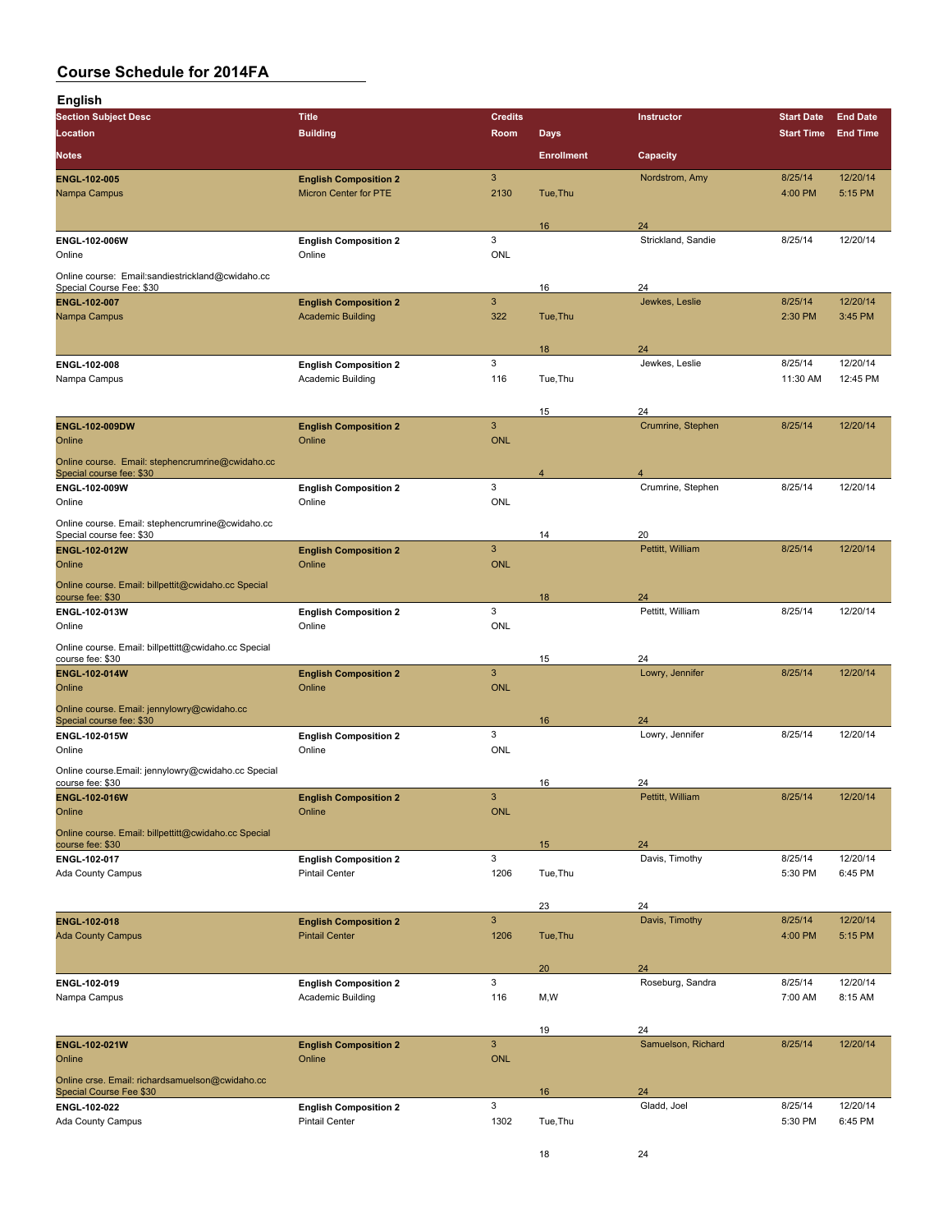| <b>English</b>                                                               |                                                       |                            |                   |                       |                    |                     |
|------------------------------------------------------------------------------|-------------------------------------------------------|----------------------------|-------------------|-----------------------|--------------------|---------------------|
| <b>Section Subject Desc</b>                                                  | <b>Title</b>                                          | <b>Credits</b>             |                   | Instructor            | <b>Start Date</b>  | <b>End Date</b>     |
| Location                                                                     | <b>Building</b>                                       | Room                       | <b>Days</b>       |                       | <b>Start Time</b>  | <b>End Time</b>     |
| <b>Notes</b>                                                                 |                                                       |                            | <b>Enrollment</b> | Capacity              |                    |                     |
| ENGL-102-005                                                                 | <b>English Composition 2</b>                          | 3                          |                   | Nordstrom, Amy        | 8/25/14            | 12/20/14            |
| Nampa Campus                                                                 | Micron Center for PTE                                 | 2130                       | Tue, Thu          |                       | 4:00 PM            | 5:15 PM             |
|                                                                              |                                                       |                            | 16                | 24                    |                    |                     |
| ENGL-102-006W                                                                | <b>English Composition 2</b>                          | 3                          |                   | Strickland, Sandie    | 8/25/14            | 12/20/14            |
| Online                                                                       | Online                                                | ONL                        |                   |                       |                    |                     |
| Online course: Email:sandiestrickland@cwidaho.cc                             |                                                       |                            |                   | 24                    |                    |                     |
| Special Course Fee: \$30<br><b>ENGL 102 007</b>                              | <b>English Composition 2</b>                          | $\mathbf{3}$               | 16                | Jewkes, Leslie        | 8/25/14            | 12/20/14            |
| Nampa Campus                                                                 | <b>Academic Building</b>                              | 322                        | Tue, Thu          |                       | 2:30 PM            | 3:45 PM             |
|                                                                              |                                                       |                            |                   |                       |                    |                     |
| ENGL-102-008                                                                 | <b>English Composition 2</b>                          | 3                          | 18                | 24<br>Jewkes, Leslie  | 8/25/14            | 12/20/14            |
| Nampa Campus                                                                 | Academic Building                                     | 116                        | Tue, Thu          |                       | 11:30 AM           | 12:45 PM            |
|                                                                              |                                                       |                            |                   |                       |                    |                     |
|                                                                              |                                                       |                            | 15                | 24                    | 8/25/14            |                     |
| ENGL-102-009DW<br>Online                                                     | <b>English Composition 2</b><br>Online                | $\sqrt{3}$<br><b>ONL</b>   |                   | Crumrine, Stephen     |                    | 12/20/14            |
| Online course. Email: stephencrumrine@cwidaho.cc                             |                                                       |                            |                   |                       |                    |                     |
| Special course fee: \$30                                                     |                                                       |                            | $\overline{4}$    | $\overline{4}$        |                    |                     |
| ENGL-102-009W<br>Online                                                      | <b>English Composition 2</b><br>Online                | 3<br>ONL                   |                   | Crumrine, Stephen     | 8/25/14            | 12/20/14            |
|                                                                              |                                                       |                            |                   |                       |                    |                     |
| Online course. Email: stephencrumrine@cwidaho.cc<br>Special course fee: \$30 |                                                       |                            | 14                | 20                    |                    |                     |
| <b>ENGL 102 012W</b>                                                         | <b>English Composition 2</b>                          | $\mathbf{3}$               |                   | Pettitt, William      | 8/25/14            | 12/20/14            |
| Online                                                                       | Online                                                | <b>ONL</b>                 |                   |                       |                    |                     |
| Online course. Email: billpettit@cwidaho.cc Special<br>course fee: \$30      |                                                       |                            | 18                | 24                    |                    |                     |
| ENGL-102-013W                                                                | <b>English Composition 2</b>                          | 3                          |                   | Pettitt, William      | 8/25/14            | 12/20/14            |
| Online                                                                       | Online                                                | <b>ONL</b>                 |                   |                       |                    |                     |
| Online course. Email: billpettitt@cwidaho.cc Special<br>course fee: \$30     |                                                       |                            | 15                | 24                    |                    |                     |
| <b>ENGL 102-014W</b>                                                         | <b>English Composition 2</b>                          | $\mathbf{3}$               |                   | Lowry, Jennifer       | 8/25/14            | 12/20/14            |
| Online                                                                       | Online                                                | ONL                        |                   |                       |                    |                     |
| Online course. Email: jennylowry@cwidaho.cc                                  |                                                       |                            |                   |                       |                    |                     |
| Special course fee: \$30<br>ENGL-102-015W                                    | <b>English Composition 2</b>                          | 3                          | 16                | 24<br>Lowry, Jennifer | 8/25/14            | 12/20/14            |
| Online                                                                       | Online                                                | <b>ONL</b>                 |                   |                       |                    |                     |
| Online course.Email: jennylowry@cwidaho.cc Special                           |                                                       |                            |                   |                       |                    |                     |
| course fee: \$30                                                             |                                                       |                            | 16                | 24                    |                    |                     |
| ENGL-102-016W<br>Online                                                      | <b>English Composition 2</b><br>Online                | $\mathbf{3}$<br><b>ONL</b> |                   | Pettitt, William      | 8/25/14            | 12/20/14            |
| Online course. Email: billpettitt@cwidaho.cc Special                         |                                                       |                            |                   |                       |                    |                     |
| course fee: \$30                                                             |                                                       |                            | 15                | 24                    |                    |                     |
| ENGL-102-017<br>Ada County Campus                                            | <b>English Composition 2</b><br><b>Pintail Center</b> | 3<br>1206                  | Tue, Thu          | Davis, Timothy        | 8/25/14<br>5:30 PM | 12/20/14<br>6:45 PM |
|                                                                              |                                                       |                            |                   |                       |                    |                     |
|                                                                              |                                                       |                            | 23                | 24                    |                    |                     |
| ENGL-102-018                                                                 | <b>English Composition 2</b>                          | $\mathbf{3}$               |                   | Davis, Timothy        | 8/25/14            | 12/20/14            |
| <b>Ada County Campus</b>                                                     | <b>Pintail Center</b>                                 | 1206                       | Tue, Thu          |                       | 4:00 PM            | 5:15 PM             |
|                                                                              |                                                       |                            | 20                | 24                    |                    |                     |
| ENGL-102-019                                                                 | <b>English Composition 2</b>                          | 3                          |                   | Roseburg, Sandra      | 8/25/14            | 12/20/14            |
| Nampa Campus                                                                 | Academic Building                                     | 116                        | M, W              |                       | 7:00 AM            | 8:15 AM             |
|                                                                              |                                                       |                            | 19                | 24                    |                    |                     |
| ENGL-102-021W                                                                | <b>English Composition 2</b>                          | $\mathbf{3}$               |                   | Samuelson, Richard    | 8/25/14            | 12/20/14            |
| Online                                                                       | Online                                                | <b>ONL</b>                 |                   |                       |                    |                     |
| Online crse. Email: richardsamuelson@cwidaho.cc                              |                                                       |                            |                   |                       |                    |                     |
| Special Course Fee \$30<br>ENGL-102-022                                      | <b>English Composition 2</b>                          | 3                          | 16                | 24<br>Gladd, Joel     | 8/25/14            | 12/20/14            |
| Ada County Campus                                                            | <b>Pintail Center</b>                                 | 1302                       | Tue, Thu          |                       | 5:30 PM            | 6:45 PM             |
|                                                                              |                                                       |                            |                   |                       |                    |                     |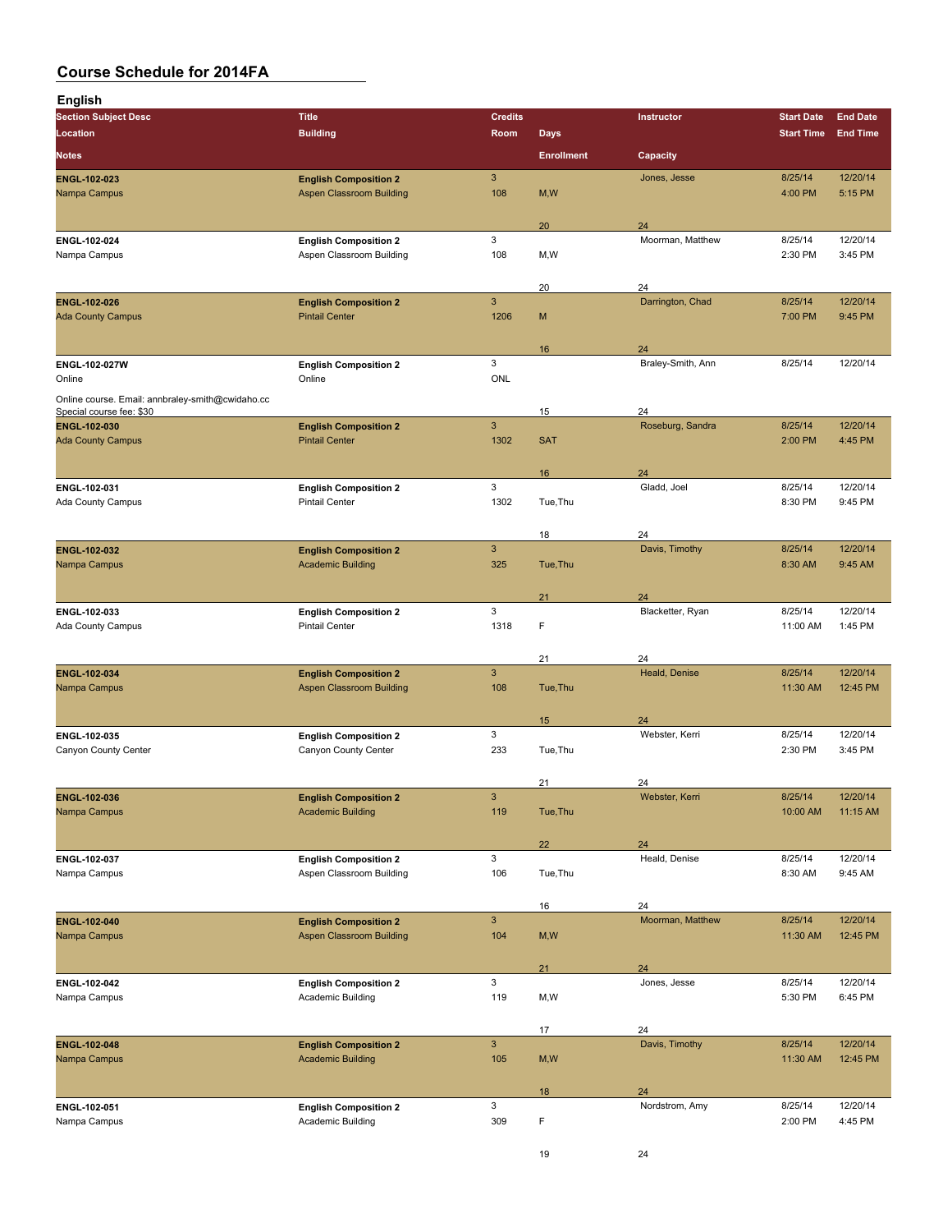| <b>English</b>                                                               |                                                                 |                                  |                   |                        |                     |                      |
|------------------------------------------------------------------------------|-----------------------------------------------------------------|----------------------------------|-------------------|------------------------|---------------------|----------------------|
| <b>Section Subject Desc</b>                                                  | <b>Title</b>                                                    | <b>Credits</b>                   |                   | <b>Instructor</b>      | <b>Start Date</b>   | <b>End Date</b>      |
| Location                                                                     | <b>Building</b>                                                 | Room                             | <b>Days</b>       |                        | <b>Start Time</b>   | <b>End Time</b>      |
| <b>Notes</b>                                                                 |                                                                 |                                  | <b>Enrollment</b> | Capacity               |                     |                      |
| ENGL-102-023                                                                 | <b>English Composition 2</b>                                    | $\mathbf{3}$                     |                   | Jones, Jesse           | 8/25/14             | 12/20/14             |
| Nampa Campus                                                                 | Aspen Classroom Building                                        | 108                              | M, W              |                        | 4:00 PM             | 5:15 PM              |
|                                                                              |                                                                 |                                  |                   |                        |                     |                      |
| ENGL 102-024                                                                 | <b>English Composition 2</b>                                    | 3                                | 20                | 24<br>Moorman, Matthew | 8/25/14             | 12/20/14             |
| Nampa Campus                                                                 | Aspen Classroom Building                                        | 108                              | M, W              |                        | 2:30 PM             | 3:45 PM              |
|                                                                              |                                                                 |                                  |                   |                        |                     |                      |
|                                                                              |                                                                 |                                  | 20                | 24                     |                     |                      |
| ENGL-102-026                                                                 | <b>English Composition 2</b>                                    | $\mathbf{3}$                     |                   | Darrington, Chad       | 8/25/14             | 12/20/14             |
| <b>Ada County Campus</b>                                                     | <b>Pintail Center</b>                                           | 1206                             | M                 |                        | 7:00 PM             | 9:45 PM              |
|                                                                              |                                                                 |                                  | 16                | 24                     |                     |                      |
| ENGL-102-027W                                                                | <b>English Composition 2</b>                                    | 3                                |                   | Braley-Smith, Ann      | 8/25/14             | 12/20/14             |
| Online                                                                       | Online                                                          | ONL                              |                   |                        |                     |                      |
| Online course. Email: annbraley-smith@cwidaho.cc<br>Special course fee: \$30 |                                                                 |                                  | 15                | 24                     |                     |                      |
| ENGL-102-030                                                                 | <b>English Composition 2</b>                                    | $\mathsf 3$                      |                   | Roseburg, Sandra       | 8/25/14             | 12/20/14             |
| <b>Ada County Campus</b>                                                     | <b>Pintail Center</b>                                           | 1302                             | <b>SAT</b>        |                        | 2:00 PM             | 4:45 PM              |
|                                                                              |                                                                 |                                  |                   |                        |                     |                      |
|                                                                              |                                                                 |                                  | 16                | 24                     |                     |                      |
| ENGL-102-031                                                                 | <b>English Composition 2</b>                                    | 3                                |                   | Gladd, Joel            | 8/25/14             | 12/20/14             |
| Ada County Campus                                                            | <b>Pintail Center</b>                                           | 1302                             | Tue, Thu          |                        | 8:30 PM             | 9:45 PM              |
|                                                                              |                                                                 |                                  | 18                | 24                     |                     |                      |
| ENGL-102-032                                                                 | <b>English Composition 2</b>                                    | $\mathbf{3}$                     |                   | Davis, Timothy         | 8/25/14             | 12/20/14             |
| Nampa Campus                                                                 | <b>Academic Building</b>                                        | 325                              | Tue, Thu          |                        | 8:30 AM             | 9:45 AM              |
|                                                                              |                                                                 |                                  |                   |                        |                     |                      |
|                                                                              |                                                                 |                                  | 21                | 24                     |                     |                      |
| ENGL 102-033<br>Ada County Campus                                            | <b>English Composition 2</b><br><b>Pintail Center</b>           | 3<br>1318                        | F                 | Blacketter, Ryan       | 8/25/14<br>11:00 AM | 12/20/14<br>1:45 PM  |
|                                                                              |                                                                 |                                  |                   |                        |                     |                      |
|                                                                              |                                                                 |                                  | 21                | 24                     |                     |                      |
| ENGL-102-034                                                                 | <b>English Composition 2</b>                                    | $\mathbf{3}$                     |                   | Heald, Denise          | 8/25/14             | 12/20/14             |
| Nampa Campus                                                                 | <b>Aspen Classroom Building</b>                                 | 108                              | Tue, Thu          |                        | 11:30 AM            | 12:45 PM             |
|                                                                              |                                                                 |                                  | 15                | 24                     |                     |                      |
| ENGL 102-035                                                                 | <b>English Composition 2</b>                                    | 3                                |                   | Webster, Kerri         | 8/25/14             | 12/20/14             |
| Canyon County Center                                                         | Canyon County Center                                            | 233                              | Tue, Thu          |                        | 2:30 PM             | 3:45 PM              |
|                                                                              |                                                                 |                                  |                   |                        |                     |                      |
|                                                                              |                                                                 |                                  | 21                | 24                     |                     |                      |
| ENGL-102-036                                                                 | <b>English Composition 2</b>                                    | $\mathbf 3$                      |                   | Webster, Kerri         | 8/25/14             | 12/20/14             |
| Nampa Campus                                                                 | <b>Academic Building</b>                                        | 119                              | Tue, Thu          |                        | 10:00 AM            | 11:15 AM             |
|                                                                              |                                                                 |                                  | 22                | 24                     |                     |                      |
| ENGL-102-037                                                                 | <b>English Composition 2</b>                                    | 3                                |                   | Heald, Denise          | 8/25/14             | 12/20/14             |
| Nampa Campus                                                                 | Aspen Classroom Building                                        | 106                              | Tue, Thu          |                        | 8:30 AM             | 9:45 AM              |
|                                                                              |                                                                 |                                  |                   |                        |                     |                      |
|                                                                              |                                                                 |                                  | 16                | 24                     |                     |                      |
| ENGL-102-040<br>Nampa Campus                                                 | <b>English Composition 2</b><br><b>Aspen Classroom Building</b> | $\ensuremath{\mathsf{3}}$<br>104 | M, W              | Moorman, Matthew       | 8/25/14<br>11:30 AM | 12/20/14<br>12:45 PM |
|                                                                              |                                                                 |                                  |                   |                        |                     |                      |
|                                                                              |                                                                 |                                  | 21                | 24                     |                     |                      |
| ENGL-102-042                                                                 | <b>English Composition 2</b>                                    | $\mathbf{3}$                     |                   | Jones, Jesse           | 8/25/14             | 12/20/14             |
| Nampa Campus                                                                 | Academic Building                                               | 119                              | M,W               |                        | 5:30 PM             | 6:45 PM              |
|                                                                              |                                                                 |                                  |                   |                        |                     |                      |
| ENGL-102-048                                                                 | <b>English Composition 2</b>                                    | $\mathbf{3}$                     | 17                | 24<br>Davis, Timothy   | 8/25/14             | 12/20/14             |
| Nampa Campus                                                                 | <b>Academic Building</b>                                        | 105                              | M, W              |                        | 11:30 AM            | 12:45 PM             |
|                                                                              |                                                                 |                                  |                   |                        |                     |                      |
|                                                                              |                                                                 |                                  | 18                | 24                     |                     |                      |
| ENGL-102-051                                                                 | <b>English Composition 2</b>                                    | 3                                |                   | Nordstrom, Amy         | 8/25/14             | 12/20/14             |
| Nampa Campus                                                                 | Academic Building                                               | 309                              | F                 |                        | 2:00 PM             | 4:45 PM              |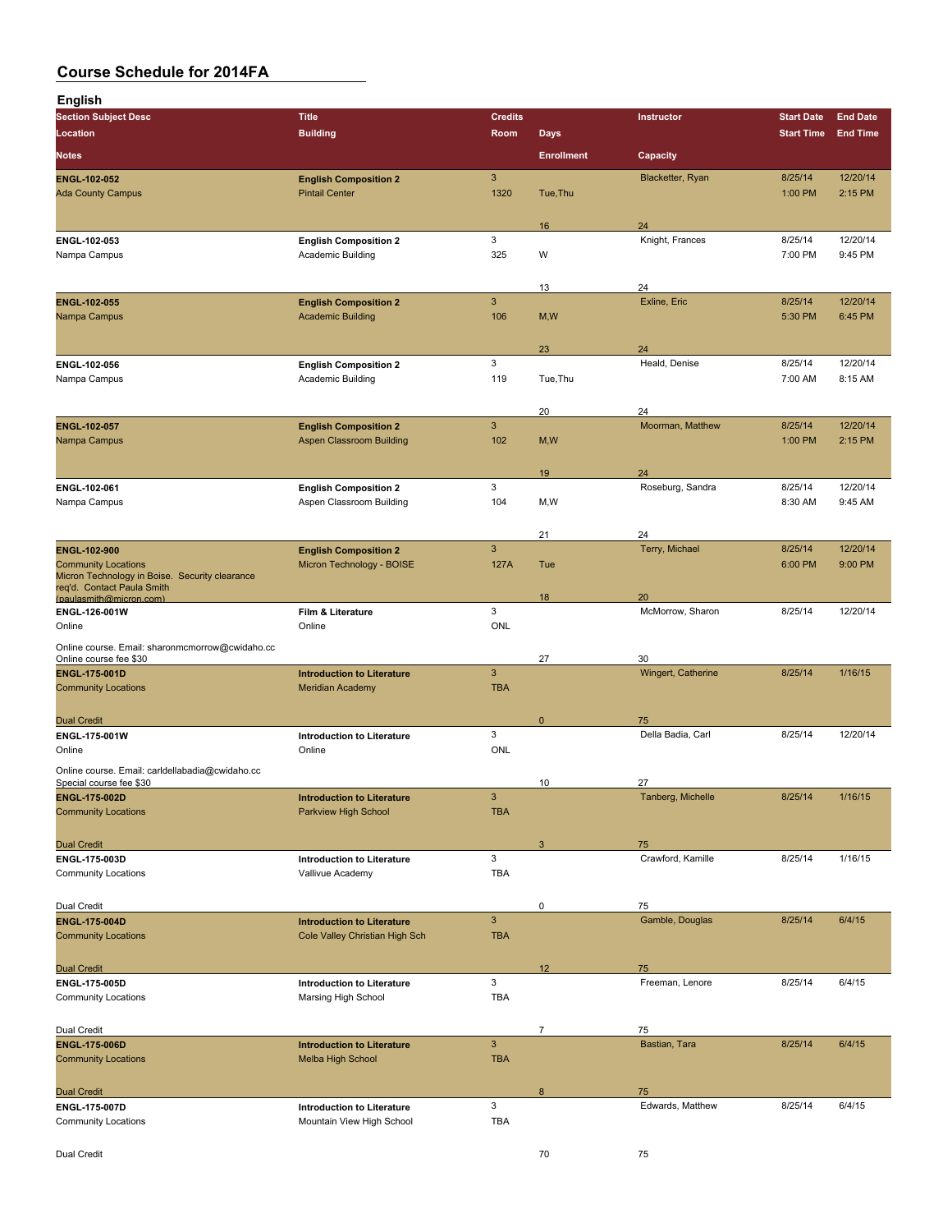| <b>English</b>                                        |                                   |                |                   |                    |                   |                 |
|-------------------------------------------------------|-----------------------------------|----------------|-------------------|--------------------|-------------------|-----------------|
| <b>Section Subject Desc</b>                           | <b>Title</b>                      | <b>Credits</b> |                   | <b>Instructor</b>  | <b>Start Date</b> | <b>End Date</b> |
| Location                                              | <b>Building</b>                   | Room           | <b>Days</b>       |                    | <b>Start Time</b> | <b>End Time</b> |
|                                                       |                                   |                |                   |                    |                   |                 |
| Notes                                                 |                                   |                | <b>Enrollment</b> | Capacity           |                   |                 |
| ENGL-102-052                                          | <b>English Composition 2</b>      | 3              |                   | Blacketter, Ryan   | 8/25/14           | 12/20/14        |
| <b>Ada County Campus</b>                              | <b>Pintail Center</b>             | 1320           | Tue, Thu          |                    | 1:00 PM           | 2:15 PM         |
|                                                       |                                   |                |                   |                    |                   |                 |
|                                                       |                                   |                | 16                | 24                 |                   |                 |
| ENGL-102-053                                          | <b>English Composition 2</b>      | 3              |                   | Knight, Frances    | 8/25/14           | 12/20/14        |
| Nampa Campus                                          | Academic Building                 | 325            | W                 |                    | 7:00 PM           | 9:45 PM         |
|                                                       |                                   |                |                   |                    |                   |                 |
|                                                       |                                   |                | 13                | 24                 |                   |                 |
| ENGL-102-055                                          | <b>English Composition 2</b>      | 3              |                   | Exline, Eric       | 8/25/14           | 12/20/14        |
| Nampa Campus                                          | <b>Academic Building</b>          | 106            | M, W              |                    | 5:30 PM           | 6:45 PM         |
|                                                       |                                   |                |                   |                    |                   |                 |
|                                                       |                                   |                | 23                | 24                 |                   |                 |
| ENGL-102-056                                          | <b>English Composition 2</b>      | 3              |                   | Heald, Denise      | 8/25/14           | 12/20/14        |
| Nampa Campus                                          | Academic Building                 | 119            | Tue, Thu          |                    | 7:00 AM           | 8:15 AM         |
|                                                       |                                   |                |                   |                    |                   |                 |
|                                                       |                                   |                |                   |                    |                   |                 |
|                                                       |                                   |                | 20                | 24                 |                   |                 |
| <b>ENGL 102 057</b>                                   | <b>English Composition 2</b>      | 3              |                   | Moorman, Matthew   | 8/25/14           | 12/20/14        |
| Nampa Campus                                          | <b>Aspen Classroom Building</b>   | 102            | M, W              |                    | 1:00 PM           | 2:15 PM         |
|                                                       |                                   |                |                   |                    |                   |                 |
|                                                       |                                   |                | 19                | 24                 |                   |                 |
| ENGL-102-061                                          | <b>English Composition 2</b>      | 3              |                   | Roseburg, Sandra   | 8/25/14           | 12/20/14        |
| Nampa Campus                                          | Aspen Classroom Building          | 104            | M,W               |                    | 8:30 AM           | 9:45 AM         |
|                                                       |                                   |                |                   |                    |                   |                 |
|                                                       |                                   |                | 21                | 24                 |                   |                 |
| ENGL-102-900                                          | <b>English Composition 2</b>      | $\mathbf{3}$   |                   | Terry, Michael     | 8/25/14           | 12/20/14        |
| <b>Community Locations</b>                            | Micron Technology - BOISE         | 127A           | Tue               |                    | 6:00 PM           | 9:00 PM         |
| Micron Technology in Boise. Security clearance        |                                   |                |                   |                    |                   |                 |
| req'd. Contact Paula Smith<br>(paulasmith@micron.com) |                                   |                | 18                | 20                 |                   |                 |
| ENGL-126-001W                                         | Film & Literature                 | 3              |                   | McMorrow, Sharon   | 8/25/14           | 12/20/14        |
| Online                                                | Online                            | <b>ONL</b>     |                   |                    |                   |                 |
| Online course. Email: sharonmcmorrow@cwidaho.cc       |                                   |                |                   |                    |                   |                 |
| Online course fee \$30                                |                                   |                | 27                | 30                 |                   |                 |
| <b>ENGL 175 001D</b>                                  | <b>Introduction to Literature</b> | $\mathbf{3}$   |                   | Wingert, Catherine | 8/25/14           | 1/16/15         |
| <b>Community Locations</b>                            | <b>Meridian Academy</b>           | <b>TBA</b>     |                   |                    |                   |                 |
|                                                       |                                   |                |                   |                    |                   |                 |
| <b>Dual Credit</b>                                    |                                   |                | $\mathbf 0$       | 75                 |                   |                 |
| ENGL 175 001W                                         | <b>Introduction to Literature</b> | 3              |                   | Della Badia, Carl  | 8/25/14           | 12/20/14        |
| Online                                                | Online                            | <b>ONL</b>     |                   |                    |                   |                 |
|                                                       |                                   |                |                   |                    |                   |                 |
| Online course. Email: carldellabadia@cwidaho.cc       |                                   |                | 10                | 27                 |                   |                 |
| Special course fee \$30                               | Introduction to Literature        | $\mathsf 3$    |                   | Tanberg, Michelle  | 8/25/14           | 1/16/15         |
| <b>ENGL-175-002D</b><br><b>Community Locations</b>    | Parkview High School              | <b>TBA</b>     |                   |                    |                   |                 |
|                                                       |                                   |                |                   |                    |                   |                 |
|                                                       |                                   |                |                   |                    |                   |                 |
| <b>Dual Credit</b>                                    |                                   |                | 3                 | 75                 |                   |                 |
| ENGL-175-003D                                         | <b>Introduction to Literature</b> | 3              |                   | Crawford, Kamille  | 8/25/14           | 1/16/15         |
| <b>Community Locations</b>                            | Vallivue Academy                  | TBA            |                   |                    |                   |                 |
|                                                       |                                   |                |                   |                    |                   |                 |
| Dual Credit                                           |                                   |                | 0                 | 75                 |                   |                 |
| ENGL-175-004D                                         | <b>Introduction to Literature</b> | $\mathbf{3}$   |                   | Gamble, Douglas    | 8/25/14           | 6/4/15          |
| <b>Community Locations</b>                            | Cole Valley Christian High Sch    | <b>TBA</b>     |                   |                    |                   |                 |
|                                                       |                                   |                |                   |                    |                   |                 |
| <b>Dual Credit</b>                                    |                                   |                | 12 <sup>2</sup>   | 75                 |                   |                 |
| ENGL-175-005D                                         | <b>Introduction to Literature</b> | 3              |                   | Freeman, Lenore    | 8/25/14           | 6/4/15          |
| <b>Community Locations</b>                            | Marsing High School               | <b>TBA</b>     |                   |                    |                   |                 |
|                                                       |                                   |                |                   |                    |                   |                 |
| Dual Credit                                           |                                   |                | $\overline{7}$    | 75                 |                   |                 |
| ENGL-175-006D                                         | <b>Introduction to Literature</b> | $\mathbf{3}$   |                   | Bastian, Tara      | 8/25/14           | 6/4/15          |
| <b>Community Locations</b>                            | <b>Melba High School</b>          | <b>TBA</b>     |                   |                    |                   |                 |
|                                                       |                                   |                |                   |                    |                   |                 |
| <b>Dual Credit</b>                                    |                                   |                | 8                 | 75                 |                   |                 |
| ENGL-175-007D                                         | <b>Introduction to Literature</b> | 3              |                   | Edwards, Matthew   | 8/25/14           | 6/4/15          |
| <b>Community Locations</b>                            | Mountain View High School         | <b>TBA</b>     |                   |                    |                   |                 |
|                                                       |                                   |                |                   |                    |                   |                 |
|                                                       |                                   |                |                   |                    |                   |                 |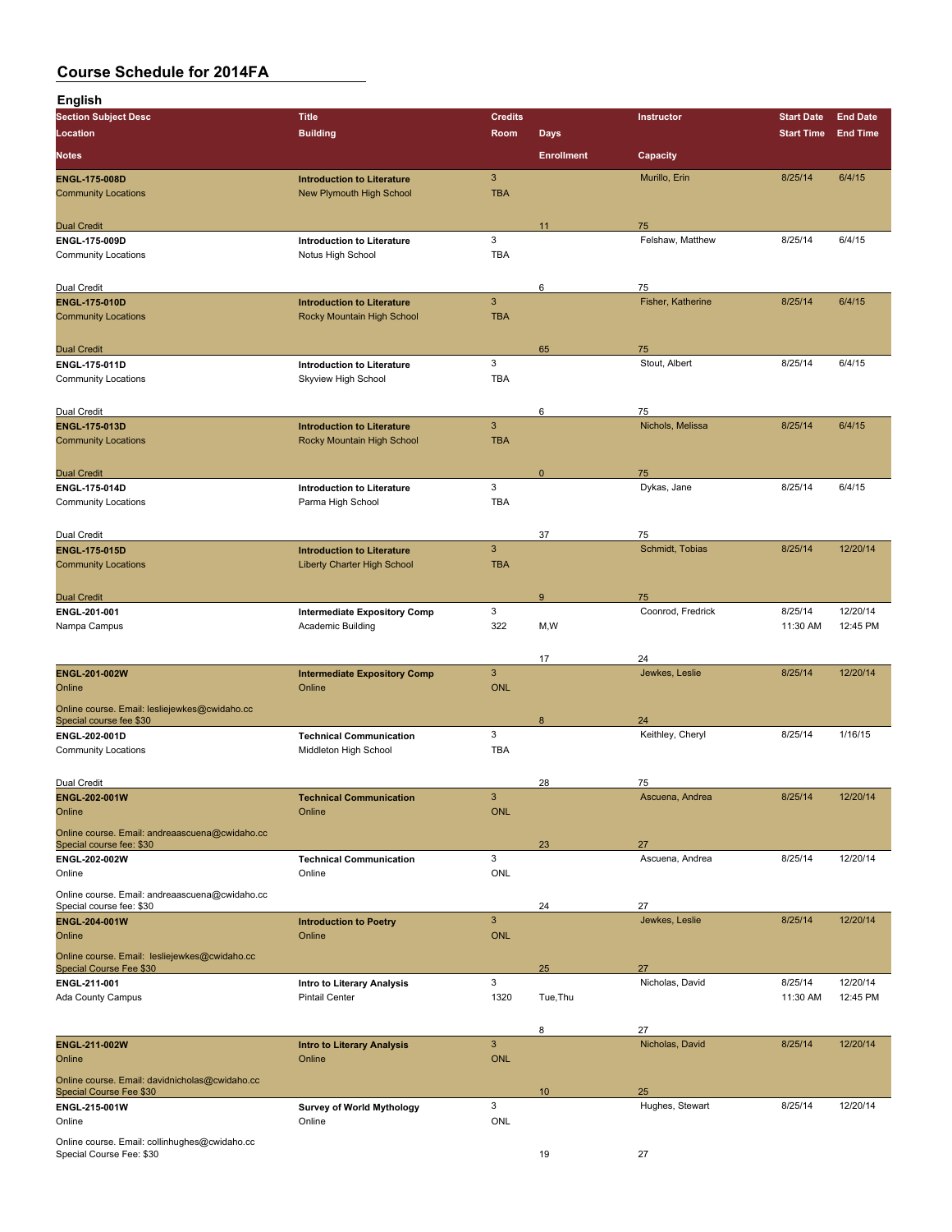| <b>English</b>                                                             |                                                                         |                                         |                   |                       |                     |                      |
|----------------------------------------------------------------------------|-------------------------------------------------------------------------|-----------------------------------------|-------------------|-----------------------|---------------------|----------------------|
| <b>Section Subject Desc</b>                                                | <b>Title</b>                                                            | <b>Credits</b>                          |                   | Instructor            | <b>Start Date</b>   | <b>End Date</b>      |
| Location                                                                   | <b>Building</b>                                                         | Room                                    | <b>Days</b>       |                       | <b>Start Time</b>   | <b>End Time</b>      |
| <b>Notes</b>                                                               |                                                                         |                                         | <b>Enrollment</b> | Capacity              |                     |                      |
| <b>ENGL-175-008D</b><br><b>Community Locations</b>                         | <b>Introduction to Literature</b><br><b>New Plymouth High School</b>    | 3<br><b>TBA</b>                         |                   | Murillo, Erin         | 8/25/14             | 6/4/15               |
| <b>Dual Credit</b>                                                         |                                                                         |                                         | 11                | 75                    |                     |                      |
| ENGL-175-009D<br><b>Community Locations</b>                                | <b>Introduction to Literature</b><br>Notus High School                  | 3<br><b>TBA</b>                         |                   | Felshaw, Matthew      | 8/25/14             | 6/4/15               |
| Dual Credit                                                                |                                                                         |                                         | 6                 | 75                    |                     |                      |
| <b>ENGL 175 010D</b><br><b>Community Locations</b>                         | <b>Introduction to Literature</b><br>Rocky Mountain High School         | 3<br><b>TBA</b>                         |                   | Fisher, Katherine     | 8/25/14             | 6/4/15               |
| <b>Dual Credit</b>                                                         |                                                                         | 3                                       | 65                | 75                    |                     |                      |
| ENGL-175-011D<br><b>Community Locations</b>                                | <b>Introduction to Literature</b><br>Skyview High School                | <b>TBA</b>                              |                   | Stout, Albert         | 8/25/14             | 6/4/15               |
| Dual Credit                                                                |                                                                         |                                         | 6                 | 75                    |                     |                      |
| <b>ENGL-175-013D</b><br><b>Community Locations</b>                         | <b>Introduction to Literature</b><br>Rocky Mountain High School         | $\sqrt{3}$<br><b>TBA</b>                |                   | Nichols, Melissa      | 8/25/14             | 6/4/15               |
| <b>Dual Credit</b>                                                         |                                                                         |                                         | $\pmb{0}$         | 75                    |                     |                      |
| ENGL 175 014D<br><b>Community Locations</b>                                | <b>Introduction to Literature</b><br>Parma High School                  | 3<br><b>TBA</b>                         |                   | Dykas, Jane           | 8/25/14             | 6/4/15               |
| Dual Credit                                                                |                                                                         |                                         | 37                | 75                    |                     |                      |
| <b>ENGL-175-015D</b><br><b>Community Locations</b>                         | <b>Introduction to Literature</b><br><b>Liberty Charter High School</b> | $\mathbf{3}$<br><b>TBA</b>              |                   | Schmidt, Tobias       | 8/25/14             | 12/20/14             |
| <b>Dual Credit</b>                                                         |                                                                         |                                         | 9                 | 75                    |                     |                      |
| ENGL-201-001<br>Nampa Campus                                               | <b>Intermediate Expository Comp</b><br>Academic Building                | 3<br>322                                | M,W               | Coonrod, Fredrick     | 8/25/14<br>11:30 AM | 12/20/14<br>12:45 PM |
|                                                                            |                                                                         |                                         | 17                | 24                    |                     |                      |
| ENGL-201-002W<br>Online                                                    | <b>Intermediate Expository Comp</b><br>Online                           | 3<br><b>ONL</b>                         |                   | Jewkes, Leslie        | 8/25/14             | 12/20/14             |
| Online course. Email: lesliejewkes@cwidaho.cc<br>Special course fee \$30   |                                                                         |                                         | 8                 | 24                    |                     |                      |
| ENGL 202-001D<br><b>Community Locations</b>                                | <b>Technical Communication</b><br>Middleton High School                 | 3<br><b>TBA</b>                         |                   | Keithley, Cheryl      | 8/25/14             | 1/16/15              |
| Dual Credit                                                                |                                                                         |                                         | 28                | 75                    |                     |                      |
| ENGL-202-001W<br>Online                                                    | <b>Technical Communication</b><br>Online                                | $\sqrt{3}$<br><b>ONL</b>                |                   | Ascuena, Andrea       | 8/25/14             | 12/20/14             |
| Online course. Email: andreaascuena@cwidaho.cc<br>Special course fee: \$30 |                                                                         |                                         | 23                | 27                    |                     |                      |
| ENGL-202-002W<br>Online                                                    | <b>Technical Communication</b><br>Online                                | 3<br>ONL                                |                   | Ascuena, Andrea       | 8/25/14             | 12/20/14             |
| Online course. Email: andreaascuena@cwidaho.cc                             |                                                                         |                                         | 24                | 27                    |                     |                      |
| Special course fee: \$30<br>ENGL-204-001W<br>Online                        | <b>Introduction to Poetry</b><br>Online                                 | $\sqrt{3}$<br><b>ONL</b>                |                   | Jewkes, Leslie        | 8/25/14             | 12/20/14             |
| Online course. Email: lesliejewkes@cwidaho.cc<br>Special Course Fee \$30   |                                                                         |                                         | 25                | 27                    |                     |                      |
| ENGL 211-001<br>Ada County Campus                                          | Intro to Literary Analysis<br><b>Pintail Center</b>                     | 3<br>1320                               | Tue, Thu          | Nicholas, David       | 8/25/14<br>11:30 AM | 12/20/14<br>12:45 PM |
| ENGL-211-002W<br>Online                                                    | <b>Intro to Literary Analysis</b><br>Online                             | $\ensuremath{\mathsf{3}}$<br><b>ONL</b> | 8                 | 27<br>Nicholas, David | 8/25/14             | 12/20/14             |
| Online course. Email: davidnicholas@cwidaho.cc<br>Special Course Fee \$30  |                                                                         |                                         | 10                | 25                    |                     |                      |
| ENGL-215-001W<br>Online                                                    | <b>Survey of World Mythology</b><br>Online                              | 3<br>ONL                                |                   | Hughes, Stewart       | 8/25/14             | 12/20/14             |
| Online course. Email: collinhughes@cwidaho.cc<br>Special Course Fee: \$30  |                                                                         |                                         | 19                | 27                    |                     |                      |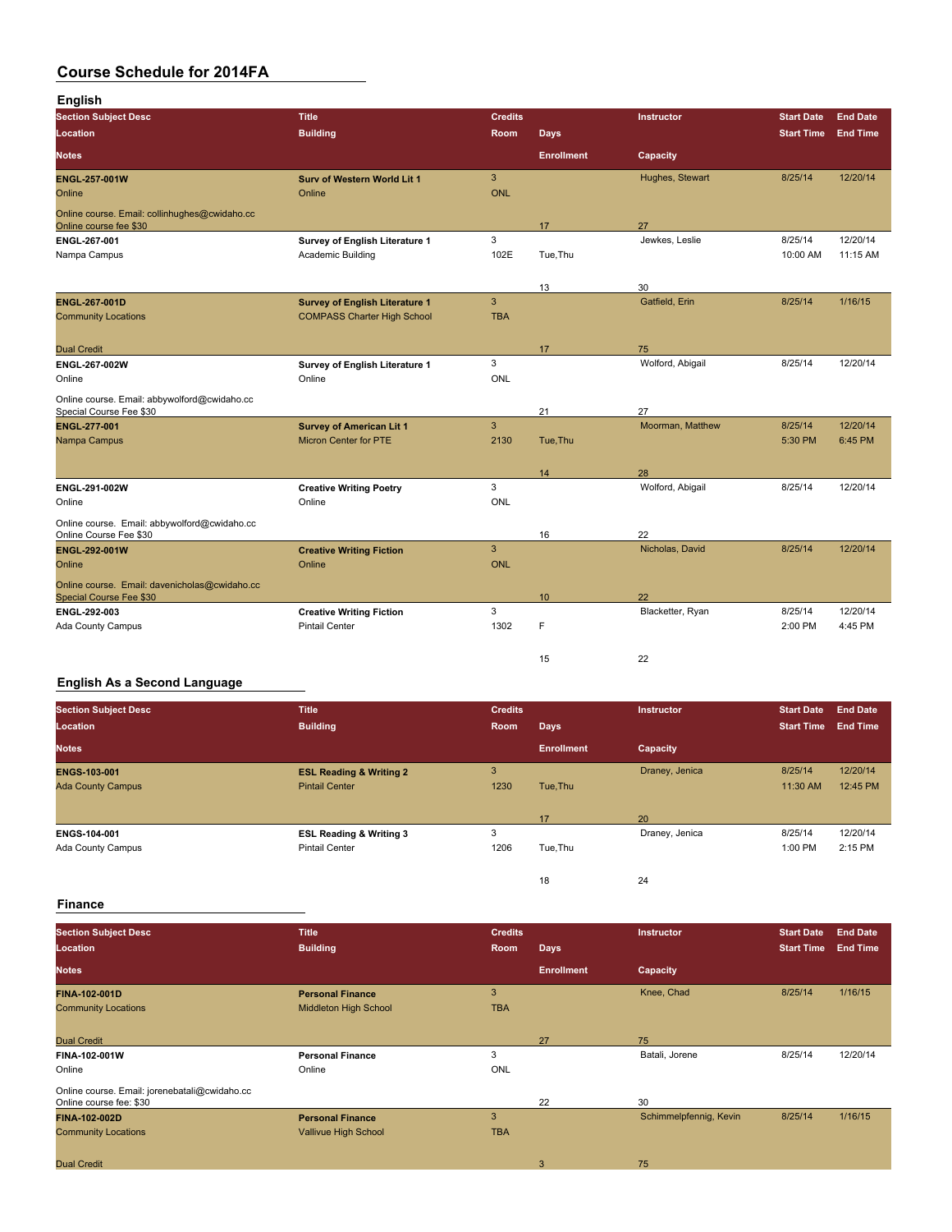| <b>English</b>                                                           |                                       |                |                   |                   |                   |                 |
|--------------------------------------------------------------------------|---------------------------------------|----------------|-------------------|-------------------|-------------------|-----------------|
| <b>Section Subject Desc</b>                                              | <b>Title</b>                          | <b>Credits</b> |                   | <b>Instructor</b> | <b>Start Date</b> | <b>End Date</b> |
| Location                                                                 | <b>Building</b>                       | <b>Room</b>    | <b>Days</b>       |                   | <b>Start Time</b> | <b>End Time</b> |
| <b>Notes</b>                                                             |                                       |                | <b>Enrollment</b> | Capacity          |                   |                 |
| <b>ENGL 257 001W</b>                                                     | <b>Surv of Western World Lit 1</b>    | $\overline{3}$ |                   | Hughes, Stewart   | 8/25/14           | 12/20/14        |
| Online                                                                   | Online                                | <b>ONL</b>     |                   |                   |                   |                 |
| Online course. Email: collinhughes@cwidaho.cc<br>Online course fee \$30  |                                       |                | 17                | 27                |                   |                 |
| ENGL 267-001                                                             | Survey of English Literature 1        | 3              |                   | Jewkes, Leslie    | 8/25/14           | 12/20/14        |
| Nampa Campus                                                             | Academic Building                     | 102E           | Tue, Thu          |                   | 10:00 AM          | 11:15 AM        |
|                                                                          |                                       |                | 13                | 30                |                   |                 |
| ENGL-267-001D                                                            | <b>Survey of English Literature 1</b> | $\overline{3}$ |                   | Gatfield, Erin    | 8/25/14           | 1/16/15         |
| <b>Community Locations</b>                                               | <b>COMPASS Charter High School</b>    | <b>TBA</b>     |                   |                   |                   |                 |
|                                                                          |                                       |                |                   |                   |                   |                 |
| <b>Dual Credit</b>                                                       |                                       |                | 17                | 75                |                   |                 |
| ENGL-267-002W                                                            | Survey of English Literature 1        | 3              |                   | Wolford, Abigail  | 8/25/14           | 12/20/14        |
| Online                                                                   | Online                                | <b>ONL</b>     |                   |                   |                   |                 |
| Online course. Email: abbywolford@cwidaho.cc<br>Special Course Fee \$30  |                                       |                | 21                | 27                |                   |                 |
| <b>ENGL 277 001</b>                                                      | <b>Survey of American Lit 1</b>       | $\overline{3}$ |                   | Moorman, Matthew  | 8/25/14           | 12/20/14        |
| Nampa Campus                                                             | <b>Micron Center for PTE</b>          | 2130           | Tue, Thu          |                   | 5:30 PM           | 6:45 PM         |
|                                                                          |                                       |                |                   | 28                |                   |                 |
| ENGL 291-002W                                                            | <b>Creative Writing Poetry</b>        | 3              | 14                | Wolford, Abigail  | 8/25/14           | 12/20/14        |
| Online                                                                   | Online                                | <b>ONL</b>     |                   |                   |                   |                 |
| Online course. Email: abbywolford@cwidaho.cc                             |                                       |                |                   |                   |                   |                 |
| Online Course Fee \$30                                                   |                                       |                | 16                | 22                |                   |                 |
| <b>ENGL-292-001W</b>                                                     | <b>Creative Writing Fiction</b>       | 3              |                   | Nicholas, David   | 8/25/14           | 12/20/14        |
| Online                                                                   | Online                                | <b>ONL</b>     |                   |                   |                   |                 |
| Online course. Email: davenicholas@cwidaho.cc<br>Special Course Fee \$30 |                                       |                | 10                | 22                |                   |                 |
| ENGL 292-003                                                             | <b>Creative Writing Fiction</b>       | 3              |                   | Blacketter, Ryan  | 8/25/14           | 12/20/14        |
| <b>Ada County Campus</b>                                                 | <b>Pintail Center</b>                 | 1302           | F                 |                   | 2:00 PM           | 4:45 PM         |
|                                                                          |                                       |                |                   |                   |                   |                 |
|                                                                          |                                       |                | 15                | 22                |                   |                 |

### **English As a Second Language**

| <b>Section Subject Desc</b><br>Location | <b>Title</b><br><b>Building</b>    | <b>Credits</b><br>Room | <b>Days</b>       | <b>Instructor</b> | <b>Start Date</b><br><b>Start Time</b> | <b>End Date</b><br><b>End Time</b> |
|-----------------------------------------|------------------------------------|------------------------|-------------------|-------------------|----------------------------------------|------------------------------------|
| <b>Notes</b>                            |                                    |                        | <b>Enrollment</b> | Capacity          |                                        |                                    |
| <b>ENGS-103-001</b>                     | <b>ESL Reading &amp; Writing 2</b> | 3                      |                   | Draney, Jenica    | 8/25/14                                | 12/20/14                           |
| <b>Ada County Campus</b>                | <b>Pintail Center</b>              | 1230                   | Tue, Thu          |                   | 11:30 AM                               | 12:45 PM                           |
|                                         |                                    |                        | 17                | 20                |                                        |                                    |
| ENGS-104-001                            | <b>ESL Reading &amp; Writing 3</b> | 3                      |                   | Draney, Jenica    | 8/25/14                                | 12/20/14                           |
| Ada County Campus                       | <b>Pintail Center</b>              | 1206                   | Tue, Thu          |                   | 1:00 PM                                | 2:15 PM                            |
|                                         |                                    |                        | 18                | 24                |                                        |                                    |

### **Finance**

| <b>Section Subject Desc</b>                   | <b>Title</b>                 | <b>Credits</b> |                   | <b>Instructor</b>      | <b>Start Date</b> | <b>End Date</b> |
|-----------------------------------------------|------------------------------|----------------|-------------------|------------------------|-------------------|-----------------|
| Location                                      | <b>Building</b>              | Room           | <b>Days</b>       |                        | <b>Start Time</b> | <b>End Time</b> |
| <b>Notes</b>                                  |                              |                | <b>Enrollment</b> | Capacity               |                   |                 |
| <b>FINA 102 001D</b>                          | <b>Personal Finance</b>      | 3              |                   | Knee, Chad             | 8/25/14           | 1/16/15         |
| <b>Community Locations</b>                    | <b>Middleton High School</b> | <b>TBA</b>     |                   |                        |                   |                 |
|                                               |                              |                |                   |                        |                   |                 |
| <b>Dual Credit</b>                            |                              |                | 27                | 75                     |                   |                 |
| <b>FINA-102-001W</b>                          | <b>Personal Finance</b>      | 3              |                   | Batali, Jorene         | 8/25/14           | 12/20/14        |
| Online                                        | Online                       | <b>ONL</b>     |                   |                        |                   |                 |
| Online course. Email: jorenebatali@cwidaho.cc |                              |                |                   |                        |                   |                 |
| Online course fee: \$30                       |                              |                | 22                | 30                     |                   |                 |
| <b>FINA-102-002D</b>                          | <b>Personal Finance</b>      | 3              |                   | Schimmelpfennig, Kevin | 8/25/14           | 1/16/15         |
| <b>Community Locations</b>                    | Vallivue High School         | <b>TBA</b>     |                   |                        |                   |                 |
|                                               |                              |                |                   |                        |                   |                 |
| <b>Dual Credit</b>                            |                              |                | 3                 | 75                     |                   |                 |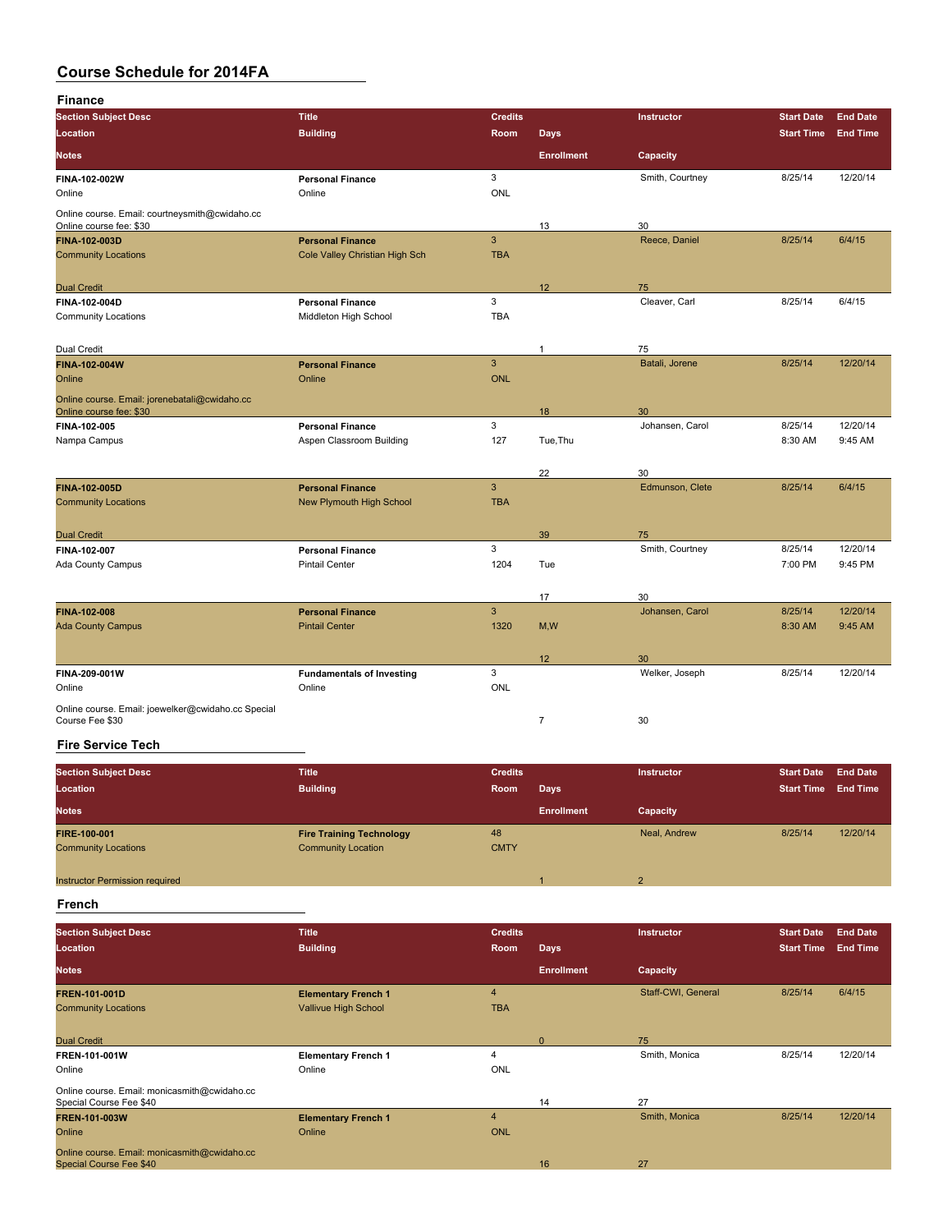| Finance                                                                   |                                  |                |                   |                 |                   |                 |
|---------------------------------------------------------------------------|----------------------------------|----------------|-------------------|-----------------|-------------------|-----------------|
| <b>Section Subject Desc</b>                                               | <b>Title</b>                     | <b>Credits</b> |                   | Instructor      | <b>Start Date</b> | <b>End Date</b> |
| Location                                                                  | <b>Building</b>                  | Room           | <b>Days</b>       |                 | <b>Start Time</b> | <b>End Time</b> |
| Notes                                                                     |                                  |                | <b>Enrollment</b> | Capacity        |                   |                 |
| FINA-102-002W                                                             | <b>Personal Finance</b>          | 3              |                   | Smith, Courtney | 8/25/14           | 12/20/14        |
| Online                                                                    | Online                           | ONL            |                   |                 |                   |                 |
| Online course. Email: courtneysmith@cwidaho.cc<br>Online course fee: \$30 |                                  |                | 13                | 30              |                   |                 |
| <b>FINA-102-003D</b>                                                      | <b>Personal Finance</b>          | $\overline{3}$ |                   | Reece, Daniel   | 8/25/14           | 6/4/15          |
| <b>Community Locations</b>                                                | Cole Valley Christian High Sch   | <b>TBA</b>     |                   |                 |                   |                 |
| <b>Dual Credit</b>                                                        |                                  |                | 12                | 75              |                   |                 |
| FINA 102 004D                                                             | <b>Personal Finance</b>          | 3              |                   | Cleaver, Carl   | 8/25/14           | 6/4/15          |
| <b>Community Locations</b>                                                | Middleton High School            | <b>TBA</b>     |                   |                 |                   |                 |
| Dual Credit                                                               |                                  |                | -1                | 75              |                   |                 |
| FINA-102-004W                                                             | <b>Personal Finance</b>          | $\mathbf{3}$   |                   | Batali, Jorene  | 8/25/14           | 12/20/14        |
| Online                                                                    | Online                           | <b>ONL</b>     |                   |                 |                   |                 |
| Online course. Email: jorenebatali@cwidaho.cc<br>Online course fee: \$30  |                                  |                | 18                | 30              |                   |                 |
| FINA-102-005                                                              | <b>Personal Finance</b>          | 3              |                   | Johansen, Carol | 8/25/14           | 12/20/14        |
| Nampa Campus                                                              | Aspen Classroom Building         | 127            | Tue, Thu          |                 | 8:30 AM           | 9:45 AM         |
|                                                                           |                                  |                | 22                | 30              |                   |                 |
| FINA-102-005D                                                             | <b>Personal Finance</b>          | $\mathbf{3}$   |                   | Edmunson, Clete | 8/25/14           | 6/4/15          |
| <b>Community Locations</b>                                                | <b>New Plymouth High School</b>  | <b>TBA</b>     |                   |                 |                   |                 |
| <b>Dual Credit</b>                                                        |                                  |                | 39                | 75              |                   |                 |
| <b>FINA 102 007</b>                                                       | <b>Personal Finance</b>          | 3              |                   | Smith, Courtney | 8/25/14           | 12/20/14        |
| Ada County Campus                                                         | <b>Pintail Center</b>            | 1204           | Tue               |                 | 7:00 PM           | 9:45 PM         |
|                                                                           |                                  |                | 17                | 30              |                   |                 |
| FINA-102-008                                                              | <b>Personal Finance</b>          | 3              |                   | Johansen, Carol | 8/25/14           | 12/20/14        |
| <b>Ada County Campus</b>                                                  | <b>Pintail Center</b>            | 1320           | M, W              |                 | 8:30 AM           | 9:45 AM         |
|                                                                           |                                  |                | 12                | 30              |                   |                 |
| FINA-209-001W                                                             | <b>Fundamentals of Investing</b> | 3              |                   | Welker, Joseph  | 8/25/14           | 12/20/14        |
| Online                                                                    | Online                           | <b>ONL</b>     |                   |                 |                   |                 |
| Online course. Email: joewelker@cwidaho.cc Special<br>Course Fee \$30     |                                  |                | $\overline{7}$    | 30              |                   |                 |
|                                                                           |                                  |                |                   |                 |                   |                 |

### **Fire Service Tech**

| <b>Section Subject Desc</b>           | <b>Title</b>                    | <b>Credits</b> |                   | <b>Instructor</b> | <b>Start Date</b> | <b>End Date</b> |
|---------------------------------------|---------------------------------|----------------|-------------------|-------------------|-------------------|-----------------|
| Location                              | <b>Building</b>                 | Room           | Days              |                   | <b>Start Time</b> | <b>End Time</b> |
| <b>Notes</b>                          |                                 |                | <b>Enrollment</b> | Capacity          |                   |                 |
| <b>FIRE 100-001</b>                   | <b>Fire Training Technology</b> | 48             |                   | Neal, Andrew      | 8/25/14           | 12/20/14        |
| <b>Community Locations</b>            | <b>Community Location</b>       | <b>CMTY</b>    |                   |                   |                   |                 |
|                                       |                                 |                |                   |                   |                   |                 |
| <b>Instructor Permission required</b> |                                 |                |                   | $\overline{2}$    |                   |                 |

**French**

| <b>Section Subject Desc</b>                                                    | <b>Title</b>               | <b>Credits</b> |                   | <b>Instructor</b>  | <b>Start Date</b> | <b>End Date</b> |
|--------------------------------------------------------------------------------|----------------------------|----------------|-------------------|--------------------|-------------------|-----------------|
| Location                                                                       | <b>Building</b>            | Room           | <b>Days</b>       |                    | <b>Start Time</b> | <b>End Time</b> |
| <b>Notes</b>                                                                   |                            |                | <b>Enrollment</b> | Capacity           |                   |                 |
| <b>FREN-101-001D</b>                                                           | <b>Elementary French 1</b> | 4              |                   | Staff-CWI, General | 8/25/14           | 6/4/15          |
| <b>Community Locations</b>                                                     | Vallivue High School       | <b>TBA</b>     |                   |                    |                   |                 |
| <b>Dual Credit</b>                                                             |                            |                | $\Omega$          | 75                 |                   |                 |
| FREN-101-001W                                                                  | <b>Elementary French 1</b> | 4              |                   | Smith, Monica      | 8/25/14           | 12/20/14        |
| Online                                                                         | Online                     | <b>ONL</b>     |                   |                    |                   |                 |
| Online course. Email: monicasmith@cwidaho.cc<br>Special Course Fee \$40        |                            |                | 14                | 27                 |                   |                 |
| <b>FREN-101-003W</b>                                                           | <b>Elementary French 1</b> | $\overline{4}$ |                   | Smith, Monica      | 8/25/14           | 12/20/14        |
| Online                                                                         | Online                     | <b>ONL</b>     |                   |                    |                   |                 |
| Online course. Email: monicasmith@cwidaho.cc<br><b>Special Course Fee \$40</b> |                            |                | 16                | 27                 |                   |                 |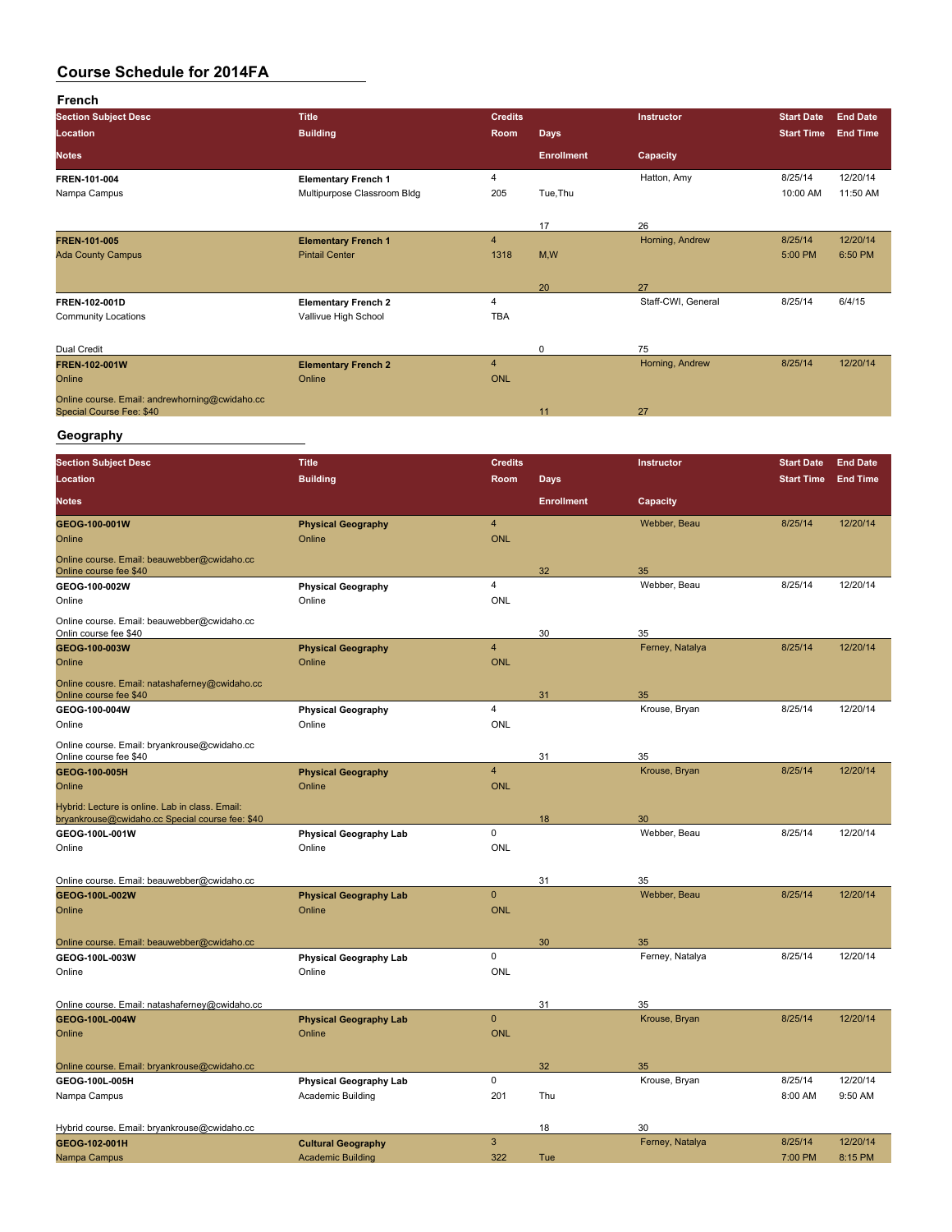| French                                                                                             |                                                           |                         |                   |                       |                     |                      |
|----------------------------------------------------------------------------------------------------|-----------------------------------------------------------|-------------------------|-------------------|-----------------------|---------------------|----------------------|
| <b>Section Subject Desc</b>                                                                        | <b>Title</b>                                              | <b>Credits</b>          |                   | Instructor            | <b>Start Date</b>   | <b>End Date</b>      |
| Location                                                                                           | <b>Building</b>                                           | Room                    | <b>Days</b>       |                       | <b>Start Time</b>   | <b>End Time</b>      |
| <b>Notes</b>                                                                                       |                                                           |                         | <b>Enrollment</b> | Capacity              |                     |                      |
| FREN 101-004<br>Nampa Campus                                                                       | <b>Elementary French 1</b><br>Multipurpose Classroom Bldg | 4<br>205                | Tue, Thu          | Hatton, Amy           | 8/25/14<br>10:00 AM | 12/20/14<br>11:50 AM |
|                                                                                                    |                                                           |                         |                   |                       |                     |                      |
| FREN-101-005                                                                                       | <b>Elementary French 1</b>                                | 4                       | 17                | 26<br>Horning, Andrew | 8/25/14             | 12/20/14             |
| <b>Ada County Campus</b>                                                                           | <b>Pintail Center</b>                                     | 1318                    | M, W              |                       | 5:00 PM             | 6:50 PM              |
|                                                                                                    |                                                           |                         | 20                | 27                    |                     |                      |
| FREN-102-001D<br><b>Community Locations</b>                                                        | <b>Elementary French 2</b><br>Vallivue High School        | 4<br><b>TBA</b>         |                   | Staff-CWI, General    | 8/25/14             | 6/4/15               |
| Dual Credit                                                                                        |                                                           |                         | 0                 | 75                    |                     |                      |
| FREN-102-001W<br>Online                                                                            | <b>Elementary French 2</b><br>Online                      | 4<br><b>ONL</b>         |                   | Horning, Andrew       | 8/25/14             | 12/20/14             |
| Online course. Email: andrewhorning@cwidaho.cc<br>Special Course Fee: \$40                         |                                                           |                         | 11                | 27                    |                     |                      |
| Geography                                                                                          |                                                           |                         |                   |                       |                     |                      |
| <b>Section Subject Desc</b>                                                                        | <b>Title</b>                                              | <b>Credits</b>          |                   | <b>Instructor</b>     | <b>Start Date</b>   | <b>End Date</b>      |
| Location                                                                                           | <b>Building</b>                                           | Room                    | <b>Days</b>       |                       | <b>Start Time</b>   | <b>End Time</b>      |
| <b>Notes</b>                                                                                       |                                                           |                         | <b>Enrollment</b> | Capacity              |                     |                      |
| GEOG-100-001W                                                                                      | <b>Physical Geography</b>                                 | $\overline{4}$          |                   | Webber, Beau          | 8/25/14             | 12/20/14             |
| Online                                                                                             | Online                                                    | <b>ONL</b>              |                   |                       |                     |                      |
| Online course. Email: beauwebber@cwidaho.cc<br>Online course fee \$40                              |                                                           |                         | 32                | 35                    |                     |                      |
| GEOG-100-002W<br>Online                                                                            | <b>Physical Geography</b><br>Online                       | 4<br><b>ONL</b>         |                   | Webber, Beau          | 8/25/14             | 12/20/14             |
| Online course. Email: beauwebber@cwidaho.cc                                                        |                                                           |                         |                   |                       |                     |                      |
| Onlin course fee \$40<br>GEOG-100-003W                                                             | <b>Physical Geography</b>                                 | $\overline{\mathbf{4}}$ | 30                | 35<br>Ferney, Natalya | 8/25/14             | 12/20/14             |
| Online                                                                                             | Online                                                    | <b>ONL</b>              |                   |                       |                     |                      |
| Online cousre. Email: natashaferney@cwidaho.cc                                                     |                                                           |                         |                   |                       |                     |                      |
| Online course fee \$40<br>GEOG-100-004W                                                            | <b>Physical Geography</b>                                 | 4                       | 31                | 35<br>Krouse, Bryan   | 8/25/14             | 12/20/14             |
| Online                                                                                             | Online                                                    | <b>ONL</b>              |                   |                       |                     |                      |
| Online course. Email: bryankrouse@cwidaho.cc                                                       |                                                           |                         |                   |                       |                     |                      |
| Online course fee \$40<br>GEOG 100-005H                                                            | <b>Physical Geography</b>                                 | 4                       | 31                | 35<br>Krouse, Bryan   | 8/25/14             | 12/20/14             |
| Online                                                                                             | Online                                                    | <b>ONL</b>              |                   |                       |                     |                      |
| Hybrid: Lecture is online. Lab in class. Email:<br>bryankrouse@cwidaho.cc Special course fee: \$40 |                                                           |                         |                   | 30                    |                     |                      |
| GEOG-100L-001W                                                                                     | <b>Physical Geography Lab</b>                             | 0                       | 18                | Webber, Beau          | 8/25/14             | 12/20/14             |
| Online                                                                                             | Online                                                    | ONL                     |                   |                       |                     |                      |
|                                                                                                    |                                                           |                         |                   |                       |                     |                      |
| Online course. Email: beauwebber@cwidaho.cc<br>GEOG-100L-002W                                      | <b>Physical Geography Lab</b>                             | $\pmb{0}$               | 31                | 35<br>Webber, Beau    | 8/25/14             | 12/20/14             |
| Online                                                                                             | Online                                                    | <b>ONL</b>              |                   |                       |                     |                      |
|                                                                                                    |                                                           |                         |                   |                       |                     |                      |
| Online course. Email: beauwebber@cwidaho.cc<br>GEOG-100L-003W                                      | <b>Physical Geography Lab</b>                             | 0                       | 30                | 35<br>Ferney, Natalya | 8/25/14             | 12/20/14             |
| Online                                                                                             | Online                                                    | ONL                     |                   |                       |                     |                      |
|                                                                                                    |                                                           |                         |                   |                       |                     |                      |
| Online course. Email: natashaferney@cwidaho.cc<br>GEOG-100L-004W                                   | <b>Physical Geography Lab</b>                             | $\pmb{0}$               | 31                | 35<br>Krouse, Bryan   | 8/25/14             | 12/20/14             |
| Online                                                                                             | Online                                                    | <b>ONL</b>              |                   |                       |                     |                      |
|                                                                                                    |                                                           |                         |                   |                       |                     |                      |
| Online course. Email: bryankrouse@cwidaho.cc                                                       |                                                           | 0                       | 32                | 35<br>Krouse, Bryan   | 8/25/14             | 12/20/14             |
| GEOG-100L-005H<br>Nampa Campus                                                                     | <b>Physical Geography Lab</b><br>Academic Building        | 201                     | Thu               |                       | 8:00 AM             | 9:50 AM              |
|                                                                                                    |                                                           |                         |                   |                       |                     |                      |
| Hybrid course. Email: bryankrouse@cwidaho.cc                                                       |                                                           |                         | 18                | 30                    |                     |                      |
| GEOG-102-001H<br>Nampa Campus                                                                      | <b>Cultural Geography</b><br><b>Academic Building</b>     | $\mathbf{3}$<br>322     | Tue               | Ferney, Natalya       | 8/25/14<br>7:00 PM  | 12/20/14<br>8:15 PM  |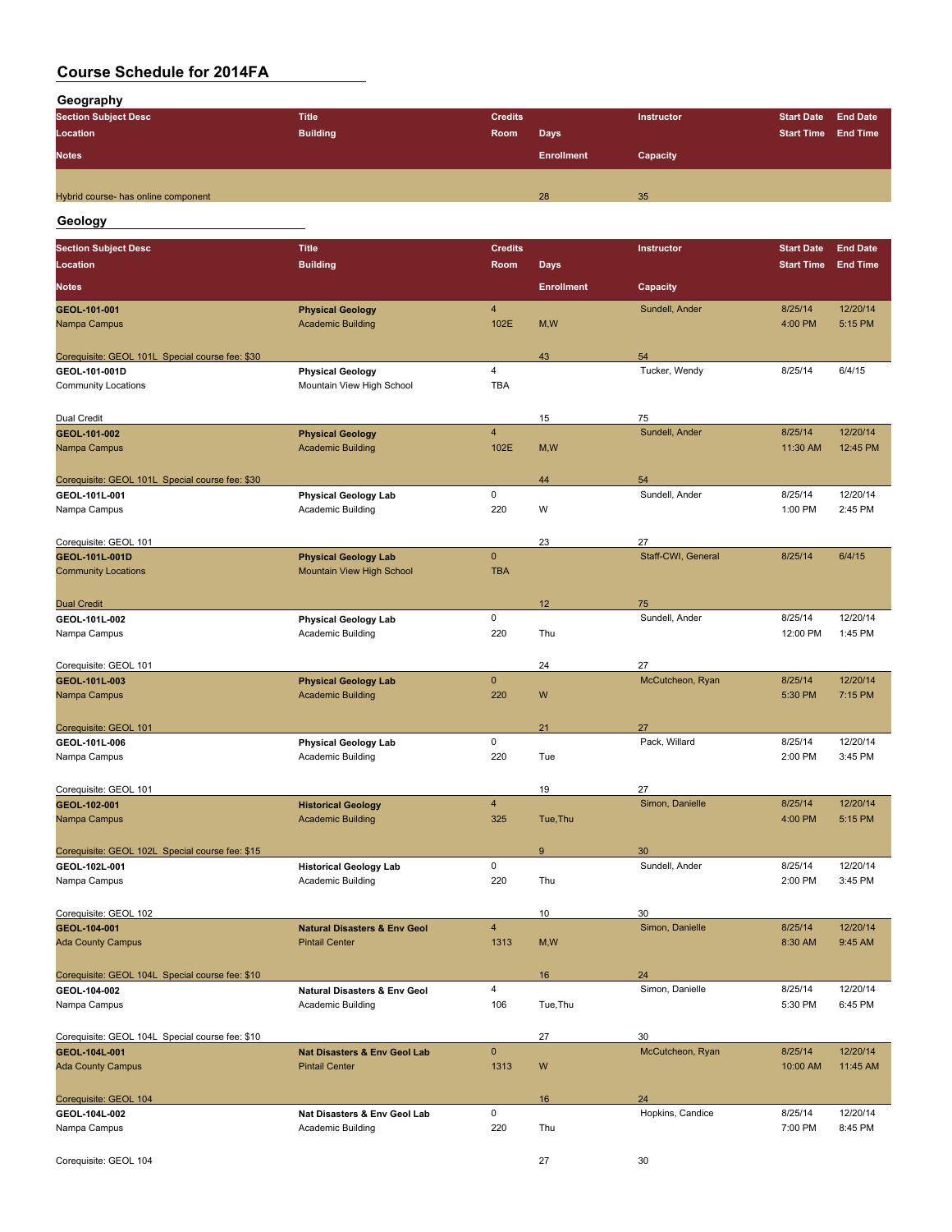**Geography**

| .                                   |                 |                |                   |                   |                            |  |
|-------------------------------------|-----------------|----------------|-------------------|-------------------|----------------------------|--|
| <b>Section Subject Desc</b>         | <b>Title</b>    | <b>Credits</b> |                   | <b>Instructor</b> | Start Date End Date        |  |
| Location                            | <b>Building</b> | Room           | Days              |                   | <b>Start Time End Time</b> |  |
| <b>Notes</b>                        |                 |                | <b>Enrollment</b> | Capacity          |                            |  |
|                                     |                 |                |                   |                   |                            |  |
| Hybrid course- has online component |                 |                | 28                | 35                |                            |  |
|                                     |                 |                |                   |                   |                            |  |

### **Geology**

| <b>Section Subject Desc</b>                     | <b>Title</b>                                       | <b>Credits</b>          |                   | Instructor             | <b>Start Date</b>  | <b>End Date</b>     |
|-------------------------------------------------|----------------------------------------------------|-------------------------|-------------------|------------------------|--------------------|---------------------|
| Location                                        | <b>Building</b>                                    | Room                    | <b>Days</b>       |                        | <b>Start Time</b>  | <b>End Time</b>     |
| <b>Notes</b>                                    |                                                    |                         | <b>Enrollment</b> | Capacity               |                    |                     |
| GEOL 101-001                                    | <b>Physical Geology</b>                            | $\overline{4}$          |                   | Sundell, Ander         | 8/25/14            | 12/20/14            |
| Nampa Campus                                    | <b>Academic Building</b>                           | 102E                    | M,W               |                        | 4:00 PM            | 5:15 PM             |
|                                                 |                                                    |                         |                   |                        |                    |                     |
| Corequisite: GEOL 101L Special course fee: \$30 |                                                    |                         | 43                | 54                     |                    |                     |
| GEOL-101-001D                                   | <b>Physical Geology</b>                            | $\overline{\mathbf{4}}$ |                   | Tucker, Wendy          | 8/25/14            | 6/4/15              |
| <b>Community Locations</b>                      | Mountain View High School                          | <b>TBA</b>              |                   |                        |                    |                     |
|                                                 |                                                    |                         |                   |                        |                    |                     |
| Dual Credit                                     |                                                    |                         | 15                | 75                     |                    |                     |
| GEOL-101-002                                    | <b>Physical Geology</b>                            | $\overline{4}$          |                   | Sundell, Ander         | 8/25/14            | 12/20/14            |
| Nampa Campus                                    | <b>Academic Building</b>                           | 102E                    | M, W              |                        | 11:30 AM           | 12:45 PM            |
| Corequisite: GEOL 101L Special course fee: \$30 |                                                    |                         | 44                | 54                     |                    |                     |
| GEOL 101L-001                                   | <b>Physical Geology Lab</b>                        | $\mathsf 0$             |                   | Sundell, Ander         | 8/25/14            | 12/20/14            |
| Nampa Campus                                    | Academic Building                                  | 220                     | W                 |                        | 1:00 PM            | 2:45 PM             |
|                                                 |                                                    |                         |                   |                        |                    |                     |
| Corequisite: GEOL 101                           |                                                    |                         | 23                | 27                     |                    |                     |
| GEOL-101L-001D                                  | <b>Physical Geology Lab</b>                        | $\mathbf 0$             |                   | Staff-CWI, General     | 8/25/14            | 6/4/15              |
| <b>Community Locations</b>                      | Mountain View High School                          | <b>TBA</b>              |                   |                        |                    |                     |
|                                                 |                                                    |                         |                   |                        |                    |                     |
| <b>Dual Credit</b>                              |                                                    |                         | 12                | 75                     |                    |                     |
| GEOL-101L-002                                   | <b>Physical Geology Lab</b>                        | 0                       |                   | Sundell, Ander         | 8/25/14            | 12/20/14            |
| Nampa Campus                                    | Academic Building                                  | 220                     | Thu               |                        | 12:00 PM           | 1:45 PM             |
|                                                 |                                                    |                         |                   |                        |                    |                     |
| Corequisite: GEOL 101                           |                                                    | $\mathbf{0}$            | 24                | 27<br>McCutcheon, Ryan | 8/25/14            | 12/20/14            |
| GEOL-101L-003                                   | <b>Physical Geology Lab</b>                        | 220                     | W                 |                        |                    |                     |
| Nampa Campus                                    | <b>Academic Building</b>                           |                         |                   |                        | 5:30 PM            | 7:15 PM             |
| Corequisite: GEOL 101                           |                                                    |                         | 21                | 27                     |                    |                     |
| GEOL-101L-006                                   | <b>Physical Geology Lab</b>                        | 0                       |                   | Pack, Willard          | 8/25/14            | 12/20/14            |
| Nampa Campus                                    | Academic Building                                  | 220                     | Tue               |                        | 2:00 PM            | 3:45 PM             |
|                                                 |                                                    |                         |                   |                        |                    |                     |
| Corequisite: GEOL 101                           |                                                    |                         | 19                | 27                     |                    |                     |
| GEOL-102-001                                    | <b>Historical Geology</b>                          | $\overline{4}$          |                   | Simon, Danielle        | 8/25/14            | 12/20/14            |
| Nampa Campus                                    | <b>Academic Building</b>                           | 325                     | Tue, Thu          |                        | 4:00 PM            | 5:15 PM             |
|                                                 |                                                    |                         |                   |                        |                    |                     |
| Corequisite: GEOL 102L Special course fee: \$15 |                                                    | $\mathsf 0$             | $9\,$             | 30                     |                    |                     |
| GEOL-102L-001<br>Nampa Campus                   | <b>Historical Geology Lab</b><br>Academic Building | 220                     | Thu               | Sundell, Ander         | 8/25/14<br>2:00 PM | 12/20/14<br>3:45 PM |
|                                                 |                                                    |                         |                   |                        |                    |                     |
| Corequisite: GEOL 102                           |                                                    |                         | 10                | 30                     |                    |                     |
| GEOL-104-001                                    | <b>Natural Disasters &amp; Env Geol</b>            | $\overline{4}$          |                   | Simon, Danielle        | 8/25/14            | 12/20/14            |
| <b>Ada County Campus</b>                        | <b>Pintail Center</b>                              | 1313                    | M, W              |                        | 8:30 AM            | 9:45 AM             |
|                                                 |                                                    |                         |                   |                        |                    |                     |
| Corequisite: GEOL 104L Special course fee: \$10 |                                                    |                         | 16                | 24                     |                    |                     |
| GEOL-104-002                                    | <b>Natural Disasters &amp; Env Geol</b>            | 4                       |                   | Simon, Danielle        | 8/25/14            | 12/20/14            |
| Nampa Campus                                    | Academic Building                                  | 106                     | Tue, Thu          |                        | 5:30 PM            | 6:45 PM             |
|                                                 |                                                    |                         |                   |                        |                    |                     |
| Corequisite: GEOL 104L Special course fee: \$10 |                                                    | $\mathbf 0$             | 27                | 30                     |                    |                     |
| GEOL 104L 001                                   | <b>Nat Disasters &amp; Env Geol Lab</b>            |                         |                   | McCutcheon, Ryan       | 8/25/14            | 12/20/14            |
| <b>Ada County Campus</b>                        | <b>Pintail Center</b>                              | 1313                    | W                 |                        | 10:00 AM           | 11:45 AM            |
| Corequisite: GEOL 104                           |                                                    |                         | 16                | 24                     |                    |                     |
| GEOL-104L-002                                   | Nat Disasters & Env Geol Lab                       | 0                       |                   | Hopkins, Candice       | 8/25/14            | 12/20/14            |
| Nampa Campus                                    | Academic Building                                  | 220                     | Thu               |                        | 7:00 PM            | 8:45 PM             |
|                                                 |                                                    |                         |                   |                        |                    |                     |
| Corequisite: GEOL 104                           |                                                    |                         | 27                | 30                     |                    |                     |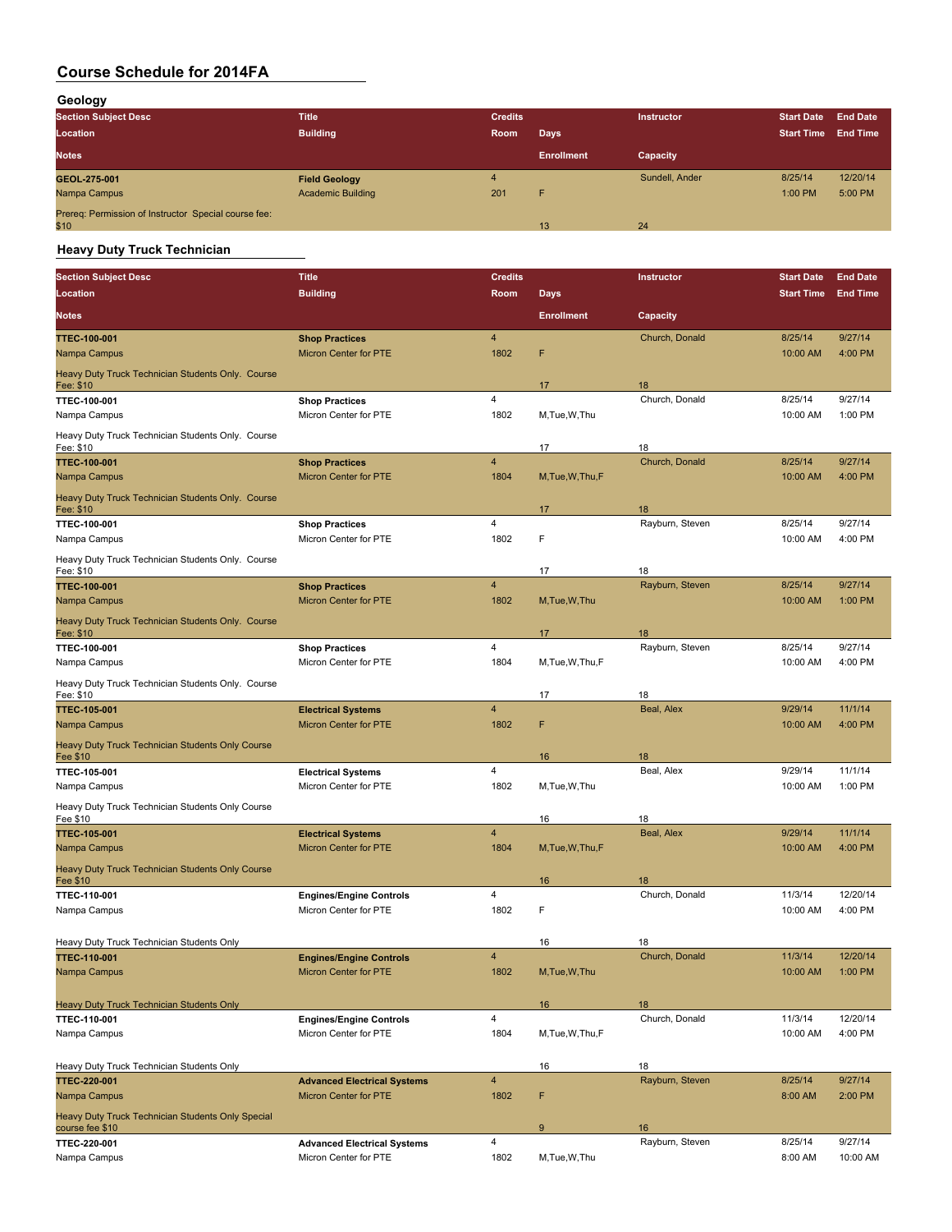**Geology**

| ---<br><b>Section Subject Desc</b>                           | <b>Title</b>             | <b>Credits</b> |                   | <b>Instructor</b> | <b>Start Date</b> | <b>End Date</b> |
|--------------------------------------------------------------|--------------------------|----------------|-------------------|-------------------|-------------------|-----------------|
| <b>Location</b>                                              | <b>Building</b>          | Room           | Days.             |                   | <b>Start Time</b> | <b>End Time</b> |
| <b>Notes</b>                                                 |                          |                | <b>Enrollment</b> | Capacity          |                   |                 |
| GEOL 275 001                                                 | <b>Field Geology</b>     |                |                   | Sundell, Ander    | 8/25/14           | 12/20/14        |
| Nampa Campus                                                 | <b>Academic Building</b> | 201            | F                 |                   | 1:00 PM           | 5:00 PM         |
| Prereq: Permission of Instructor Special course fee:<br>\$10 |                          |                | 13                | 24                |                   |                 |

## **Heavy Duty Truck Technician**

| <b>Section Subject Desc</b>                                          | <b>Title</b>                                   | <b>Credits</b>          |                   | Instructor           | <b>Start Date</b> | <b>End Date</b> |
|----------------------------------------------------------------------|------------------------------------------------|-------------------------|-------------------|----------------------|-------------------|-----------------|
| Location                                                             | <b>Building</b>                                | Room                    | <b>Days</b>       |                      | <b>Start Time</b> | <b>End Time</b> |
| <b>Notes</b>                                                         |                                                |                         | <b>Enrollment</b> | Capacity             |                   |                 |
| <b>TTEC-100-001</b>                                                  | <b>Shop Practices</b>                          | $\overline{4}$          |                   | Church, Donald       | 8/25/14           | 9/27/14         |
| Nampa Campus                                                         | Micron Center for PTE                          | 1802                    | F                 |                      | 10:00 AM          | 4:00 PM         |
| Heavy Duty Truck Technician Students Only. Course                    |                                                |                         |                   |                      |                   |                 |
| <u> Fee: \$10</u>                                                    |                                                | $\overline{\mathbf{4}}$ | 17                | 18<br>Church, Donald | 8/25/14           | 9/27/14         |
| <b>TTEC 100-001</b><br>Nampa Campus                                  | <b>Shop Practices</b><br>Micron Center for PTE | 1802                    | M, Tue, W, Thu    |                      | 10:00 AM          | 1:00 PM         |
| Heavy Duty Truck Technician Students Only. Course<br>Fee: \$10       |                                                |                         | 17                | 18                   |                   |                 |
| <b>TTEC-100-001</b>                                                  | <b>Shop Practices</b>                          | $\overline{4}$          |                   | Church, Donald       | 8/25/14           | 9/27/14         |
| Nampa Campus                                                         | Micron Center for PTE                          | 1804                    | M, Tue, W, Thu, F |                      | 10:00 AM          | 4:00 PM         |
| Heavy Duty Truck Technician Students Only. Course<br>Fee: \$10       |                                                |                         | 17                | 18                   |                   |                 |
| TTEC-100-001                                                         | <b>Shop Practices</b>                          | 4                       |                   | Rayburn, Steven      | 8/25/14           | 9/27/14         |
| Nampa Campus                                                         | Micron Center for PTE                          | 1802                    | F                 |                      | 10:00 AM          | 4:00 PM         |
| Heavy Duty Truck Technician Students Only. Course<br>Fee: \$10       |                                                |                         | 17                | 18                   |                   |                 |
| <b>TTEC 100 001</b>                                                  | <b>Shop Practices</b>                          | $\overline{4}$          |                   | Rayburn, Steven      | 8/25/14           | 9/27/14         |
| Nampa Campus                                                         | Micron Center for PTE                          | 1802                    | M, Tue, W, Thu    |                      | 10:00 AM          | 1:00 PM         |
| Heavy Duty Truck Technician Students Only. Course<br>Fee: \$10       |                                                |                         | 17                | 18                   |                   |                 |
| TTEC-100-001                                                         | <b>Shop Practices</b>                          | 4                       |                   | Rayburn, Steven      | 8/25/14           | 9/27/14         |
| Nampa Campus                                                         | Micron Center for PTE                          | 1804                    | M, Tue, W, Thu, F |                      | 10:00 AM          | 4:00 PM         |
| Heavy Duty Truck Technician Students Only. Course<br>Fee: \$10       |                                                |                         | 17                | 18                   |                   |                 |
| <b>TTEC-105-001</b>                                                  | <b>Electrical Systems</b>                      | $\overline{4}$          |                   | Beal, Alex           | 9/29/14           | 11/1/14         |
| Nampa Campus                                                         | <b>Micron Center for PTE</b>                   | 1802                    | F                 |                      | 10:00 AM          | 4:00 PM         |
| Heavy Duty Truck Technician Students Only Course<br>Fee \$10         |                                                |                         | 16                | 18                   |                   |                 |
| TTEC 105-001                                                         | <b>Electrical Systems</b>                      | 4                       |                   | Beal, Alex           | 9/29/14           | 11/1/14         |
| Nampa Campus                                                         | Micron Center for PTE                          | 1802                    | M, Tue, W, Thu    |                      | 10:00 AM          | 1:00 PM         |
| Heavy Duty Truck Technician Students Only Course<br>Fee \$10         |                                                |                         | 16                | 18                   |                   |                 |
| <b>TTEC-105-001</b>                                                  | <b>Electrical Systems</b>                      | $\overline{4}$          |                   | Beal, Alex           | 9/29/14           | 11/1/14         |
| Nampa Campus                                                         | <b>Micron Center for PTE</b>                   | 1804                    | M, Tue, W, Thu, F |                      | 10:00 AM          | 4:00 PM         |
| Heavy Duty Truck Technician Students Only Course<br>Fee \$10         |                                                |                         | 16                | 18                   |                   |                 |
| TTEC-110-001                                                         | <b>Engines/Engine Controls</b>                 | 4                       |                   | Church, Donald       | 11/3/14           | 12/20/14        |
| Nampa Campus                                                         | Micron Center for PTE                          | 1802                    | F                 |                      | 10:00 AM          | 4:00 PM         |
| Heavy Duty Truck Technician Students Only                            |                                                |                         | 16                | 18                   |                   |                 |
| <b>TTEC-110-001</b>                                                  | <b>Engines/Engine Controls</b>                 | $\overline{4}$          |                   | Church, Donald       | 11/3/14           | 12/20/14        |
| Nampa Campus                                                         | Micron Center for PTE                          | 1802                    | M, Tue, W, Thu    |                      | 10:00 AM          | 1:00 PM         |
| Heavy Duty Truck Technician Students Only                            |                                                |                         | 16                | 18                   |                   |                 |
| TTEC-110-001                                                         | <b>Engines/Engine Controls</b>                 | $\overline{4}$          |                   | Church, Donald       | 11/3/14           | 12/20/14        |
| Nampa Campus                                                         | Micron Center for PTE                          | 1804                    | M, Tue, W, Thu, F |                      | 10:00 AM          | 4:00 PM         |
| Heavy Duty Truck Technician Students Only                            |                                                |                         | 16                | 18                   |                   |                 |
| <b>TTEC-220-001</b>                                                  | <b>Advanced Electrical Systems</b>             | $\overline{4}$          |                   | Rayburn, Steven      | 8/25/14           | 9/27/14         |
| Nampa Campus                                                         | Micron Center for PTE                          | 1802                    | F                 |                      | 8:00 AM           | 2:00 PM         |
| Heavy Duty Truck Technician Students Only Special<br>course fee \$10 |                                                |                         | 9                 | 16                   |                   |                 |
| TTEC 220-001                                                         | <b>Advanced Electrical Systems</b>             | $\overline{\mathbf{4}}$ |                   | Rayburn, Steven      | 8/25/14           | 9/27/14         |
| Nampa Campus                                                         | Micron Center for PTE                          | 1802                    | M, Tue, W, Thu    |                      | 8:00 AM           | 10:00 AM        |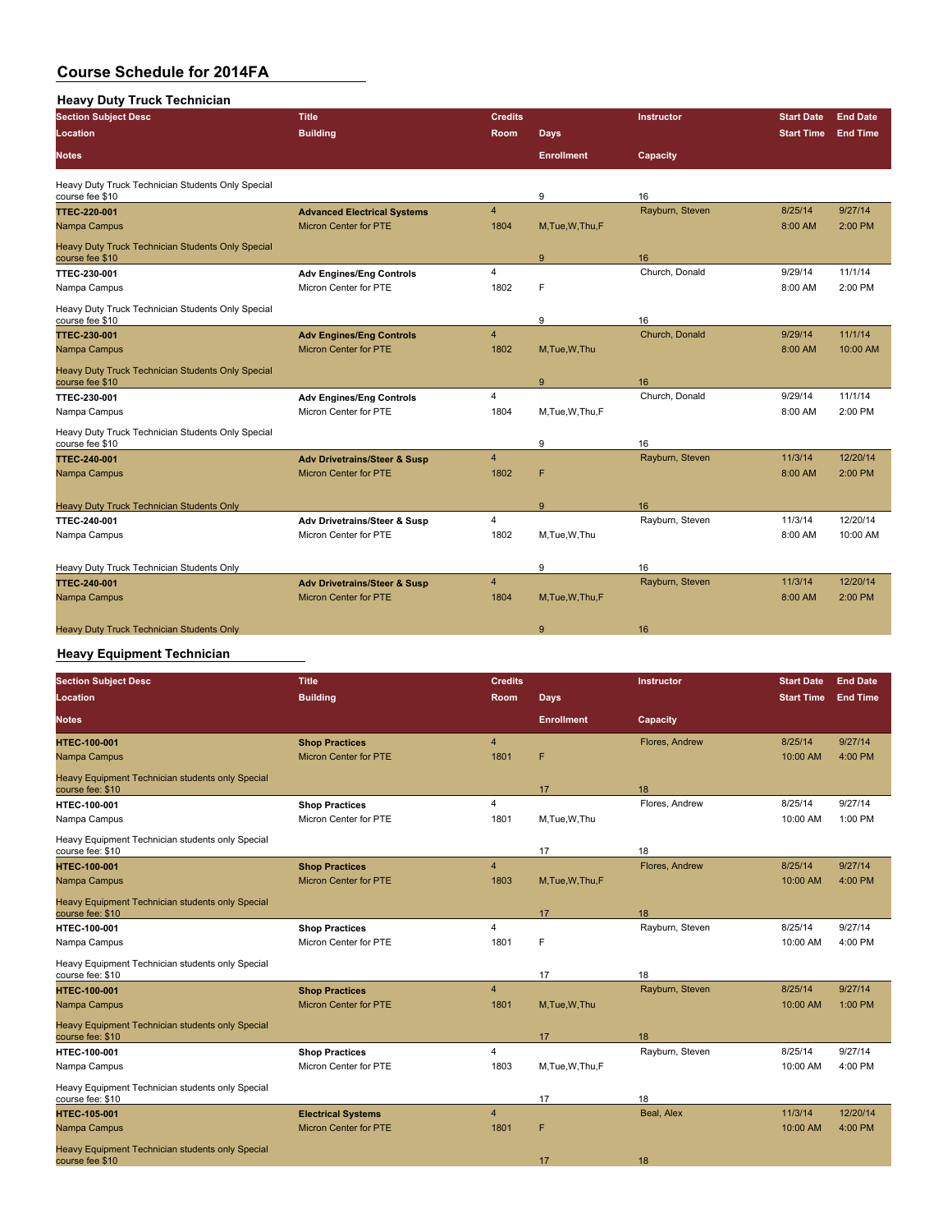### **Heavy Duty Truck Technician**

| <b>Section Subject Desc</b>                                          | <b>Title</b>                            | <b>Credits</b> |                   | <b>Instructor</b> | <b>Start Date</b> | <b>End Date</b> |
|----------------------------------------------------------------------|-----------------------------------------|----------------|-------------------|-------------------|-------------------|-----------------|
| Location                                                             | <b>Building</b>                         | <b>Room</b>    | <b>Days</b>       |                   | <b>Start Time</b> | <b>End Time</b> |
| Notes                                                                |                                         |                | <b>Enrollment</b> | Capacity          |                   |                 |
| Heavy Duty Truck Technician Students Only Special<br>course fee \$10 |                                         |                | 9                 | 16                |                   |                 |
| <b>TTEC 220 001</b>                                                  | <b>Advanced Electrical Systems</b>      | 4              |                   | Rayburn, Steven   | 8/25/14           | 9/27/14         |
| Nampa Campus                                                         | <b>Micron Center for PTE</b>            | 1804           | M, Tue, W, Thu, F |                   | 8:00 AM           | 2:00 PM         |
| Heavy Duty Truck Technician Students Only Special<br>course fee \$10 |                                         |                | 9                 | 16                |                   |                 |
| <b>TTEC 230-001</b>                                                  | <b>Adv Engines/Eng Controls</b>         | $\overline{4}$ |                   | Church, Donald    | 9/29/14           | 11/1/14         |
| Nampa Campus                                                         | Micron Center for PTE                   | 1802           | F                 |                   | 8:00 AM           | 2:00 PM         |
| Heavy Duty Truck Technician Students Only Special<br>course fee \$10 |                                         |                | 9                 | 16                |                   |                 |
| <b>TTEC 230 001</b>                                                  | <b>Adv Engines/Eng Controls</b>         | 4              |                   | Church, Donald    | 9/29/14           | 11/1/14         |
| Nampa Campus                                                         | <b>Micron Center for PTE</b>            | 1802           | M.Tue, W.Thu      |                   | 8:00 AM           | 10:00 AM        |
| Heavy Duty Truck Technician Students Only Special<br>course fee \$10 |                                         |                | 9                 | 16                |                   |                 |
| <b>TTEC-230-001</b>                                                  | <b>Adv Engines/Eng Controls</b>         | 4              |                   | Church, Donald    | 9/29/14           | 11/1/14         |
| Nampa Campus                                                         | Micron Center for PTE                   | 1804           | M,Tue,W,Thu,F     |                   | 8:00 AM           | 2:00 PM         |
| Heavy Duty Truck Technician Students Only Special<br>course fee \$10 |                                         |                | 9                 | 16                |                   |                 |
| <b>TTEC 240 001</b>                                                  | <b>Adv Drivetrains/Steer &amp; Susp</b> | 4              |                   | Rayburn, Steven   | 11/3/14           | 12/20/14        |
| Nampa Campus                                                         | <b>Micron Center for PTE</b>            | 1802           | F                 |                   | 8:00 AM           | 2:00 PM         |
| Heavy Duty Truck Technician Students Only                            |                                         |                | 9                 | 16                |                   |                 |
| <b>TTEC 240-001</b>                                                  | Adv Drivetrains/Steer & Susp            | 4              |                   | Rayburn, Steven   | 11/3/14           | 12/20/14        |
| Nampa Campus                                                         | Micron Center for PTE                   | 1802           | M.Tue.W.Thu       |                   | 8:00 AM           | 10:00 AM        |
| Heavy Duty Truck Technician Students Only                            |                                         |                | 9                 | 16                |                   |                 |
| <b>TTEC 240 001</b>                                                  | <b>Adv Drivetrains/Steer &amp; Susp</b> | 4              |                   | Rayburn, Steven   | 11/3/14           | 12/20/14        |
| Nampa Campus                                                         | <b>Micron Center for PTE</b>            | 1804           | M.Tue, W.Thu, F   |                   | 8:00 AM           | 2:00 PM         |
| <b>Heavy Duty Truck Technician Students Only</b>                     |                                         |                | 9                 | 16                |                   |                 |

## **Heavy Equipment Technician**

| <b>Section Subject Desc</b>                                          | <b>Title</b>                 | <b>Credits</b> |                   | Instructor      | <b>Start Date</b> | <b>End Date</b> |
|----------------------------------------------------------------------|------------------------------|----------------|-------------------|-----------------|-------------------|-----------------|
| Location                                                             | <b>Building</b>              | Room           | <b>Days</b>       |                 | <b>Start Time</b> | <b>End Time</b> |
| <b>Notes</b>                                                         |                              |                | <b>Enrollment</b> | Capacity        |                   |                 |
| <b>HTEC 100-001</b>                                                  | <b>Shop Practices</b>        | $\overline{4}$ |                   | Flores, Andrew  | 8/25/14           | 9/27/14         |
| Nampa Campus                                                         | <b>Micron Center for PTE</b> | 1801           | F                 |                 | 10:00 AM          | 4:00 PM         |
| Heavy Equipment Technician students only Special<br>course fee: \$10 |                              |                | 17                | 18              |                   |                 |
| <b>HTEC 100-001</b>                                                  | <b>Shop Practices</b>        | $\overline{4}$ |                   | Flores, Andrew  | 8/25/14           | 9/27/14         |
| Nampa Campus                                                         | Micron Center for PTE        | 1801           | M.Tue.W.Thu       |                 | 10:00 AM          | $1:00$ PM       |
| Heavy Equipment Technician students only Special<br>course fee: \$10 |                              |                | 17                | 18              |                   |                 |
| <b>HTEC 100-001</b>                                                  | <b>Shop Practices</b>        | $\overline{4}$ |                   | Flores, Andrew  | 8/25/14           | 9/27/14         |
| Nampa Campus                                                         | Micron Center for PTE        | 1803           | M, Tue, W, Thu, F |                 | 10:00 AM          | 4:00 PM         |
| Heavy Equipment Technician students only Special<br>course fee: \$10 |                              |                | 17                | 18              |                   |                 |
| <b>HTEC-100-001</b>                                                  | <b>Shop Practices</b>        | $\overline{4}$ |                   | Rayburn, Steven | 8/25/14           | 9/27/14         |
| Nampa Campus                                                         | Micron Center for PTE        | 1801           | F                 |                 | 10:00 AM          | 4:00 PM         |
| Heavy Equipment Technician students only Special<br>course fee: \$10 |                              |                | 17                | 18              |                   |                 |
| <b>HTEC 100-001</b>                                                  | <b>Shop Practices</b>        | $\overline{4}$ |                   | Rayburn, Steven | 8/25/14           | 9/27/14         |
| Nampa Campus                                                         | <b>Micron Center for PTE</b> | 1801           | M,Tue,W,Thu       |                 | 10:00 AM          | 1:00 PM         |
| Heavy Equipment Technician students only Special<br>course fee: \$10 |                              |                | 17                | 18              |                   |                 |
| <b>HTEC-100-001</b>                                                  | <b>Shop Practices</b>        | $\overline{4}$ |                   | Rayburn, Steven | 8/25/14           | 9/27/14         |
| Nampa Campus                                                         | Micron Center for PTE        | 1803           | M, Tue, W, Thu, F |                 | 10:00 AM          | $4:00$ PM       |
| Heavy Equipment Technician students only Special<br>course fee: \$10 |                              |                | 17                | 18              |                   |                 |
| <b>HTEC 105 001</b>                                                  | <b>Electrical Systems</b>    | $\overline{4}$ |                   | Beal, Alex      | 11/3/14           | 12/20/14        |
| Nampa Campus                                                         | <b>Micron Center for PTE</b> | 1801           | F                 |                 | 10:00 AM          | 4:00 PM         |
| Heavy Equipment Technician students only Special<br>course fee \$10  |                              |                | 17                | 18              |                   |                 |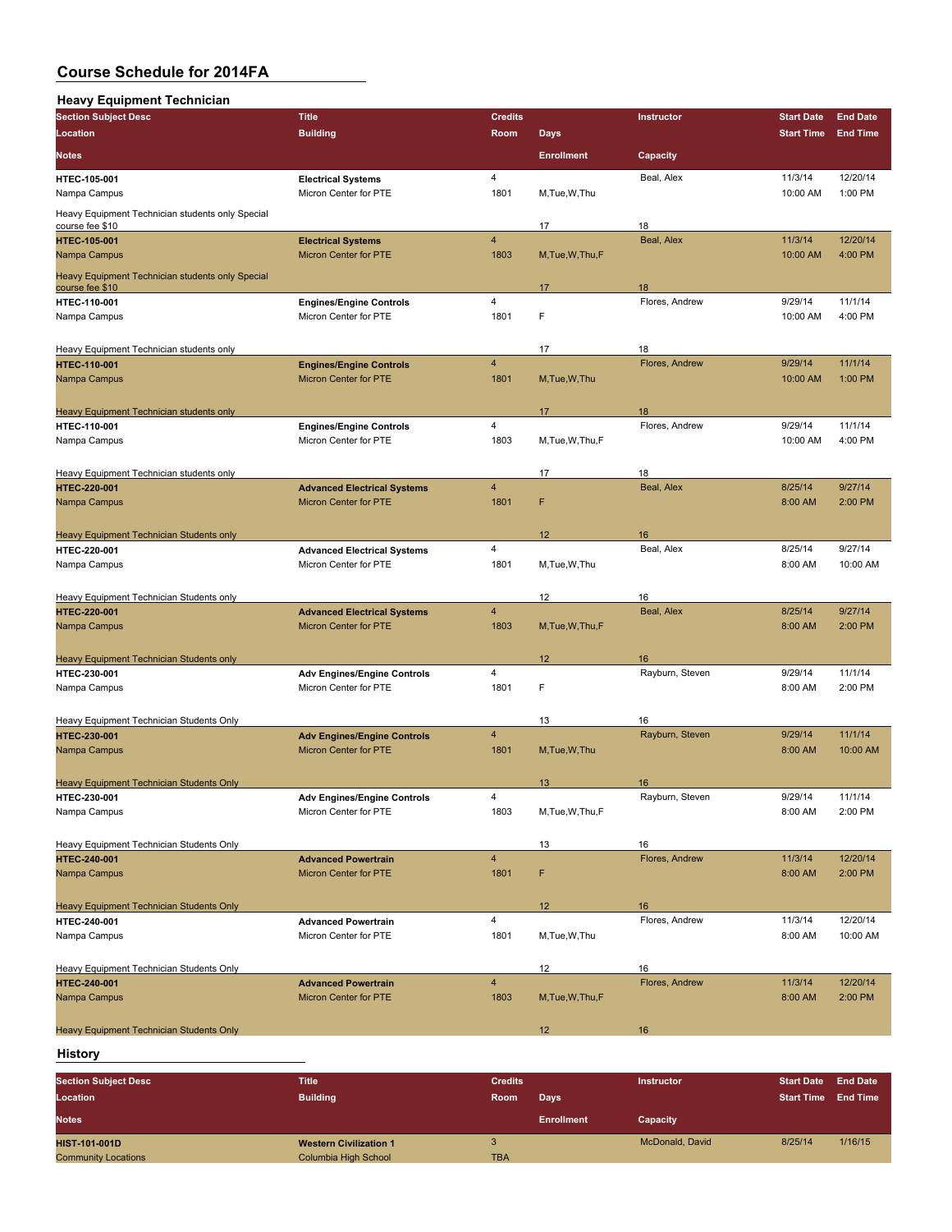| <b>Heavy Equipment Technician</b>                                   |                                                    |                         |                   |                 |                   |                 |
|---------------------------------------------------------------------|----------------------------------------------------|-------------------------|-------------------|-----------------|-------------------|-----------------|
| <b>Section Subject Desc</b>                                         | <b>Title</b>                                       | <b>Credits</b>          |                   | Instructor      | <b>Start Date</b> | <b>End Date</b> |
| Location                                                            | <b>Building</b>                                    | Room                    | <b>Days</b>       |                 | <b>Start Time</b> | <b>End Time</b> |
| <b>Notes</b>                                                        |                                                    |                         | <b>Enrollment</b> | Capacity        |                   |                 |
|                                                                     |                                                    | $\overline{4}$          |                   | Beal, Alex      | 11/3/14           | 12/20/14        |
| HTEC-105-001<br>Nampa Campus                                        | <b>Electrical Systems</b><br>Micron Center for PTE | 1801                    | M,Tue,W,Thu       |                 | 10:00 AM          | 1:00 PM         |
| Heavy Equipment Technician students only Special<br>course fee \$10 |                                                    |                         | 17                | 18              |                   |                 |
| <b>HTEC-105-001</b>                                                 | <b>Electrical Systems</b>                          | $\overline{\mathbf{4}}$ |                   | Beal, Alex      | 11/3/14           | 12/20/14        |
| Nampa Campus                                                        | Micron Center for PTE                              | 1803                    | M, Tue, W, Thu, F |                 | 10:00 AM          | 4:00 PM         |
| Heavy Equipment Technician students only Special<br>course fee \$10 |                                                    |                         | 17                | 18              |                   |                 |
| HTEC-110-001                                                        | <b>Engines/Engine Controls</b>                     | 4                       |                   | Flores, Andrew  | 9/29/14           | 11/1/14         |
| Nampa Campus                                                        | Micron Center for PTE                              | 1801                    | F                 |                 | 10:00 AM          | 4:00 PM         |
| Heavy Equipment Technician students only                            |                                                    |                         | 17                | 18              |                   |                 |
| <b>HTEC-110-001</b>                                                 | <b>Engines/Engine Controls</b>                     | $\overline{4}$          |                   | Flores, Andrew  | 9/29/14           | 11/1/14         |
| Nampa Campus                                                        | <b>Micron Center for PTE</b>                       | 1801                    | M, Tue, W, Thu    |                 | 10:00 AM          | 1:00 PM         |
| Heavy Equipment Technician students only                            |                                                    |                         | 17                | 18              |                   |                 |
| <b>HTEC-110-001</b>                                                 | <b>Engines/Engine Controls</b>                     | 4                       |                   | Flores, Andrew  | 9/29/14           | 11/1/14         |
| Nampa Campus                                                        | Micron Center for PTE                              | 1803                    | M.Tue.W.Thu.F     |                 | 10:00 AM          | 4:00 PM         |
| Heavy Equipment Technician students only                            |                                                    |                         | 17                | 18              |                   |                 |
| <b>HTEC-220-001</b>                                                 | <b>Advanced Electrical Systems</b>                 | $\overline{4}$          |                   | Beal, Alex      | 8/25/14           | 9/27/14         |
| Nampa Campus                                                        | <b>Micron Center for PTE</b>                       | 1801                    | F                 |                 | 8:00 AM           | 2:00 PM         |
| Heavy Equipment Technician Students only                            |                                                    |                         | 12                | 16              |                   |                 |
| HTEC-220-001                                                        | <b>Advanced Electrical Systems</b>                 | 4                       |                   | Beal, Alex      | 8/25/14           | 9/27/14         |
| Nampa Campus                                                        | Micron Center for PTE                              | 1801                    | M,Tue,W,Thu       |                 | 8:00 AM           | 10:00 AM        |
| Heavy Equipment Technician Students only                            |                                                    |                         | 12                | 16              |                   |                 |
| <b>HTEC-220-001</b>                                                 | <b>Advanced Electrical Systems</b>                 | $\overline{4}$          |                   | Beal, Alex      | 8/25/14           | 9/27/14         |
| Nampa Campus                                                        | <b>Micron Center for PTE</b>                       | 1803                    | M, Tue, W, Thu, F |                 | 8:00 AM           | 2:00 PM         |
| <b>Heavy Equipment Technician Students only</b>                     |                                                    |                         | 12                | 16              |                   |                 |
| <b>HTEC 230-001</b>                                                 | <b>Adv Engines/Engine Controls</b>                 | 4                       |                   | Rayburn, Steven | 9/29/14           | 11/1/14         |
| Nampa Campus                                                        | Micron Center for PTE                              | 1801                    | F                 |                 | 8:00 AM           | 2:00 PM         |
| Heavy Equipment Technician Students Only                            |                                                    |                         | 13                | 16              |                   |                 |
| <b>HTEC-230-001</b>                                                 | <b>Adv Engines/Engine Controls</b>                 | $\overline{4}$          |                   | Rayburn, Steven | 9/29/14           | 11/1/14         |
| Nampa Campus                                                        | Micron Center for PTE                              | 1801                    | M, Tue, W, Thu    |                 | 8:00 AM           | 10:00 AM        |
| <b>Heavy Equipment Technician Students Only</b>                     |                                                    |                         | 13                | 16              |                   |                 |
| HTEC-230-001                                                        | <b>Adv Engines/Engine Controls</b>                 | 4                       |                   | Rayburn, Steven | 9/29/14           | 11/1/14         |
| Nampa Campus                                                        | Micron Center for PTE                              | 1803                    | M, Tue, W, Thu, F |                 | 8:00 AM           | 2:00 PM         |
| Heavy Equipment Technician Students Only                            |                                                    |                         | 13                | 16              |                   |                 |
| <b>HTEC-240-001</b>                                                 | <b>Advanced Powertrain</b>                         | $\overline{4}$          |                   | Flores, Andrew  | 11/3/14           | 12/20/14        |
| Nampa Campus                                                        | Micron Center for PTE                              | 1801                    | F                 |                 | 8:00 AM           | 2:00 PM         |
| <b>Heavy Equipment Technician Students Only</b>                     |                                                    |                         | 12 <sup>2</sup>   | 16              |                   |                 |
| <b>HTEC 240-001</b>                                                 | <b>Advanced Powertrain</b>                         | 4                       |                   | Flores, Andrew  | 11/3/14           | 12/20/14        |
| Nampa Campus                                                        | Micron Center for PTE                              | 1801                    | M,Tue,W,Thu       |                 | 8:00 AM           | 10:00 AM        |
| Heavy Equipment Technician Students Only                            |                                                    |                         | 12                | 16              |                   |                 |
| <b>HTEC-240-001</b>                                                 | <b>Advanced Powertrain</b>                         | $\overline{4}$          |                   | Flores, Andrew  | 11/3/14           | 12/20/14        |
| Nampa Campus                                                        | Micron Center for PTE                              | 1803                    | M, Tue, W, Thu, F |                 | 8:00 AM           | 2:00 PM         |
| Heavy Equipment Technician Students Only                            |                                                    |                         | 12                | 16              |                   |                 |
|                                                                     |                                                    |                         |                   |                 |                   |                 |

**History**

| <b>Section Subject Desc</b> | <b>Title</b>                  | <b>Credits</b> |                   | <b>Instructor</b> | <b>Start Date</b> | <b>End Date</b> |
|-----------------------------|-------------------------------|----------------|-------------------|-------------------|-------------------|-----------------|
| Location                    | <b>Building</b>               | Room           | Days              |                   | <b>Start Time</b> | <b>End Time</b> |
| <b>Notes</b>                |                               |                | <b>Enrollment</b> | Capacity          |                   |                 |
| <b>HIST 101-001D</b>        | <b>Western Civilization 1</b> |                |                   | McDonald, David   | 8/25/14           | 1/16/15         |
| <b>Community Locations</b>  | Columbia High School          | <b>TBA</b>     |                   |                   |                   |                 |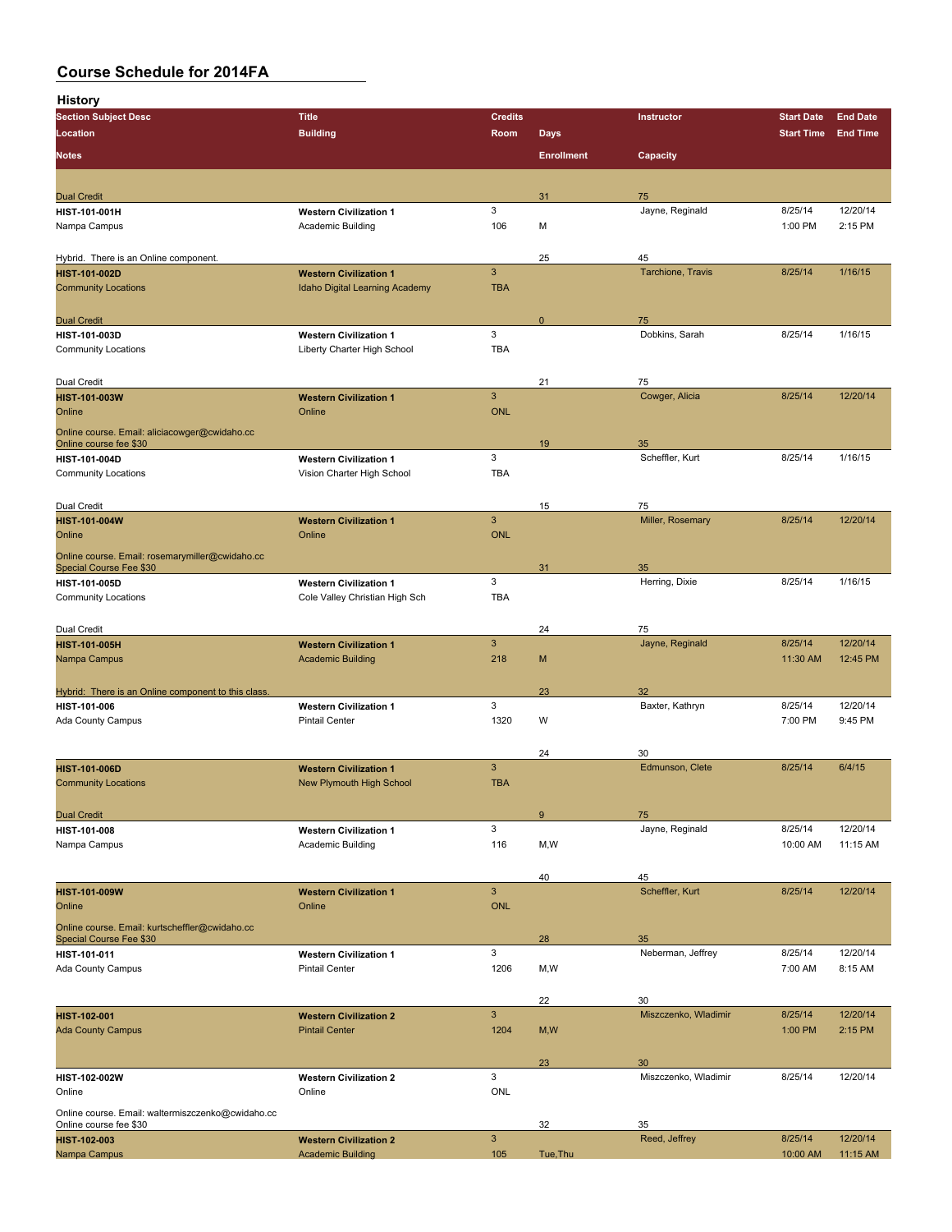**History**

| <br><b>Section Subject Desc</b>                                                   | <b>Title</b>                                       | <b>Credits</b>            |                   | Instructor            | <b>Start Date</b>   | <b>End Date</b>      |
|-----------------------------------------------------------------------------------|----------------------------------------------------|---------------------------|-------------------|-----------------------|---------------------|----------------------|
| Location                                                                          | <b>Building</b>                                    | Room                      | <b>Days</b>       |                       | <b>Start Time</b>   | <b>End Time</b>      |
|                                                                                   |                                                    |                           |                   |                       |                     |                      |
| <b>Notes</b>                                                                      |                                                    |                           | <b>Enrollment</b> | Capacity              |                     |                      |
|                                                                                   |                                                    |                           |                   |                       |                     |                      |
| <b>Dual Credit</b>                                                                |                                                    |                           | 31                | 75                    |                     |                      |
| HIST-101-001H                                                                     | <b>Western Civilization 1</b>                      | 3                         |                   | Jayne, Reginald       | 8/25/14             | 12/20/14             |
| Nampa Campus                                                                      | <b>Academic Building</b>                           | 106                       | М                 |                       | 1:00 PM             | 2:15 PM              |
|                                                                                   |                                                    |                           |                   |                       |                     |                      |
| Hybrid. There is an Online component.                                             |                                                    |                           | 25                | 45                    |                     |                      |
| <b>HIST-101-002D</b>                                                              | <b>Western Civilization 1</b>                      | $\mathbf{3}$              |                   | Tarchione, Travis     | 8/25/14             | 1/16/15              |
| <b>Community Locations</b>                                                        | <b>Idaho Digital Learning Academy</b>              | <b>TBA</b>                |                   |                       |                     |                      |
|                                                                                   |                                                    |                           |                   |                       |                     |                      |
| <b>Dual Credit</b>                                                                |                                                    |                           | $\mathbf 0$       | 75                    |                     |                      |
| HIST-101-003D                                                                     | <b>Western Civilization 1</b>                      | 3                         |                   | Dobkins, Sarah        | 8/25/14             | 1/16/15              |
| <b>Community Locations</b>                                                        | Liberty Charter High School                        | <b>TBA</b>                |                   |                       |                     |                      |
|                                                                                   |                                                    |                           |                   |                       |                     |                      |
| Dual Credit                                                                       |                                                    | $\mathbf{3}$              | 21                | 75<br>Cowger, Alicia  | 8/25/14             | 12/20/14             |
| <b>HIST-101-003W</b><br>Online                                                    | <b>Western Civilization 1</b><br>Online            | <b>ONL</b>                |                   |                       |                     |                      |
|                                                                                   |                                                    |                           |                   |                       |                     |                      |
| Online course. Email: aliciacowger@cwidaho.cc<br>Online course fee \$30           |                                                    |                           | 19                | 35                    |                     |                      |
| HIST-101-004D                                                                     | <b>Western Civilization 1</b>                      | 3                         |                   | Scheffler, Kurt       | 8/25/14             | 1/16/15              |
| <b>Community Locations</b>                                                        | Vision Charter High School                         | <b>TBA</b>                |                   |                       |                     |                      |
|                                                                                   |                                                    |                           |                   |                       |                     |                      |
| Dual Credit                                                                       |                                                    |                           | 15                | 75                    |                     |                      |
| <b>HIST-101-004W</b>                                                              | <b>Western Civilization 1</b>                      | $\mathbf{3}$              |                   | Miller, Rosemary      | 8/25/14             | 12/20/14             |
| Online                                                                            | Online                                             | <b>ONL</b>                |                   |                       |                     |                      |
|                                                                                   |                                                    |                           |                   |                       |                     |                      |
| Online course. Email: rosemarymiller@cwidaho.cc<br><b>Special Course Fee \$30</b> |                                                    |                           | 31                | 35                    |                     |                      |
| HIST-101-005D                                                                     | <b>Western Civilization 1</b>                      | 3                         |                   | Herring, Dixie        | 8/25/14             | 1/16/15              |
| <b>Community Locations</b>                                                        | Cole Valley Christian High Sch                     | <b>TBA</b>                |                   |                       |                     |                      |
|                                                                                   |                                                    |                           |                   |                       |                     |                      |
| Dual Credit                                                                       |                                                    |                           | 24                | 75                    |                     |                      |
| <b>HIST-101-005H</b>                                                              | <b>Western Civilization 1</b>                      | $\mathbf{3}$              |                   | Jayne, Reginald       | 8/25/14             | 12/20/14             |
| Nampa Campus                                                                      | <b>Academic Building</b>                           | 218                       | M                 |                       | 11:30 AM            | 12:45 PM             |
|                                                                                   |                                                    |                           |                   |                       |                     |                      |
| Hybrid: There is an Online component to this class.                               |                                                    |                           | 23                | 32                    |                     |                      |
| HIST-101-006                                                                      | <b>Western Civilization 1</b>                      | 3                         |                   | Baxter, Kathryn       | 8/25/14             | 12/20/14             |
| Ada County Campus                                                                 | <b>Pintail Center</b>                              | 1320                      | W                 |                       | 7:00 PM             | 9:45 PM              |
|                                                                                   |                                                    |                           |                   |                       |                     |                      |
|                                                                                   |                                                    |                           | 24                | 30                    |                     |                      |
| <b>HIST-101-006D</b>                                                              | <b>Western Civilization 1</b>                      | $\mathbf{3}$              |                   | Edmunson, Clete       | 8/25/14             | 6/4/15               |
| <b>Community Locations</b>                                                        | <b>New Plymouth High School</b>                    | <b>TBA</b>                |                   |                       |                     |                      |
|                                                                                   |                                                    |                           |                   |                       |                     |                      |
| <b>Dual Credit</b>                                                                |                                                    |                           | 9                 | 75                    |                     |                      |
| HIST-101-008                                                                      | <b>Western Civilization 1</b><br>Academic Building | 3<br>116                  |                   | Jayne, Reginald       | 8/25/14<br>10:00 AM | 12/20/14<br>11:15 AM |
| Nampa Campus                                                                      |                                                    |                           | M,W               |                       |                     |                      |
|                                                                                   |                                                    |                           |                   |                       |                     |                      |
| <b>HIST-101-009W</b>                                                              | <b>Western Civilization 1</b>                      | $\ensuremath{\mathsf{3}}$ | 40                | 45<br>Scheffler, Kurt | 8/25/14             | 12/20/14             |
| Online                                                                            | Online                                             | <b>ONL</b>                |                   |                       |                     |                      |
|                                                                                   |                                                    |                           |                   |                       |                     |                      |
| Online course. Email: kurtscheffler@cwidaho.cc<br>Special Course Fee \$30         |                                                    |                           | 28                | 35                    |                     |                      |
| HIST-101-011                                                                      | <b>Western Civilization 1</b>                      | 3                         |                   | Neberman, Jeffrey     | 8/25/14             | 12/20/14             |
| Ada County Campus                                                                 | <b>Pintail Center</b>                              | 1206                      | M,W               |                       | 7:00 AM             | 8:15 AM              |
|                                                                                   |                                                    |                           |                   |                       |                     |                      |
|                                                                                   |                                                    |                           | 22                | 30                    |                     |                      |
| HIST-102-001                                                                      | <b>Western Civilization 2</b>                      | $\mathbf{3}$              |                   | Miszczenko, Wladimir  | 8/25/14             | 12/20/14             |
| <b>Ada County Campus</b>                                                          | <b>Pintail Center</b>                              | 1204                      | M, W              |                       | 1:00 PM             | 2:15 PM              |
|                                                                                   |                                                    |                           |                   |                       |                     |                      |
|                                                                                   |                                                    |                           | 23                | 30                    |                     |                      |
| HIST-102-002W                                                                     | <b>Western Civilization 2</b>                      | 3                         |                   | Miszczenko, Wladimir  | 8/25/14             | 12/20/14             |
| Online                                                                            | Online                                             | ONL                       |                   |                       |                     |                      |
| Online course. Email: waltermiszczenko@cwidaho.cc                                 |                                                    |                           |                   |                       |                     |                      |
| Online course fee \$30                                                            |                                                    |                           | 32                | 35                    |                     |                      |
| <b>HIST-102-003</b>                                                               | <b>Western Civilization 2</b>                      | $\ensuremath{\mathsf{3}}$ |                   | Reed, Jeffrey         | 8/25/14             | 12/20/14             |
| Nampa Campus                                                                      | <b>Academic Building</b>                           | 105                       | Tue, Thu          |                       | 10:00 AM            | 11:15 AM             |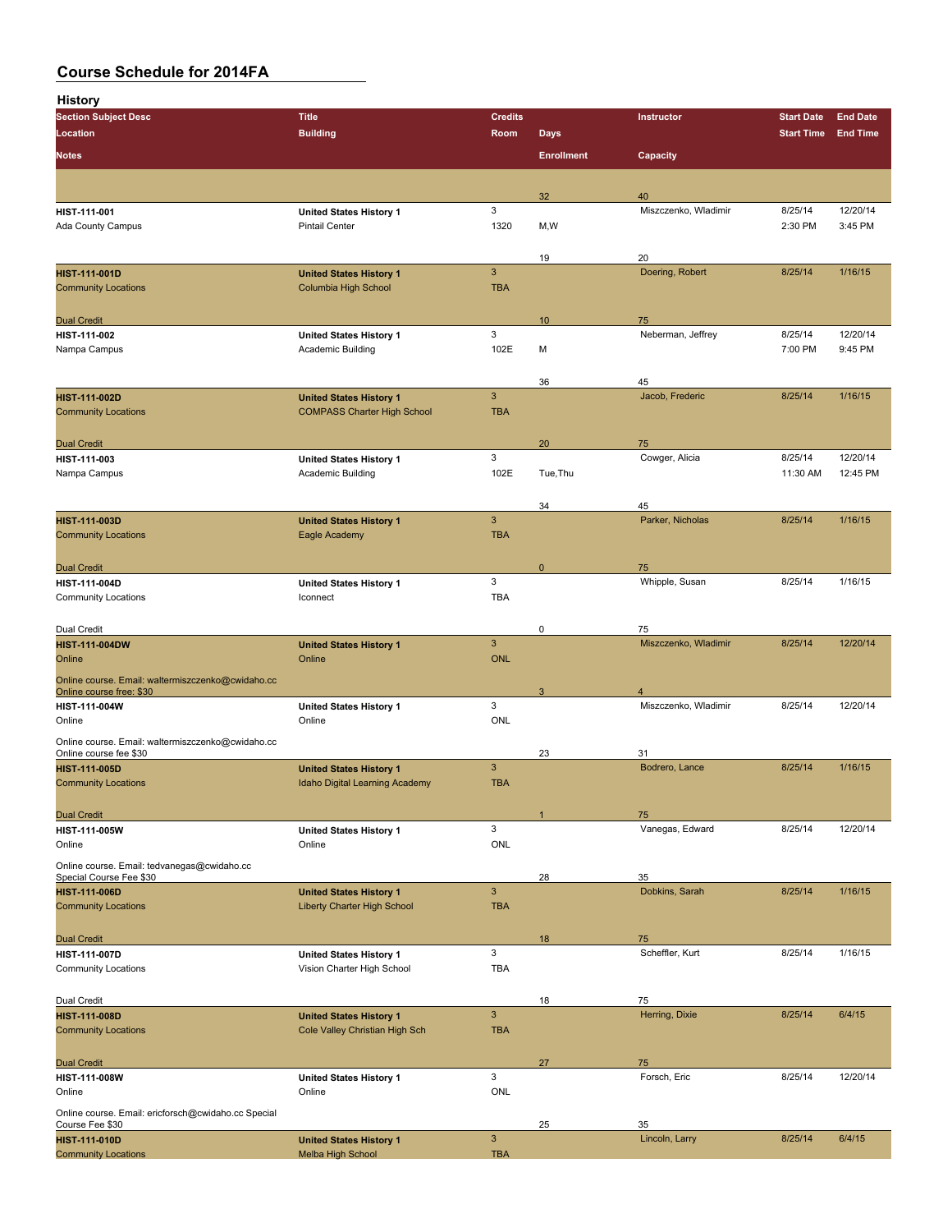**History**

| <b>Section Subject Desc</b>                                            | <b>Title</b>                             | <b>Credits</b>  |                   | Instructor            | <b>Start Date</b> | <b>End Date</b> |
|------------------------------------------------------------------------|------------------------------------------|-----------------|-------------------|-----------------------|-------------------|-----------------|
| Location                                                               | <b>Building</b>                          | Room            | <b>Days</b>       |                       | <b>Start Time</b> | <b>End Time</b> |
|                                                                        |                                          |                 |                   |                       |                   |                 |
| <b>Notes</b>                                                           |                                          |                 | <b>Enrollment</b> | Capacity              |                   |                 |
|                                                                        |                                          |                 |                   |                       |                   |                 |
|                                                                        |                                          |                 | 32                | 40                    |                   |                 |
| HIST-111-001                                                           | <b>United States History 1</b>           | 3               |                   | Miszczenko, Wladimir  | 8/25/14           | 12/20/14        |
| <b>Ada County Campus</b>                                               | <b>Pintail Center</b>                    | 1320            | M, W              |                       | 2:30 PM           | 3:45 PM         |
|                                                                        |                                          |                 |                   |                       |                   |                 |
|                                                                        |                                          |                 | 19                | 20                    |                   |                 |
| <b>HIST-111-001D</b>                                                   | <b>United States History 1</b>           | $\mathbf{3}$    |                   | Doering, Robert       | 8/25/14           | 1/16/15         |
| <b>Community Locations</b>                                             | Columbia High School                     | <b>TBA</b>      |                   |                       |                   |                 |
|                                                                        |                                          |                 |                   |                       |                   |                 |
| <b>Dual Credit</b>                                                     |                                          |                 | 10                | 75                    |                   |                 |
| HIST-111-002                                                           | <b>United States History 1</b>           | 3               |                   | Neberman, Jeffrey     | 8/25/14           | 12/20/14        |
| Nampa Campus                                                           | Academic Building                        | 102E            | M                 |                       | 7:00 PM           | 9:45 PM         |
|                                                                        |                                          |                 |                   |                       |                   |                 |
|                                                                        |                                          |                 | 36                | 45                    |                   |                 |
| <b>HIST-111-002D</b>                                                   | <b>United States History 1</b>           | $\mathbf{3}$    |                   | Jacob, Frederic       | 8/25/14           | 1/16/15         |
| <b>Community Locations</b>                                             | <b>COMPASS Charter High School</b>       | <b>TBA</b>      |                   |                       |                   |                 |
|                                                                        |                                          |                 |                   |                       |                   |                 |
| <b>Dual Credit</b>                                                     |                                          |                 | 20                | 75                    |                   |                 |
| HIST-111-003                                                           | <b>United States History 1</b>           | 3               |                   | Cowger, Alicia        | 8/25/14           | 12/20/14        |
| Nampa Campus                                                           | Academic Building                        | 102E            | Tue, Thu          |                       | 11:30 AM          | 12:45 PM        |
|                                                                        |                                          |                 |                   |                       |                   |                 |
|                                                                        |                                          |                 | 34                | 45                    |                   |                 |
| <b>HIST-111-003D</b>                                                   | <b>United States History 1</b>           | $\mathbf{3}$    |                   | Parker, Nicholas      | 8/25/14           | 1/16/15         |
| <b>Community Locations</b>                                             | Eagle Academy                            | <b>TBA</b>      |                   |                       |                   |                 |
|                                                                        |                                          |                 |                   |                       |                   |                 |
| <b>Dual Credit</b>                                                     |                                          |                 | $\mathbf{0}$      | 75                    |                   |                 |
| HIST-111-004D                                                          | <b>United States History 1</b>           | 3               |                   | Whipple, Susan        | 8/25/14           | 1/16/15         |
| <b>Community Locations</b>                                             | Iconnect                                 | <b>TBA</b>      |                   |                       |                   |                 |
|                                                                        |                                          |                 |                   |                       |                   |                 |
| Dual Credit                                                            |                                          |                 | 0                 | 75                    |                   |                 |
| <b>HIST-111-004DW</b>                                                  | <b>United States History 1</b>           | $\mathbf{3}$    |                   | Miszczenko, Wladimir  | 8/25/14           | 12/20/14        |
| Online                                                                 | Online                                   | <b>ONL</b>      |                   |                       |                   |                 |
| Online course. Email: waltermiszczenko@cwidaho.cc                      |                                          |                 |                   |                       |                   |                 |
| Online course free: \$30                                               |                                          |                 | 3                 | 4                     |                   |                 |
| HIST-111-004W                                                          | United States History 1                  | 3<br><b>ONL</b> |                   | Miszczenko, Wladimir  | 8/25/14           | 12/20/14        |
| Online                                                                 | Online                                   |                 |                   |                       |                   |                 |
| Online course. Email: waltermiszczenko@cwidaho.cc                      |                                          |                 |                   |                       |                   |                 |
| Online course fee \$30                                                 |                                          | $\mathbf{3}$    | 23                | 31                    |                   | 1/16/15         |
| <b>HIST-111-005D</b>                                                   | <b>United States History 1</b>           | <b>TBA</b>      |                   | Bodrero, Lance        | 8/25/14           |                 |
| <b>Community Locations</b>                                             | Idaho Digital Learning Academy           |                 |                   |                       |                   |                 |
|                                                                        |                                          |                 |                   |                       |                   |                 |
| <b>Dual Credit</b>                                                     |                                          | 3               | $\overline{1}$    | 75<br>Vanegas, Edward | 8/25/14           | 12/20/14        |
| HIST-111-005W<br>Online                                                | <b>United States History 1</b><br>Online | <b>ONL</b>      |                   |                       |                   |                 |
|                                                                        |                                          |                 |                   |                       |                   |                 |
| Online course. Email: tedvanegas@cwidaho.cc                            |                                          |                 |                   |                       |                   |                 |
| Special Course Fee \$30<br><b>HIST-111-006D</b>                        | <b>United States History 1</b>           | $\mathsf 3$     | 28                | 35<br>Dobkins, Sarah  | 8/25/14           | 1/16/15         |
| <b>Community Locations</b>                                             | Liberty Charter High School              | <b>TBA</b>      |                   |                       |                   |                 |
|                                                                        |                                          |                 |                   |                       |                   |                 |
|                                                                        |                                          |                 | 18                | 75                    |                   |                 |
| <b>Dual Credit</b><br><b>HIST-111-007D</b>                             | <b>United States History 1</b>           | 3               |                   | Scheffler, Kurt       | 8/25/14           | 1/16/15         |
| <b>Community Locations</b>                                             | Vision Charter High School               | TBA             |                   |                       |                   |                 |
|                                                                        |                                          |                 |                   |                       |                   |                 |
| Dual Credit                                                            |                                          |                 | 18                | 75                    |                   |                 |
| <b>HIST-111-008D</b>                                                   | <b>United States History 1</b>           | $\mathsf 3$     |                   | Herring, Dixie        | 8/25/14           | 6/4/15          |
| <b>Community Locations</b>                                             | Cole Valley Christian High Sch           | <b>TBA</b>      |                   |                       |                   |                 |
|                                                                        |                                          |                 |                   |                       |                   |                 |
| <b>Dual Credit</b>                                                     |                                          |                 | 27                | 75                    |                   |                 |
| HIST-111-008W                                                          | <b>United States History 1</b>           | 3               |                   | Forsch, Eric          | 8/25/14           | 12/20/14        |
| Online                                                                 | Online                                   | ONL             |                   |                       |                   |                 |
|                                                                        |                                          |                 |                   |                       |                   |                 |
| Online course. Email: ericforsch@cwidaho.cc Special<br>Course Fee \$30 |                                          |                 | 25                | 35                    |                   |                 |
| <b>HIST-111-010D</b>                                                   | <b>United States History 1</b>           | $\mathsf 3$     |                   | Lincoln, Larry        | 8/25/14           | 6/4/15          |
| <b>Community Locations</b>                                             | Melba High School                        | <b>TBA</b>      |                   |                       |                   |                 |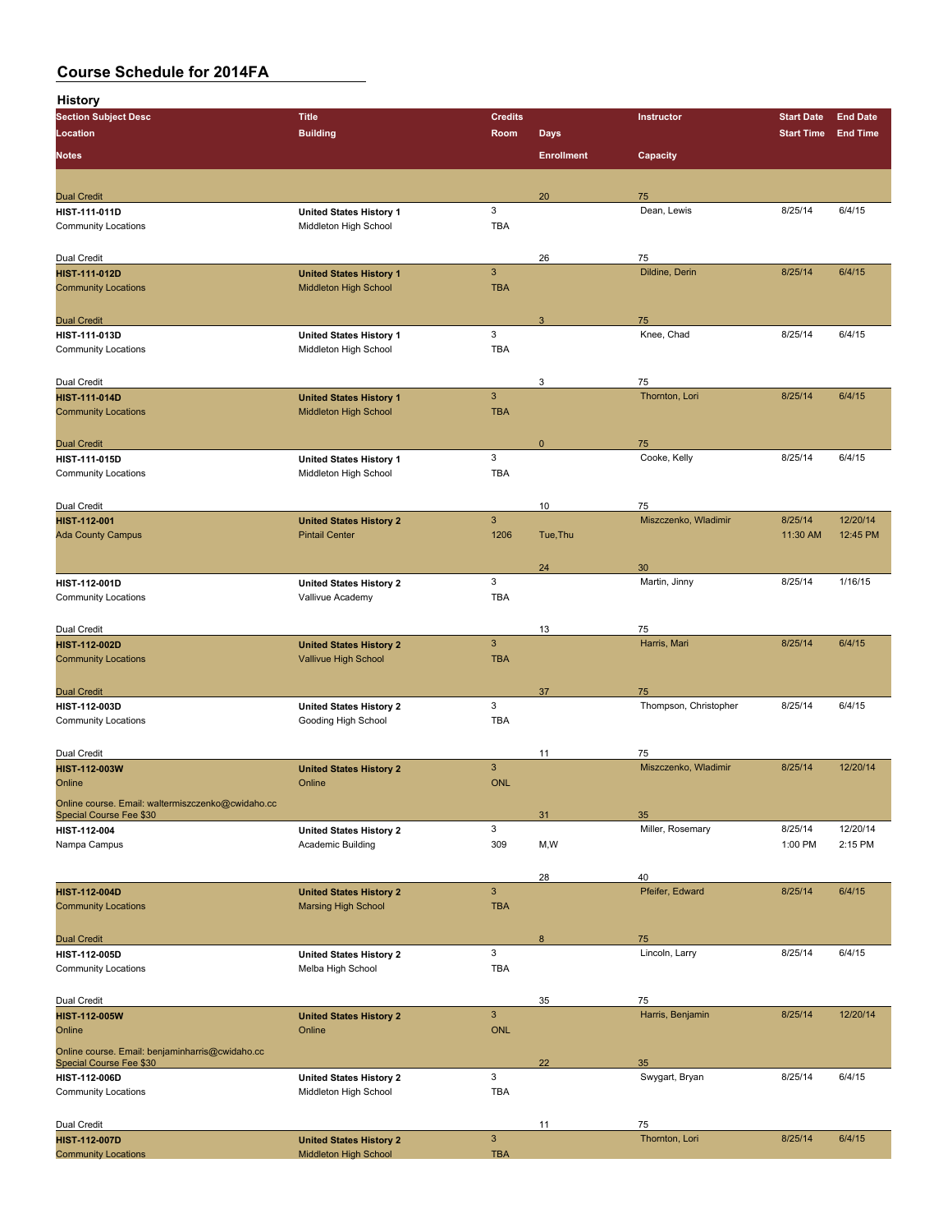| <b>History</b>                                                               |                                |                |                   |                       |                   |                 |
|------------------------------------------------------------------------------|--------------------------------|----------------|-------------------|-----------------------|-------------------|-----------------|
| <b>Section Subject Desc</b>                                                  | <b>Title</b>                   | <b>Credits</b> |                   | Instructor            | <b>Start Date</b> | <b>End Date</b> |
| Location                                                                     | <b>Building</b>                | Room           | <b>Days</b>       |                       | <b>Start Time</b> | <b>End Time</b> |
|                                                                              |                                |                |                   |                       |                   |                 |
| <b>Notes</b>                                                                 |                                |                | <b>Enrollment</b> | Capacity              |                   |                 |
|                                                                              |                                |                |                   |                       |                   |                 |
| <b>Dual Credit</b>                                                           |                                |                | 20                | 75                    |                   |                 |
| HIST-111-011D                                                                | <b>United States History 1</b> | 3              |                   | Dean, Lewis           | 8/25/14           | 6/4/15          |
| <b>Community Locations</b>                                                   | Middleton High School          | <b>TBA</b>     |                   |                       |                   |                 |
|                                                                              |                                |                |                   |                       |                   |                 |
| Dual Credit                                                                  |                                |                | 26                | 75                    |                   |                 |
| <b>HIST 111 012D</b>                                                         | <b>United States History 1</b> | $\mathbf{3}$   |                   | Dildine, Derin        | 8/25/14           | 6/4/15          |
| <b>Community Locations</b>                                                   | Middleton High School          | <b>TBA</b>     |                   |                       |                   |                 |
|                                                                              |                                |                |                   |                       |                   |                 |
| <b>Dual Credit</b>                                                           |                                |                | 3                 | 75                    |                   |                 |
| <b>HIST 111 013D</b>                                                         | <b>United States History 1</b> | 3              |                   | Knee, Chad            | 8/25/14           | 6/4/15          |
| <b>Community Locations</b>                                                   | Middleton High School          | <b>TBA</b>     |                   |                       |                   |                 |
|                                                                              |                                |                |                   |                       |                   |                 |
| Dual Credit                                                                  |                                |                | 3                 | 75                    |                   |                 |
| <b>HIST 111 014D</b>                                                         | <b>United States History 1</b> | 3              |                   | Thornton, Lori        | 8/25/14           | 6/4/15          |
| <b>Community Locations</b>                                                   | Middleton High School          | <b>TBA</b>     |                   |                       |                   |                 |
|                                                                              |                                |                |                   |                       |                   |                 |
| <b>Dual Credit</b>                                                           |                                |                | $\mathbf 0$       | 75                    |                   |                 |
| HIST-111-015D                                                                | <b>United States History 1</b> | 3              |                   | Cooke, Kelly          | 8/25/14           | 6/4/15          |
| <b>Community Locations</b>                                                   | Middleton High School          | <b>TBA</b>     |                   |                       |                   |                 |
|                                                                              |                                |                |                   |                       |                   |                 |
| Dual Credit                                                                  |                                |                | 10                | 75                    |                   |                 |
| <b>HIST-112-001</b>                                                          | <b>United States History 2</b> | $\mathbf{3}$   |                   | Miszczenko, Wladimir  | 8/25/14           | 12/20/14        |
| <b>Ada County Campus</b>                                                     | <b>Pintail Center</b>          | 1206           | Tue, Thu          |                       | 11:30 AM          | 12:45 PM        |
|                                                                              |                                |                |                   |                       |                   |                 |
|                                                                              |                                |                | 24                | 30                    |                   |                 |
| HIST-112-001D                                                                | <b>United States History 2</b> | 3              |                   | Martin, Jinny         | 8/25/14           | 1/16/15         |
| <b>Community Locations</b>                                                   | Vallivue Academy               | <b>TBA</b>     |                   |                       |                   |                 |
|                                                                              |                                |                |                   |                       |                   |                 |
| Dual Credit                                                                  |                                |                | 13                | 75                    |                   |                 |
| <b>HIST-112-002D</b>                                                         | <b>United States History 2</b> | 3              |                   | Harris, Mari          | 8/25/14           | 6/4/15          |
| <b>Community Locations</b>                                                   | Vallivue High School           | <b>TBA</b>     |                   |                       |                   |                 |
|                                                                              |                                |                |                   |                       |                   |                 |
| <b>Dual Credit</b>                                                           |                                |                | 37                | 75                    |                   |                 |
| HIST-112-003D                                                                | <b>United States History 2</b> | 3              |                   | Thompson, Christopher | 8/25/14           | 6/4/15          |
| <b>Community Locations</b>                                                   | Gooding High School            | <b>TBA</b>     |                   |                       |                   |                 |
|                                                                              |                                |                |                   |                       |                   |                 |
| Dual Credit                                                                  |                                |                | 11                | 75                    |                   |                 |
| <b>HIST-112-003W</b>                                                         | <b>United States History 2</b> | 3              |                   | Miszczenko, Wladimir  | 8/25/14           | 12/20/14        |
| Online                                                                       | Online                         | <b>ONL</b>     |                   |                       |                   |                 |
|                                                                              |                                |                |                   |                       |                   |                 |
| Online course. Email: waltermiszczenko@cwidaho.cc<br>Special Course Fee \$30 |                                |                | 31                | 35                    |                   |                 |
| HIST-112-004                                                                 | <b>United States History 2</b> | 3              |                   | Miller, Rosemary      | 8/25/14           | 12/20/14        |
| Nampa Campus                                                                 | Academic Building              | 309            | M, W              |                       | 1:00 PM           | 2:15 PM         |
|                                                                              |                                |                |                   |                       |                   |                 |
|                                                                              |                                |                | 28                | 40                    |                   |                 |
| <b>HIST-112-004D</b>                                                         | <b>United States History 2</b> | 3              |                   | Pfeifer, Edward       | 8/25/14           | 6/4/15          |
| <b>Community Locations</b>                                                   | <b>Marsing High School</b>     | <b>TBA</b>     |                   |                       |                   |                 |
|                                                                              |                                |                |                   |                       |                   |                 |
| <b>Dual Credit</b>                                                           |                                |                | 8                 | 75                    |                   |                 |
| HIST-112-005D                                                                | <b>United States History 2</b> | 3              |                   | Lincoln, Larry        | 8/25/14           | 6/4/15          |
| <b>Community Locations</b>                                                   | Melba High School              | <b>TBA</b>     |                   |                       |                   |                 |
|                                                                              |                                |                |                   |                       |                   |                 |
| Dual Credit                                                                  |                                |                | 35                | 75                    |                   |                 |
| <b>HIST-112-005W</b>                                                         | <b>United States History 2</b> | $\mathbf{3}$   |                   | Harris, Benjamin      | 8/25/14           | 12/20/14        |
| Online                                                                       | Online                         | <b>ONL</b>     |                   |                       |                   |                 |
|                                                                              |                                |                |                   |                       |                   |                 |
| Online course. Email: benjaminharris@cwidaho.cc<br>Special Course Fee \$30   |                                |                | 22                | 35                    |                   |                 |
| <b>HIST-112-006D</b>                                                         | <b>United States History 2</b> | 3              |                   | Swygart, Bryan        | 8/25/14           | 6/4/15          |
| <b>Community Locations</b>                                                   | Middleton High School          | <b>TBA</b>     |                   |                       |                   |                 |
|                                                                              |                                |                |                   |                       |                   |                 |
|                                                                              |                                |                |                   | 75                    |                   |                 |
| Dual Credit<br><b>HIST-112-007D</b>                                          | <b>United States History 2</b> | $\mathbf{3}$   | 11                | Thornton, Lori        | 8/25/14           | 6/4/15          |
| <b>Community Locations</b>                                                   | Middleton High School          | <b>TBA</b>     |                   |                       |                   |                 |
|                                                                              |                                |                |                   |                       |                   |                 |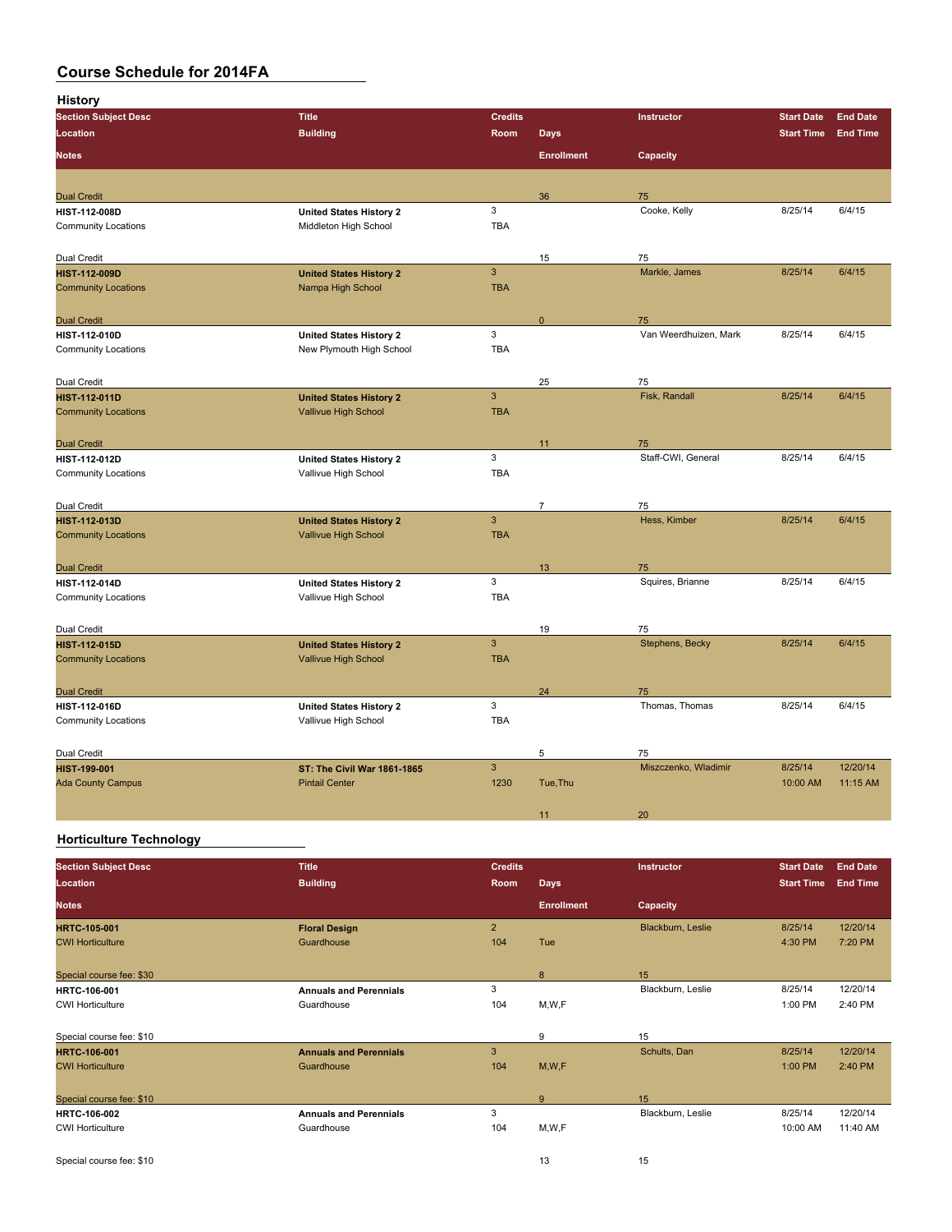| <b>History</b>              |                                    |                |                   |                       |                   |                 |
|-----------------------------|------------------------------------|----------------|-------------------|-----------------------|-------------------|-----------------|
| <b>Section Subject Desc</b> | <b>Title</b>                       | <b>Credits</b> |                   | Instructor            | <b>Start Date</b> | <b>End Date</b> |
| <b>Location</b>             | <b>Building</b>                    | Room           | <b>Days</b>       |                       | <b>Start Time</b> | <b>End Time</b> |
| <b>Notes</b>                |                                    |                | <b>Enrollment</b> | Capacity              |                   |                 |
|                             |                                    |                |                   |                       |                   |                 |
| <b>Dual Credit</b>          |                                    |                | 36                | 75                    |                   |                 |
| HIST-112-008D               | <b>United States History 2</b>     | 3              |                   | Cooke, Kelly          | 8/25/14           | 6/4/15          |
| <b>Community Locations</b>  | Middleton High School              | <b>TBA</b>     |                   |                       |                   |                 |
| Dual Credit                 |                                    |                | 15                | 75                    |                   |                 |
| <b>HIST-112-009D</b>        | <b>United States History 2</b>     | $\overline{3}$ |                   | Markle, James         | 8/25/14           | 6/4/15          |
| <b>Community Locations</b>  | Nampa High School                  | <b>TBA</b>     |                   |                       |                   |                 |
| <b>Dual Credit</b>          |                                    |                | 0                 | 75                    |                   |                 |
| <b>HIST-112-010D</b>        | <b>United States History 2</b>     | 3              |                   | Van Weerdhuizen, Mark | 8/25/14           | 6/4/15          |
| <b>Community Locations</b>  | New Plymouth High School           | <b>TBA</b>     |                   |                       |                   |                 |
|                             |                                    |                |                   |                       |                   |                 |
| Dual Credit                 |                                    |                | 25                | 75                    |                   |                 |
| <b>HIST-112-011D</b>        | <b>United States History 2</b>     | $\mathbf{3}$   |                   | Fisk, Randall         | 8/25/14           | 6/4/15          |
| <b>Community Locations</b>  | Vallivue High School               | <b>TBA</b>     |                   |                       |                   |                 |
| <b>Dual Credit</b>          |                                    |                | 11                | 75                    |                   |                 |
| <b>HIST 112 012D</b>        | <b>United States History 2</b>     | 3              |                   | Staff-CWI, General    | 8/25/14           | 6/4/15          |
| <b>Community Locations</b>  | Vallivue High School               | <b>TBA</b>     |                   |                       |                   |                 |
|                             |                                    |                |                   |                       |                   |                 |
| Dual Credit                 |                                    |                | $\overline{7}$    | 75                    |                   |                 |
| <b>HIST-112-013D</b>        | <b>United States History 2</b>     | $\overline{3}$ |                   | Hess, Kimber          | 8/25/14           | 6/4/15          |
| <b>Community Locations</b>  | Vallivue High School               | <b>TBA</b>     |                   |                       |                   |                 |
| <b>Dual Credit</b>          |                                    |                | 13                | 75                    |                   |                 |
| <b>HIST 112 014D</b>        | <b>United States History 2</b>     | 3              |                   | Squires, Brianne      | 8/25/14           | 6/4/15          |
| <b>Community Locations</b>  | Vallivue High School               | <b>TBA</b>     |                   |                       |                   |                 |
|                             |                                    |                |                   |                       |                   |                 |
| Dual Credit                 |                                    |                | 19                | 75                    |                   |                 |
| <b>HIST-112-015D</b>        | <b>United States History 2</b>     | $\mathbf{3}$   |                   | Stephens, Becky       | 8/25/14           | 6/4/15          |
| <b>Community Locations</b>  | Vallivue High School               | <b>TBA</b>     |                   |                       |                   |                 |
| <b>Dual Credit</b>          |                                    |                | 24                | 75                    |                   |                 |
| HIST-112-016D               | <b>United States History 2</b>     | 3              |                   | Thomas, Thomas        | 8/25/14           | 6/4/15          |
| <b>Community Locations</b>  | Vallivue High School               | <b>TBA</b>     |                   |                       |                   |                 |
|                             |                                    |                |                   |                       |                   |                 |
| Dual Credit                 |                                    |                | 5                 | 75                    |                   |                 |
| <b>HIST-199-001</b>         | <b>ST: The Civil War 1861-1865</b> | $\overline{3}$ |                   | Miszczenko, Wladimir  | 8/25/14           | 12/20/14        |
| <b>Ada County Campus</b>    | <b>Pintail Center</b>              | 1230           | Tue, Thu          |                       | 10:00 AM          | 11:15 AM        |
|                             |                                    |                | 11                | 20                    |                   |                 |
|                             |                                    |                |                   |                       |                   |                 |

### **Horticulture Technology**

| <b>Section Subject Desc</b> | <b>Title</b>                  | <b>Credits</b> |                   | Instructor        | <b>Start Date</b> | <b>End Date</b> |
|-----------------------------|-------------------------------|----------------|-------------------|-------------------|-------------------|-----------------|
| Location                    | <b>Building</b>               | Room           | <b>Days</b>       |                   | <b>Start Time</b> | <b>End Time</b> |
| <b>Notes</b>                |                               |                | <b>Enrollment</b> | Capacity          |                   |                 |
| <b>HRTC 105 001</b>         | <b>Floral Design</b>          | $\overline{2}$ |                   | Blackburn, Leslie | 8/25/14           | 12/20/14        |
| <b>CWI Horticulture</b>     | Guardhouse                    | 104            | Tue               |                   | 4:30 PM           | 7:20 PM         |
| Special course fee: \$30    |                               |                | 8                 | 15                |                   |                 |
| <b>HRTC-106-001</b>         | <b>Annuals and Perennials</b> | 3              |                   | Blackburn, Leslie | 8/25/14           | 12/20/14        |
| <b>CWI Horticulture</b>     | Guardhouse                    | 104            | M,W,F             |                   | 1:00 PM           | 2:40 PM         |
| Special course fee: \$10    |                               |                | 9                 | 15                |                   |                 |
| <b>HRTC-106-001</b>         | <b>Annuals and Perennials</b> | 3              |                   | Schults, Dan      | 8/25/14           | 12/20/14        |
| <b>CWI Horticulture</b>     | Guardhouse                    | 104            | M, W, F           |                   | 1:00 PM           | 2:40 PM         |
| Special course fee: \$10    |                               |                | 9                 | 15                |                   |                 |
| <b>HRTC-106-002</b>         | <b>Annuals and Perennials</b> | 3              |                   | Blackburn, Leslie | 8/25/14           | 12/20/14        |
| <b>CWI Horticulture</b>     | Guardhouse                    | 104            | M,W,F             |                   | 10:00 AM          | 11:40 AM        |
| Special course fee: \$10    |                               |                | 13                | 15                |                   |                 |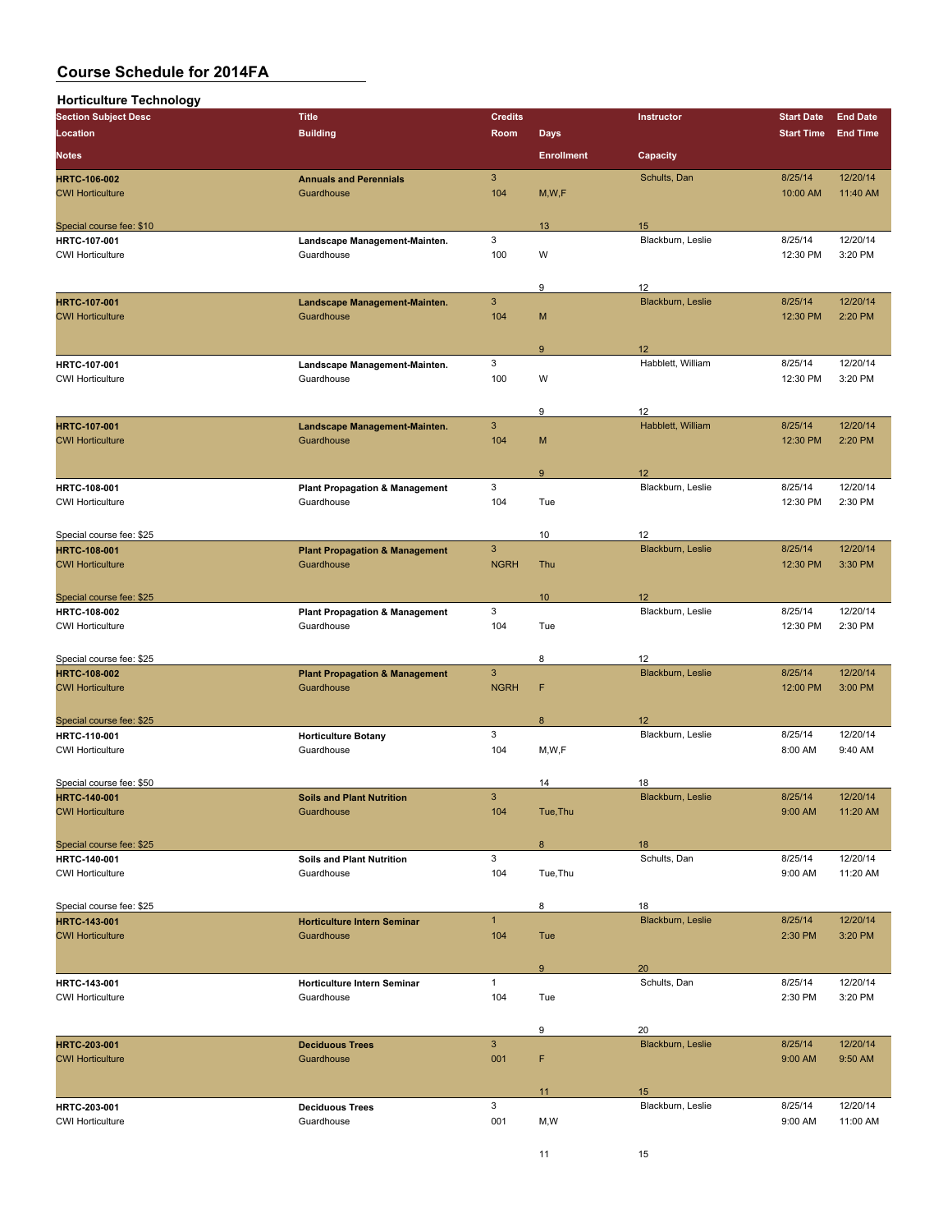| <b>Horticulture Technology</b>                  |                                             |                |                   |                         |                   |                 |
|-------------------------------------------------|---------------------------------------------|----------------|-------------------|-------------------------|-------------------|-----------------|
| <b>Section Subject Desc</b>                     | <b>Title</b>                                | <b>Credits</b> |                   | Instructor              | <b>Start Date</b> | <b>End Date</b> |
| Location                                        | <b>Building</b>                             | Room           | <b>Days</b>       |                         | <b>Start Time</b> | <b>End Time</b> |
| <b>Notes</b>                                    |                                             |                | <b>Enrollment</b> | Capacity                |                   |                 |
|                                                 |                                             | $\mathbf{3}$   |                   |                         | 8/25/14           | 12/20/14        |
| <b>HRTC-106-002</b><br><b>CWI Horticulture</b>  | <b>Annuals and Perennials</b><br>Guardhouse | 104            |                   | Schults, Dan            | 10:00 AM          | 11:40 AM        |
|                                                 |                                             |                | M, W, F           |                         |                   |                 |
|                                                 |                                             |                |                   |                         |                   |                 |
| Special course fee: \$10<br><b>HRTC-107-001</b> |                                             | 3              | 13                | 15<br>Blackburn, Leslie | 8/25/14           | 12/20/14        |
| <b>CWI Horticulture</b>                         | Landscape Management-Mainten.<br>Guardhouse | 100            | W                 |                         | 12:30 PM          | 3:20 PM         |
|                                                 |                                             |                |                   |                         |                   |                 |
|                                                 |                                             |                | 9                 | 12                      |                   |                 |
| <b>HRTC-107-001</b>                             | Landscape Management-Mainten.               | $\mathbf{3}$   |                   | Blackburn, Leslie       | 8/25/14           | 12/20/14        |
| <b>CWI Horticulture</b>                         | Guardhouse                                  | 104            | M                 |                         | 12:30 PM          | 2:20 PM         |
|                                                 |                                             |                |                   |                         |                   |                 |
|                                                 |                                             |                | 9                 | 12                      |                   |                 |
| <b>HRTC-107-001</b>                             | Landscape Management-Mainten.               | 3              |                   | Habblett, William       | 8/25/14           | 12/20/14        |
| <b>CWI Horticulture</b>                         | Guardhouse                                  | 100            | W                 |                         | 12:30 PM          | 3:20 PM         |
|                                                 |                                             |                |                   |                         |                   |                 |
|                                                 |                                             |                | 9                 | 12                      |                   |                 |
| <b>HRTC-107-001</b>                             | Landscape Management-Mainten.               | $\mathbf{3}$   |                   | Habblett, William       | 8/25/14           | 12/20/14        |
| <b>CWI Horticulture</b>                         | Guardhouse                                  | 104            | M                 |                         | 12:30 PM          | 2:20 PM         |
|                                                 |                                             |                |                   |                         |                   |                 |
|                                                 |                                             |                | 9                 | 12                      |                   |                 |
| HRTC-108-001                                    | <b>Plant Propagation &amp; Management</b>   | 3              |                   | Blackburn, Leslie       | 8/25/14           | 12/20/14        |
| <b>CWI Horticulture</b>                         | Guardhouse                                  | 104            | Tue               |                         | 12:30 PM          | 2:30 PM         |
|                                                 |                                             |                |                   |                         |                   |                 |
| Special course fee: \$25                        |                                             |                | 10                | 12                      |                   |                 |
| <b>HRTC-108-001</b>                             | <b>Plant Propagation &amp; Management</b>   | $\mathbf{3}$   |                   | Blackburn, Leslie       | 8/25/14           | 12/20/14        |
| <b>CWI Horticulture</b>                         | Guardhouse                                  | <b>NGRH</b>    | Thu               |                         | 12:30 PM          | 3:30 PM         |
|                                                 |                                             |                |                   |                         |                   |                 |
| Special course fee: \$25                        |                                             |                | 10                | 12                      |                   |                 |
| <b>HRTC 108 002</b>                             | <b>Plant Propagation &amp; Management</b>   | 3              |                   | Blackburn, Leslie       | 8/25/14           | 12/20/14        |
| <b>CWI Horticulture</b>                         | Guardhouse                                  | 104            | Tue               |                         | 12:30 PM          | 2:30 PM         |
|                                                 |                                             |                |                   |                         |                   |                 |
| Special course fee: \$25                        |                                             |                | 8                 | 12                      |                   |                 |
| <b>HRTC-108-002</b>                             | <b>Plant Propagation &amp; Management</b>   | $\mathbf{3}$   |                   | Blackburn, Leslie       | 8/25/14           | 12/20/14        |
| <b>CWI Horticulture</b>                         | Guardhouse                                  | <b>NGRH</b>    | F                 |                         | 12:00 PM          | 3:00 PM         |
|                                                 |                                             |                |                   |                         |                   |                 |
| Special course fee: \$25                        |                                             |                | 8                 | 12                      |                   |                 |
| HRTC-110-001                                    | <b>Horticulture Botany</b>                  | 3              |                   | Blackburn, Leslie       | 8/25/14           | 12/20/14        |
| <b>CWI Horticulture</b>                         | Guardhouse                                  | 104            | M, W, F           |                         | 8:00 AM           | 9:40 AM         |
|                                                 |                                             |                |                   |                         |                   |                 |
| Special course fee: \$50                        |                                             |                | 14                | 18                      |                   |                 |
| <b>HRTC-140-001</b>                             | <b>Soils and Plant Nutrition</b>            | $\mathbf{3}$   |                   | Blackburn, Leslie       | 8/25/14           | 12/20/14        |
| <b>CWI Horticulture</b>                         | Guardhouse                                  | 104            | Tue, Thu          |                         | 9:00 AM           | 11:20 AM        |
|                                                 |                                             |                |                   |                         |                   |                 |
| Special course fee: \$25<br>HRTC-140-001        | Soils and Plant Nutrition                   | 3              | 8                 | 18<br>Schults, Dan      | 8/25/14           | 12/20/14        |
| <b>CWI Horticulture</b>                         | Guardhouse                                  | 104            | Tue, Thu          |                         | 9:00 AM           | 11:20 AM        |
|                                                 |                                             |                |                   |                         |                   |                 |
| Special course fee: \$25                        |                                             |                | 8                 | 18                      |                   |                 |
| <b>HRTC-143-001</b>                             | <b>Horticulture Intern Seminar</b>          | $\mathbf{1}$   |                   | Blackburn, Leslie       | 8/25/14           | 12/20/14        |
| <b>CWI Horticulture</b>                         | Guardhouse                                  | 104            | Tue               |                         | 2:30 PM           | 3:20 PM         |
|                                                 |                                             |                |                   |                         |                   |                 |
|                                                 |                                             |                | 9                 | 20                      |                   |                 |
| HRTC-143-001                                    | Horticulture Intern Seminar                 | $\mathbf{1}$   |                   | Schults, Dan            | 8/25/14           | 12/20/14        |
| <b>CWI Horticulture</b>                         | Guardhouse                                  | 104            | Tue               |                         | 2:30 PM           | 3:20 PM         |
|                                                 |                                             |                |                   |                         |                   |                 |
|                                                 |                                             |                | 9                 | 20                      |                   |                 |
| HRTC-203-001                                    | <b>Deciduous Trees</b>                      | $\mathbf{3}$   |                   | Blackburn, Leslie       | 8/25/14           | 12/20/14        |
| <b>CWI Horticulture</b>                         | Guardhouse                                  | 001            | F                 |                         | 9:00 AM           | 9:50 AM         |
|                                                 |                                             |                |                   |                         |                   |                 |
|                                                 |                                             |                | 11                | 15                      |                   |                 |
| HRTC-203-001                                    | <b>Deciduous Trees</b>                      | 3              |                   | Blackburn, Leslie       | 8/25/14           | 12/20/14        |
| <b>CWI Horticulture</b>                         | Guardhouse                                  | 001            | M,W               |                         | 9:00 AM           | 11:00 AM        |
|                                                 |                                             |                |                   |                         |                   |                 |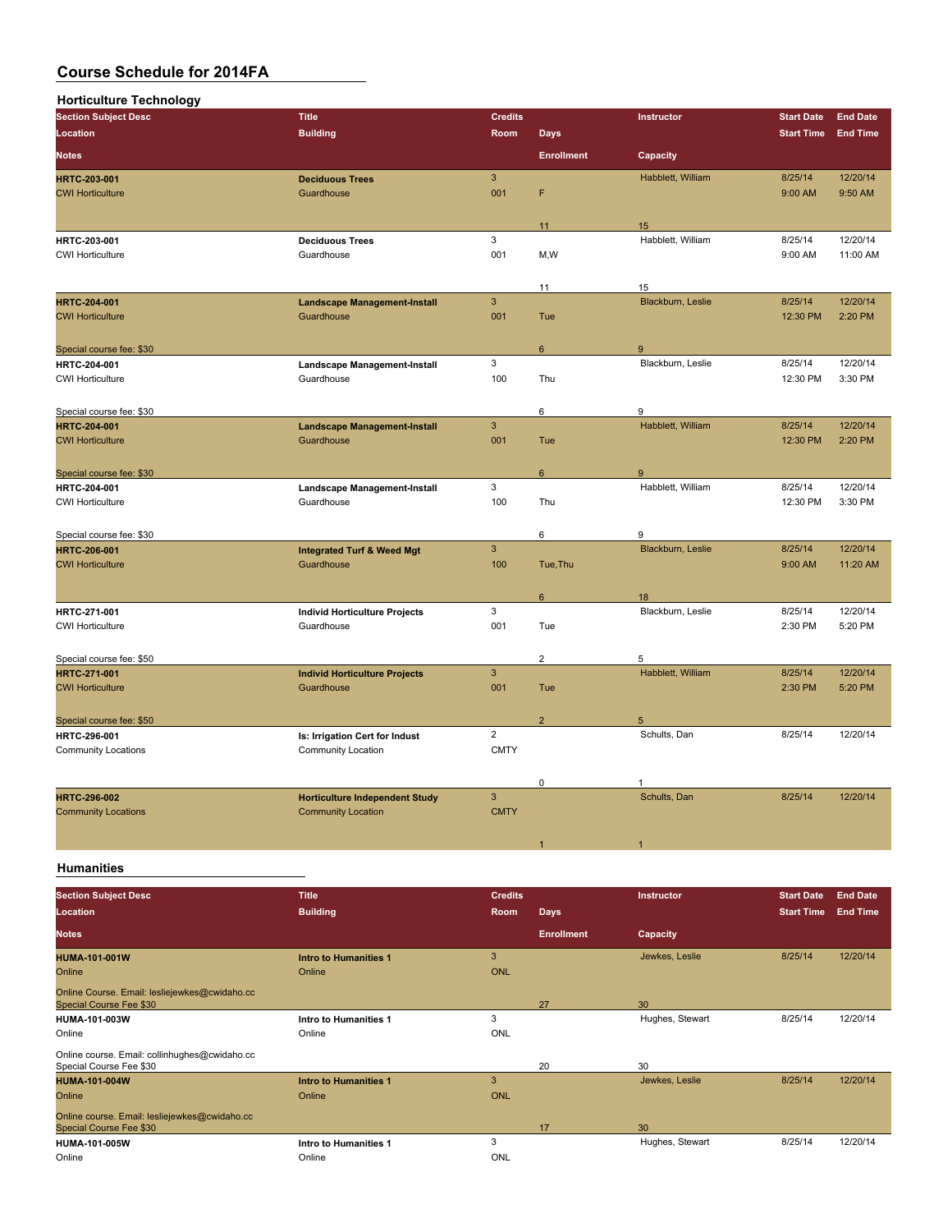| <b>Horticulture Technology</b> |                                       |                           |                   |                   |                   |                 |
|--------------------------------|---------------------------------------|---------------------------|-------------------|-------------------|-------------------|-----------------|
| <b>Section Subject Desc</b>    | <b>Title</b>                          | <b>Credits</b>            |                   | Instructor        | <b>Start Date</b> | <b>End Date</b> |
| Location                       | <b>Building</b>                       | Room                      | <b>Days</b>       |                   | <b>Start Time</b> | <b>End Time</b> |
| <b>Notes</b>                   |                                       |                           | <b>Enrollment</b> | Capacity          |                   |                 |
| <b>HRTC-203-001</b>            | <b>Deciduous Trees</b>                | $\ensuremath{\mathsf{3}}$ |                   | Habblett, William | 8/25/14           | 12/20/14        |
| <b>CWI Horticulture</b>        | Guardhouse                            | 001                       | F                 |                   | 9:00 AM           | 9:50 AM         |
|                                |                                       |                           | 11                | 15                |                   |                 |
| HRTC-203-001                   | <b>Deciduous Trees</b>                | 3                         |                   | Habblett, William | 8/25/14           | 12/20/14        |
| <b>CWI Horticulture</b>        | Guardhouse                            | 001                       | M,W               |                   | 9:00 AM           | 11:00 AM        |
|                                |                                       |                           | 11                | 15                |                   |                 |
| <b>HRTC-204-001</b>            | <b>Landscape Management-Install</b>   | $\mathbf{3}$              |                   | Blackburn, Leslie | 8/25/14           | 12/20/14        |
| <b>CWI Horticulture</b>        | Guardhouse                            | 001                       | Tue               |                   | 12:30 PM          | 2:20 PM         |
| Special course fee: \$30       |                                       |                           | $6\phantom{a}$    | 9                 |                   |                 |
| HRTC-204-001                   | Landscape Management-Install          | 3                         |                   | Blackburn, Leslie | 8/25/14           | 12/20/14        |
| <b>CWI Horticulture</b>        | Guardhouse                            | 100                       | Thu               |                   | 12:30 PM          | 3:30 PM         |
| Special course fee: \$30       |                                       |                           | 6                 | 9                 |                   |                 |
| <b>HRTC-204-001</b>            | <b>Landscape Management-Install</b>   | $\overline{3}$            |                   | Habblett, William | 8/25/14           | 12/20/14        |
| <b>CWI Horticulture</b>        | Guardhouse                            | 001                       | Tue               |                   | 12:30 PM          | 2:20 PM         |
| Special course fee: \$30       |                                       |                           | $6^{\circ}$       | 9                 |                   |                 |
| HRTC-204-001                   | Landscape Management-Install          | 3                         |                   | Habblett, William | 8/25/14           | 12/20/14        |
| <b>CWI Horticulture</b>        | Guardhouse                            | 100                       | Thu               |                   | 12:30 PM          | 3:30 PM         |
| Special course fee: \$30       |                                       |                           | 6                 | 9                 |                   |                 |
| <b>HRTC-206-001</b>            | <b>Integrated Turf &amp; Weed Mgt</b> | $\overline{3}$            |                   | Blackburn, Leslie | 8/25/14           | 12/20/14        |
| <b>CWI Horticulture</b>        | Guardhouse                            | 100                       | Tue, Thu          |                   | 9:00 AM           | 11:20 AM        |
|                                |                                       |                           | $6\phantom{a}$    | 18                |                   |                 |
| HRTC-271-001                   | <b>Individ Horticulture Projects</b>  | 3                         |                   | Blackburn, Leslie | 8/25/14           | 12/20/14        |
| <b>CWI Horticulture</b>        | Guardhouse                            | 001                       | Tue               |                   | 2:30 PM           | 5:20 PM         |
| Special course fee: \$50       |                                       |                           | $\overline{2}$    | 5                 |                   |                 |
| <b>HRTC 271-001</b>            | <b>Individ Horticulture Projects</b>  | $\overline{3}$            |                   | Habblett, William | 8/25/14           | 12/20/14        |
| <b>CWI Horticulture</b>        | Guardhouse                            | 001                       | Tue               |                   | 2:30 PM           | 5:20 PM         |
| Special course fee: \$50       |                                       |                           | $\overline{2}$    | 5                 |                   |                 |
| <b>HRTC-296-001</b>            | Is: Irrigation Cert for Indust        | $\overline{2}$            |                   | Schults, Dan      | 8/25/14           | 12/20/14        |
| <b>Community Locations</b>     | <b>Community Location</b>             | <b>CMTY</b>               |                   |                   |                   |                 |
|                                |                                       |                           | $\mathbf 0$       | 1                 |                   |                 |
| <b>HRTC-296-002</b>            | <b>Horticulture Independent Study</b> | $\overline{3}$            |                   | Schults, Dan      | 8/25/14           | 12/20/14        |
| <b>Community Locations</b>     | <b>Community Location</b>             | <b>CMTY</b>               |                   |                   |                   |                 |
|                                |                                       |                           |                   |                   |                   |                 |

**Humanities**

| <b>Section Subject Desc</b>                                              | <b>Title</b>                 | <b>Credits</b> |                   | Instructor      | <b>Start Date</b> | <b>End Date</b> |
|--------------------------------------------------------------------------|------------------------------|----------------|-------------------|-----------------|-------------------|-----------------|
| Location                                                                 | <b>Building</b>              | Room           | <b>Days</b>       |                 | <b>Start Time</b> | <b>End Time</b> |
| <b>Notes</b>                                                             |                              |                | <b>Enrollment</b> | Capacity        |                   |                 |
| <b>HUMA-101-001W</b>                                                     | <b>Intro to Humanities 1</b> | 3              |                   | Jewkes, Leslie  | 8/25/14           | 12/20/14        |
| Online                                                                   | Online                       | <b>ONL</b>     |                   |                 |                   |                 |
| Online Course. Email: lesliejewkes@cwidaho.cc<br>Special Course Fee \$30 |                              |                | 27                | 30              |                   |                 |
| <b>HUMA-101-003W</b>                                                     | Intro to Humanities 1        | 3              |                   | Hughes, Stewart | 8/25/14           | 12/20/14        |
| Online                                                                   | Online                       | <b>ONL</b>     |                   |                 |                   |                 |
| Online course. Email: collinhughes@cwidaho.cc<br>Special Course Fee \$30 |                              |                | 20                | 30              |                   |                 |
| <b>HUMA-101-004W</b>                                                     | <b>Intro to Humanities 1</b> | 3              |                   | Jewkes, Leslie  | 8/25/14           | 12/20/14        |
| Online                                                                   | Online                       | <b>ONL</b>     |                   |                 |                   |                 |
| Online course. Email: lesliejewkes@cwidaho.cc<br>Special Course Fee \$30 |                              |                | 17                | 30              |                   |                 |
| <b>HUMA-101-005W</b>                                                     | Intro to Humanities 1        | 3              |                   | Hughes, Stewart | 8/25/14           | 12/20/14        |
| Online                                                                   | Online                       | <b>ONL</b>     |                   |                 |                   |                 |

1  $\sim$  1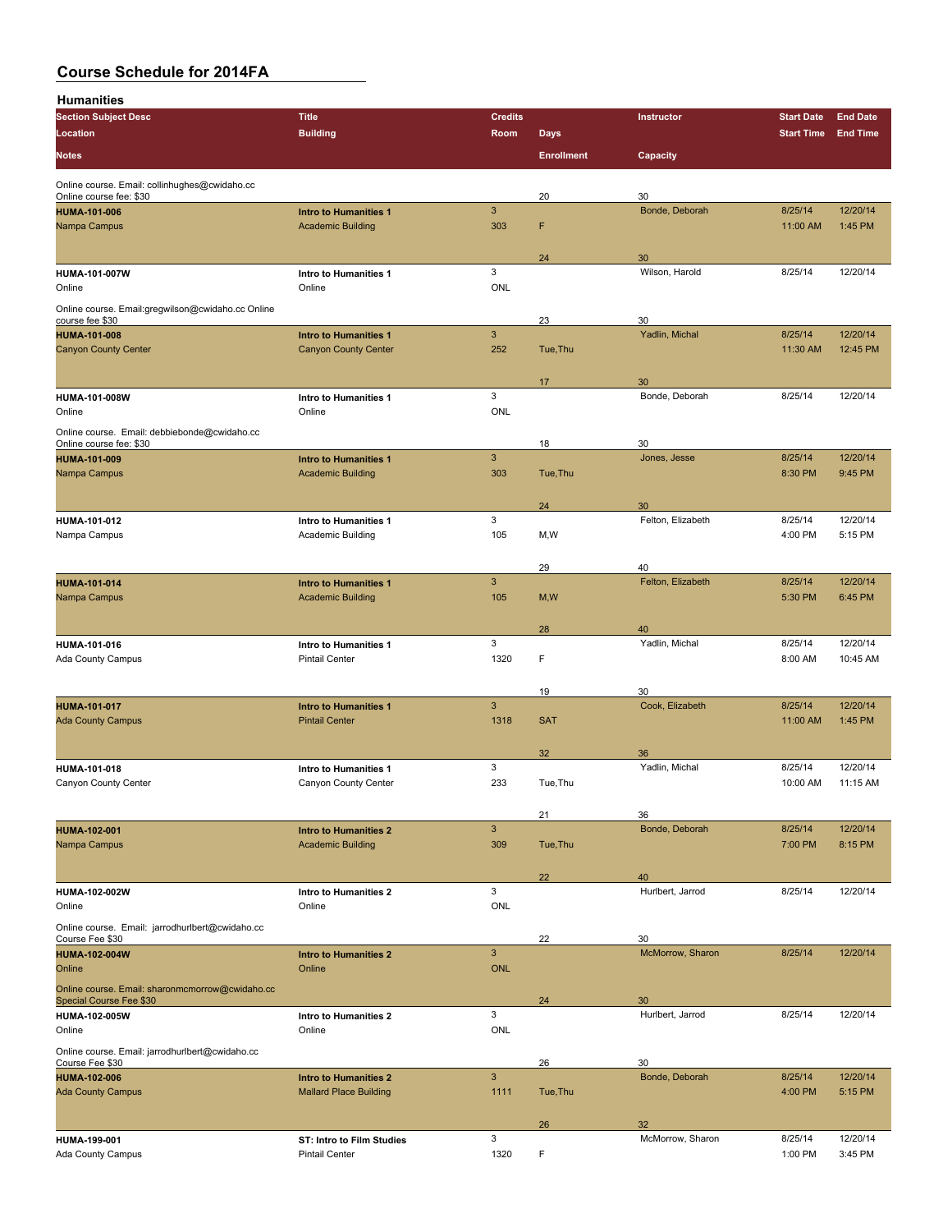**Humanities**

| <b>Section Subject Desc</b>                                              | <b>Title</b>                                             | <b>Credits</b>            |                   | Instructor            | <b>Start Date</b> | <b>End Date</b> |
|--------------------------------------------------------------------------|----------------------------------------------------------|---------------------------|-------------------|-----------------------|-------------------|-----------------|
| <b>Location</b>                                                          | <b>Building</b>                                          | Room                      | <b>Days</b>       |                       | <b>Start Time</b> | <b>End Time</b> |
| <b>Notes</b>                                                             |                                                          |                           | <b>Enrollment</b> | Capacity              |                   |                 |
|                                                                          |                                                          |                           |                   |                       |                   |                 |
| Online course. Email: collinhughes@cwidaho.cc<br>Online course fee: \$30 |                                                          |                           | 20                | 30                    |                   |                 |
| <b>HUMA-101-006</b>                                                      | <b>Intro to Humanities 1</b>                             | $\mathbf{3}$              |                   | Bonde, Deborah        | 8/25/14           | 12/20/14        |
| Nampa Campus                                                             | <b>Academic Building</b>                                 | 303                       | F                 |                       | 11:00 AM          | 1:45 PM         |
|                                                                          |                                                          |                           |                   |                       |                   |                 |
|                                                                          |                                                          |                           | 24                | 30                    |                   |                 |
| <b>HUMA-101-007W</b><br>Online                                           | Intro to Humanities 1<br>Online                          | 3<br><b>ONL</b>           |                   | Wilson, Harold        | 8/25/14           | 12/20/14        |
|                                                                          |                                                          |                           |                   |                       |                   |                 |
| Online course. Email:gregwilson@cwidaho.cc Online<br>course fee \$30     |                                                          |                           | 23                | 30                    |                   |                 |
| <b>HUMA-101-008</b>                                                      | <b>Intro to Humanities 1</b>                             | $\mathbf{3}$              |                   | Yadlin, Michal        | 8/25/14           | 12/20/14        |
| <b>Canyon County Center</b>                                              | <b>Canyon County Center</b>                              | 252                       | Tue, Thu          |                       | 11:30 AM          | 12:45 PM        |
|                                                                          |                                                          |                           |                   |                       |                   |                 |
|                                                                          |                                                          | 3                         | 17                | 30                    |                   |                 |
| HUMA-101-008W<br>Online                                                  | Intro to Humanities 1<br>Online                          | <b>ONL</b>                |                   | Bonde, Deborah        | 8/25/14           | 12/20/14        |
|                                                                          |                                                          |                           |                   |                       |                   |                 |
| Online course. Email: debbiebonde@cwidaho.cc<br>Online course fee: \$30  |                                                          |                           | 18                | 30                    |                   |                 |
| <b>HUMA-101-009</b>                                                      | <b>Intro to Humanities 1</b>                             | $\mathbf{3}$              |                   | Jones, Jesse          | 8/25/14           | 12/20/14        |
| Nampa Campus                                                             | <b>Academic Building</b>                                 | 303                       | Tue, Thu          |                       | 8:30 PM           | 9:45 PM         |
|                                                                          |                                                          |                           |                   |                       |                   |                 |
|                                                                          |                                                          |                           | 24                | 30                    |                   |                 |
| <b>HUMA-101-012</b>                                                      | Intro to Humanities 1                                    | 3                         |                   | Felton, Elizabeth     | 8/25/14           | 12/20/14        |
| Nampa Campus                                                             | Academic Building                                        | 105                       | M,W               |                       | 4:00 PM           | 5:15 PM         |
|                                                                          |                                                          |                           | 29                | 40                    |                   |                 |
| <b>HUMA-101-014</b>                                                      | <b>Intro to Humanities 1</b>                             | $\mathbf{3}$              |                   | Felton, Elizabeth     | 8/25/14           | 12/20/14        |
| Nampa Campus                                                             | <b>Academic Building</b>                                 | 105                       | M, W              |                       | 5:30 PM           | 6:45 PM         |
|                                                                          |                                                          |                           |                   |                       |                   |                 |
|                                                                          |                                                          |                           | 28                | 40                    |                   |                 |
| HUMA-101-016                                                             | Intro to Humanities 1                                    | 3                         |                   | Yadlin, Michal        | 8/25/14           | 12/20/14        |
| Ada County Campus                                                        | <b>Pintail Center</b>                                    | 1320                      | F                 |                       | 8:00 AM           | 10:45 AM        |
|                                                                          |                                                          |                           |                   |                       |                   |                 |
|                                                                          |                                                          | $\mathbf{3}$              | 19                | 30<br>Cook, Elizabeth | 8/25/14           | 12/20/14        |
| <b>HUMA-101-017</b><br><b>Ada County Campus</b>                          | <b>Intro to Humanities 1</b><br><b>Pintail Center</b>    | 1318                      | <b>SAT</b>        |                       | 11:00 AM          | 1:45 PM         |
|                                                                          |                                                          |                           |                   |                       |                   |                 |
|                                                                          |                                                          |                           | 32                | 36                    |                   |                 |
| <b>HUMA-101-018</b>                                                      | Intro to Humanities 1                                    | 3                         |                   | Yadlin, Michal        | 8/25/14           | 12/20/14        |
| Canyon County Center                                                     | Canyon County Center                                     | 233                       | Tue, Thu          |                       | 10:00 AM          | 11:15 AM        |
|                                                                          |                                                          |                           |                   |                       |                   |                 |
|                                                                          |                                                          | $\ensuremath{\mathsf{3}}$ | 21                | 36<br>Bonde, Deborah  | 8/25/14           | 12/20/14        |
| <b>HUMA-102-001</b><br>Nampa Campus                                      | <b>Intro to Humanities 2</b><br><b>Academic Building</b> | 309                       | Tue, Thu          |                       | 7:00 PM           | 8:15 PM         |
|                                                                          |                                                          |                           |                   |                       |                   |                 |
|                                                                          |                                                          |                           | 22                | 40                    |                   |                 |
| <b>HUMA-102-002W</b>                                                     | Intro to Humanities 2                                    | 3                         |                   | Hurlbert, Jarrod      | 8/25/14           | 12/20/14        |
| Online                                                                   | Online                                                   | <b>ONL</b>                |                   |                       |                   |                 |
| Online course. Email: jarrodhurlbert@cwidaho.cc                          |                                                          |                           |                   | 30                    |                   |                 |
| Course Fee \$30<br><b>HUMA-102-004W</b>                                  | <b>Intro to Humanities 2</b>                             | $\mathbf{3}$              | 22                | McMorrow, Sharon      | 8/25/14           | 12/20/14        |
| Online                                                                   | Online                                                   | <b>ONL</b>                |                   |                       |                   |                 |
| Online course. Email: sharonmcmorrow@cwidaho.cc                          |                                                          |                           |                   |                       |                   |                 |
| Special Course Fee \$30                                                  |                                                          |                           | 24                | 30                    |                   |                 |
| <b>HUMA-102-005W</b>                                                     | Intro to Humanities 2                                    | 3                         |                   | Hurlbert, Jarrod      | 8/25/14           | 12/20/14        |
| Online                                                                   | Online                                                   | <b>ONL</b>                |                   |                       |                   |                 |
| Online course. Email: jarrodhurlbert@cwidaho.cc                          |                                                          |                           |                   |                       |                   |                 |
| Course Fee \$30<br><b>HUMA-102-006</b>                                   | <b>Intro to Humanities 2</b>                             | $\mathbf{3}$              | 26                | 30<br>Bonde, Deborah  | 8/25/14           | 12/20/14        |
| <b>Ada County Campus</b>                                                 | <b>Mallard Place Building</b>                            | 1111                      | Tue, Thu          |                       | 4:00 PM           | 5:15 PM         |
|                                                                          |                                                          |                           |                   |                       |                   |                 |
|                                                                          |                                                          |                           | 26                | 32                    |                   |                 |
| <b>HUMA-199-001</b>                                                      | ST: Intro to Film Studies                                | 3                         |                   | McMorrow, Sharon      | 8/25/14           | 12/20/14        |
| Ada County Campus                                                        | <b>Pintail Center</b>                                    | 1320                      | F                 |                       | 1:00 PM           | 3:45 PM         |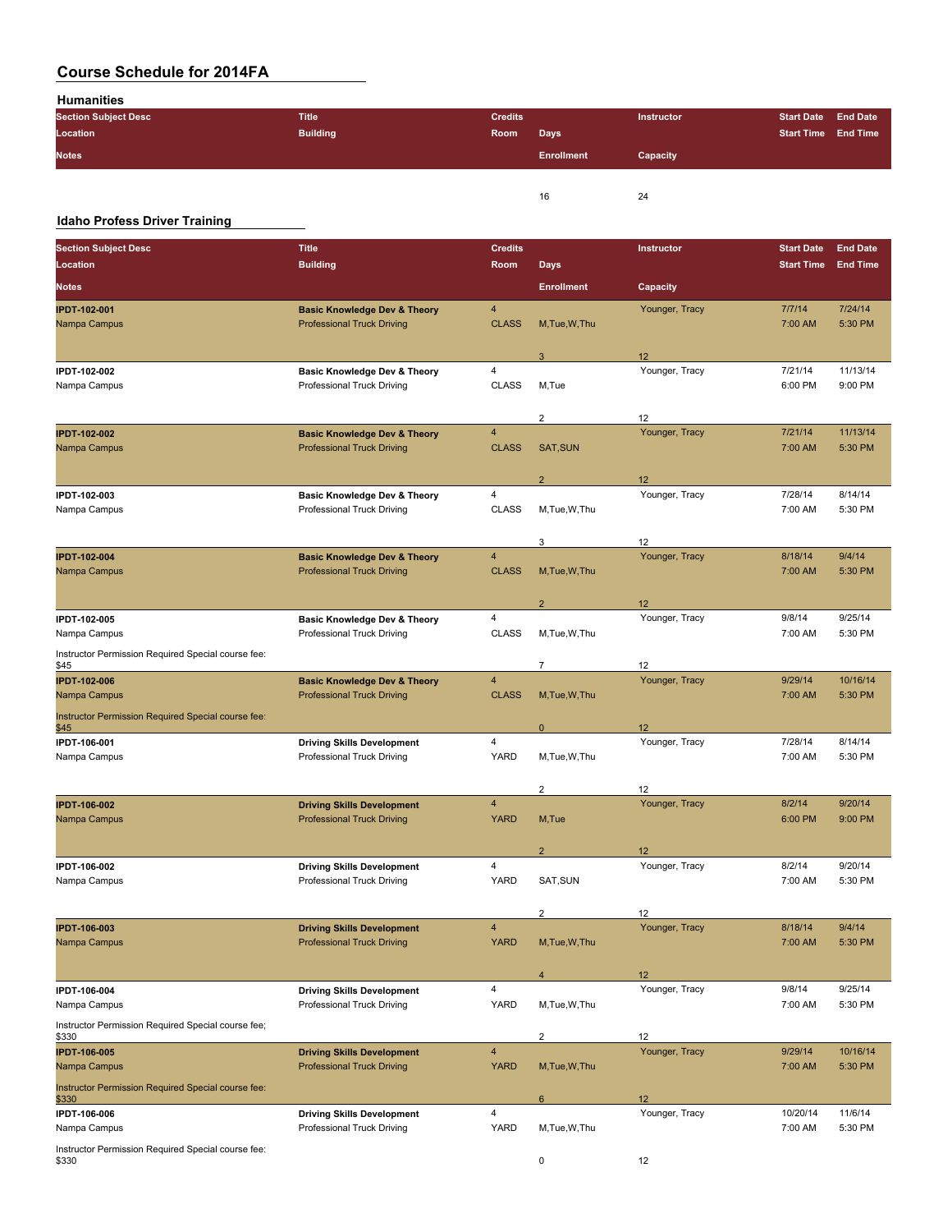**Humanities**

| <b>Section Subject Desc</b> | <b>Title</b>    | <b>Credits</b> |                   | <b>Instructor</b> | Start Date End Date |  |
|-----------------------------|-----------------|----------------|-------------------|-------------------|---------------------|--|
| Location                    | <b>Building</b> | Room           | <b>Days</b>       |                   | Start Time End Time |  |
| <b>Notes</b>                |                 |                | <b>Enrollment</b> | Capacity          |                     |  |
|                             |                 |                |                   |                   |                     |  |
|                             |                 |                | 16                | 24                |                     |  |

### **Idaho Profess Driver Training**

| <b>Section Subject Desc</b>                                 | <b>Title</b>                            | <b>Credits</b>          |                         | Instructor      | <b>Start Date</b> | <b>End Date</b> |
|-------------------------------------------------------------|-----------------------------------------|-------------------------|-------------------------|-----------------|-------------------|-----------------|
| Location                                                    | <b>Building</b>                         | Room                    | <b>Days</b>             |                 | <b>Start Time</b> | <b>End Time</b> |
| Notes                                                       |                                         |                         | <b>Enrollment</b>       | Capacity        |                   |                 |
| <b>IPDT-102-001</b>                                         | <b>Basic Knowledge Dev &amp; Theory</b> | 4                       |                         | Younger, Tracy  | 7/7/14            | 7/24/14         |
| Nampa Campus                                                | <b>Professional Truck Driving</b>       | <b>CLASS</b>            | M.Tue.W.Thu             |                 | 7:00 AM           | 5:30 PM         |
|                                                             |                                         |                         | 3                       | 12 <sup>2</sup> |                   |                 |
| IPDT-102-002                                                | <b>Basic Knowledge Dev &amp; Theory</b> | 4                       |                         | Younger, Tracy  | 7/21/14           | 11/13/14        |
| Nampa Campus                                                | Professional Truck Driving              | <b>CLASS</b>            | M,Tue                   |                 | 6:00 PM           | 9:00 PM         |
|                                                             |                                         |                         | $\overline{\mathbf{c}}$ | 12              |                   |                 |
| <b>IPDT-102-002</b>                                         | <b>Basic Knowledge Dev &amp; Theory</b> | 4                       |                         | Younger, Tracy  | 7/21/14           | 11/13/14        |
| Nampa Campus                                                | <b>Professional Truck Driving</b>       | <b>CLASS</b>            | SAT, SUN                |                 | 7:00 AM           | 5:30 PM         |
|                                                             |                                         |                         | $\overline{2}$          | 12              |                   |                 |
| IPDT-102-003                                                | <b>Basic Knowledge Dev &amp; Theory</b> | 4                       |                         | Younger, Tracy  | 7/28/14           | 8/14/14         |
| Nampa Campus                                                | Professional Truck Driving              | <b>CLASS</b>            | M,Tue,W,Thu             |                 | 7:00 AM           | 5:30 PM         |
|                                                             |                                         |                         | 3                       | 12              |                   |                 |
| <b>IPDT-102-004</b>                                         | <b>Basic Knowledge Dev &amp; Theory</b> | 4                       |                         | Younger, Tracy  | 8/18/14           | 9/4/14          |
| Nampa Campus                                                | <b>Professional Truck Driving</b>       | <b>CLASS</b>            | M, Tue, W, Thu          |                 | 7:00 AM           | 5:30 PM         |
|                                                             |                                         |                         | $\overline{2}$          | 12              |                   |                 |
| <b>IPDT-102-005</b>                                         | <b>Basic Knowledge Dev &amp; Theory</b> | 4                       |                         | Younger, Tracy  | 9/8/14            | 9/25/14         |
| Nampa Campus                                                | Professional Truck Driving              | <b>CLASS</b>            | M,Tue,W,Thu             |                 | 7:00 AM           | 5:30 PM         |
| Instructor Permission Required Special course fee:<br>\$45  |                                         |                         | $\overline{7}$          | 12              |                   |                 |
| <b>IPDT-102-006</b>                                         | <b>Basic Knowledge Dev &amp; Theory</b> | 4                       |                         | Younger, Tracy  | 9/29/14           | 10/16/14        |
| Nampa Campus                                                | <b>Professional Truck Driving</b>       | <b>CLASS</b>            | M, Tue, W, Thu          |                 | 7:00 AM           | 5:30 PM         |
| Instructor Permission Required Special course fee:<br>\$45  |                                         |                         | $\pmb{0}$               | 12              |                   |                 |
| IPDT-106-001                                                | <b>Driving Skills Development</b>       | 4                       |                         | Younger, Tracy  | 7/28/14           | 8/14/14         |
| Nampa Campus                                                | Professional Truck Driving              | <b>YARD</b>             | M, Tue, W, Thu          |                 | 7:00 AM           | 5:30 PM         |
|                                                             |                                         |                         | $\overline{c}$          | 12              |                   |                 |
| <b>IPDT-106-002</b>                                         | <b>Driving Skills Development</b>       | 4                       |                         | Younger, Tracy  | 8/2/14            | 9/20/14         |
| Nampa Campus                                                | <b>Professional Truck Driving</b>       | <b>YARD</b>             | M, Tue                  |                 | 6:00 PM           | 9:00 PM         |
|                                                             |                                         |                         | $\overline{2}$          | 12              |                   |                 |
| IPDT-106-002                                                | <b>Driving Skills Development</b>       | 4                       |                         | Younger, Tracy  | 8/2/14            | 9/20/14         |
| Nampa Campus                                                | Professional Truck Driving              | YARD                    | SAT, SUN                |                 | 7:00 AM           | 5:30 PM         |
|                                                             |                                         |                         | $\overline{\mathbf{c}}$ | 12              |                   |                 |
| <b>IPDT-106-003</b>                                         | <b>Driving Skills Development</b>       | $\overline{\mathbf{4}}$ |                         | Younger, Tracy  | 8/18/14           | 9/4/14          |
| Nampa Campus                                                | <b>Professional Truck Driving</b>       | <b>YARD</b>             | M, Tue, W, Thu          |                 | 7:00 AM           | 5:30 PM         |
|                                                             |                                         |                         | $\overline{4}$          | 12              |                   |                 |
| IPDT-106-004                                                | <b>Driving Skills Development</b>       | 4                       |                         | Younger, Tracy  | 9/8/14            | 9/25/14         |
| Nampa Campus                                                | Professional Truck Driving              | YARD                    | M,Tue,W,Thu             |                 | 7:00 AM           | 5:30 PM         |
| Instructor Permission Required Special course fee;<br>\$330 |                                         |                         | $\overline{2}$          | 12              |                   |                 |
| <b>IPDT-106-005</b>                                         | <b>Driving Skills Development</b>       | $\overline{\mathbf{4}}$ |                         | Younger, Tracy  | 9/29/14           | 10/16/14        |
| Nampa Campus                                                | <b>Professional Truck Driving</b>       | <b>YARD</b>             | M, Tue, W, Thu          |                 | 7:00 AM           | 5:30 PM         |
| Instructor Permission Required Special course fee:<br>\$330 |                                         |                         | $6\phantom{1}$          | 12              |                   |                 |
| IPDT-106-006                                                | <b>Driving Skills Development</b>       | 4                       |                         | Younger, Tracy  | 10/20/14          | 11/6/14         |
| Nampa Campus                                                | Professional Truck Driving              | YARD                    | M,Tue,W,Thu             |                 | 7:00 AM           | 5:30 PM         |
| Instructor Permission Required Special course fee:<br>\$330 |                                         |                         | 0                       | 12              |                   |                 |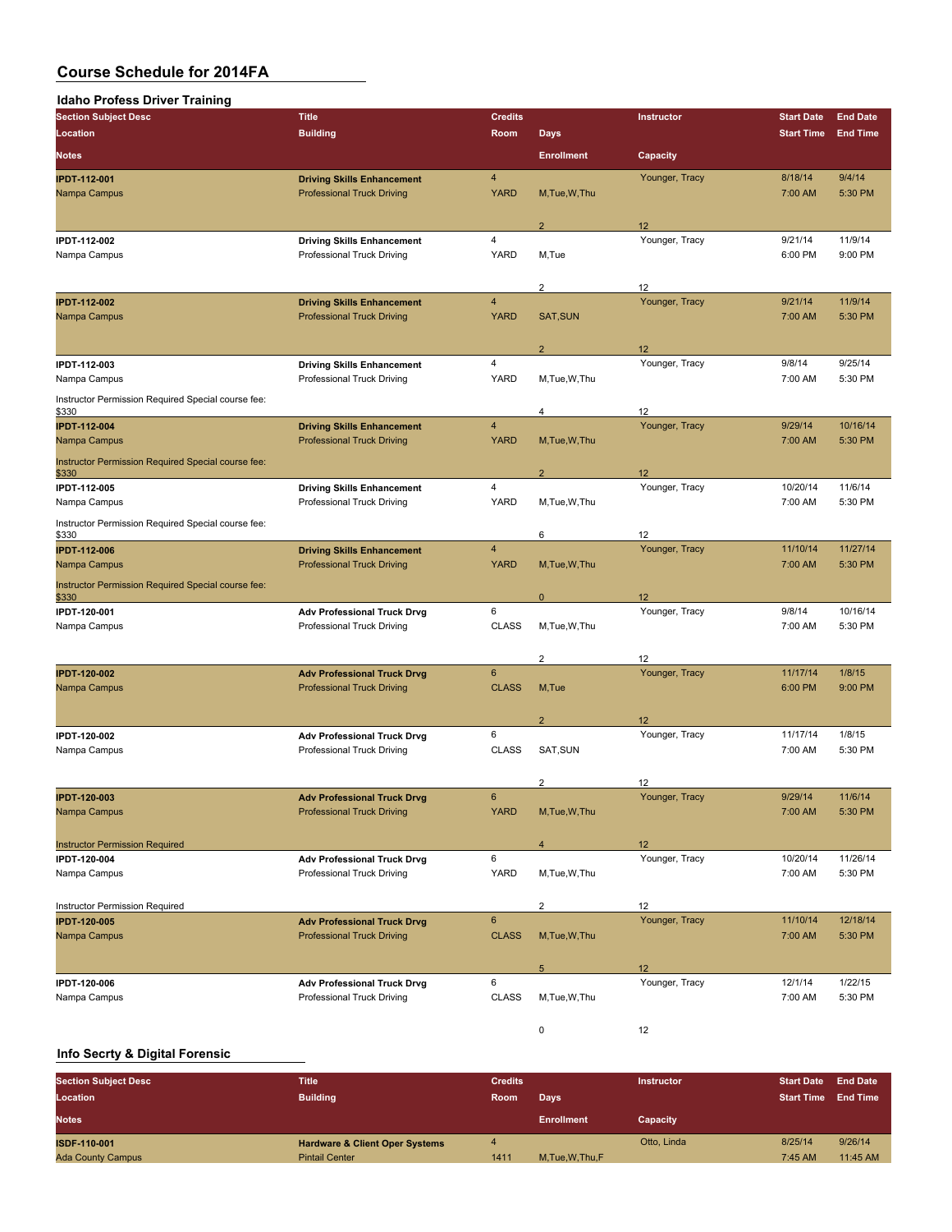| <b>Idaho Profess Driver Training</b>                        |                                                                         |                               |                         |                      |                     |                     |
|-------------------------------------------------------------|-------------------------------------------------------------------------|-------------------------------|-------------------------|----------------------|---------------------|---------------------|
| <b>Section Subject Desc</b>                                 | <b>Title</b>                                                            | <b>Credits</b>                |                         | Instructor           | <b>Start Date</b>   | <b>End Date</b>     |
| Location                                                    | <b>Building</b>                                                         | Room                          | <b>Days</b>             |                      | <b>Start Time</b>   | <b>End Time</b>     |
| <b>Notes</b>                                                |                                                                         |                               | <b>Enrollment</b>       | Capacity             |                     |                     |
| <b>IPDT-112-001</b>                                         | <b>Driving Skills Enhancement</b>                                       | $\overline{4}$                |                         | Younger, Tracy       | 8/18/14             | 9/4/14              |
| Nampa Campus                                                | <b>Professional Truck Driving</b>                                       | <b>YARD</b>                   | M, Tue, W, Thu          |                      | 7:00 AM             | 5:30 PM             |
|                                                             |                                                                         |                               |                         |                      |                     |                     |
|                                                             |                                                                         |                               | $\overline{2}$          | 12                   |                     |                     |
| IPDT-112-002                                                | <b>Driving Skills Enhancement</b>                                       | 4                             |                         | Younger, Tracy       | 9/21/14             | 11/9/14             |
| Nampa Campus                                                | Professional Truck Driving                                              | <b>YARD</b>                   | M,Tue                   |                      | 6:00 PM             | 9:00 PM             |
|                                                             |                                                                         |                               | $\overline{\mathbf{c}}$ | 12                   |                     |                     |
| <b>IPDT-112-002</b>                                         | <b>Driving Skills Enhancement</b>                                       | $\overline{4}$                |                         | Younger, Tracy       | 9/21/14             | 11/9/14             |
| Nampa Campus                                                | <b>Professional Truck Driving</b>                                       | <b>YARD</b>                   | SAT, SUN                |                      | 7:00 AM             | 5:30 PM             |
|                                                             |                                                                         |                               |                         |                      |                     |                     |
|                                                             |                                                                         |                               | $\overline{2}$          | 12                   |                     |                     |
| IPDT-112-003                                                | <b>Driving Skills Enhancement</b>                                       | 4                             |                         | Younger, Tracy       | 9/8/14              | 9/25/14             |
| Nampa Campus                                                | Professional Truck Driving                                              | <b>YARD</b>                   | M, Tue, W, Thu          |                      | 7:00 AM             | 5:30 PM             |
| Instructor Permission Required Special course fee:          |                                                                         |                               |                         |                      |                     |                     |
| \$330<br><b>IPDT-112-004</b>                                | <b>Driving Skills Enhancement</b>                                       | $\overline{4}$                | 4                       | 12<br>Younger, Tracy | 9/29/14             | 10/16/14            |
| Nampa Campus                                                | <b>Professional Truck Driving</b>                                       | <b>YARD</b>                   | M, Tue, W, Thu          |                      | 7:00 AM             | 5:30 PM             |
|                                                             |                                                                         |                               |                         |                      |                     |                     |
| Instructor Permission Required Special course fee:<br>\$330 |                                                                         |                               | $\overline{2}$          | 12                   |                     |                     |
| IPDT-112-005                                                | <b>Driving Skills Enhancement</b>                                       | 4                             |                         | Younger, Tracy       | 10/20/14            | 11/6/14             |
| Nampa Campus                                                | Professional Truck Driving                                              | <b>YARD</b>                   | M, Tue, W, Thu          |                      | 7:00 AM             | 5:30 PM             |
| Instructor Permission Required Special course fee:          |                                                                         |                               |                         |                      |                     |                     |
| \$330                                                       |                                                                         |                               | 6                       | 12                   |                     |                     |
| <b>IPDT-112-006</b><br>Nampa Campus                         | <b>Driving Skills Enhancement</b><br><b>Professional Truck Driving</b>  | $\overline{4}$<br><b>YARD</b> | M, Tue, W, Thu          | Younger, Tracy       | 11/10/14<br>7:00 AM | 11/27/14<br>5:30 PM |
|                                                             |                                                                         |                               |                         |                      |                     |                     |
| Instructor Permission Required Special course fee:<br>\$330 |                                                                         |                               | $\mathbf{0}$            | 12                   |                     |                     |
| IPDT-120-001                                                | <b>Adv Professional Truck Drvg</b>                                      | 6                             |                         | Younger, Tracy       | 9/8/14              | 10/16/14            |
| Nampa Campus                                                | Professional Truck Driving                                              | <b>CLASS</b>                  | M, Tue, W, Thu          |                      | 7:00 AM             | 5:30 PM             |
|                                                             |                                                                         |                               |                         |                      |                     |                     |
|                                                             |                                                                         |                               | $\overline{2}$          | 12                   |                     |                     |
| <b>IPDT-120-002</b><br>Nampa Campus                         | <b>Adv Professional Truck Drvg</b><br><b>Professional Truck Driving</b> | 6<br><b>CLASS</b>             | M, Tue                  | Younger, Tracy       | 11/17/14<br>6:00 PM | 1/8/15<br>9:00 PM   |
|                                                             |                                                                         |                               |                         |                      |                     |                     |
|                                                             |                                                                         |                               | $\overline{2}$          | 12                   |                     |                     |
| IPDT-120-002                                                | <b>Adv Professional Truck Drvg</b>                                      | 6                             |                         | Younger, Tracy       | 11/17/14            | 1/8/15              |
| Nampa Campus                                                | Professional Truck Driving                                              | <b>CLASS</b>                  | SAT, SUN                |                      | 7:00 AM             | 5:30 PM             |
|                                                             |                                                                         |                               |                         |                      |                     |                     |
|                                                             |                                                                         |                               | 2                       | 12                   |                     |                     |
| <b>IPDT-120-003</b><br>Nampa Campus                         | <b>Adv Professional Truck Drvg</b><br><b>Professional Truck Driving</b> | 6<br><b>YARD</b>              |                         | Younger, Tracy       | 9/29/14<br>7:00 AM  | 11/6/14<br>5:30 PM  |
|                                                             |                                                                         |                               | M, Tue, W, Thu          |                      |                     |                     |
| <b>Instructor Permission Required</b>                       |                                                                         |                               | $\overline{4}$          | 12                   |                     |                     |
| IPDT-120-004                                                | <b>Adv Professional Truck Drvg</b>                                      | 6                             |                         | Younger, Tracy       | 10/20/14            | 11/26/14            |
| Nampa Campus                                                | Professional Truck Driving                                              | <b>YARD</b>                   | M, Tue, W, Thu          |                      | 7:00 AM             | 5:30 PM             |
|                                                             |                                                                         |                               |                         |                      |                     |                     |
| Instructor Permission Required                              |                                                                         |                               | 2                       | 12                   |                     |                     |
| <b>IPDT-120-005</b>                                         | <b>Adv Professional Truck Drvg</b>                                      | 6                             |                         | Younger, Tracy       | 11/10/14            | 12/18/14            |
| Nampa Campus                                                | <b>Professional Truck Driving</b>                                       | <b>CLASS</b>                  | M, Tue, W, Thu          |                      | 7:00 AM             | 5:30 PM             |
|                                                             |                                                                         |                               | 5                       | 12                   |                     |                     |
| <b>IPDT-120-006</b>                                         | <b>Adv Professional Truck Drvg</b>                                      | 6                             |                         | Younger, Tracy       | 12/1/14             | 1/22/15             |
| Nampa Campus                                                | Professional Truck Driving                                              | <b>CLASS</b>                  | M, Tue, W, Thu          |                      | 7:00 AM             | 5:30 PM             |
|                                                             |                                                                         |                               |                         |                      |                     |                     |
|                                                             |                                                                         |                               | 0                       | 12                   |                     |                     |

### **Info Secrty & Digital Forensic**

| <b>Section Subject Desc</b> | <b>Title</b>                              | <b>Credits</b> |                   | <b>Instructor</b> | <b>Start Date</b> | <b>End Date</b> |
|-----------------------------|-------------------------------------------|----------------|-------------------|-------------------|-------------------|-----------------|
| Location                    | <b>Building</b>                           | <b>Room</b>    | Days              |                   | <b>Start Time</b> | <b>End Time</b> |
| <b>Notes</b>                |                                           |                | <b>Enrollment</b> | Capacity          |                   |                 |
| ISDF 110-001                | <b>Hardware &amp; Client Oper Systems</b> |                |                   | Otto, Linda       | 8/25/14           | 9/26/14         |
| <b>Ada County Campus</b>    | <b>Pintail Center</b>                     | 1411           | M.Tue, W.Thu, F   |                   | 7:45 AM           | 11:45 AM        |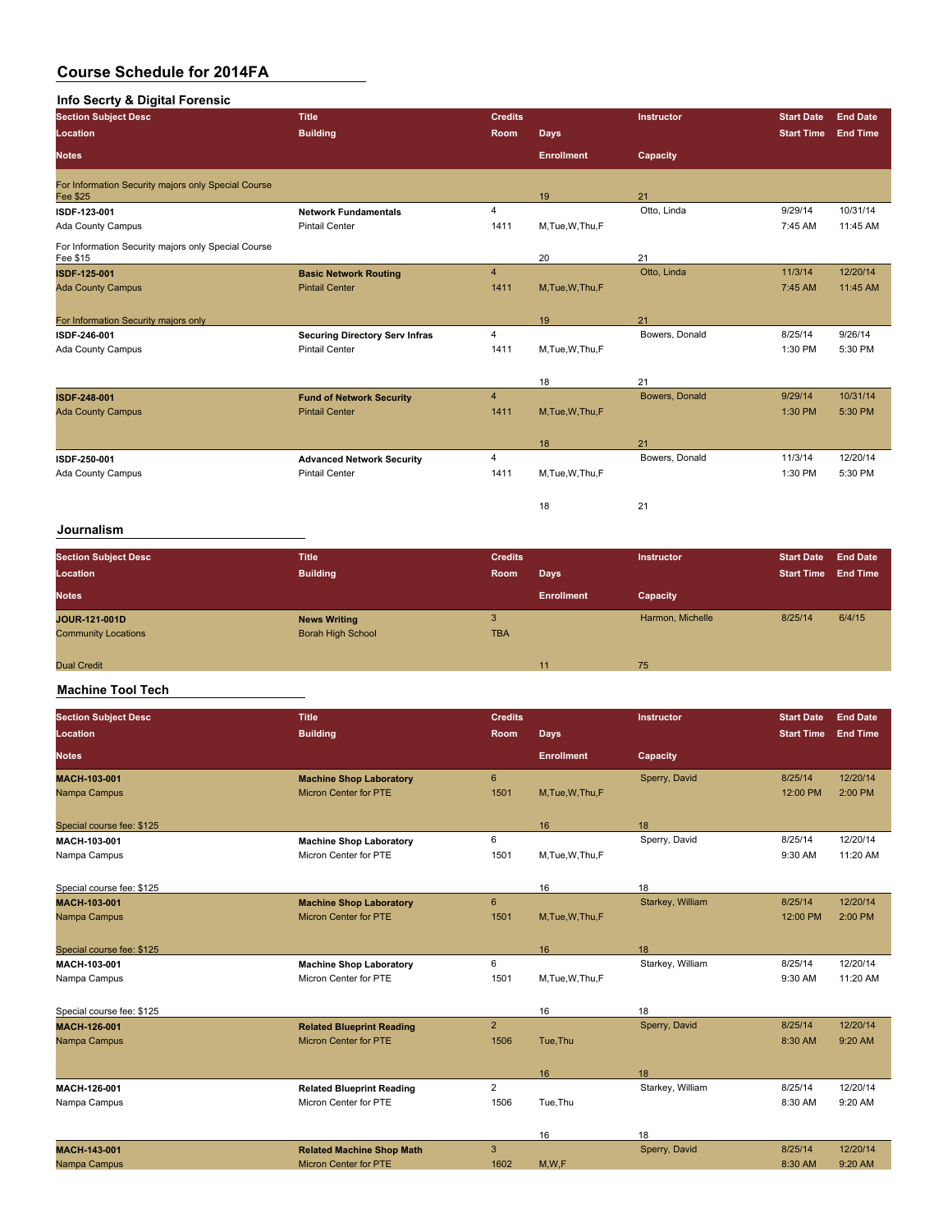### **Info Secrty & Digital Forensic**

| - - - - <b>- -</b><br><br><b>Section Subject Desc</b>           | <b>Title</b>                          | <b>Credits</b> |                   | <b>Instructor</b> | <b>Start Date</b> | <b>End Date</b> |
|-----------------------------------------------------------------|---------------------------------------|----------------|-------------------|-------------------|-------------------|-----------------|
| Location                                                        | <b>Building</b>                       | Room           | Days              |                   | <b>Start Time</b> | <b>End Time</b> |
| <b>Notes</b>                                                    |                                       |                | <b>Enrollment</b> | Capacity          |                   |                 |
| For Information Security majors only Special Course<br>Fee \$25 |                                       |                | 19                | 21                |                   |                 |
| ISDF-123-001                                                    | <b>Network Fundamentals</b>           | 4              |                   | Otto, Linda       | 9/29/14           | 10/31/14        |
| Ada County Campus                                               | <b>Pintail Center</b>                 | 1411           | M,Tue,W,Thu,F     |                   | 7:45 AM           | 11:45 AM        |
| For Information Security majors only Special Course<br>Fee \$15 |                                       |                | 20                | 21                |                   |                 |
| ISDF-125-001                                                    | <b>Basic Network Routing</b>          | $\overline{4}$ |                   | Otto, Linda       | 11/3/14           | 12/20/14        |
| <b>Ada County Campus</b>                                        | <b>Pintail Center</b>                 | 1411           | M, Tue, W, Thu, F |                   | 7:45 AM           | 11:45 AM        |
|                                                                 |                                       |                |                   |                   |                   |                 |
| For Information Security majors only                            |                                       |                | 19                | 21                |                   |                 |
| ISDF 246-001                                                    | <b>Securing Directory Serv Infras</b> | $\overline{4}$ |                   | Bowers, Donald    | 8/25/14           | 9/26/14         |
| <b>Ada County Campus</b>                                        | <b>Pintail Center</b>                 | 1411           | M,Tue,W,Thu,F     |                   | 1:30 PM           | 5:30 PM         |
|                                                                 |                                       |                |                   |                   |                   |                 |
|                                                                 |                                       |                | 18                | 21                |                   |                 |
| ISDF-248-001                                                    | <b>Fund of Network Security</b>       | $\overline{4}$ |                   | Bowers, Donald    | 9/29/14           | 10/31/14        |
| <b>Ada County Campus</b>                                        | <b>Pintail Center</b>                 | 1411           | M, Tue, W, Thu, F |                   | 1:30 PM           | 5:30 PM         |
|                                                                 |                                       |                |                   |                   |                   |                 |
|                                                                 |                                       |                | 18                | 21                |                   |                 |
| ISDF-250-001                                                    | <b>Advanced Network Security</b>      | $\overline{4}$ |                   | Bowers, Donald    | 11/3/14           | 12/20/14        |
| Ada County Campus                                               | <b>Pintail Center</b>                 | 1411           | M, Tue, W, Thu, F |                   | 1:30 PM           | 5:30 PM         |
|                                                                 |                                       |                |                   |                   |                   |                 |
|                                                                 |                                       |                | 18                | 21                |                   |                 |

### **Journalism**

| <b>Section Subject Desc</b><br>Location     | <b>Title</b><br><b>Building</b>                 | <b>Credits</b><br>Room | <b>Days</b>       | Instructor       | <b>Start Date</b><br><b>Start Time</b> | <b>End Date</b><br><b>End Time</b> |
|---------------------------------------------|-------------------------------------------------|------------------------|-------------------|------------------|----------------------------------------|------------------------------------|
| <b>Notes</b>                                |                                                 |                        | <b>Enrollment</b> | Capacity         |                                        |                                    |
| JOUR-121-001D<br><b>Community Locations</b> | <b>News Writing</b><br><b>Borah High School</b> | <b>TBA</b>             |                   | Harmon, Michelle | 8/25/14                                | 6/4/15                             |
| <b>Dual Credit</b>                          |                                                 |                        | 11                | 75               |                                        |                                    |

#### **Machine Tool Tech**

| <b>Section Subject Desc</b> | <b>Title</b>                     | <b>Credits</b>  |                   | Instructor       | <b>Start Date</b> | <b>End Date</b> |
|-----------------------------|----------------------------------|-----------------|-------------------|------------------|-------------------|-----------------|
| <b>Location</b>             | <b>Building</b>                  | Room            | Days              |                  | <b>Start Time</b> | <b>End Time</b> |
| <b>Notes</b>                |                                  |                 | <b>Enrollment</b> | Capacity         |                   |                 |
| <b>MACH-103-001</b>         | <b>Machine Shop Laboratory</b>   | $6\overline{6}$ |                   | Sperry, David    | 8/25/14           | 12/20/14        |
| Nampa Campus                | <b>Micron Center for PTE</b>     | 1501            | M.Tue.W.Thu.F     |                  | 12:00 PM          | 2:00 PM         |
| Special course fee: \$125   |                                  |                 | 16                | 18               |                   |                 |
| MACII-103-001               | <b>Machine Shop Laboratory</b>   | 6               |                   | Sperry, David    | 8/25/14           | 12/20/14        |
| Nampa Campus                | Micron Center for PTE            | 1501            | M, Tue, W, Thu, F |                  | 9:30 AM           | 11:20 AM        |
| Special course fee: \$125   |                                  |                 | 16                | 18               |                   |                 |
| <b>MACH 103-001</b>         | <b>Machine Shop Laboratory</b>   | $6\overline{6}$ |                   | Starkey, William | 8/25/14           | 12/20/14        |
| Nampa Campus                | <b>Micron Center for PTE</b>     | 1501            | M.Tue.W.Thu.F     |                  | 12:00 PM          | 2:00 PM         |
| Special course fee: \$125   |                                  |                 | 16                | 18               |                   |                 |
| MACH 103-001                | <b>Machine Shop Laboratory</b>   | 6               |                   | Starkey, William | 8/25/14           | 12/20/14        |
| Nampa Campus                | Micron Center for PTE            | 1501            | M, Tue, W, Thu, F |                  | 9:30 AM           | 11:20 AM        |
| Special course fee: \$125   |                                  |                 | 16                | 18               |                   |                 |
| MACH-126-001                | <b>Related Blueprint Reading</b> | $\overline{2}$  |                   | Sperry, David    | 8/25/14           | 12/20/14        |
| Nampa Campus                | <b>Micron Center for PTE</b>     | 1506            | Tue, Thu          |                  | 8:30 AM           | 9:20 AM         |
|                             |                                  |                 | 16                | 18               |                   |                 |
| MACH-126-001                | <b>Related Blueprint Reading</b> | $\overline{2}$  |                   | Starkey, William | 8/25/14           | 12/20/14        |
| Nampa Campus                | Micron Center for PTE            | 1506            | Tue, Thu          |                  | 8:30 AM           | 9:20 AM         |
|                             |                                  |                 | 16                | 18               |                   |                 |
| <b>MACH 143 001</b>         | <b>Related Machine Shop Math</b> | 3               |                   | Sperry, David    | 8/25/14           | 12/20/14        |
| Nampa Campus                | <b>Micron Center for PTE</b>     | 1602            | M.W.F             |                  | 8:30 AM           | 9:20 AM         |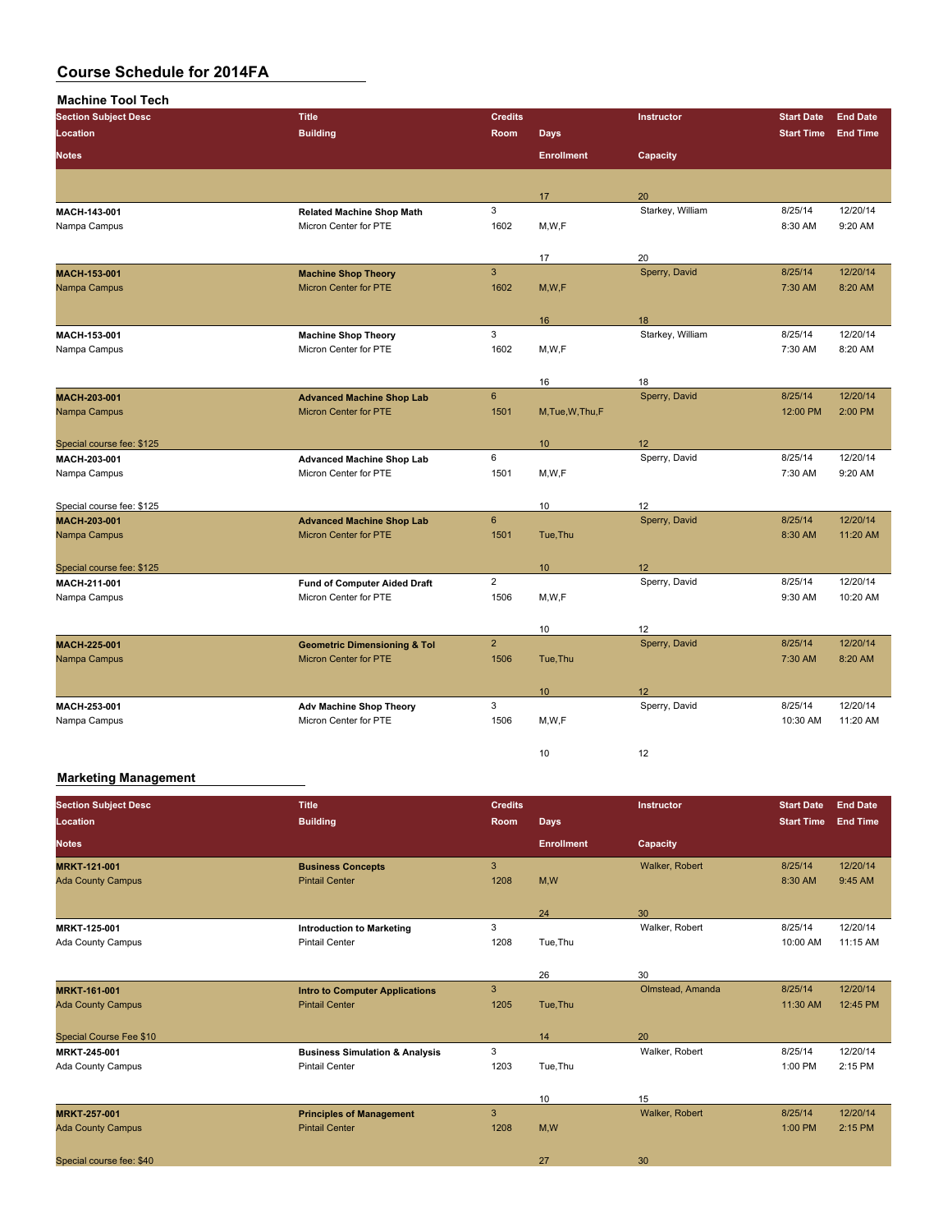| <b>Machine Tool Tech</b>     |                                                              |                |                   |                     |                   |                 |
|------------------------------|--------------------------------------------------------------|----------------|-------------------|---------------------|-------------------|-----------------|
| <b>Section Subject Desc</b>  | <b>Title</b>                                                 | <b>Credits</b> |                   | Instructor          | <b>Start Date</b> | <b>End Date</b> |
| Location                     | <b>Building</b>                                              | Room           | <b>Days</b>       |                     | <b>Start Time</b> | <b>End Time</b> |
| <b>Notes</b>                 |                                                              |                | <b>Enrollment</b> | Capacity            |                   |                 |
|                              |                                                              |                |                   |                     |                   |                 |
|                              |                                                              |                | 17                | 20                  |                   |                 |
| MACH 143-001                 | <b>Related Machine Shop Math</b>                             | 3              |                   | Starkey, William    | 8/25/14           | 12/20/14        |
| Nampa Campus                 | Micron Center for PTE                                        | 1602           | M, W, F           |                     | 8:30 AM           | 9:20 AM         |
|                              |                                                              |                |                   |                     |                   |                 |
|                              |                                                              |                | 17                | 20                  |                   |                 |
| MACH-153-001                 | <b>Machine Shop Theory</b>                                   | $\overline{3}$ |                   | Sperry, David       | 8/25/14           | 12/20/14        |
| Nampa Campus                 | <b>Micron Center for PTE</b>                                 | 1602           | M, W, F           |                     | 7:30 AM           | 8:20 AM         |
|                              |                                                              |                |                   |                     |                   |                 |
|                              |                                                              |                | 16                | 18                  |                   |                 |
| MACH 153-001                 | <b>Machine Shop Theory</b>                                   | 3              |                   | Starkey, William    | 8/25/14           | 12/20/14        |
| Nampa Campus                 | Micron Center for PTE                                        | 1602           | M, W, F           |                     | 7:30 AM           | 8:20 AM         |
|                              |                                                              |                | 16                | 18                  |                   |                 |
| MACH 203-001                 | <b>Advanced Machine Shop Lab</b>                             | $6\phantom{a}$ |                   | Sperry, David       | 8/25/14           | 12/20/14        |
| Nampa Campus                 | Micron Center for PTE                                        | 1501           | M, Tue, W, Thu, F |                     | 12:00 PM          | 2:00 PM         |
|                              |                                                              |                |                   |                     |                   |                 |
| Special course fee: \$125    |                                                              |                | 10                | 12                  |                   |                 |
| MACH-203-001                 | <b>Advanced Machine Shop Lab</b>                             | 6              |                   | Sperry, David       | 8/25/14           | 12/20/14        |
| Nampa Campus                 | Micron Center for PTE                                        | 1501           | M,W,F             |                     | 7:30 AM           | 9:20 AM         |
|                              |                                                              |                |                   |                     |                   |                 |
| Special course fee: \$125    |                                                              |                | 10                | 12                  |                   |                 |
| MACH-203-001                 | <b>Advanced Machine Shop Lab</b>                             | $6\phantom{a}$ |                   | Sperry, David       | 8/25/14           | 12/20/14        |
| Nampa Campus                 | Micron Center for PTE                                        | 1501           | Tue, Thu          |                     | 8:30 AM           | 11:20 AM        |
|                              |                                                              |                |                   |                     |                   |                 |
| Special course fee: \$125    |                                                              | $\overline{2}$ | 10                | 12<br>Sperry, David | 8/25/14           | 12/20/14        |
| MACH 211-001<br>Nampa Campus | <b>Fund of Computer Aided Draft</b><br>Micron Center for PTE | 1506           | M, W, F           |                     | 9:30 AM           | 10:20 AM        |
|                              |                                                              |                |                   |                     |                   |                 |
|                              |                                                              |                | 10                | 12                  |                   |                 |
| <b>MACH 225 001</b>          | <b>Geometric Dimensioning &amp; Tol</b>                      | $\overline{2}$ |                   | Sperry, David       | 8/25/14           | 12/20/14        |
| Nampa Campus                 | <b>Micron Center for PTE</b>                                 | 1506           | Tue, Thu          |                     | 7:30 AM           | 8:20 AM         |
|                              |                                                              |                |                   |                     |                   |                 |
|                              |                                                              |                | 10                | 12                  |                   |                 |
| MACH-253-001                 | Adv Machine Shop Theory                                      | 3              |                   | Sperry, David       | 8/25/14           | 12/20/14        |
| Nampa Campus                 | Micron Center for PTE                                        | 1506           | M, W, F           |                     | 10:30 AM          | 11:20 AM        |
|                              |                                                              |                |                   |                     |                   |                 |
|                              |                                                              |                | 10                | 12                  |                   |                 |

#### **Marketing Management**

| <b>Section Subject Desc</b>    | <b>Title</b>                              | <b>Credits</b> |                   | Instructor       | <b>Start Date</b> | <b>End Date</b> |
|--------------------------------|-------------------------------------------|----------------|-------------------|------------------|-------------------|-----------------|
| Location                       | <b>Building</b>                           | <b>Room</b>    | Days              |                  | <b>Start Time</b> | <b>End Time</b> |
| <b>Notes</b>                   |                                           |                | <b>Enrollment</b> | Capacity         |                   |                 |
| <b>MRKT-121-001</b>            | <b>Business Concepts</b>                  | 3              |                   | Walker, Robert   | 8/25/14           | 12/20/14        |
| <b>Ada County Campus</b>       | <b>Pintail Center</b>                     | 1208           | M,W               |                  | 8:30 AM           | 9:45 AM         |
|                                |                                           |                | 24                | 30               |                   |                 |
| <b>MRKT-125 001</b>            | <b>Introduction to Marketing</b>          | 3              |                   | Walker, Robert   | 8/25/14           | 12/20/14        |
| Ada County Campus              | <b>Pintail Center</b>                     | 1208           | Tue, Thu          |                  | 10:00 AM          | 11:15 AM        |
|                                |                                           |                | 26                | 30               |                   |                 |
| <b>MRKT 161-001</b>            | <b>Intro to Computer Applications</b>     | 3              |                   | Olmstead, Amanda | 8/25/14           | 12/20/14        |
| <b>Ada County Campus</b>       | <b>Pintail Center</b>                     | 1205           | Tue, Thu          |                  | 11:30 AM          | 12:45 PM        |
| <b>Special Course Fee \$10</b> |                                           |                | 14                | 20               |                   |                 |
| <b>MRKT 245 001</b>            | <b>Business Simulation &amp; Analysis</b> | 3              |                   | Walker, Robert   | 8/25/14           | 12/20/14        |
| Ada County Campus              | <b>Pintail Center</b>                     | 1203           | Tue, Thu          |                  | 1:00 PM           | 2:15 PM         |
|                                |                                           |                | 10                | 15               |                   |                 |
| <b>MRKT 257 001</b>            | <b>Principles of Management</b>           | 3              |                   | Walker, Robert   | 8/25/14           | 12/20/14        |
| <b>Ada County Campus</b>       | <b>Pintail Center</b>                     | 1208           | M,W               |                  | 1:00 PM           | 2:15 PM         |
| Special course fee: \$40       |                                           |                | 27                | 30               |                   |                 |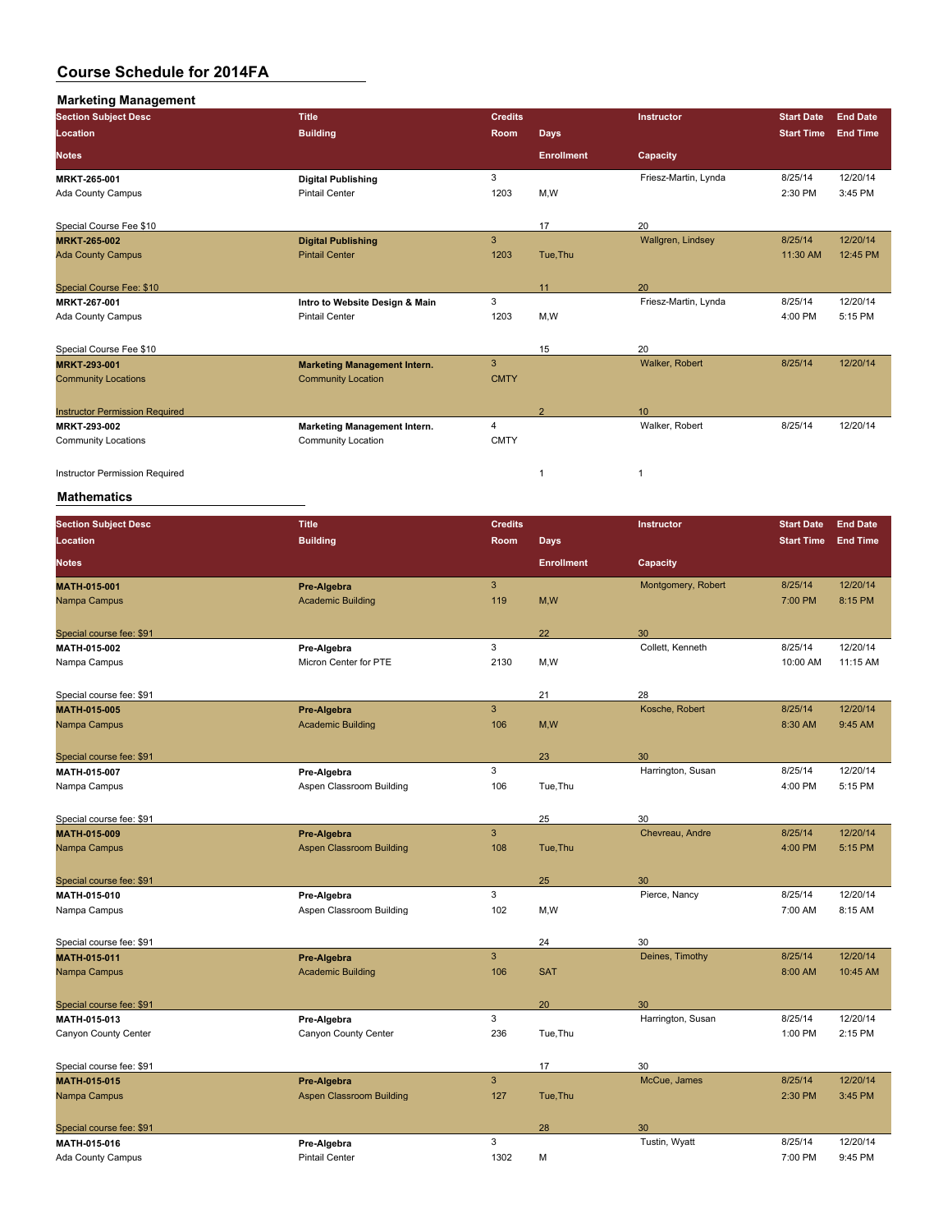| <b>Marketing Management</b>           |                                     |                |                   |                      |                   |                 |
|---------------------------------------|-------------------------------------|----------------|-------------------|----------------------|-------------------|-----------------|
| <b>Section Subject Desc</b>           | <b>Title</b>                        | <b>Credits</b> |                   | <b>Instructor</b>    | <b>Start Date</b> | <b>End Date</b> |
| <b>Location</b>                       | <b>Building</b>                     | <b>Room</b>    | Days              |                      | <b>Start Time</b> | <b>End Time</b> |
| <b>Notes</b>                          |                                     |                | <b>Enrollment</b> | Capacity             |                   |                 |
| MRKT 265 001                          | <b>Digital Publishing</b>           | 3              |                   | Friesz-Martin, Lynda | 8/25/14           | 12/20/14        |
| Ada County Campus                     | <b>Pintail Center</b>               | 1203           | M,W               |                      | 2:30 PM           | 3:45 PM         |
| Special Course Fee \$10               |                                     |                | 17                | 20                   |                   |                 |
| <b>MRKT 265 002</b>                   | <b>Digital Publishing</b>           | 3              |                   | Wallgren, Lindsey    | 8/25/14           | 12/20/14        |
| <b>Ada County Campus</b>              | <b>Pintail Center</b>               | 1203           | Tue, Thu          |                      | 11:30 AM          | 12:45 PM        |
| Special Course Fee: \$10              |                                     |                | 11                | 20                   |                   |                 |
| MRKT 267-001                          | Intro to Website Design & Main      | 3              |                   | Friesz-Martin, Lynda | 8/25/14           | 12/20/14        |
| Ada County Campus                     | <b>Pintail Center</b>               | 1203           | M,W               |                      | 4:00 PM           | 5:15 PM         |
| Special Course Fee \$10               |                                     |                | 15                | 20                   |                   |                 |
| <b>MRKT 293 001</b>                   | <b>Marketing Management Intern.</b> | 3              |                   | Walker, Robert       | 8/25/14           | 12/20/14        |
| <b>Community Locations</b>            | <b>Community Location</b>           | <b>CMTY</b>    |                   |                      |                   |                 |
| <b>Instructor Permission Required</b> |                                     |                | $\overline{2}$    | 10                   |                   |                 |
| <b>MRKT-293-002</b>                   | Marketing Management Intern.        | 4              |                   | Walker, Robert       | 8/25/14           | 12/20/14        |
| <b>Community Locations</b>            | <b>Community Location</b>           | <b>CMTY</b>    |                   |                      |                   |                 |
| <b>Instructor Permission Required</b> |                                     |                | 1                 |                      |                   |                 |

| <b>Section Subject Desc</b> | <b>Title</b>                    | <b>Credits</b> |                   | <b>Instructor</b>  | <b>Start Date</b> | <b>End Date</b> |
|-----------------------------|---------------------------------|----------------|-------------------|--------------------|-------------------|-----------------|
| Location                    | <b>Building</b>                 | Room           | <b>Days</b>       |                    | <b>Start Time</b> | <b>End Time</b> |
| <b>Notes</b>                |                                 |                | <b>Enrollment</b> | Capacity           |                   |                 |
| MATH-015-001                | Pre-Algebra                     | $\mathbf{3}$   |                   | Montgomery, Robert | 8/25/14           | 12/20/14        |
| Nampa Campus                | <b>Academic Building</b>        | 119            | M, W              |                    | 7:00 PM           | 8:15 PM         |
| Special course fee: \$91    |                                 |                | 22                | 30                 |                   |                 |
| <b>MATH 015 002</b>         | Pre-Algebra                     | 3              |                   | Collett, Kenneth   | 8/25/14           | 12/20/14        |
| Nampa Campus                | Micron Center for PTE           | 2130           | M,W               |                    | 10:00 AM          | 11:15 AM        |
| Special course fee: \$91    |                                 |                | 21                | 28                 |                   |                 |
| <b>MATH 015-005</b>         | Pre-Algebra                     | $\mathbf{3}$   |                   | Kosche, Robert     | 8/25/14           | 12/20/14        |
| Nampa Campus                | <b>Academic Building</b>        | 106            | M, W              |                    | 8:30 AM           | 9:45 AM         |
| Special course fee: \$91    |                                 |                | 23                | 30                 |                   |                 |
| MATH 015-007                | Pre-Algebra                     | 3              |                   | Harrington, Susan  | 8/25/14           | 12/20/14        |
| Nampa Campus                | Aspen Classroom Building        | 106            | Tue, Thu          |                    | 4:00 PM           | 5:15 PM         |
| Special course fee: \$91    |                                 |                | 25                | 30                 |                   |                 |
| <b>MATH 015-009</b>         | Pre-Algebra                     | $\overline{3}$ |                   | Chevreau, Andre    | 8/25/14           | 12/20/14        |
| Nampa Campus                | <b>Aspen Classroom Building</b> | 108            | Tue, Thu          |                    | 4:00 PM           | 5:15 PM         |
| Special course fee: \$91    |                                 |                | 25                | 30                 |                   |                 |
| MATH-015-010                | Pre-Algebra                     | 3              |                   | Pierce, Nancy      | 8/25/14           | 12/20/14        |
| Nampa Campus                | Aspen Classroom Building        | 102            | M,W               |                    | 7:00 AM           | 8:15 AM         |
| Special course fee: \$91    |                                 |                | 24                | 30                 |                   |                 |
| <b>MATH 015 011</b>         | Pre-Algebra                     | $\overline{3}$ |                   | Deines, Timothy    | 8/25/14           | 12/20/14        |
| Nampa Campus                | <b>Academic Building</b>        | 106            | <b>SAT</b>        |                    | 8:00 AM           | 10:45 AM        |
| Special course fee: \$91    |                                 |                | 20                | 30                 |                   |                 |
| MATH 015 013                | Pre-Algebra                     | 3              |                   | Harrington, Susan  | 8/25/14           | 12/20/14        |
| Canyon County Center        | Canyon County Center            | 236            | Tue, Thu          |                    | 1:00 PM           | 2:15 PM         |
| Special course fee: \$91    |                                 |                | 17                | 30                 |                   |                 |
| <b>MATH 015-015</b>         | Pre-Algebra                     | $\mathbf{3}$   |                   | McCue, James       | 8/25/14           | 12/20/14        |
| Nampa Campus                | <b>Aspen Classroom Building</b> | 127            | Tue, Thu          |                    | 2:30 PM           | 3:45 PM         |
| Special course fee: \$91    |                                 |                | 28                | 30                 |                   |                 |
| MATH 015-016                | Pre-Algebra                     | 3              |                   | Tustin, Wyatt      | 8/25/14           | 12/20/14        |
| Ada County Campus           | <b>Pintail Center</b>           | 1302           | M                 |                    | 7:00 PM           | 9:45 PM         |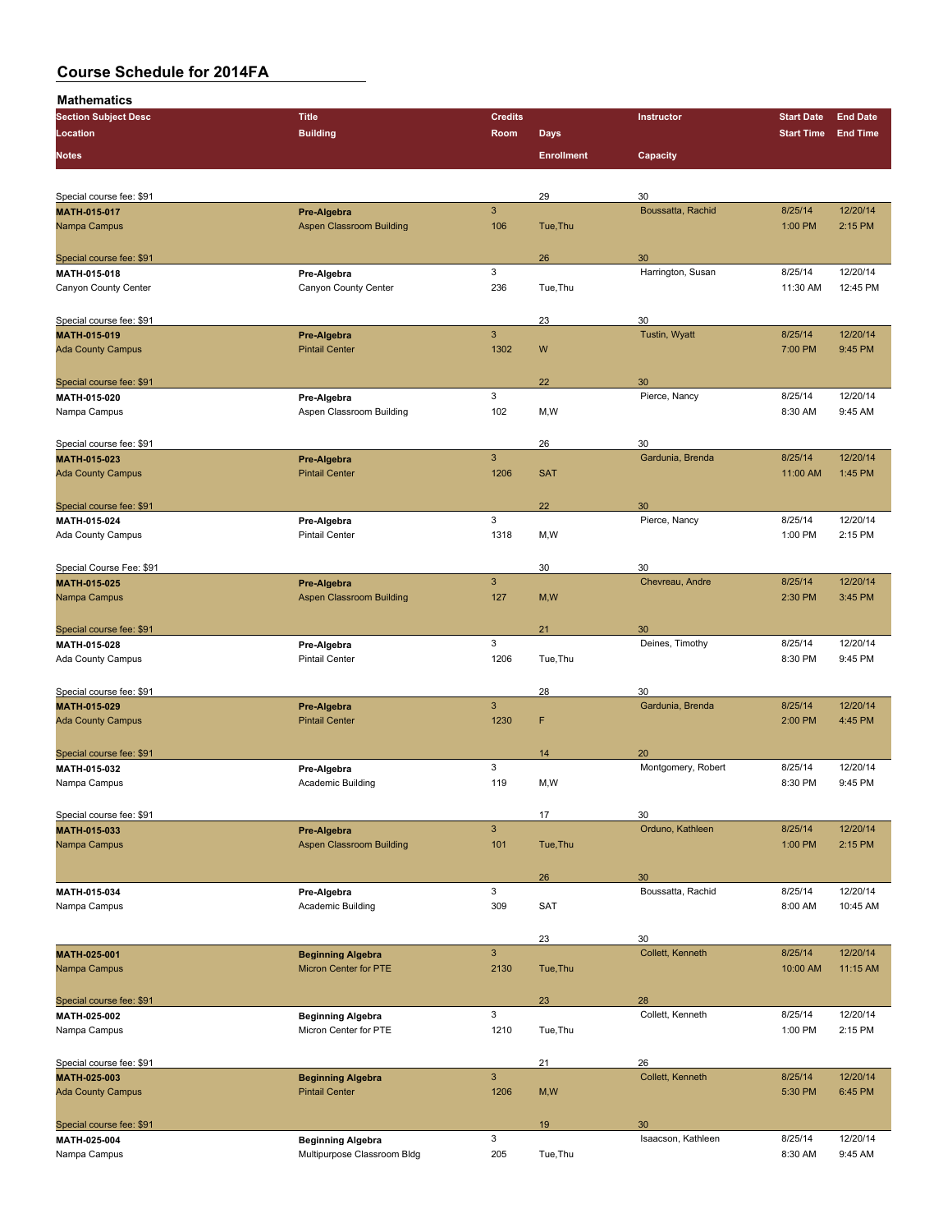| <br><b>Section Subject Desc</b>          | <b>Title</b>                         | <b>Credits</b> |                   | Instructor              | <b>Start Date</b> | <b>End Date</b> |
|------------------------------------------|--------------------------------------|----------------|-------------------|-------------------------|-------------------|-----------------|
| Location                                 | <b>Building</b>                      | Room           | <b>Days</b>       |                         | <b>Start Time</b> | <b>End Time</b> |
|                                          |                                      |                |                   |                         |                   |                 |
| <b>Notes</b>                             |                                      |                | <b>Enrollment</b> | Capacity                |                   |                 |
|                                          |                                      |                |                   |                         |                   |                 |
| Special course fee: \$91                 |                                      |                | 29                | 30                      |                   |                 |
|                                          |                                      | $\mathbf{3}$   |                   |                         |                   | 12/20/14        |
| MATH-015-017                             | Pre-Algebra                          |                |                   | Boussatta, Rachid       | 8/25/14           |                 |
| Nampa Campus                             | <b>Aspen Classroom Building</b>      | 106            | Tue, Thu          |                         | 1:00 PM           | 2:15 PM         |
|                                          |                                      |                |                   |                         |                   |                 |
| Special course fee: \$91<br>MATH 015 018 |                                      | 3              | 26                | 30<br>Harrington, Susan | 8/25/14           | 12/20/14        |
|                                          | Pre-Algebra                          |                |                   |                         |                   |                 |
| Canyon County Center                     | Canyon County Center                 | 236            | Tue, Thu          |                         | 11:30 AM          | 12:45 PM        |
|                                          |                                      |                |                   |                         |                   |                 |
| Special course fee: \$91                 |                                      |                | 23                | 30                      |                   |                 |
| MATH-015-019                             | Pre-Algebra                          | $\overline{3}$ |                   | Tustin, Wyatt           | 8/25/14           | 12/20/14        |
| <b>Ada County Campus</b>                 | <b>Pintail Center</b>                | 1302           | W                 |                         | 7:00 PM           | 9:45 PM         |
|                                          |                                      |                |                   |                         |                   |                 |
| Special course fee: \$91                 |                                      |                | 22                | 30                      |                   |                 |
| MATH-015-020                             | Pre-Algebra                          | 3              |                   | Pierce, Nancy           | 8/25/14           | 12/20/14        |
| Nampa Campus                             | Aspen Classroom Building             | 102            | M, W              |                         | 8:30 AM           | 9:45 AM         |
|                                          |                                      |                |                   |                         |                   |                 |
| Special course fee: \$91                 |                                      |                | 26                | 30                      |                   |                 |
| MATH 015-023                             | Pre-Algebra                          | $\overline{3}$ |                   | Gardunia, Brenda        | 8/25/14           | 12/20/14        |
| <b>Ada County Campus</b>                 | <b>Pintail Center</b>                | 1206           | <b>SAT</b>        |                         | 11:00 AM          | 1:45 PM         |
|                                          |                                      |                |                   |                         |                   |                 |
|                                          |                                      |                |                   |                         |                   |                 |
| Special course fee: \$91                 |                                      |                | 22                | 30                      |                   |                 |
| MATH 015-024                             | Pre-Algebra                          | 3              |                   | Pierce, Nancy           | 8/25/14           | 12/20/14        |
| Ada County Campus                        | <b>Pintail Center</b>                | 1318           | M, W              |                         | 1:00 PM           | 2:15 PM         |
|                                          |                                      |                |                   |                         |                   |                 |
| Special Course Fee: \$91                 |                                      |                | 30                | 30                      |                   |                 |
| <b>MATH 015-025</b>                      | Pre-Algebra                          | $\mathbf{3}$   |                   | Chevreau, Andre         | 8/25/14           | 12/20/14        |
| Nampa Campus                             | <b>Aspen Classroom Building</b>      | 127            | M, W              |                         | 2:30 PM           | 3:45 PM         |
|                                          |                                      |                |                   |                         |                   |                 |
| Special course fee: \$91                 |                                      |                | 21                | 30                      |                   |                 |
| MATH-015-028                             | Pre-Algebra                          | 3              |                   | Deines, Timothy         | 8/25/14           | 12/20/14        |
| Ada County Campus                        | <b>Pintail Center</b>                | 1206           | Tue, Thu          |                         | 8:30 PM           | 9:45 PM         |
|                                          |                                      |                |                   |                         |                   |                 |
| Special course fee: \$91                 |                                      |                | 28                | 30                      |                   |                 |
| MATH 015-029                             |                                      | $\overline{3}$ |                   | Gardunia, Brenda        | 8/25/14           | 12/20/14        |
| <b>Ada County Campus</b>                 | Pre-Algebra<br><b>Pintail Center</b> | 1230           | F                 |                         | 2:00 PM           | 4:45 PM         |
|                                          |                                      |                |                   |                         |                   |                 |
|                                          |                                      |                |                   |                         |                   |                 |
| Special course fee: \$91                 |                                      |                | 14                | 20                      |                   |                 |
| MATH 015-032                             | Pre-Algebra                          | 3              |                   | Montgomery, Robert      | 8/25/14           | 12/20/14        |
| Nampa Campus                             | Academic Building                    | 119            | M,W               |                         | 8:30 PM           | 9:45 PM         |
|                                          |                                      |                |                   |                         |                   |                 |
| Special course fee: \$91                 |                                      |                | 17                | 30                      |                   |                 |
| MATH 015-033                             | Pre-Algebra                          | $\mathbf{3}$   |                   | Orduno, Kathleen        | 8/25/14           | 12/20/14        |
| Nampa Campus                             | <b>Aspen Classroom Building</b>      | 101            | Tue, Thu          |                         | 1:00 PM           | 2:15 PM         |
|                                          |                                      |                |                   |                         |                   |                 |
|                                          |                                      |                | 26                | 30                      |                   |                 |
| MATH-015-034                             | Pre-Algebra                          | 3              |                   | Boussatta, Rachid       | 8/25/14           | 12/20/14        |
| Nampa Campus                             | Academic Building                    | 309            | <b>SAT</b>        |                         | 8:00 AM           | 10:45 AM        |
|                                          |                                      |                |                   |                         |                   |                 |
|                                          |                                      |                | 23                | 30                      |                   |                 |
| MATH-025-001                             | <b>Beginning Algebra</b>             | $\mathsf 3$    |                   | Collett, Kenneth        | 8/25/14           | 12/20/14        |
|                                          | Micron Center for PTE                | 2130           | Tue, Thu          |                         | 10:00 AM          | 11:15 AM        |
| Nampa Campus                             |                                      |                |                   |                         |                   |                 |
|                                          |                                      |                |                   |                         |                   |                 |
| Special course fee: \$91                 |                                      |                | 23                | 28                      |                   |                 |
| MATH 025-002                             | <b>Beginning Algebra</b>             | 3              |                   | Collett, Kenneth        | 8/25/14           | 12/20/14        |
| Nampa Campus                             | Micron Center for PTE                | 1210           | Tue, Thu          |                         | 1:00 PM           | 2:15 PM         |
|                                          |                                      |                |                   |                         |                   |                 |
| Special course fee: \$91                 |                                      |                | 21                | 26                      |                   |                 |
| MATH-025-003                             | <b>Beginning Algebra</b>             | $\mathbf{3}$   |                   | Collett, Kenneth        | 8/25/14           | 12/20/14        |
| <b>Ada County Campus</b>                 | <b>Pintail Center</b>                | 1206           | M, W              |                         | 5:30 PM           | 6:45 PM         |
|                                          |                                      |                |                   |                         |                   |                 |
| Special course fee: \$91                 |                                      |                | 19                | 30                      |                   |                 |
| MATH-025-004                             | <b>Beginning Algebra</b>             | 3              |                   | Isaacson, Kathleen      | 8/25/14           | 12/20/14        |
| Nampa Campus                             | Multipurpose Classroom Bldg          | 205            | Tue, Thu          |                         | 8:30 AM           | 9:45 AM         |
|                                          |                                      |                |                   |                         |                   |                 |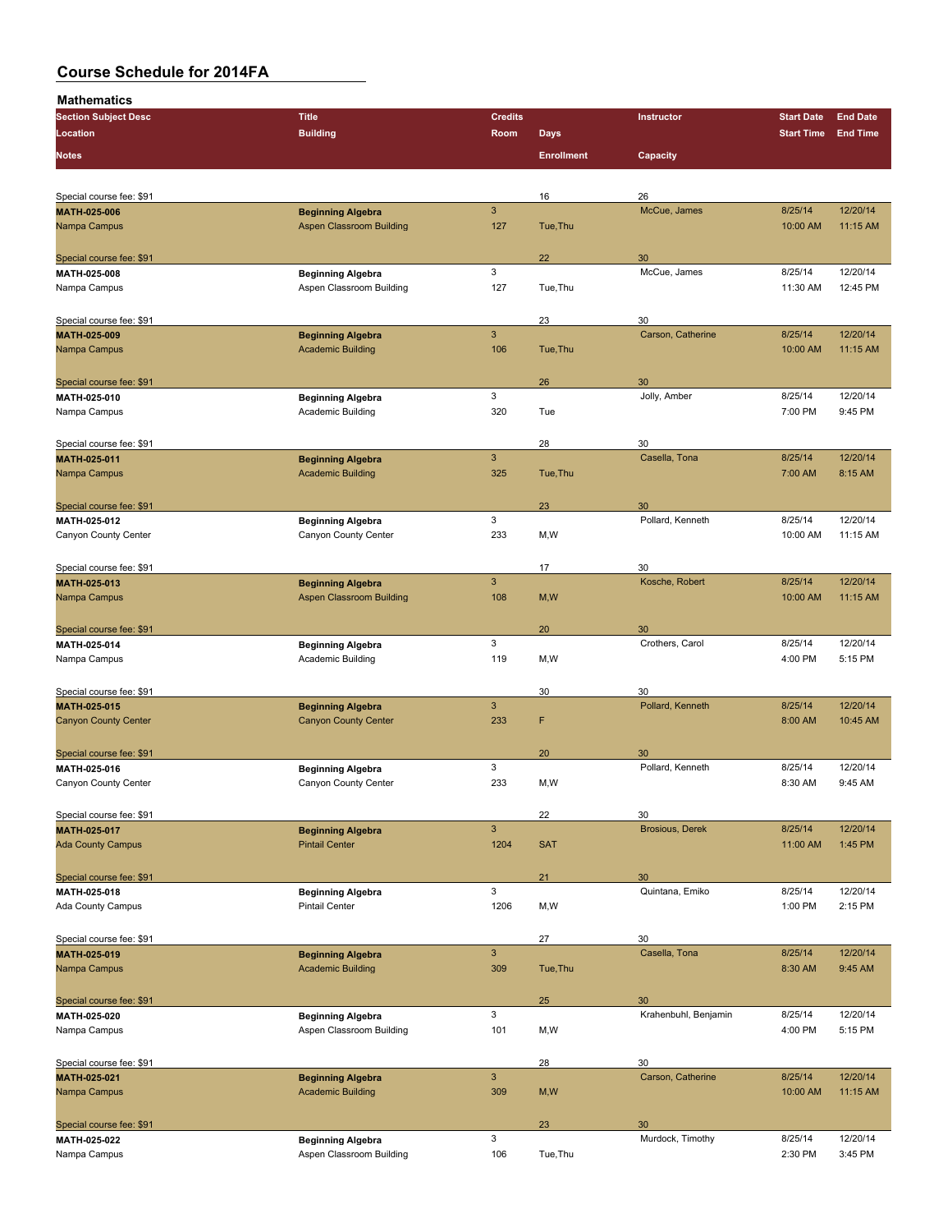| <br><b>Section Subject Desc</b>             | <b>Title</b>                                         | <b>Credits</b>                   |                   | Instructor             | <b>Start Date</b>  | <b>End Date</b>      |
|---------------------------------------------|------------------------------------------------------|----------------------------------|-------------------|------------------------|--------------------|----------------------|
| Location                                    | <b>Building</b>                                      | Room                             | <b>Days</b>       |                        | <b>Start Time</b>  | <b>End Time</b>      |
|                                             |                                                      |                                  |                   |                        |                    |                      |
| <b>Notes</b>                                |                                                      |                                  | <b>Enrollment</b> | Capacity               |                    |                      |
|                                             |                                                      |                                  |                   |                        |                    |                      |
| Special course fee: \$91                    |                                                      |                                  | 16                | 26                     |                    |                      |
| MATH-025-006                                | <b>Beginning Algebra</b>                             | 3                                |                   | McCue, James           | 8/25/14            | 12/20/14             |
| Nampa Campus                                | <b>Aspen Classroom Building</b>                      | 127                              | Tue, Thu          |                        | 10:00 AM           | 11:15 AM             |
|                                             |                                                      |                                  |                   |                        |                    |                      |
| Special course fee: \$91<br>MATH 025-008    | <b>Beginning Algebra</b>                             | 3                                | 22                | 30<br>McCue, James     | 8/25/14            | 12/20/14             |
| Nampa Campus                                | Aspen Classroom Building                             | 127                              | Tue, Thu          |                        | 11:30 AM           | 12:45 PM             |
|                                             |                                                      |                                  |                   |                        |                    |                      |
| Special course fee: \$91                    |                                                      |                                  | 23                | 30                     |                    |                      |
| MATH-025-009                                | <b>Beginning Algebra</b>                             | 3                                |                   | Carson, Catherine      | 8/25/14            | 12/20/14             |
| Nampa Campus                                | <b>Academic Building</b>                             | 106                              | Tue, Thu          |                        | 10:00 AM           | 11:15 AM             |
|                                             |                                                      |                                  |                   |                        |                    |                      |
| Special course fee: \$91                    |                                                      |                                  | 26                | 30                     |                    |                      |
| MATH 025-010                                | <b>Beginning Algebra</b>                             | 3                                |                   | Jolly, Amber           | 8/25/14            | 12/20/14             |
| Nampa Campus                                | Academic Building                                    | 320                              | Tue               |                        | 7:00 PM            | 9:45 PM              |
|                                             |                                                      |                                  |                   |                        |                    |                      |
| Special course fee: \$91                    |                                                      |                                  | 28                | 30                     |                    |                      |
| MATH-025-011                                | <b>Beginning Algebra</b>                             | $\ensuremath{\mathsf{3}}$        |                   | Casella, Tona          | 8/25/14            | 12/20/14             |
| Nampa Campus                                | <b>Academic Building</b>                             | 325                              | Tue, Thu          |                        | 7:00 AM            | 8:15 AM              |
|                                             |                                                      |                                  |                   |                        |                    |                      |
| Special course fee: \$91                    |                                                      |                                  | 23                | 30                     |                    |                      |
| MATH-025-012                                | <b>Beginning Algebra</b>                             | 3                                |                   | Pollard, Kenneth       | 8/25/14            | 12/20/14             |
| Canyon County Center                        | Canyon County Center                                 | 233                              | M,W               |                        | 10:00 AM           | 11:15 AM             |
|                                             |                                                      |                                  |                   |                        |                    |                      |
| Special course fee: \$91                    |                                                      |                                  | 17                | 30                     |                    |                      |
| MATH-025-013                                | <b>Beginning Algebra</b>                             | 3                                |                   | Kosche, Robert         | 8/25/14            | 12/20/14             |
| Nampa Campus                                | <b>Aspen Classroom Building</b>                      | 108                              | M, W              |                        | 10:00 AM           | 11:15 AM             |
|                                             |                                                      |                                  |                   |                        |                    |                      |
| Special course fee: \$91                    |                                                      |                                  | 20                | 30                     |                    |                      |
| MATH-025-014                                | <b>Beginning Algebra</b>                             | 3                                |                   | Crothers, Carol        | 8/25/14            | 12/20/14             |
| Nampa Campus                                | Academic Building                                    | 119                              | M,W               |                        | 4:00 PM            | 5:15 PM              |
|                                             |                                                      |                                  |                   |                        |                    |                      |
| Special course fee: \$91                    |                                                      |                                  | 30                | 30                     |                    |                      |
| MATH-025-015<br><b>Canyon County Center</b> | <b>Beginning Algebra</b>                             | $\ensuremath{\mathsf{3}}$<br>233 | F                 | Pollard, Kenneth       | 8/25/14<br>8:00 AM | 12/20/14<br>10:45 AM |
|                                             | <b>Canyon County Center</b>                          |                                  |                   |                        |                    |                      |
| Special course fee: \$91                    |                                                      |                                  | 20                | 30                     |                    |                      |
| MATH-025-016                                |                                                      | 3                                |                   | Pollard, Kenneth       | 8/25/14            | 12/20/14             |
| Canyon County Center                        | <b>Beginning Algebra</b><br>Canyon County Center     | 233                              | M,W               |                        | 8:30 AM            | 9:45 AM              |
|                                             |                                                      |                                  |                   |                        |                    |                      |
| Special course fee: \$91                    |                                                      |                                  | 22                | 30                     |                    |                      |
| MATH-025-017                                | <b>Beginning Algebra</b>                             | 3                                |                   | <b>Brosious, Derek</b> | 8/25/14            | 12/20/14             |
| <b>Ada County Campus</b>                    | <b>Pintail Center</b>                                | 1204                             | <b>SAT</b>        |                        | 11:00 AM           | 1:45 PM              |
|                                             |                                                      |                                  |                   |                        |                    |                      |
| Special course fee: \$91                    |                                                      |                                  | 21                | 30                     |                    |                      |
| MATH 025-018                                | <b>Beginning Algebra</b>                             | 3                                |                   | Quintana, Emiko        | 8/25/14            | 12/20/14             |
| Ada County Campus                           | <b>Pintail Center</b>                                | 1206                             | M,W               |                        | 1:00 PM            | 2:15 PM              |
|                                             |                                                      |                                  |                   |                        |                    |                      |
| Special course fee: \$91                    |                                                      |                                  | 27                | 30                     |                    |                      |
| MATH 025 019                                | <b>Beginning Algebra</b>                             | $\ensuremath{\mathsf{3}}$        |                   | Casella, Tona          | 8/25/14            | 12/20/14             |
| Nampa Campus                                | <b>Academic Building</b>                             | 309                              | Tue, Thu          |                        | 8:30 AM            | 9:45 AM              |
|                                             |                                                      |                                  |                   |                        |                    |                      |
| Special course fee: \$91                    |                                                      |                                  | 25                | 30                     |                    |                      |
| MATH 025-020                                | <b>Beginning Algebra</b>                             | 3                                |                   | Krahenbuhl, Benjamin   | 8/25/14            | 12/20/14             |
| Nampa Campus                                | Aspen Classroom Building                             | 101                              | M,W               |                        | 4:00 PM            | 5:15 PM              |
|                                             |                                                      |                                  |                   |                        |                    |                      |
| Special course fee: \$91                    |                                                      |                                  | 28                | 30                     |                    |                      |
| MATH-025-021                                | <b>Beginning Algebra</b>                             | $\ensuremath{\mathsf{3}}$        |                   | Carson, Catherine      | 8/25/14            | 12/20/14             |
| Nampa Campus                                | <b>Academic Building</b>                             | 309                              | M, W              |                        | 10:00 AM           | 11:15 AM             |
|                                             |                                                      |                                  |                   |                        |                    |                      |
| Special course fee: \$91<br>MATH-025-022    |                                                      | 3                                | 23                | 30<br>Murdock, Timothy | 8/25/14            | 12/20/14             |
| Nampa Campus                                | <b>Beginning Algebra</b><br>Aspen Classroom Building | 106                              | Tue, Thu          |                        | 2:30 PM            | 3:45 PM              |
|                                             |                                                      |                                  |                   |                        |                    |                      |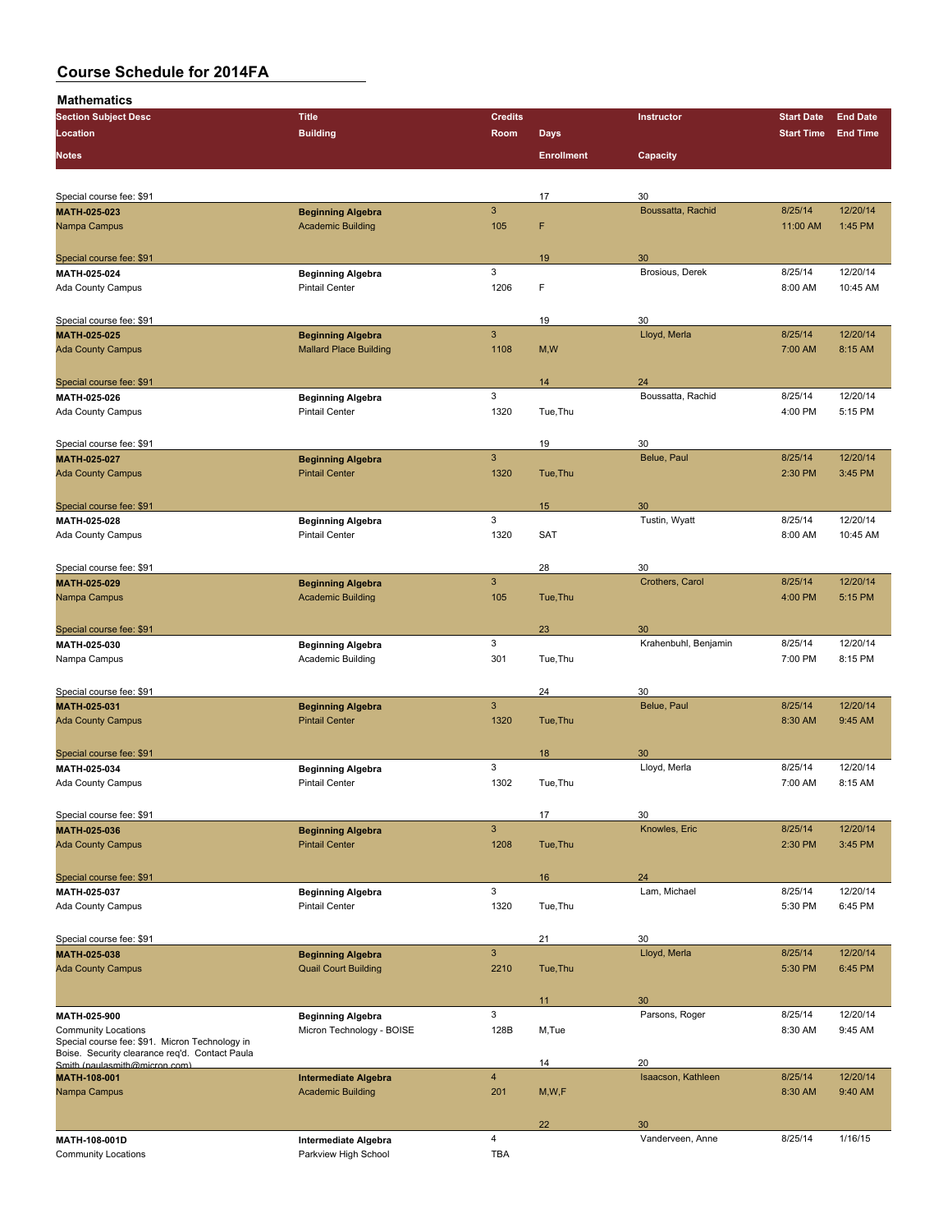| <b>Section Subject Desc</b>                                                     | <b>Title</b>                                      | <b>Credits</b> |                   | Instructor           | <b>Start Date</b>  | <b>End Date</b>     |
|---------------------------------------------------------------------------------|---------------------------------------------------|----------------|-------------------|----------------------|--------------------|---------------------|
| Location                                                                        | <b>Building</b>                                   | Room           | <b>Days</b>       |                      | <b>Start Time</b>  | <b>End Time</b>     |
|                                                                                 |                                                   |                |                   |                      |                    |                     |
| <b>Notes</b>                                                                    |                                                   |                | <b>Enrollment</b> | Capacity             |                    |                     |
|                                                                                 |                                                   |                |                   |                      |                    |                     |
| Special course fee: \$91                                                        |                                                   |                | 17                | 30                   |                    |                     |
| MATH-025-023                                                                    | <b>Beginning Algebra</b>                          | $\mathbf{3}$   |                   | Boussatta, Rachid    | 8/25/14            | 12/20/14            |
| Nampa Campus                                                                    | <b>Academic Building</b>                          | 105            | F                 |                      | 11:00 AM           | 1:45 PM             |
|                                                                                 |                                                   |                |                   |                      |                    |                     |
| Special course fee: \$91                                                        |                                                   |                | 19                | 30                   |                    |                     |
| <b>MATH 025 024</b>                                                             | <b>Beginning Algebra</b>                          | 3              |                   | Brosious, Derek      | 8/25/14            | 12/20/14            |
| Ada County Campus                                                               | <b>Pintail Center</b>                             | 1206           | F                 |                      | 8:00 AM            | 10:45 AM            |
|                                                                                 |                                                   |                |                   |                      |                    |                     |
| Special course fee: \$91                                                        |                                                   |                | 19                | 30                   |                    |                     |
| MATH 025-025                                                                    | <b>Beginning Algebra</b>                          | 3              |                   | Lloyd, Merla         | 8/25/14            | 12/20/14            |
| <b>Ada County Campus</b>                                                        | <b>Mallard Place Building</b>                     | 1108           | M, W              |                      | 7:00 AM            | 8:15 AM             |
|                                                                                 |                                                   |                |                   |                      |                    |                     |
| Special course fee: \$91                                                        |                                                   |                | 14                | 24                   |                    |                     |
| MATH-025-026                                                                    | <b>Beginning Algebra</b>                          | 3              |                   | Boussatta, Rachid    | 8/25/14            | 12/20/14            |
| Ada County Campus                                                               | <b>Pintail Center</b>                             | 1320           | Tue, Thu          |                      | 4:00 PM            | 5:15 PM             |
|                                                                                 |                                                   |                |                   |                      |                    |                     |
| Special course fee: \$91                                                        |                                                   |                | 19                | 30                   |                    |                     |
| MATH 025-027                                                                    | <b>Beginning Algebra</b>                          | $\overline{3}$ |                   | Belue, Paul          | 8/25/14            | 12/20/14            |
| <b>Ada County Campus</b>                                                        | <b>Pintail Center</b>                             | 1320           | Tue, Thu          |                      | 2:30 PM            | 3:45 PM             |
|                                                                                 |                                                   |                |                   |                      |                    |                     |
| Special course fee: \$91                                                        |                                                   |                | 15                | 30                   |                    |                     |
| MATH 025-028                                                                    | <b>Beginning Algebra</b>                          | 3              |                   | Tustin, Wyatt        | 8/25/14            | 12/20/14            |
| Ada County Campus                                                               | <b>Pintail Center</b>                             | 1320           | <b>SAT</b>        |                      | 8:00 AM            | 10:45 AM            |
|                                                                                 |                                                   |                |                   |                      |                    |                     |
| Special course fee: \$91                                                        |                                                   |                | 28                | 30                   |                    |                     |
| MATH-025-029                                                                    | <b>Beginning Algebra</b>                          | $\overline{3}$ |                   | Crothers, Carol      | 8/25/14            | 12/20/14            |
| Nampa Campus                                                                    | <b>Academic Building</b>                          | 105            | Tue, Thu          |                      | 4:00 PM            | 5:15 PM             |
|                                                                                 |                                                   |                |                   |                      |                    |                     |
| Special course fee: \$91                                                        |                                                   |                | 23                | 30                   |                    |                     |
| MATH-025-030                                                                    | <b>Beginning Algebra</b>                          | 3<br>301       |                   | Krahenbuhl, Benjamin | 8/25/14<br>7:00 PM | 12/20/14<br>8:15 PM |
| Nampa Campus                                                                    | Academic Building                                 |                | Tue, Thu          |                      |                    |                     |
|                                                                                 |                                                   |                |                   |                      |                    |                     |
| Special course fee: \$91                                                        |                                                   | $\mathbf{3}$   | 24                | 30<br>Belue, Paul    | 8/25/14            | 12/20/14            |
| MATH-025-031<br><b>Ada County Campus</b>                                        | <b>Beginning Algebra</b><br><b>Pintail Center</b> | 1320           | Tue, Thu          |                      | 8:30 AM            | 9:45 AM             |
|                                                                                 |                                                   |                |                   |                      |                    |                     |
|                                                                                 |                                                   |                |                   | 30                   |                    |                     |
| Special course fee: \$91<br>MATH 025-034                                        | <b>Beginning Algebra</b>                          | 3              | 18                | Lloyd, Merla         | 8/25/14            | 12/20/14            |
| Ada County Campus                                                               | <b>Pintail Center</b>                             | 1302           | Tue, Thu          |                      | 7:00 AM            | 8:15 AM             |
|                                                                                 |                                                   |                |                   |                      |                    |                     |
| Special course fee: \$91                                                        |                                                   |                | 17                | 30                   |                    |                     |
| MATH-025-036                                                                    | <b>Beginning Algebra</b>                          | $\mathbf{3}$   |                   | Knowles, Eric        | 8/25/14            | 12/20/14            |
| <b>Ada County Campus</b>                                                        | <b>Pintail Center</b>                             | 1208           | Tue, Thu          |                      | 2:30 PM            | 3:45 PM             |
|                                                                                 |                                                   |                |                   |                      |                    |                     |
| Special course fee: \$91                                                        |                                                   |                | 16                | 24                   |                    |                     |
| MATH 025 037                                                                    | <b>Beginning Algebra</b>                          | 3              |                   | Lam, Michael         | 8/25/14            | 12/20/14            |
| Ada County Campus                                                               | <b>Pintail Center</b>                             | 1320           | Tue, Thu          |                      | 5:30 PM            | 6:45 PM             |
|                                                                                 |                                                   |                |                   |                      |                    |                     |
| Special course fee: \$91                                                        |                                                   |                | 21                | 30                   |                    |                     |
| MATH 025-038                                                                    | <b>Beginning Algebra</b>                          | $\mathbf{3}$   |                   | Lloyd, Merla         | 8/25/14            | 12/20/14            |
| <b>Ada County Campus</b>                                                        | <b>Quail Court Building</b>                       | 2210           | Tue, Thu          |                      | 5:30 PM            | 6:45 PM             |
|                                                                                 |                                                   |                |                   |                      |                    |                     |
|                                                                                 |                                                   |                | 11                | 30                   |                    |                     |
| MATH 025-900                                                                    | <b>Beginning Algebra</b>                          | 3              |                   | Parsons, Roger       | 8/25/14            | 12/20/14            |
| <b>Community Locations</b>                                                      | Micron Technology - BOISE                         | 128B           | M,Tue             |                      | 8:30 AM            | 9:45 AM             |
| Special course fee: \$91. Micron Technology in                                  |                                                   |                |                   |                      |                    |                     |
| Boise. Security clearance req'd. Contact Paula<br>Smith (paulasmith@micron.com) |                                                   |                | 14                | 20                   |                    |                     |
| MATH-108-001                                                                    | <b>Intermediate Algebra</b>                       | $\overline{4}$ |                   | Isaacson, Kathleen   | 8/25/14            | 12/20/14            |
| Nampa Campus                                                                    | <b>Academic Building</b>                          | 201            | M, W, F           |                      | 8:30 AM            | 9:40 AM             |
|                                                                                 |                                                   |                |                   |                      |                    |                     |
|                                                                                 |                                                   |                | 22                | 30                   |                    |                     |
| MATH 108-001D                                                                   | Intermediate Algebra                              | $\overline{4}$ |                   | Vanderveen, Anne     | 8/25/14            | 1/16/15             |
| <b>Community Locations</b>                                                      | Parkview High School                              | <b>TBA</b>     |                   |                      |                    |                     |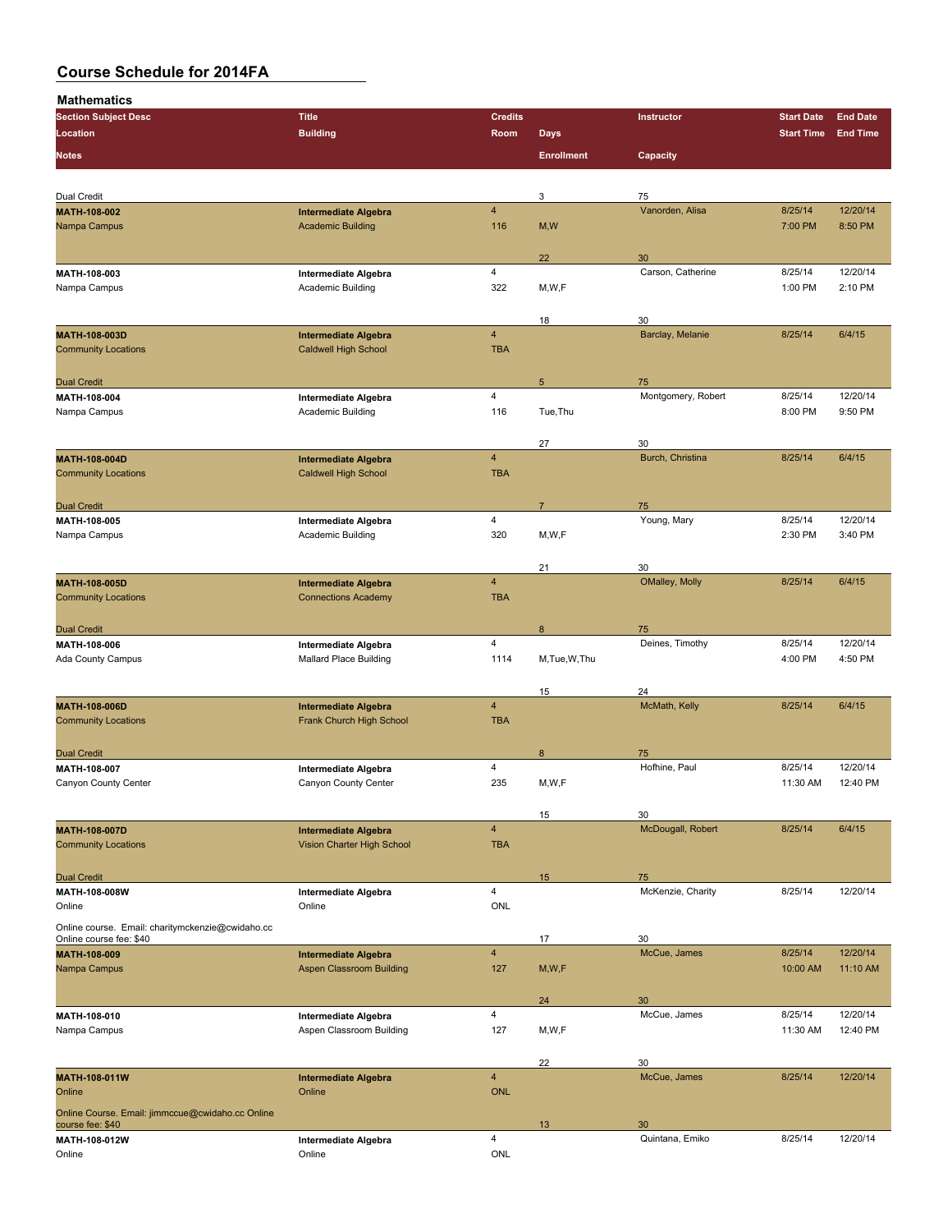| <b>Section Subject Desc</b>                      | <b>Title</b>                          | <b>Credits</b>          |                   | Instructor            | <b>Start Date</b> | <b>End Date</b> |
|--------------------------------------------------|---------------------------------------|-------------------------|-------------------|-----------------------|-------------------|-----------------|
| Location                                         | <b>Building</b>                       | Room                    | <b>Days</b>       |                       | <b>Start Time</b> | <b>End Time</b> |
| <b>Notes</b>                                     |                                       |                         | <b>Enrollment</b> | Capacity              |                   |                 |
|                                                  |                                       |                         |                   |                       |                   |                 |
| <b>Dual Credit</b>                               |                                       |                         | 3                 | 75                    |                   |                 |
| MATH-108-002                                     | <b>Intermediate Algebra</b>           | 4                       |                   | Vanorden, Alisa       | 8/25/14           | 12/20/14        |
| Nampa Campus                                     | <b>Academic Building</b>              | 116                     | M, W              |                       | 7:00 PM           | 8:50 PM         |
|                                                  |                                       |                         |                   |                       |                   |                 |
|                                                  |                                       |                         | 22                | 30                    |                   |                 |
| MATH-108-003                                     | Intermediate Algebra                  | 4                       |                   | Carson, Catherine     | 8/25/14           | 12/20/14        |
| Nampa Campus                                     | Academic Building                     | 322                     | M, W, F           |                       | 1:00 PM           | 2:10 PM         |
|                                                  |                                       |                         |                   |                       |                   |                 |
|                                                  |                                       |                         | 18                | 30                    |                   |                 |
| MATH-108-003D                                    | <b>Intermediate Algebra</b>           | $\overline{4}$          |                   | Barclay, Melanie      | 8/25/14           | 6/4/15          |
| <b>Community Locations</b>                       | <b>Caldwell High School</b>           | <b>TBA</b>              |                   |                       |                   |                 |
|                                                  |                                       |                         |                   |                       |                   |                 |
| <b>Dual Credit</b>                               |                                       |                         | 5                 | 75                    |                   |                 |
| MATH-108-004                                     | Intermediate Algebra                  | $\overline{4}$          |                   | Montgomery, Robert    | 8/25/14           | 12/20/14        |
| Nampa Campus                                     | Academic Building                     | 116                     | Tue, Thu          |                       | 8:00 PM           | 9:50 PM         |
|                                                  |                                       |                         |                   |                       |                   |                 |
|                                                  |                                       |                         | 27                | 30                    |                   |                 |
| MATH-108-004D                                    | <b>Intermediate Algebra</b>           | $\overline{4}$          |                   | Burch, Christina      | 8/25/14           | 6/4/15          |
| <b>Community Locations</b>                       | <b>Caldwell High School</b>           | <b>TBA</b>              |                   |                       |                   |                 |
|                                                  |                                       |                         |                   |                       |                   |                 |
| <b>Dual Credit</b>                               |                                       |                         | $\overline{7}$    | 75                    |                   |                 |
| MATH-108-005                                     | Intermediate Algebra                  | $\overline{4}$          |                   | Young, Mary           | 8/25/14           | 12/20/14        |
| Nampa Campus                                     | Academic Building                     | 320                     | M,W,F             |                       | 2:30 PM           | 3:40 PM         |
|                                                  |                                       |                         |                   |                       |                   |                 |
|                                                  |                                       |                         | 21                | 30                    |                   |                 |
| MATH-108-005D                                    | <b>Intermediate Algebra</b>           | $\overline{\mathbf{4}}$ |                   | OMalley, Molly        | 8/25/14           | 6/4/15          |
| <b>Community Locations</b>                       | <b>Connections Academy</b>            | <b>TBA</b>              |                   |                       |                   |                 |
|                                                  |                                       |                         |                   |                       |                   |                 |
| <b>Dual Credit</b>                               |                                       |                         | 8                 | 75                    |                   |                 |
| MATH-108-006                                     | Intermediate Algebra                  | $\overline{4}$          |                   | Deines, Timothy       | 8/25/14           | 12/20/14        |
| Ada County Campus                                | <b>Mallard Place Building</b>         | 1114                    | M,Tue,W,Thu       |                       | 4:00 PM           | 4:50 PM         |
|                                                  |                                       |                         |                   |                       |                   |                 |
|                                                  |                                       |                         | 15                | 24                    |                   |                 |
| MATH-108-006D                                    | <b>Intermediate Algebra</b>           | $\overline{\mathbf{4}}$ |                   | McMath, Kelly         | 8/25/14           | 6/4/15          |
| <b>Community Locations</b>                       | Frank Church High School              | <b>TBA</b>              |                   |                       |                   |                 |
|                                                  |                                       |                         |                   |                       |                   |                 |
| <b>Dual Credit</b>                               |                                       |                         | 8                 | 75                    |                   |                 |
| MATH-108-007                                     | Intermediate Algebra                  | $\overline{4}$          |                   | Hofhine, Paul         | 8/25/14           | 12/20/14        |
| Canyon County Center                             | Canyon County Center                  | 235                     | M,W,F             |                       | 11:30 AM          | 12:40 PM        |
|                                                  |                                       |                         |                   |                       |                   |                 |
|                                                  |                                       |                         | 15                | 30                    |                   |                 |
| MATH-108-007D                                    | <b>Intermediate Algebra</b>           | $\overline{\mathbf{4}}$ |                   | McDougall, Robert     | 8/25/14           | 6/4/15          |
| <b>Community Locations</b>                       | Vision Charter High School            | <b>TBA</b>              |                   |                       |                   |                 |
|                                                  |                                       |                         |                   |                       |                   |                 |
| <b>Dual Credit</b>                               |                                       |                         | 15                | 75                    |                   |                 |
| MATH-108-008W                                    | Intermediate Algebra                  | 4                       |                   | McKenzie, Charity     | 8/25/14           | 12/20/14        |
| Online                                           | Online                                | <b>ONL</b>              |                   |                       |                   |                 |
| Online course. Email: charitymckenzie@cwidaho.cc |                                       |                         |                   |                       |                   |                 |
| Online course fee: \$40                          |                                       |                         | 17                | 30                    |                   |                 |
| MATH-108-009                                     | <b>Intermediate Algebra</b>           | $\overline{\mathbf{4}}$ |                   | McCue, James          | 8/25/14           | 12/20/14        |
| Nampa Campus                                     | <b>Aspen Classroom Building</b>       | 127                     | M, W, F           |                       | 10:00 AM          | 11:10 AM        |
|                                                  |                                       |                         |                   |                       |                   |                 |
|                                                  |                                       | $\overline{4}$          | 24                | 30<br>McCue, James    | 8/25/14           | 12/20/14        |
| MATH-108-010                                     | Intermediate Algebra                  |                         |                   |                       |                   |                 |
| Nampa Campus                                     | Aspen Classroom Building              | 127                     | M,W,F             |                       | 11:30 AM          | 12:40 PM        |
|                                                  |                                       |                         |                   |                       |                   |                 |
|                                                  |                                       | $\overline{\mathbf{4}}$ | 22                | 30                    |                   | 12/20/14        |
| <b>MATH-108-011W</b><br>Online                   | <b>Intermediate Algebra</b><br>Online | <b>ONL</b>              |                   | McCue, James          | 8/25/14           |                 |
|                                                  |                                       |                         |                   |                       |                   |                 |
| Online Course. Email: jimmccue@cwidaho.cc Online |                                       |                         |                   |                       |                   |                 |
| course fee: \$40<br>MATH-108-012W                |                                       | $\overline{4}$          | 13                | 30<br>Quintana, Emiko | 8/25/14           | 12/20/14        |
| Online                                           | Intermediate Algebra<br>Online        | ONL                     |                   |                       |                   |                 |
|                                                  |                                       |                         |                   |                       |                   |                 |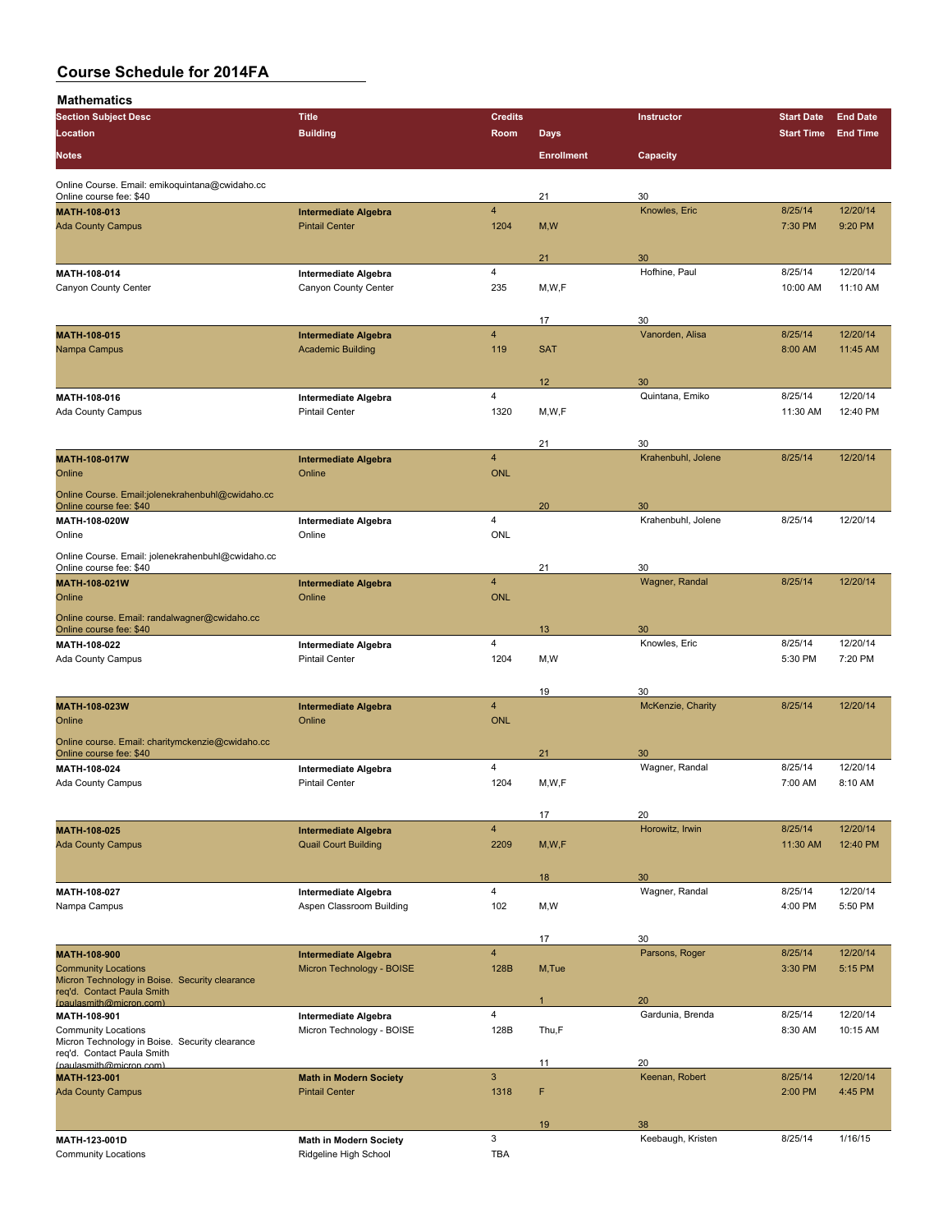| Mathematics                                                                  |                                               |                         |                   |                       |                   |                 |
|------------------------------------------------------------------------------|-----------------------------------------------|-------------------------|-------------------|-----------------------|-------------------|-----------------|
| <b>Section Subject Desc</b>                                                  | <b>Title</b>                                  | <b>Credits</b>          |                   | Instructor            | <b>Start Date</b> | <b>End Date</b> |
| Location                                                                     | <b>Building</b>                               | Room                    | <b>Days</b>       |                       | <b>Start Time</b> | <b>End Time</b> |
|                                                                              |                                               |                         |                   |                       |                   |                 |
| <b>Notes</b>                                                                 |                                               |                         | <b>Enrollment</b> | Capacity              |                   |                 |
| Online Course. Email: emikoquintana@cwidaho.cc                               |                                               |                         |                   |                       |                   |                 |
| Online course fee: \$40                                                      |                                               |                         | 21                | 30                    |                   |                 |
| MATH-108-013                                                                 | <b>Intermediate Algebra</b>                   | $\overline{\mathbf{4}}$ |                   | Knowles, Eric         | 8/25/14           | 12/20/14        |
| <b>Ada County Campus</b>                                                     | <b>Pintail Center</b>                         | 1204                    | M, W              |                       | 7:30 PM           | 9:20 PM         |
|                                                                              |                                               |                         |                   |                       |                   |                 |
|                                                                              |                                               |                         | 21                | 30                    |                   |                 |
| MATII-108-014                                                                | Intermediate Algebra                          | 4                       |                   | Hofhine, Paul         | 8/25/14           | 12/20/14        |
| Canyon County Center                                                         | Canyon County Center                          | 235                     | M, W, F           |                       | 10:00 AM          | 11:10 AM        |
|                                                                              |                                               |                         |                   |                       |                   |                 |
|                                                                              |                                               |                         | 17                | 30                    |                   |                 |
| MATH-108-015                                                                 | <b>Intermediate Algebra</b>                   | $\overline{4}$          |                   | Vanorden, Alisa       | 8/25/14           | 12/20/14        |
| Nampa Campus                                                                 | <b>Academic Building</b>                      | 119                     | <b>SAT</b>        |                       | 8:00 AM           | 11:45 AM        |
|                                                                              |                                               |                         |                   |                       |                   |                 |
|                                                                              |                                               |                         |                   |                       |                   |                 |
| MATH-108-016                                                                 |                                               | 4                       | 12                | 30<br>Quintana, Emiko | 8/25/14           | 12/20/14        |
|                                                                              | Intermediate Algebra<br><b>Pintail Center</b> | 1320                    | M, W, F           |                       | 11:30 AM          | 12:40 PM        |
| Ada County Campus                                                            |                                               |                         |                   |                       |                   |                 |
|                                                                              |                                               |                         |                   |                       |                   |                 |
|                                                                              |                                               |                         | 21                | 30                    |                   |                 |
| MATH-108-017W                                                                | <b>Intermediate Algebra</b>                   | $\overline{4}$          |                   | Krahenbuhl, Jolene    | 8/25/14           | 12/20/14        |
| Online                                                                       | Online                                        | <b>ONL</b>              |                   |                       |                   |                 |
| Online Course. Email:jolenekrahenbuhl@cwidaho.cc                             |                                               |                         |                   |                       |                   |                 |
| Online course fee: \$40                                                      |                                               |                         | 20                | 30                    |                   |                 |
| MATH-108-020W                                                                | Intermediate Algebra                          | 4                       |                   | Krahenbuhl, Jolene    | 8/25/14           | 12/20/14        |
| Online                                                                       | Online                                        | <b>ONL</b>              |                   |                       |                   |                 |
| Online Course. Email: jolenekrahenbuhl@cwidaho.cc                            |                                               |                         |                   |                       |                   |                 |
| Online course fee: \$40                                                      |                                               |                         | 21                | 30                    |                   |                 |
| MATH-108-021W                                                                | <b>Intermediate Algebra</b>                   | $\overline{\mathbf{4}}$ |                   | Wagner, Randal        | 8/25/14           | 12/20/14        |
| Online                                                                       | Online                                        | <b>ONL</b>              |                   |                       |                   |                 |
| Online course. Email: randalwagner@cwidaho.cc                                |                                               |                         |                   |                       |                   |                 |
| Online course fee: \$40                                                      |                                               |                         | 13                | 30                    |                   |                 |
| MATH-108-022                                                                 | Intermediate Algebra                          | 4                       |                   | Knowles, Eric         | 8/25/14           | 12/20/14        |
| Ada County Campus                                                            | <b>Pintail Center</b>                         | 1204                    | M, W              |                       | 5:30 PM           | 7:20 PM         |
|                                                                              |                                               |                         |                   |                       |                   |                 |
|                                                                              |                                               |                         | 19                | 30                    |                   |                 |
| MATH-108-023W                                                                | <b>Intermediate Algebra</b>                   | $\overline{\mathbf{4}}$ |                   | McKenzie, Charity     | 8/25/14           | 12/20/14        |
| Online                                                                       | Online                                        | <b>ONL</b>              |                   |                       |                   |                 |
|                                                                              |                                               |                         |                   |                       |                   |                 |
| Online course. Email: charitymckenzie@cwidaho.cc<br>Online course fee: \$40  |                                               |                         | 21                | 30                    |                   |                 |
| MATH-108-024                                                                 | Intermediate Algebra                          | 4                       |                   | Wagner, Randal        | 8/25/14           | 12/20/14        |
| Ada County Campus                                                            | <b>Pintail Center</b>                         | 1204                    | M, W, F           |                       | 7:00 AM           | 8:10 AM         |
|                                                                              |                                               |                         |                   |                       |                   |                 |
|                                                                              |                                               |                         |                   |                       |                   |                 |
|                                                                              |                                               |                         | 17                | 20                    |                   |                 |
| MATH-108-025                                                                 | <b>Intermediate Algebra</b>                   | $\overline{4}$          |                   | Horowitz, Irwin       | 8/25/14           | 12/20/14        |
| <b>Ada County Campus</b>                                                     | <b>Quail Court Building</b>                   | 2209                    | M, W, F           |                       | 11:30 AM          | 12:40 PM        |
|                                                                              |                                               |                         |                   |                       |                   |                 |
|                                                                              |                                               |                         | 18                | 30                    |                   |                 |
| MATH 108 027                                                                 | Intermediate Algebra                          | 4                       |                   | Wagner, Randal        | 8/25/14           | 12/20/14        |
| Nampa Campus                                                                 | Aspen Classroom Building                      | 102                     | M,W               |                       | 4:00 PM           | 5:50 PM         |
|                                                                              |                                               |                         |                   |                       |                   |                 |
|                                                                              |                                               |                         | 17                | 30                    |                   |                 |
| MATH-108-900                                                                 | <b>Intermediate Algebra</b>                   | $\overline{4}$          |                   | Parsons, Roger        | 8/25/14           | 12/20/14        |
| <b>Community Locations</b>                                                   | Micron Technology - BOISE                     | 128B                    | M, Tue            |                       | 3:30 PM           | 5:15 PM         |
| Micron Technology in Boise. Security clearance<br>reg'd. Contact Paula Smith |                                               |                         |                   |                       |                   |                 |
| (paulasmith@micron.com)                                                      |                                               |                         |                   | 20                    |                   |                 |
| MATH-108-901                                                                 | Intermediate Algebra                          | 4                       |                   | Gardunia, Brenda      | 8/25/14           | 12/20/14        |
| <b>Community Locations</b>                                                   | Micron Technology - BOISE                     | 128B                    | Thu,F             |                       | 8:30 AM           | 10:15 AM        |
| Micron Technology in Boise. Security clearance                               |                                               |                         |                   |                       |                   |                 |
| req'd. Contact Paula Smith<br>(paulasmith@micron.com)                        |                                               |                         | 11                | 20                    |                   |                 |
| <b>MATH-123-001</b>                                                          | <b>Math in Modern Society</b>                 | $\mathbf{3}$            |                   | Keenan, Robert        | 8/25/14           | 12/20/14        |
| <b>Ada County Campus</b>                                                     | <b>Pintail Center</b>                         | 1318                    | F                 |                       | 2:00 PM           | 4:45 PM         |
|                                                                              |                                               |                         |                   |                       |                   |                 |
|                                                                              |                                               |                         | 19                | 38                    |                   |                 |
| MATH-123-001D                                                                | <b>Math in Modern Society</b>                 | 3                       |                   | Keebaugh, Kristen     | 8/25/14           | 1/16/15         |
|                                                                              |                                               |                         |                   |                       |                   |                 |

Community Locations **Community Locations Ridgeline High School** TBA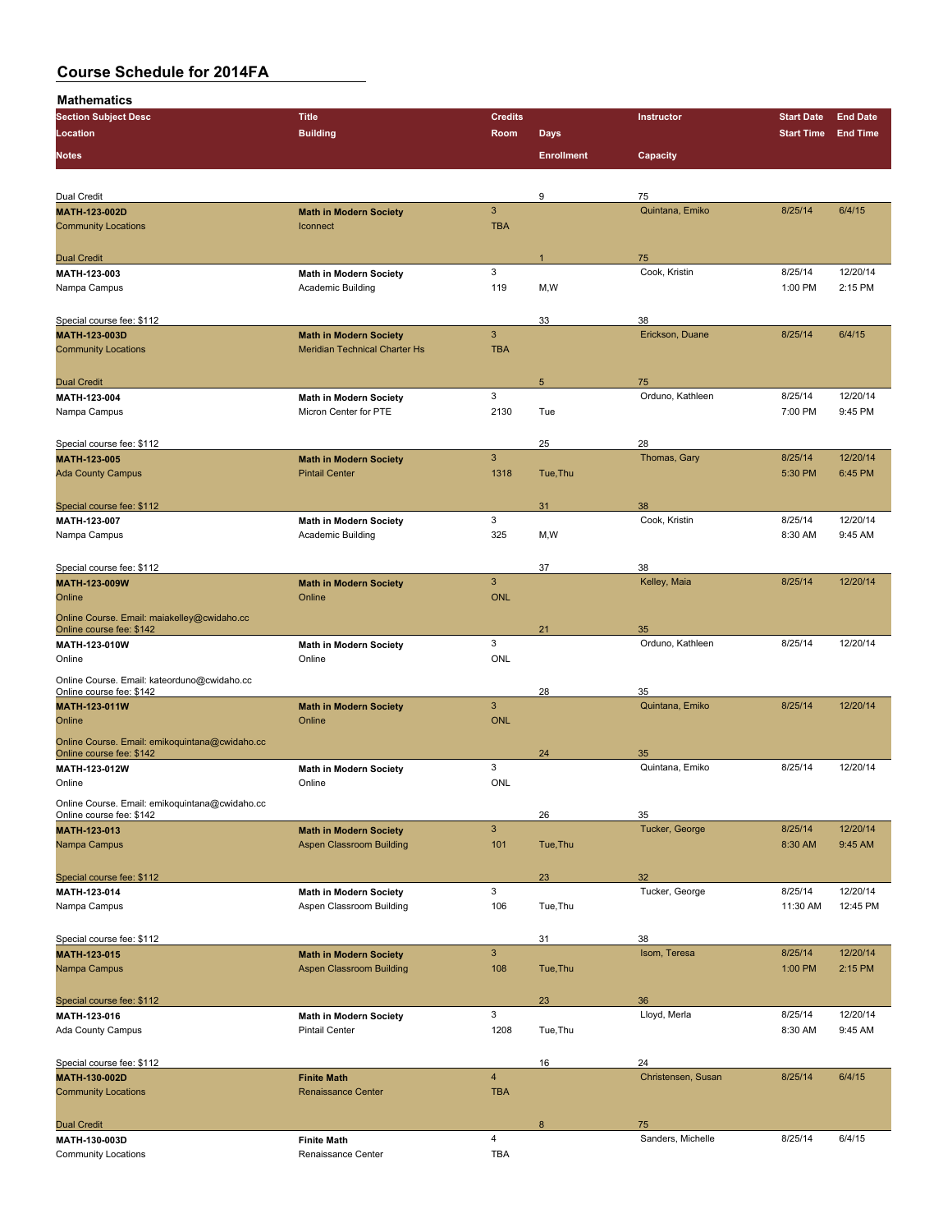| <b>Section Subject Desc</b>                                                | <b>Title</b>                                       | <b>Credits</b> |                   | Instructor         | <b>Start Date</b> | <b>End Date</b> |
|----------------------------------------------------------------------------|----------------------------------------------------|----------------|-------------------|--------------------|-------------------|-----------------|
| Location                                                                   | <b>Building</b>                                    | Room           | <b>Days</b>       |                    | <b>Start Time</b> | <b>End Time</b> |
|                                                                            |                                                    |                |                   |                    |                   |                 |
| <b>Notes</b>                                                               |                                                    |                | <b>Enrollment</b> | Capacity           |                   |                 |
|                                                                            |                                                    |                |                   |                    |                   |                 |
| Dual Credit                                                                |                                                    |                | 9                 | 75                 |                   |                 |
| MATH-123-002D                                                              | <b>Math in Modern Society</b>                      | $\mathbf{3}$   |                   | Quintana, Emiko    | 8/25/14           | 6/4/15          |
| <b>Community Locations</b>                                                 | Iconnect                                           | <b>TBA</b>     |                   |                    |                   |                 |
|                                                                            |                                                    |                |                   |                    |                   |                 |
| <b>Dual Credit</b>                                                         |                                                    |                |                   | 75                 |                   |                 |
| MATH-123-003                                                               | <b>Math in Modern Society</b>                      | 3              |                   | Cook, Kristin      | 8/25/14           | 12/20/14        |
| Nampa Campus                                                               | Academic Building                                  | 119            | M,W               |                    | 1:00 PM           | 2:15 PM         |
|                                                                            |                                                    |                |                   |                    |                   |                 |
| Special course fee: \$112                                                  |                                                    |                | 33                | 38                 |                   |                 |
| MATH 123 003D                                                              | <b>Math in Modern Society</b>                      | $\mathbf{3}$   |                   | Erickson, Duane    | 8/25/14           | 6/4/15          |
| <b>Community Locations</b>                                                 | <b>Meridian Technical Charter Hs</b>               | <b>TBA</b>     |                   |                    |                   |                 |
|                                                                            |                                                    |                |                   |                    |                   |                 |
| <b>Dual Credit</b>                                                         |                                                    |                | 5                 | 75                 |                   |                 |
| MATH-123-004                                                               | <b>Math in Modern Society</b>                      | 3              |                   | Orduno, Kathleen   | 8/25/14           | 12/20/14        |
| Nampa Campus                                                               | Micron Center for PTE                              | 2130           | Tue               |                    | 7:00 PM           | 9:45 PM         |
|                                                                            |                                                    |                |                   |                    |                   |                 |
| Special course fee: \$112                                                  |                                                    |                | 25                | 28                 |                   |                 |
| MATH 123-005                                                               | <b>Math in Modern Society</b>                      | 3              |                   | Thomas, Gary       | 8/25/14           | 12/20/14        |
| <b>Ada County Campus</b>                                                   | <b>Pintail Center</b>                              | 1318           | Tue, Thu          |                    | 5:30 PM           | 6:45 PM         |
|                                                                            |                                                    |                |                   |                    |                   |                 |
|                                                                            |                                                    |                |                   | 38                 |                   |                 |
| Special course fee: \$112<br>MATH-123-007                                  |                                                    | 3              | 31                | Cook, Kristin      | 8/25/14           | 12/20/14        |
| Nampa Campus                                                               | <b>Math in Modern Society</b><br>Academic Building | 325            | M,W               |                    | 8:30 AM           | 9:45 AM         |
|                                                                            |                                                    |                |                   |                    |                   |                 |
| Special course fee: \$112                                                  |                                                    |                | 37                | 38                 |                   |                 |
| MATH-123-009W                                                              | <b>Math in Modern Society</b>                      | $\mathbf{3}$   |                   | Kelley, Maia       | 8/25/14           | 12/20/14        |
| Online                                                                     | Online                                             | <b>ONL</b>     |                   |                    |                   |                 |
|                                                                            |                                                    |                |                   |                    |                   |                 |
| Online Course. Email: maiakelley@cwidaho.cc<br>Online course fee: \$142    |                                                    |                | 21                | 35                 |                   |                 |
| MATH-123-010W                                                              | <b>Math in Modern Society</b>                      | 3              |                   | Orduno, Kathleen   | 8/25/14           | 12/20/14        |
| Online                                                                     | Online                                             | <b>ONL</b>     |                   |                    |                   |                 |
|                                                                            |                                                    |                |                   |                    |                   |                 |
| Online Course. Email: kateorduno@cwidaho.cc<br>Online course fee: \$142    |                                                    |                | 28                | 35                 |                   |                 |
| MATH-123-011W                                                              | <b>Math in Modern Society</b>                      | $\mathbf{3}$   |                   | Quintana, Emiko    | 8/25/14           | 12/20/14        |
| Online                                                                     | Online                                             | <b>ONL</b>     |                   |                    |                   |                 |
|                                                                            |                                                    |                |                   |                    |                   |                 |
| Online Course. Email: emikoquintana@cwidaho.cc<br>Online course fee: \$142 |                                                    |                | 24                | 35                 |                   |                 |
| MATH-123-012W                                                              | <b>Math in Modern Society</b>                      | 3              |                   | Quintana, Emiko    | 8/25/14           | 12/20/14        |
| Online                                                                     | Online                                             | <b>ONL</b>     |                   |                    |                   |                 |
|                                                                            |                                                    |                |                   |                    |                   |                 |
| Online Course. Email: emikoquintana@cwidaho.cc<br>Online course fee: \$142 |                                                    |                | 26                | 35                 |                   |                 |
| MATH 123-013                                                               | <b>Math in Modern Society</b>                      | $\mathbf{3}$   |                   | Tucker, George     | 8/25/14           | 12/20/14        |
| Nampa Campus                                                               | <b>Aspen Classroom Building</b>                    | 101            | Tue, Thu          |                    | 8:30 AM           | 9:45 AM         |
|                                                                            |                                                    |                |                   |                    |                   |                 |
| Special course fee: \$112                                                  |                                                    |                | 23                | 32                 |                   |                 |
| MATH-123-014                                                               | <b>Math in Modern Society</b>                      | 3              |                   | Tucker, George     | 8/25/14           | 12/20/14        |
| Nampa Campus                                                               | Aspen Classroom Building                           | 106            | Tue, Thu          |                    | 11:30 AM          | 12:45 PM        |
|                                                                            |                                                    |                |                   |                    |                   |                 |
| Special course fee: \$112                                                  |                                                    |                | 31                | 38                 |                   |                 |
| MATH 123-015                                                               | <b>Math in Modern Society</b>                      | $\mathbf{3}$   |                   | Isom, Teresa       | 8/25/14           | 12/20/14        |
| Nampa Campus                                                               | <b>Aspen Classroom Building</b>                    | 108            | Tue, Thu          |                    | 1:00 PM           | 2:15 PM         |
|                                                                            |                                                    |                |                   |                    |                   |                 |
| Special course fee: \$112                                                  |                                                    |                | 23                | 36                 |                   |                 |
| MATH-123-016                                                               | <b>Math in Modern Society</b>                      | 3              |                   | Lloyd, Merla       | 8/25/14           | 12/20/14        |
| Ada County Campus                                                          | <b>Pintail Center</b>                              | 1208           | Tue, Thu          |                    | 8:30 AM           | 9:45 AM         |
|                                                                            |                                                    |                |                   |                    |                   |                 |
| Special course fee: \$112                                                  |                                                    |                | 16                | 24                 |                   |                 |
| MATH-130-002D                                                              | <b>Finite Math</b>                                 | $\overline{4}$ |                   | Christensen, Susan | 8/25/14           | 6/4/15          |
| <b>Community Locations</b>                                                 | <b>Renaissance Center</b>                          | <b>TBA</b>     |                   |                    |                   |                 |
|                                                                            |                                                    |                |                   |                    |                   |                 |
| <b>Dual Credit</b>                                                         |                                                    |                | 8                 | 75                 |                   |                 |
| MATH 130-003D                                                              | <b>Finite Math</b>                                 | 4              |                   | Sanders, Michelle  | 8/25/14           | 6/4/15          |
| <b>Community Locations</b>                                                 | Renaissance Center                                 | <b>TBA</b>     |                   |                    |                   |                 |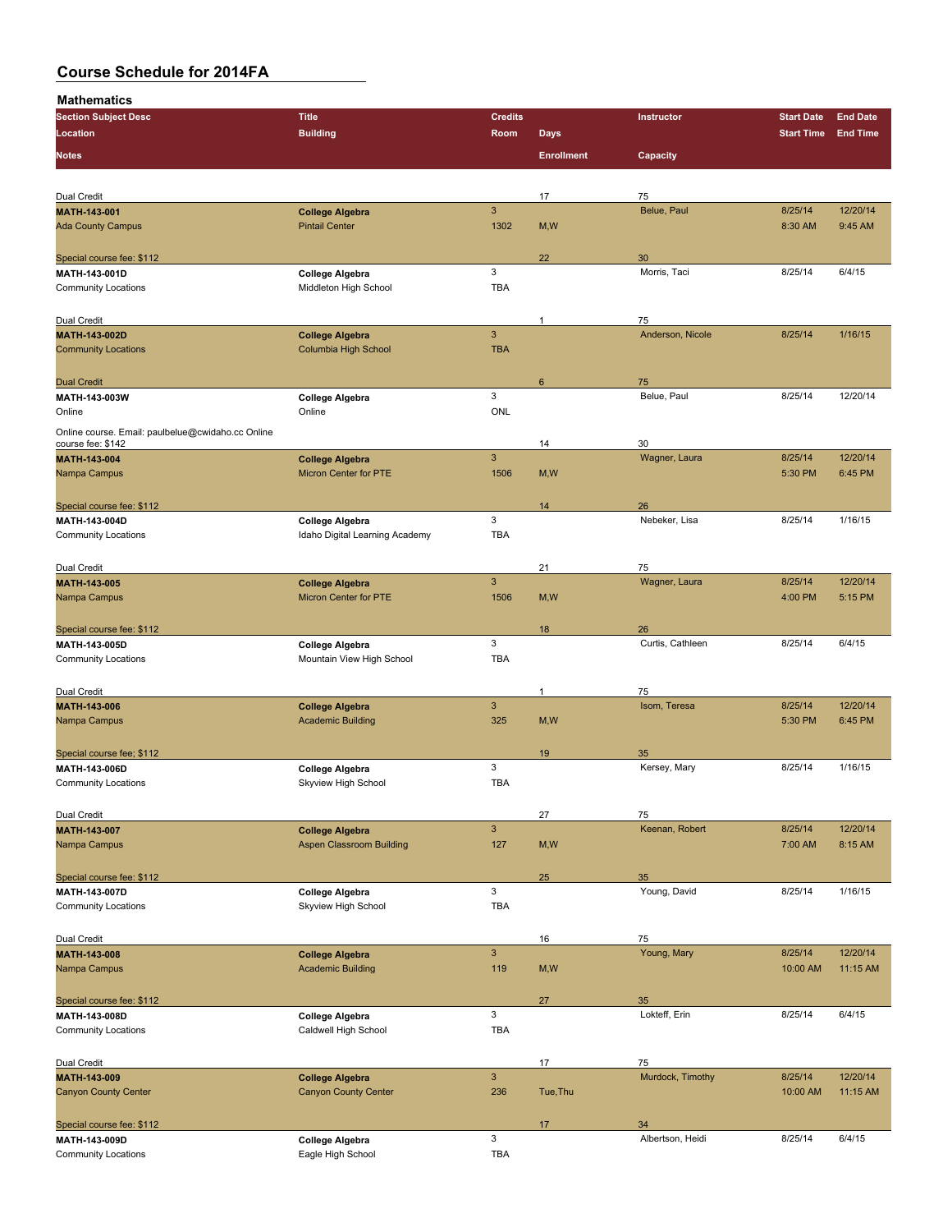| <br><b>Section Subject Desc</b>                                        | <b>Title</b>                    | <b>Credits</b> |                   | Instructor       | <b>Start Date</b> | <b>End Date</b> |
|------------------------------------------------------------------------|---------------------------------|----------------|-------------------|------------------|-------------------|-----------------|
| Location                                                               | <b>Building</b>                 | Room           | <b>Days</b>       |                  | <b>Start Time</b> | <b>End Time</b> |
|                                                                        |                                 |                |                   |                  |                   |                 |
| <b>Notes</b>                                                           |                                 |                | <b>Enrollment</b> | Capacity         |                   |                 |
|                                                                        |                                 |                |                   |                  |                   |                 |
| Dual Credit                                                            |                                 |                | 17                | 75               |                   |                 |
| <b>MATH-143-001</b>                                                    | <b>College Algebra</b>          | $\overline{3}$ |                   | Belue, Paul      | 8/25/14           | 12/20/14        |
| <b>Ada County Campus</b>                                               | <b>Pintail Center</b>           | 1302           | M, W              |                  | 8:30 AM           | 9:45 AM         |
|                                                                        |                                 |                |                   |                  |                   |                 |
| Special course fee: \$112                                              |                                 |                | 22                | 30               |                   |                 |
| MATH-143-001D                                                          | <b>College Algebra</b>          | 3              |                   | Morris, Taci     | 8/25/14           | 6/4/15          |
| <b>Community Locations</b>                                             | Middleton High School           | <b>TBA</b>     |                   |                  |                   |                 |
|                                                                        |                                 |                |                   |                  |                   |                 |
| Dual Credit                                                            |                                 |                | 1                 | 75               |                   |                 |
| MATH-143-002D                                                          | <b>College Algebra</b>          | 3              |                   | Anderson, Nicole | 8/25/14           | 1/16/15         |
| <b>Community Locations</b>                                             | Columbia High School            | <b>TBA</b>     |                   |                  |                   |                 |
|                                                                        |                                 |                |                   |                  |                   |                 |
| <b>Dual Credit</b>                                                     |                                 |                | 6                 | 75               |                   |                 |
| MATH 143 003W                                                          | <b>College Algebra</b>          | 3              |                   | Belue, Paul      | 8/25/14           | 12/20/14        |
| Online                                                                 | Online                          | <b>ONL</b>     |                   |                  |                   |                 |
|                                                                        |                                 |                |                   |                  |                   |                 |
| Online course. Email: paulbelue@cwidaho.cc Online<br>course fee: \$142 |                                 |                | 14                | 30               |                   |                 |
| <b>MATH 143 004</b>                                                    | <b>College Algebra</b>          | $\mathbf{3}$   |                   | Wagner, Laura    | 8/25/14           | 12/20/14        |
| Nampa Campus                                                           | <b>Micron Center for PTE</b>    | 1506           | M, W              |                  | 5:30 PM           | 6:45 PM         |
|                                                                        |                                 |                |                   |                  |                   |                 |
|                                                                        |                                 |                |                   |                  |                   |                 |
| Special course fee: \$112                                              |                                 | 3              | 14                | 26               | 8/25/14           |                 |
| MATH-143-004D                                                          | College Algebra                 |                |                   | Nebeker, Lisa    |                   | 1/16/15         |
| <b>Community Locations</b>                                             | Idaho Digital Learning Academy  | <b>TBA</b>     |                   |                  |                   |                 |
|                                                                        |                                 |                |                   |                  |                   |                 |
| Dual Credit                                                            |                                 | $\mathbf{3}$   | 21                | 75               |                   |                 |
| <b>MATH-143-005</b>                                                    | <b>College Algebra</b>          |                |                   | Wagner, Laura    | 8/25/14           | 12/20/14        |
| Nampa Campus                                                           | <b>Micron Center for PTE</b>    | 1506           | M, W              |                  | 4:00 PM           | 5:15 PM         |
|                                                                        |                                 |                |                   |                  |                   |                 |
| Special course fee: \$112                                              |                                 |                | 18                | 26               |                   |                 |
| MATH-143-005D                                                          | <b>College Algebra</b>          | 3              |                   | Curtis, Cathleen | 8/25/14           | 6/4/15          |
| <b>Community Locations</b>                                             | Mountain View High School       | <b>TBA</b>     |                   |                  |                   |                 |
|                                                                        |                                 |                |                   |                  |                   |                 |
| Dual Credit                                                            |                                 |                | $\mathbf{1}$      | 75               |                   |                 |
| MATH-143-006                                                           | <b>College Algebra</b>          | $\mathbf{3}$   |                   | Isom, Teresa     | 8/25/14           | 12/20/14        |
| Nampa Campus                                                           | <b>Academic Building</b>        | 325            | M, W              |                  | 5:30 PM           | 6:45 PM         |
|                                                                        |                                 |                |                   |                  |                   |                 |
| Special course fee; \$112                                              |                                 |                | 19                | 35               |                   |                 |
| MATH-143-006D                                                          | <b>College Algebra</b>          | 3              |                   | Kersey, Mary     | 8/25/14           | 1/16/15         |
| <b>Community Locations</b>                                             | Skyview High School             | <b>TBA</b>     |                   |                  |                   |                 |
|                                                                        |                                 |                |                   |                  |                   |                 |
| Dual Credit                                                            |                                 |                | 27                | 75               |                   |                 |
| MATH-143-007                                                           | <b>College Algebra</b>          | $\mathbf{3}$   |                   | Keenan, Robert   | 8/25/14           | 12/20/14        |
| Nampa Campus                                                           | <b>Aspen Classroom Building</b> | 127            | M,W               |                  | 7:00 AM           | 8:15 AM         |
|                                                                        |                                 |                |                   |                  |                   |                 |
| Special course fee: \$112                                              |                                 |                | 25                | 35               |                   |                 |
| MATH-143-007D                                                          | College Algebra                 | 3              |                   | Young, David     | 8/25/14           | 1/16/15         |
| <b>Community Locations</b>                                             | Skyview High School             | <b>TBA</b>     |                   |                  |                   |                 |
|                                                                        |                                 |                |                   |                  |                   |                 |
| Dual Credit                                                            |                                 |                | 16                | 75               |                   |                 |
| MATH-143-008                                                           | <b>College Algebra</b>          | $\mathbf{3}$   |                   | Young, Mary      | 8/25/14           | 12/20/14        |
| Nampa Campus                                                           | <b>Academic Building</b>        | 119            | M,W               |                  | 10:00 AM          | 11:15 AM        |
|                                                                        |                                 |                |                   |                  |                   |                 |
| Special course fee: \$112                                              |                                 |                | 27                | 35               |                   |                 |
| MATH-143-008D                                                          | College Algebra                 | 3              |                   | Lokteff, Erin    | 8/25/14           | 6/4/15          |
| <b>Community Locations</b>                                             | Caldwell High School            | TBA            |                   |                  |                   |                 |
|                                                                        |                                 |                |                   |                  |                   |                 |
| Dual Credit                                                            |                                 |                | 17                | 75               |                   |                 |
| MATH-143-009                                                           | <b>College Algebra</b>          | $\mathsf 3$    |                   | Murdock, Timothy | 8/25/14           | 12/20/14        |
| <b>Canyon County Center</b>                                            | <b>Canyon County Center</b>     | 236            | Tue, Thu          |                  | 10:00 AM          | 11:15 AM        |
|                                                                        |                                 |                |                   |                  |                   |                 |
| Special course fee: \$112                                              |                                 |                | 17                | 34               |                   |                 |
| MATH-143-009D                                                          | <b>College Algebra</b>          | 3              |                   | Albertson, Heidi | 8/25/14           | 6/4/15          |
| <b>Community Locations</b>                                             | Eagle High School               | TBA            |                   |                  |                   |                 |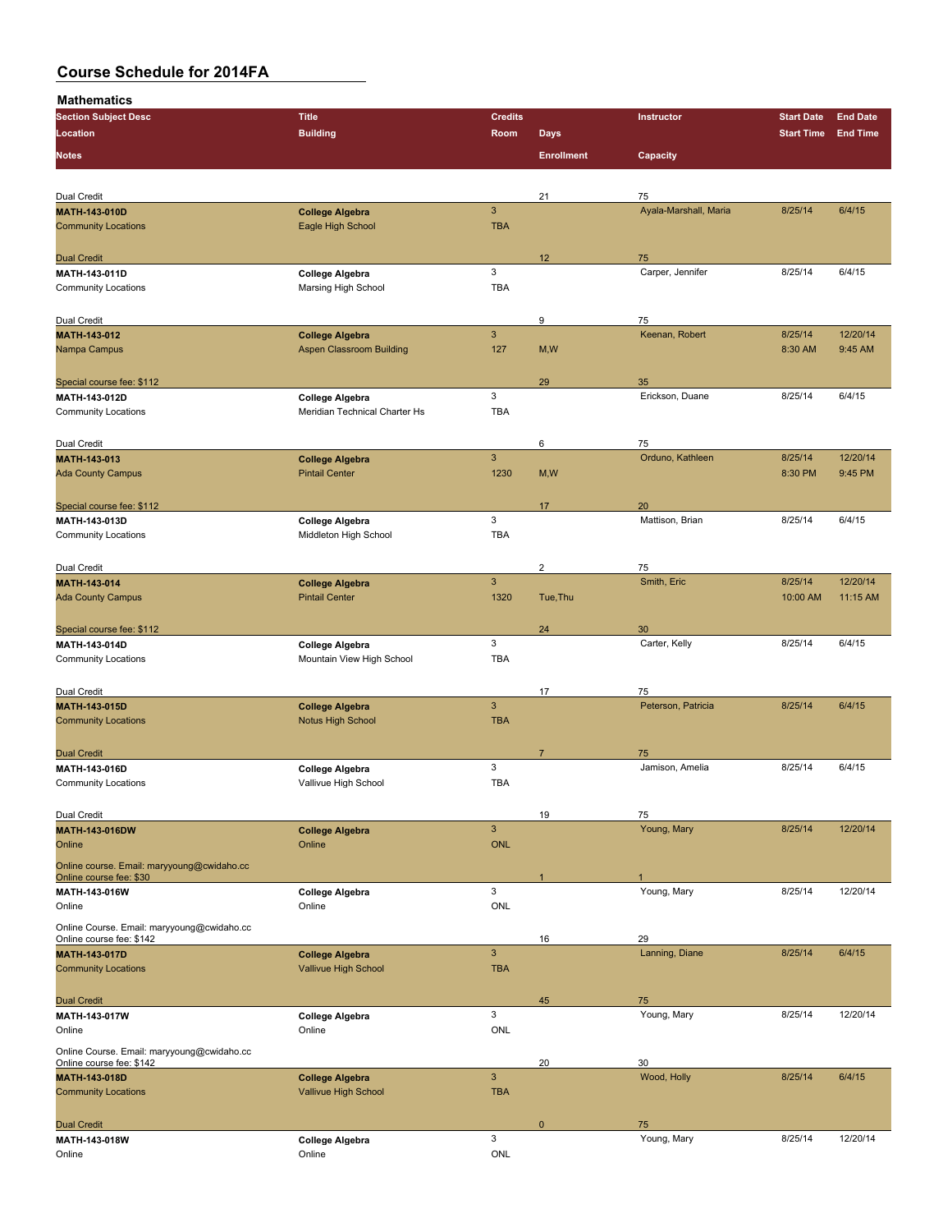| <b>Section Subject Desc</b>                 | <b>Title</b>                                   | <b>Credits</b> |                   | Instructor            | <b>Start Date</b> | <b>End Date</b> |
|---------------------------------------------|------------------------------------------------|----------------|-------------------|-----------------------|-------------------|-----------------|
| Location                                    | <b>Building</b>                                | Room           | <b>Days</b>       |                       | <b>Start Time</b> | <b>End Time</b> |
|                                             |                                                |                |                   |                       |                   |                 |
| <b>Notes</b>                                |                                                |                | <b>Enrollment</b> | Capacity              |                   |                 |
|                                             |                                                |                |                   |                       |                   |                 |
| Dual Credit                                 |                                                |                | 21                | 75                    |                   |                 |
| <b>MATH-143-010D</b>                        | <b>College Algebra</b>                         | $\mathbf{3}$   |                   | Ayala-Marshall, Maria | 8/25/14           | 6/4/15          |
| <b>Community Locations</b>                  | Eagle High School                              | <b>TBA</b>     |                   |                       |                   |                 |
|                                             |                                                |                |                   |                       |                   |                 |
| <b>Dual Credit</b>                          |                                                |                | 12                | 75                    |                   |                 |
| MATH-143-011D                               | College Algebra                                | 3              |                   | Carper, Jennifer      | 8/25/14           | 6/4/15          |
| <b>Community Locations</b>                  | Marsing High School                            | <b>TBA</b>     |                   |                       |                   |                 |
|                                             |                                                |                |                   |                       |                   |                 |
| Dual Credit                                 |                                                |                | 9                 | 75                    |                   |                 |
| MATH-143-012                                | <b>College Algebra</b>                         | $\mathbf{3}$   |                   | Keenan, Robert        | 8/25/14           | 12/20/14        |
| Nampa Campus                                | <b>Aspen Classroom Building</b>                | 127            | M, W              |                       | 8:30 AM           | 9:45 AM         |
|                                             |                                                |                |                   |                       |                   |                 |
| Special course fee: \$112                   |                                                |                | 29                | 35                    |                   |                 |
| MATH-143-012D                               | <b>College Algebra</b>                         | 3              |                   | Erickson, Duane       | 8/25/14           | 6/4/15          |
| <b>Community Locations</b>                  | Meridian Technical Charter Hs                  | <b>TBA</b>     |                   |                       |                   |                 |
|                                             |                                                |                |                   |                       |                   |                 |
| Dual Credit                                 |                                                |                | 6                 | 75                    |                   |                 |
| MATH-143-013                                | <b>College Algebra</b>                         | $\mathbf{3}$   |                   | Orduno, Kathleen      | 8/25/14           | 12/20/14        |
| <b>Ada County Campus</b>                    | <b>Pintail Center</b>                          | 1230           | M,W               |                       | 8:30 PM           | 9:45 PM         |
|                                             |                                                |                |                   |                       |                   |                 |
| Special course fee: \$112                   |                                                |                | 17                | 20                    |                   |                 |
| MATH-143-013D                               | <b>College Algebra</b>                         | 3              |                   | Mattison, Brian       | 8/25/14           | 6/4/15          |
| <b>Community Locations</b>                  | Middleton High School                          | <b>TBA</b>     |                   |                       |                   |                 |
|                                             |                                                |                |                   |                       |                   |                 |
| Dual Credit                                 |                                                |                | $\overline{c}$    | 75                    |                   |                 |
| MATH-143-014                                | <b>College Algebra</b>                         | $\mathbf{3}$   |                   | Smith, Eric           | 8/25/14           | 12/20/14        |
| <b>Ada County Campus</b>                    | <b>Pintail Center</b>                          | 1320           | Tue, Thu          |                       | 10:00 AM          | 11:15 AM        |
|                                             |                                                |                |                   |                       |                   |                 |
| Special course fee: \$112                   |                                                |                | 24                | 30                    |                   |                 |
| MATH-143-014D                               | College Algebra                                | 3              |                   | Carter, Kelly         | 8/25/14           | 6/4/15          |
| <b>Community Locations</b>                  | Mountain View High School                      | <b>TBA</b>     |                   |                       |                   |                 |
|                                             |                                                |                |                   |                       |                   |                 |
| Dual Credit                                 |                                                |                | 17                | 75                    |                   |                 |
| MATH-143-015D                               | <b>College Algebra</b>                         | $\mathbf{3}$   |                   | Peterson, Patricia    | 8/25/14           | 6/4/15          |
| <b>Community Locations</b>                  | <b>Notus High School</b>                       | <b>TBA</b>     |                   |                       |                   |                 |
|                                             |                                                |                |                   |                       |                   |                 |
|                                             |                                                |                | $\overline{7}$    |                       |                   |                 |
| <b>Dual Credit</b>                          |                                                | 3              |                   | 75<br>Jamison, Amelia | 8/25/14           | 6/4/15          |
| MATH-143-016D<br><b>Community Locations</b> | <b>College Algebra</b><br>Vallivue High School | <b>TBA</b>     |                   |                       |                   |                 |
|                                             |                                                |                |                   |                       |                   |                 |
|                                             |                                                |                |                   |                       |                   |                 |
| Dual Credit                                 |                                                |                | 19                | 75                    |                   |                 |
| MATH-143-016DW                              | <b>College Algebra</b>                         | $\mathsf 3$    |                   | Young, Mary           | 8/25/14           | 12/20/14        |
| Online                                      | Online                                         | <b>ONL</b>     |                   |                       |                   |                 |
| Online course. Email: maryyoung@cwidaho.cc  |                                                |                |                   |                       |                   |                 |
| Online course fee: \$30                     |                                                |                | $\mathbf{1}$      | $\mathbf{1}$          |                   |                 |
| MATH-143-016W                               | <b>College Algebra</b>                         | $\mathbf{3}$   |                   | Young, Mary           | 8/25/14           | 12/20/14        |
| Online                                      | Online                                         | ONL            |                   |                       |                   |                 |
| Online Course. Email: maryyoung@cwidaho.cc  |                                                |                |                   |                       |                   |                 |
| Online course fee: \$142                    |                                                |                | 16                | 29                    |                   |                 |
| <b>MATH 143 017D</b>                        | <b>College Algebra</b>                         | $\mathbf{3}$   |                   | Lanning, Diane        | 8/25/14           | 6/4/15          |
| <b>Community Locations</b>                  | Vallivue High School                           | <b>TBA</b>     |                   |                       |                   |                 |
|                                             |                                                |                |                   |                       |                   |                 |
| <b>Dual Credit</b>                          |                                                |                | 45                | 75                    |                   |                 |
| MATH-143-017W                               | <b>College Algebra</b>                         | $\mathsf 3$    |                   | Young, Mary           | 8/25/14           | 12/20/14        |
| Online                                      | Online                                         | ONL            |                   |                       |                   |                 |
| Online Course. Email: maryyoung@cwidaho.cc  |                                                |                |                   |                       |                   |                 |
| Online course fee: \$142                    |                                                |                | 20                | 30                    |                   |                 |
| MATH-143-018D                               | <b>College Algebra</b>                         | $\mathbf{3}$   |                   | Wood, Holly           | 8/25/14           | 6/4/15          |
| <b>Community Locations</b>                  | Vallivue High School                           | <b>TBA</b>     |                   |                       |                   |                 |
|                                             |                                                |                |                   |                       |                   |                 |
| <b>Dual Credit</b>                          |                                                |                | $\mathbf{0}$      | 75                    |                   |                 |
| MATH-143-018W                               | College Algebra                                | $\mathsf 3$    |                   | Young, Mary           | 8/25/14           | 12/20/14        |
| Online                                      | Online                                         | ONL            |                   |                       |                   |                 |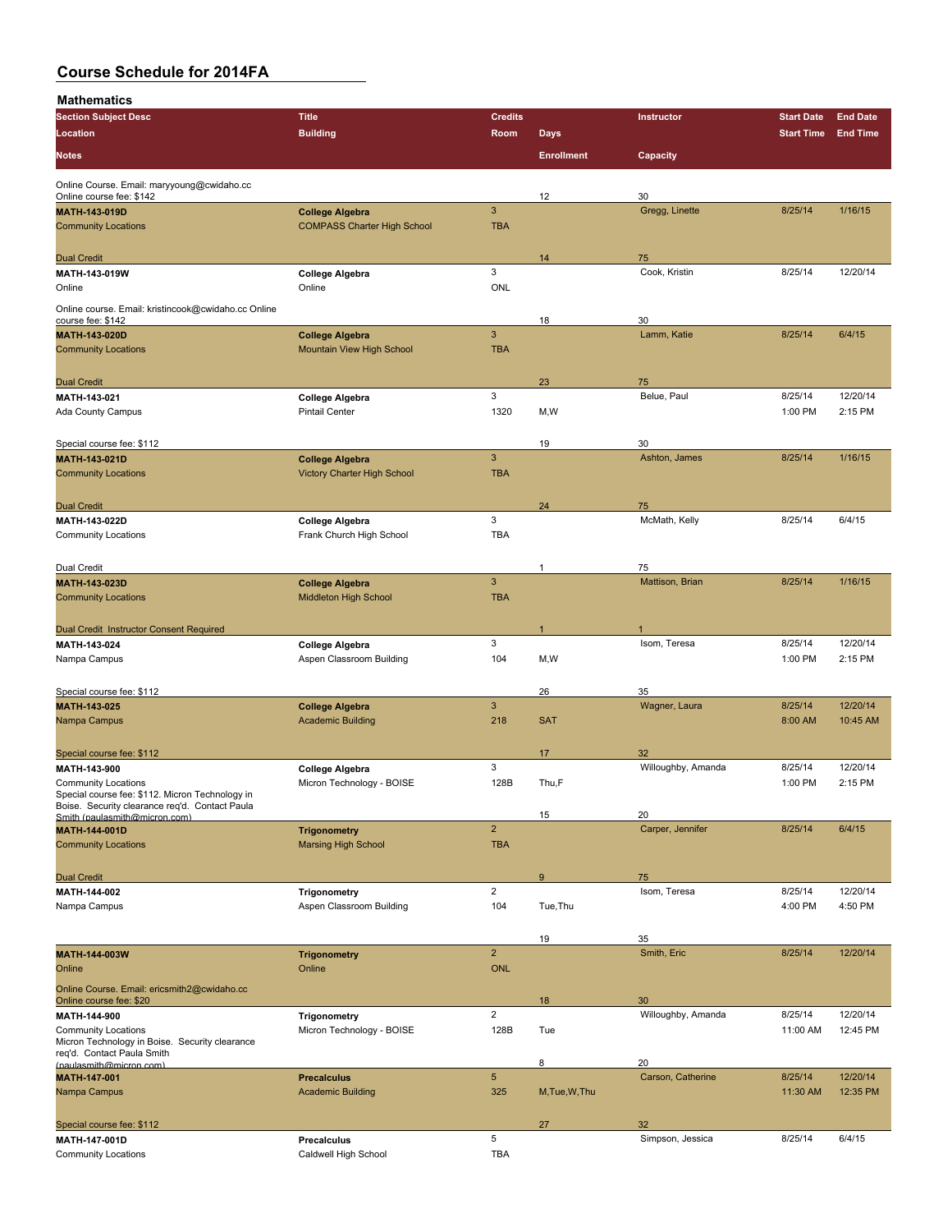| <b>Section Subject Desc</b>                                                                       | <b>Title</b>                                                 | <b>Credits</b>            |                   | Instructor               | <b>Start Date</b>  | <b>End Date</b>     |
|---------------------------------------------------------------------------------------------------|--------------------------------------------------------------|---------------------------|-------------------|--------------------------|--------------------|---------------------|
| Location                                                                                          | <b>Building</b>                                              | Room                      | <b>Days</b>       |                          | <b>Start Time</b>  | <b>End Time</b>     |
|                                                                                                   |                                                              |                           |                   |                          |                    |                     |
| <b>Notes</b>                                                                                      |                                                              |                           | <b>Enrollment</b> | Capacity                 |                    |                     |
| Online Course. Email: maryyoung@cwidaho.cc                                                        |                                                              |                           |                   |                          |                    |                     |
| Online course fee: \$142                                                                          |                                                              |                           | 12                | 30                       |                    |                     |
| <b>MATH 143 019D</b>                                                                              | <b>College Algebra</b>                                       | 3                         |                   | Gregg, Linette           | 8/25/14            | 1/16/15             |
| <b>Community Locations</b>                                                                        | <b>COMPASS Charter High School</b>                           | <b>TBA</b>                |                   |                          |                    |                     |
|                                                                                                   |                                                              |                           |                   |                          |                    |                     |
| <b>Dual Credit</b>                                                                                |                                                              |                           | 14                | 75                       |                    |                     |
| MATH-143-019W                                                                                     | <b>College Algebra</b>                                       | 3                         |                   | Cook, Kristin            | 8/25/14            | 12/20/14            |
| Online                                                                                            | Online                                                       | <b>ONL</b>                |                   |                          |                    |                     |
| Online course. Email: kristincook@cwidaho.cc Online                                               |                                                              |                           |                   |                          |                    |                     |
| course fee: \$142                                                                                 |                                                              |                           | 18                | 30                       |                    |                     |
| <b>MATH 143 020D</b>                                                                              | <b>College Algebra</b>                                       | $\ensuremath{\mathsf{3}}$ |                   | Lamm, Katie              | 8/25/14            | 6/4/15              |
| <b>Community Locations</b>                                                                        | Mountain View High School                                    | <b>TBA</b>                |                   |                          |                    |                     |
|                                                                                                   |                                                              |                           |                   |                          |                    |                     |
| <b>Dual Credit</b>                                                                                |                                                              | 3                         | 23                | 75                       |                    |                     |
| MATH-143-021<br><b>Ada County Campus</b>                                                          | College Algebra<br><b>Pintail Center</b>                     | 1320                      | M,W               | Belue, Paul              | 8/25/14<br>1:00 PM | 12/20/14<br>2:15 PM |
|                                                                                                   |                                                              |                           |                   |                          |                    |                     |
|                                                                                                   |                                                              |                           |                   |                          |                    |                     |
| Special course fee: \$112                                                                         |                                                              | $\overline{3}$            | 19                | 30<br>Ashton, James      | 8/25/14            | 1/16/15             |
| MATH-143-021D<br><b>Community Locations</b>                                                       | <b>College Algebra</b><br><b>Victory Charter High School</b> | <b>TBA</b>                |                   |                          |                    |                     |
|                                                                                                   |                                                              |                           |                   |                          |                    |                     |
| <b>Dual Credit</b>                                                                                |                                                              |                           | 24                | 75                       |                    |                     |
| MATH 143-022D                                                                                     | <b>College Algebra</b>                                       | 3                         |                   | McMath, Kelly            | 8/25/14            | 6/4/15              |
| <b>Community Locations</b>                                                                        | Frank Church High School                                     | <b>TBA</b>                |                   |                          |                    |                     |
|                                                                                                   |                                                              |                           |                   |                          |                    |                     |
| Dual Credit                                                                                       |                                                              |                           | 1                 | 75                       |                    |                     |
| MATH 143-023D                                                                                     | <b>College Algebra</b>                                       | 3                         |                   | Mattison, Brian          | 8/25/14            | 1/16/15             |
| <b>Community Locations</b>                                                                        | Middleton High School                                        | <b>TBA</b>                |                   |                          |                    |                     |
|                                                                                                   |                                                              |                           |                   |                          |                    |                     |
| Dual Credit Instructor Consent Required                                                           |                                                              |                           |                   |                          |                    |                     |
| MATH-143-024                                                                                      | <b>College Algebra</b>                                       | 3                         |                   | Isom, Teresa             | 8/25/14            | 12/20/14            |
| Nampa Campus                                                                                      | Aspen Classroom Building                                     | 104                       | M,W               |                          | 1:00 PM            | 2:15 PM             |
|                                                                                                   |                                                              |                           |                   |                          |                    |                     |
| Special course fee: \$112                                                                         |                                                              |                           | 26                | 35                       |                    |                     |
| MATH-143-025                                                                                      | <b>College Algebra</b>                                       | $\mathbf{3}$              |                   | Wagner, Laura            | 8/25/14            | 12/20/14            |
| Nampa Campus                                                                                      | <b>Academic Building</b>                                     | 218                       | <b>SAT</b>        |                          | 8:00 AM            | 10:45 AM            |
|                                                                                                   |                                                              |                           |                   |                          |                    |                     |
| Special course fee: \$112                                                                         |                                                              |                           | 17                | 32                       |                    |                     |
| MATH-143-900                                                                                      | <b>College Algebra</b>                                       | 3                         |                   | Willoughby, Amanda       | 8/25/14            | 12/20/14            |
| <b>Community Locations</b>                                                                        | Micron Technology - BOISE                                    | 128B                      | Thu,F             |                          | 1:00 PM            | 2:15 PM             |
| Special course fee: \$112. Micron Technology in<br>Boise. Security clearance req'd. Contact Paula |                                                              |                           |                   |                          |                    |                     |
| Smith (paulasmith@micron.com)                                                                     |                                                              |                           | 15                | 20                       |                    |                     |
| MATH-144-001D                                                                                     | <b>Trigonometry</b>                                          | $\overline{2}$            |                   | Carper, Jennifer         | 8/25/14            | 6/4/15              |
| <b>Community Locations</b>                                                                        | <b>Marsing High School</b>                                   | <b>TBA</b>                |                   |                          |                    |                     |
|                                                                                                   |                                                              |                           |                   |                          |                    |                     |
| <b>Dual Credit</b>                                                                                |                                                              |                           | $9\,$             | 75                       |                    |                     |
| MATH 144-002                                                                                      | <b>Trigonometry</b>                                          | $\overline{2}$            |                   | Isom, Teresa             | 8/25/14            | 12/20/14            |
| Nampa Campus                                                                                      | Aspen Classroom Building                                     | 104                       | Tue, Thu          |                          | 4:00 PM            | 4:50 PM             |
|                                                                                                   |                                                              |                           |                   |                          |                    |                     |
|                                                                                                   |                                                              | $\overline{2}$            | 19                | 35                       |                    |                     |
| MATH-144-003W<br>Online                                                                           | <b>Trigonometry</b><br>Online                                | <b>ONL</b>                |                   | Smith, Eric              | 8/25/14            | 12/20/14            |
|                                                                                                   |                                                              |                           |                   |                          |                    |                     |
| Online Course. Email: ericsmith2@cwidaho.cc                                                       |                                                              |                           |                   |                          |                    |                     |
| Online course fee: \$20                                                                           |                                                              | $\overline{2}$            | 18                | 30<br>Willoughby, Amanda | 8/25/14            | 12/20/14            |
| MATH-144-900<br><b>Community Locations</b>                                                        | <b>Trigonometry</b><br>Micron Technology - BOISE             | 128B                      | Tue               |                          | 11:00 AM           | 12:45 PM            |
| Micron Technology in Boise. Security clearance                                                    |                                                              |                           |                   |                          |                    |                     |
| req'd. Contact Paula Smith                                                                        |                                                              |                           | 8                 | 20                       |                    |                     |
| (paulasmith@micron.com)<br><b>MATH-147-001</b>                                                    | <b>Precalculus</b>                                           | $\overline{5}$            |                   | Carson, Catherine        | 8/25/14            | 12/20/14            |
| Nampa Campus                                                                                      | <b>Academic Building</b>                                     | 325                       | M, Tue, W, Thu    |                          | 11:30 AM           | 12:35 PM            |
|                                                                                                   |                                                              |                           |                   |                          |                    |                     |
| Special course fee: \$112                                                                         |                                                              |                           | 27                | 32                       |                    |                     |
| MATH 147 001D                                                                                     | Precalculus                                                  | 5                         |                   | Simpson, Jessica         | 8/25/14            | 6/4/15              |
| <b>Community Locations</b>                                                                        | Caldwell High School                                         | TBA                       |                   |                          |                    |                     |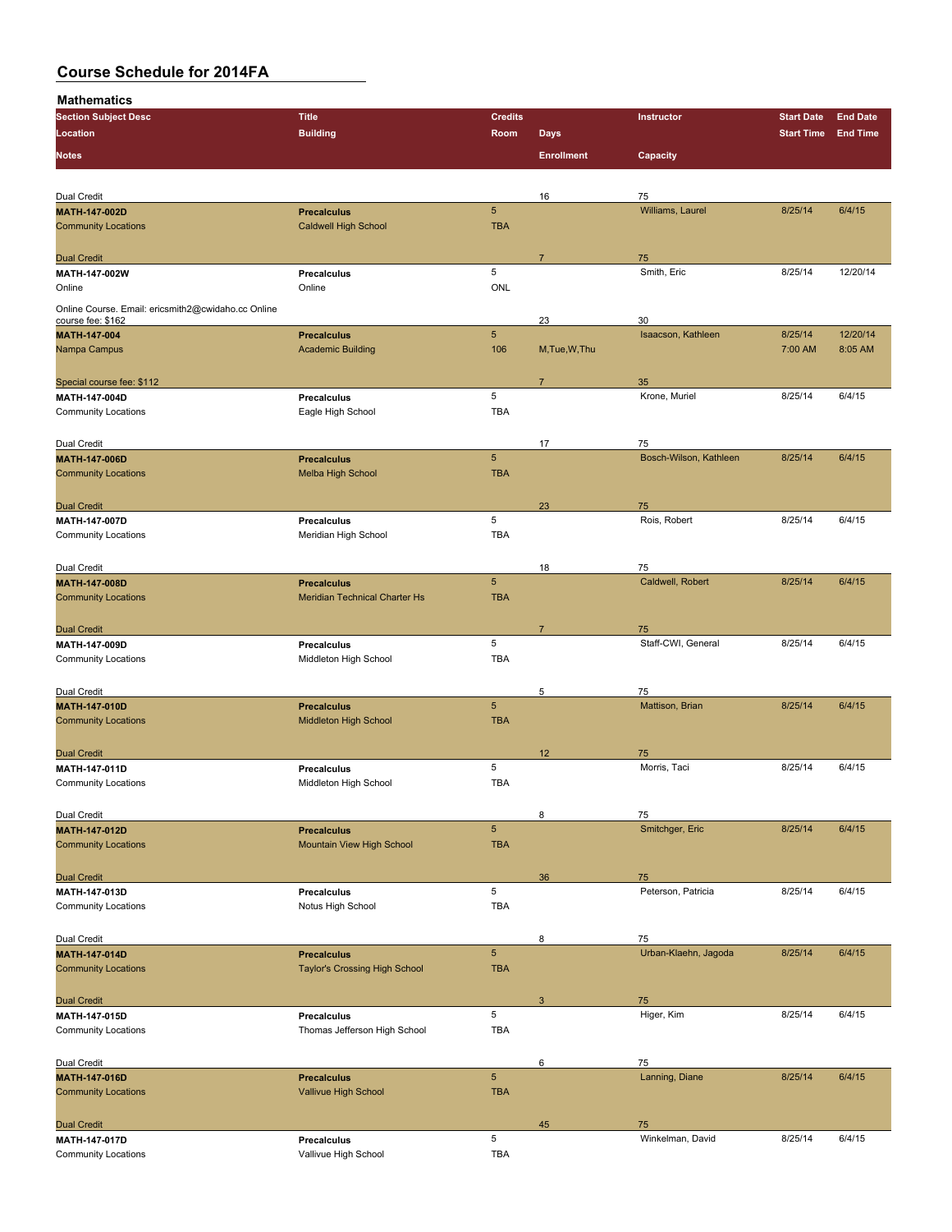| <b>Section Subject Desc</b>                        | <b>Title</b>                                   | <b>Credits</b>  |                   | Instructor                   | <b>Start Date</b> | <b>End Date</b> |
|----------------------------------------------------|------------------------------------------------|-----------------|-------------------|------------------------------|-------------------|-----------------|
| Location                                           | <b>Building</b>                                | Room            | <b>Days</b>       |                              | <b>Start Time</b> | <b>End Time</b> |
|                                                    |                                                |                 |                   |                              |                   |                 |
| Notes                                              |                                                |                 | <b>Enrollment</b> | Capacity                     |                   |                 |
|                                                    |                                                |                 |                   |                              |                   |                 |
| Dual Credit                                        |                                                |                 | 16                | 75                           |                   |                 |
| <b>MATH 147 002D</b>                               | <b>Precalculus</b>                             | $\overline{5}$  |                   | Williams, Laurel             | 8/25/14           | 6/4/15          |
| <b>Community Locations</b>                         | <b>Caldwell High School</b>                    | <b>TBA</b>      |                   |                              |                   |                 |
|                                                    |                                                |                 |                   |                              |                   |                 |
| <b>Dual Credit</b>                                 |                                                |                 | $\overline{7}$    | 75                           |                   |                 |
| MATH 147 002W                                      | <b>Precalculus</b>                             | 5               |                   | Smith, Eric                  | 8/25/14           | 12/20/14        |
| Online                                             | Online                                         | ONL             |                   |                              |                   |                 |
| Online Course. Email: ericsmith2@cwidaho.cc Online |                                                |                 |                   |                              |                   |                 |
| course fee: \$162                                  |                                                |                 | 23                | 30                           |                   |                 |
| MATH-147-004                                       | <b>Precalculus</b>                             | 5               |                   | Isaacson, Kathleen           | 8/25/14           | 12/20/14        |
| Nampa Campus                                       | <b>Academic Building</b>                       | 106             | M, Tue, W, Thu    |                              | 7:00 AM           | 8:05 AM         |
|                                                    |                                                |                 |                   |                              |                   |                 |
| Special course fee: \$112                          |                                                |                 | $\overline{7}$    | 35                           |                   |                 |
| MATH-147 004D<br><b>Community Locations</b>        | Precalculus                                    | 5<br><b>TBA</b> |                   | Krone, Muriel                | 8/25/14           | 6/4/15          |
|                                                    | Eagle High School                              |                 |                   |                              |                   |                 |
|                                                    |                                                |                 |                   |                              |                   |                 |
| Dual Credit                                        |                                                | 5               | 17                | 75<br>Bosch-Wilson, Kathleen | 8/25/14           | 6/4/15          |
| <b>MATH-147-006D</b><br><b>Community Locations</b> | <b>Precalculus</b><br><b>Melba High School</b> | <b>TBA</b>      |                   |                              |                   |                 |
|                                                    |                                                |                 |                   |                              |                   |                 |
|                                                    |                                                |                 |                   |                              |                   |                 |
| <b>Dual Credit</b><br><b>MATH 147 007D</b>         | Precalculus                                    | 5               | 23                | 75<br>Rois, Robert           | 8/25/14           | 6/4/15          |
| <b>Community Locations</b>                         | Meridian High School                           | <b>TBA</b>      |                   |                              |                   |                 |
|                                                    |                                                |                 |                   |                              |                   |                 |
| Dual Credit                                        |                                                |                 | 18                | 75                           |                   |                 |
| MATH-147-008D                                      | <b>Precalculus</b>                             | 5               |                   | Caldwell, Robert             | 8/25/14           | 6/4/15          |
| <b>Community Locations</b>                         | <b>Meridian Technical Charter Hs</b>           | <b>TBA</b>      |                   |                              |                   |                 |
|                                                    |                                                |                 |                   |                              |                   |                 |
| <b>Dual Credit</b>                                 |                                                |                 | $\overline{7}$    | 75                           |                   |                 |
| MATH-147-009D                                      | Precalculus                                    | 5               |                   | Staff-CWI, General           | 8/25/14           | 6/4/15          |
| <b>Community Locations</b>                         | Middleton High School                          | TBA             |                   |                              |                   |                 |
|                                                    |                                                |                 |                   |                              |                   |                 |
| Dual Credit                                        |                                                |                 | 5                 | 75                           |                   |                 |
| <b>MATH-147-010D</b>                               | <b>Precalculus</b>                             | 5               |                   | Mattison, Brian              | 8/25/14           | 6/4/15          |
| <b>Community Locations</b>                         | Middleton High School                          | <b>TBA</b>      |                   |                              |                   |                 |
|                                                    |                                                |                 |                   |                              |                   |                 |
| <b>Dual Credit</b>                                 |                                                |                 | 12                | 75                           |                   |                 |
| MATH-147-011D                                      | Precalculus                                    | 5               |                   | Morris, Taci                 | 8/25/14           | 6/4/15          |
| <b>Community Locations</b>                         | Middleton High School                          | <b>TBA</b>      |                   |                              |                   |                 |
|                                                    |                                                |                 |                   |                              |                   |                 |
| Dual Credit                                        |                                                |                 | 8                 | 75                           |                   |                 |
| <b>MATH 147-012D</b>                               | <b>Precalculus</b>                             | 5               |                   | Smitchger, Eric              | 8/25/14           | 6/4/15          |
| <b>Community Locations</b>                         | Mountain View High School                      | <b>TBA</b>      |                   |                              |                   |                 |
|                                                    |                                                |                 |                   |                              |                   |                 |
| <b>Dual Credit</b>                                 |                                                |                 | 36                | 75                           |                   |                 |
| MATH-147-013D                                      | Precalculus                                    | 5               |                   | Peterson, Patricia           | 8/25/14           | 6/4/15          |
| <b>Community Locations</b>                         | Notus High School                              | TBA             |                   |                              |                   |                 |
|                                                    |                                                |                 |                   |                              |                   |                 |
| Dual Credit                                        |                                                |                 | 8                 | 75                           |                   |                 |
| <b>MATH 147 014D</b>                               | <b>Precalculus</b>                             | 5               |                   | Urban-Klaehn, Jagoda         | 8/25/14           | 6/4/15          |
| <b>Community Locations</b>                         | <b>Taylor's Crossing High School</b>           | <b>TBA</b>      |                   |                              |                   |                 |
|                                                    |                                                |                 |                   |                              |                   |                 |
| <b>Dual Credit</b>                                 |                                                |                 | 3                 | 75                           |                   |                 |
| MATH-147-015D                                      | Precalculus                                    | 5               |                   | Higer, Kim                   | 8/25/14           | 6/4/15          |
| <b>Community Locations</b>                         | Thomas Jefferson High School                   | <b>TBA</b>      |                   |                              |                   |                 |
|                                                    |                                                |                 |                   |                              |                   |                 |
| Dual Credit                                        |                                                |                 | 6                 | 75                           |                   |                 |
| MATH-147-016D                                      | <b>Precalculus</b>                             | 5               |                   | Lanning, Diane               | 8/25/14           | 6/4/15          |
| <b>Community Locations</b>                         | Vallivue High School                           | <b>TBA</b>      |                   |                              |                   |                 |
|                                                    |                                                |                 |                   |                              |                   |                 |
| <b>Dual Credit</b><br>MATH-147-017D                | Precalculus                                    | 5               | 45                | 75<br>Winkelman, David       | 8/25/14           | 6/4/15          |
| <b>Community Locations</b>                         | Vallivue High School                           | <b>TBA</b>      |                   |                              |                   |                 |
|                                                    |                                                |                 |                   |                              |                   |                 |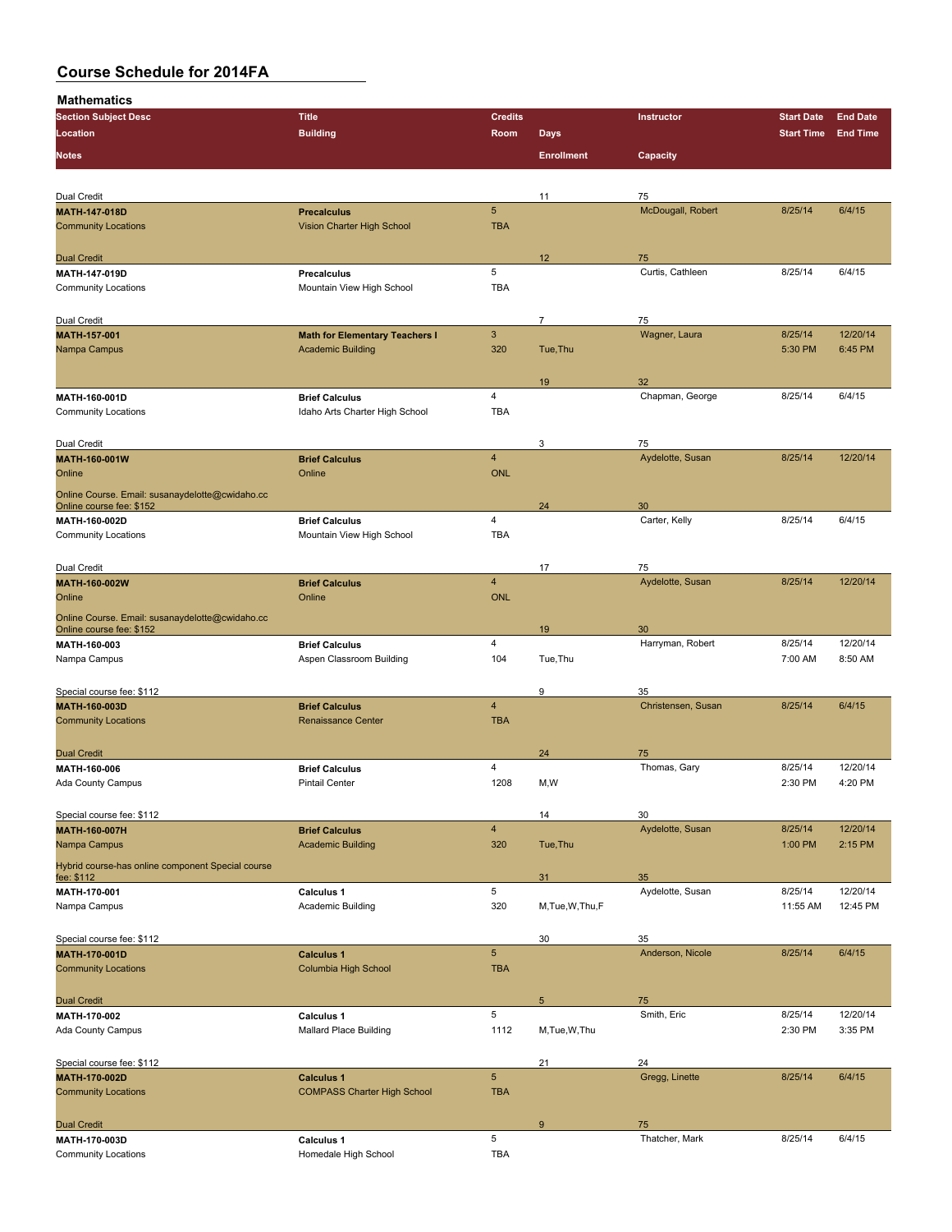| <b>Section Subject Desc</b>                       | <b>Title</b>                          | <b>Credits</b>  |                   | Instructor         | <b>Start Date</b> | <b>End Date</b> |
|---------------------------------------------------|---------------------------------------|-----------------|-------------------|--------------------|-------------------|-----------------|
| Location                                          | <b>Building</b>                       | Room            | <b>Days</b>       |                    | <b>Start Time</b> | <b>End Time</b> |
|                                                   |                                       |                 |                   |                    |                   |                 |
| <b>Notes</b>                                      |                                       |                 | <b>Enrollment</b> | Capacity           |                   |                 |
|                                                   |                                       |                 |                   |                    |                   |                 |
| Dual Credit                                       |                                       |                 | 11                | 75                 |                   |                 |
| <b>MATH-147-018D</b>                              | <b>Precalculus</b>                    | $5\phantom{.0}$ |                   | McDougall, Robert  | 8/25/14           | 6/4/15          |
| <b>Community Locations</b>                        | Vision Charter High School            | <b>TBA</b>      |                   |                    |                   |                 |
|                                                   |                                       |                 |                   |                    |                   |                 |
| <b>Dual Credit</b>                                |                                       |                 | 12                | 75                 |                   |                 |
| <b>MATH 147-019D</b>                              | <b>Precalculus</b>                    | 5               |                   | Curtis, Cathleen   | 8/25/14           | 6/4/15          |
| <b>Community Locations</b>                        | Mountain View High School             | <b>TBA</b>      |                   |                    |                   |                 |
|                                                   |                                       |                 |                   |                    |                   |                 |
| Dual Credit                                       |                                       |                 | $\overline{7}$    | 75                 |                   |                 |
| MATH-157-001                                      | <b>Math for Elementary Teachers I</b> | $\mathbf{3}$    |                   | Wagner, Laura      | 8/25/14           | 12/20/14        |
| Nampa Campus                                      | <b>Academic Building</b>              | 320             | Tue, Thu          |                    | 5:30 PM           | 6:45 PM         |
|                                                   |                                       |                 |                   |                    |                   |                 |
|                                                   |                                       |                 | 19                | 32                 |                   |                 |
| MATH-160-001D                                     | <b>Brief Calculus</b>                 | 4               |                   | Chapman, George    | 8/25/14           | 6/4/15          |
| <b>Community Locations</b>                        | Idaho Arts Charter High School        | <b>TBA</b>      |                   |                    |                   |                 |
|                                                   |                                       |                 |                   |                    |                   |                 |
| Dual Credit                                       |                                       |                 | 3                 | 75                 |                   |                 |
| MATH-160-001W                                     | <b>Brief Calculus</b>                 | $\overline{4}$  |                   | Aydelotte, Susan   | 8/25/14           | 12/20/14        |
| Online                                            | Online                                | <b>ONL</b>      |                   |                    |                   |                 |
| Online Course. Email: susanaydelotte@cwidaho.cc   |                                       |                 |                   |                    |                   |                 |
| Online course fee: \$152                          |                                       |                 | 24                | 30                 |                   |                 |
| MATH 160-002D                                     | <b>Brief Calculus</b>                 | 4               |                   | Carter, Kelly      | 8/25/14           | 6/4/15          |
| <b>Community Locations</b>                        | Mountain View High School             | <b>TBA</b>      |                   |                    |                   |                 |
|                                                   |                                       |                 |                   |                    |                   |                 |
| Dual Credit                                       |                                       |                 | 17                | 75                 |                   |                 |
| MATH-160-002W                                     | <b>Brief Calculus</b>                 | $\overline{4}$  |                   | Aydelotte, Susan   | 8/25/14           | 12/20/14        |
| Online                                            | Online                                | <b>ONL</b>      |                   |                    |                   |                 |
| Online Course. Email: susanaydelotte@cwidaho.cc   |                                       |                 |                   |                    |                   |                 |
| Online course fee: \$152                          |                                       |                 | 19                | 30                 |                   |                 |
| MATH-160-003                                      | <b>Brief Calculus</b>                 | 4               |                   | Harryman, Robert   | 8/25/14           | 12/20/14        |
| Nampa Campus                                      | Aspen Classroom Building              | 104             | Tue, Thu          |                    | 7:00 AM           | 8:50 AM         |
|                                                   |                                       |                 |                   |                    |                   |                 |
| Special course fee: \$112                         |                                       |                 | 9                 | 35                 |                   |                 |
| MATH-160-003D                                     | <b>Brief Calculus</b>                 | $\overline{4}$  |                   | Christensen, Susan | 8/25/14           | 6/4/15          |
| <b>Community Locations</b>                        | <b>Renaissance Center</b>             | <b>TBA</b>      |                   |                    |                   |                 |
|                                                   |                                       |                 |                   |                    |                   |                 |
| <b>Dual Credit</b>                                |                                       |                 | 24                | 75                 |                   |                 |
| MATH-160-006                                      | <b>Brief Calculus</b>                 | 4               |                   | Thomas, Gary       | 8/25/14           | 12/20/14        |
| Ada County Campus                                 | <b>Pintail Center</b>                 | 1208            | M, W              |                    | 2:30 PM           | 4:20 PM         |
|                                                   |                                       |                 |                   |                    |                   |                 |
| Special course fee: \$112                         |                                       |                 | 14                | 30                 |                   |                 |
| MATH-160-007H                                     | <b>Brief Calculus</b>                 | $\overline{4}$  |                   | Aydelotte, Susan   | 8/25/14           | 12/20/14        |
| Nampa Campus                                      | <b>Academic Building</b>              | 320             | Tue, Thu          |                    | 1:00 PM           | 2:15 PM         |
| Hybrid course-has online component Special course |                                       |                 |                   |                    |                   |                 |
| fee: \$112                                        |                                       |                 | 31                | 35                 |                   |                 |
| MATH 170-001                                      | Calculus 1                            | 5               |                   | Aydelotte, Susan   | 8/25/14           | 12/20/14        |
| Nampa Campus                                      | Academic Building                     | 320             | M, Tue, W, Thu, F |                    | 11:55 AM          | 12:45 PM        |
|                                                   |                                       |                 |                   |                    |                   |                 |
| Special course fee: \$112                         |                                       |                 | 30                | 35                 |                   |                 |
| MATH-170-001D                                     | <b>Calculus 1</b>                     | $5\phantom{.0}$ |                   | Anderson, Nicole   | 8/25/14           | 6/4/15          |
| <b>Community Locations</b>                        | Columbia High School                  | <b>TBA</b>      |                   |                    |                   |                 |
|                                                   |                                       |                 |                   |                    |                   |                 |
| <b>Dual Credit</b>                                |                                       |                 | $\sqrt{5}$        | 75                 |                   |                 |
| MATH-170-002                                      | Calculus 1                            | 5               |                   | Smith, Eric        | 8/25/14           | 12/20/14        |
| Ada County Campus                                 | <b>Mallard Place Building</b>         | 1112            | M, Tue, W, Thu    |                    | 2:30 PM           | 3:35 PM         |
|                                                   |                                       |                 |                   |                    |                   |                 |
| Special course fee: \$112                         |                                       |                 | 21                | 24                 |                   |                 |
| MATH-170-002D                                     | <b>Calculus 1</b>                     | $\overline{5}$  |                   | Gregg, Linette     | 8/25/14           | 6/4/15          |
| <b>Community Locations</b>                        | <b>COMPASS Charter High School</b>    | <b>TBA</b>      |                   |                    |                   |                 |
|                                                   |                                       |                 |                   |                    |                   |                 |
| <b>Dual Credit</b>                                |                                       |                 | 9                 | 75                 |                   |                 |
| MATH-170-003D                                     | Calculus 1                            | 5               |                   | Thatcher, Mark     | 8/25/14           | 6/4/15          |
| <b>Community Locations</b>                        | Homedale High School                  | TBA             |                   |                    |                   |                 |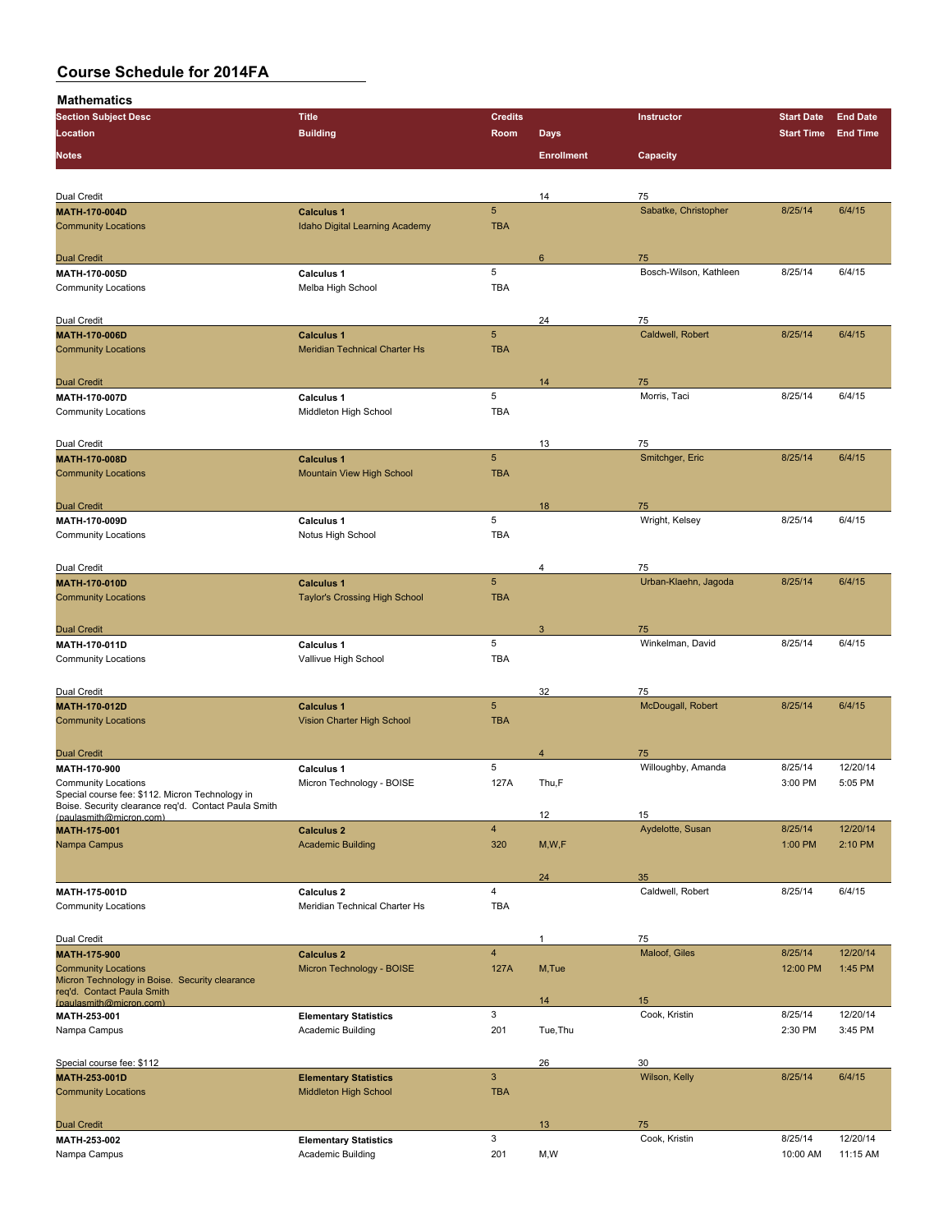| <b>Section Subject Desc</b>                                                                             | <b>Title</b>                                      | <b>Credits</b>          |                   | Instructor             | <b>Start Date</b>   | <b>End Date</b>     |
|---------------------------------------------------------------------------------------------------------|---------------------------------------------------|-------------------------|-------------------|------------------------|---------------------|---------------------|
| Location                                                                                                | <b>Building</b>                                   | Room                    | <b>Days</b>       |                        | <b>Start Time</b>   | <b>End Time</b>     |
|                                                                                                         |                                                   |                         |                   |                        |                     |                     |
| <b>Notes</b>                                                                                            |                                                   |                         | <b>Enrollment</b> | Capacity               |                     |                     |
|                                                                                                         |                                                   |                         |                   |                        |                     |                     |
| Dual Credit                                                                                             |                                                   |                         | 14                | 75                     |                     |                     |
| <b>MATH-170-004D</b>                                                                                    | <b>Calculus 1</b>                                 | $\sqrt{5}$              |                   | Sabatke, Christopher   | 8/25/14             | 6/4/15              |
| <b>Community Locations</b>                                                                              | Idaho Digital Learning Academy                    | <b>TBA</b>              |                   |                        |                     |                     |
|                                                                                                         |                                                   |                         |                   |                        |                     |                     |
| <b>Dual Credit</b>                                                                                      |                                                   |                         | 6                 | 75                     |                     |                     |
| MATII 170 005D                                                                                          | <b>Calculus 1</b>                                 | 5                       |                   | Bosch-Wilson, Kathleen | 8/25/14             | 6/4/15              |
| <b>Community Locations</b>                                                                              | Melba High School                                 | <b>TBA</b>              |                   |                        |                     |                     |
|                                                                                                         |                                                   |                         |                   |                        |                     |                     |
| Dual Credit                                                                                             |                                                   |                         | 24                | 75                     |                     |                     |
| <b>MATH 170 006D</b>                                                                                    | <b>Calculus 1</b>                                 | $\sqrt{5}$              |                   | Caldwell, Robert       | 8/25/14             | 6/4/15              |
| <b>Community Locations</b>                                                                              | Meridian Technical Charter Hs                     | <b>TBA</b>              |                   |                        |                     |                     |
|                                                                                                         |                                                   |                         |                   |                        |                     |                     |
| <b>Dual Credit</b>                                                                                      |                                                   | 5                       | 14                | 75<br>Morris, Taci     | 8/25/14             | 6/4/15              |
| <b>MATH 170 007D</b><br><b>Community Locations</b>                                                      | <b>Calculus 1</b><br>Middleton High School        | <b>TBA</b>              |                   |                        |                     |                     |
|                                                                                                         |                                                   |                         |                   |                        |                     |                     |
|                                                                                                         |                                                   |                         | 13                | 75                     |                     |                     |
| Dual Credit<br>MATH-170-008D                                                                            | <b>Calculus 1</b>                                 | $\overline{5}$          |                   | Smitchger, Eric        | 8/25/14             | 6/4/15              |
| <b>Community Locations</b>                                                                              | <b>Mountain View High School</b>                  | <b>TBA</b>              |                   |                        |                     |                     |
|                                                                                                         |                                                   |                         |                   |                        |                     |                     |
| <b>Dual Credit</b>                                                                                      |                                                   |                         | 18                | 75                     |                     |                     |
| MATH 170-009D                                                                                           | <b>Calculus 1</b>                                 | 5                       |                   | Wright, Kelsey         | 8/25/14             | 6/4/15              |
| <b>Community Locations</b>                                                                              | Notus High School                                 | <b>TBA</b>              |                   |                        |                     |                     |
|                                                                                                         |                                                   |                         |                   |                        |                     |                     |
| Dual Credit                                                                                             |                                                   |                         | 4                 | 75                     |                     |                     |
| MATH-170-010D                                                                                           | <b>Calculus 1</b>                                 | $\overline{5}$          |                   | Urban-Klaehn, Jagoda   | 8/25/14             | 6/4/15              |
| <b>Community Locations</b>                                                                              | <b>Taylor's Crossing High School</b>              | <b>TBA</b>              |                   |                        |                     |                     |
|                                                                                                         |                                                   |                         |                   |                        |                     |                     |
| <b>Dual Credit</b>                                                                                      |                                                   |                         | 3                 | 75                     |                     |                     |
| <b>MATH 170 011D</b>                                                                                    | <b>Calculus 1</b>                                 | 5                       |                   | Winkelman, David       | 8/25/14             | 6/4/15              |
| <b>Community Locations</b>                                                                              | Vallivue High School                              | <b>TBA</b>              |                   |                        |                     |                     |
|                                                                                                         |                                                   |                         |                   |                        |                     |                     |
| Dual Credit                                                                                             |                                                   |                         | 32                | 75                     |                     |                     |
| <b>MATH 170 012D</b>                                                                                    | <b>Calculus 1</b>                                 | $\sqrt{5}$              |                   | McDougall, Robert      | 8/25/14             | 6/4/15              |
| <b>Community Locations</b>                                                                              | Vision Charter High School                        | <b>TBA</b>              |                   |                        |                     |                     |
|                                                                                                         |                                                   |                         |                   |                        |                     |                     |
| <b>Dual Credit</b>                                                                                      |                                                   |                         | $\overline{4}$    | 75                     |                     |                     |
| MATH-170-900                                                                                            | <b>Calculus 1</b>                                 | 5                       |                   | Willoughby, Amanda     | 8/25/14             | 12/20/14            |
| <b>Community Locations</b>                                                                              | Micron Technology - BOISE                         | 127A                    | Thu,F             |                        | 3:00 PM             | 5:05 PM             |
| Special course fee: \$112. Micron Technology in<br>Boise. Security clearance req'd. Contact Paula Smith |                                                   |                         |                   |                        |                     |                     |
| (paulasmith@micron.com)                                                                                 |                                                   |                         | 12                | 15                     |                     |                     |
| MATH-175-001                                                                                            | <b>Calculus 2</b>                                 | $\overline{\mathbf{4}}$ |                   | Aydelotte, Susan       | 8/25/14             | 12/20/14            |
| Nampa Campus                                                                                            | <b>Academic Building</b>                          | 320                     | M, W, F           |                        | 1:00 PM             | 2:10 PM             |
|                                                                                                         |                                                   |                         |                   |                        |                     |                     |
|                                                                                                         |                                                   |                         | 24                | 35                     |                     |                     |
| MATH-175-001D                                                                                           | Calculus <sub>2</sub>                             | $\overline{4}$          |                   | Caldwell, Robert       | 8/25/14             | 6/4/15              |
| <b>Community Locations</b>                                                                              | Meridian Technical Charter Hs                     | <b>TBA</b>              |                   |                        |                     |                     |
|                                                                                                         |                                                   |                         |                   |                        |                     |                     |
| Dual Credit                                                                                             |                                                   | $\overline{\mathbf{4}}$ | 1                 | 75                     |                     |                     |
| MATH-175-900<br><b>Community Locations</b>                                                              | <b>Calculus 2</b><br>Micron Technology - BOISE    | 127A                    | M,Tue             | Maloof, Giles          | 8/25/14<br>12:00 PM | 12/20/14<br>1:45 PM |
| Micron Technology in Boise. Security clearance                                                          |                                                   |                         |                   |                        |                     |                     |
| req'd. Contact Paula Smith                                                                              |                                                   |                         |                   |                        |                     |                     |
| (paulasmith@micron.com)                                                                                 |                                                   | 3                       | 14                | 15<br>Cook, Kristin    | 8/25/14             | 12/20/14            |
| MATH-253-001<br>Nampa Campus                                                                            | <b>Elementary Statistics</b><br>Academic Building | 201                     | Tue, Thu          |                        | 2:30 PM             | 3:45 PM             |
|                                                                                                         |                                                   |                         |                   |                        |                     |                     |
|                                                                                                         |                                                   |                         | 26                | 30                     |                     |                     |
| Special course fee: \$112<br>MATH-253-001D                                                              | <b>Elementary Statistics</b>                      | $\mathbf{3}$            |                   | Wilson, Kelly          | 8/25/14             | 6/4/15              |
| <b>Community Locations</b>                                                                              | Middleton High School                             | <b>TBA</b>              |                   |                        |                     |                     |
|                                                                                                         |                                                   |                         |                   |                        |                     |                     |
| <b>Dual Credit</b>                                                                                      |                                                   |                         | 13                | 75                     |                     |                     |
| MATH-253-002                                                                                            | <b>Elementary Statistics</b>                      | 3                       |                   | Cook, Kristin          | 8/25/14             | 12/20/14            |
| Nampa Campus                                                                                            | Academic Building                                 | 201                     | M, W              |                        | 10:00 AM            | 11:15 AM            |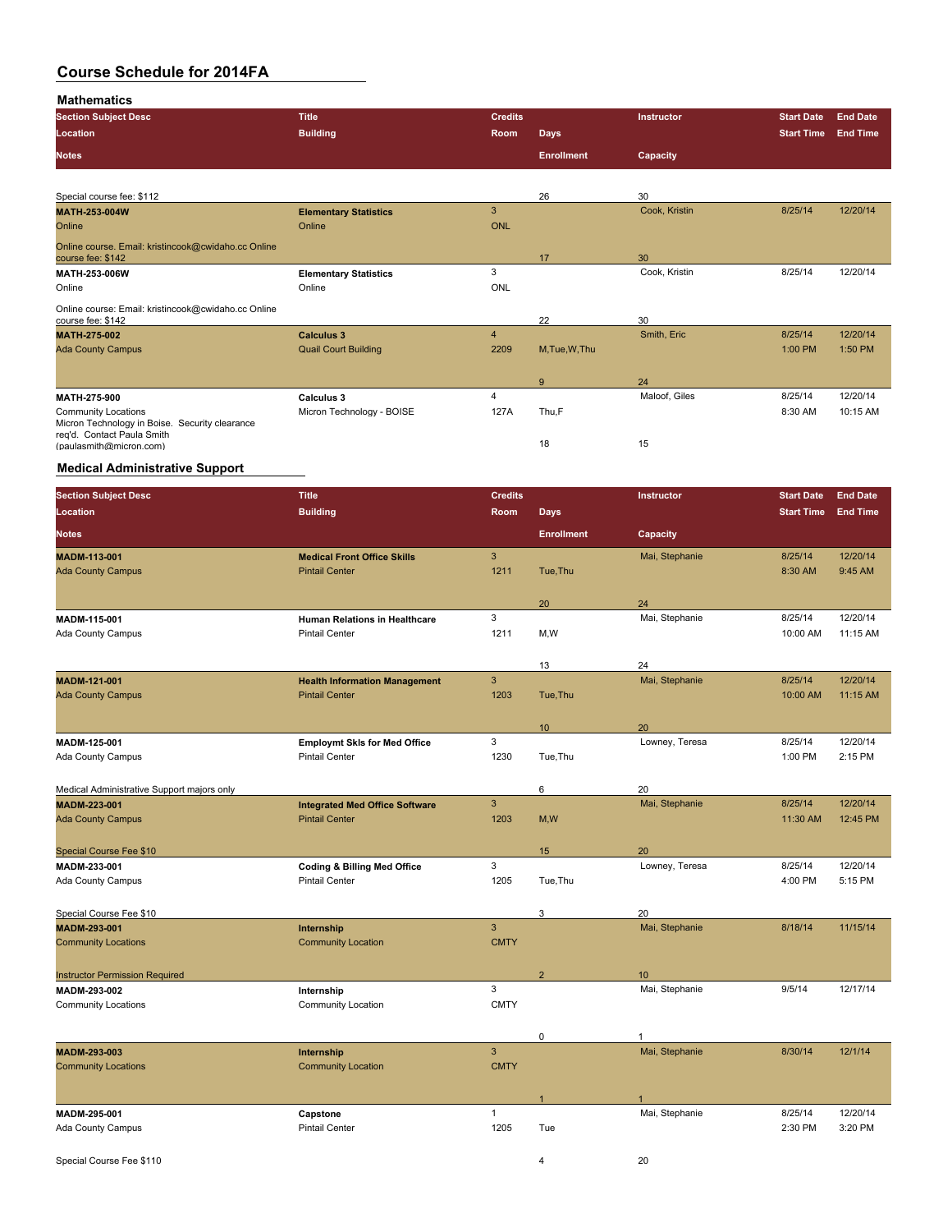**Mathematics**

| <b>Section Subject Desc</b>                                                                                                         | <b>Title</b>                 | <b>Credits</b> |                   | <b>Instructor</b> | <b>Start Date</b> | <b>End Date</b> |
|-------------------------------------------------------------------------------------------------------------------------------------|------------------------------|----------------|-------------------|-------------------|-------------------|-----------------|
| <b>Location</b>                                                                                                                     | <b>Building</b>              | <b>Room</b>    | <b>Days</b>       |                   | <b>Start Time</b> | <b>End Time</b> |
| <b>Notes</b>                                                                                                                        |                              |                | <b>Enrollment</b> | Capacity          |                   |                 |
|                                                                                                                                     |                              |                |                   |                   |                   |                 |
| Special course fee: \$112                                                                                                           |                              |                | 26                | 30                |                   |                 |
| MATH-253-004W                                                                                                                       | <b>Elementary Statistics</b> | 3              |                   | Cook, Kristin     | 8/25/14           | 12/20/14        |
| Online                                                                                                                              | Online                       | <b>ONL</b>     |                   |                   |                   |                 |
| Online course. Email: kristincook@cwidaho.cc Online                                                                                 |                              |                |                   |                   |                   |                 |
| course fee: \$142                                                                                                                   |                              |                | 17                | 30                |                   |                 |
| MATH-253-006W                                                                                                                       | <b>Elementary Statistics</b> | 3              |                   | Cook, Kristin     | 8/25/14           | 12/20/14        |
| Online                                                                                                                              | Online                       | ONL            |                   |                   |                   |                 |
|                                                                                                                                     |                              |                |                   |                   |                   |                 |
| course fee: \$142                                                                                                                   |                              |                | 22                | 30                |                   |                 |
| <b>MATH 275-002</b>                                                                                                                 | <b>Calculus 3</b>            | $\overline{4}$ |                   | Smith, Eric       | 8/25/14           | 12/20/14        |
| <b>Ada County Campus</b>                                                                                                            | <b>Quail Court Building</b>  | 2209           | M, Tue, W, Thu    |                   | 1:00 PM           | 1:50 PM         |
|                                                                                                                                     |                              |                |                   |                   |                   |                 |
|                                                                                                                                     |                              |                | 9                 | 24                |                   |                 |
| <b>MATH 275 900</b>                                                                                                                 | <b>Calculus 3</b>            | $\overline{4}$ |                   | Maloof, Giles     | 8/25/14           | 12/20/14        |
| <b>Community Locations</b>                                                                                                          | Micron Technology - BOISE    | 127A           | Thu,F             |                   | 8:30 AM           | 10:15 AM        |
|                                                                                                                                     |                              |                |                   |                   |                   |                 |
| (paulasmith@micron.com)                                                                                                             |                              |                | 18                | 15                |                   |                 |
| Online course: Email: kristincook@cwidaho.cc Online<br>Micron Technology in Boise. Security clearance<br>reg'd. Contact Paula Smith |                              |                |                   |                   |                   |                 |

#### **Medical Administrative Support**

| <b>Section Subject Desc</b>                           | <b>Title</b>                                                  | <b>Credits</b> |                   | Instructor       | <b>Start Date</b>   | <b>End Date</b> |
|-------------------------------------------------------|---------------------------------------------------------------|----------------|-------------------|------------------|---------------------|-----------------|
| Location                                              | <b>Building</b>                                               | Room           | <b>Days</b>       |                  | <b>Start Time</b>   | <b>End Time</b> |
| <b>Notes</b>                                          |                                                               |                | <b>Enrollment</b> | Capacity         |                     |                 |
| <b>MADM-113-001</b>                                   | <b>Medical Front Office Skills</b>                            | 3              |                   | Mai, Stephanie   | 8/25/14             | 12/20/14        |
| <b>Ada County Campus</b>                              | <b>Pintail Center</b>                                         | 1211           | Tue, Thu          |                  | 8:30 AM             | 9:45 AM         |
|                                                       |                                                               |                |                   |                  |                     |                 |
|                                                       |                                                               |                | 20                | 24               |                     |                 |
| MADM-115-001                                          | Human Relations in Healthcare                                 | 3              |                   | Mai, Stephanie   | 8/25/14             | 12/20/14        |
| Ada County Campus                                     | <b>Pintail Center</b>                                         | 1211           | M, W              |                  | 10:00 AM            | 11:15 AM        |
|                                                       |                                                               |                |                   |                  |                     |                 |
|                                                       |                                                               | $\overline{3}$ | 13                | 24               |                     | 12/20/14        |
| MADM-121-001                                          | <b>Health Information Management</b><br><b>Pintail Center</b> | 1203           |                   | Mai, Stephanie   | 8/25/14<br>10:00 AM | 11:15 AM        |
| <b>Ada County Campus</b>                              |                                                               |                | Tue, Thu          |                  |                     |                 |
|                                                       |                                                               |                | 10                | 20               |                     |                 |
| MADM-125-001                                          | <b>Employmt Skis for Med Office</b>                           | 3              |                   | Lowney, Teresa   | 8/25/14             | 12/20/14        |
| Ada County Campus                                     | <b>Pintail Center</b>                                         | 1230           | Tue, Thu          |                  | 1:00 PM             | 2:15 PM         |
|                                                       |                                                               |                |                   |                  |                     |                 |
| Medical Administrative Support majors only            |                                                               |                | 6                 | 20               |                     |                 |
| MADM-223-001                                          | <b>Integrated Med Office Software</b>                         | $\overline{3}$ |                   | Mai, Stephanie   | 8/25/14             | 12/20/14        |
| <b>Ada County Campus</b>                              | <b>Pintail Center</b>                                         | 1203           | M, W              |                  | 11:30 AM            | 12:45 PM        |
|                                                       |                                                               |                |                   |                  |                     |                 |
| <b>Special Course Fee \$10</b>                        |                                                               |                | 15                | 20               |                     |                 |
| MADM-233-001                                          | <b>Coding &amp; Billing Med Office</b>                        | 3              |                   | Lowney, Teresa   | 8/25/14             | 12/20/14        |
| Ada County Campus                                     | <b>Pintail Center</b>                                         | 1205           | Tue, Thu          |                  | 4:00 PM             | 5:15 PM         |
|                                                       |                                                               |                |                   |                  |                     |                 |
| Special Course Fee \$10                               |                                                               |                | 3                 | 20               |                     |                 |
| MADM-293-001                                          | Internship                                                    | $\overline{3}$ |                   | Mai, Stephanie   | 8/18/14             | 11/15/14        |
| <b>Community Locations</b>                            | <b>Community Location</b>                                     | <b>CMTY</b>    |                   |                  |                     |                 |
|                                                       |                                                               |                | $\overline{2}$    | 10 <sup>10</sup> |                     |                 |
| <b>Instructor Permission Required</b><br>MADM-293-002 | Internship                                                    | 3              |                   | Mai, Stephanie   | 9/5/14              | 12/17/14        |
| <b>Community Locations</b>                            | Community Location                                            | <b>CMTY</b>    |                   |                  |                     |                 |
|                                                       |                                                               |                |                   |                  |                     |                 |
|                                                       |                                                               |                | $\pmb{0}$         | $\mathbf{1}$     |                     |                 |
| MADM-293-003                                          | Internship                                                    | 3              |                   | Mai, Stephanie   | 8/30/14             | 12/1/14         |
| <b>Community Locations</b>                            | <b>Community Location</b>                                     | <b>CMTY</b>    |                   |                  |                     |                 |
|                                                       |                                                               |                |                   |                  |                     |                 |
|                                                       |                                                               |                | $\mathbf{1}$      |                  |                     |                 |
| MADM-295-001                                          | Capstone                                                      | $\mathbf{1}$   |                   | Mai, Stephanie   | 8/25/14             | 12/20/14        |
| Ada County Campus                                     | <b>Pintail Center</b>                                         | 1205           | Tue               |                  | 2:30 PM             | 3:20 PM         |
|                                                       |                                                               |                |                   |                  |                     |                 |
| Special Course Fee \$110                              |                                                               |                | 4                 | 20               |                     |                 |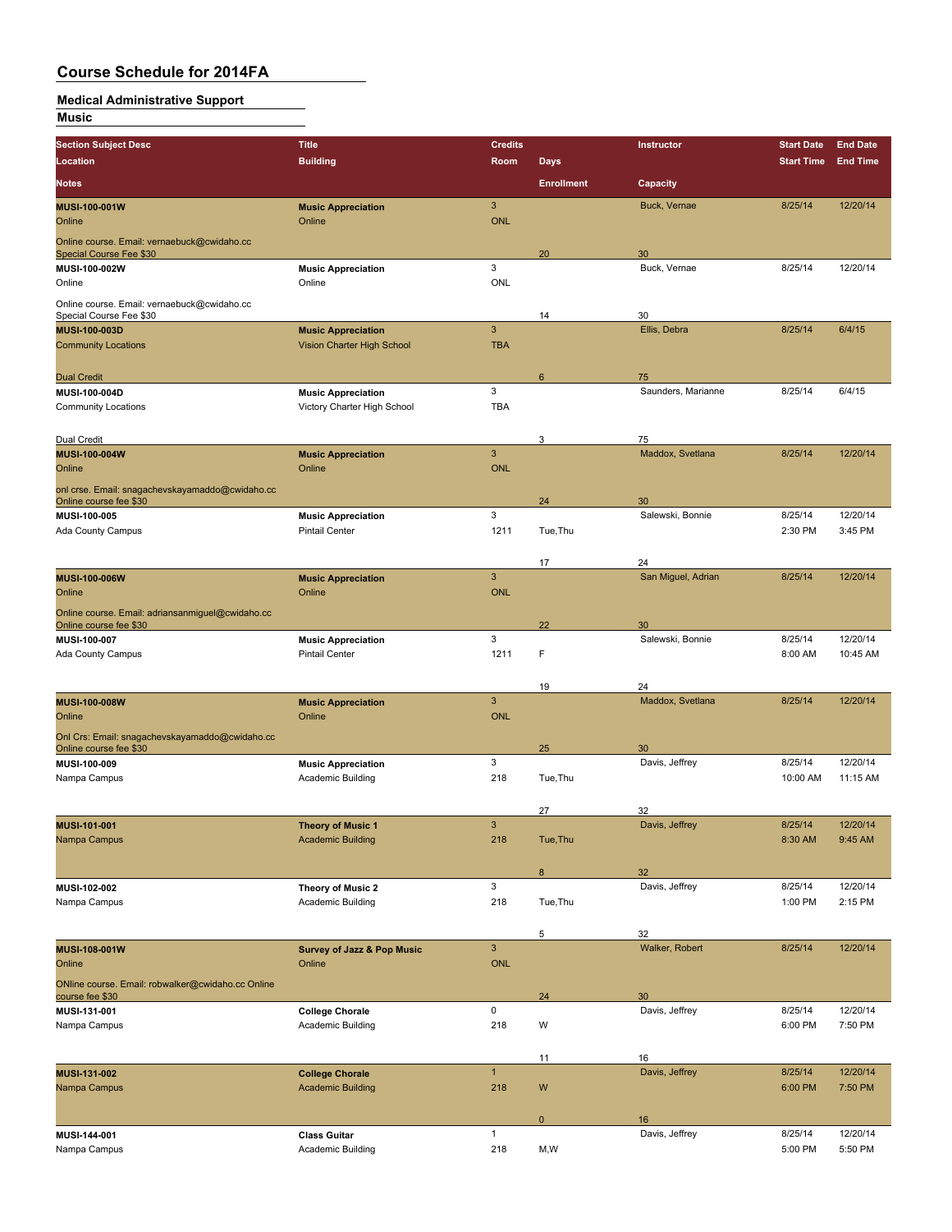### **Medical Administrative Support**

**Music**

| <b>Section Subject Desc</b>                                            | Title                                 | <b>Credits</b>  |                   | Instructor           | <b>Start Date</b> | <b>End Date</b> |
|------------------------------------------------------------------------|---------------------------------------|-----------------|-------------------|----------------------|-------------------|-----------------|
| Location                                                               | <b>Building</b>                       | Room            | <b>Days</b>       |                      | <b>Start Time</b> | <b>End Time</b> |
| <b>Notes</b>                                                           |                                       |                 | <b>Enrollment</b> | Capacity             |                   |                 |
| MUSI-100-001W                                                          | <b>Music Appreciation</b>             | $\mathbf{3}$    |                   | Buck, Vernae         | 8/25/14           | 12/20/14        |
| Online                                                                 | Online                                | <b>ONL</b>      |                   |                      |                   |                 |
|                                                                        |                                       |                 |                   |                      |                   |                 |
| Online course. Email: vernaebuck@cwidaho.cc<br>Special Course Fee \$30 |                                       |                 | 20                | 30                   |                   |                 |
| MUSI-100-002W                                                          | <b>Music Appreciation</b>             | 3               |                   | Buck, Vernae         | 8/25/14           | 12/20/14        |
| Online                                                                 | Online                                | <b>ONL</b>      |                   |                      |                   |                 |
|                                                                        |                                       |                 |                   |                      |                   |                 |
| Online course. Email: vernaebuck@cwidaho.cc<br>Special Course Fee \$30 |                                       |                 | 14                | 30                   |                   |                 |
| MUSI-100-003D                                                          | <b>Music Appreciation</b>             | $\overline{3}$  |                   | Ellis, Debra         | 8/25/14           | 6/4/15          |
| <b>Community Locations</b>                                             | Vision Charter High School            | <b>TBA</b>      |                   |                      |                   |                 |
|                                                                        |                                       |                 |                   |                      |                   |                 |
| <b>Dual Credit</b>                                                     |                                       |                 | 6                 | 75                   |                   |                 |
| MUSI-100-004D                                                          | <b>Music Appreciation</b>             | 3               |                   | Saunders, Marianne   | 8/25/14           | 6/4/15          |
| <b>Community Locations</b>                                             | Victory Charter High School           | <b>TBA</b>      |                   |                      |                   |                 |
|                                                                        |                                       |                 |                   |                      |                   |                 |
| Dual Credit                                                            |                                       |                 | 3                 | 75                   |                   |                 |
| MUSI-100-004W                                                          | <b>Music Appreciation</b>             | 3               |                   | Maddox, Svetlana     | 8/25/14           | 12/20/14        |
| Online                                                                 | Online                                | <b>ONL</b>      |                   |                      |                   |                 |
| onl crse. Email: snagachevskayamaddo@cwidaho.cc                        |                                       |                 |                   |                      |                   |                 |
| Online course fee \$30                                                 |                                       |                 | 24                | 30                   |                   |                 |
| MUSI-100-005                                                           | <b>Music Appreciation</b>             | 3               |                   | Salewski, Bonnie     | 8/25/14           | 12/20/14        |
| Ada County Campus                                                      | <b>Pintail Center</b>                 | 1211            | Tue, Thu          |                      | 2:30 PM           | 3:45 PM         |
|                                                                        |                                       |                 |                   |                      |                   |                 |
|                                                                        |                                       |                 | 17                | 24                   |                   |                 |
| <b>MUSI 100 006W</b>                                                   | <b>Music Appreciation</b>             | $\overline{3}$  |                   | San Miguel, Adrian   | 8/25/14           | 12/20/14        |
| Online                                                                 | Online                                | <b>ONL</b>      |                   |                      |                   |                 |
| Online course. Email: adriansanmiguel@cwidaho.cc                       |                                       |                 |                   |                      |                   |                 |
| Online course fee \$30                                                 |                                       |                 | 22                | 30                   |                   |                 |
| MUSI-100-007                                                           | <b>Music Appreciation</b>             | 3               |                   | Salewski, Bonnie     | 8/25/14           | 12/20/14        |
| Ada County Campus                                                      | <b>Pintail Center</b>                 | 1211            | F                 |                      | 8:00 AM           | 10:45 AM        |
|                                                                        |                                       |                 |                   |                      |                   |                 |
|                                                                        |                                       |                 | 19                | 24                   |                   |                 |
| MUSI-100-008W                                                          | <b>Music Appreciation</b><br>Online   | 3<br><b>ONL</b> |                   | Maddox, Svetlana     | 8/25/14           | 12/20/14        |
| Online                                                                 |                                       |                 |                   |                      |                   |                 |
| Onl Crs: Email: snagachevskayamaddo@cwidaho.cc                         |                                       |                 |                   |                      |                   |                 |
| Online course fee \$30<br>MUSI-100-009                                 | <b>Music Appreciation</b>             | 3               | 25                | 30<br>Davis, Jeffrey | 8/25/14           | 12/20/14        |
| Nampa Campus                                                           | Academic Building                     | 218             | Tue, Thu          |                      | 10:00 AM          | 11:15 AM        |
|                                                                        |                                       |                 |                   |                      |                   |                 |
|                                                                        |                                       |                 | 27                | 32                   |                   |                 |
| MUSI-101-001                                                           | <b>Theory of Music 1</b>              | 3               |                   | Davis, Jeffrey       | 8/25/14           | 12/20/14        |
| Nampa Campus                                                           | <b>Academic Building</b>              | 218             | Tue, Thu          |                      | 8:30 AM           | 9:45 AM         |
|                                                                        |                                       |                 |                   |                      |                   |                 |
|                                                                        |                                       |                 | 8                 | 32                   |                   |                 |
| MUSI-102-002                                                           | Theory of Music 2                     | 3               |                   | Davis, Jeffrey       | 8/25/14           | 12/20/14        |
| Nampa Campus                                                           | Academic Building                     | 218             | Tue, Thu          |                      | 1:00 PM           | 2:15 PM         |
|                                                                        |                                       |                 |                   |                      |                   |                 |
|                                                                        |                                       |                 | 5                 | 32                   |                   |                 |
| MUSI-108-001W                                                          | <b>Survey of Jazz &amp; Pop Music</b> | 3               |                   | Walker, Robert       | 8/25/14           | 12/20/14        |
| Online                                                                 | Online                                | ONL             |                   |                      |                   |                 |
| ONline course. Email: robwalker@cwidaho.cc Online                      |                                       |                 |                   |                      |                   |                 |
| course fee \$30                                                        |                                       |                 | 24                | 30                   |                   |                 |
| MUSI-131-001                                                           | <b>College Chorale</b>                | 0               |                   | Davis, Jeffrey       | 8/25/14           | 12/20/14        |
| Nampa Campus                                                           | Academic Building                     | 218             | W                 |                      | 6:00 PM           | 7:50 PM         |
|                                                                        |                                       |                 |                   |                      |                   |                 |
|                                                                        |                                       |                 | 11                | 16                   |                   |                 |
| MUSI-131-002                                                           | <b>College Chorale</b>                | $\mathbf{1}$    |                   | Davis, Jeffrey       | 8/25/14           | 12/20/14        |
| Nampa Campus                                                           | <b>Academic Building</b>              | 218             | W                 |                      | 6:00 PM           | 7:50 PM         |
|                                                                        |                                       |                 |                   |                      |                   |                 |
|                                                                        |                                       |                 | $\mathbf 0$       | 16                   |                   |                 |
| MUSI-144-001                                                           | <b>Class Guitar</b>                   | $\mathbf{1}$    |                   | Davis, Jeffrey       | 8/25/14           | 12/20/14        |
| Nampa Campus                                                           | Academic Building                     | 218             | M,W               |                      | 5:00 PM           | 5:50 PM         |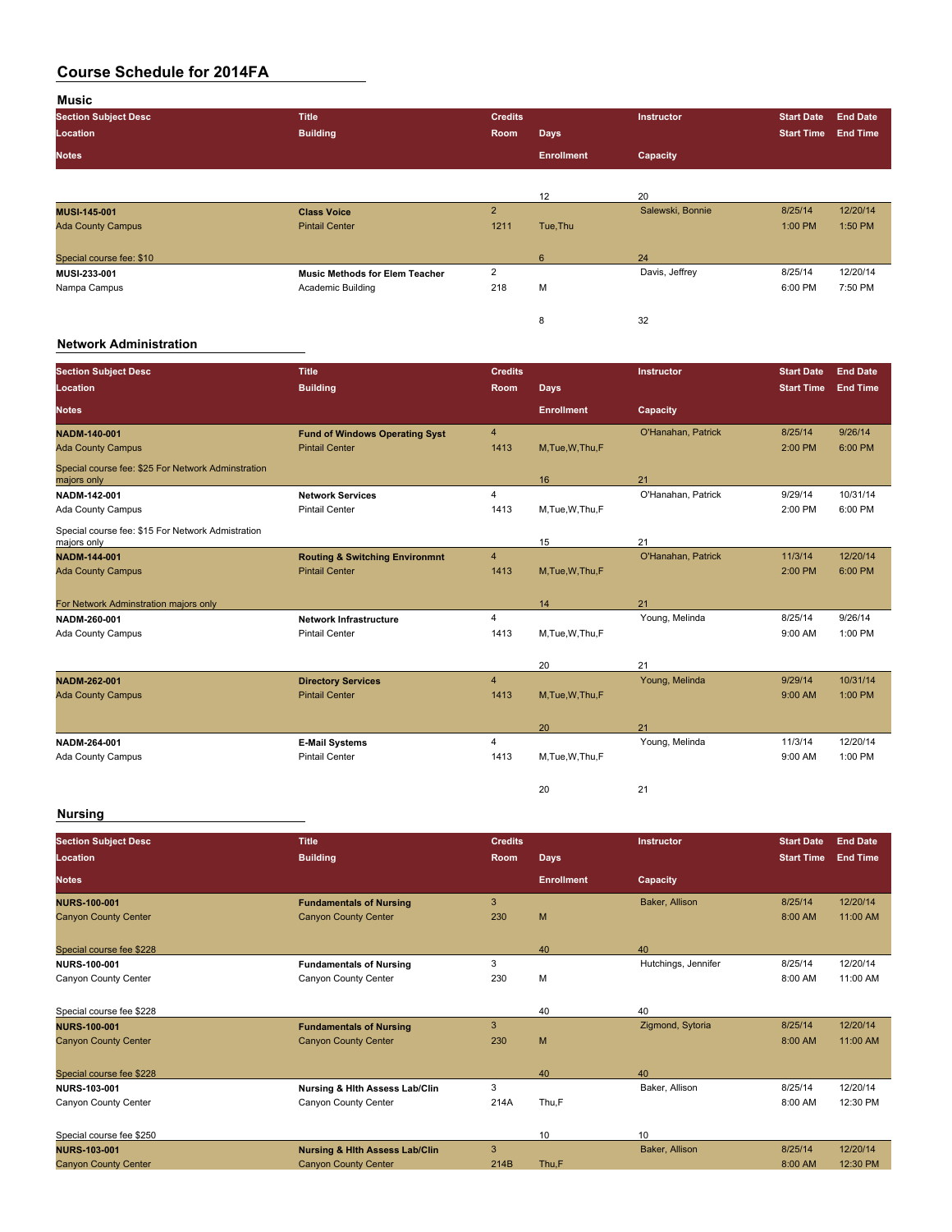**Music Section Subject Desc Title Credits Instructor Start Date End Date Location Building Room Days Start Time End Time Notes Enrollment Capacity** 12 20<br>
Salewski, Bonnie **MUSI-145-001 Class Voice** 2 Salewski, Bonnie 8/25/14 12/20/14 Ada County Campus Photo Photo Pintail Center 1211 Tue,Thu 1211 Tue,Thu 1200 PM 1:00 PM 1:50 PM 1:50 PM 1:50 PM Special course fee: \$10 24<br>MUSI-233-001 6 24 Davis, Jeffrey Music Methods for Elem Teacher 2 2 Davis, Jeffrey **MUSI-233-001 Music Methods for Elem Teacher** 2 Davis, Jeffrey 8/25/14 12/20/14 Nampa Campus Academic Building 218 M 6:00 PM 7:50 PM 8 32

#### **Network Administration**

| <b>Section Subject Desc</b><br>Location                           | <b>Title</b><br><b>Building</b>           | <b>Credits</b><br>Room | <b>Days</b>       | Instructor           | <b>Start Date</b><br><b>Start Time</b> | <b>End Date</b><br><b>End Time</b> |
|-------------------------------------------------------------------|-------------------------------------------|------------------------|-------------------|----------------------|----------------------------------------|------------------------------------|
| <b>Notes</b>                                                      |                                           |                        | <b>Enrollment</b> | Capacity             |                                        |                                    |
| <b>NADM-140-001</b>                                               | <b>Fund of Windows Operating Syst</b>     | 4                      |                   | O'Hanahan, Patrick   | 8/25/14                                | 9/26/14                            |
| <b>Ada County Campus</b>                                          | <b>Pintail Center</b>                     | 1413                   | M,Tue,W,Thu,F     |                      | 2:00 PM                                | 6:00 PM                            |
| Special course fee: \$25 For Network Adminstration<br>majors only |                                           |                        | 16                | 21                   |                                        |                                    |
| NADM-142-001                                                      | <b>Network Services</b>                   | 4                      |                   | O'Hanahan, Patrick   | 9/29/14                                | 10/31/14                           |
| Ada County Campus                                                 | <b>Pintail Center</b>                     | 1413                   | M, Tue, W, Thu, F |                      | 2:00 PM                                | 6:00 PM                            |
| Special course fee: \$15 For Network Admistration<br>majors only  |                                           |                        | 15                | 21                   |                                        |                                    |
| <b>NADM-144-001</b>                                               | <b>Routing &amp; Switching Environmnt</b> | $\overline{4}$         |                   | O'Hanahan, Patrick   | 11/3/14                                | 12/20/14                           |
| <b>Ada County Campus</b>                                          | <b>Pintail Center</b>                     | 1413                   | M.Tue.W.Thu.F     |                      | 2:00 PM                                | 6:00 PM                            |
|                                                                   |                                           |                        |                   |                      |                                        |                                    |
| For Network Adminstration majors only<br>NADM-260-001             | <b>Network Infrastructure</b>             | 4                      | 14                | 21<br>Young, Melinda | 8/25/14                                | 9/26/14                            |
| Ada County Campus                                                 | <b>Pintail Center</b>                     | 1413                   | M, Tue, W, Thu, F |                      | 9:00 AM                                | 1:00 PM                            |
|                                                                   |                                           |                        |                   |                      |                                        |                                    |
|                                                                   |                                           |                        | 20                | 21                   |                                        |                                    |
| <b>NADM 262-001</b>                                               | <b>Directory Services</b>                 | $\overline{4}$         |                   | Young, Melinda       | 9/29/14                                | 10/31/14                           |
| <b>Ada County Campus</b>                                          | <b>Pintail Center</b>                     | 1413                   | M, Tue, W, Thu, F |                      | 9:00 AM                                | 1:00 PM                            |
|                                                                   |                                           |                        | 20                | 21                   |                                        |                                    |
| NADM-264-001                                                      | <b>E-Mail Systems</b>                     | 4                      |                   | Young, Melinda       | 11/3/14                                | 12/20/14                           |
| Ada County Campus                                                 | <b>Pintail Center</b>                     | 1413                   | M,Tue,W,Thu,F     |                      | 9:00 AM                                | 1:00 PM                            |
|                                                                   |                                           |                        | 20                | 21                   |                                        |                                    |

| <b>Section Subject Desc</b> | <b>Title</b>                              | <b>Credits</b> |                   | <b>Instructor</b>   | <b>Start Date</b> | <b>End Date</b> |
|-----------------------------|-------------------------------------------|----------------|-------------------|---------------------|-------------------|-----------------|
| Location                    | <b>Building</b>                           | <b>Room</b>    | <b>Days</b>       |                     | <b>Start Time</b> | <b>End Time</b> |
| <b>Notes</b>                |                                           |                | <b>Enrollment</b> | Capacity            |                   |                 |
| <b>NURS 100 001</b>         | <b>Fundamentals of Nursing</b>            | 3              |                   | Baker, Allison      | 8/25/14           | 12/20/14        |
| <b>Canyon County Center</b> | <b>Canyon County Center</b>               | 230            | M                 |                     | 8:00 AM           | 11:00 AM        |
| Special course fee \$228    |                                           |                | 40                | 40                  |                   |                 |
| <b>NURS-100-001</b>         | <b>Fundamentals of Nursing</b>            | 3              |                   | Hutchings, Jennifer | 8/25/14           | 12/20/14        |
| Canyon County Center        | Canyon County Center                      | 230            | M                 |                     | 8:00 AM           | 11:00 AM        |
| Special course fee \$228    |                                           |                | 40                | 40                  |                   |                 |
| <b>NURS 100 001</b>         | <b>Fundamentals of Nursing</b>            | 3              |                   | Zigmond, Sytoria    | 8/25/14           | 12/20/14        |
| <b>Canyon County Center</b> | <b>Canyon County Center</b>               | 230            | M                 |                     | 8:00 AM           | 11:00 AM        |
| Special course fee \$228    |                                           |                | 40                | 40                  |                   |                 |
| <b>NURS-103-001</b>         | Nursing & Hith Assess Lab/Clin            | 3              |                   | Baker, Allison      | 8/25/14           | 12/20/14        |
| Canyon County Center        | Canyon County Center                      | 214A           | Thu,F             |                     | 8:00 AM           | 12:30 PM        |
| Special course fee \$250    |                                           |                | 10                | 10                  |                   |                 |
| <b>NURS 103 001</b>         | <b>Nursing &amp; Hith Assess Lab/Clin</b> | 3              |                   | Baker, Allison      | 8/25/14           | 12/20/14        |
| <b>Canyon County Center</b> | <b>Canyon County Center</b>               | 214B           | Thu,F             |                     | 8:00 AM           | 12:30 PM        |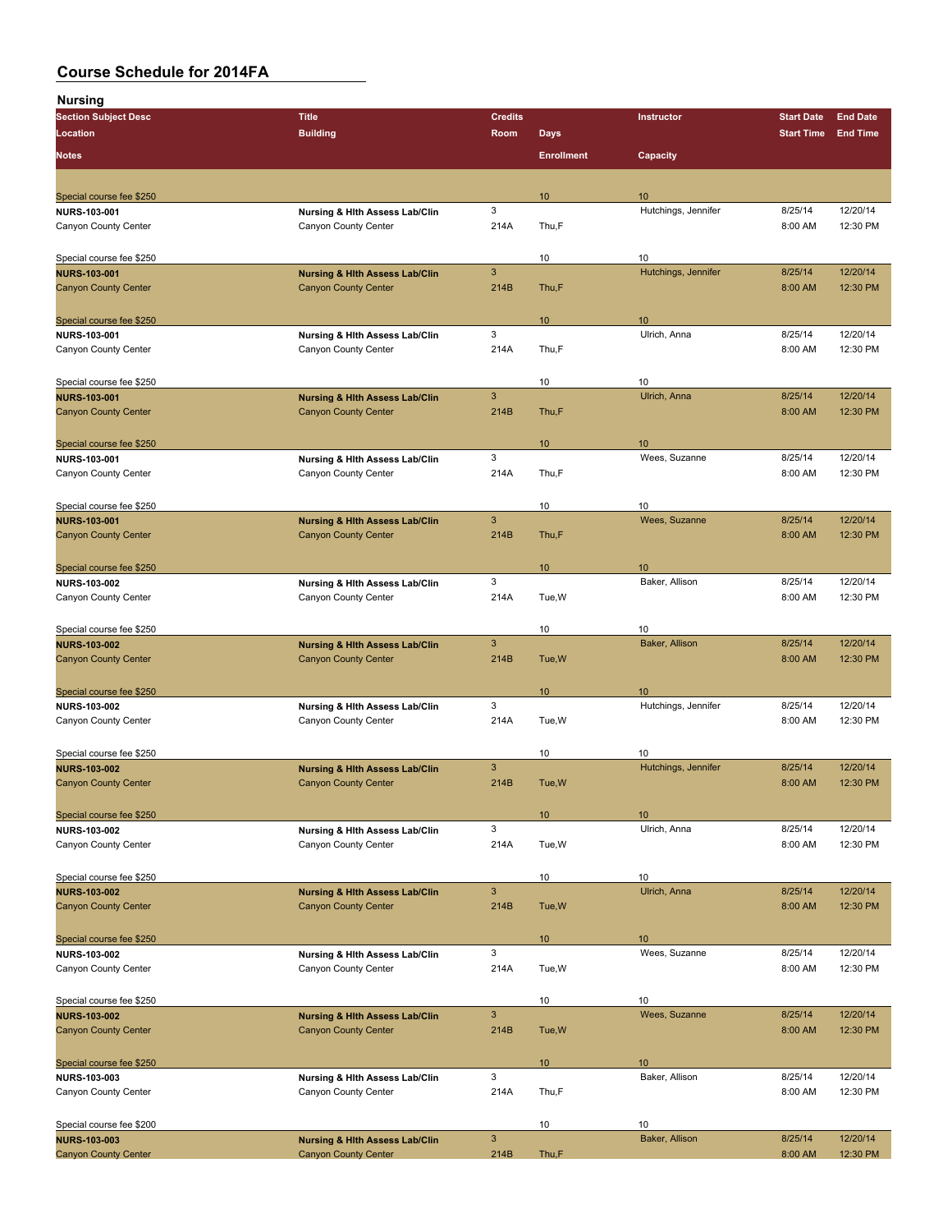| . 5<br><b>Section Subject Desc</b>                 | <b>Title</b>                                           | <b>Credits</b> |                   | Instructor                | <b>Start Date</b> | <b>End Date</b> |
|----------------------------------------------------|--------------------------------------------------------|----------------|-------------------|---------------------------|-------------------|-----------------|
| Location                                           | <b>Building</b>                                        | Room           | <b>Days</b>       |                           | <b>Start Time</b> | <b>End Time</b> |
|                                                    |                                                        |                |                   |                           |                   |                 |
| <b>Notes</b>                                       |                                                        |                | <b>Enrollment</b> | Capacity                  |                   |                 |
|                                                    |                                                        |                |                   |                           |                   |                 |
|                                                    |                                                        |                | 10 <sup>°</sup>   | 10                        |                   |                 |
| Special course fee \$250<br><b>NURS 103-001</b>    |                                                        | 3              |                   | Hutchings, Jennifer       | 8/25/14           | 12/20/14        |
| Canyon County Center                               | Nursing & Hith Assess Lab/Clin<br>Canyon County Center | 214A           | Thu,F             |                           | 8:00 AM           | 12:30 PM        |
|                                                    |                                                        |                |                   |                           |                   |                 |
|                                                    |                                                        |                |                   |                           |                   |                 |
| Special course fee \$250                           |                                                        | $\mathbf{3}$   | 10                | 10<br>Hutchings, Jennifer | 8/25/14           | 12/20/14        |
| <b>NURS-103-001</b><br><b>Canyon County Center</b> | <b>Nursing &amp; Hith Assess Lab/Clin</b>              | 214B           |                   |                           | 8:00 AM           | 12:30 PM        |
|                                                    | <b>Canyon County Center</b>                            |                | Thu,F             |                           |                   |                 |
|                                                    |                                                        |                |                   |                           |                   |                 |
| Special course fee \$250                           |                                                        |                | 10                | 10                        |                   |                 |
| NURS-103-001                                       | Nursing & Hith Assess Lab/Clin                         | 3              |                   | Ulrich, Anna              | 8/25/14           | 12/20/14        |
| Canyon County Center                               | Canyon County Center                                   | 214A           | Thu,F             |                           | 8:00 AM           | 12:30 PM        |
|                                                    |                                                        |                |                   |                           |                   |                 |
| Special course fee \$250                           |                                                        |                | 10                | 10                        |                   |                 |
| <b>NURS-103-001</b>                                | <b>Nursing &amp; Hith Assess Lab/Clin</b>              | 3              |                   | Ulrich, Anna              | 8/25/14           | 12/20/14        |
| <b>Canyon County Center</b>                        | <b>Canyon County Center</b>                            | 214B           | Thu,F             |                           | 8:00 AM           | 12:30 PM        |
|                                                    |                                                        |                |                   |                           |                   |                 |
| Special course fee \$250                           |                                                        |                | 10                | 10                        |                   |                 |
| NURS-103-001                                       | Nursing & Hith Assess Lab/Clin                         | 3              |                   | Wees, Suzanne             | 8/25/14           | 12/20/14        |
| Canyon County Center                               | Canyon County Center                                   | 214A           | Thu,F             |                           | 8:00 AM           | 12:30 PM        |
|                                                    |                                                        |                |                   |                           |                   |                 |
| Special course fee \$250                           |                                                        |                | 10                | 10                        |                   |                 |
| <b>NURS-103-001</b>                                | <b>Nursing &amp; Hith Assess Lab/Clin</b>              | 3              |                   | Wees, Suzanne             | 8/25/14           | 12/20/14        |
| <b>Canyon County Center</b>                        | <b>Canyon County Center</b>                            | 214B           | Thu,F             |                           | 8:00 AM           | 12:30 PM        |
|                                                    |                                                        |                |                   |                           |                   |                 |
| Special course fee \$250                           |                                                        |                | 10 <sup>°</sup>   | 10                        |                   |                 |
| NURS-103-002                                       | Nursing & Hith Assess Lab/Clin                         | 3              |                   | Baker, Allison            | 8/25/14           | 12/20/14        |
| Canyon County Center                               | Canyon County Center                                   | 214A           | Tue, W            |                           | 8:00 AM           | 12:30 PM        |
|                                                    |                                                        |                |                   |                           |                   |                 |
|                                                    |                                                        |                | 10                | 10                        |                   |                 |
| Special course fee \$250<br><b>NURS-103-002</b>    | <b>Nursing &amp; Hith Assess Lab/Clin</b>              | 3              |                   | Baker, Allison            | 8/25/14           | 12/20/14        |
| <b>Canyon County Center</b>                        | <b>Canyon County Center</b>                            | 214B           | Tue, W            |                           | 8:00 AM           | 12:30 PM        |
|                                                    |                                                        |                |                   |                           |                   |                 |
|                                                    |                                                        |                |                   |                           |                   |                 |
| Special course fee \$250                           |                                                        |                | 10 <sup>°</sup>   | 10                        |                   |                 |
| <b>NURS-103-002</b>                                | Nursing & Hith Assess Lab/Clin                         | 3              |                   | Hutchings, Jennifer       | 8/25/14           | 12/20/14        |
| Canyon County Center                               | Canyon County Center                                   | 214A           | Tue, W            |                           | 8:00 AM           | 12:30 PM        |
|                                                    |                                                        |                |                   |                           |                   |                 |
| Special course fee \$250                           |                                                        |                | 10                | 10                        |                   |                 |
| <b>NURS-103-002</b>                                | <b>Nursing &amp; Hith Assess Lab/Clin</b>              | 3              |                   | Hutchings, Jennifer       | 8/25/14           | 12/20/14        |
| <b>Canyon County Center</b>                        | <b>Canyon County Center</b>                            | 214B           | Tue, W            |                           | 8:00 AM           | 12:30 PM        |
|                                                    |                                                        |                |                   |                           |                   |                 |
| Special course fee \$250                           |                                                        |                | 10                | 10                        |                   |                 |
| <b>NURS-103-002</b>                                | Nursing & Hith Assess Lab/Clin                         | 3              |                   | Ulrich, Anna              | 8/25/14           | 12/20/14        |
| Canyon County Center                               | Canyon County Center                                   | 214A           | Tue, W            |                           | 8:00 AM           | 12:30 PM        |
|                                                    |                                                        |                |                   |                           |                   |                 |
| Special course fee \$250                           |                                                        |                | 10                | 10                        |                   |                 |
| <b>NURS-103-002</b>                                | <b>Nursing &amp; Hith Assess Lab/Clin</b>              | $\mathbf{3}$   |                   | Ulrich, Anna              | 8/25/14           | 12/20/14        |
| <b>Canyon County Center</b>                        | <b>Canyon County Center</b>                            | 214B           | Tue, W            |                           | 8:00 AM           | 12:30 PM        |
|                                                    |                                                        |                |                   |                           |                   |                 |
| Special course fee \$250                           |                                                        |                | 10 <sup>°</sup>   | 10                        |                   |                 |
| <b>NURS 103-002</b>                                | Nursing & Hith Assess Lab/Clin                         | 3              |                   | Wees, Suzanne             | 8/25/14           | 12/20/14        |
| Canyon County Center                               | Canyon County Center                                   | 214A           | Tue, W            |                           | 8:00 AM           | 12:30 PM        |
|                                                    |                                                        |                |                   |                           |                   |                 |
| Special course fee \$250                           |                                                        |                | 10                | 10                        |                   |                 |
| <b>NURS-103-002</b>                                | <b>Nursing &amp; Hith Assess Lab/Clin</b>              | 3              |                   | Wees, Suzanne             | 8/25/14           | 12/20/14        |
| <b>Canyon County Center</b>                        | <b>Canyon County Center</b>                            | 214B           | Tue, W            |                           | 8:00 AM           | 12:30 PM        |
|                                                    |                                                        |                |                   |                           |                   |                 |
|                                                    |                                                        |                |                   |                           |                   |                 |
| Special course fee \$250                           |                                                        | 3              | 10 <sup>°</sup>   | 10<br>Baker, Allison      | 8/25/14           | 12/20/14        |
| NURS-103-003                                       | Nursing & Hith Assess Lab/Clin<br>Canyon County Center | 214A           | Thu,F             |                           | 8:00 AM           | 12:30 PM        |
| Canyon County Center                               |                                                        |                |                   |                           |                   |                 |
|                                                    |                                                        |                |                   |                           |                   |                 |
| Special course fee \$200                           |                                                        |                | 10                | 10                        |                   |                 |
| <b>NURS-103-003</b>                                | <b>Nursing &amp; Hith Assess Lab/Clin</b>              | $\mathbf{3}$   |                   | Baker, Allison            | 8/25/14           | 12/20/14        |
| <b>Canyon County Center</b>                        | <b>Canyon County Center</b>                            | 214B           | Thu,F             |                           | 8:00 AM           | 12:30 PM        |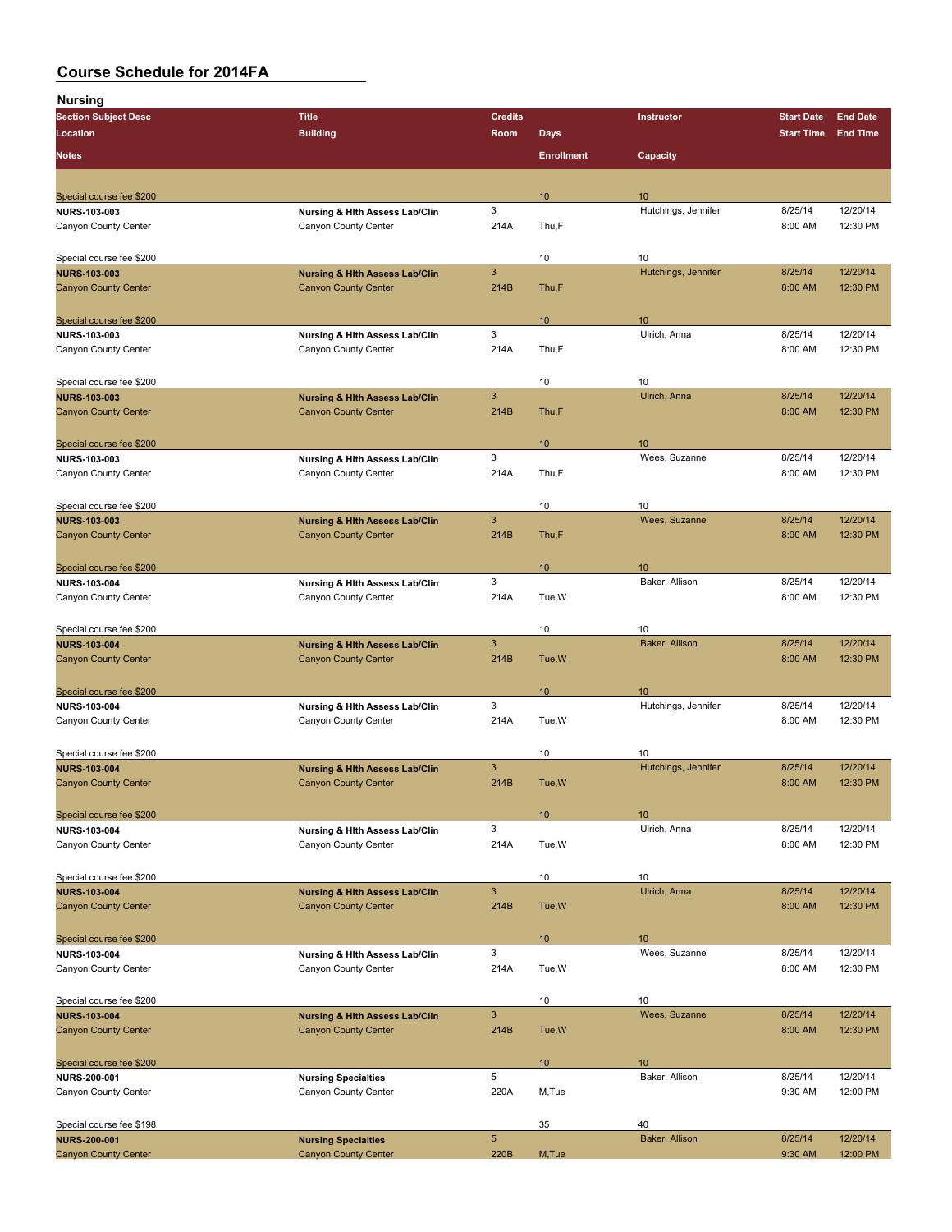| <b>Section Subject Desc</b>                     | <b>Title</b>                              | <b>Credits</b>            |                   | Instructor          | <b>Start Date</b> | <b>End Date</b> |
|-------------------------------------------------|-------------------------------------------|---------------------------|-------------------|---------------------|-------------------|-----------------|
| Location                                        | <b>Building</b>                           | Room                      | <b>Days</b>       |                     | <b>Start Time</b> | <b>End Time</b> |
|                                                 |                                           |                           |                   |                     |                   |                 |
| <b>Notes</b>                                    |                                           |                           | <b>Enrollment</b> | Capacity            |                   |                 |
|                                                 |                                           |                           |                   |                     |                   |                 |
| Special course fee \$200                        |                                           |                           | 10                | 10                  |                   |                 |
| <b>NURS 103-003</b>                             | Nursing & Hlth Assess Lab/Clin            | 3                         |                   | Hutchings, Jennifer | 8/25/14           | 12/20/14        |
| Canyon County Center                            | Canyon County Center                      | 214A                      | Thu,F             |                     | 8:00 AM           | 12:30 PM        |
|                                                 |                                           |                           |                   |                     |                   |                 |
| Special course fee \$200                        |                                           |                           | 10                | 10                  |                   |                 |
| <b>NURS-103-003</b>                             | <b>Nursing &amp; Hith Assess Lab/Clin</b> | $\ensuremath{\mathsf{3}}$ |                   | Hutchings, Jennifer | 8/25/14           | 12/20/14        |
| <b>Canyon County Center</b>                     | <b>Canyon County Center</b>               | 214B                      | Thu,F             |                     | 8:00 AM           | 12:30 PM        |
|                                                 |                                           |                           |                   |                     |                   |                 |
| Special course fee \$200                        |                                           |                           | 10                | 10                  |                   |                 |
| <b>NURS 103-003</b>                             | Nursing & Hith Assess Lab/Clin            | 3                         |                   | Ulrich, Anna        | 8/25/14           | 12/20/14        |
| Canyon County Center                            | Canyon County Center                      | 214A                      | Thu,F             |                     | 8:00 AM           | 12:30 PM        |
|                                                 |                                           |                           |                   |                     |                   |                 |
|                                                 |                                           |                           | 10                | 10                  |                   |                 |
| Special course fee \$200<br><b>NURS-103-003</b> | <b>Nursing &amp; Hith Assess Lab/Clin</b> | $\ensuremath{\mathsf{3}}$ |                   | Ulrich, Anna        | 8/25/14           | 12/20/14        |
| <b>Canyon County Center</b>                     | <b>Canyon County Center</b>               | 214B                      | Thu,F             |                     | 8:00 AM           | 12:30 PM        |
|                                                 |                                           |                           |                   |                     |                   |                 |
|                                                 |                                           |                           |                   |                     |                   |                 |
| Special course fee \$200                        |                                           |                           | 10                | 10                  |                   |                 |
| NURS-103-003                                    | Nursing & Hlth Assess Lab/Clin            | 3                         |                   | Wees, Suzanne       | 8/25/14           | 12/20/14        |
| Canyon County Center                            | Canyon County Center                      | 214A                      | Thu,F             |                     | 8:00 AM           | 12:30 PM        |
|                                                 |                                           |                           |                   |                     |                   |                 |
| Special course fee \$200                        |                                           |                           | 10                | 10                  |                   |                 |
| <b>NURS-103-003</b>                             | <b>Nursing &amp; Hith Assess Lab/Clin</b> | $\ensuremath{\mathsf{3}}$ |                   | Wees, Suzanne       | 8/25/14           | 12/20/14        |
| <b>Canyon County Center</b>                     | <b>Canyon County Center</b>               | 214B                      | Thu,F             |                     | 8:00 AM           | 12:30 PM        |
|                                                 |                                           |                           |                   |                     |                   |                 |
| Special course fee \$200                        |                                           |                           | 10                | 10                  |                   |                 |
| NURS-103-004                                    | Nursing & Hith Assess Lab/Clin            | 3                         |                   | Baker, Allison      | 8/25/14           | 12/20/14        |
| Canyon County Center                            | Canyon County Center                      | 214A                      | Tue, W            |                     | 8:00 AM           | 12:30 PM        |
|                                                 |                                           |                           |                   |                     |                   |                 |
| Special course fee \$200                        |                                           |                           | 10                | 10                  |                   |                 |
| <b>NURS-103-004</b>                             | <b>Nursing &amp; Hith Assess Lab/Clin</b> | $\mathbf{3}$              |                   | Baker, Allison      | 8/25/14           | 12/20/14        |
| <b>Canyon County Center</b>                     | <b>Canyon County Center</b>               | 214B                      | Tue, W            |                     | 8:00 AM           | 12:30 PM        |
|                                                 |                                           |                           |                   |                     |                   |                 |
| Special course fee \$200                        |                                           |                           | 10                | 10                  |                   |                 |
| NURS-103-004                                    | Nursing & Hith Assess Lab/Clin            | 3                         |                   | Hutchings, Jennifer | 8/25/14           | 12/20/14        |
| Canyon County Center                            | Canyon County Center                      | 214A                      | Tue, W            |                     | 8:00 AM           | 12:30 PM        |
|                                                 |                                           |                           |                   |                     |                   |                 |
| Special course fee \$200                        |                                           |                           | 10                | 10                  |                   |                 |
| <b>NURS-103-004</b>                             | <b>Nursing &amp; Hith Assess Lab/Clin</b> | $\mathbf{3}$              |                   | Hutchings, Jennifer | 8/25/14           | 12/20/14        |
| <b>Canyon County Center</b>                     | <b>Canyon County Center</b>               | 214B                      | Tue, W            |                     | 8:00 AM           | 12:30 PM        |
|                                                 |                                           |                           |                   |                     |                   |                 |
| Special course fee \$200                        |                                           |                           | $10$              | 10                  |                   |                 |
| <b>NURS-103-004</b>                             | Nursing & Hith Assess Lab/Clin            | 3                         |                   | Ulrich, Anna        | 8/25/14           | 12/20/14        |
| Canyon County Center                            | Canyon County Center                      | 214A                      | Tue, W            |                     | 8:00 AM           | 12:30 PM        |
|                                                 |                                           |                           |                   |                     |                   |                 |
| Special course fee \$200                        |                                           |                           | 10                | 10                  |                   |                 |
| <b>NURS-103-004</b>                             | <b>Nursing &amp; Hith Assess Lab/Clin</b> | $\mathbf{3}$              |                   | Ulrich, Anna        | 8/25/14           | 12/20/14        |
| <b>Canyon County Center</b>                     | <b>Canyon County Center</b>               | 214B                      | Tue, W            |                     | 8:00 AM           | 12:30 PM        |
|                                                 |                                           |                           |                   |                     |                   |                 |
|                                                 |                                           |                           |                   |                     |                   |                 |
| Special course fee \$200                        |                                           | 3                         | 10                | 10<br>Wees, Suzanne | 8/25/14           | 12/20/14        |
| <b>NURS-103-004</b>                             | Nursing & Hith Assess Lab/Clin            |                           |                   |                     |                   |                 |
| Canyon County Center                            | Canyon County Center                      | 214A                      | Tue, W            |                     | 8:00 AM           | 12:30 PM        |
|                                                 |                                           |                           |                   |                     |                   |                 |
| Special course fee \$200                        |                                           |                           | 10                | 10                  |                   |                 |
| <b>NURS-103-004</b>                             | <b>Nursing &amp; Hith Assess Lab/Clin</b> | $\mathbf{3}$              |                   | Wees, Suzanne       | 8/25/14           | 12/20/14        |
| <b>Canyon County Center</b>                     | <b>Canyon County Center</b>               | 214B                      | Tue, W            |                     | 8:00 AM           | 12:30 PM        |
|                                                 |                                           |                           |                   |                     |                   |                 |
| Special course fee \$200                        |                                           |                           | 10                | 10                  |                   |                 |
| <b>NURS-200-001</b>                             | <b>Nursing Specialties</b>                | 5                         |                   | Baker, Allison      | 8/25/14           | 12/20/14        |
| Canyon County Center                            | Canyon County Center                      | 220A                      | M,Tue             |                     | 9:30 AM           | 12:00 PM        |
|                                                 |                                           |                           |                   |                     |                   |                 |
| Special course fee \$198                        |                                           |                           | 35                | 40                  |                   |                 |
| <b>NURS-200-001</b>                             | <b>Nursing Specialties</b>                | $\overline{5}$            |                   | Baker, Allison      | 8/25/14           | 12/20/14        |
| <b>Canyon County Center</b>                     | <b>Canyon County Center</b>               | 220B                      | M, Tue            |                     | 9:30 AM           | 12:00 PM        |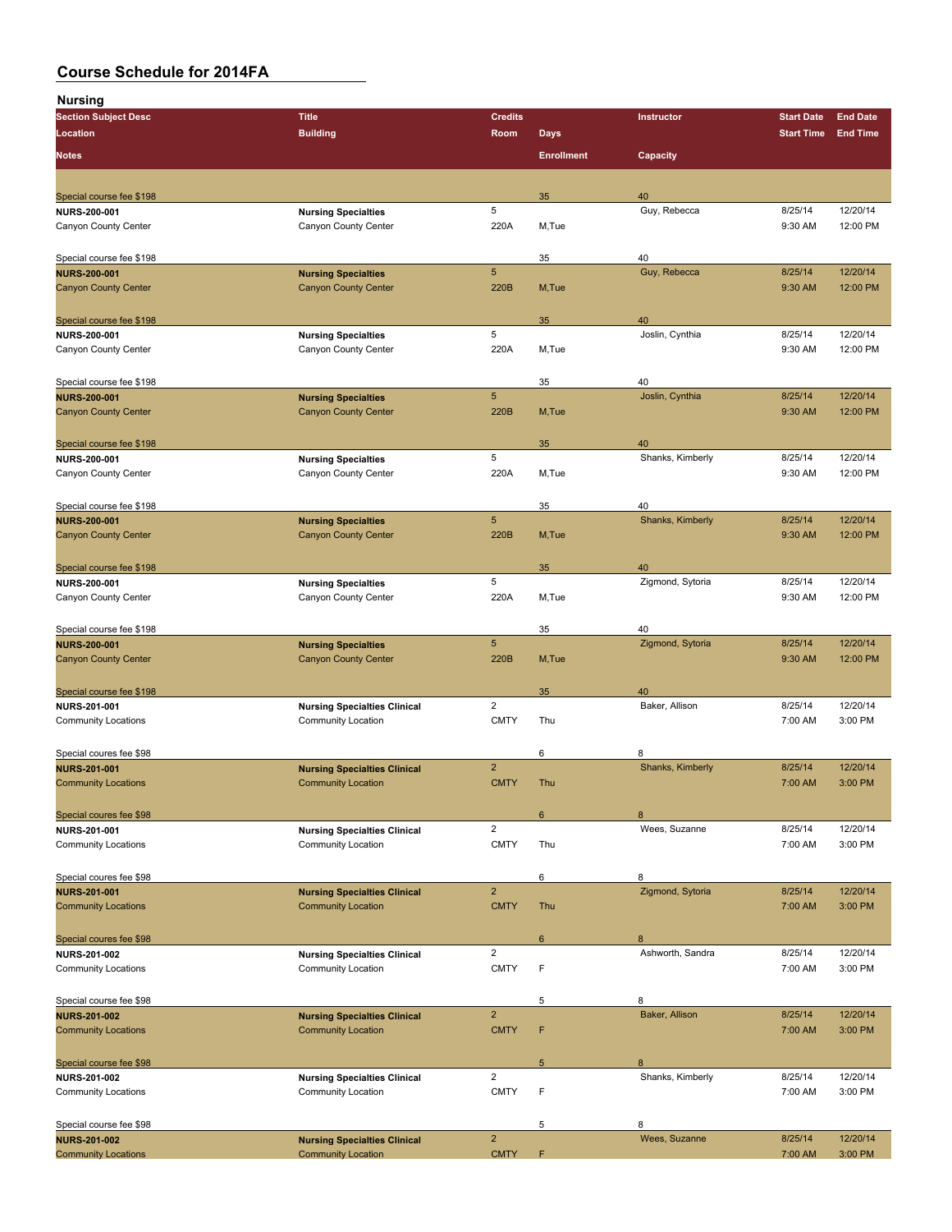| . <u>.</u><br><b>Section Subject Desc</b> | <b>Title</b>                        | <b>Credits</b>          |                   | Instructor             | <b>Start Date</b> | <b>End Date</b> |
|-------------------------------------------|-------------------------------------|-------------------------|-------------------|------------------------|-------------------|-----------------|
| Location                                  | <b>Building</b>                     | Room                    | <b>Days</b>       |                        | <b>Start Time</b> | <b>End Time</b> |
|                                           |                                     |                         |                   |                        |                   |                 |
| <b>Notes</b>                              |                                     |                         | <b>Enrollment</b> | Capacity               |                   |                 |
|                                           |                                     |                         |                   |                        |                   |                 |
| Special course fee \$198                  |                                     |                         | 35                | 40                     |                   |                 |
| <b>NURS 200-001</b>                       | <b>Nursing Specialties</b>          | 5                       |                   | Guy, Rebecca           | 8/25/14           | 12/20/14        |
| Canyon County Center                      | Canyon County Center                | 220A                    | M,Tue             |                        | 9:30 AM           | 12:00 PM        |
| Special course fee \$198                  |                                     |                         | 35                | 40                     |                   |                 |
| <b>NURS-200-001</b>                       | <b>Nursing Specialties</b>          | 5                       |                   | Guy, Rebecca           | 8/25/14           | 12/20/14        |
| <b>Canyon County Center</b>               | <b>Canyon County Center</b>         | 220B                    | M, Tue            |                        | 9:30 AM           | 12:00 PM        |
|                                           |                                     |                         |                   |                        |                   |                 |
| Special course fee \$198                  |                                     |                         | 35                | 40                     |                   |                 |
| <b>NURS 200-001</b>                       | <b>Nursing Specialties</b>          | 5                       |                   | Joslin, Cynthia        | 8/25/14           | 12/20/14        |
| Canyon County Center                      | Canyon County Center                | 220A                    | M,Tue             |                        | 9:30 AM           | 12:00 PM        |
|                                           |                                     |                         |                   |                        |                   |                 |
| Special course fee \$198                  |                                     |                         | 35                | 40                     |                   |                 |
| <b>NURS-200-001</b>                       | <b>Nursing Specialties</b>          | $5\phantom{.0}$         |                   | Joslin, Cynthia        | 8/25/14           | 12/20/14        |
| <b>Canyon County Center</b>               | <b>Canyon County Center</b>         | 220B                    | M, Tue            |                        | 9:30 AM           | 12:00 PM        |
|                                           |                                     |                         |                   |                        |                   |                 |
|                                           |                                     |                         |                   |                        |                   |                 |
| Special course fee \$198                  |                                     | 5                       | 35                | 40<br>Shanks, Kimberly | 8/25/14           | 12/20/14        |
| NURS-200-001<br>Canyon County Center      | <b>Nursing Specialties</b>          | 220A                    |                   |                        | 9:30 AM           | 12:00 PM        |
|                                           | Canyon County Center                |                         | M,Tue             |                        |                   |                 |
|                                           |                                     |                         |                   |                        |                   |                 |
| Special course fee \$198                  |                                     |                         | 35                | 40                     |                   |                 |
| <b>NURS-200-001</b>                       | <b>Nursing Specialties</b>          | 5                       |                   | Shanks, Kimberly       | 8/25/14           | 12/20/14        |
| <b>Canyon County Center</b>               | <b>Canyon County Center</b>         | 220B                    | M,Tue             |                        | 9:30 AM           | 12:00 PM        |
|                                           |                                     |                         |                   |                        |                   |                 |
| Special course fee \$198                  |                                     |                         | 35                | 40                     |                   |                 |
| <b>NURS-200-001</b>                       | <b>Nursing Specialties</b>          | 5                       |                   | Zigmond, Sytoria       | 8/25/14           | 12/20/14        |
| Canyon County Center                      | Canyon County Center                | 220A                    | M,Tue             |                        | 9:30 AM           | 12:00 PM        |
|                                           |                                     |                         |                   |                        |                   |                 |
| Special course fee \$198                  |                                     |                         | 35                | 40                     |                   |                 |
| <b>NURS-200-001</b>                       | <b>Nursing Specialties</b>          | 5                       |                   | Zigmond, Sytoria       | 8/25/14           | 12/20/14        |
| <b>Canyon County Center</b>               | <b>Canyon County Center</b>         | 220B                    | M, Tue            |                        | 9:30 AM           | 12:00 PM        |
|                                           |                                     |                         |                   |                        |                   |                 |
| Special course fee \$198                  |                                     |                         | 35                | 40                     |                   |                 |
| <b>NURS 201-001</b>                       | <b>Nursing Specialties Clinical</b> | $\overline{\mathbf{c}}$ |                   | Baker, Allison         | 8/25/14           | 12/20/14        |
| <b>Community Locations</b>                | <b>Community Location</b>           | <b>CMTY</b>             | Thu               |                        | 7:00 AM           | 3:00 PM         |
|                                           |                                     |                         |                   |                        |                   |                 |
| Special coures fee \$98                   |                                     |                         | 6                 | 8                      |                   |                 |
| <b>NURS-201-001</b>                       | <b>Nursing Specialties Clinical</b> | $\overline{2}$          |                   | Shanks, Kimberly       | 8/25/14           | 12/20/14        |
| <b>Community Locations</b>                | <b>Community Location</b>           | <b>CMTY</b>             | Thu               |                        | 7:00 AM           | 3:00 PM         |
|                                           |                                     |                         |                   |                        |                   |                 |
| Special coures fee \$98                   |                                     |                         | 6                 | 8                      |                   |                 |
| NURS-201-001                              | <b>Nursing Specialties Clinical</b> | $\overline{\mathbf{c}}$ |                   | Wees, Suzanne          | 8/25/14           | 12/20/14        |
| <b>Community Locations</b>                | <b>Community Location</b>           | <b>CMTY</b>             | Thu               |                        | 7:00 AM           | 3:00 PM         |
|                                           |                                     |                         |                   |                        |                   |                 |
| Special coures fee \$98                   |                                     |                         | 6                 | 8                      |                   |                 |
| <b>NURS-201-001</b>                       | <b>Nursing Specialties Clinical</b> | $\overline{2}$          |                   | Zigmond, Sytoria       | 8/25/14           | 12/20/14        |
| <b>Community Locations</b>                | <b>Community Location</b>           | <b>CMTY</b>             | Thu               |                        | 7:00 AM           | 3:00 PM         |
|                                           |                                     |                         |                   |                        |                   |                 |
| Special coures fee \$98                   |                                     |                         | 6                 | 8                      |                   |                 |
| <b>NURS 201-002</b>                       | <b>Nursing Specialties Clinical</b> | $\overline{\mathbf{c}}$ |                   | Ashworth, Sandra       | 8/25/14           | 12/20/14        |
| <b>Community Locations</b>                | <b>Community Location</b>           | <b>CMTY</b>             | F                 |                        | 7:00 AM           | 3:00 PM         |
|                                           |                                     |                         |                   |                        |                   |                 |
| Special course fee \$98                   |                                     |                         | 5                 | 8                      |                   |                 |
| <b>NURS-201-002</b>                       | <b>Nursing Specialties Clinical</b> | $\overline{2}$          |                   | Baker, Allison         | 8/25/14           | 12/20/14        |
| <b>Community Locations</b>                | <b>Community Location</b>           | <b>CMTY</b>             | F                 |                        | 7:00 AM           | 3:00 PM         |
|                                           |                                     |                         |                   |                        |                   |                 |
| Special course fee \$98                   |                                     |                         | 5                 | 8                      |                   |                 |
| NURS-201-002                              | <b>Nursing Specialties Clinical</b> | $\overline{c}$          |                   | Shanks, Kimberly       | 8/25/14           | 12/20/14        |
| <b>Community Locations</b>                | <b>Community Location</b>           | <b>CMTY</b>             | F                 |                        | 7:00 AM           | 3:00 PM         |
|                                           |                                     |                         |                   |                        |                   |                 |
| Special course fee \$98                   |                                     |                         | 5                 | 8                      |                   |                 |
| <b>NURS-201-002</b>                       | <b>Nursing Specialties Clinical</b> | $\overline{2}$          |                   | Wees, Suzanne          | 8/25/14           | 12/20/14        |
| <b>Community Locations</b>                | <b>Community Location</b>           | <b>CMTY</b>             | F                 |                        | 7:00 AM           | 3:00 PM         |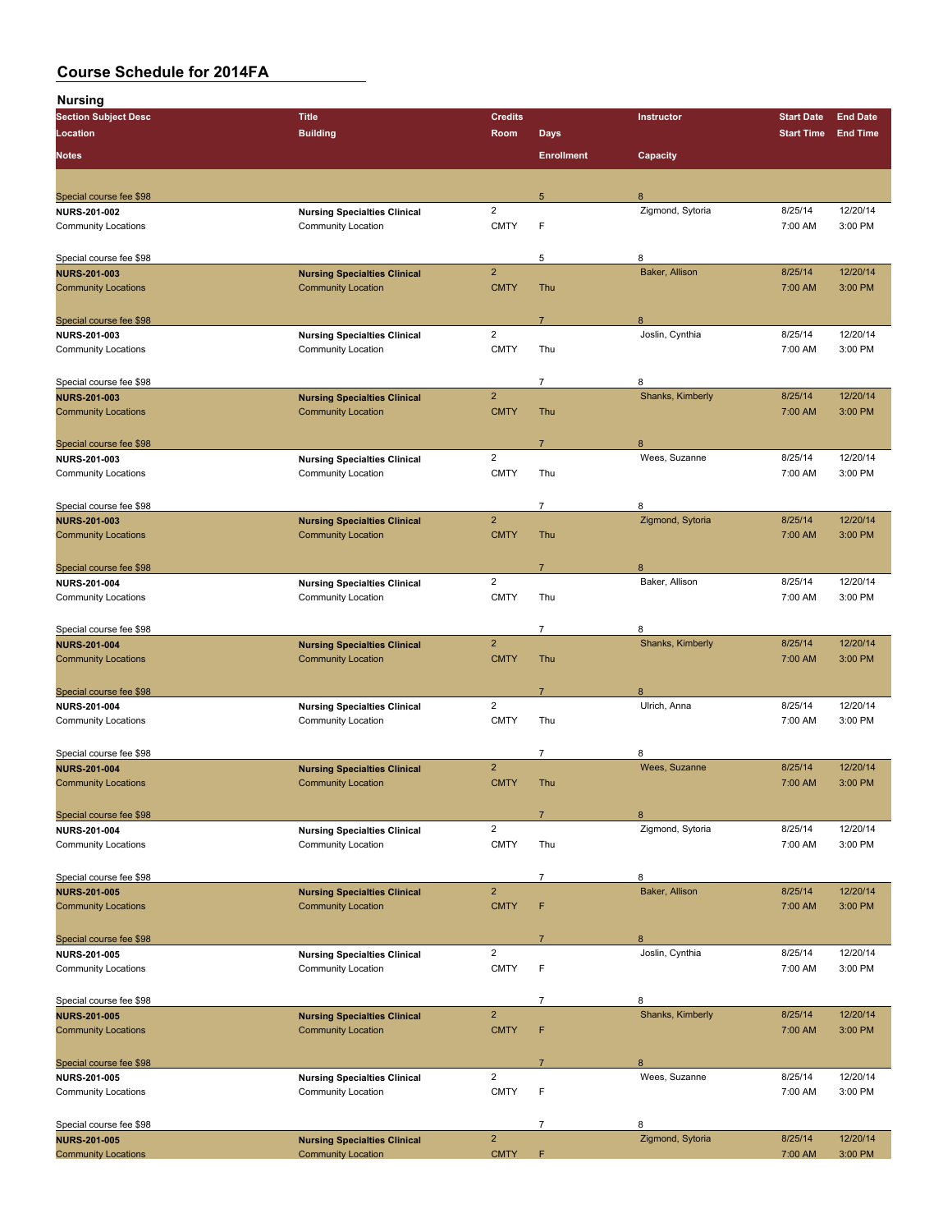| <b>Nursing</b>                                 |                                     |                         |                   |                  |                   |                     |
|------------------------------------------------|-------------------------------------|-------------------------|-------------------|------------------|-------------------|---------------------|
| <b>Section Subject Desc</b>                    | <b>Title</b>                        | <b>Credits</b>          |                   | Instructor       | <b>Start Date</b> | <b>End Date</b>     |
| Location                                       | <b>Building</b>                     | Room                    | <b>Days</b>       |                  | <b>Start Time</b> | <b>End Time</b>     |
|                                                |                                     |                         |                   |                  |                   |                     |
| <b>Notes</b>                                   |                                     |                         | <b>Enrollment</b> | Capacity         |                   |                     |
|                                                |                                     |                         |                   |                  |                   |                     |
| Special course fee \$98                        |                                     |                         | 5                 | 8                |                   |                     |
| <b>NURS 201-002</b>                            | <b>Nursing Specialties Clinical</b> | $\overline{\mathbf{c}}$ |                   | Zigmond, Sytoria | 8/25/14           | 12/20/14            |
| <b>Community Locations</b>                     | <b>Community Location</b>           | <b>CMTY</b>             | F                 |                  | 7:00 AM           | 3:00 PM             |
| Special course fee \$98                        |                                     |                         | 5                 | 8                |                   |                     |
| <b>NURS-201-003</b>                            | <b>Nursing Specialties Clinical</b> | $\overline{2}$          |                   | Baker, Allison   | 8/25/14           | 12/20/14            |
| <b>Community Locations</b>                     | <b>Community Location</b>           | <b>CMTY</b>             | Thu               |                  | 7:00 AM           | 3:00 PM             |
| Special course fee \$98                        |                                     |                         | $\overline{7}$    | 8                |                   |                     |
| <b>NURS-201-003</b>                            | <b>Nursing Specialties Clinical</b> | $\mathbf 2$             |                   | Joslin, Cynthia  | 8/25/14           | 12/20/14            |
| <b>Community Locations</b>                     | Community Location                  | <b>CMTY</b>             | Thu               |                  | 7:00 AM           | 3:00 PM             |
|                                                |                                     |                         |                   |                  |                   |                     |
| Special course fee \$98                        |                                     |                         | $\overline{7}$    | 8                |                   |                     |
| <b>NURS-201-003</b>                            | <b>Nursing Specialties Clinical</b> | $\overline{2}$          |                   | Shanks, Kimberly | 8/25/14           | 12/20/14            |
| <b>Community Locations</b>                     | <b>Community Location</b>           | <b>CMTY</b>             | Thu               |                  | 7:00 AM           | 3:00 PM             |
| Special course fee \$98                        |                                     |                         | $\overline{7}$    | 8                |                   |                     |
| <b>NURS 201-003</b>                            | <b>Nursing Specialties Clinical</b> | $\overline{c}$          |                   | Wees, Suzanne    | 8/25/14           | 12/20/14            |
| <b>Community Locations</b>                     | <b>Community Location</b>           | <b>CMTY</b>             | Thu               |                  | 7:00 AM           | 3:00 PM             |
|                                                |                                     |                         |                   |                  |                   |                     |
| Special course fee \$98                        |                                     |                         | $\overline{7}$    | 8                |                   |                     |
| <b>NURS-201-003</b>                            | <b>Nursing Specialties Clinical</b> | $\overline{2}$          |                   | Zigmond, Sytoria | 8/25/14           | 12/20/14            |
| <b>Community Locations</b>                     | <b>Community Location</b>           | <b>CMTY</b>             | Thu               |                  | 7:00 AM           | 3:00 PM             |
|                                                |                                     |                         |                   |                  |                   |                     |
| Special course fee \$98                        |                                     |                         | $\overline{7}$    | 8                |                   |                     |
| <b>NURS 201-004</b>                            | <b>Nursing Specialties Clinical</b> | $\overline{2}$          |                   | Baker, Allison   | 8/25/14           | 12/20/14            |
| <b>Community Locations</b>                     | <b>Community Location</b>           | <b>CMTY</b>             | Thu               |                  | 7:00 AM           | 3:00 PM             |
| Special course fee \$98                        |                                     |                         | 7                 | 8                |                   |                     |
| <b>NURS-201-004</b>                            | <b>Nursing Specialties Clinical</b> | $\overline{2}$          |                   | Shanks, Kimberly | 8/25/14           | 12/20/14            |
| <b>Community Locations</b>                     | <b>Community Location</b>           | <b>CMTY</b>             | Thu               |                  | 7:00 AM           | 3:00 PM             |
|                                                |                                     |                         | $\overline{7}$    | 8                |                   |                     |
| Special course fee \$98<br><b>NURS 201-004</b> | <b>Nursing Specialties Clinical</b> | $\overline{2}$          |                   | Ulrich, Anna     | 8/25/14           | 12/20/14            |
| <b>Community Locations</b>                     | Community Location                  | <b>CMTY</b>             | Thu               |                  | 7:00 AM           | 3:00 PM             |
|                                                |                                     |                         |                   |                  |                   |                     |
| Special course fee \$98                        |                                     |                         | $\overline{7}$    | 8                |                   |                     |
| <b>NURS-201-004</b>                            | <b>Nursing Specialties Clinical</b> | $\overline{2}$          |                   | Wees, Suzanne    | 8/25/14           | 12/20/14            |
| <b>Community Locations</b>                     | <b>Community Location</b>           | <b>CMTY</b>             | Thu               |                  | 7:00 AM           | 3:00 PM             |
|                                                |                                     |                         |                   |                  |                   |                     |
| Special course fee \$98                        |                                     |                         | $\overline{7}$    | 8                |                   |                     |
| <b>NURS-201-004</b>                            | <b>Nursing Specialties Clinical</b> | $\overline{\mathbf{c}}$ |                   | Zigmond, Sytoria | 8/25/14           | 12/20/14<br>3:00 PM |
| <b>Community Locations</b>                     | <b>Community Location</b>           | <b>CMTY</b>             | Thu               |                  | 7:00 AM           |                     |
| Special course fee \$98                        |                                     |                         | $\overline{7}$    | 8                |                   |                     |
| <b>NURS 201-005</b>                            | <b>Nursing Specialties Clinical</b> | $\overline{2}$          |                   | Baker, Allison   | 8/25/14           | 12/20/14            |
| <b>Community Locations</b>                     | <b>Community Location</b>           | <b>CMTY</b>             | F                 |                  | 7:00 AM           | 3:00 PM             |
| Special course fee \$98                        |                                     |                         | $\overline{7}$    | 8                |                   |                     |
| <b>NURS 201-005</b>                            | <b>Nursing Specialties Clinical</b> | $\overline{2}$          |                   | Joslin, Cynthia  | 8/25/14           | 12/20/14            |
| <b>Community Locations</b>                     | <b>Community Location</b>           | <b>CMTY</b>             | F                 |                  | 7:00 AM           | 3:00 PM             |
|                                                |                                     |                         |                   |                  |                   |                     |
| Special course fee \$98                        |                                     |                         | $\overline{7}$    | 8                |                   |                     |
| <b>NURS 201-005</b>                            | <b>Nursing Specialties Clinical</b> | $\overline{2}$          |                   | Shanks, Kimberly | 8/25/14           | 12/20/14            |
| <b>Community Locations</b>                     | <b>Community Location</b>           | <b>CMTY</b>             | F                 |                  | 7:00 AM           | 3:00 PM             |
| Special course fee \$98                        |                                     |                         | $\overline{7}$    | 8                |                   |                     |
| <b>NURS 201-005</b>                            | <b>Nursing Specialties Clinical</b> | $\overline{\mathbf{c}}$ |                   | Wees, Suzanne    | 8/25/14           | 12/20/14            |
| <b>Community Locations</b>                     | Community Location                  | <b>CMTY</b>             | F                 |                  | 7:00 AM           | 3:00 PM             |
|                                                |                                     |                         |                   |                  |                   |                     |
| Special course fee \$98                        |                                     |                         | 7                 | 8                |                   |                     |
| <b>NURS-201-005</b>                            | <b>Nursing Specialties Clinical</b> | $\overline{2}$          |                   | Zigmond, Sytoria | 8/25/14           | 12/20/14            |
| <b>Community Locations</b>                     | <b>Community Location</b>           | <b>CMTY</b>             | F                 |                  | 7:00 AM           | 3:00 PM             |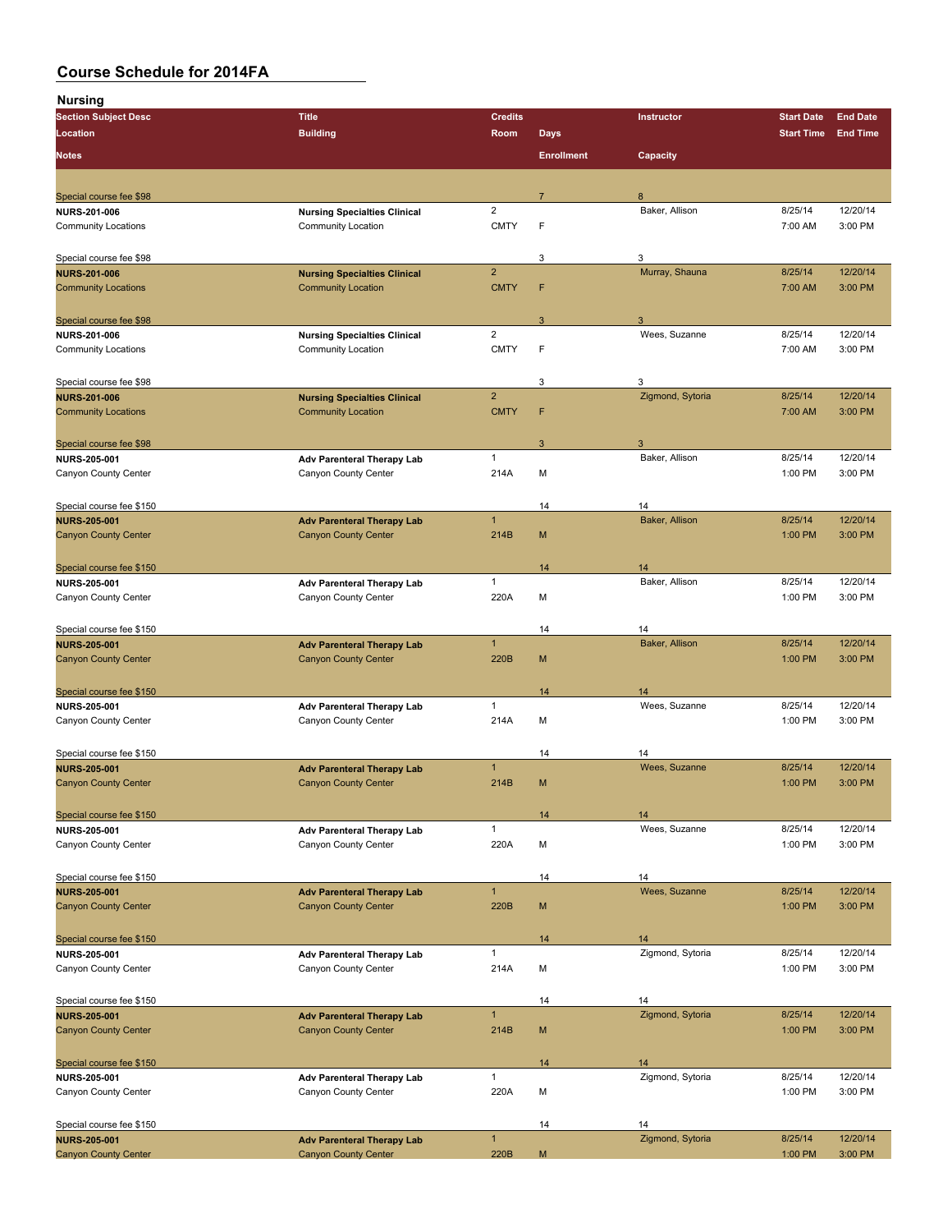| nursing                                     |                                     |                         |                   |                        |                   |                 |
|---------------------------------------------|-------------------------------------|-------------------------|-------------------|------------------------|-------------------|-----------------|
| <b>Section Subject Desc</b>                 | <b>Title</b>                        | <b>Credits</b>          |                   | Instructor             | <b>Start Date</b> | <b>End Date</b> |
| Location                                    | <b>Building</b>                     | Room                    | <b>Days</b>       |                        | <b>Start Time</b> | <b>End Time</b> |
| <b>Notes</b>                                |                                     |                         | <b>Enrollment</b> | Capacity               |                   |                 |
|                                             |                                     |                         |                   |                        |                   |                 |
| Special course fee \$98                     |                                     |                         | $\overline{7}$    | $\mathsf{R}$           |                   |                 |
| <b>NURS-201-006</b>                         | <b>Nursing Specialties Clinical</b> | $\overline{2}$          |                   | Baker, Allison         | 8/25/14           | 12/20/14        |
| <b>Community Locations</b>                  | <b>Community Location</b>           | <b>CMTY</b>             | F                 |                        | 7:00 AM           | 3:00 PM         |
| Special course fee \$98                     |                                     |                         | 3                 | 3                      |                   |                 |
| <b>NURS 201 006</b>                         | <b>Nursing Specialties Clinical</b> | $\overline{2}$          |                   | Murray, Shauna         | 8/25/14           | 12/20/14        |
| <b>Community Locations</b>                  | <b>Community Location</b>           | <b>CMTY</b>             | F                 |                        | 7:00 AM           | 3:00 PM         |
|                                             |                                     |                         |                   |                        |                   |                 |
| Special course fee \$98                     |                                     |                         | 3                 | 3                      |                   |                 |
| <b>NURS-201-006</b>                         | <b>Nursing Specialties Clinical</b> | $\overline{\mathbf{c}}$ |                   | Wees, Suzanne          | 8/25/14           | 12/20/14        |
| <b>Community Locations</b>                  | <b>Community Location</b>           | <b>CMTY</b>             | F                 |                        | 7:00 AM           | 3:00 PM         |
| Special course fee \$98                     |                                     |                         | 3                 | 3                      |                   |                 |
| <b>NURS-201-006</b>                         | <b>Nursing Specialties Clinical</b> | $\overline{2}$          |                   | Zigmond, Sytoria       | 8/25/14           | 12/20/14        |
| <b>Community Locations</b>                  | <b>Community Location</b>           | <b>CMTY</b>             | F                 |                        | 7:00 AM           | 3:00 PM         |
| Special course fee \$98                     |                                     |                         | 3                 | 3                      |                   |                 |
| <b>NURS 205-001</b>                         | Adv Parenteral Therapy Lab          | $\mathbf{1}$            |                   | Baker, Allison         | 8/25/14           | 12/20/14        |
| Canyon County Center                        | Canyon County Center                | 214A                    | M                 |                        | 1:00 PM           | 3:00 PM         |
|                                             |                                     |                         |                   |                        |                   |                 |
| Special course fee \$150                    |                                     |                         | 14                | 14                     |                   |                 |
| <b>NURS 205-001</b>                         | <b>Adv Parenteral Therapy Lab</b>   | $\mathbf{1}$            |                   | Baker, Allison         | 8/25/14           | 12/20/14        |
| <b>Canyon County Center</b>                 | <b>Canyon County Center</b>         | 214B                    | M                 |                        | 1:00 PM           | 3:00 PM         |
| Special course fee \$150                    |                                     |                         | 14                | 14                     |                   |                 |
| <b>NURS 205-001</b>                         | <b>Adv Parenteral Therapy Lab</b>   | $\mathbf{1}$            |                   | Baker, Allison         | 8/25/14           | 12/20/14        |
| Canyon County Center                        | Canyon County Center                | 220A                    | М                 |                        | 1:00 PM           | 3:00 PM         |
|                                             |                                     |                         |                   |                        |                   |                 |
| Special course fee \$150                    |                                     |                         | 14                | 14                     |                   |                 |
| <b>NURS-205-001</b>                         | <b>Adv Parenteral Therapy Lab</b>   | $\mathbf{1}$            |                   | Baker, Allison         | 8/25/14           | 12/20/14        |
| <b>Canyon County Center</b>                 | <b>Canyon County Center</b>         | 220B                    | М                 |                        | 1:00 PM           | 3:00 PM         |
| Special course fee \$150                    |                                     |                         | 14                | 14                     |                   |                 |
| <b>NURS 205-001</b>                         | <b>Adv Parenteral Therapy Lab</b>   | $\mathbf{1}$            |                   | Wees, Suzanne          | 8/25/14           | 12/20/14        |
| Canyon County Center                        | Canyon County Center                | 214A                    | М                 |                        | 1:00 PM           | 3:00 PM         |
|                                             |                                     |                         |                   |                        |                   |                 |
| Special course fee \$150                    |                                     |                         | 14                | 14                     |                   |                 |
| <b>NURS 205-001</b>                         | <b>Adv Parenteral Therapy Lab</b>   | $\mathbf{1}$            |                   | Wees, Suzanne          | 8/25/14           | 12/20/14        |
| <b>Canyon County Center</b>                 | <b>Canyon County Center</b>         | 214B                    | M                 |                        | 1:00 PM           | 3:00 PM         |
| Special course fee \$150                    |                                     |                         | 14                | 14                     |                   |                 |
| <b>NURS 205 001</b>                         | <b>Adv Parenteral Therapy Lab</b>   | $\mathbf{1}$            |                   | Wees, Suzanne          | 8/25/14           | 12/20/14        |
| Canyon County Center                        | Canyon County Center                | 220A                    | М                 |                        | 1:00 PM           | 3:00 PM         |
| Special course fee \$150                    |                                     |                         | 14                | 14                     |                   |                 |
| <b>NURS-205-001</b>                         | <b>Adv Parenteral Therapy Lab</b>   | $\mathbf{1}$            |                   | Wees, Suzanne          | 8/25/14           | 12/20/14        |
| <b>Canyon County Center</b>                 | <b>Canyon County Center</b>         | 220B                    | М                 |                        | 1:00 PM           | 3:00 PM         |
|                                             |                                     |                         |                   |                        |                   |                 |
| Special course fee \$150                    | Adv Parenteral Therapy Lab          | $\mathbf{1}$            | 14                | 14<br>Zigmond, Sytoria | 8/25/14           | 12/20/14        |
| <b>NURS 205-001</b><br>Canyon County Center | Canyon County Center                |                         |                   |                        | 1:00 PM           | 3:00 PM         |
|                                             |                                     | 214A                    | М                 |                        |                   |                 |
| Special course fee \$150                    |                                     |                         | 14                | 14                     |                   |                 |
| <b>NURS 205-001</b>                         | <b>Adv Parenteral Therapy Lab</b>   | $\mathbf{1}$            |                   | Zigmond, Sytoria       | 8/25/14           | 12/20/14        |
| <b>Canyon County Center</b>                 | <b>Canyon County Center</b>         | 214B                    | M                 |                        | 1:00 PM           | 3:00 PM         |
| Special course fee \$150                    |                                     |                         | 14                | 14                     |                   |                 |
| <b>NURS 205 001</b>                         | Adv Parenteral Therapy Lab          | $\mathbf{1}$            |                   | Zigmond, Sytoria       | 8/25/14           | 12/20/14        |
| Canyon County Center                        | Canyon County Center                | 220A                    | М                 |                        | 1:00 PM           | 3:00 PM         |
|                                             |                                     |                         |                   |                        |                   |                 |
| Special course fee \$150                    |                                     |                         | 14                | 14                     |                   |                 |
| <b>NURS-205-001</b>                         | <b>Adv Parenteral Therapy Lab</b>   | $\mathbf{1}$            |                   | Zigmond, Sytoria       | 8/25/14           | 12/20/14        |
| <b>Canyon County Center</b>                 | <b>Canyon County Center</b>         | 220B                    | M                 |                        | 1:00 PM           | 3:00 PM         |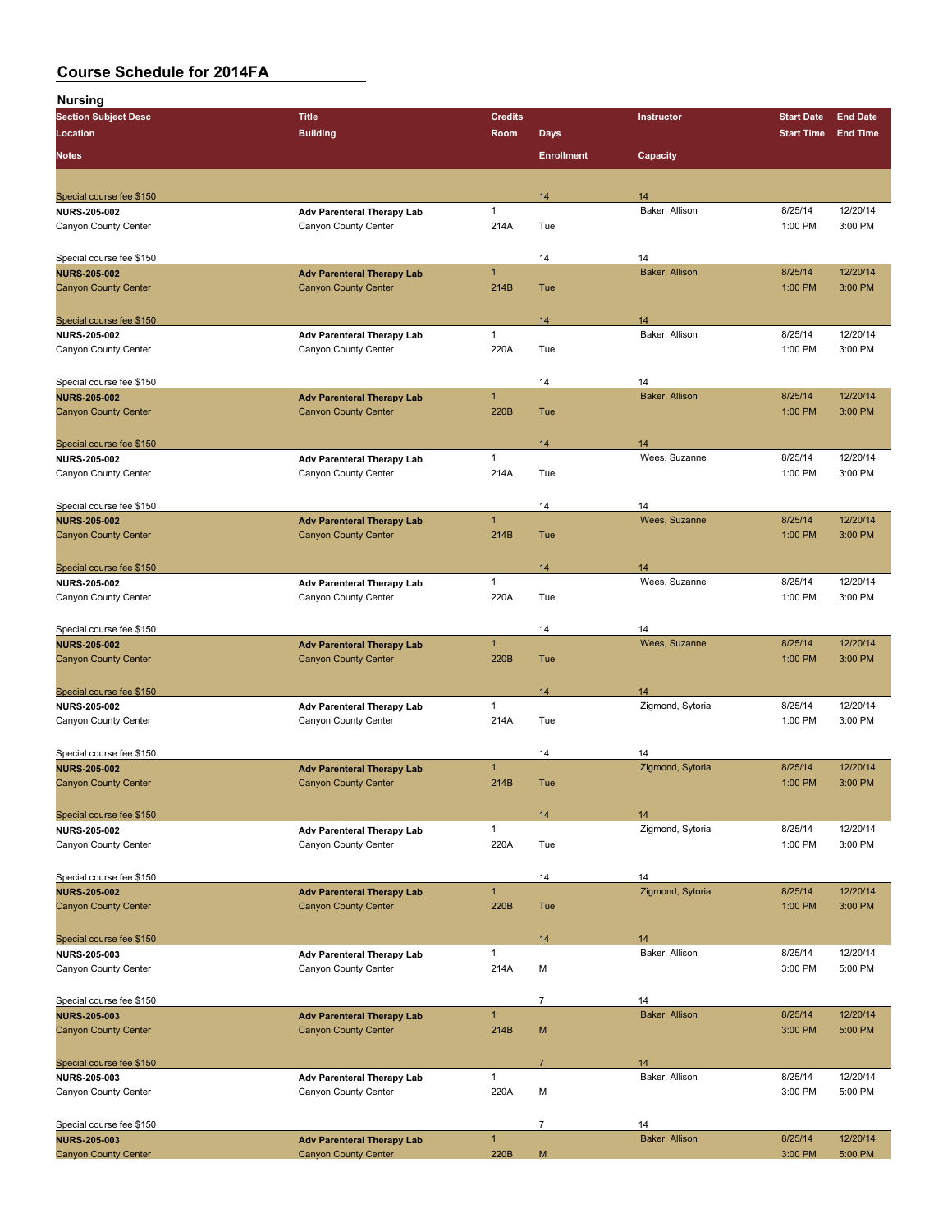| . <u>.</u><br><b>Section Subject Desc</b> | <b>Title</b>                      | <b>Credits</b> |                   | Instructor       | <b>Start Date</b> | <b>End Date</b> |
|-------------------------------------------|-----------------------------------|----------------|-------------------|------------------|-------------------|-----------------|
| Location                                  | <b>Building</b>                   | Room           | <b>Days</b>       |                  | <b>Start Time</b> | <b>End Time</b> |
|                                           |                                   |                |                   |                  |                   |                 |
| <b>Notes</b>                              |                                   |                | <b>Enrollment</b> | Capacity         |                   |                 |
|                                           |                                   |                |                   |                  |                   |                 |
| Special course fee \$150                  |                                   |                | 14                | 14               |                   |                 |
| <b>NURS-205-002</b>                       | Adv Parenteral Therapy Lab        | $\mathbf{1}$   |                   | Baker, Allison   | 8/25/14           | 12/20/14        |
| Canyon County Center                      | Canyon County Center              | 214A           | Tue               |                  | 1:00 PM           | 3:00 PM         |
|                                           |                                   |                |                   |                  |                   |                 |
| Special course fee \$150                  |                                   |                | 14                | 14               |                   |                 |
| <b>NURS-205-002</b>                       | <b>Adv Parenteral Therapy Lab</b> | $\mathbf{1}$   |                   | Baker, Allison   | 8/25/14           | 12/20/14        |
| <b>Canyon County Center</b>               | <b>Canyon County Center</b>       | 214B           | Tue               |                  | 1:00 PM           | 3:00 PM         |
|                                           |                                   |                |                   |                  |                   |                 |
| Special course fee \$150                  |                                   |                | 14                | 14               |                   |                 |
| <b>NURS-205-002</b>                       | Adv Parenteral Therapy Lab        | $\mathbf{1}$   |                   | Baker, Allison   | 8/25/14           | 12/20/14        |
| Canyon County Center                      | Canyon County Center              | 220A           | Tue               |                  | 1:00 PM           | 3:00 PM         |
|                                           |                                   |                |                   |                  |                   |                 |
| Special course fee \$150                  |                                   |                | 14                | 14               |                   |                 |
| <b>NURS-205-002</b>                       | <b>Adv Parenteral Therapy Lab</b> | $\mathbf{1}$   |                   | Baker, Allison   | 8/25/14           | 12/20/14        |
| <b>Canyon County Center</b>               | <b>Canyon County Center</b>       | 220B           | Tue               |                  | 1:00 PM           | 3:00 PM         |
|                                           |                                   |                |                   |                  |                   |                 |
| Special course fee \$150                  |                                   |                | 14                | 14               |                   |                 |
| <b>NURS-205-002</b>                       | Adv Parenteral Therapy Lab        | $\mathbf{1}$   |                   | Wees, Suzanne    | 8/25/14           | 12/20/14        |
| Canyon County Center                      | Canyon County Center              | 214A           | Tue               |                  | 1:00 PM           | 3:00 PM         |
|                                           |                                   |                |                   |                  |                   |                 |
| Special course fee \$150                  |                                   |                | 14                | 14               |                   |                 |
| <b>NURS-205-002</b>                       | <b>Adv Parenteral Therapy Lab</b> | $\mathbf{1}$   |                   | Wees, Suzanne    | 8/25/14           | 12/20/14        |
| <b>Canyon County Center</b>               | <b>Canyon County Center</b>       | 214B           | Tue               |                  | 1:00 PM           | 3:00 PM         |
|                                           |                                   |                |                   |                  |                   |                 |
| Special course fee \$150                  |                                   |                | 14                | 14               |                   |                 |
| <b>NURS 205-002</b>                       | Adv Parenteral Therapy Lab        | $\mathbf{1}$   |                   | Wees, Suzanne    | 8/25/14           | 12/20/14        |
| Canyon County Center                      | Canyon County Center              | 220A           | Tue               |                  | 1:00 PM           | 3:00 PM         |
|                                           |                                   |                |                   |                  |                   |                 |
| Special course fee \$150                  |                                   |                | 14                | 14               |                   |                 |
| <b>NURS 205-002</b>                       | <b>Adv Parenteral Therapy Lab</b> | $\mathbf{1}$   |                   | Wees, Suzanne    | 8/25/14           | 12/20/14        |
| <b>Canyon County Center</b>               | <b>Canyon County Center</b>       | 220B           | Tue               |                  | 1:00 PM           | 3:00 PM         |
|                                           |                                   |                |                   |                  |                   |                 |
| Special course fee \$150                  |                                   |                | 14                | 14               |                   |                 |
| <b>NURS-205-002</b>                       | Adv Parenteral Therapy Lab        | $\mathbf{1}$   |                   | Zigmond, Sytoria | 8/25/14           | 12/20/14        |
| Canyon County Center                      | Canyon County Center              | 214A           | Tue               |                  | 1:00 PM           | 3:00 PM         |
|                                           |                                   |                |                   |                  |                   |                 |
| Special course fee \$150                  |                                   |                | 14                | 14               |                   |                 |
| <b>NURS-205-002</b>                       | <b>Adv Parenteral Therapy Lab</b> | $\mathbf{1}$   |                   | Zigmond, Sytoria | 8/25/14           | 12/20/14        |
| <b>Canyon County Center</b>               | <b>Canyon County Center</b>       | 214B           | Tue               |                  | 1:00 PM           | 3:00 PM         |
|                                           |                                   |                |                   |                  |                   |                 |
| Special course fee \$150                  |                                   |                | 14                | 14               |                   |                 |
| <b>NURS 205-002</b>                       | Adv Parenteral Therapy Lab        | $\mathbf{1}$   |                   | Zigmond, Sytoria | 8/25/14           | 12/20/14        |
| Canyon County Center                      | Canyon County Center              | 220A           | Tue               |                  | 1:00 PM           | 3:00 PM         |
|                                           |                                   |                |                   |                  |                   |                 |
| Special course fee \$150                  |                                   |                | 14                | 14               |                   |                 |
| <b>NURS 205 002</b>                       | <b>Adv Parenteral Therapy Lab</b> | $\mathbf{1}$   |                   | Zigmond, Sytoria | 8/25/14           | 12/20/14        |
| <b>Canyon County Center</b>               | <b>Canyon County Center</b>       | 220B           | Tue               |                  | 1:00 PM           | 3:00 PM         |
|                                           |                                   |                |                   |                  |                   |                 |
| Special course fee \$150                  |                                   |                | 14                | 14               |                   |                 |
| <b>NURS-205-003</b>                       | Adv Parenteral Therapy Lab        | $\mathbf{1}$   |                   | Baker, Allison   | 8/25/14           | 12/20/14        |
| Canyon County Center                      | Canyon County Center              | 214A           | М                 |                  | 3:00 PM           | 5:00 PM         |
|                                           |                                   |                |                   |                  |                   |                 |
| Special course fee \$150                  |                                   |                | $\boldsymbol{7}$  | 14               |                   |                 |
| <b>NURS 205-003</b>                       | <b>Adv Parenteral Therapy Lab</b> | $\mathbf{1}$   |                   | Baker, Allison   | 8/25/14           | 12/20/14        |
| <b>Canyon County Center</b>               | <b>Canyon County Center</b>       | 214B           | M                 |                  | 3:00 PM           | 5:00 PM         |
|                                           |                                   |                |                   |                  |                   |                 |
| Special course fee \$150                  |                                   |                | $\overline{7}$    | 14               |                   |                 |
| <b>NURS 205-003</b>                       | Adv Parenteral Therapy Lab        | $\mathbf{1}$   |                   | Baker, Allison   | 8/25/14           | 12/20/14        |
| Canyon County Center                      | Canyon County Center              | 220A           | M                 |                  | 3:00 PM           | 5:00 PM         |
|                                           |                                   |                |                   |                  |                   |                 |
| Special course fee \$150                  |                                   |                | $\overline{7}$    | 14               |                   |                 |
| <b>NURS-205-003</b>                       | <b>Adv Parenteral Therapy Lab</b> | $\mathbf{1}$   |                   | Baker, Allison   | 8/25/14           | 12/20/14        |
| <b>Canyon County Center</b>               | <b>Canyon County Center</b>       | 220B           | M                 |                  | 3:00 PM           | 5:00 PM         |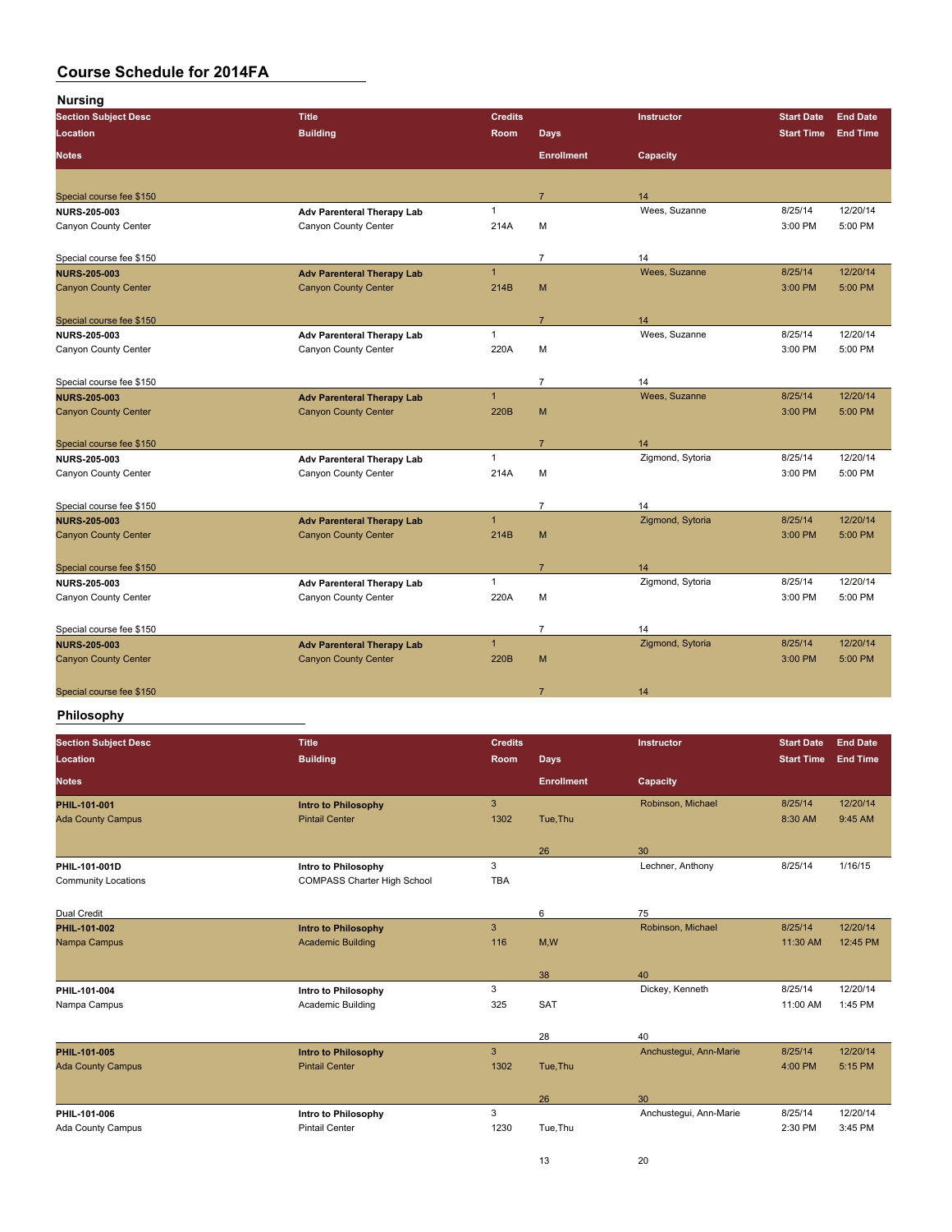| <b>Section Subject Desc</b> | <b>Title</b>                      | <b>Credits</b> |                   | Instructor       | <b>Start Date</b> | <b>End Date</b> |
|-----------------------------|-----------------------------------|----------------|-------------------|------------------|-------------------|-----------------|
| Location                    | <b>Building</b>                   | Room           | <b>Days</b>       |                  | <b>Start Time</b> | <b>End Time</b> |
| <b>Notes</b>                |                                   |                | <b>Enrollment</b> | Capacity         |                   |                 |
|                             |                                   |                |                   |                  |                   |                 |
| Special course fee \$150    |                                   |                | $\overline{7}$    | 14               |                   |                 |
| <b>NURS 205 003</b>         | Adv Parenteral Therapy Lab        | $\mathbf{1}$   |                   | Wees, Suzanne    | 8/25/14           | 12/20/14        |
| Canyon County Center        | Canyon County Center              | 214A           | M                 |                  | 3:00 PM           | 5:00 PM         |
|                             |                                   |                |                   |                  |                   |                 |
| Special course fee \$150    |                                   |                | $\overline{7}$    | 14               |                   |                 |
| <b>NURS 205 003</b>         | <b>Adv Parenteral Therapy Lab</b> | $\overline{1}$ |                   | Wees, Suzanne    | 8/25/14           | 12/20/14        |
| <b>Canyon County Center</b> | <b>Canyon County Center</b>       | 214B           | M                 |                  | 3:00 PM           | 5:00 PM         |
| Special course fee \$150    |                                   |                | $\overline{7}$    | 14               |                   |                 |
| <b>NURS 205 003</b>         | Adv Parenteral Therapy Lab        | $\mathbf{1}$   |                   | Wees, Suzanne    | 8/25/14           | 12/20/14        |
| Canyon County Center        | Canyon County Center              | 220A           | M                 |                  | 3:00 PM           | 5:00 PM         |
|                             |                                   |                |                   |                  |                   |                 |
| Special course fee \$150    |                                   |                | $\overline{7}$    | 14               |                   |                 |
| <b>NURS 205 003</b>         | <b>Adv Parenteral Therapy Lab</b> | $\mathbf{1}$   |                   | Wees, Suzanne    | 8/25/14           | 12/20/14        |
| <b>Canyon County Center</b> | <b>Canyon County Center</b>       | 220B           | M                 |                  | 3:00 PM           | 5:00 PM         |
|                             |                                   |                |                   |                  |                   |                 |
| Special course fee \$150    |                                   |                | $\overline{7}$    | 14               |                   |                 |
| <b>NURS 205 003</b>         | <b>Adv Parenteral Therapy Lab</b> | $\mathbf{1}$   |                   | Zigmond, Sytoria | 8/25/14           | 12/20/14        |
| Canyon County Center        | Canyon County Center              | 214A           | M                 |                  | 3:00 PM           | 5:00 PM         |
|                             |                                   |                |                   |                  |                   |                 |
| Special course fee \$150    |                                   |                | $\overline{7}$    | 14               |                   |                 |
| <b>NURS 205 003</b>         | <b>Adv Parenteral Therapy Lab</b> | $\mathbf{1}$   |                   | Zigmond, Sytoria | 8/25/14           | 12/20/14        |
| <b>Canyon County Center</b> | <b>Canyon County Center</b>       | 214B           | M                 |                  | 3:00 PM           | 5:00 PM         |
|                             |                                   |                |                   |                  |                   |                 |
| Special course fee \$150    |                                   |                | $\overline{7}$    | 14               |                   |                 |
| <b>NURS 205 003</b>         | <b>Adv Parenteral Therapy Lab</b> | $\mathbf{1}$   |                   | Zigmond, Sytoria | 8/25/14           | 12/20/14        |
| Canyon County Center        | Canyon County Center              | 220A           | M                 |                  | 3:00 PM           | 5:00 PM         |
|                             |                                   |                |                   |                  |                   |                 |
| Special course fee \$150    |                                   |                | $\overline{7}$    | 14               |                   |                 |
| <b>NURS 205 003</b>         | <b>Adv Parenteral Therapy Lab</b> | $\overline{1}$ |                   | Zigmond, Sytoria | 8/25/14           | 12/20/14        |
| <b>Canyon County Center</b> | <b>Canyon County Center</b>       | 220B           | M                 |                  | 3:00 PM           | 5:00 PM         |
|                             |                                   |                |                   |                  |                   |                 |
| Special course fee \$150    |                                   |                | $\overline{7}$    | 14               |                   |                 |

#### **Philosophy**

| <b>Section Subject Desc</b> | <b>Title</b>                       | <b>Credits</b> |                   | <b>Instructor</b>      | <b>Start Date</b> | <b>End Date</b> |
|-----------------------------|------------------------------------|----------------|-------------------|------------------------|-------------------|-----------------|
| Location                    | <b>Building</b>                    | Room           | <b>Days</b>       |                        | <b>Start Time</b> | <b>End Time</b> |
| <b>Notes</b>                |                                    |                | <b>Enrollment</b> | Capacity               |                   |                 |
| <b>PHIL 101-001</b>         | <b>Intro to Philosophy</b>         | 3              |                   | Robinson, Michael      | 8/25/14           | 12/20/14        |
| <b>Ada County Campus</b>    | <b>Pintail Center</b>              | 1302           | Tue, Thu          |                        | 8:30 AM           | 9:45 AM         |
|                             |                                    |                | 26                | 30                     |                   |                 |
| PHIL-101-001D               | Intro to Philosophy                | 3              |                   | Lechner, Anthony       | 8/25/14           | 1/16/15         |
| <b>Community Locations</b>  | <b>COMPASS Charter High School</b> | <b>TBA</b>     |                   |                        |                   |                 |
| <b>Dual Credit</b>          |                                    |                | 6                 | 75                     |                   |                 |
| <b>PHIL 101 002</b>         | <b>Intro to Philosophy</b>         | 3              |                   | Robinson, Michael      | 8/25/14           | 12/20/14        |
| Nampa Campus                | <b>Academic Building</b>           | 116            | M,W               |                        | 11:30 AM          | 12:45 PM        |
|                             |                                    |                | 38                | 40                     |                   |                 |
| PHIL-101-004                | Intro to Philosophy                | 3              |                   | Dickey, Kenneth        | 8/25/14           | 12/20/14        |
| Nampa Campus                | Academic Building                  | 325            | SAT               |                        | 11:00 AM          | 1:45 PM         |
|                             |                                    |                | 28                | 40                     |                   |                 |
| PHIL 101-005                | <b>Intro to Philosophy</b>         | 3              |                   | Anchustegui, Ann-Marie | 8/25/14           | 12/20/14        |
| <b>Ada County Campus</b>    | <b>Pintail Center</b>              | 1302           | Tue, Thu          |                        | 4:00 PM           | 5:15 PM         |
|                             |                                    |                | 26                | 30                     |                   |                 |
| PHIL 101-006                | Intro to Philosophy                | 3              |                   | Anchustegui, Ann-Marie | 8/25/14           | 12/20/14        |
| Ada County Campus           | <b>Pintail Center</b>              | 1230           | Tue, Thu          |                        | 2:30 PM           | 3:45 PM         |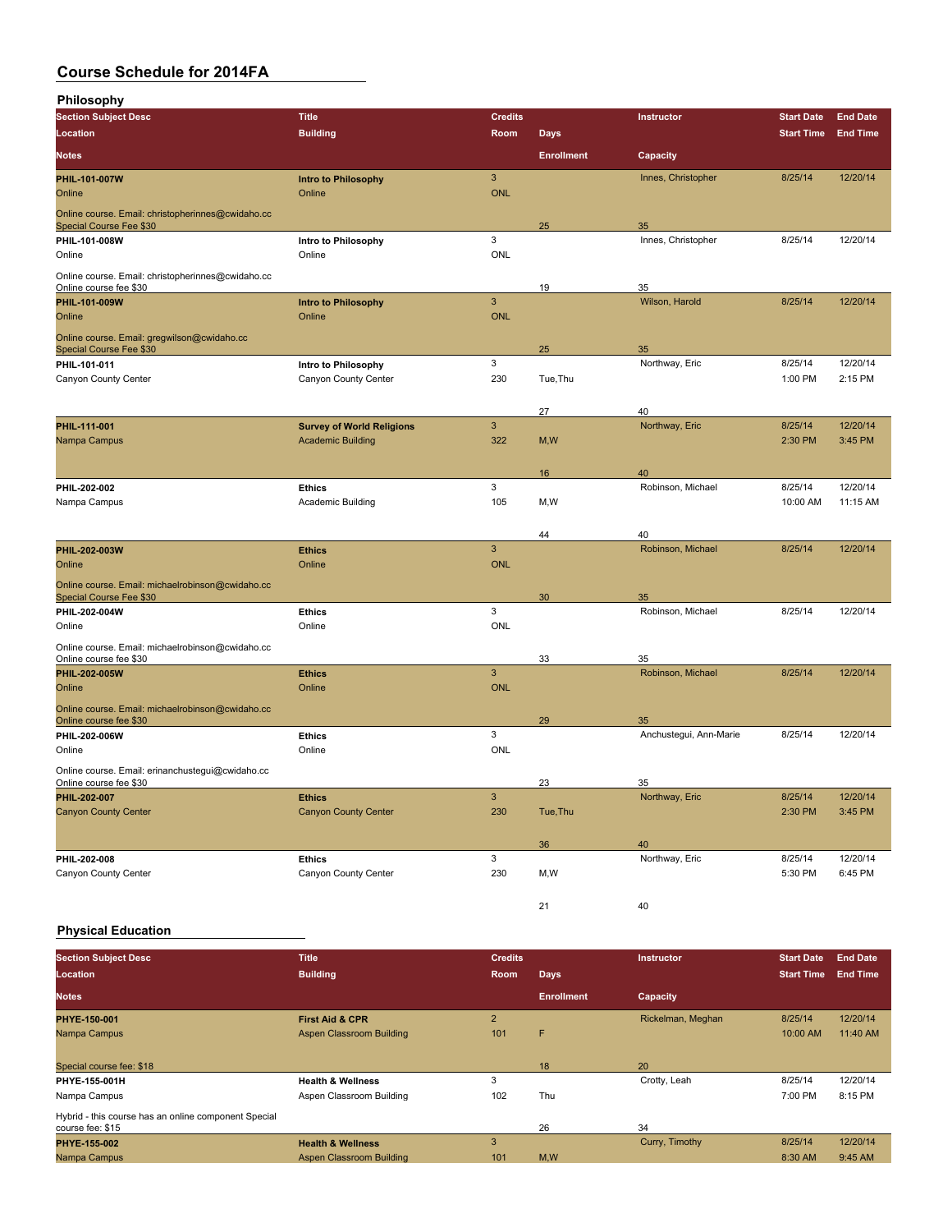**Philosophy**

| <b>Section Subject Desc</b>                                                  | <b>Title</b>                                                 | <b>Credits</b>            |                            | Instructor                   | <b>Start Date</b>  | <b>End Date</b>     |
|------------------------------------------------------------------------------|--------------------------------------------------------------|---------------------------|----------------------------|------------------------------|--------------------|---------------------|
| Location                                                                     | <b>Building</b>                                              | Room                      | $\overline{\mathsf{Days}}$ |                              | <b>Start Time</b>  | <b>End Time</b>     |
| <b>Notes</b>                                                                 |                                                              |                           | <b>Enrollment</b>          | Capacity                     |                    |                     |
| PHIL-101-007W                                                                | Intro to Philosophy                                          | $\mathbf{3}$              |                            | Innes, Christopher           | 8/25/14            | 12/20/14            |
| Online                                                                       | Online                                                       | <b>ONL</b>                |                            |                              |                    |                     |
| Online course. Email: christopherinnes@cwidaho.cc<br>Special Course Fee \$30 |                                                              |                           | 25                         | 35                           |                    |                     |
| PHIL-101-008W                                                                | Intro to Philosophy                                          | $\ensuremath{\mathsf{3}}$ |                            | Innes, Christopher           | 8/25/14            | 12/20/14            |
| Online                                                                       | Online                                                       | ONL                       |                            |                              |                    |                     |
| Online course. Email: christopherinnes@cwidaho.cc<br>Online course fee \$30  |                                                              |                           | 19                         | 35                           |                    |                     |
| PHIL-101-009W                                                                | <b>Intro to Philosophy</b>                                   | $\ensuremath{\mathsf{3}}$ |                            | Wilson, Harold               | 8/25/14            | 12/20/14            |
| Online                                                                       | Online                                                       | ONL                       |                            |                              |                    |                     |
| Online course. Email: gregwilson@cwidaho.cc<br>Special Course Fee \$30       |                                                              |                           | 25                         | 35                           |                    |                     |
| PHIL-101-011                                                                 | Intro to Philosophy                                          | 3                         |                            | Northway, Eric               | 8/25/14            | 12/20/14            |
| Canyon County Center                                                         | Canyon County Center                                         | 230                       | Tue, Thu                   |                              | 1:00 PM            | 2:15 PM             |
|                                                                              |                                                              |                           |                            |                              |                    |                     |
|                                                                              |                                                              |                           | 27                         | 40                           |                    |                     |
| PHIL-111-001<br>Nampa Campus                                                 | <b>Survey of World Religions</b><br><b>Academic Building</b> | $\mathsf 3$<br>322        | M,W                        | Northway, Eric               | 8/25/14<br>2:30 PM | 12/20/14<br>3:45 PM |
|                                                                              |                                                              |                           |                            |                              |                    |                     |
|                                                                              |                                                              |                           | 16                         | 40                           |                    |                     |
| PHIL-202-002                                                                 | <b>Ethics</b>                                                | 3                         |                            | Robinson, Michael            | 8/25/14            | 12/20/14            |
| Nampa Campus                                                                 | Academic Building                                            | 105                       | M, W                       |                              | 10:00 AM           | 11:15 AM            |
|                                                                              |                                                              |                           |                            |                              |                    |                     |
|                                                                              |                                                              |                           | 44                         | 40                           |                    |                     |
| PHIL-202-003W                                                                | <b>Ethics</b>                                                | 3                         |                            | Robinson, Michael            | 8/25/14            | 12/20/14            |
| Online                                                                       | Online                                                       | <b>ONL</b>                |                            |                              |                    |                     |
| Online course. Email: michaelrobinson@cwidaho.cc<br>Special Course Fee \$30  |                                                              |                           | 30                         | 35                           |                    |                     |
| PHIL-202-004W                                                                | <b>Ethics</b>                                                | 3                         |                            | Robinson, Michael            | 8/25/14            | 12/20/14            |
| Online                                                                       | Online                                                       | ONL                       |                            |                              |                    |                     |
| Online course. Email: michaelrobinson@cwidaho.cc                             |                                                              |                           |                            |                              |                    |                     |
| Online course fee \$30<br>PHIL-202-005W                                      | <b>Ethics</b>                                                | 3                         | 33                         | 35<br>Robinson, Michael      | 8/25/14            | 12/20/14            |
| Online                                                                       | Online                                                       | <b>ONL</b>                |                            |                              |                    |                     |
| Online course. Email: michaelrobinson@cwidaho.cc                             |                                                              |                           |                            |                              |                    |                     |
| Online course fee \$30<br>PHIL-202-006W                                      | <b>Ethics</b>                                                | 3                         | 29                         | 35<br>Anchustegui, Ann-Marie | 8/25/14            | 12/20/14            |
| Online                                                                       | Online                                                       | ONL                       |                            |                              |                    |                     |
| Online course. Email: erinanchustegui@cwidaho.cc                             |                                                              |                           |                            |                              |                    |                     |
| Online course fee \$30                                                       |                                                              |                           | 23                         | 35                           |                    |                     |
| PHIL-202-007                                                                 | <b>Ethics</b>                                                | $\mathbf{3}$              |                            | Northway, Eric               | 8/25/14            | 12/20/14            |
| <b>Canyon County Center</b>                                                  | <b>Canyon County Center</b>                                  | 230                       | Tue, Thu                   |                              | 2:30 PM            | 3:45 PM             |
|                                                                              |                                                              |                           |                            |                              |                    |                     |
| PHIL-202-008                                                                 | <b>Ethics</b>                                                | 3                         | 36                         | 40<br>Northway, Eric         | 8/25/14            | 12/20/14            |
| Canyon County Center                                                         | Canyon County Center                                         | 230                       | M, W                       |                              | 5:30 PM            | 6:45 PM             |
|                                                                              |                                                              |                           |                            |                              |                    |                     |
|                                                                              |                                                              |                           | 21                         | 40                           |                    |                     |

#### **Physical Education**

| <b>Section Subject Desc</b>                                              | <b>Title</b>                 | <b>Credits</b> |                   | Instructor        | <b>Start Date</b> | <b>End Date</b> |
|--------------------------------------------------------------------------|------------------------------|----------------|-------------------|-------------------|-------------------|-----------------|
| Location                                                                 | <b>Building</b>              | Room           | <b>Days</b>       |                   | <b>Start Time</b> | <b>End Time</b> |
| <b>Notes</b>                                                             |                              |                | <b>Enrollment</b> | Capacity          |                   |                 |
| PHYE 150-001                                                             | <b>First Aid &amp; CPR</b>   | $\overline{2}$ |                   | Rickelman, Meghan | 8/25/14           | 12/20/14        |
| Nampa Campus                                                             | Aspen Classroom Building     | 101            | F                 |                   | 10:00 AM          | 11:40 AM        |
| Special course fee: \$18                                                 |                              |                | 18                | 20                |                   |                 |
| PHYE-155-001H                                                            | <b>Health &amp; Wellness</b> | 3              |                   | Crotty, Leah      | 8/25/14           | 12/20/14        |
| Nampa Campus                                                             | Aspen Classroom Building     | 102            | Thu               |                   | 7:00 PM           | 8:15 PM         |
| Hybrid - this course has an online component Special<br>course fee: \$15 |                              |                | 26                | 34                |                   |                 |
| <b>PHYE 155 002</b>                                                      | <b>Health &amp; Wellness</b> | 3              |                   | Curry, Timothy    | 8/25/14           | 12/20/14        |
| Nampa Campus                                                             | Aspen Classroom Building     | 101            | M,W               |                   | 8:30 AM           | 9:45 AM         |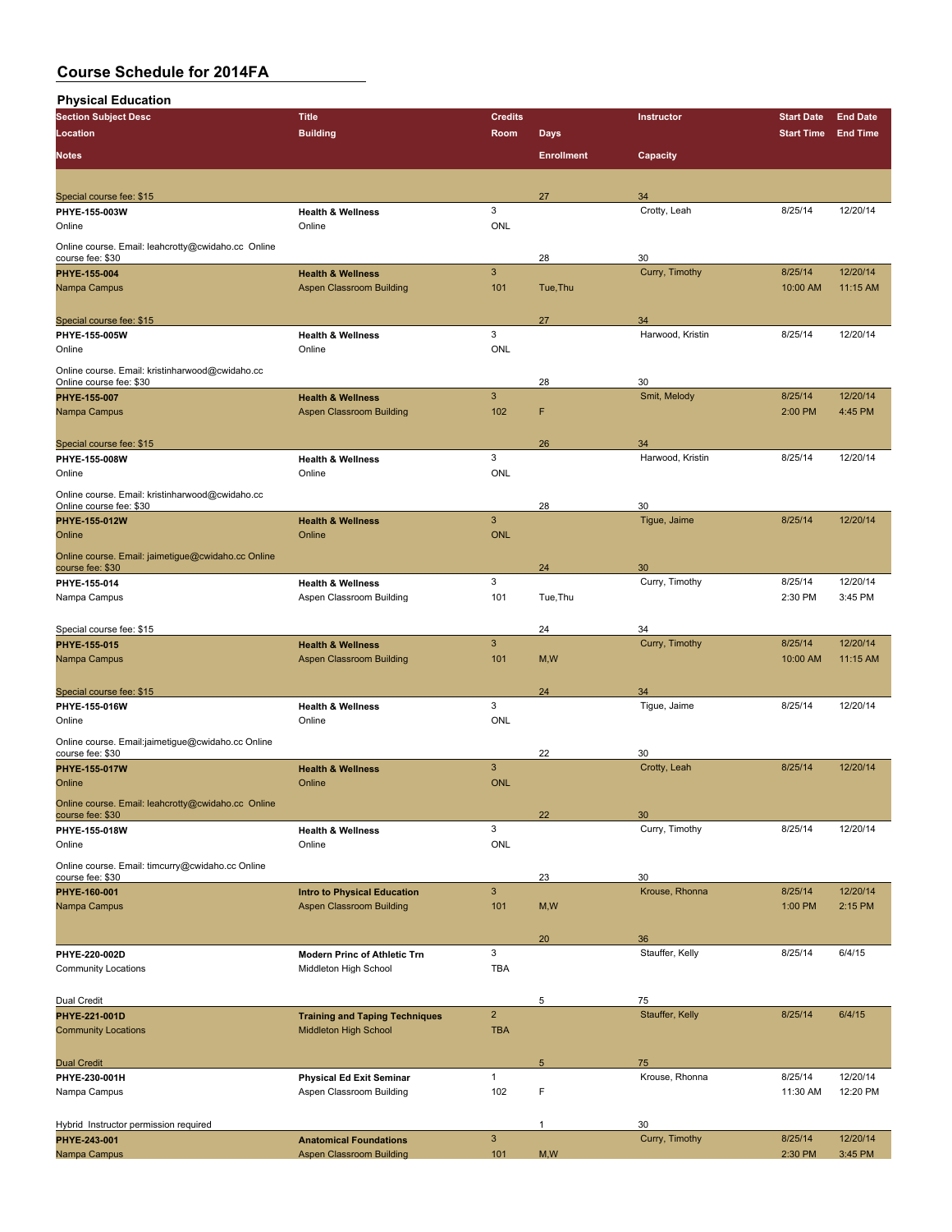**Physical Education**

| <b>Section Subject Desc</b>                                                | <b>Title</b>                                                   | <b>Credits</b>            |                   | Instructor            | <b>Start Date</b>   | <b>End Date</b> |
|----------------------------------------------------------------------------|----------------------------------------------------------------|---------------------------|-------------------|-----------------------|---------------------|-----------------|
| Location                                                                   | <b>Building</b>                                                | Room                      | <b>Days</b>       |                       | <b>Start Time</b>   | <b>End Time</b> |
| <b>Notes</b>                                                               |                                                                |                           |                   |                       |                     |                 |
|                                                                            |                                                                |                           | <b>Enrollment</b> | Capacity              |                     |                 |
|                                                                            |                                                                |                           |                   |                       |                     |                 |
| Special course fee: \$15                                                   |                                                                |                           | 27                | 34                    |                     |                 |
| PHYE-155-003W                                                              | <b>Health &amp; Wellness</b>                                   | 3                         |                   | Crotty, Leah          | 8/25/14             | 12/20/14        |
| Online                                                                     | Online                                                         | <b>ONL</b>                |                   |                       |                     |                 |
| Online course. Email: leahcrotty@cwidaho.cc Online                         |                                                                |                           |                   |                       |                     |                 |
| course fee: \$30                                                           |                                                                |                           | 28                | 30                    |                     | 12/20/14        |
| PHYE-155-004<br>Nampa Campus                                               | <b>Health &amp; Wellness</b>                                   | 3<br>101                  | Tue, Thu          | Curry, Timothy        | 8/25/14<br>10:00 AM | 11:15 AM        |
|                                                                            | Aspen Classroom Building                                       |                           |                   |                       |                     |                 |
|                                                                            |                                                                |                           | 27                | 34                    |                     |                 |
| Special course fee: \$15<br>PHYE-155-005W                                  | <b>Health &amp; Wellness</b>                                   | 3                         |                   | Harwood, Kristin      | 8/25/14             | 12/20/14        |
| Online                                                                     | Online                                                         | <b>ONL</b>                |                   |                       |                     |                 |
|                                                                            |                                                                |                           |                   |                       |                     |                 |
| Online course. Email: kristinharwood@cwidaho.cc<br>Online course fee: \$30 |                                                                |                           | 28                | 30                    |                     |                 |
| <b>PHYE 155 007</b>                                                        | <b>Health &amp; Wellness</b>                                   | $\mathbf{3}$              |                   | Smit, Melody          | 8/25/14             | 12/20/14        |
| Nampa Campus                                                               | Aspen Classroom Building                                       | 102                       | F                 |                       | 2:00 PM             | 4:45 PM         |
|                                                                            |                                                                |                           |                   |                       |                     |                 |
| Special course fee: \$15                                                   |                                                                |                           | 26                | 34                    |                     |                 |
| PHYE-155-008W                                                              | <b>Health &amp; Wellness</b>                                   | 3                         |                   | Harwood, Kristin      | 8/25/14             | 12/20/14        |
| Online                                                                     | Online                                                         | ONL                       |                   |                       |                     |                 |
| Online course. Email: kristinharwood@cwidaho.cc                            |                                                                |                           |                   |                       |                     |                 |
| Online course fee: \$30                                                    |                                                                |                           | 28                | 30                    |                     |                 |
| PHYE-155-012W                                                              | <b>Health &amp; Wellness</b>                                   | 3                         |                   | Tigue, Jaime          | 8/25/14             | 12/20/14        |
| Online                                                                     | Online                                                         | <b>ONL</b>                |                   |                       |                     |                 |
| Online course. Email: jaimetigue@cwidaho.cc Online                         |                                                                |                           |                   |                       |                     |                 |
| course fee: \$30                                                           |                                                                |                           | 24                | 30                    |                     |                 |
| PHYE-155-014                                                               | <b>Health &amp; Wellness</b>                                   | 3                         |                   | Curry, Timothy        | 8/25/14             | 12/20/14        |
| Nampa Campus                                                               | Aspen Classroom Building                                       | 101                       | Tue, Thu          |                       | 2:30 PM             | 3:45 PM         |
|                                                                            |                                                                |                           |                   |                       |                     |                 |
| Special course fee: \$15                                                   |                                                                |                           | 24                | 34                    |                     |                 |
| PHYE-155-015                                                               | <b>Health &amp; Wellness</b>                                   | $\mathbf{3}$              |                   | Curry, Timothy        | 8/25/14             | 12/20/14        |
| Nampa Campus                                                               | Aspen Classroom Building                                       | 101                       | M, W              |                       | 10:00 AM            | 11:15 AM        |
|                                                                            |                                                                |                           | 24                |                       |                     |                 |
| Special course fee: \$15<br>PHYE-155-016W                                  | <b>Health &amp; Wellness</b>                                   | 3                         |                   | 34<br>Tigue, Jaime    | 8/25/14             | 12/20/14        |
| Online                                                                     | Online                                                         | <b>ONL</b>                |                   |                       |                     |                 |
|                                                                            |                                                                |                           |                   |                       |                     |                 |
| Online course. Email:jaimetigue@cwidaho.cc Online<br>course fee: \$30      |                                                                |                           | 22                | 30                    |                     |                 |
| PHYE-155-017W                                                              | <b>Health &amp; Wellness</b>                                   | 3                         |                   | Crotty, Leah          | 8/25/14             | 12/20/14        |
| Online                                                                     | Online                                                         | <b>ONL</b>                |                   |                       |                     |                 |
| Online course. Email: leahcrotty@cwidaho.cc Online                         |                                                                |                           |                   |                       |                     |                 |
| course fee: \$30                                                           |                                                                |                           | 22                | 30                    |                     |                 |
| PHYE-155-018W                                                              | <b>Health &amp; Wellness</b>                                   | 3                         |                   | Curry, Timothy        | 8/25/14             | 12/20/14        |
| Online                                                                     | Online                                                         | ONL                       |                   |                       |                     |                 |
| Online course. Email: timcurry@cwidaho.cc Online                           |                                                                |                           |                   |                       |                     |                 |
| course fee: \$30                                                           |                                                                |                           | 23                | 30                    |                     |                 |
| PHYE-160-001                                                               | <b>Intro to Physical Education</b>                             | $\ensuremath{\mathsf{3}}$ |                   | Krouse, Rhonna        | 8/25/14             | 12/20/14        |
| Nampa Campus                                                               | <b>Aspen Classroom Building</b>                                | 101                       | M, W              |                       | 1:00 PM             | 2:15 PM         |
|                                                                            |                                                                |                           |                   |                       |                     |                 |
|                                                                            |                                                                |                           | 20                | 36                    |                     |                 |
| PHYE-220-002D<br><b>Community Locations</b>                                | <b>Modern Princ of Athletic Trn</b>                            | 3<br><b>TBA</b>           |                   | Stauffer, Kelly       | 8/25/14             | 6/4/15          |
|                                                                            | Middleton High School                                          |                           |                   |                       |                     |                 |
|                                                                            |                                                                |                           |                   |                       |                     |                 |
| Dual Credit                                                                |                                                                | $\overline{\mathbf{c}}$   | 5                 | 75<br>Stauffer, Kelly | 8/25/14             | 6/4/15          |
| PHYE-221-001D<br><b>Community Locations</b>                                | <b>Training and Taping Techniques</b><br>Middleton High School | <b>TBA</b>                |                   |                       |                     |                 |
|                                                                            |                                                                |                           |                   |                       |                     |                 |
| <b>Dual Credit</b>                                                         |                                                                |                           | 5                 | 75                    |                     |                 |
| PHYE-230-001H                                                              | <b>Physical Ed Exit Seminar</b>                                | $\mathbf{1}$              |                   | Krouse, Rhonna        | 8/25/14             | 12/20/14        |
| Nampa Campus                                                               | Aspen Classroom Building                                       | 102                       | F                 |                       | 11:30 AM            | 12:20 PM        |
|                                                                            |                                                                |                           |                   |                       |                     |                 |
| Hybrid Instructor permission required                                      |                                                                |                           | 1                 | 30                    |                     |                 |
| PHYE-243-001                                                               | <b>Anatomical Foundations</b>                                  | $\ensuremath{\mathsf{3}}$ |                   | Curry, Timothy        | 8/25/14             | 12/20/14        |
| Nampa Campus                                                               | <b>Aspen Classroom Building</b>                                | 101                       | M, W              |                       | 2:30 PM             | 3:45 PM         |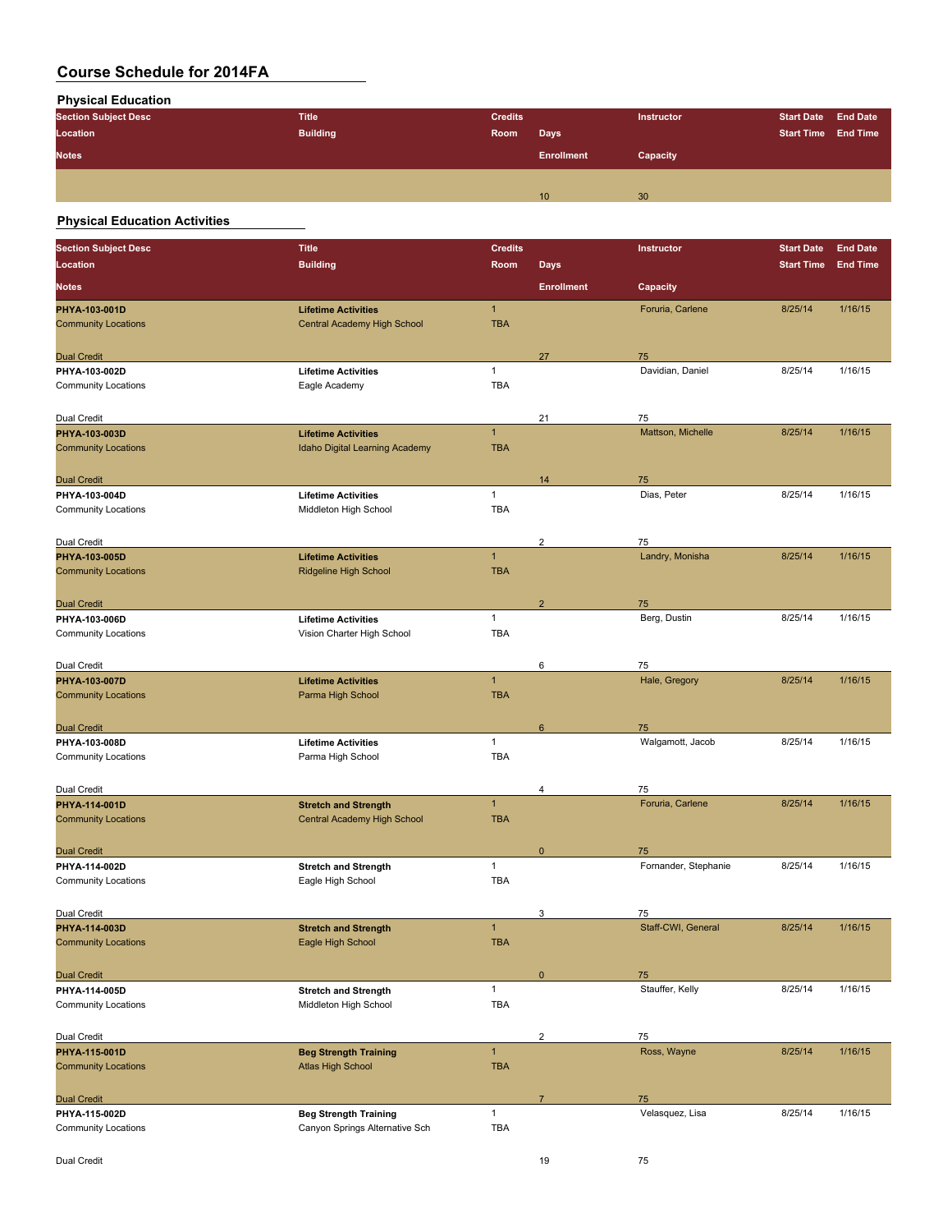**Physical Education**

| <b>Section Subject Desc</b> | <b>Title</b>    | <b>Credits</b> |                   | Instructor | <b>Start Date End Date</b> |  |
|-----------------------------|-----------------|----------------|-------------------|------------|----------------------------|--|
| Location                    | <b>Building</b> | Room           | <b>Days</b>       |            | <b>Start Time End Time</b> |  |
| <b>Notes</b>                |                 |                | <b>Enrollment</b> | Capacity   |                            |  |
|                             |                 |                |                   |            |                            |  |
|                             |                 |                | 10                | 30         |                            |  |

### **Physical Education Activities**

| <b>Section Subject Desc</b>                 | <b>Title</b>                                         | <b>Credits</b> |                         | Instructor              | <b>Start Date</b> | <b>End Date</b> |
|---------------------------------------------|------------------------------------------------------|----------------|-------------------------|-------------------------|-------------------|-----------------|
| Location                                    | <b>Building</b>                                      | <b>Room</b>    | <b>Days</b>             |                         | <b>Start Time</b> | <b>End Time</b> |
| <b>Notes</b>                                |                                                      |                | <b>Enrollment</b>       | Capacity                |                   |                 |
| PHYA-103-001D                               | <b>Lifetime Activities</b>                           | $\mathbf{1}$   |                         | Foruria, Carlene        | 8/25/14           | 1/16/15         |
| <b>Community Locations</b>                  | Central Academy High School                          | <b>TBA</b>     |                         |                         |                   |                 |
|                                             |                                                      |                |                         |                         |                   |                 |
| <b>Dual Credit</b>                          |                                                      |                | 27                      | 75                      |                   |                 |
| PHYA-103-002D                               | <b>Lifetime Activities</b>                           | $\mathbf{1}$   |                         | Davidian, Daniel        | 8/25/14           | 1/16/15         |
| <b>Community Locations</b>                  | Eagle Academy                                        | <b>TBA</b>     |                         |                         |                   |                 |
|                                             |                                                      |                |                         |                         |                   |                 |
| Dual Credit<br>PHYA-103-003D                | <b>Lifetime Activities</b>                           | $\overline{1}$ | 21                      | 75<br>Mattson, Michelle | 8/25/14           | 1/16/15         |
| <b>Community Locations</b>                  | Idaho Digital Learning Academy                       | <b>TBA</b>     |                         |                         |                   |                 |
|                                             |                                                      |                |                         |                         |                   |                 |
| <b>Dual Credit</b>                          |                                                      |                | 14                      | 75                      |                   |                 |
| PHYA-103-004D                               | <b>Lifetime Activities</b>                           | $\mathbf{1}$   |                         | Dias, Peter             | 8/25/14           | 1/16/15         |
| <b>Community Locations</b>                  | Middleton High School                                | <b>TBA</b>     |                         |                         |                   |                 |
|                                             |                                                      |                |                         |                         |                   |                 |
| Dual Credit                                 |                                                      |                | $\overline{c}$          | 75                      |                   |                 |
| PHYA-103-005D                               | <b>Lifetime Activities</b>                           | $\mathbf{1}$   |                         | Landry, Monisha         | 8/25/14           | 1/16/15         |
| <b>Community Locations</b>                  | <b>Ridgeline High School</b>                         | <b>TBA</b>     |                         |                         |                   |                 |
|                                             |                                                      |                |                         |                         |                   |                 |
| <b>Dual Credit</b>                          | <b>Lifetime Activities</b>                           | $\mathbf{1}$   | $\overline{\mathbf{c}}$ | 75<br>Berg, Dustin      | 8/25/14           | 1/16/15         |
| PHYA-103-006D<br><b>Community Locations</b> | Vision Charter High School                           | <b>TBA</b>     |                         |                         |                   |                 |
|                                             |                                                      |                |                         |                         |                   |                 |
| Dual Credit                                 |                                                      |                | 6                       | 75                      |                   |                 |
| PHYA-103-007D                               | <b>Lifetime Activities</b>                           | $\mathbf{1}$   |                         | Hale, Gregory           | 8/25/14           | 1/16/15         |
| <b>Community Locations</b>                  | Parma High School                                    | <b>TBA</b>     |                         |                         |                   |                 |
|                                             |                                                      |                |                         |                         |                   |                 |
| <b>Dual Credit</b>                          |                                                      |                | 6                       | 75                      |                   |                 |
| PHYA-103-008D                               | <b>Lifetime Activities</b>                           | $\mathbf{1}$   |                         | Walgamott, Jacob        | 8/25/14           | 1/16/15         |
| <b>Community Locations</b>                  | Parma High School                                    | <b>TBA</b>     |                         |                         |                   |                 |
|                                             |                                                      |                |                         |                         |                   |                 |
| Dual Credit                                 |                                                      |                | 4                       | 75                      |                   |                 |
| PHYA-114-001D                               | <b>Stretch and Strength</b>                          | $\mathbf{1}$   |                         | Foruria, Carlene        | 8/25/14           | 1/16/15         |
| <b>Community Locations</b>                  | Central Academy High School                          | <b>TBA</b>     |                         |                         |                   |                 |
| <b>Dual Credit</b>                          |                                                      |                | $\mathbf 0$             | 75                      |                   |                 |
| PHYA-114-002D                               | <b>Stretch and Strength</b>                          | $\mathbf{1}$   |                         | Fornander, Stephanie    | 8/25/14           | 1/16/15         |
| <b>Community Locations</b>                  | Eagle High School                                    | <b>TBA</b>     |                         |                         |                   |                 |
|                                             |                                                      |                |                         |                         |                   |                 |
| Dual Credit                                 |                                                      |                | 3                       | 75                      |                   |                 |
| PHYA-114-003D                               | <b>Stretch and Strength</b>                          | $\overline{1}$ |                         | Staff-CWI, General      | 8/25/14           | 1/16/15         |
| <b>Community Locations</b>                  | Eagle High School                                    | <b>TBA</b>     |                         |                         |                   |                 |
|                                             |                                                      |                |                         |                         |                   |                 |
| <b>Dual Credit</b>                          |                                                      | $\mathbf{1}$   | $\mathbf 0$             | 75<br>Stauffer, Kelly   | 8/25/14           | 1/16/15         |
| PHYA-114-005D<br><b>Community Locations</b> | <b>Stretch and Strength</b><br>Middleton High School | TBA            |                         |                         |                   |                 |
|                                             |                                                      |                |                         |                         |                   |                 |
| Dual Credit                                 |                                                      |                | $\overline{2}$          | 75                      |                   |                 |
| PHYA-115-001D                               | <b>Beg Strength Training</b>                         | $\mathbf{1}$   |                         | Ross, Wayne             | 8/25/14           | 1/16/15         |
| <b>Community Locations</b>                  | <b>Atlas High School</b>                             | <b>TBA</b>     |                         |                         |                   |                 |
|                                             |                                                      |                |                         |                         |                   |                 |
| <b>Dual Credit</b>                          |                                                      |                | $\overline{7}$          | 75                      |                   |                 |
| PHYA-115-002D                               | <b>Beg Strength Training</b>                         | $\mathbf{1}$   |                         | Velasquez, Lisa         | 8/25/14           | 1/16/15         |
| <b>Community Locations</b>                  | Canyon Springs Alternative Sch                       | <b>TBA</b>     |                         |                         |                   |                 |
|                                             |                                                      |                |                         |                         |                   |                 |
| Dual Credit                                 |                                                      |                | 19                      | 75                      |                   |                 |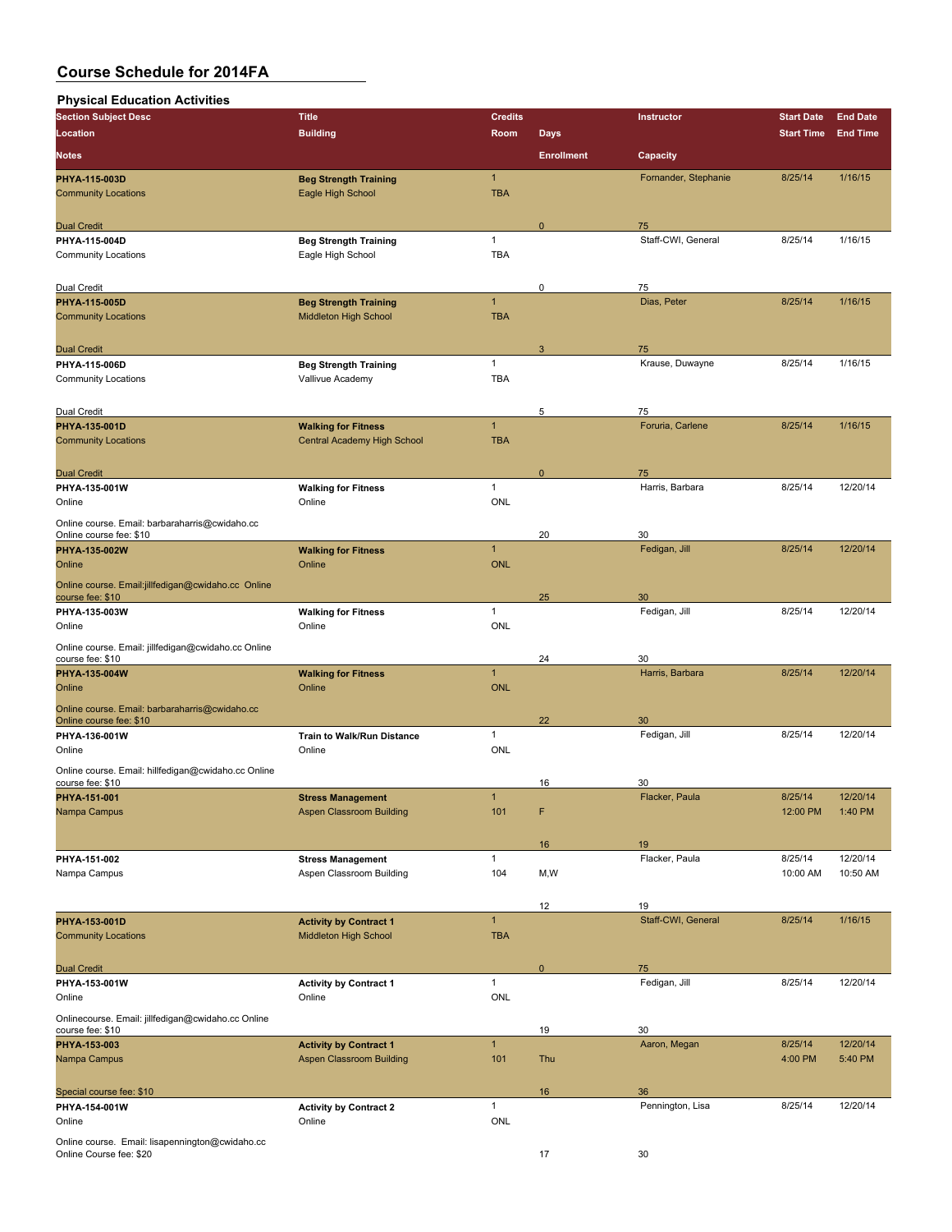| <b>Physical Education Activities</b>                                      |                                 |                |                   |                      |                   |                 |
|---------------------------------------------------------------------------|---------------------------------|----------------|-------------------|----------------------|-------------------|-----------------|
| <b>Section Subject Desc</b>                                               | <b>Title</b>                    | <b>Credits</b> |                   | Instructor           | <b>Start Date</b> | <b>End Date</b> |
| Location                                                                  | <b>Building</b>                 | Room           | <b>Days</b>       |                      | <b>Start Time</b> | <b>End Time</b> |
| <b>Notes</b>                                                              |                                 |                | <b>Enrollment</b> | Capacity             |                   |                 |
|                                                                           |                                 |                |                   |                      |                   |                 |
| PHYA-115-003D                                                             | <b>Beg Strength Training</b>    | $\mathbf{1}$   |                   | Fornander, Stephanie | 8/25/14           | 1/16/15         |
| <b>Community Locations</b>                                                | Eagle High School               | <b>TBA</b>     |                   |                      |                   |                 |
|                                                                           |                                 |                |                   |                      |                   |                 |
| <b>Dual Credit</b>                                                        |                                 |                | 0                 | 75                   |                   |                 |
| PHYA-115-004D                                                             | <b>Beg Strength Training</b>    | $\mathbf{1}$   |                   | Staff-CWI, General   | 8/25/14           | 1/16/15         |
| <b>Community Locations</b>                                                | Eagle High School               | <b>TBA</b>     |                   |                      |                   |                 |
|                                                                           |                                 |                |                   |                      |                   |                 |
| Dual Credit                                                               |                                 |                | 0                 | 75                   |                   |                 |
| PHYA-115-005D                                                             | <b>Beg Strength Training</b>    | $\mathbf{1}$   |                   | Dias, Peter          | 8/25/14           | 1/16/15         |
| <b>Community Locations</b>                                                | Middleton High School           | <b>TBA</b>     |                   |                      |                   |                 |
|                                                                           |                                 |                |                   |                      |                   |                 |
| <b>Dual Credit</b>                                                        |                                 |                | 3                 | 75                   |                   |                 |
| PHYA-115-006D                                                             | <b>Beg Strength Training</b>    | $\mathbf{1}$   |                   | Krause, Duwayne      | 8/25/14           | 1/16/15         |
| <b>Community Locations</b>                                                | Vallivue Academy                | <b>TBA</b>     |                   |                      |                   |                 |
|                                                                           |                                 |                |                   |                      |                   |                 |
| Dual Credit                                                               |                                 |                | 5                 | 75                   |                   |                 |
| PHYA-135-001D                                                             | <b>Walking for Fitness</b>      | $\mathbf{1}$   |                   | Foruria, Carlene     | 8/25/14           | 1/16/15         |
| <b>Community Locations</b>                                                | Central Academy High School     | <b>TBA</b>     |                   |                      |                   |                 |
|                                                                           |                                 |                |                   |                      |                   |                 |
| <b>Dual Credit</b>                                                        |                                 |                | $\mathbf{0}$      | 75                   |                   |                 |
| PHYA-135-001W                                                             | <b>Walking for Fitness</b>      | $\mathbf{1}$   |                   | Harris, Barbara      | 8/25/14           | 12/20/14        |
| Online                                                                    | Online                          | <b>ONL</b>     |                   |                      |                   |                 |
|                                                                           |                                 |                |                   |                      |                   |                 |
| Online course. Email: barbaraharris@cwidaho.cc<br>Online course fee: \$10 |                                 |                | 20                | 30                   |                   |                 |
| PHYA-135-002W                                                             | <b>Walking for Fitness</b>      | $\mathbf{1}$   |                   | Fedigan, Jill        | 8/25/14           | 12/20/14        |
| Online                                                                    | Online                          | <b>ONL</b>     |                   |                      |                   |                 |
|                                                                           |                                 |                |                   |                      |                   |                 |
| Online course. Email:jillfedigan@cwidaho.cc Online                        |                                 |                |                   |                      |                   |                 |
| course fee: \$10                                                          |                                 |                | 25                | 30                   |                   |                 |
| PHYA-135-003W                                                             | <b>Walking for Fitness</b>      | 1              |                   | Fedigan, Jill        | 8/25/14           | 12/20/14        |
| Online                                                                    | Online                          | <b>ONL</b>     |                   |                      |                   |                 |
| Online course. Email: jillfedigan@cwidaho.cc Online                       |                                 |                |                   |                      |                   |                 |
| course fee: \$10                                                          |                                 |                | 24                | 30                   |                   |                 |
| PHYA 135 004W                                                             | <b>Walking for Fitness</b>      | $\overline{1}$ |                   | Harris, Barbara      | 8/25/14           | 12/20/14        |
| Online                                                                    | Online                          | <b>ONL</b>     |                   |                      |                   |                 |
| Online course. Email: barbaraharris@cwidaho.cc                            |                                 |                |                   |                      |                   |                 |
| Online course fee: \$10                                                   |                                 |                | 22                | 30                   |                   |                 |
| PHYA-136-001W                                                             | Train to Walk/Run Distance      | $\mathbf{1}$   |                   | Fedigan, Jill        | 8/25/14           | 12/20/14        |
| Online                                                                    | Online                          | <b>ONL</b>     |                   |                      |                   |                 |
| Online course. Email: hillfedigan@cwidaho.cc Online                       |                                 |                |                   |                      |                   |                 |
| course fee: \$10                                                          |                                 |                | 16                | 30                   |                   |                 |
| PHYA-151-001                                                              | <b>Stress Management</b>        |                |                   | Flacker, Paula       | 8/25/14           | 12/20/14        |
| Nampa Campus                                                              | <b>Aspen Classroom Building</b> | 101            | F                 |                      | 12:00 PM          | 1:40 PM         |
|                                                                           |                                 |                |                   |                      |                   |                 |
|                                                                           |                                 |                | 16                | 19                   |                   |                 |
| PHYA-151-002                                                              | <b>Stress Management</b>        | $\mathbf{1}$   |                   | Flacker, Paula       | 8/25/14           | 12/20/14        |
| Nampa Campus                                                              | Aspen Classroom Building        | 104            | M,W               |                      | 10:00 AM          | 10:50 AM        |
|                                                                           |                                 |                |                   |                      |                   |                 |
|                                                                           |                                 |                |                   |                      |                   |                 |
|                                                                           |                                 |                | 12                | 19                   |                   |                 |
| PHYA-153-001D                                                             | <b>Activity by Contract 1</b>   | $\mathbf{1}$   |                   | Staff-CWI, General   | 8/25/14           | 1/16/15         |
| <b>Community Locations</b>                                                | Middleton High School           | <b>TBA</b>     |                   |                      |                   |                 |
|                                                                           |                                 |                |                   |                      |                   |                 |
| <b>Dual Credit</b>                                                        |                                 |                | $\mathbf 0$       | 75                   |                   |                 |
| PHYA-153-001W                                                             | <b>Activity by Contract 1</b>   | $\mathbf{1}$   |                   | Fedigan, Jill        | 8/25/14           | 12/20/14        |
| Online                                                                    | Online                          | ONL            |                   |                      |                   |                 |
| Onlinecourse. Email: jillfedigan@cwidaho.cc Online                        |                                 |                |                   |                      |                   |                 |
| course fee: \$10                                                          |                                 |                | 19                | 30                   |                   |                 |
| PHYA-153-003                                                              | <b>Activity by Contract 1</b>   | $\mathbf{1}$   |                   | Aaron, Megan         | 8/25/14           | 12/20/14        |
| Nampa Campus                                                              | <b>Aspen Classroom Building</b> | 101            | Thu               |                      | 4:00 PM           | 5:40 PM         |
|                                                                           |                                 |                |                   |                      |                   |                 |
| Special course fee: \$10                                                  |                                 |                | 16                | 36                   |                   |                 |
| PHYA-154-001W                                                             | <b>Activity by Contract 2</b>   | $\mathbf{1}$   |                   | Pennington, Lisa     | 8/25/14           | 12/20/14        |
| Online                                                                    | Online                          | ONL            |                   |                      |                   |                 |
|                                                                           |                                 |                |                   |                      |                   |                 |
| Online course. Email: lisapennington@cwidaho.cc                           |                                 |                |                   |                      |                   |                 |
| Online Course fee: \$20                                                   |                                 |                | 17                | 30                   |                   |                 |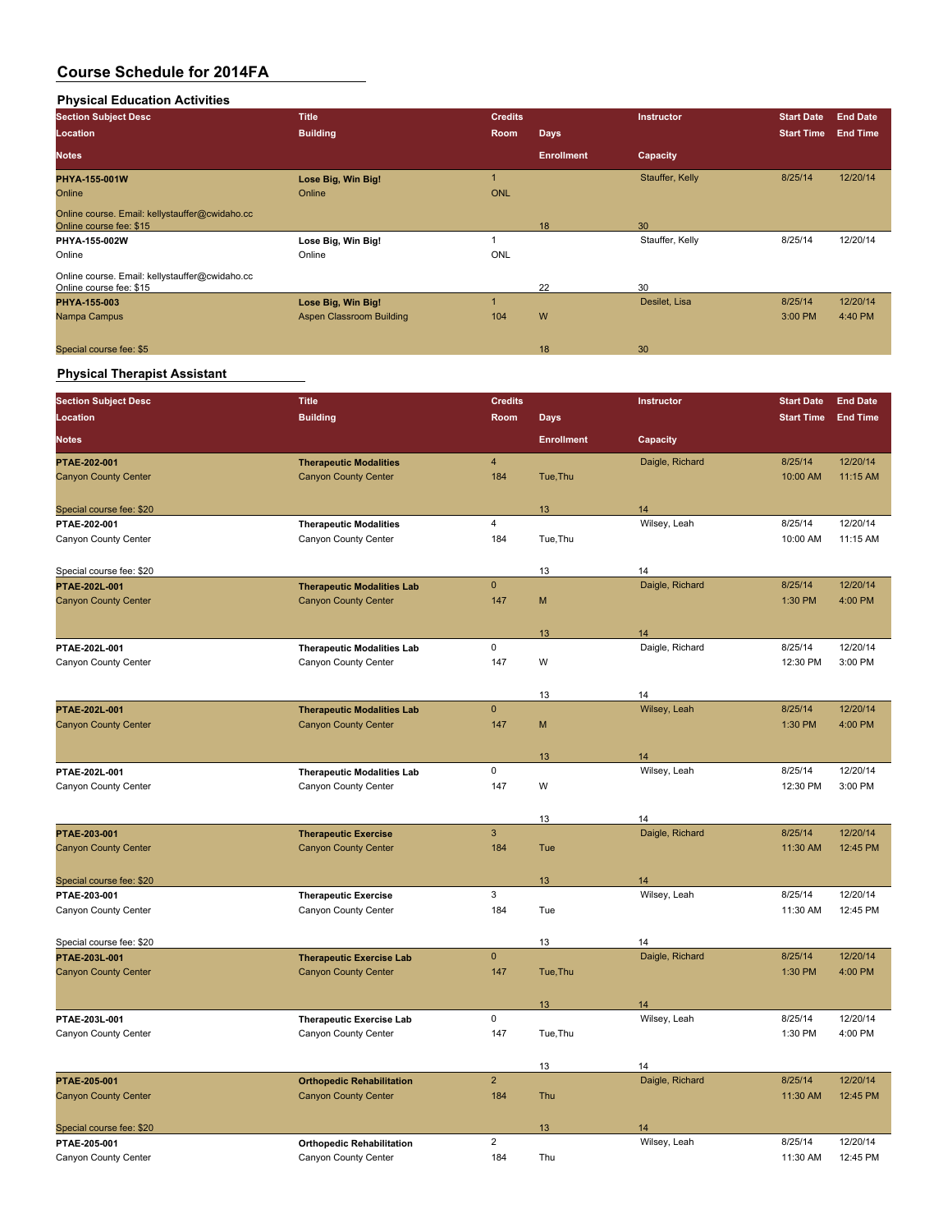#### **Physical Education Activities**

| <b>Section Subject Desc</b>                                               | <b>Title</b>             | <b>Credits</b> |                   | Instructor      | <b>Start Date</b> | <b>End Date</b> |
|---------------------------------------------------------------------------|--------------------------|----------------|-------------------|-----------------|-------------------|-----------------|
| Location                                                                  | <b>Building</b>          | Room           | <b>Days</b>       |                 | <b>Start Time</b> | <b>End Time</b> |
| <b>Notes</b>                                                              |                          |                | <b>Enrollment</b> | Capacity        |                   |                 |
| PHYA-155-001W                                                             | Lose Big, Win Big!       |                |                   | Stauffer, Kelly | 8/25/14           | 12/20/14        |
| Online                                                                    | Online                   | <b>ONL</b>     |                   |                 |                   |                 |
| Online course. Email: kellystauffer@cwidaho.cc<br>Online course fee: \$15 |                          |                | 18                | 30              |                   |                 |
| PHYA-155-002W                                                             | Lose Big, Win Big!       |                |                   | Stauffer, Kelly | 8/25/14           | 12/20/14        |
| Online                                                                    | Online                   | <b>ONL</b>     |                   |                 |                   |                 |
| Online course. Email: kellystauffer@cwidaho.cc<br>Online course fee: \$15 |                          |                | 22                | 30              |                   |                 |
| PHYA 155 003                                                              | Lose Big, Win Big!       |                |                   | Desilet, Lisa   | 8/25/14           | 12/20/14        |
| Nampa Campus                                                              | Aspen Classroom Building | 104            | W                 |                 | 3:00 PM           | 4:40 PM         |
| Special course fee: \$5                                                   |                          |                | 18                | 30              |                   |                 |

### **Physical Therapist Assistant**

| <b>Section Subject Desc</b> | <b>Title</b>                      | <b>Credits</b>          |                   | Instructor      | <b>Start Date</b> | <b>End Date</b> |
|-----------------------------|-----------------------------------|-------------------------|-------------------|-----------------|-------------------|-----------------|
| <b>Location</b>             | <b>Building</b>                   | Room                    | <b>Days</b>       |                 | <b>Start Time</b> | <b>End Time</b> |
| <b>Notes</b>                |                                   |                         | <b>Enrollment</b> | Capacity        |                   |                 |
| PTAE-202-001                | <b>Therapeutic Modalities</b>     | $\overline{\mathbf{4}}$ |                   | Daigle, Richard | 8/25/14           | 12/20/14        |
| <b>Canyon County Center</b> | <b>Canyon County Center</b>       | 184                     | Tue, Thu          |                 | 10:00 AM          | 11:15 AM        |
|                             |                                   |                         |                   |                 |                   |                 |
| Special course fee: \$20    |                                   |                         | 13                | 14              |                   |                 |
| PTAE-202-001                | <b>Therapeutic Modalities</b>     | $\overline{4}$          |                   | Wilsey, Leah    | 8/25/14           | 12/20/14        |
| Canyon County Center        | Canyon County Center              | 184                     | Tue, Thu          |                 | 10:00 AM          | 11:15 AM        |
| Special course fee: \$20    |                                   |                         | 13                | 14              |                   |                 |
| PTAE-202L-001               | <b>Therapeutic Modalities Lab</b> | $\mathbf 0$             |                   | Daigle, Richard | 8/25/14           | 12/20/14        |
| <b>Canyon County Center</b> | <b>Canyon County Center</b>       | 147                     | M                 |                 | 1:30 PM           | 4:00 PM         |
|                             |                                   |                         |                   |                 |                   |                 |
|                             |                                   |                         | 13                | 14              |                   |                 |
| PTAE-202L-001               | <b>Therapeutic Modalities Lab</b> | $\pmb{0}$               |                   | Daigle, Richard | 8/25/14           | 12/20/14        |
| Canyon County Center        | Canyon County Center              | 147                     | W                 |                 | 12:30 PM          | 3:00 PM         |
|                             |                                   |                         | 13                | 14              |                   |                 |
| PTAE-202L-001               | <b>Therapeutic Modalities Lab</b> | $\mathbf 0$             |                   | Wilsey, Leah    | 8/25/14           | 12/20/14        |
| <b>Canyon County Center</b> | <b>Canyon County Center</b>       | 147                     | M                 |                 | 1:30 PM           | 4:00 PM         |
|                             |                                   |                         |                   |                 |                   |                 |
|                             |                                   |                         | 13                | 14              |                   |                 |
| PTAE-202L-001               | <b>Therapeutic Modalities Lab</b> | 0                       |                   | Wilsey, Leah    | 8/25/14           | 12/20/14        |
| Canyon County Center        | Canyon County Center              | 147                     | W                 |                 | 12:30 PM          | 3:00 PM         |
|                             |                                   |                         | 13                | 14              |                   |                 |
| PTAE-203-001                | <b>Therapeutic Exercise</b>       | $\mathsf 3$             |                   | Daigle, Richard | 8/25/14           | 12/20/14        |
| <b>Canyon County Center</b> | <b>Canyon County Center</b>       | 184                     | Tue               |                 | 11:30 AM          | 12:45 PM        |
|                             |                                   |                         |                   |                 |                   |                 |
| Special course fee: \$20    |                                   |                         | 13                | 14              |                   |                 |
| PTAE-203-001                | <b>Therapeutic Exercise</b>       | 3                       |                   | Wilsey, Leah    | 8/25/14           | 12/20/14        |
| Canyon County Center        | Canyon County Center              | 184                     | Tue               |                 | 11:30 AM          | 12:45 PM        |
| Special course fee: \$20    |                                   |                         | 13                | 14              |                   |                 |
| PTAE-203L-001               | <b>Therapeutic Exercise Lab</b>   | $\mathbf 0$             |                   | Daigle, Richard | 8/25/14           | 12/20/14        |
| <b>Canyon County Center</b> | <b>Canyon County Center</b>       | 147                     | Tue, Thu          |                 | 1:30 PM           | 4:00 PM         |
|                             |                                   |                         |                   |                 |                   |                 |
|                             |                                   |                         | 13                | 14              |                   |                 |
| PTAE-203L-001               | <b>Therapeutic Exercise Lab</b>   | 0                       |                   | Wilsey, Leah    | 8/25/14           | 12/20/14        |
| Canyon County Center        | Canyon County Center              | 147                     | Tue, Thu          |                 | 1:30 PM           | 4:00 PM         |
|                             |                                   |                         | 13                | 14              |                   |                 |
| PTAE-205-001                | <b>Orthopedic Rehabilitation</b>  | $\mathbf 2$             |                   | Daigle, Richard | 8/25/14           | 12/20/14        |
| <b>Canyon County Center</b> | <b>Canyon County Center</b>       | 184                     | Thu               |                 | 11:30 AM          | 12:45 PM        |
|                             |                                   |                         |                   |                 |                   |                 |
| Special course fee: \$20    |                                   |                         | 13                | 14              |                   |                 |
| PTAE-205-001                | <b>Orthopedic Rehabilitation</b>  | $\overline{2}$          |                   | Wilsey, Leah    | 8/25/14           | 12/20/14        |
| Canyon County Center        | Canyon County Center              | 184                     | Thu               |                 | 11:30 AM          | 12:45 PM        |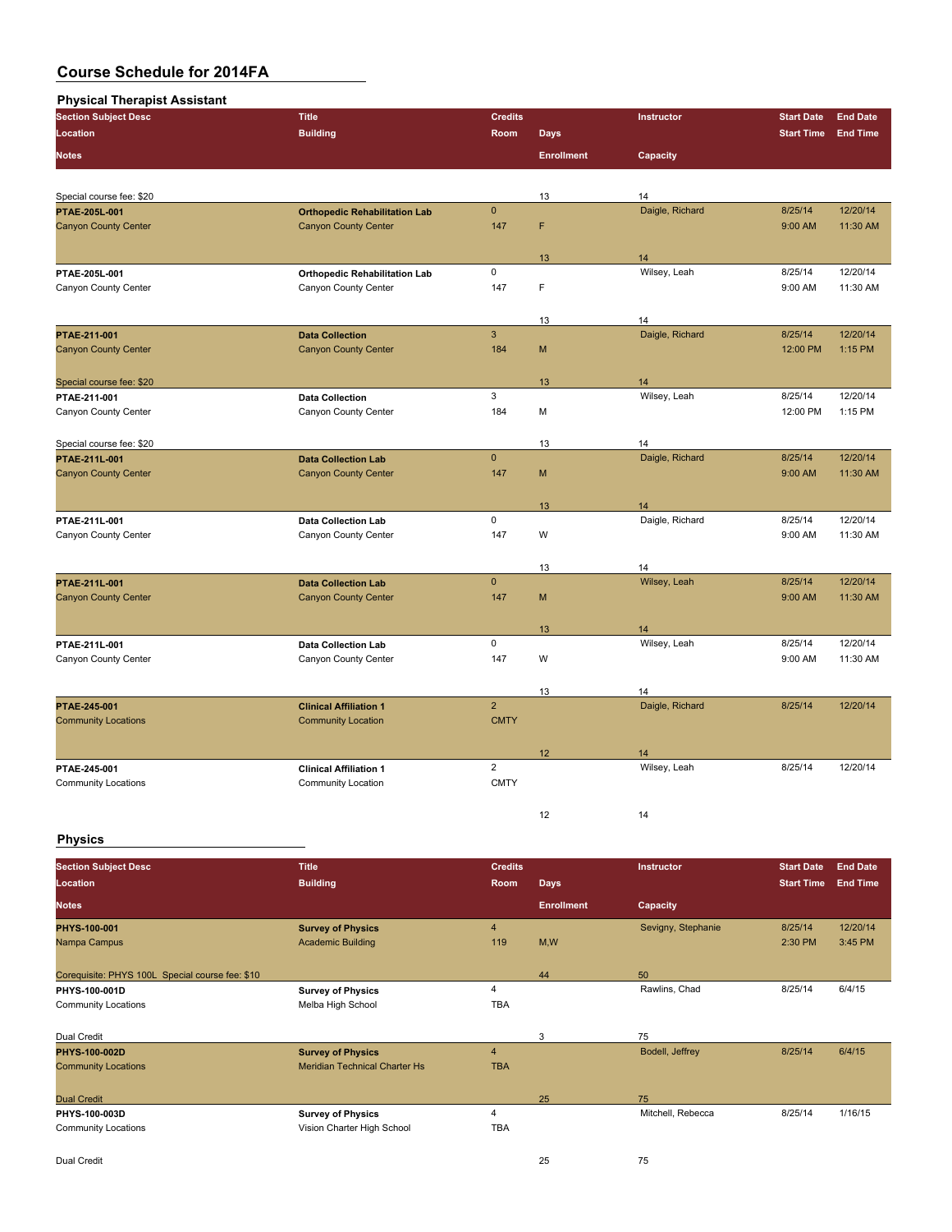| <b>Physical Therapist Assistant</b> |                                      |                |                   |                 |                   |                 |
|-------------------------------------|--------------------------------------|----------------|-------------------|-----------------|-------------------|-----------------|
| <b>Section Subject Desc</b>         | <b>Title</b>                         | <b>Credits</b> |                   | Instructor      | <b>Start Date</b> | <b>End Date</b> |
| Location                            | <b>Building</b>                      | Room           | <b>Days</b>       |                 | <b>Start Time</b> | <b>End Time</b> |
| <b>Notes</b>                        |                                      |                | <b>Enrollment</b> | Capacity        |                   |                 |
|                                     |                                      |                |                   |                 |                   |                 |
| Special course fee: \$20            |                                      |                | 13                | 14              |                   |                 |
| PTAE-205L-001                       | <b>Orthopedic Rehabilitation Lab</b> | $\mathbf{0}$   |                   | Daigle, Richard | 8/25/14           | 12/20/14        |
| <b>Canyon County Center</b>         | <b>Canyon County Center</b>          | 147            | F                 |                 | 9:00 AM           | 11:30 AM        |
|                                     |                                      |                | 13                | 14              |                   |                 |
| PTAE-205L-001                       | <b>Orthopedic Rehabilitation Lab</b> | 0              |                   | Wilsey, Leah    | 8/25/14           | 12/20/14        |
| Canyon County Center                | Canyon County Center                 | 147            | F                 |                 | 9:00 AM           | 11:30 AM        |
|                                     |                                      |                | 13                | 14              |                   |                 |
| <b>PTAE 211 001</b>                 | <b>Data Collection</b>               | $\mathbf{3}$   |                   | Daigle, Richard | 8/25/14           | 12/20/14        |
| <b>Canyon County Center</b>         | <b>Canyon County Center</b>          | 184            | M                 |                 | 12:00 PM          | 1:15 PM         |
| Special course fee: \$20            |                                      |                | 13                | 14              |                   |                 |
| PTAE-211-001                        | <b>Data Collection</b>               | 3              |                   | Wilsey, Leah    | 8/25/14           | 12/20/14        |
| Canyon County Center                | Canyon County Center                 | 184            | M                 |                 | 12:00 PM          | 1:15 PM         |
| Special course fee: \$20            |                                      |                | 13                | 14              |                   |                 |
| <b>PTAE 211L-001</b>                | <b>Data Collection Lab</b>           | $\mathbf{0}$   |                   | Daigle, Richard | 8/25/14           | 12/20/14        |
| <b>Canyon County Center</b>         | <b>Canyon County Center</b>          | 147            | M                 |                 | 9:00 AM           | 11:30 AM        |
|                                     |                                      |                | 13                | 14              |                   |                 |
| PTAE 211L 001                       | <b>Data Collection Lab</b>           | $\mathsf 0$    |                   | Daigle, Richard | 8/25/14           | 12/20/14        |
| Canyon County Center                | Canyon County Center                 | 147            | W                 |                 | 9:00 AM           | 11:30 AM        |
|                                     |                                      |                | 13                | 14              |                   |                 |
| PTAE 211L-001                       | <b>Data Collection Lab</b>           | $\mathbf{0}$   |                   | Wilsey, Leah    | 8/25/14           | 12/20/14        |
| <b>Canyon County Center</b>         | <b>Canyon County Center</b>          | 147            | M                 |                 | 9:00 AM           | 11:30 AM        |
|                                     |                                      |                | 13                | 14              |                   |                 |
| PTAE 211L-001                       | Data Collection Lab                  | 0              |                   | Wilsey, Leah    | 8/25/14           | 12/20/14        |
| Canyon County Center                | Canyon County Center                 | 147            | W                 |                 | 9:00 AM           | 11:30 AM        |
|                                     |                                      |                | 13                | 14              |                   |                 |
| PTAE-245-001                        | <b>Clinical Affiliation 1</b>        | $\overline{2}$ |                   | Daigle, Richard | 8/25/14           | 12/20/14        |
| <b>Community Locations</b>          | <b>Community Location</b>            | <b>CMTY</b>    |                   |                 |                   |                 |
|                                     |                                      |                | 12                | 14              |                   |                 |
| PTAE-245-001                        | <b>Clinical Affiliation 1</b>        | $\overline{2}$ |                   | Wilsey, Leah    | 8/25/14           | 12/20/14        |
| <b>Community Locations</b>          | Community Location                   | <b>CMTY</b>    |                   |                 |                   |                 |
|                                     |                                      |                | 12                | 14              |                   |                 |

### **Physics**

| <b>Section Subject Desc</b><br>Location         | <b>Title</b><br><b>Building</b>      | <b>Credits</b><br>Room | <b>Days</b>       | Instructor         | <b>Start Date</b><br><b>Start Time</b> | <b>End Date</b><br><b>End Time</b> |
|-------------------------------------------------|--------------------------------------|------------------------|-------------------|--------------------|----------------------------------------|------------------------------------|
| <b>Notes</b>                                    |                                      |                        | <b>Enrollment</b> | Capacity           |                                        |                                    |
| PHYS 100 001                                    | <b>Survey of Physics</b>             | $\overline{4}$         |                   | Sevigny, Stephanie | 8/25/14                                | 12/20/14                           |
| Nampa Campus                                    | <b>Academic Building</b>             | 119                    | M,W               |                    | 2:30 PM                                | 3:45 PM                            |
|                                                 |                                      |                        |                   |                    |                                        |                                    |
| Corequisite: PHYS 100L Special course fee: \$10 |                                      |                        | 44                | 50                 |                                        |                                    |
| PHYS-100-001D                                   | <b>Survey of Physics</b>             | 4                      |                   | Rawlins, Chad      | 8/25/14                                | 6/4/15                             |
| <b>Community Locations</b>                      | Melba High School                    | TBA                    |                   |                    |                                        |                                    |
|                                                 |                                      |                        |                   |                    |                                        |                                    |
| Dual Credit                                     |                                      |                        | 3                 | 75                 |                                        |                                    |
| <b>PHYS-100-002D</b>                            | <b>Survey of Physics</b>             | $\overline{4}$         |                   | Bodell, Jeffrey    | 8/25/14                                | 6/4/15                             |
| <b>Community Locations</b>                      | <b>Meridian Technical Charter Hs</b> | <b>TBA</b>             |                   |                    |                                        |                                    |
|                                                 |                                      |                        |                   |                    |                                        |                                    |
| <b>Dual Credit</b>                              |                                      |                        | 25                | 75                 |                                        |                                    |
| PHYS-100-003D                                   | <b>Survey of Physics</b>             | 4                      |                   | Mitchell, Rebecca  | 8/25/14                                | 1/16/15                            |
| <b>Community Locations</b>                      | Vision Charter High School           | TBA                    |                   |                    |                                        |                                    |
|                                                 |                                      |                        |                   |                    |                                        |                                    |
| Dual Credit                                     |                                      |                        | 25                | 75                 |                                        |                                    |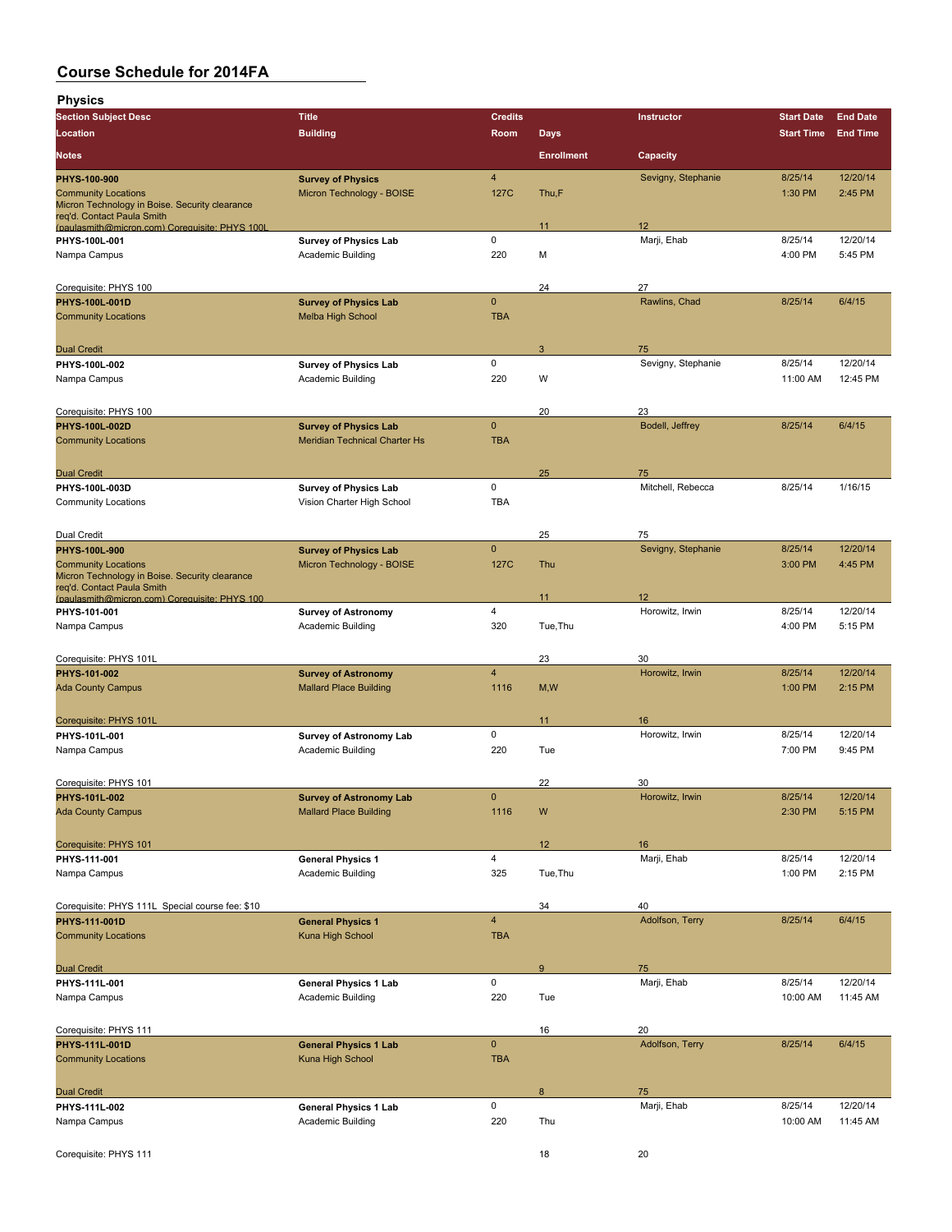| <b>Physics</b>                                                               |                                                             |                         |                   |                       |                    |                     |
|------------------------------------------------------------------------------|-------------------------------------------------------------|-------------------------|-------------------|-----------------------|--------------------|---------------------|
| <b>Section Subject Desc</b>                                                  | <b>Title</b>                                                | <b>Credits</b>          |                   | Instructor            | <b>Start Date</b>  | <b>End Date</b>     |
| Location                                                                     | <b>Building</b>                                             | Room                    | <b>Days</b>       |                       | <b>Start Time</b>  | <b>End Time</b>     |
| <b>Notes</b>                                                                 |                                                             |                         | <b>Enrollment</b> | Capacity              |                    |                     |
| PHYS-100-900                                                                 | <b>Survey of Physics</b>                                    | 4                       |                   | Sevigny, Stephanie    | 8/25/14            | 12/20/14            |
| <b>Community Locations</b>                                                   | Micron Technology - BOISE                                   | <b>127C</b>             | Thu,F             |                       | 1:30 PM            | 2:45 PM             |
| Micron Technology in Boise. Security clearance<br>req'd. Contact Paula Smith |                                                             |                         |                   |                       |                    |                     |
| (paulasmith@micron.com) Corequisite: PHYS 100L                               |                                                             |                         | 11                | 12                    |                    |                     |
| PHYS-100L-001                                                                | <b>Survey of Physics Lab</b>                                | 0                       |                   | Marji, Ehab           | 8/25/14            | 12/20/14            |
| Nampa Campus                                                                 | Academic Building                                           | 220                     | M                 |                       | 4:00 PM            | 5:45 PM             |
|                                                                              |                                                             |                         |                   |                       |                    |                     |
| Corequisite: PHYS 100                                                        |                                                             |                         | 24                | 27                    |                    |                     |
| PHYS-100L-001D                                                               | <b>Survey of Physics Lab</b>                                | $\pmb{0}$               |                   | Rawlins, Chad         | 8/25/14            | 6/4/15              |
| <b>Community Locations</b>                                                   | <b>Melba High School</b>                                    | <b>TBA</b>              |                   |                       |                    |                     |
|                                                                              |                                                             |                         |                   |                       |                    |                     |
| <b>Dual Credit</b>                                                           |                                                             | $\mathbf 0$             | 3                 | 75                    | 8/25/14            | 12/20/14            |
| PHYS-100L-002<br>Nampa Campus                                                | <b>Survey of Physics Lab</b><br><b>Academic Building</b>    | 220                     | W                 | Sevigny, Stephanie    | 11:00 AM           | 12:45 PM            |
|                                                                              |                                                             |                         |                   |                       |                    |                     |
| Corequisite: PHYS 100                                                        |                                                             |                         | 20                | 23                    |                    |                     |
| PHYS-100L-002D                                                               | <b>Survey of Physics Lab</b>                                | $\mathbf 0$             |                   | Bodell, Jeffrey       | 8/25/14            | 6/4/15              |
| <b>Community Locations</b>                                                   | <b>Meridian Technical Charter Hs</b>                        | <b>TBA</b>              |                   |                       |                    |                     |
|                                                                              |                                                             |                         |                   |                       |                    |                     |
| <b>Dual Credit</b>                                                           |                                                             |                         | 25                | 75                    |                    |                     |
| PHYS-100L-003D                                                               | <b>Survey of Physics Lab</b>                                | 0                       |                   | Mitchell, Rebecca     | 8/25/14            | 1/16/15             |
| <b>Community Locations</b>                                                   | Vision Charter High School                                  | <b>TBA</b>              |                   |                       |                    |                     |
|                                                                              |                                                             |                         |                   |                       |                    |                     |
| Dual Credit                                                                  |                                                             |                         | 25                | 75                    |                    |                     |
| PHYS-100L-900                                                                | <b>Survey of Physics Lab</b>                                | $\mathbf 0$             |                   | Sevigny, Stephanie    | 8/25/14            | 12/20/14            |
| <b>Community Locations</b>                                                   | Micron Technology - BOISE                                   | <b>127C</b>             | Thu               |                       | 3:00 PM            | 4:45 PM             |
| Micron Technology in Boise. Security clearance<br>req'd. Contact Paula Smith |                                                             |                         |                   |                       |                    |                     |
| (paulasmith@micron.com) Corequisite: PHYS 100                                |                                                             |                         | 11                | 12                    |                    |                     |
| PHYS-101-001                                                                 | <b>Survey of Astronomy</b>                                  | 4                       |                   | Horowitz, Irwin       | 8/25/14            | 12/20/14            |
| Nampa Campus                                                                 | Academic Building                                           | 320                     | Tue, Thu          |                       | 4:00 PM            | 5:15 PM             |
|                                                                              |                                                             |                         |                   |                       |                    |                     |
| Corequisite: PHYS 101L                                                       |                                                             |                         | 23                | 30                    |                    |                     |
| PHYS-101-002                                                                 | <b>Survey of Astronomy</b><br><b>Mallard Place Building</b> | 4<br>1116               | M, W              | Horowitz, Irwin       | 8/25/14<br>1:00 PM | 12/20/14<br>2:15 PM |
| <b>Ada County Campus</b>                                                     |                                                             |                         |                   |                       |                    |                     |
| Corequisite: PHYS 101L                                                       |                                                             |                         | 11                | 16                    |                    |                     |
| PHYS-101L-001                                                                | <b>Survey of Astronomy Lab</b>                              | 0                       |                   | Horowitz, Irwin       | 8/25/14            | 12/20/14            |
| Nampa Campus                                                                 | Academic Building                                           | 220                     | Tue               |                       | 7:00 PM            | 9:45 PM             |
|                                                                              |                                                             |                         |                   |                       |                    |                     |
| Corequisite: PHYS 101                                                        |                                                             |                         | 22                | 30                    |                    |                     |
| PHYS-101L-002                                                                | <b>Survey of Astronomy Lab</b>                              | $\pmb{0}$               |                   | Horowitz, Irwin       | 8/25/14            | 12/20/14            |
| <b>Ada County Campus</b>                                                     | <b>Mallard Place Building</b>                               | 1116                    | W                 |                       | 2:30 PM            | 5:15 PM             |
|                                                                              |                                                             |                         |                   |                       |                    |                     |
| Corequisite: PHYS 101                                                        |                                                             |                         | 12                | 16                    |                    |                     |
| PHYS-111-001                                                                 | <b>General Physics 1</b>                                    | 4                       |                   | Marji, Ehab           | 8/25/14            | 12/20/14            |
| Nampa Campus                                                                 | Academic Building                                           | 325                     | Tue, Thu          |                       | 1:00 PM            | 2:15 PM             |
|                                                                              |                                                             |                         |                   |                       |                    |                     |
| Corequisite: PHYS 111L Special course fee: \$10                              |                                                             |                         | 34                | 40                    |                    |                     |
| PHYS-111-001D                                                                | <b>General Physics 1</b>                                    | $\overline{\mathbf{4}}$ |                   | Adolfson, Terry       | 8/25/14            | 6/4/15              |
| <b>Community Locations</b>                                                   | Kuna High School                                            | <b>TBA</b>              |                   |                       |                    |                     |
|                                                                              |                                                             |                         |                   |                       |                    |                     |
| <b>Dual Credit</b>                                                           |                                                             |                         | $9\,$             | 75                    |                    |                     |
| PHYS-111L-001                                                                | <b>General Physics 1 Lab</b>                                | 0                       |                   | Marji, Ehab           | 8/25/14            | 12/20/14            |
| Nampa Campus                                                                 | Academic Building                                           | 220                     | Tue               |                       | 10:00 AM           | 11:45 AM            |
|                                                                              |                                                             |                         |                   |                       |                    |                     |
| Corequisite: PHYS 111<br>PHYS-111L-001D                                      | <b>General Physics 1 Lab</b>                                | $\pmb{0}$               | 16                | 20<br>Adolfson, Terry | 8/25/14            | 6/4/15              |
| <b>Community Locations</b>                                                   | Kuna High School                                            | <b>TBA</b>              |                   |                       |                    |                     |
|                                                                              |                                                             |                         |                   |                       |                    |                     |
| <b>Dual Credit</b>                                                           |                                                             |                         | 8                 | 75                    |                    |                     |
| PHYS 111L-002                                                                | <b>General Physics 1 Lab</b>                                | 0                       |                   | Marji, Ehab           | 8/25/14            | 12/20/14            |
| Nampa Campus                                                                 | Academic Building                                           | 220                     | Thu               |                       | 10:00 AM           | 11:45 AM            |
|                                                                              |                                                             |                         |                   |                       |                    |                     |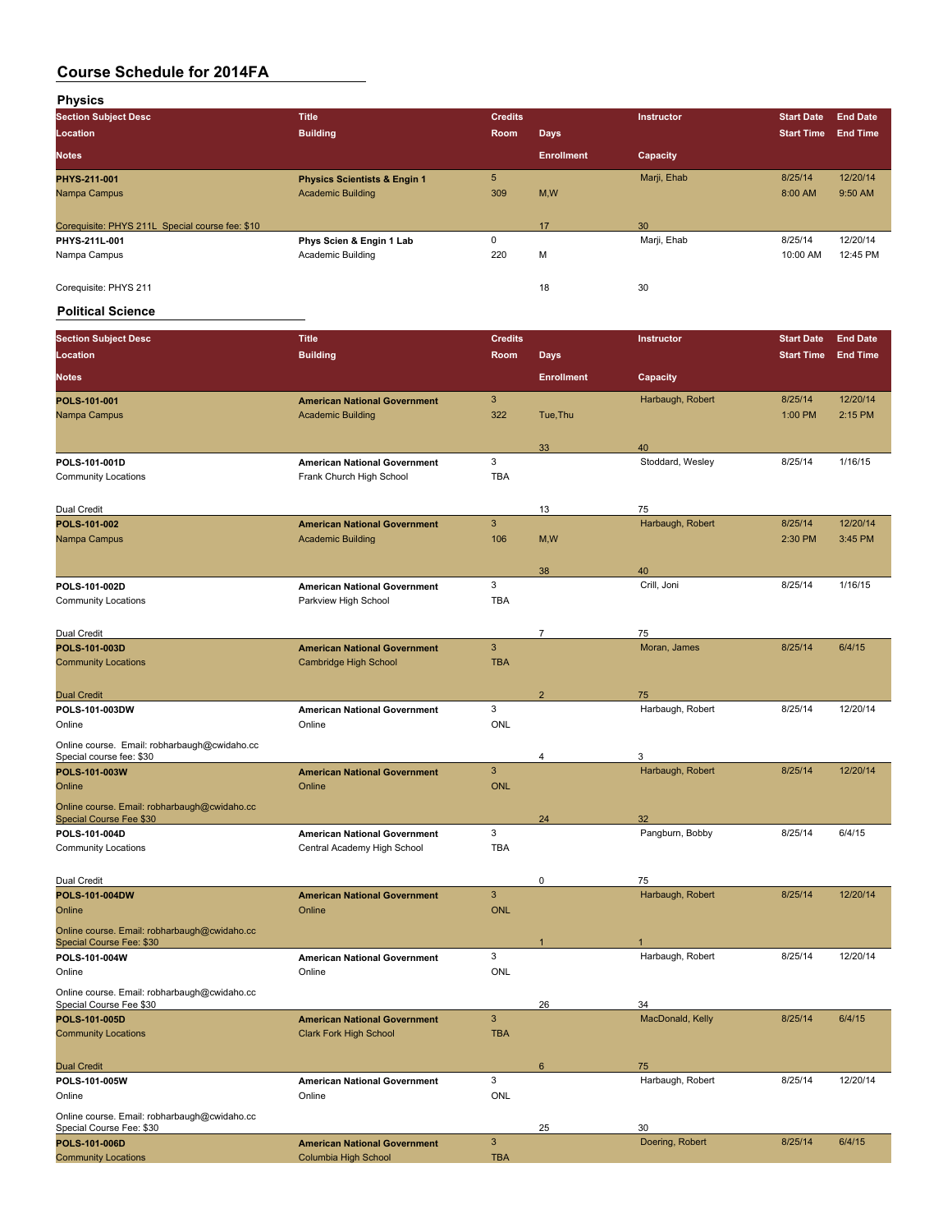**Physics**

| <b>Section Subject Desc</b>                     | <b>Title</b>                            | <b>Credits</b> |                   | <b>Instructor</b> | <b>Start Date</b> | <b>End Date</b> |
|-------------------------------------------------|-----------------------------------------|----------------|-------------------|-------------------|-------------------|-----------------|
| Location                                        | <b>Building</b>                         | Room           | <b>Days</b>       |                   | <b>Start Time</b> | <b>End Time</b> |
| <b>Notes</b>                                    |                                         |                | <b>Enrollment</b> | Capacity          |                   |                 |
| PHYS-211-001                                    | <b>Physics Scientists &amp; Engin 1</b> | 5              |                   | Marji, Ehab       | 8/25/14           | 12/20/14        |
| Nampa Campus                                    | <b>Academic Building</b>                | 309            | M,W               |                   | 8:00 AM           | 9:50 AM         |
|                                                 |                                         |                |                   |                   |                   |                 |
| Corequisite: PHYS 211L Special course fee: \$10 |                                         |                | 17                | 30                |                   |                 |
| PHYS-211L-001                                   | Phys Scien & Engin 1 Lab                | $\Omega$       |                   | Marji, Ehab       | 8/25/14           | 12/20/14        |
| Nampa Campus                                    | Academic Building                       | 220            | М                 |                   | 10:00 AM          | 12:45 PM        |
|                                                 |                                         |                |                   |                   |                   |                 |
| Corequisite: PHYS 211                           |                                         |                | 18                | 30                |                   |                 |

#### **Political Science**

| <b>Section Subject Desc</b>                                             | <b>Title</b>                        | <b>Credits</b> |                   | Instructor       | <b>Start Date</b> | <b>End Date</b> |
|-------------------------------------------------------------------------|-------------------------------------|----------------|-------------------|------------------|-------------------|-----------------|
| Location                                                                | <b>Building</b>                     | Room           | Days              |                  | <b>Start Time</b> | <b>End Time</b> |
| <b>Notes</b>                                                            |                                     |                | <b>Enrollment</b> | Capacity         |                   |                 |
| POLS-101-001                                                            | <b>American National Government</b> | 3              |                   | Harbaugh, Robert | 8/25/14           | 12/20/14        |
| Nampa Campus                                                            | <b>Academic Building</b>            | 322            | Tue, Thu          |                  | 1:00 PM           | 2:15 PM         |
|                                                                         |                                     |                |                   |                  |                   |                 |
|                                                                         |                                     |                | 33                | 40               |                   |                 |
| POLS-101-001D                                                           | <b>American National Government</b> | 3              |                   | Stoddard, Wesley | 8/25/14           | 1/16/15         |
| <b>Community Locations</b>                                              | Frank Church High School            | <b>TBA</b>     |                   |                  |                   |                 |
| Dual Credit                                                             |                                     |                | 13                | 75               |                   |                 |
| POLS 101-002                                                            | <b>American National Government</b> | $\mathbf{3}$   |                   | Harbaugh, Robert | 8/25/14           | 12/20/14        |
| Nampa Campus                                                            | <b>Academic Building</b>            | 106            | M,W               |                  | 2:30 PM           | 3:45 PM         |
|                                                                         |                                     |                |                   |                  |                   |                 |
|                                                                         |                                     |                | 38                | 40               |                   |                 |
| POLS-101-002D                                                           | <b>American National Government</b> | 3              |                   | Crill, Joni      | 8/25/14           | 1/16/15         |
| <b>Community Locations</b>                                              | Parkview High School                | <b>TBA</b>     |                   |                  |                   |                 |
|                                                                         |                                     |                |                   |                  |                   |                 |
| Dual Credit                                                             |                                     |                | $\overline{7}$    | 75               |                   |                 |
| POLS-101-003D                                                           | <b>American National Government</b> | $\mathbf{3}$   |                   | Moran, James     | 8/25/14           | 6/4/15          |
| <b>Community Locations</b>                                              | Cambridge High School               | <b>TBA</b>     |                   |                  |                   |                 |
| <b>Dual Credit</b>                                                      |                                     |                | $\overline{2}$    | 75               |                   |                 |
| POLS-101-003DW                                                          | <b>American National Government</b> | 3              |                   | Harbaugh, Robert | 8/25/14           | 12/20/14        |
| Online                                                                  | Online                              | ONL            |                   |                  |                   |                 |
| Online course. Email: robharbaugh@cwidaho.cc                            |                                     |                |                   |                  |                   |                 |
| Special course fee: \$30                                                |                                     |                | 4                 | 3                |                   |                 |
| POLS-101-003W                                                           | <b>American National Government</b> | $\mathbf{3}$   |                   | Harbaugh, Robert | 8/25/14           | 12/20/14        |
| Online                                                                  | Online                              | <b>ONL</b>     |                   |                  |                   |                 |
| Online course. Email: robharbaugh@cwidaho.cc                            |                                     |                |                   |                  |                   |                 |
| Special Course Fee \$30                                                 |                                     |                | 24                | 32               |                   |                 |
| POLS-101-004D                                                           | <b>American National Government</b> | 3              |                   | Pangburn, Bobby  | 8/25/14           | 6/4/15          |
| <b>Community Locations</b>                                              | Central Academy High School         | <b>TBA</b>     |                   |                  |                   |                 |
|                                                                         |                                     |                |                   |                  |                   |                 |
| Dual Credit                                                             |                                     |                | 0                 | 75               |                   |                 |
| POLS-101-004DW                                                          | <b>American National Government</b> | $\mathbf{3}$   |                   | Harbaugh, Robert | 8/25/14           | 12/20/14        |
| Online                                                                  | Online                              | <b>ONL</b>     |                   |                  |                   |                 |
| Online course. Email: robharbaugh@cwidaho.cc                            |                                     |                | $\mathbf{1}$      |                  |                   |                 |
| Special Course Fee: \$30<br>POLS-101-004W                               | <b>American National Government</b> | 3              |                   | Harbaugh, Robert | 8/25/14           | 12/20/14        |
| Online                                                                  | Online                              | <b>ONL</b>     |                   |                  |                   |                 |
|                                                                         |                                     |                |                   |                  |                   |                 |
| Online course. Email: robharbaugh@cwidaho.cc<br>Special Course Fee \$30 |                                     |                | 26                | 34               |                   |                 |
| POLS-101-005D                                                           | <b>American National Government</b> | 3              |                   | MacDonald, Kelly | 8/25/14           | 6/4/15          |
| <b>Community Locations</b>                                              | <b>Clark Fork High School</b>       | <b>TBA</b>     |                   |                  |                   |                 |
|                                                                         |                                     |                |                   |                  |                   |                 |
| <b>Dual Credit</b>                                                      |                                     |                | 6                 | 75               |                   |                 |
| POLS-101-005W                                                           | <b>American National Government</b> | 3              |                   | Harbaugh, Robert | 8/25/14           | 12/20/14        |
| Online                                                                  | Online                              | ONL            |                   |                  |                   |                 |
| Online course. Email: robharbaugh@cwidaho.cc                            |                                     |                |                   |                  |                   |                 |
| Special Course Fee: \$30                                                |                                     |                | 25                | 30               |                   |                 |
| POLS-101-006D                                                           | <b>American National Government</b> | $\mathbf{3}$   |                   | Doering, Robert  | 8/25/14           | 6/4/15          |
| <b>Community Locations</b>                                              | Columbia High School                | <b>TBA</b>     |                   |                  |                   |                 |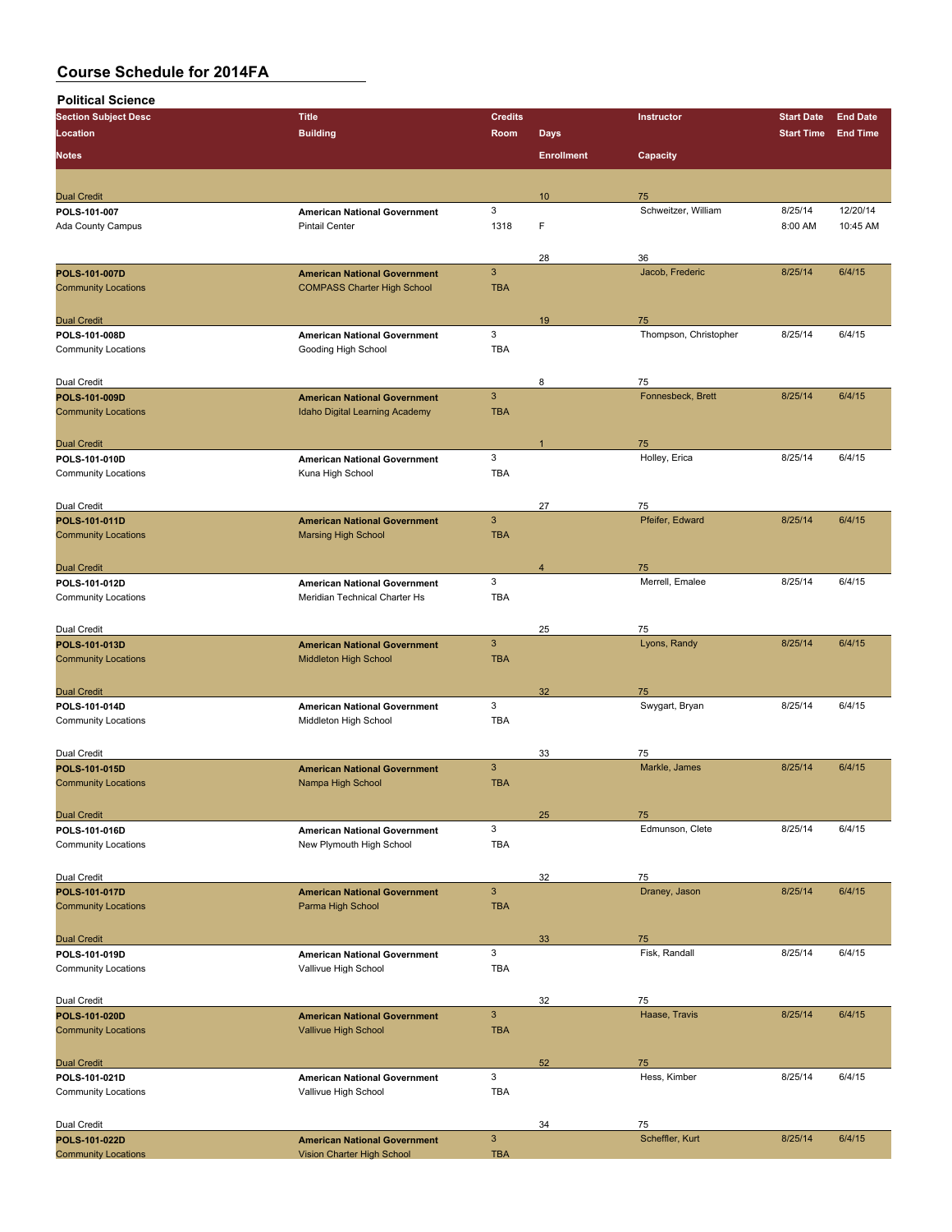**Political Science**

| <b>Section Subject Desc</b>                 | <b>Title</b>                                                      | <b>Credits</b>            |                   | <b>Instructor</b>       | <b>Start Date</b> | <b>End Date</b> |
|---------------------------------------------|-------------------------------------------------------------------|---------------------------|-------------------|-------------------------|-------------------|-----------------|
| Location                                    | <b>Building</b>                                                   | Room                      | <b>Days</b>       |                         | <b>Start Time</b> | <b>End Time</b> |
|                                             |                                                                   |                           |                   |                         |                   |                 |
| <b>Notes</b>                                |                                                                   |                           | <b>Enrollment</b> | Capacity                |                   |                 |
|                                             |                                                                   |                           |                   |                         |                   |                 |
| <b>Dual Credit</b>                          |                                                                   |                           | 10                | 75                      |                   |                 |
| POLS 101 007                                | <b>American National Government</b>                               | 3                         |                   | Schweitzer, William     | 8/25/14           | 12/20/14        |
| <b>Ada County Campus</b>                    | <b>Pintail Center</b>                                             | 1318                      | F                 |                         | 8:00 AM           | 10:45 AM        |
|                                             |                                                                   |                           |                   |                         |                   |                 |
|                                             |                                                                   |                           | 28                | 36                      |                   |                 |
| POLS-101-007D                               | <b>American National Government</b>                               | $\overline{3}$            |                   | Jacob, Frederic         | 8/25/14           | 6/4/15          |
| <b>Community Locations</b>                  | <b>COMPASS Charter High School</b>                                | <b>TBA</b>                |                   |                         |                   |                 |
|                                             |                                                                   |                           |                   |                         |                   |                 |
| <b>Dual Credit</b>                          |                                                                   |                           | 19                | 75                      |                   |                 |
| POLS 101-008D                               | <b>American National Government</b>                               | 3                         |                   | Thompson, Christopher   | 8/25/14           | 6/4/15          |
| <b>Community Locations</b>                  | Gooding High School                                               | <b>TBA</b>                |                   |                         |                   |                 |
|                                             |                                                                   |                           |                   |                         |                   |                 |
|                                             |                                                                   |                           |                   |                         |                   |                 |
| Dual Credit                                 |                                                                   | $\mathbf{3}$              | 8                 | 75<br>Fonnesbeck, Brett | 8/25/14           | 6/4/15          |
| POLS-101-009D                               | <b>American National Government</b>                               | <b>TBA</b>                |                   |                         |                   |                 |
| <b>Community Locations</b>                  | Idaho Digital Learning Academy                                    |                           |                   |                         |                   |                 |
|                                             |                                                                   |                           |                   |                         |                   |                 |
| <b>Dual Credit</b>                          |                                                                   |                           |                   | 75                      |                   |                 |
| POLS-101-010D                               | <b>American National Government</b>                               | 3                         |                   | Holley, Erica           | 8/25/14           | 6/4/15          |
| <b>Community Locations</b>                  | Kuna High School                                                  | <b>TBA</b>                |                   |                         |                   |                 |
|                                             |                                                                   |                           |                   |                         |                   |                 |
| Dual Credit                                 |                                                                   |                           | 27                | 75                      |                   |                 |
| POLS-101-011D                               | <b>American National Government</b>                               | $\mathbf{3}$              |                   | Pfeifer, Edward         | 8/25/14           | 6/4/15          |
| <b>Community Locations</b>                  | <b>Marsing High School</b>                                        | <b>TBA</b>                |                   |                         |                   |                 |
|                                             |                                                                   |                           |                   |                         |                   |                 |
| <b>Dual Credit</b>                          |                                                                   |                           | $\overline{4}$    | 75                      |                   |                 |
| POLS-101-012D                               | <b>American National Government</b>                               | 3                         |                   | Merrell, Emalee         | 8/25/14           | 6/4/15          |
| <b>Community Locations</b>                  | Meridian Technical Charter Hs                                     | <b>TBA</b>                |                   |                         |                   |                 |
|                                             |                                                                   |                           |                   |                         |                   |                 |
| Dual Credit                                 |                                                                   |                           | 25                | 75                      |                   |                 |
| POLS-101-013D                               | <b>American National Government</b>                               | $\mathbf{3}$              |                   | Lyons, Randy            | 8/25/14           | 6/4/15          |
| <b>Community Locations</b>                  | Middleton High School                                             | <b>TBA</b>                |                   |                         |                   |                 |
|                                             |                                                                   |                           |                   |                         |                   |                 |
| <b>Dual Credit</b>                          |                                                                   |                           | 32                | 75                      |                   |                 |
| POLS-101-014D                               | <b>American National Government</b>                               | 3                         |                   | Swygart, Bryan          | 8/25/14           | 6/4/15          |
| <b>Community Locations</b>                  | Middleton High School                                             | <b>TBA</b>                |                   |                         |                   |                 |
|                                             |                                                                   |                           |                   |                         |                   |                 |
|                                             |                                                                   |                           |                   |                         |                   |                 |
| Dual Credit                                 |                                                                   | $\mathbf{3}$              | 33                | 75                      |                   |                 |
| POLS-101-015D                               | <b>American National Government</b>                               |                           |                   | Markle, James           | 8/25/14           | 6/4/15          |
| <b>Community Locations</b>                  | Nampa High School                                                 | <b>TBA</b>                |                   |                         |                   |                 |
|                                             |                                                                   |                           |                   |                         |                   |                 |
| <b>Dual Credit</b>                          |                                                                   |                           | 25                | 75                      |                   |                 |
| POLS 101 016D                               | <b>American National Government</b>                               | 3                         |                   | Edmunson, Clete         | 8/25/14           | 6/4/15          |
| <b>Community Locations</b>                  | New Plymouth High School                                          | <b>TBA</b>                |                   |                         |                   |                 |
|                                             |                                                                   |                           |                   |                         |                   |                 |
| Dual Credit                                 |                                                                   |                           | 32                | 75                      |                   |                 |
| POLS-101-017D                               | <b>American National Government</b>                               | $\mathbf{3}$              |                   | Draney, Jason           | 8/25/14           | 6/4/15          |
| <b>Community Locations</b>                  | Parma High School                                                 | <b>TBA</b>                |                   |                         |                   |                 |
|                                             |                                                                   |                           |                   |                         |                   |                 |
| <b>Dual Credit</b>                          |                                                                   |                           | 33                | 75                      |                   |                 |
| POLS-101-019D                               | <b>American National Government</b>                               | 3                         |                   | Fisk, Randall           | 8/25/14           | 6/4/15          |
| <b>Community Locations</b>                  | Vallivue High School                                              | <b>TBA</b>                |                   |                         |                   |                 |
|                                             |                                                                   |                           |                   |                         |                   |                 |
| Dual Credit                                 |                                                                   |                           | 32                | 75                      |                   |                 |
| POLS-101-020D                               | <b>American National Government</b>                               | $\ensuremath{\mathsf{3}}$ |                   | Haase, Travis           | 8/25/14           | 6/4/15          |
| <b>Community Locations</b>                  | Vallivue High School                                              | <b>TBA</b>                |                   |                         |                   |                 |
|                                             |                                                                   |                           |                   |                         |                   |                 |
| <b>Dual Credit</b>                          |                                                                   |                           | 52                | 75                      |                   |                 |
| POLS-101-021D                               | <b>American National Government</b>                               | 3                         |                   | Hess, Kimber            | 8/25/14           | 6/4/15          |
| <b>Community Locations</b>                  | Vallivue High School                                              | <b>TBA</b>                |                   |                         |                   |                 |
|                                             |                                                                   |                           |                   |                         |                   |                 |
|                                             |                                                                   |                           |                   |                         |                   |                 |
| Dual Credit                                 |                                                                   | $\mathbf{3}$              | 34                | 75<br>Scheffler, Kurt   | 8/25/14           | 6/4/15          |
| POLS-101-022D<br><b>Community Locations</b> | <b>American National Government</b><br>Vision Charter High School | <b>TBA</b>                |                   |                         |                   |                 |
|                                             |                                                                   |                           |                   |                         |                   |                 |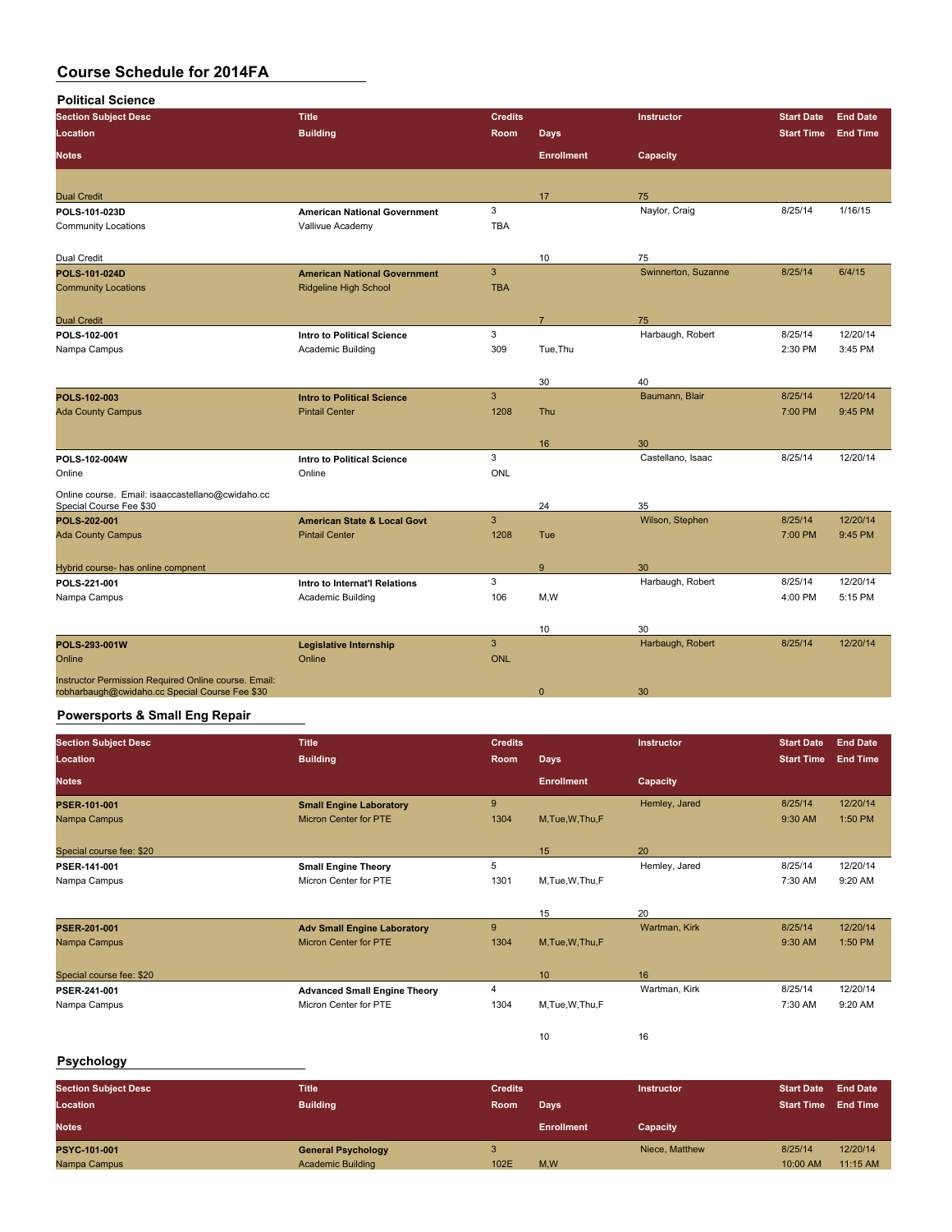| <b>Political Science</b>                             |                                        |                |                   |                     |                   |                 |
|------------------------------------------------------|----------------------------------------|----------------|-------------------|---------------------|-------------------|-----------------|
| <b>Section Subject Desc</b>                          | <b>Title</b>                           | <b>Credits</b> |                   | Instructor          | <b>Start Date</b> | <b>End Date</b> |
| Location                                             | <b>Building</b>                        | Room           | <b>Days</b>       |                     | <b>Start Time</b> | <b>End Time</b> |
| <b>Notes</b>                                         |                                        |                | <b>Enrollment</b> | Capacity            |                   |                 |
|                                                      |                                        |                |                   |                     |                   |                 |
| <b>Dual Credit</b>                                   |                                        |                | 17                | 75                  |                   |                 |
| POLS 101-023D                                        | <b>American National Government</b>    | 3              |                   | Naylor, Craig       | 8/25/14           | 1/16/15         |
| <b>Community Locations</b>                           | Vallivue Academy                       | <b>TBA</b>     |                   |                     |                   |                 |
| Dual Credit                                          |                                        |                | 10                | 75                  |                   |                 |
| POLS 101-024D                                        | <b>American National Government</b>    | $\overline{3}$ |                   | Swinnerton, Suzanne | 8/25/14           | 6/4/15          |
| <b>Community Locations</b>                           | <b>Ridgeline High School</b>           | <b>TBA</b>     |                   |                     |                   |                 |
| <b>Dual Credit</b>                                   |                                        |                | $\overline{7}$    | 75                  |                   |                 |
| POLS-102-001                                         | <b>Intro to Political Science</b>      | 3              |                   | Harbaugh, Robert    | 8/25/14           | 12/20/14        |
| Nampa Campus                                         | Academic Building                      | 309            | Tue, Thu          |                     | 2:30 PM           | 3:45 PM         |
|                                                      |                                        |                |                   |                     |                   |                 |
|                                                      |                                        |                | 30                | 40                  |                   |                 |
| POLS-102-003                                         | <b>Intro to Political Science</b>      | $\mathbf{3}$   |                   | Baumann, Blair      | 8/25/14           | 12/20/14        |
| <b>Ada County Campus</b>                             | <b>Pintail Center</b>                  | 1208           | <b>Thu</b>        |                     | 7:00 PM           | 9:45 PM         |
|                                                      |                                        |                |                   |                     |                   |                 |
|                                                      |                                        |                | 16                | 30                  |                   |                 |
| POLS 102-004W                                        | <b>Intro to Political Science</b>      | 3              |                   | Castellano, Isaac   | 8/25/14           | 12/20/14        |
| Online                                               | Online                                 | ONL            |                   |                     |                   |                 |
| Online course. Email: isaaccastellano@cwidaho.cc     |                                        |                |                   |                     |                   |                 |
| Special Course Fee \$30                              |                                        |                | 24                | 35                  |                   |                 |
| POLS-202-001                                         | <b>American State &amp; Local Govt</b> | 3              |                   | Wilson, Stephen     | 8/25/14           | 12/20/14        |
| <b>Ada County Campus</b>                             | <b>Pintail Center</b>                  | 1208           | Tue               |                     | 7:00 PM           | 9:45 PM         |
|                                                      |                                        |                |                   |                     |                   |                 |
| Hybrid course- has online compnent                   |                                        |                | 9                 | 30                  |                   |                 |
| POLS 221-001                                         | Intro to Internat'l Relations          | 3              |                   | Harbaugh, Robert    | 8/25/14           | 12/20/14        |
| Nampa Campus                                         | Academic Building                      | 106            | M,W               |                     | 4:00 PM           | 5:15 PM         |
|                                                      |                                        |                |                   |                     |                   |                 |
|                                                      |                                        |                | 10                | 30                  |                   |                 |
| POLS-293-001W                                        | Legislative Internship                 | $\mathbf{3}$   |                   | Harbaugh, Robert    | 8/25/14           | 12/20/14        |
| Online                                               | Online                                 | <b>ONL</b>     |                   |                     |                   |                 |
| Instructor Permission Required Online course. Email: |                                        |                |                   |                     |                   |                 |
| robharbaugh@cwidaho.cc Special Course Fee \$30       |                                        |                | $\mathbf{0}$      | 30                  |                   |                 |

### **Powersports & Small Eng Repair**

| <b>Section Subject Desc</b> | <b>Title</b>                        | <b>Credits</b> |                   | <b>Instructor</b> | <b>Start Date</b> | <b>End Date</b> |
|-----------------------------|-------------------------------------|----------------|-------------------|-------------------|-------------------|-----------------|
| <b>Location</b>             | <b>Building</b>                     | Room           | <b>Days</b>       |                   | <b>Start Time</b> | <b>End Time</b> |
| <b>Notes</b>                |                                     |                | <b>Enrollment</b> | Capacity          |                   |                 |
| <b>PSER 101-001</b>         | <b>Small Engine Laboratory</b>      | 9              |                   | Hemley, Jared     | 8/25/14           | 12/20/14        |
| Nampa Campus                | <b>Micron Center for PTE</b>        | 1304           | M, Tue, W, Thu, F |                   | 9:30 AM           | 1:50 PM         |
| Special course fee: \$20    |                                     |                | 15                | 20                |                   |                 |
| PSER 141-001                | <b>Small Engine Theory</b>          | 5              |                   | Hemley, Jared     | 8/25/14           | 12/20/14        |
| Nampa Campus                | Micron Center for PTE               | 1301           | M.Tue.W.Thu.F     |                   | 7:30 AM           | 9:20 AM         |
|                             |                                     |                | 15                | 20                |                   |                 |
| <b>PSER 201-001</b>         | <b>Adv Small Engine Laboratory</b>  | 9              |                   | Wartman, Kirk     | 8/25/14           | 12/20/14        |
| Nampa Campus                | <b>Micron Center for PTE</b>        | 1304           | M, Tue, W, Thu, F |                   | 9:30 AM           | 1:50 PM         |
| Special course fee: \$20    |                                     |                | 10                | 16                |                   |                 |
| PSER-241-001                | <b>Advanced Small Engine Theory</b> | 4              |                   | Wartman, Kirk     | 8/25/14           | 12/20/14        |
| Nampa Campus                | Micron Center for PTE               | 1304           | M.Tue.W.Thu.F     |                   | 7:30 AM           | 9:20 AM         |
|                             |                                     |                | 10                | 16                |                   |                 |

### **Psychology**

| <b>Section Subject Desc</b><br>Location | <b>Title</b><br><b>Building</b> | <b>Credits</b><br>Room | Days              | <b>Instructor</b> | <b>Start Date</b><br><b>Start Time</b> | <b>End Date</b><br><b>End Time</b> |
|-----------------------------------------|---------------------------------|------------------------|-------------------|-------------------|----------------------------------------|------------------------------------|
| <b>Notes</b>                            |                                 |                        | <b>Enrollment</b> | Capacity          |                                        |                                    |
| PSYC-101-001                            | <b>General Psychology</b>       |                        |                   | Niece, Matthew    | 8/25/14                                | 12/20/14                           |
| Nampa Campus                            | <b>Academic Building</b>        | 102E                   | M,W               |                   | 10:00 AM                               | $11:15$ AM                         |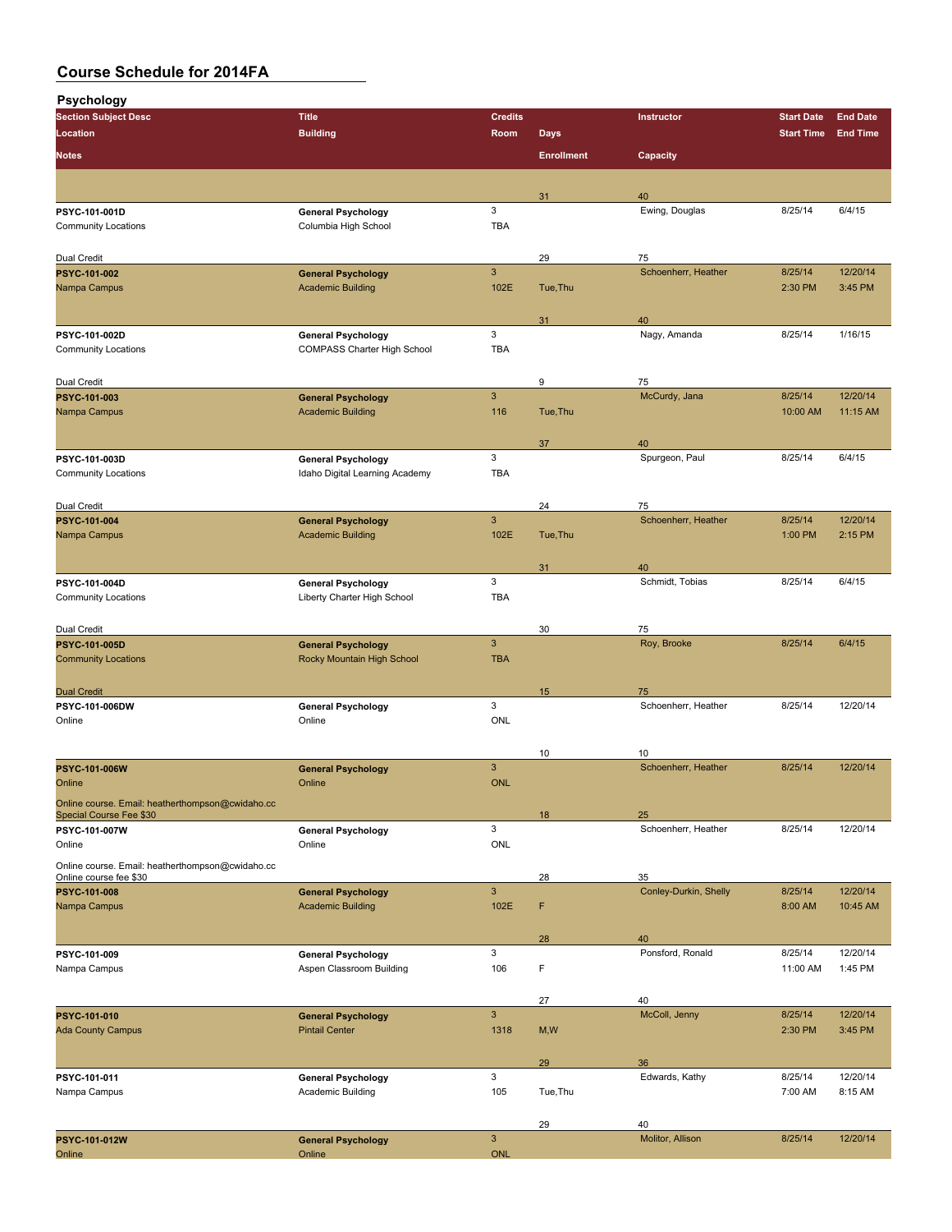**Psychology Section Subject Desc Title Credits Instructor Start Date End Date Location Building Room Days Start Time End Time Notes Enrollment Capacity** 31 40<br>Ewing, Douglas **PSYC-101-001D General Psychology** 3 Ewing, Douglas 8/25/14 6/4/15<br>
Community Locations Columbia High School TBA Columbia High School

| Dual Credit                                                                 |                                    |              | 29       | 75                    |          |          |
|-----------------------------------------------------------------------------|------------------------------------|--------------|----------|-----------------------|----------|----------|
| PSYC-101-002                                                                | <b>General Psychology</b>          | $\mathbf{3}$ |          | Schoenherr, Heather   | 8/25/14  | 12/20/14 |
| Nampa Campus                                                                | <b>Academic Building</b>           | 102E         | Tue, Thu |                       | 2:30 PM  | 3:45 PM  |
|                                                                             |                                    |              | 31       | 40                    |          |          |
| PSYC-101-002D                                                               | <b>General Psychology</b>          | 3            |          | Nagy, Amanda          | 8/25/14  | 1/16/15  |
| <b>Community Locations</b>                                                  | <b>COMPASS Charter High School</b> | <b>TBA</b>   |          |                       |          |          |
| Dual Credit                                                                 |                                    |              | 9        | 75                    |          |          |
| PSYC-101-003                                                                | <b>General Psychology</b>          | $\mathbf{3}$ |          | McCurdy, Jana         | 8/25/14  | 12/20/14 |
| Nampa Campus                                                                | <b>Academic Building</b>           | 116          | Tue, Thu |                       | 10:00 AM | 11:15 AM |
|                                                                             |                                    |              | 37       | 40                    |          |          |
| PSYC-101-003D                                                               | <b>General Psychology</b>          | 3            |          | Spurgeon, Paul        | 8/25/14  | 6/4/15   |
| <b>Community Locations</b>                                                  | Idaho Digital Learning Academy     | <b>TBA</b>   |          |                       |          |          |
| Dual Credit                                                                 |                                    |              | 24       | 75                    |          |          |
| PSYC-101-004                                                                | <b>General Psychology</b>          | $\mathbf{3}$ |          | Schoenherr, Heather   | 8/25/14  | 12/20/14 |
| Nampa Campus                                                                | <b>Academic Building</b>           | 102E         | Tue, Thu |                       | 1:00 PM  | 2:15 PM  |
|                                                                             |                                    |              | 31       | 40                    |          |          |
| PSYC-101-004D                                                               | <b>General Psychology</b>          | 3            |          | Schmidt, Tobias       | 8/25/14  | 6/4/15   |
| <b>Community Locations</b>                                                  | Liberty Charter High School        | <b>TBA</b>   |          |                       |          |          |
| <b>Dual Credit</b>                                                          |                                    |              | 30       | 75                    |          |          |
| PSYC-101-005D                                                               | <b>General Psychology</b>          | $\mathbf{3}$ |          | Roy, Brooke           | 8/25/14  | 6/4/15   |
| <b>Community Locations</b>                                                  | Rocky Mountain High School         | <b>TBA</b>   |          |                       |          |          |
| <b>Dual Credit</b>                                                          |                                    |              | 15       | 75                    |          |          |
| PSYC-101-006DW                                                              | <b>General Psychology</b>          | 3            |          | Schoenherr, Heather   | 8/25/14  | 12/20/14 |
| Online                                                                      | Online                             | ONL          |          |                       |          |          |
|                                                                             |                                    |              | 10       | 10                    |          |          |
| PSYC-101-006W                                                               | <b>General Psychology</b>          | $\mathbf{3}$ |          | Schoenherr, Heather   | 8/25/14  | 12/20/14 |
| Online                                                                      | Online                             | <b>ONL</b>   |          |                       |          |          |
| Online course. Email: heatherthompson@cwidaho.cc<br>Special Course Fee \$30 |                                    |              | 18       | 25                    |          |          |
| PSYC-101-007W                                                               | <b>General Psychology</b>          | 3            |          | Schoenherr, Heather   | 8/25/14  | 12/20/14 |
| Online                                                                      | Online                             | ONL          |          |                       |          |          |
| Online course. Email: heatherthompson@cwidaho.cc<br>Online course fee \$30  |                                    |              | 28       | 35                    |          |          |
| PSYC-101-008                                                                | <b>General Psychology</b>          | $\mathbf{3}$ |          | Conley-Durkin, Shelly | 8/25/14  | 12/20/14 |
| Nampa Campus                                                                | <b>Academic Building</b>           | 102E         | F        |                       | 8:00 AM  | 10:45 AM |
|                                                                             |                                    |              | 28       | 40                    |          |          |
| PSYC-101-009                                                                | <b>General Psychology</b>          | 3            |          | Ponsford, Ronald      | 8/25/14  | 12/20/14 |
| Nampa Campus                                                                | Aspen Classroom Building           | 106          | F        |                       | 11:00 AM | 1:45 PM  |
|                                                                             |                                    |              | 27       | 40                    |          |          |
| PSYC-101-010                                                                | <b>General Psychology</b>          | $\mathsf 3$  |          | McColl, Jenny         | 8/25/14  | 12/20/14 |
| <b>Ada County Campus</b>                                                    | <b>Pintail Center</b>              | 1318         | M, W     |                       | 2:30 PM  | 3:45 PM  |
|                                                                             |                                    |              | 29       | 36                    |          |          |
| PSYC-101-011                                                                | <b>General Psychology</b>          | 3            |          | Edwards, Kathy        | 8/25/14  | 12/20/14 |

|                      |                           |            | 29 | 40               |         |          |
|----------------------|---------------------------|------------|----|------------------|---------|----------|
| <b>PSYC 101-012W</b> | <b>General Psychology</b> |            |    | Molitor, Allison | 8/25/14 | 12/20/14 |
| Online               | Online                    | <b>ONL</b> |    |                  |         |          |

Nampa Campus **Academic Building** 105 Tue,Thu 105 Tue,Thu 105 Tue,Thu 7:00 AM 8:15 AM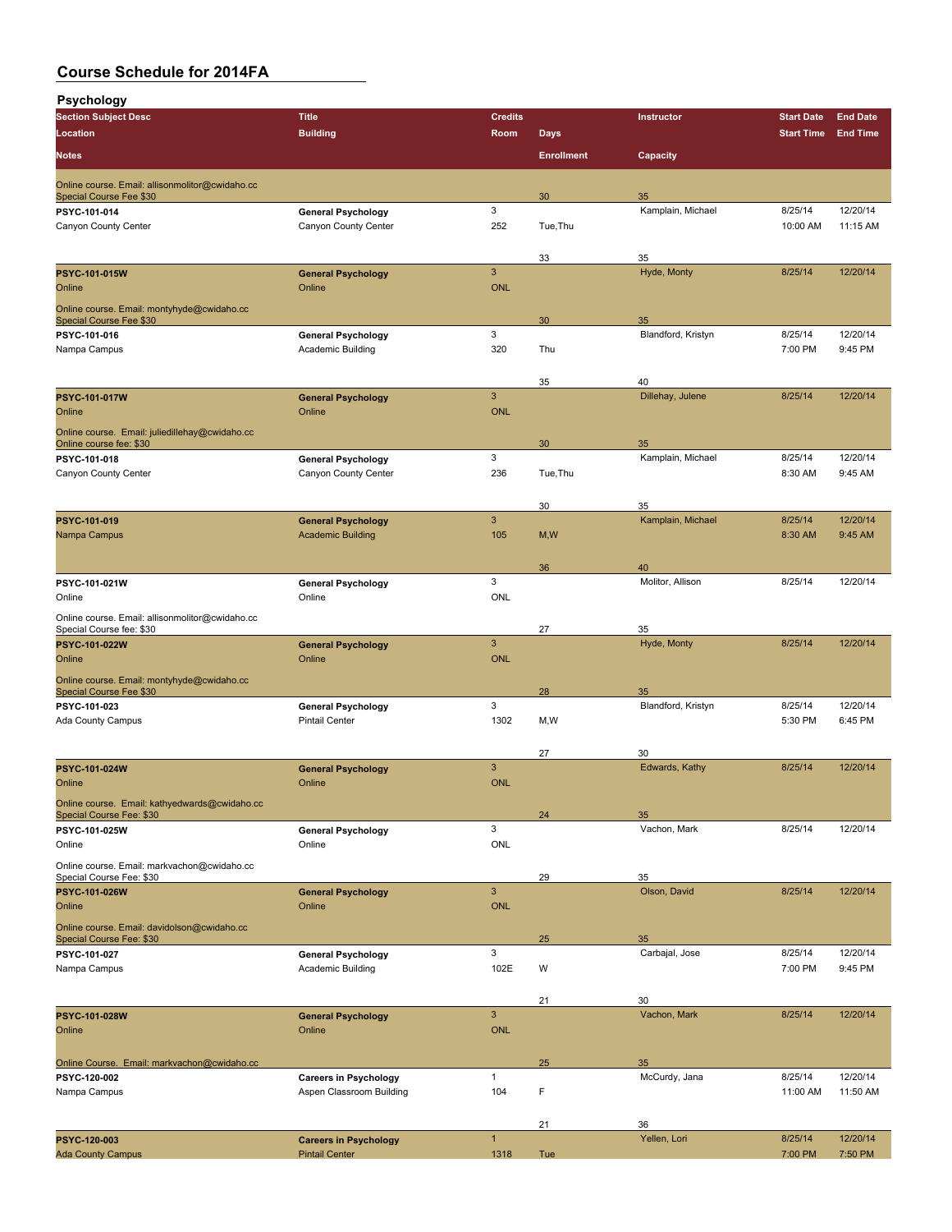| Psychology                                                                        |                                                          |                     |                                  |                         |                     |                      |
|-----------------------------------------------------------------------------------|----------------------------------------------------------|---------------------|----------------------------------|-------------------------|---------------------|----------------------|
| <b>Section Subject Desc</b>                                                       | <b>Title</b>                                             | <b>Credits</b>      |                                  | Instructor              | <b>Start Date</b>   | <b>End Date</b>      |
| Location<br><b>Notes</b>                                                          | <b>Building</b>                                          | Room                | <b>Days</b><br><b>Enrollment</b> | Capacity                | <b>Start Time</b>   | <b>End Time</b>      |
|                                                                                   |                                                          |                     |                                  |                         |                     |                      |
| Online course. Email: allisonmolitor@cwidaho.cc<br><b>Special Course Fee \$30</b> |                                                          |                     | 30                               | 35                      |                     |                      |
| PSYC-101-014                                                                      | <b>General Psychology</b>                                | 3                   |                                  | Kamplain, Michael       | 8/25/14             | 12/20/14             |
| Canyon County Center                                                              | Canyon County Center                                     | 252                 | Tue, Thu                         |                         | 10:00 AM            | 11:15 AM             |
|                                                                                   |                                                          |                     | 33                               | 35                      |                     |                      |
| PSYC-101-015W                                                                     | <b>General Psychology</b>                                | $\mathbf{3}$        |                                  | Hyde, Monty             | 8/25/14             | 12/20/14             |
| Online                                                                            | Online                                                   | <b>ONL</b>          |                                  |                         |                     |                      |
| Online course. Email: montyhyde@cwidaho.cc<br><b>Special Course Fee \$30</b>      |                                                          |                     | 30                               | 35                      |                     |                      |
| PSYC-101-016                                                                      | <b>General Psychology</b>                                | 3                   |                                  | Blandford, Kristyn      | 8/25/14             | 12/20/14             |
| Nampa Campus                                                                      | <b>Academic Building</b>                                 | 320                 | Thu                              |                         | 7:00 PM             | 9:45 PM              |
|                                                                                   |                                                          |                     |                                  | 40                      |                     |                      |
| <b>PSYC-101-017W</b>                                                              | <b>General Psychology</b>                                | $\mathbf{3}$        | 35                               | Dillehay, Julene        | 8/25/14             | 12/20/14             |
| Online                                                                            | Online                                                   | <b>ONL</b>          |                                  |                         |                     |                      |
| Online course. Email: juliedillehay@cwidaho.cc                                    |                                                          |                     |                                  |                         |                     |                      |
| Online course fee: \$30<br>PSYC-101-018                                           | <b>General Psychology</b>                                | 3                   | 30                               | 35<br>Kamplain, Michael | 8/25/14             | 12/20/14             |
| Canyon County Center                                                              | Canyon County Center                                     | 236                 | Tue, Thu                         |                         | 8:30 AM             | 9:45 AM              |
|                                                                                   |                                                          |                     |                                  |                         |                     |                      |
|                                                                                   |                                                          | $\mathbf{3}$        | 30                               | 35                      |                     |                      |
| PSYC-101-019<br>Nampa Campus                                                      | <b>General Psychology</b><br><b>Academic Building</b>    | 105                 | M, W                             | Kamplain, Michael       | 8/25/14<br>8:30 AM  | 12/20/14<br>9:45 AM  |
|                                                                                   |                                                          |                     |                                  |                         |                     |                      |
|                                                                                   |                                                          |                     | 36                               | 40                      |                     |                      |
| PSYC-101-021W<br>Online                                                           | <b>General Psychology</b><br>Online                      | 3<br><b>ONL</b>     |                                  | Molitor, Allison        | 8/25/14             | 12/20/14             |
|                                                                                   |                                                          |                     |                                  |                         |                     |                      |
| Online course. Email: allisonmolitor@cwidaho.cc<br>Special Course fee: \$30       |                                                          |                     | 27                               | 35                      |                     |                      |
| PSYC-101-022W                                                                     | <b>General Psychology</b>                                | 3                   |                                  | Hyde, Monty             | 8/25/14             | 12/20/14             |
| Online                                                                            | Online                                                   | <b>ONL</b>          |                                  |                         |                     |                      |
| Online course. Email: montyhyde@cwidaho.cc<br>Special Course Fee \$30             |                                                          |                     | 28                               | 35                      |                     |                      |
| PSYC-101-023                                                                      | <b>General Psychology</b>                                | 3                   |                                  | Blandford, Kristyn      | 8/25/14             | 12/20/14             |
| <b>Ada County Campus</b>                                                          | <b>Pintail Center</b>                                    | 1302                | M, W                             |                         | 5:30 PM             | 6:45 PM              |
|                                                                                   |                                                          |                     | 27                               | 30                      |                     |                      |
| PSYC-101-024W                                                                     | <b>General Psychology</b>                                | 3                   |                                  | Edwards, Kathy          | 8/25/14             | 12/20/14             |
| Online                                                                            | Online                                                   | <b>ONL</b>          |                                  |                         |                     |                      |
| Online course. Email: kathyedwards@cwidaho.cc                                     |                                                          |                     |                                  |                         |                     |                      |
| Special Course Fee: \$30<br>PSYC-101-025W                                         | <b>General Psychology</b>                                | 3                   | 24                               | 35<br>Vachon, Mark      | 8/25/14             | 12/20/14             |
| Online                                                                            | Online                                                   | <b>ONL</b>          |                                  |                         |                     |                      |
| Online course. Email: markvachon@cwidaho.cc                                       |                                                          |                     |                                  |                         |                     |                      |
| Special Course Fee: \$30<br>PSYC-101-026W                                         | <b>General Psychology</b>                                | $\mathbf{3}$        | 29                               | 35<br>Olson, David      | 8/25/14             | 12/20/14             |
| Online                                                                            | Online                                                   | <b>ONL</b>          |                                  |                         |                     |                      |
| Online course. Email: davidolson@cwidaho.cc                                       |                                                          |                     |                                  |                         |                     |                      |
| Special Course Fee: \$30<br>PSYC-101-027                                          | <b>General Psychology</b>                                | 3                   | 25                               | 35<br>Carbajal, Jose    | 8/25/14             | 12/20/14             |
| Nampa Campus                                                                      | Academic Building                                        | 102E                | W                                |                         | 7:00 PM             | 9:45 PM              |
|                                                                                   |                                                          |                     |                                  |                         |                     |                      |
|                                                                                   |                                                          |                     | 21                               | 30                      |                     |                      |
| PSYC-101-028W<br>Online                                                           | <b>General Psychology</b><br>Online                      | 3<br><b>ONL</b>     |                                  | Vachon, Mark            | 8/25/14             | 12/20/14             |
|                                                                                   |                                                          |                     |                                  |                         |                     |                      |
| Online Course. Email: markvachon@cwidaho.cc                                       |                                                          |                     | 25                               | 35                      |                     |                      |
| PSYC-120-002<br>Nampa Campus                                                      | <b>Careers in Psychology</b><br>Aspen Classroom Building | $\mathbf{1}$<br>104 | F                                | McCurdy, Jana           | 8/25/14<br>11:00 AM | 12/20/14<br>11:50 AM |
|                                                                                   |                                                          |                     |                                  |                         |                     |                      |
|                                                                                   |                                                          |                     | 21                               | 36                      |                     |                      |
| PSYC-120-003                                                                      | <b>Careers in Psychology</b>                             | $\mathbf{1}$        |                                  | Yellen, Lori            | 8/25/14             | 12/20/14             |
| <b>Ada County Campus</b>                                                          | <b>Pintail Center</b>                                    | 1318                | Tue                              |                         | 7:00 PM             | 7:50 PM              |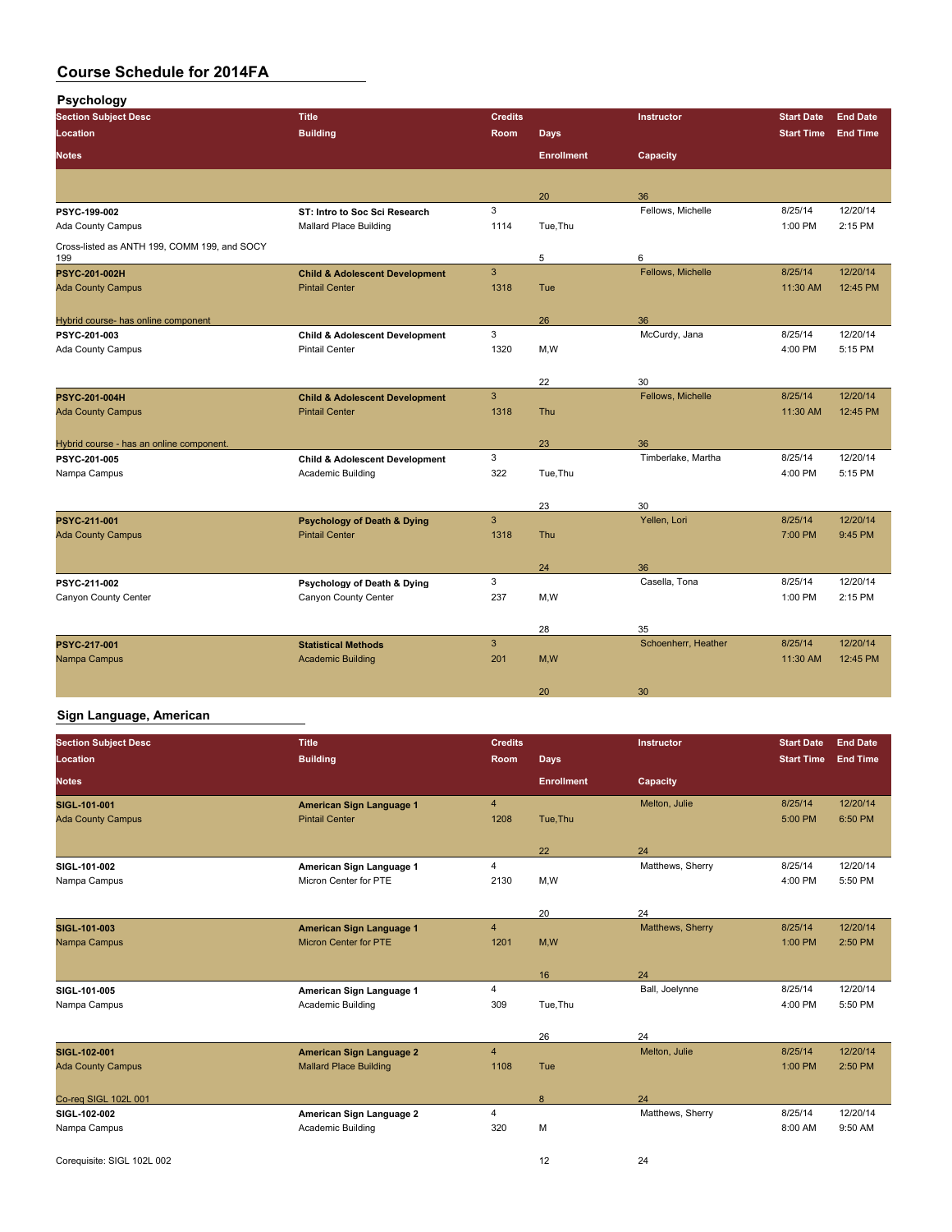| <b>Psychology</b> |  |
|-------------------|--|
|-------------------|--|

| <b>Section Subject Desc</b>                         | <b>Title</b>                              | <b>Credits</b> |                   | Instructor          | <b>Start Date</b> | <b>End Date</b> |
|-----------------------------------------------------|-------------------------------------------|----------------|-------------------|---------------------|-------------------|-----------------|
| Location                                            | <b>Building</b>                           | Room           | <b>Days</b>       |                     | <b>Start Time</b> | <b>End Time</b> |
| <b>Notes</b>                                        |                                           |                | <b>Enrollment</b> | Capacity            |                   |                 |
|                                                     |                                           |                |                   |                     |                   |                 |
|                                                     |                                           |                | 20                | 36                  |                   |                 |
| PSYC-199-002                                        | ST: Intro to Soc Sci Research             | 3              |                   | Fellows, Michelle   | 8/25/14           | 12/20/14        |
| Ada County Campus                                   | <b>Mallard Place Building</b>             | 1114           | Tue, Thu          |                     | 1:00 PM           | 2:15 PM         |
| Cross-listed as ANTH 199, COMM 199, and SOCY<br>199 |                                           |                | 5                 | 6                   |                   |                 |
| <b>PSYC 201 002H</b>                                | <b>Child &amp; Adolescent Development</b> | $\mathbf{3}$   |                   | Fellows, Michelle   | 8/25/14           | 12/20/14        |
| <b>Ada County Campus</b>                            | <b>Pintail Center</b>                     | 1318           | Tue               |                     | 11:30 AM          | 12:45 PM        |
|                                                     |                                           |                |                   |                     |                   |                 |
| Hybrid course- has online component                 |                                           |                | 26                | 36                  |                   |                 |
| PSYC-201-003                                        | <b>Child &amp; Adolescent Development</b> | 3              |                   | McCurdy, Jana       | 8/25/14           | 12/20/14        |
| Ada County Campus                                   | <b>Pintail Center</b>                     | 1320           | M,W               |                     | 4:00 PM           | 5:15 PM         |
|                                                     |                                           |                |                   |                     |                   |                 |
|                                                     |                                           |                | 22                | 30                  |                   |                 |
| PSYC-201-004H                                       | <b>Child &amp; Adolescent Development</b> | $\mathbf{3}$   |                   | Fellows, Michelle   | 8/25/14           | 12/20/14        |
| <b>Ada County Campus</b>                            | <b>Pintail Center</b>                     | 1318           | <b>Thu</b>        |                     | 11:30 AM          | 12:45 PM        |
|                                                     |                                           |                |                   |                     |                   |                 |
| Hybrid course - has an online component.            |                                           |                | 23                | 36                  |                   |                 |
| PSYC-201-005                                        | <b>Child &amp; Adolescent Development</b> | 3              |                   | Timberlake, Martha  | 8/25/14           | 12/20/14        |
| Nampa Campus                                        | Academic Building                         | 322            | Tue, Thu          |                     | 4:00 PM           | 5:15 PM         |
|                                                     |                                           |                |                   |                     |                   |                 |
|                                                     |                                           |                | 23                | 30                  |                   |                 |
| PSYC 211 001                                        | <b>Psychology of Death &amp; Dying</b>    | $\mathbf{3}$   |                   | Yellen, Lori        | 8/25/14           | 12/20/14        |
| <b>Ada County Campus</b>                            | <b>Pintail Center</b>                     | 1318           | <b>Thu</b>        |                     | 7:00 PM           | 9:45 PM         |
|                                                     |                                           |                |                   |                     |                   |                 |
|                                                     |                                           |                | 24                | 36                  |                   |                 |
| PSYC-211-002                                        | Psychology of Death & Dying               | 3              |                   | Casella, Tona       | 8/25/14           | 12/20/14        |
| Canyon County Center                                | Canyon County Center                      | 237            | M,W               |                     | 1:00 PM           | 2:15 PM         |
|                                                     |                                           |                |                   |                     |                   |                 |
|                                                     |                                           |                | 28                | 35                  |                   |                 |
| PSYC 217-001                                        | <b>Statistical Methods</b>                | $\mathbf{3}$   |                   | Schoenherr, Heather | 8/25/14           | 12/20/14        |
| Nampa Campus                                        | <b>Academic Building</b>                  | 201            | M,W               |                     | 11:30 AM          | 12:45 PM        |
|                                                     |                                           |                |                   |                     |                   |                 |
|                                                     |                                           |                | 20                | 30                  |                   |                 |

#### **Sign Language, American**

| <b>Section Subject Desc</b><br>Location | <b>Title</b><br><b>Building</b> | <b>Credits</b><br><b>Room</b> | <b>Days</b>       | Instructor       | <b>Start Date</b><br><b>Start Time</b> | <b>End Date</b><br><b>End Time</b> |
|-----------------------------------------|---------------------------------|-------------------------------|-------------------|------------------|----------------------------------------|------------------------------------|
|                                         |                                 |                               |                   |                  |                                        |                                    |
| <b>Notes</b>                            |                                 |                               | <b>Enrollment</b> | Capacity         |                                        |                                    |
| SIGL 101-001                            | American Sign Language 1        | $\overline{4}$                |                   | Melton, Julie    | 8/25/14                                | 12/20/14                           |
| <b>Ada County Campus</b>                | <b>Pintail Center</b>           | 1208                          | Tue, Thu          |                  | 5:00 PM                                | 6:50 PM                            |
|                                         |                                 |                               |                   |                  |                                        |                                    |
|                                         |                                 |                               | 22                | 24               |                                        |                                    |
| SIGL 101-002                            | American Sign Language 1        | $\overline{4}$                |                   | Matthews, Sherry | 8/25/14                                | 12/20/14                           |
| Nampa Campus                            | Micron Center for PTE           | 2130                          | M,W               |                  | 4:00 PM                                | 5:50 PM                            |
|                                         |                                 |                               |                   |                  |                                        |                                    |
|                                         |                                 |                               | 20                | 24               |                                        |                                    |
| <b>SIGL 101 003</b>                     | American Sign Language 1        | $\overline{4}$                |                   | Matthews, Sherry | 8/25/14                                | 12/20/14                           |
| Nampa Campus                            | Micron Center for PTE           | 1201                          | M,W               |                  | 1:00 PM                                | 2:50 PM                            |
|                                         |                                 |                               |                   |                  |                                        |                                    |
|                                         |                                 |                               | 16                | 24               |                                        |                                    |
| SIGL 101-005                            | American Sign Language 1        | $\overline{4}$                |                   | Ball, Joelynne   | 8/25/14                                | 12/20/14                           |
| Nampa Campus                            | Academic Building               | 309                           | Tue, Thu          |                  | 4:00 PM                                | 5:50 PM                            |
|                                         |                                 |                               |                   |                  |                                        |                                    |
|                                         |                                 |                               | 26                | 24               |                                        |                                    |
| SIGL-102-001                            | <b>American Sign Language 2</b> | $\overline{4}$                |                   | Melton, Julie    | 8/25/14                                | 12/20/14                           |
| <b>Ada County Campus</b>                | <b>Mallard Place Building</b>   | 1108                          | Tue               |                  | 1:00 PM                                | 2:50 PM                            |
|                                         |                                 |                               |                   |                  |                                        |                                    |
| Co-reg SIGL 102L 001                    |                                 |                               | 8                 | 24               |                                        |                                    |
| SIGL 102-002                            | American Sign Language 2        | $\overline{4}$                |                   | Matthews, Sherry | 8/25/14                                | 12/20/14                           |
| Nampa Campus                            | Academic Building               | 320                           | M                 |                  | 8:00 AM                                | 9:50 AM                            |
|                                         |                                 |                               |                   |                  |                                        |                                    |
| Corequisite: SIGL 102L 002              |                                 |                               | 12                | 24               |                                        |                                    |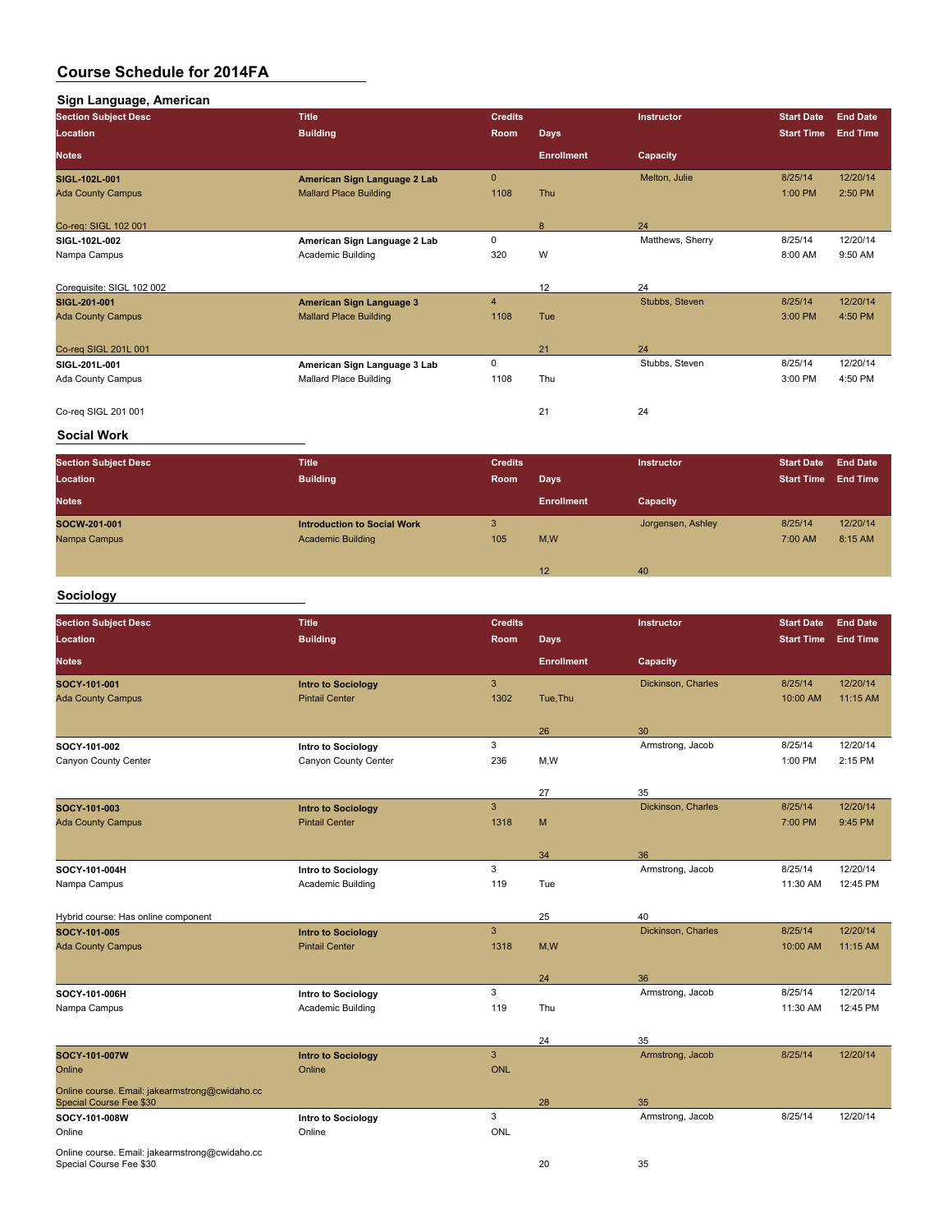| Sign Language, American     |                               |                         |                   |                  |                   |                 |
|-----------------------------|-------------------------------|-------------------------|-------------------|------------------|-------------------|-----------------|
| <b>Section Subject Desc</b> | <b>Title</b>                  | <b>Credits</b>          |                   | Instructor       | <b>Start Date</b> | <b>End Date</b> |
| Location                    | <b>Building</b>               | <b>Room</b>             | <b>Days</b>       |                  | <b>Start Time</b> | <b>End Time</b> |
| <b>Notes</b>                |                               |                         | <b>Enrollment</b> | Capacity         |                   |                 |
| <b>SIGL 102L 001</b>        | American Sign Language 2 Lab  | $\mathbf{0}$            |                   | Melton, Julie    | 8/25/14           | 12/20/14        |
| <b>Ada County Campus</b>    | <b>Mallard Place Building</b> | 1108                    | <b>Thu</b>        |                  | 1:00 PM           | 2:50 PM         |
| Co-req: SIGL 102 001        |                               |                         | 8                 | 24               |                   |                 |
| SIGL-102L-002               | American Sign Language 2 Lab  | 0                       |                   | Matthews, Sherry | 8/25/14           | 12/20/14        |
| Nampa Campus                | Academic Building             | 320                     | W                 |                  | 8:00 AM           | 9:50 AM         |
| Corequisite: SIGL 102 002   |                               |                         | 12                | 24               |                   |                 |
| SIGL 201-001                | American Sign Language 3      | $\overline{\mathbf{4}}$ |                   | Stubbs, Steven   | 8/25/14           | 12/20/14        |
| <b>Ada County Campus</b>    | <b>Mallard Place Building</b> | 1108                    | Tue               |                  | 3:00 PM           | 4:50 PM         |
| Co-reg SIGL 201L 001        |                               |                         | 21                | 24               |                   |                 |
| SIGL-201L-001               | American Sign Language 3 Lab  | 0                       |                   | Stubbs, Steven   | 8/25/14           | 12/20/14        |
| Ada County Campus           | <b>Mallard Place Building</b> | 1108                    | Thu               |                  | 3:00 PM           | 4:50 PM         |
| Co-reg SIGL 201 001         |                               |                         | 21                | 24               |                   |                 |

### **Social Work**

| <b>Section Subject Desc</b><br>Location | <b>Title</b><br><b>Building</b>                                | <b>Credits</b><br>Room | Days              | <b>Instructor</b> | <b>Start Date</b><br><b>Start Time</b> | <b>End Date</b><br><b>End Time</b> |
|-----------------------------------------|----------------------------------------------------------------|------------------------|-------------------|-------------------|----------------------------------------|------------------------------------|
| <b>Notes</b>                            |                                                                |                        | <b>Enrollment</b> | Capacity          |                                        |                                    |
| SOCW-201-001<br>Nampa Campus            | <b>Introduction to Social Work</b><br><b>Academic Building</b> | 3<br>105               | M,W               | Jorgensen, Ashley | 8/25/14<br>7:00 AM                     | 12/20/14<br>8:15 AM                |
|                                         |                                                                |                        | 12                | 40                |                                        |                                    |

### **Sociology**

| <b>Section Subject Desc</b>                                               | <b>Title</b>              | <b>Credits</b> |                   | <b>Instructor</b>  | <b>Start Date</b> | <b>End Date</b> |
|---------------------------------------------------------------------------|---------------------------|----------------|-------------------|--------------------|-------------------|-----------------|
| Location                                                                  | <b>Building</b>           | Room           | <b>Days</b>       |                    | <b>Start Time</b> | <b>End Time</b> |
| <b>Notes</b>                                                              |                           |                | <b>Enrollment</b> | Capacity           |                   |                 |
| SOCY-101-001                                                              | <b>Intro to Sociology</b> | $\mathbf{3}$   |                   | Dickinson, Charles | 8/25/14           | 12/20/14        |
| <b>Ada County Campus</b>                                                  | <b>Pintail Center</b>     | 1302           | Tue, Thu          |                    | 10:00 AM          | 11:15 AM        |
|                                                                           |                           |                | 26                | 30                 |                   |                 |
| SOCY 101 002                                                              | Intro to Sociology        | 3              |                   | Armstrong, Jacob   | 8/25/14           | 12/20/14        |
| Canyon County Center                                                      | Canyon County Center      | 236            | M, W              |                    | 1:00 PM           | 2:15 PM         |
|                                                                           |                           |                | 27                | 35                 |                   |                 |
| SOCY-101-003                                                              | <b>Intro to Sociology</b> | 3              |                   | Dickinson, Charles | 8/25/14           | 12/20/14        |
| <b>Ada County Campus</b>                                                  | <b>Pintail Center</b>     | 1318           | M                 |                    | 7:00 PM           | 9:45 PM         |
|                                                                           |                           |                | 34                | 36                 |                   |                 |
| SOCY-101-004H                                                             | Intro to Sociology        | 3              |                   | Armstrong, Jacob   | 8/25/14           | 12/20/14        |
| Nampa Campus                                                              | Academic Building         | 119            | Tue               |                    | 11:30 AM          | 12:45 PM        |
| Hybrid course: Has online component                                       |                           |                | 25                | 40                 |                   |                 |
| SOCY 101 005                                                              | <b>Intro to Sociology</b> | 3              |                   | Dickinson, Charles | 8/25/14           | 12/20/14        |
| <b>Ada County Campus</b>                                                  | <b>Pintail Center</b>     | 1318           | M, W              |                    | 10:00 AM          | 11:15 AM        |
|                                                                           |                           |                | 24                | 36                 |                   |                 |
| SOCY-101-006H                                                             | Intro to Sociology        | 3              |                   | Armstrong, Jacob   | 8/25/14           | 12/20/14        |
| Nampa Campus                                                              | Academic Building         | 119            | Thu               |                    | 11:30 AM          | 12:45 PM        |
|                                                                           |                           |                | 24                | 35                 |                   |                 |
| SOCY-101-007W                                                             | <b>Intro to Sociology</b> | $\overline{3}$ |                   | Armstrong, Jacob   | 8/25/14           | 12/20/14        |
| Online                                                                    | Online                    | <b>ONL</b>     |                   |                    |                   |                 |
| Online course. Email: jakearmstrong@cwidaho.cc<br>Special Course Fee \$30 |                           |                | 28                | 35                 |                   |                 |
| SOCY-101-008W                                                             | Intro to Sociology        | 3              |                   | Armstrong, Jacob   | 8/25/14           | 12/20/14        |
| Online                                                                    | Online                    | <b>ONL</b>     |                   |                    |                   |                 |
| Online course. Email: jakearmstrong@cwidaho.cc<br>Special Course Fee \$30 |                           |                | 20                | 35                 |                   |                 |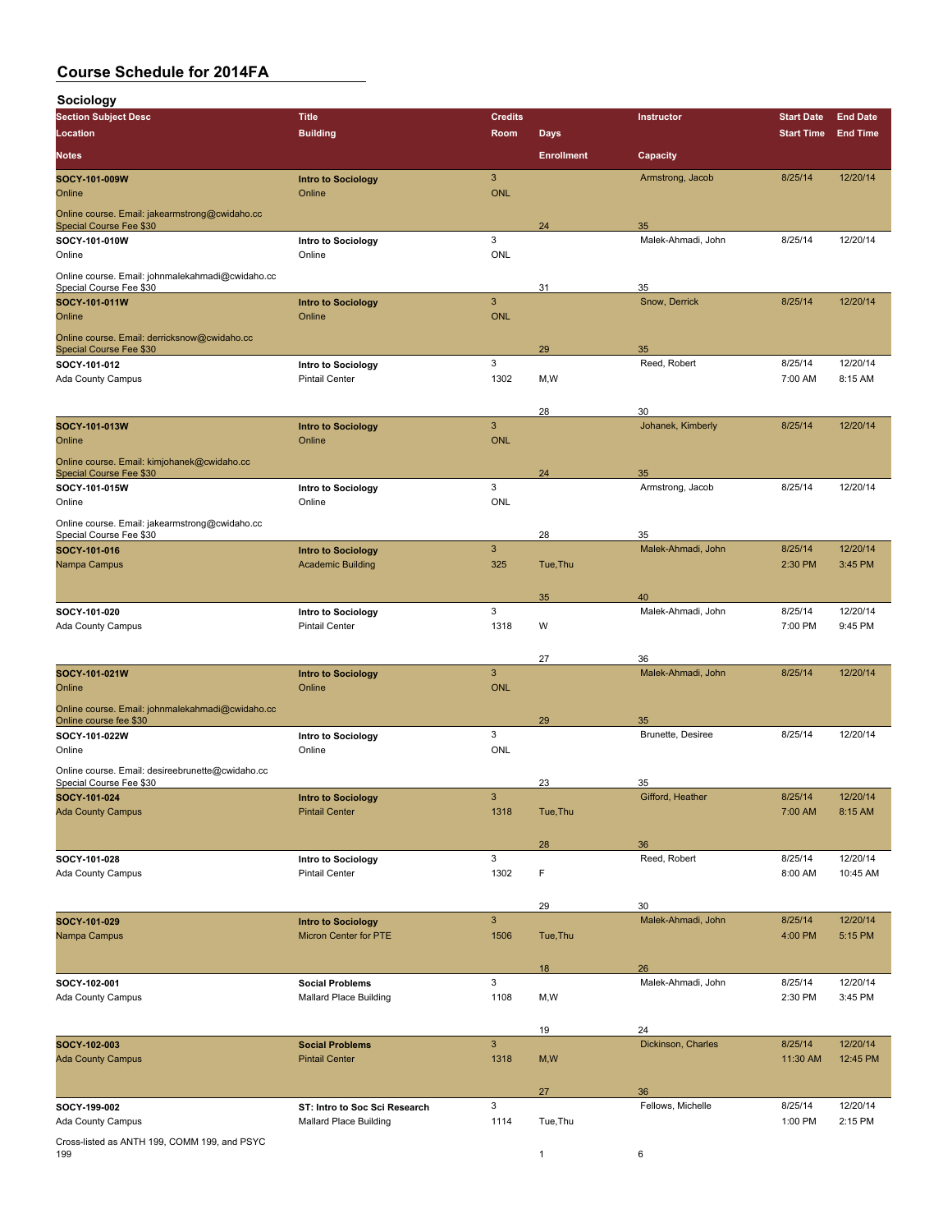**Sociology**

| <b>SOCIOIOGY</b>                                                            |                                                 |                     |                   |                          |                   |                     |
|-----------------------------------------------------------------------------|-------------------------------------------------|---------------------|-------------------|--------------------------|-------------------|---------------------|
| <b>Section Subject Desc</b>                                                 | <b>Title</b>                                    | <b>Credits</b>      |                   | Instructor               | <b>Start Date</b> | <b>End Date</b>     |
| Location                                                                    | <b>Building</b>                                 | Room                | <b>Days</b>       |                          | <b>Start Time</b> | <b>End Time</b>     |
| <b>Notes</b>                                                                |                                                 |                     | <b>Enrollment</b> | Capacity                 |                   |                     |
| SOCY 101-009W                                                               | <b>Intro to Sociology</b>                       | $\mathbf{3}$        |                   | Armstrong, Jacob         | 8/25/14           | 12/20/14            |
| Online                                                                      | Online                                          | <b>ONL</b>          |                   |                          |                   |                     |
| Online course. Email: jakearmstrong@cwidaho.cc                              |                                                 |                     |                   |                          |                   |                     |
| Special Course Fee \$30                                                     |                                                 | $\mathbf{3}$        | 24                | 35                       |                   |                     |
| SOCY-101-010W<br>Online                                                     | Intro to Sociology<br>Online                    | <b>ONL</b>          |                   | Malek-Ahmadi, John       | 8/25/14           | 12/20/14            |
|                                                                             |                                                 |                     |                   |                          |                   |                     |
| Online course. Email: johnmalekahmadi@cwidaho.cc<br>Special Course Fee \$30 |                                                 |                     | 31                | 35                       |                   |                     |
| SOCY-101-011W                                                               | <b>Intro to Sociology</b>                       | $\mathbf{3}$        |                   | Snow, Derrick            | 8/25/14           | 12/20/14            |
| Online                                                                      | Online                                          | <b>ONL</b>          |                   |                          |                   |                     |
| Online course. Email: derricksnow@cwidaho.cc                                |                                                 |                     | 29                | 35                       |                   |                     |
| Special Course Fee \$30<br>SOCY-101-012                                     | Intro to Sociology                              | 3                   |                   | Reed, Robert             | 8/25/14           | 12/20/14            |
| <b>Ada County Campus</b>                                                    | <b>Pintail Center</b>                           | 1302                | M, W              |                          | 7:00 AM           | 8:15 AM             |
|                                                                             |                                                 |                     |                   |                          |                   |                     |
|                                                                             |                                                 |                     | 28                | 30                       |                   |                     |
| SOCY-101-013W                                                               | <b>Intro to Sociology</b>                       | $\mathbf{3}$        |                   | Johanek, Kimberly        | 8/25/14           | 12/20/14            |
| Online                                                                      | Online                                          | <b>ONL</b>          |                   |                          |                   |                     |
| Online course. Email: kimjohanek@cwidaho.cc                                 |                                                 |                     |                   |                          |                   |                     |
| Special Course Fee \$30<br>SOCY-101-015W                                    | Intro to Sociology                              | 3                   | 24                | 35<br>Armstrong, Jacob   | 8/25/14           | 12/20/14            |
| Online                                                                      | Online                                          | ONL                 |                   |                          |                   |                     |
| Online course. Email: jakearmstrong@cwidaho.cc                              |                                                 |                     |                   |                          |                   |                     |
| Special Course Fee \$30                                                     |                                                 |                     | 28                | 35                       |                   |                     |
| SOCY-101-016                                                                | <b>Intro to Sociology</b>                       | $\mathbf{3}$        |                   | Malek-Ahmadi, John       | 8/25/14           | 12/20/14            |
| Nampa Campus                                                                | <b>Academic Building</b>                        | 325                 | Tue, Thu          |                          | 2:30 PM           | 3:45 PM             |
|                                                                             |                                                 |                     |                   |                          |                   |                     |
|                                                                             |                                                 |                     | 35                | 40                       |                   |                     |
| SOCY 101-020                                                                | Intro to Sociology<br><b>Pintail Center</b>     | 3<br>1318           |                   | Malek-Ahmadi, John       | 8/25/14           | 12/20/14<br>9:45 PM |
| <b>Ada County Campus</b>                                                    |                                                 |                     | W                 |                          | 7:00 PM           |                     |
|                                                                             |                                                 |                     | 27                | 36                       |                   |                     |
| SOCY-101-021W                                                               | <b>Intro to Sociology</b>                       | $\mathbf{3}$        |                   | Malek-Ahmadi, John       | 8/25/14           | 12/20/14            |
| Online                                                                      | Online                                          | <b>ONL</b>          |                   |                          |                   |                     |
| Online course. Email: johnmalekahmadi@cwidaho.cc                            |                                                 |                     |                   |                          |                   |                     |
| Online course fee \$30                                                      |                                                 |                     | 29                | 35                       |                   |                     |
| SOCY-101-022W<br>Online                                                     | Intro to Sociology<br>Online                    | $\mathbf{3}$<br>ONL |                   | Brunette, Desiree        | 8/25/14           | 12/20/14            |
|                                                                             |                                                 |                     |                   |                          |                   |                     |
| Online course. Email: desireebrunette@cwidaho.cc<br>Special Course Fee \$30 |                                                 |                     | 23                | 35                       |                   |                     |
| SOCY-101-024                                                                | <b>Intro to Sociology</b>                       | 3                   |                   | Gifford, Heather         | 8/25/14           | 12/20/14            |
| <b>Ada County Campus</b>                                                    | <b>Pintail Center</b>                           | 1318                | Tue, Thu          |                          | 7:00 AM           | 8:15 AM             |
|                                                                             |                                                 |                     |                   |                          |                   |                     |
|                                                                             |                                                 |                     | 28                | 36                       |                   |                     |
| SOCY 101-028                                                                | Intro to Sociology                              | 3                   |                   | Reed, Robert             | 8/25/14           | 12/20/14            |
| Ada County Campus                                                           | <b>Pintail Center</b>                           | 1302                | F                 |                          | 8:00 AM           | 10:45 AM            |
|                                                                             |                                                 |                     |                   |                          |                   |                     |
| SOCY-101-029                                                                | <b>Intro to Sociology</b>                       | $\mathsf 3$         | 29                | 30<br>Malek-Ahmadi, John | 8/25/14           | 12/20/14            |
| Nampa Campus                                                                | Micron Center for PTE                           | 1506                | Tue, Thu          |                          | 4:00 PM           | 5:15 PM             |
|                                                                             |                                                 |                     |                   |                          |                   |                     |
|                                                                             |                                                 |                     | 18                | 26                       |                   |                     |
| SOCY-102-001                                                                | <b>Social Problems</b>                          | 3                   |                   | Malek-Ahmadi, John       | 8/25/14           | 12/20/14            |
| <b>Ada County Campus</b>                                                    | <b>Mallard Place Building</b>                   | 1108                | M,W               |                          | 2:30 PM           | 3:45 PM             |
|                                                                             |                                                 |                     |                   |                          |                   |                     |
|                                                                             |                                                 | $\mathsf 3$         | 19                | 24<br>Dickinson, Charles | 8/25/14           | 12/20/14            |
| SOCY-102-003<br><b>Ada County Campus</b>                                    | <b>Social Problems</b><br><b>Pintail Center</b> | 1318                | M, W              |                          | 11:30 AM          | 12:45 PM            |
|                                                                             |                                                 |                     |                   |                          |                   |                     |
|                                                                             |                                                 |                     | 27                | 36                       |                   |                     |
| SOCY-199-002                                                                | ST: Intro to Soc Sci Research                   | 3                   |                   | Fellows, Michelle        | 8/25/14           | 12/20/14            |
| Ada County Campus                                                           | <b>Mallard Place Building</b>                   | 1114                | Tue, Thu          |                          | 1:00 PM           | 2:15 PM             |
| Cross-listed as ANTH 199, COMM 199, and PSYC                                |                                                 |                     |                   |                          |                   |                     |
| 199                                                                         |                                                 |                     | 1                 | 6                        |                   |                     |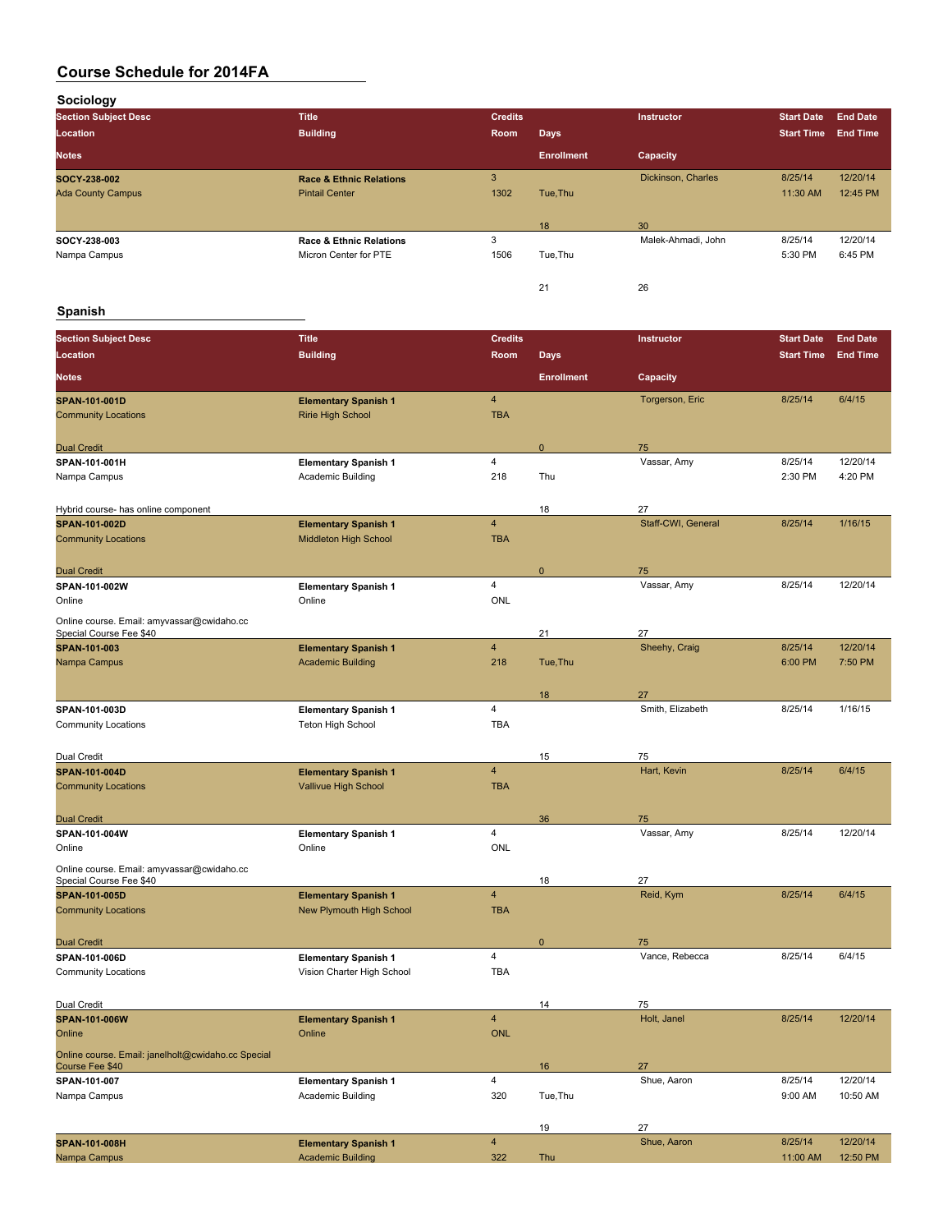**Sociology**

| <b>Section Subject Desc</b> | <b>Title</b>                       | <b>Credits</b> |                   | <b>Instructor</b>  | <b>Start Date</b> | <b>End Date</b> |
|-----------------------------|------------------------------------|----------------|-------------------|--------------------|-------------------|-----------------|
| Location                    | <b>Building</b>                    | Room           | Days              |                    | <b>Start Time</b> | <b>End Time</b> |
| <b>Notes</b>                |                                    |                | <b>Enrollment</b> | Capacity           |                   |                 |
| SOCY-238-002                | <b>Race &amp; Ethnic Relations</b> | 3              |                   | Dickinson, Charles | 8/25/14           | 12/20/14        |
| <b>Ada County Campus</b>    | <b>Pintail Center</b>              | 1302           | Tue, Thu          |                    | 11:30 AM          | 12:45 PM        |
|                             |                                    |                | 18                | 30                 |                   |                 |
| SOCY 238-003                | <b>Race &amp; Ethnic Relations</b> | 3              |                   | Malek-Ahmadi, John | 8/25/14           | 12/20/14        |
| Nampa Campus                | Micron Center for PTE              | 1506           | Tue, Thu          |                    | 5:30 PM           | 6:45 PM         |
|                             |                                    |                | 21                | 26                 |                   |                 |

#### **Spanish**

| <b>Section Subject Desc</b>                                           | <b>Title</b>                    | <b>Credits</b> |                   | Instructor         | <b>Start Date</b> | <b>End Date</b> |
|-----------------------------------------------------------------------|---------------------------------|----------------|-------------------|--------------------|-------------------|-----------------|
| Location                                                              | <b>Building</b>                 | Room           | <b>Days</b>       |                    | <b>Start Time</b> | <b>End Time</b> |
| <b>Notes</b>                                                          |                                 |                | <b>Enrollment</b> | Capacity           |                   |                 |
| SPAN-101-001D                                                         | <b>Elementary Spanish 1</b>     | $\overline{4}$ |                   | Torgerson, Eric    | 8/25/14           | 6/4/15          |
| <b>Community Locations</b>                                            | <b>Ririe High School</b>        | <b>TBA</b>     |                   |                    |                   |                 |
| <b>Dual Credit</b>                                                    |                                 |                | $\mathbf{0}$      | 75                 |                   |                 |
| SPAN-101-001H                                                         | <b>Elementary Spanish 1</b>     | 4              |                   | Vassar, Amy        | 8/25/14           | 12/20/14        |
| Nampa Campus                                                          | Academic Building               | 218            | Thu               |                    | 2:30 PM           | 4:20 PM         |
| Hybrid course- has online component                                   |                                 |                | 18                | 27                 |                   |                 |
| <b>SPAN-101-002D</b>                                                  | <b>Elementary Spanish 1</b>     | $\overline{4}$ |                   | Staff-CWI, General | 8/25/14           | 1/16/15         |
| <b>Community Locations</b>                                            | <b>Middleton High School</b>    | <b>TBA</b>     |                   |                    |                   |                 |
| <b>Dual Credit</b>                                                    |                                 |                | $\mathbf 0$       | 75                 |                   |                 |
| SPAN-101-002W                                                         | <b>Elementary Spanish 1</b>     | $\overline{4}$ |                   | Vassar, Amy        | 8/25/14           | 12/20/14        |
| Online                                                                | Online                          | <b>ONL</b>     |                   |                    |                   |                 |
| Online course. Email: amyvassar@cwidaho.cc<br>Special Course Fee \$40 |                                 |                | 21                | 27                 |                   |                 |
| SPAN-101-003                                                          | <b>Elementary Spanish 1</b>     | $\overline{4}$ |                   | Sheehy, Craig      | 8/25/14           | 12/20/14        |
| Nampa Campus                                                          | <b>Academic Building</b>        | 218            | Tue, Thu          |                    | 6:00 PM           | 7:50 PM         |
|                                                                       |                                 |                | 18                | 27                 |                   |                 |
| SPAN-101-003D                                                         | <b>Elementary Spanish 1</b>     | 4              |                   | Smith, Elizabeth   | 8/25/14           | 1/16/15         |
| <b>Community Locations</b>                                            | <b>Teton High School</b>        | <b>TBA</b>     |                   |                    |                   |                 |
| Dual Credit                                                           |                                 |                | 15                | 75                 |                   |                 |
| <b>SPAN-101-004D</b>                                                  | <b>Elementary Spanish 1</b>     | $\overline{4}$ |                   | Hart, Kevin        | 8/25/14           | 6/4/15          |
| <b>Community Locations</b>                                            | Vallivue High School            | <b>TBA</b>     |                   |                    |                   |                 |
| <b>Dual Credit</b>                                                    |                                 |                | 36                | 75                 |                   |                 |
| SPAN-101-004W                                                         | <b>Elementary Spanish 1</b>     | 4              |                   | Vassar, Amy        | 8/25/14           | 12/20/14        |
| Online                                                                | Online                          | <b>ONL</b>     |                   |                    |                   |                 |
| Online course. Email: amyvassar@cwidaho.cc<br>Special Course Fee \$40 |                                 |                | 18                | 27                 |                   |                 |
| SPAN-101-005D                                                         | <b>Elementary Spanish 1</b>     | $\overline{4}$ |                   | Reid, Kym          | 8/25/14           | 6/4/15          |
| <b>Community Locations</b>                                            | <b>New Plymouth High School</b> | <b>TBA</b>     |                   |                    |                   |                 |
| <b>Dual Credit</b>                                                    |                                 |                | $\mathbf 0$       | 75                 |                   |                 |
| SPAN-101-006D                                                         | <b>Elementary Spanish 1</b>     | 4              |                   | Vance, Rebecca     | 8/25/14           | 6/4/15          |
| <b>Community Locations</b>                                            | Vision Charter High School      | <b>TBA</b>     |                   |                    |                   |                 |
| Dual Credit                                                           |                                 |                | 14                | 75                 |                   |                 |
| <b>SPAN-101-006W</b>                                                  | <b>Elementary Spanish 1</b>     | $\overline{4}$ |                   | Holt, Janel        | 8/25/14           | 12/20/14        |
| Online                                                                | Online                          | ONL            |                   |                    |                   |                 |
| Online course. Email: janelholt@cwidaho.cc Special<br>Course Fee \$40 |                                 |                | 16                | 27                 |                   |                 |
| SPAN-101-007                                                          | <b>Elementary Spanish 1</b>     | $\overline{4}$ |                   | Shue, Aaron        | 8/25/14           | 12/20/14        |
| Nampa Campus                                                          | Academic Building               | 320            | Tue, Thu          |                    | 9:00 AM           | 10:50 AM        |
|                                                                       |                                 |                | 19                | 27                 |                   |                 |
| SPAN-101-008H                                                         | <b>Elementary Spanish 1</b>     | $\overline{4}$ |                   | Shue, Aaron        | 8/25/14           | 12/20/14        |
| Nampa Campus                                                          | <b>Academic Building</b>        | 322            | Thu               |                    | 11:00 AM          | 12:50 PM        |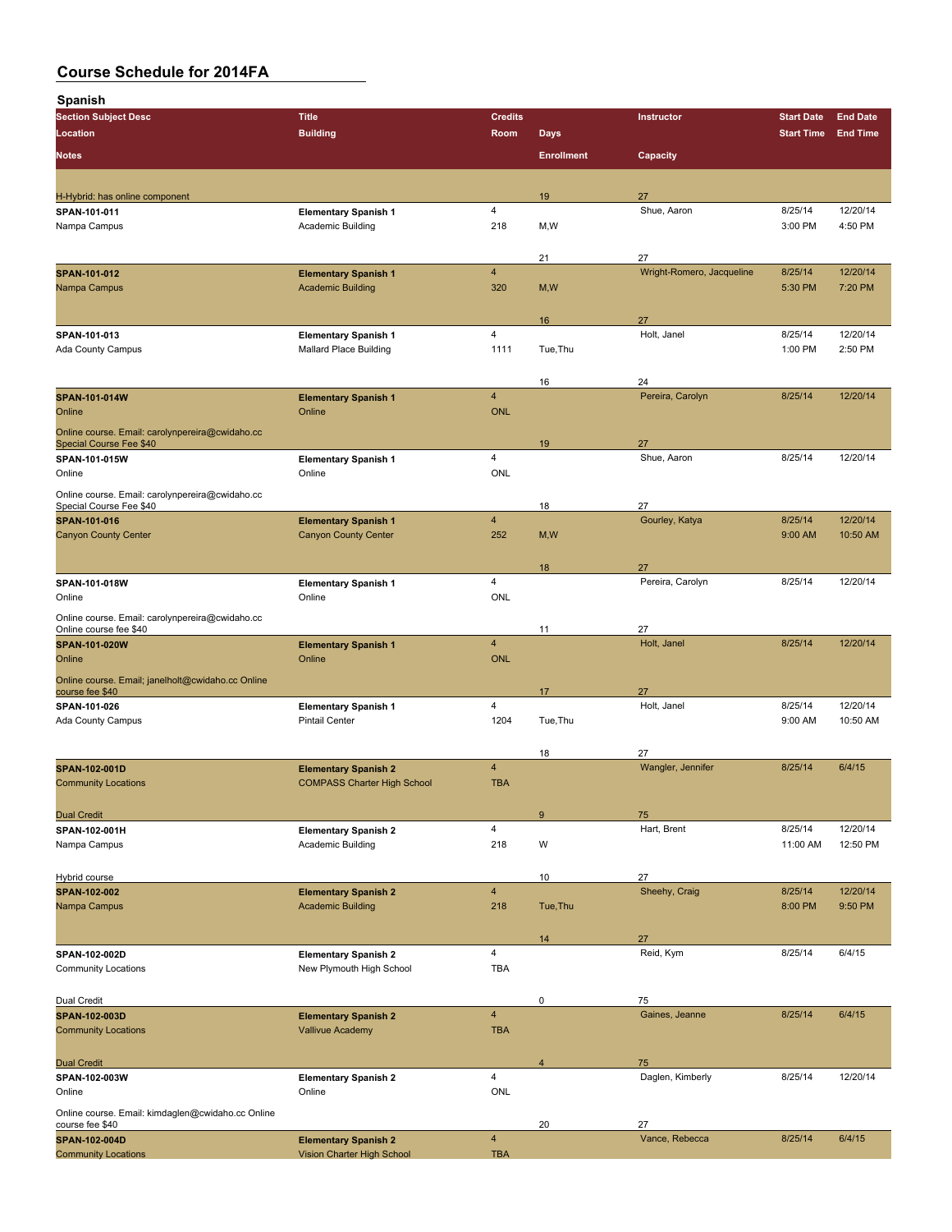| <b>Spanish</b>                                                                    |                                    |                         |                   |                           |                   |                 |
|-----------------------------------------------------------------------------------|------------------------------------|-------------------------|-------------------|---------------------------|-------------------|-----------------|
| <b>Section Subject Desc</b>                                                       | <b>Title</b>                       | <b>Credits</b>          |                   | Instructor                | <b>Start Date</b> | <b>End Date</b> |
| Location                                                                          | <b>Building</b>                    | Room                    | <b>Days</b>       |                           | <b>Start Time</b> | <b>End Time</b> |
| <b>Notes</b>                                                                      |                                    |                         | <b>Enrollment</b> | Capacity                  |                   |                 |
| H-Hybrid: has online component                                                    |                                    |                         | 19                | 27                        |                   |                 |
| SPAN-101-011                                                                      | <b>Elementary Spanish 1</b>        | $\overline{4}$          |                   | Shue, Aaron               | 8/25/14           | 12/20/14        |
| Nampa Campus                                                                      | Academic Building                  | 218                     | M, W              |                           | 3:00 PM           | 4:50 PM         |
|                                                                                   |                                    |                         | 21                | 27                        |                   |                 |
| SPAN-101-012                                                                      | <b>Elementary Spanish 1</b>        | $\overline{4}$          |                   | Wright-Romero, Jacqueline | 8/25/14           | 12/20/14        |
| Nampa Campus                                                                      | <b>Academic Building</b>           | 320                     | M, W              |                           | 5:30 PM           | 7:20 PM         |
|                                                                                   |                                    |                         | 16                | 27                        |                   |                 |
| SPAN-101-013                                                                      | <b>Elementary Spanish 1</b>        | $\overline{4}$          |                   | Holt, Janel               | 8/25/14           | 12/20/14        |
| Ada County Campus                                                                 | <b>Mallard Place Building</b>      | 1111                    | Tue, Thu          |                           | 1:00 PM           | 2:50 PM         |
|                                                                                   |                                    |                         | 16                | 24                        |                   |                 |
| SPAN-101-014W                                                                     | <b>Elementary Spanish 1</b>        | $\overline{4}$          |                   | Pereira, Carolyn          | 8/25/14           | 12/20/14        |
| Online                                                                            | Online                             | <b>ONL</b>              |                   |                           |                   |                 |
| Online course. Email: carolynpereira@cwidaho.cc<br><b>Special Course Fee \$40</b> |                                    |                         | 19                | 27                        |                   |                 |
| SPAN-101-015W                                                                     | <b>Elementary Spanish 1</b>        | 4                       |                   | Shue, Aaron               | 8/25/14           | 12/20/14        |
| Online                                                                            | Online                             | ONL                     |                   |                           |                   |                 |
| Online course. Email: carolynpereira@cwidaho.cc<br>Special Course Fee \$40        |                                    |                         | 18                | 27                        |                   |                 |
| <b>SPAN-101-016</b>                                                               | <b>Elementary Spanish 1</b>        | $\overline{4}$          |                   | Gourley, Katya            | 8/25/14           | 12/20/14        |
| <b>Canyon County Center</b>                                                       | <b>Canyon County Center</b>        | 252                     | M, W              |                           | 9:00 AM           | 10:50 AM        |
|                                                                                   |                                    |                         | 18                | 27                        |                   |                 |
| SPAN-101-018W                                                                     | <b>Elementary Spanish 1</b>        | 4                       |                   | Pereira, Carolyn          | 8/25/14           | 12/20/14        |
| Online                                                                            | Online                             | ONL                     |                   |                           |                   |                 |
| Online course. Email: carolynpereira@cwidaho.cc<br>Online course fee \$40         |                                    |                         | 11                | 27                        |                   |                 |
| SPAN-101-020W                                                                     | <b>Elementary Spanish 1</b>        | $\overline{\mathbf{4}}$ |                   | Holt, Janel               | 8/25/14           | 12/20/14        |
| Online                                                                            | Online                             | <b>ONL</b>              |                   |                           |                   |                 |
| Online course. Email; janelholt@cwidaho.cc Online<br>course fee \$40              |                                    |                         | 17                | 27                        |                   |                 |
| SPAN-101-026                                                                      | <b>Elementary Spanish 1</b>        | 4                       |                   | Holt, Janel               | 8/25/14           | 12/20/14        |
| <b>Ada County Campus</b>                                                          | <b>Pintail Center</b>              | 1204                    | Tue, Thu          |                           | 9:00 AM           | 10:50 AM        |
|                                                                                   |                                    |                         | 18                | 27                        |                   |                 |
| <b>SPAN 102 001D</b>                                                              | <b>Elementary Spanish 2</b>        | $\overline{4}$          |                   | Wangler, Jennifer         | 8/25/14           | 6/4/15          |
| <b>Community Locations</b>                                                        | <b>COMPASS Charter High School</b> | <b>TBA</b>              |                   |                           |                   |                 |
| <b>Dual Credit</b>                                                                |                                    |                         | $\boldsymbol{9}$  | 75                        |                   |                 |
| SPAN-102-001H                                                                     | <b>Elementary Spanish 2</b>        | $\overline{4}$          |                   | Hart, Brent               | 8/25/14           | 12/20/14        |
| Nampa Campus                                                                      | Academic Building                  | 218                     | W                 |                           | 11:00 AM          | 12:50 PM        |
| Hybrid course                                                                     |                                    |                         | 10                | 27                        |                   |                 |
| SPAN-102-002                                                                      | <b>Elementary Spanish 2</b>        | $\overline{4}$          |                   | Sheehy, Craig             | 8/25/14           | 12/20/14        |
| Nampa Campus                                                                      | <b>Academic Building</b>           | 218                     | Tue, Thu          |                           | 8:00 PM           | 9:50 PM         |
|                                                                                   |                                    |                         | 14                | 27                        |                   |                 |
| SPAN-102-002D                                                                     | <b>Elementary Spanish 2</b>        | 4                       |                   | Reid, Kym                 | 8/25/14           | 6/4/15          |
| <b>Community Locations</b>                                                        | New Plymouth High School           | <b>TBA</b>              |                   |                           |                   |                 |
| Dual Credit                                                                       |                                    |                         | $\mathsf 0$       | 75                        |                   |                 |
| SPAN-102-003D                                                                     | <b>Elementary Spanish 2</b>        | $\overline{\mathbf{4}}$ |                   | Gaines, Jeanne            | 8/25/14           | 6/4/15          |
| <b>Community Locations</b>                                                        | <b>Vallivue Academy</b>            | <b>TBA</b>              |                   |                           |                   |                 |
| <b>Dual Credit</b>                                                                |                                    |                         | $\overline{4}$    | 75                        |                   |                 |
| SPAN-102-003W                                                                     | <b>Elementary Spanish 2</b>        | 4                       |                   | Daglen, Kimberly          | 8/25/14           | 12/20/14        |
| Online                                                                            | Online                             | <b>ONL</b>              |                   |                           |                   |                 |
| Online course. Email: kimdaglen@cwidaho.cc Online<br>course fee \$40              |                                    |                         | 20                | 27                        |                   |                 |
| SPAN-102-004D                                                                     | <b>Elementary Spanish 2</b>        | $\overline{\mathbf{4}}$ |                   | Vance, Rebecca            | 8/25/14           | 6/4/15          |
| <b>Community Locations</b>                                                        | Vision Charter High School         | <b>TBA</b>              |                   |                           |                   |                 |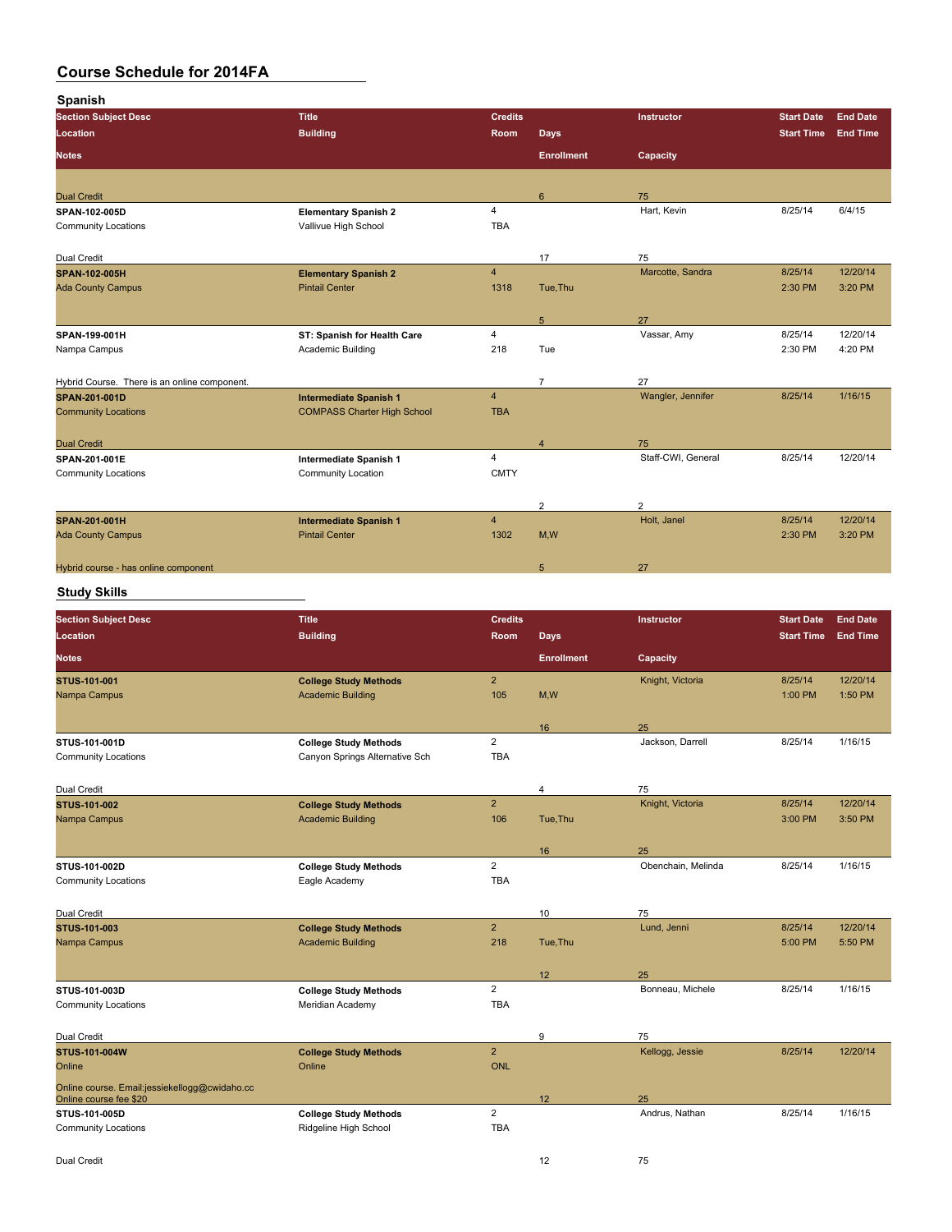**Spanish**

| opanisii                                      |                                                       |                         |                   |                    |                   |                 |
|-----------------------------------------------|-------------------------------------------------------|-------------------------|-------------------|--------------------|-------------------|-----------------|
| <b>Section Subject Desc</b>                   | <b>Title</b>                                          | <b>Credits</b>          |                   | Instructor         | <b>Start Date</b> | <b>End Date</b> |
| Location                                      | <b>Building</b>                                       | Room                    | <b>Days</b>       |                    | <b>Start Time</b> | <b>End Time</b> |
|                                               |                                                       |                         |                   |                    |                   |                 |
| <b>Notes</b>                                  |                                                       |                         | <b>Enrollment</b> | Capacity           |                   |                 |
|                                               |                                                       |                         |                   |                    |                   |                 |
| <b>Dual Credit</b>                            |                                                       |                         | 6                 | 75                 |                   |                 |
| SPAN-102-005D                                 | <b>Elementary Spanish 2</b>                           | $\overline{\mathbf{4}}$ |                   | Hart, Kevin        | 8/25/14           | 6/4/15          |
| <b>Community Locations</b>                    | Vallivue High School                                  | <b>TBA</b>              |                   |                    |                   |                 |
|                                               |                                                       |                         |                   |                    |                   |                 |
| Dual Credit                                   |                                                       |                         | 17                | 75                 |                   |                 |
| SPAN-102-005H                                 | <b>Elementary Spanish 2</b>                           | $\overline{4}$          |                   | Marcotte, Sandra   | 8/25/14           | 12/20/14        |
|                                               | <b>Pintail Center</b>                                 | 1318                    |                   |                    | 2:30 PM           | 3:20 PM         |
| <b>Ada County Campus</b>                      |                                                       |                         | Tue, Thu          |                    |                   |                 |
|                                               |                                                       |                         |                   |                    |                   |                 |
|                                               |                                                       |                         | 5                 | 27                 |                   |                 |
| SPAN-199-001H                                 | ST: Spanish for Health Care                           | 4                       |                   | Vassar, Amy        | 8/25/14           | 12/20/14        |
| Nampa Campus                                  | Academic Building                                     | 218                     | Tue               |                    | 2:30 PM           | 4:20 PM         |
|                                               |                                                       |                         |                   |                    |                   |                 |
| Hybrid Course. There is an online component.  |                                                       |                         | $\overline{7}$    | 27                 |                   |                 |
|                                               |                                                       | $\overline{4}$          |                   | Wangler, Jennifer  | 8/25/14           | 1/16/15         |
| SPAN-201-001D                                 | <b>Intermediate Spanish 1</b>                         |                         |                   |                    |                   |                 |
| <b>Community Locations</b>                    | <b>COMPASS Charter High School</b>                    | <b>TBA</b>              |                   |                    |                   |                 |
|                                               |                                                       |                         |                   |                    |                   |                 |
| <b>Dual Credit</b>                            |                                                       |                         | $\overline{4}$    | 75                 |                   |                 |
| SPAN-201-001E                                 | Intermediate Spanish 1                                | $\overline{4}$          |                   | Staff-CWI, General | 8/25/14           | 12/20/14        |
| <b>Community Locations</b>                    | Community Location                                    | <b>CMTY</b>             |                   |                    |                   |                 |
|                                               |                                                       |                         |                   |                    |                   |                 |
|                                               |                                                       |                         |                   | $\overline{c}$     |                   |                 |
|                                               |                                                       |                         | 2                 |                    |                   |                 |
| SPAN-201-001H                                 | <b>Intermediate Spanish 1</b>                         | $\overline{\mathbf{4}}$ |                   | Holt, Janel        | 8/25/14           | 12/20/14        |
| <b>Ada County Campus</b>                      | <b>Pintail Center</b>                                 | 1302                    | M,W               |                    | 2:30 PM           | 3:20 PM         |
|                                               |                                                       |                         |                   |                    |                   |                 |
| Hybrid course - has online component          |                                                       |                         | 5                 | 27                 |                   |                 |
|                                               |                                                       |                         |                   |                    |                   |                 |
| <b>Study Skills</b>                           |                                                       |                         |                   |                    |                   |                 |
| <b>Section Subject Desc</b>                   | <b>Title</b>                                          | <b>Credits</b>          |                   | Instructor         | <b>Start Date</b> | <b>End Date</b> |
|                                               |                                                       |                         |                   |                    |                   |                 |
| Location                                      | <b>Building</b>                                       | Room                    | <b>Days</b>       |                    | <b>Start Time</b> | <b>End Time</b> |
| <b>Notes</b>                                  |                                                       |                         | <b>Enrollment</b> | Capacity           |                   |                 |
|                                               |                                                       |                         |                   |                    |                   |                 |
| STUS 101-001                                  | <b>College Study Methods</b>                          | $\overline{2}$          |                   | Knight, Victoria   | 8/25/14           | 12/20/14        |
| Nampa Campus                                  | <b>Academic Building</b>                              | 105                     | M, W              |                    | 1:00 PM           | 1:50 PM         |
|                                               |                                                       |                         |                   |                    |                   |                 |
|                                               |                                                       |                         | 16                | 25                 |                   |                 |
| STUS-101-001D                                 | <b>College Study Methods</b>                          | $\overline{2}$          |                   | Jackson, Darrell   | 8/25/14           | 1/16/15         |
| <b>Community Locations</b>                    | Canyon Springs Alternative Sch                        | <b>TBA</b>              |                   |                    |                   |                 |
|                                               |                                                       |                         |                   |                    |                   |                 |
|                                               |                                                       |                         |                   |                    |                   |                 |
| Dual Credit                                   |                                                       |                         | 4                 | 75                 |                   |                 |
| STUS-101-002                                  | <b>College Study Methods</b>                          | 2                       |                   | Knight, Victoria   | 8/25/14           | 12/20/14        |
| Nampa Campus                                  | <b>Academic Building</b>                              | 106                     | Tue, Thu          |                    | 3:00 PM           | 3:50 PM         |
|                                               |                                                       |                         |                   |                    |                   |                 |
|                                               |                                                       |                         | 16                | 25                 |                   |                 |
| STUS-101-002D                                 | <b>College Study Methods</b>                          | $\overline{\mathbf{c}}$ |                   | Obenchain, Melinda | 8/25/14           | 1/16/15         |
|                                               |                                                       | <b>TBA</b>              |                   |                    |                   |                 |
| <b>Community Locations</b>                    | Eagle Academy                                         |                         |                   |                    |                   |                 |
|                                               |                                                       |                         |                   |                    |                   |                 |
| Dual Credit                                   |                                                       |                         | 10                | 75                 |                   |                 |
| STUS-101-003                                  | <b>College Study Methods</b>                          | $\overline{2}$          |                   | Lund, Jenni        | 8/25/14           | 12/20/14        |
| Nampa Campus                                  | <b>Academic Building</b>                              | 218                     | Tue, Thu          |                    | 5:00 PM           | 5:50 PM         |
|                                               |                                                       |                         |                   |                    |                   |                 |
|                                               |                                                       |                         | 12                | 25                 |                   |                 |
|                                               |                                                       | $\overline{2}$          |                   | Bonneau, Michele   | 8/25/14           | 1/16/15         |
| STUS-101-003D                                 | <b>College Study Methods</b>                          |                         |                   |                    |                   |                 |
| <b>Community Locations</b>                    | Meridian Academy                                      | TBA                     |                   |                    |                   |                 |
|                                               |                                                       |                         |                   |                    |                   |                 |
|                                               |                                                       |                         |                   |                    |                   |                 |
| Dual Credit                                   |                                                       |                         | 9                 | 75                 |                   |                 |
| STUS-101-004W                                 | <b>College Study Methods</b>                          | $\overline{2}$          |                   | Kellogg, Jessie    | 8/25/14           | 12/20/14        |
| Online                                        | Online                                                | <b>ONL</b>              |                   |                    |                   |                 |
|                                               |                                                       |                         |                   |                    |                   |                 |
| Online course. Email:jessiekellogg@cwidaho.cc |                                                       |                         |                   |                    |                   |                 |
| Online course fee \$20                        |                                                       |                         | 12                | 25                 |                   |                 |
| STUS-101-005D<br><b>Community Locations</b>   | <b>College Study Methods</b><br>Ridgeline High School | $\overline{2}$<br>TBA   |                   | Andrus, Nathan     | 8/25/14           | 1/16/15         |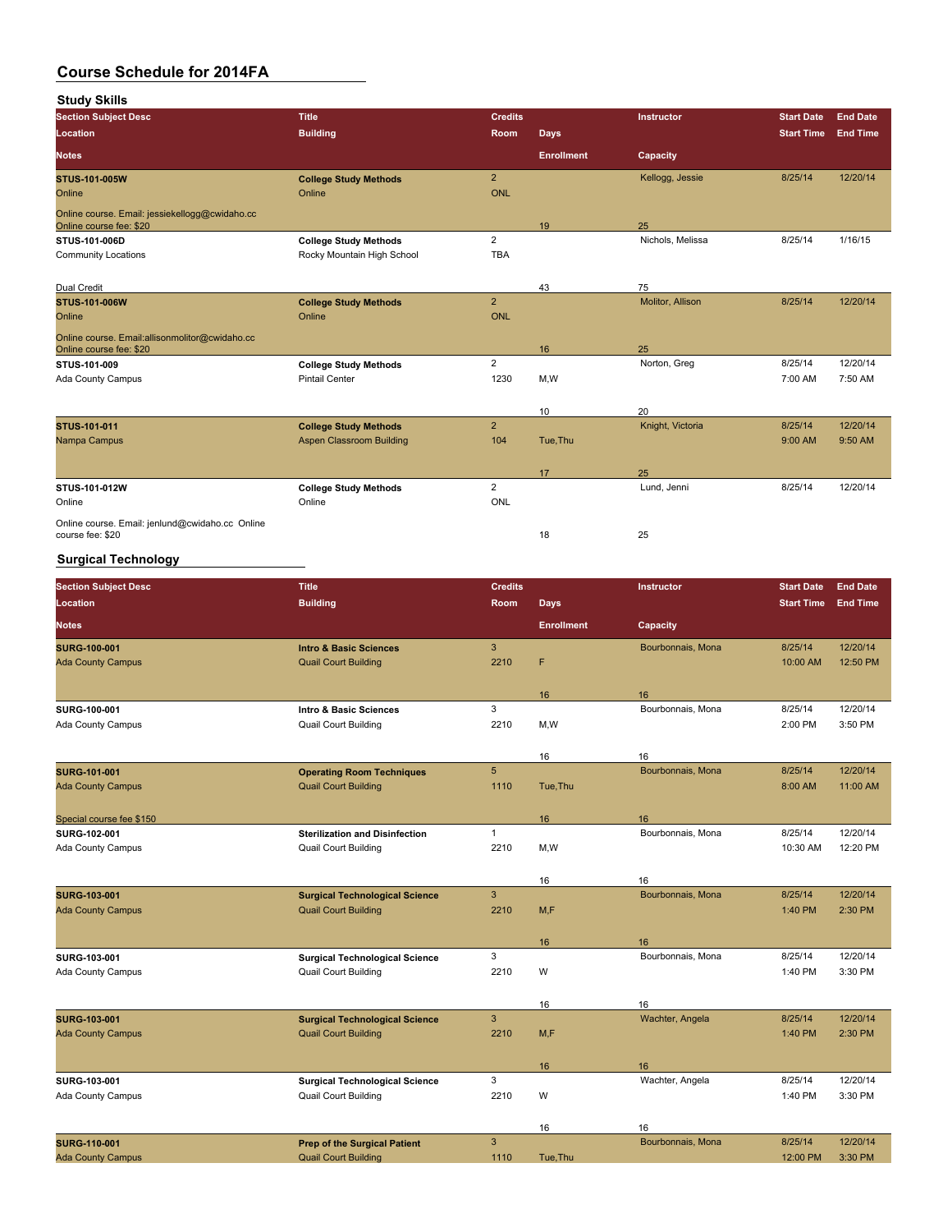**Study Skills**

| <b>Section Subject Desc</b>                                               | <b>Title</b>                 | <b>Credits</b> |                   | Instructor       | <b>Start Date</b> | <b>End Date</b> |
|---------------------------------------------------------------------------|------------------------------|----------------|-------------------|------------------|-------------------|-----------------|
| <b>Location</b>                                                           | <b>Building</b>              | Room           | <b>Days</b>       |                  | <b>Start Time</b> | <b>End Time</b> |
| <b>Notes</b>                                                              |                              |                | <b>Enrollment</b> | Capacity         |                   |                 |
| <b>STUS-101-005W</b>                                                      | <b>College Study Methods</b> | $\overline{2}$ |                   | Kellogg, Jessie  | 8/25/14           | 12/20/14        |
| Online                                                                    | Online                       | <b>ONL</b>     |                   |                  |                   |                 |
| Online course. Email: jessiekellogg@cwidaho.cc<br>Online course fee: \$20 |                              |                | 19                | 25               |                   |                 |
| <b>STUS 101 006D</b>                                                      | <b>College Study Methods</b> | $\overline{2}$ |                   | Nichols, Melissa | 8/25/14           | 1/16/15         |
| <b>Community Locations</b>                                                | Rocky Mountain High School   | TBA            |                   |                  |                   |                 |
| Dual Credit                                                               |                              |                | 43                | 75               |                   |                 |
| <b>STUS-101-006W</b>                                                      | <b>College Study Methods</b> | $\overline{2}$ |                   | Molitor, Allison | 8/25/14           | 12/20/14        |
| Online                                                                    | Online                       | <b>ONL</b>     |                   |                  |                   |                 |
| Online course. Email:allisonmolitor@cwidaho.cc<br>Online course fee: \$20 |                              |                | 16                | 25               |                   |                 |
| STUS-101-009                                                              | <b>College Study Methods</b> | $\overline{2}$ |                   | Norton, Greg     | 8/25/14           | 12/20/14        |
| Ada County Campus                                                         | <b>Pintail Center</b>        | 1230           | M,W               |                  | 7:00 AM           | 7:50 AM         |
|                                                                           |                              |                | $\Lambda$         | $\sim$           |                   |                 |

|                                                 |                              |            | 10       | -20              |         |          |
|-------------------------------------------------|------------------------------|------------|----------|------------------|---------|----------|
| <b>STUS 101-011</b>                             | <b>College Study Methods</b> |            |          | Knight, Victoria | 8/25/14 | 12/20/14 |
| Nampa Campus                                    | Aspen Classroom Building     | 104        | Tue, Thu |                  | 9:00 AM | 9:50 AM  |
|                                                 |                              |            | 17       | 25               |         |          |
| STUS-101-012W                                   | <b>College Study Methods</b> |            |          | Lund, Jenni      | 8/25/14 | 12/20/14 |
| Online                                          | Online                       | <b>ONL</b> |          |                  |         |          |
| Online course. Email: jenlund@cwidaho.cc Online |                              |            |          |                  |         |          |
| course fee: \$20                                |                              |            | 18       | 25               |         |          |

### **Surgical Technology**

| <b>Section Subject Desc</b> | <b>Title</b>                          | <b>Credits</b>  |                   | Instructor        | <b>Start Date</b> | <b>End Date</b> |
|-----------------------------|---------------------------------------|-----------------|-------------------|-------------------|-------------------|-----------------|
| <b>Location</b>             | <b>Building</b>                       | Room            | <b>Days</b>       |                   | <b>Start Time</b> | <b>End Time</b> |
| <b>Notes</b>                |                                       |                 | <b>Enrollment</b> | Capacity          |                   |                 |
| <b>SURG-100-001</b>         | <b>Intro &amp; Basic Sciences</b>     | 3               |                   | Bourbonnais, Mona | 8/25/14           | 12/20/14        |
| <b>Ada County Campus</b>    | <b>Quail Court Building</b>           | 2210            | F                 |                   | 10:00 AM          | 12:50 PM        |
|                             |                                       |                 | 16                | 16                |                   |                 |
| SURG 100 001                | Intro & Basic Sciences                | 3               |                   | Bourbonnais, Mona | 8/25/14           | 12/20/14        |
| Ada County Campus           | <b>Quail Court Building</b>           | 2210            | M, W              |                   | 2:00 PM           | 3:50 PM         |
|                             |                                       |                 | 16                | 16                |                   |                 |
| <b>SURG-101-001</b>         | <b>Operating Room Techniques</b>      | $5\phantom{.0}$ |                   | Bourbonnais, Mona | 8/25/14           | 12/20/14        |
| <b>Ada County Campus</b>    | <b>Quail Court Building</b>           | 1110            | Tue, Thu          |                   | 8:00 AM           | 11:00 AM        |
| Special course fee \$150    |                                       |                 | 16                | 16                |                   |                 |
| SURG-102-001                | <b>Sterilization and Disinfection</b> | $\mathbf{1}$    |                   | Bourbonnais, Mona | 8/25/14           | 12/20/14        |
| Ada County Campus           | <b>Quail Court Building</b>           | 2210            | M, W              |                   | 10:30 AM          | 12:20 PM        |
|                             |                                       |                 | 16                | 16                |                   |                 |
| <b>SURG 103 001</b>         | <b>Surgical Technological Science</b> | $\mathbf{3}$    |                   | Bourbonnais, Mona | 8/25/14           | 12/20/14        |
| <b>Ada County Campus</b>    | <b>Quail Court Building</b>           | 2210            | M, F              |                   | 1:40 PM           | 2:30 PM         |
|                             |                                       |                 | 16                | 16                |                   |                 |
| SURG 103 001                | <b>Surgical Technological Science</b> | 3               |                   | Bourbonnais, Mona | 8/25/14           | 12/20/14        |
| Ada County Campus           | <b>Quail Court Building</b>           | 2210            | W                 |                   | 1:40 PM           | 3:30 PM         |
|                             |                                       |                 | 16                | 16                |                   |                 |
| <b>SURG 103 001</b>         | <b>Surgical Technological Science</b> | $\mathbf{3}$    |                   | Wachter, Angela   | 8/25/14           | 12/20/14        |
| <b>Ada County Campus</b>    | <b>Quail Court Building</b>           | 2210            | M, F              |                   | 1:40 PM           | 2:30 PM         |
|                             |                                       |                 | 16                | 16                |                   |                 |
| SURG-103-001                | <b>Surgical Technological Science</b> | 3               |                   | Wachter, Angela   | 8/25/14           | 12/20/14        |
| <b>Ada County Campus</b>    | <b>Quail Court Building</b>           | 2210            | W                 |                   | 1:40 PM           | 3:30 PM         |
|                             |                                       |                 | 16                | 16                |                   |                 |
| <b>SURG-110-001</b>         | <b>Prep of the Surgical Patient</b>   | $\mathbf{3}$    |                   | Bourbonnais, Mona | 8/25/14           | 12/20/14        |
| <b>Ada County Campus</b>    | <b>Quail Court Building</b>           | 1110            | Tue, Thu          |                   | 12:00 PM          | 3:30 PM         |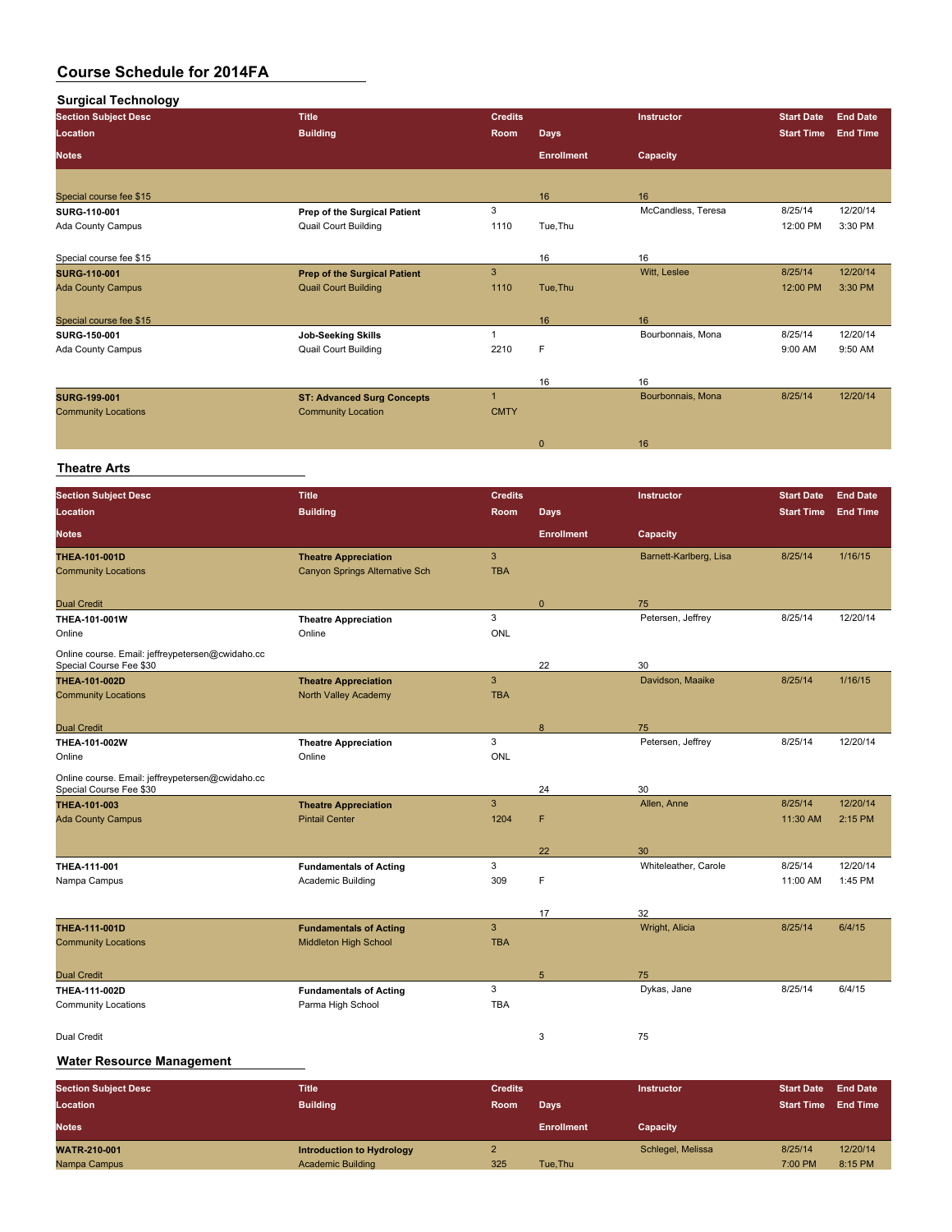| <b>Surgical Technology</b>  |                                     |                |                   |                    |                   |                 |
|-----------------------------|-------------------------------------|----------------|-------------------|--------------------|-------------------|-----------------|
| <b>Section Subject Desc</b> | <b>Title</b>                        | <b>Credits</b> |                   | Instructor         | <b>Start Date</b> | <b>End Date</b> |
| Location                    | <b>Building</b>                     | <b>Room</b>    | <b>Days</b>       |                    | <b>Start Time</b> | <b>End Time</b> |
| <b>Notes</b>                |                                     |                | <b>Enrollment</b> | Capacity           |                   |                 |
| Special course fee \$15     |                                     |                | 16                | 16                 |                   |                 |
| SURG-110-001                | Prep of the Surgical Patient        | 3              |                   | McCandless, Teresa | 8/25/14           | 12/20/14        |
| Ada County Campus           | <b>Quail Court Building</b>         | 1110           | Tue, Thu          |                    | 12:00 PM          | 3:30 PM         |
| Special course fee \$15     |                                     |                | 16                | 16                 |                   |                 |
| <b>SURG-110-001</b>         | <b>Prep of the Surgical Patient</b> | 3              |                   | Witt, Leslee       | 8/25/14           | 12/20/14        |
| <b>Ada County Campus</b>    | <b>Quail Court Building</b>         | 1110           | Tue, Thu          |                    | 12:00 PM          | 3:30 PM         |
| Special course fee \$15     |                                     |                | 16                | 16                 |                   |                 |
| SURG-150-001                | <b>Job-Seeking Skills</b>           |                |                   | Bourbonnais, Mona  | 8/25/14           | 12/20/14        |
| Ada County Campus           | <b>Quail Court Building</b>         | 2210           | F                 |                    | 9:00 AM           | 9:50 AM         |
|                             |                                     |                | 16                | 16                 |                   |                 |
| <b>SURG 199 001</b>         | <b>ST: Advanced Surg Concepts</b>   | $\overline{1}$ |                   | Bourbonnais, Mona  | 8/25/14           | 12/20/14        |
| <b>Community Locations</b>  | <b>Community Location</b>           | <b>CMTY</b>    |                   |                    |                   |                 |
|                             |                                     |                | $\mathbf{0}$      | 16                 |                   |                 |

#### **Theatre Arts**

| <b>Section Subject Desc</b>                                                 | <b>Title</b>                   | <b>Credits</b> |                   | Instructor             | <b>Start Date</b> | <b>End Date</b> |
|-----------------------------------------------------------------------------|--------------------------------|----------------|-------------------|------------------------|-------------------|-----------------|
| Location                                                                    | <b>Building</b>                | Room           | Days              |                        | <b>Start Time</b> | <b>End Time</b> |
| <b>Notes</b>                                                                |                                |                | <b>Enrollment</b> | Capacity               |                   |                 |
| THEA-101-001D                                                               | <b>Theatre Appreciation</b>    | $\mathbf{3}$   |                   | Barnett-Karlberg, Lisa | 8/25/14           | 1/16/15         |
| <b>Community Locations</b>                                                  | Canyon Springs Alternative Sch | <b>TBA</b>     |                   |                        |                   |                 |
| <b>Dual Credit</b>                                                          |                                |                | $\mathbf{0}$      | 75                     |                   |                 |
| <b>THEA-101-001W</b>                                                        | <b>Theatre Appreciation</b>    | 3              |                   | Petersen, Jeffrey      | 8/25/14           | 12/20/14        |
| Online                                                                      | Online                         | ONL            |                   |                        |                   |                 |
| Online course. Email: jeffreypetersen@cwidaho.cc                            |                                |                |                   |                        |                   |                 |
| Special Course Fee \$30                                                     |                                |                | 22                | 30                     |                   |                 |
| <b>THEA-101-002D</b>                                                        | <b>Theatre Appreciation</b>    | $\mathbf{3}$   |                   | Davidson, Maaike       | 8/25/14           | 1/16/15         |
| <b>Community Locations</b>                                                  | North Valley Academy           | <b>TBA</b>     |                   |                        |                   |                 |
| <b>Dual Credit</b>                                                          |                                |                | 8                 | 75                     |                   |                 |
| THEA-101-002W                                                               | <b>Theatre Appreciation</b>    | 3              |                   | Petersen, Jeffrey      | 8/25/14           | 12/20/14        |
| Online                                                                      | Online                         | <b>ONL</b>     |                   |                        |                   |                 |
| Online course. Email: jeffreypetersen@cwidaho.cc<br>Special Course Fee \$30 |                                |                | 24                | 30                     |                   |                 |
| <b>THEA 101-003</b>                                                         | <b>Theatre Appreciation</b>    | $\overline{3}$ |                   | Allen, Anne            | 8/25/14           | 12/20/14        |
| <b>Ada County Campus</b>                                                    | <b>Pintail Center</b>          | 1204           | F                 |                        | 11:30 AM          | 2:15 PM         |
|                                                                             |                                |                |                   |                        |                   |                 |
|                                                                             |                                |                | 22                | 30                     |                   |                 |
| THEA-111-001                                                                | <b>Fundamentals of Acting</b>  | 3              |                   | Whiteleather, Carole   | 8/25/14           | 12/20/14        |
| Nampa Campus                                                                | Academic Building              | 309            | F                 |                        | 11:00 AM          | 1:45 PM         |
|                                                                             |                                |                |                   |                        |                   |                 |
| THEA-111-001D                                                               | <b>Fundamentals of Acting</b>  | $\mathbf{3}$   | 17                | 32<br>Wright, Alicia   | 8/25/14           | 6/4/15          |
| <b>Community Locations</b>                                                  | Middleton High School          | <b>TBA</b>     |                   |                        |                   |                 |
|                                                                             |                                |                |                   |                        |                   |                 |
| <b>Dual Credit</b>                                                          |                                |                | $5\phantom{.0}$   | 75                     |                   |                 |
| <b>THEA-111-002D</b>                                                        | <b>Fundamentals of Acting</b>  | 3              |                   | Dykas, Jane            | 8/25/14           | 6/4/15          |
| <b>Community Locations</b>                                                  | Parma High School              | <b>TBA</b>     |                   |                        |                   |                 |
| <b>Dual Credit</b>                                                          |                                |                | 3                 | 75                     |                   |                 |
|                                                                             |                                |                |                   |                        |                   |                 |

#### **Water Resource Management**

| <b>Section Subject Desc</b><br>Location | <b>Title</b><br><b>Building</b>                       | <b>Credits</b><br><b>Room</b> | Days              | <b>Instructor</b> | <b>Start Date</b><br><b>Start Time</b> | <b>End Date</b><br><b>End Time</b> |
|-----------------------------------------|-------------------------------------------------------|-------------------------------|-------------------|-------------------|----------------------------------------|------------------------------------|
| <b>Notes</b>                            |                                                       |                               | <b>Enrollment</b> | Capacity          |                                        |                                    |
| <b>WATR-210-001</b><br>Nampa Campus     | Introduction to Hydrology<br><b>Academic Building</b> | 325                           | Tue.Thu           | Schlegel, Melissa | 8/25/14<br>7:00 PM                     | 12/20/14<br>8:15 PM                |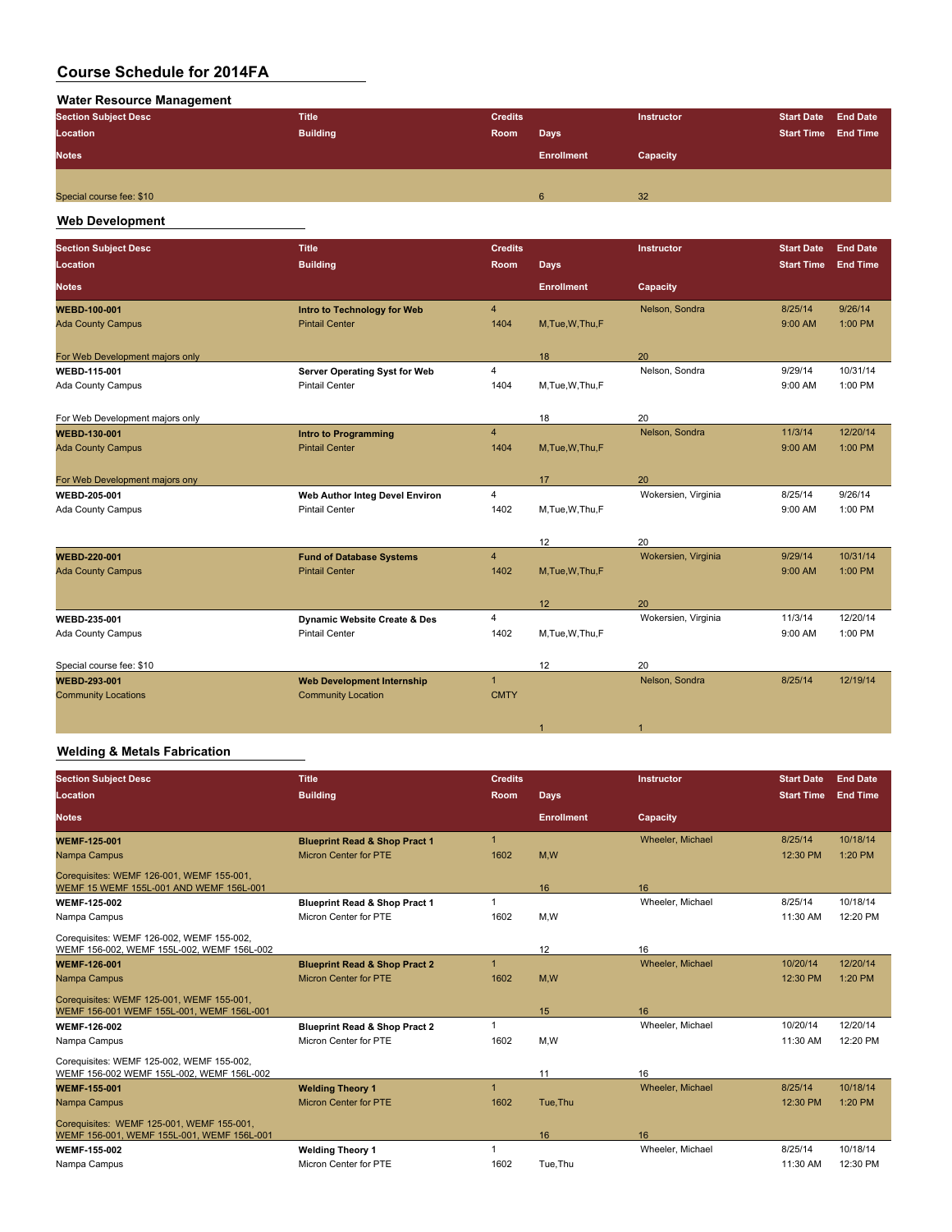#### **Water Resource Management**

| <b>Section Subject Desc</b> | <b>Title</b>    |      |                   | <b>Instructor</b> | <b>Start Date End Date</b> |  |
|-----------------------------|-----------------|------|-------------------|-------------------|----------------------------|--|
| Location                    | <b>Building</b> | Room | <b>Days</b>       |                   | Start Time End Time        |  |
| <b>Notes</b>                |                 |      | <b>Enrollment</b> | Capacity          |                            |  |
|                             |                 |      |                   |                   |                            |  |
| Special course fee: \$10    |                 |      | 6                 | 32                |                            |  |
|                             |                 |      |                   |                   |                            |  |

### **Web Development**

| <b>Section Subject Desc</b><br>Location | <b>Title</b><br><b>Building</b>         | <b>Credits</b><br><b>Room</b> | <b>Days</b>       | <b>Instructor</b>   | <b>Start Date</b><br><b>Start Time</b> | <b>End Date</b><br><b>End Time</b> |
|-----------------------------------------|-----------------------------------------|-------------------------------|-------------------|---------------------|----------------------------------------|------------------------------------|
| <b>Notes</b>                            |                                         |                               | <b>Enrollment</b> | Capacity            |                                        |                                    |
| <b>WEBD-100-001</b>                     | Intro to Technology for Web             | $\overline{4}$                |                   | Nelson, Sondra      | 8/25/14                                | 9/26/14                            |
| <b>Ada County Campus</b>                | <b>Pintail Center</b>                   | 1404                          | M, Tue, W, Thu, F |                     | 9:00 AM                                | 1:00 PM                            |
| For Web Development majors only         |                                         |                               | 18                | 20                  |                                        |                                    |
| <b>WEBD 115-001</b>                     | Server Operating Syst for Web           | $\overline{4}$                |                   | Nelson, Sondra      | 9/29/14                                | 10/31/14                           |
| Ada County Campus                       | <b>Pintail Center</b>                   | 1404                          | M,Tue,W,Thu,F     |                     | 9:00 AM                                | 1:00 PM                            |
| For Web Development majors only         |                                         |                               | 18                | 20                  |                                        |                                    |
| <b>WEBD 130-001</b>                     | <b>Intro to Programming</b>             | $\overline{4}$                |                   | Nelson, Sondra      | 11/3/14                                | 12/20/14                           |
| <b>Ada County Campus</b>                | <b>Pintail Center</b>                   | 1404                          | M,Tue,W,Thu,F     |                     | 9:00 AM                                | $1:00$ PM                          |
| For Web Development majors ony          |                                         |                               | 17                | 20                  |                                        |                                    |
| <b>WEBD 205 001</b>                     | Web Author Integ Devel Environ          | $\overline{4}$                |                   | Wokersien, Virginia | 8/25/14                                | 9/26/14                            |
| Ada County Campus                       | <b>Pintail Center</b>                   | 1402                          | M, Tue, W, Thu, F |                     | 9:00 AM                                | 1:00 PM                            |
|                                         |                                         |                               | 12                | 20                  |                                        |                                    |
| <b>WEBD 220 001</b>                     | <b>Fund of Database Systems</b>         | $\overline{4}$                |                   | Wokersien, Virginia | 9/29/14                                | 10/31/14                           |
| <b>Ada County Campus</b>                | <b>Pintail Center</b>                   | 1402                          | M, Tue, W, Thu, F |                     | 9:00 AM                                | 1:00 PM                            |
|                                         |                                         |                               | 12                | 20                  |                                        |                                    |
| <b>WEBD 235-001</b>                     | <b>Dynamic Website Create &amp; Des</b> | $\overline{4}$                |                   | Wokersien, Virginia | 11/3/14                                | 12/20/14                           |
| Ada County Campus                       | <b>Pintail Center</b>                   | 1402                          | M,Tue,W,Thu,F     |                     | 9:00 AM                                | 1:00 PM                            |
| Special course fee: \$10                |                                         |                               | 12                | 20                  |                                        |                                    |
| <b>WEBD 293-001</b>                     | <b>Web Development Internship</b>       | $\mathbf{1}$                  |                   | Nelson, Sondra      | 8/25/14                                | 12/19/14                           |
| <b>Community Locations</b>              | <b>Community Location</b>               | <b>CMTY</b>                   |                   |                     |                                        |                                    |

### **Welding & Metals Fabrication**

| <b>Section Subject Desc</b>                                                             | <b>Title</b>                             | <b>Credits</b> |                   | <b>Instructor</b> | <b>Start Date</b> | <b>End Date</b> |
|-----------------------------------------------------------------------------------------|------------------------------------------|----------------|-------------------|-------------------|-------------------|-----------------|
| Location                                                                                | <b>Building</b>                          | Room           | Days              |                   | <b>Start Time</b> | <b>End Time</b> |
| <b>Notes</b>                                                                            |                                          |                | <b>Enrollment</b> | Capacity          |                   |                 |
| <b>WEMF 125 001</b>                                                                     | <b>Blueprint Read &amp; Shop Pract 1</b> | $\overline{1}$ |                   | Wheeler, Michael  | 8/25/14           | 10/18/14        |
| Nampa Campus                                                                            | <b>Micron Center for PTE</b>             | 1602           | M,W               |                   | 12:30 PM          | 1:20 PM         |
| Corequisites: WEMF 126-001, WEMF 155-001,<br>WEMF 15 WEMF 155L-001 AND WEMF 156L-001    |                                          |                | 16                | 16                |                   |                 |
| <b>WEMF-125-002</b>                                                                     | <b>Blueprint Read &amp; Shop Pract 1</b> | -1             |                   | Wheeler, Michael  | 8/25/14           | 10/18/14        |
| Nampa Campus                                                                            | Micron Center for PTE                    | 1602           | M.W               |                   | 11:30 AM          | 12:20 PM        |
| Corequisites: WEMF 126-002, WEMF 155-002,<br>WEMF 156-002, WEMF 155L-002, WEMF 156L-002 |                                          |                | 12                | 16                |                   |                 |
| <b>WEMF-126-001</b>                                                                     | <b>Blueprint Read &amp; Shop Pract 2</b> | $\overline{1}$ |                   | Wheeler, Michael  | 10/20/14          | 12/20/14        |
| Nampa Campus                                                                            | <b>Micron Center for PTE</b>             | 1602           | M,W               |                   | 12:30 PM          | 1:20 PM         |
| Corequisites: WEMF 125-001, WEMF 155-001,<br>WEMF 156-001 WEMF 155L-001, WEMF 156L-001  |                                          |                | 15                | 16                |                   |                 |
| <b>WEMF-126-002</b>                                                                     | <b>Blueprint Read &amp; Shop Pract 2</b> |                |                   | Wheeler, Michael  | 10/20/14          | 12/20/14        |
| Nampa Campus                                                                            | Micron Center for PTE                    | 1602           | M,W               |                   | 11:30 AM          | 12:20 PM        |
| Corequisites: WEMF 125-002, WEMF 155-002,<br>WEMF 156-002 WEMF 155L-002, WEMF 156L-002  |                                          |                | 11                | 16                |                   |                 |
| <b>WEMF 155 001</b>                                                                     | <b>Welding Theory 1</b>                  |                |                   | Wheeler, Michael  | 8/25/14           | 10/18/14        |
| Nampa Campus                                                                            | <b>Micron Center for PTE</b>             | 1602           | Tue.Thu           |                   | 12:30 PM          | 1:20 PM         |
| Corequisites: WEMF 125-001, WEMF 155-001.<br>WEMF 156-001, WEMF 155L-001, WEMF 156L-001 |                                          |                | 16                | 16                |                   |                 |
| <b>WEMF-155-002</b>                                                                     | <b>Welding Theory 1</b>                  |                |                   | Wheeler, Michael  | 8/25/14           | 10/18/14        |
| Nampa Campus                                                                            | Micron Center for PTE                    | 1602           | Tue, Thu          |                   | 11:30 AM          | 12:30 PM        |

1  $\sim$  1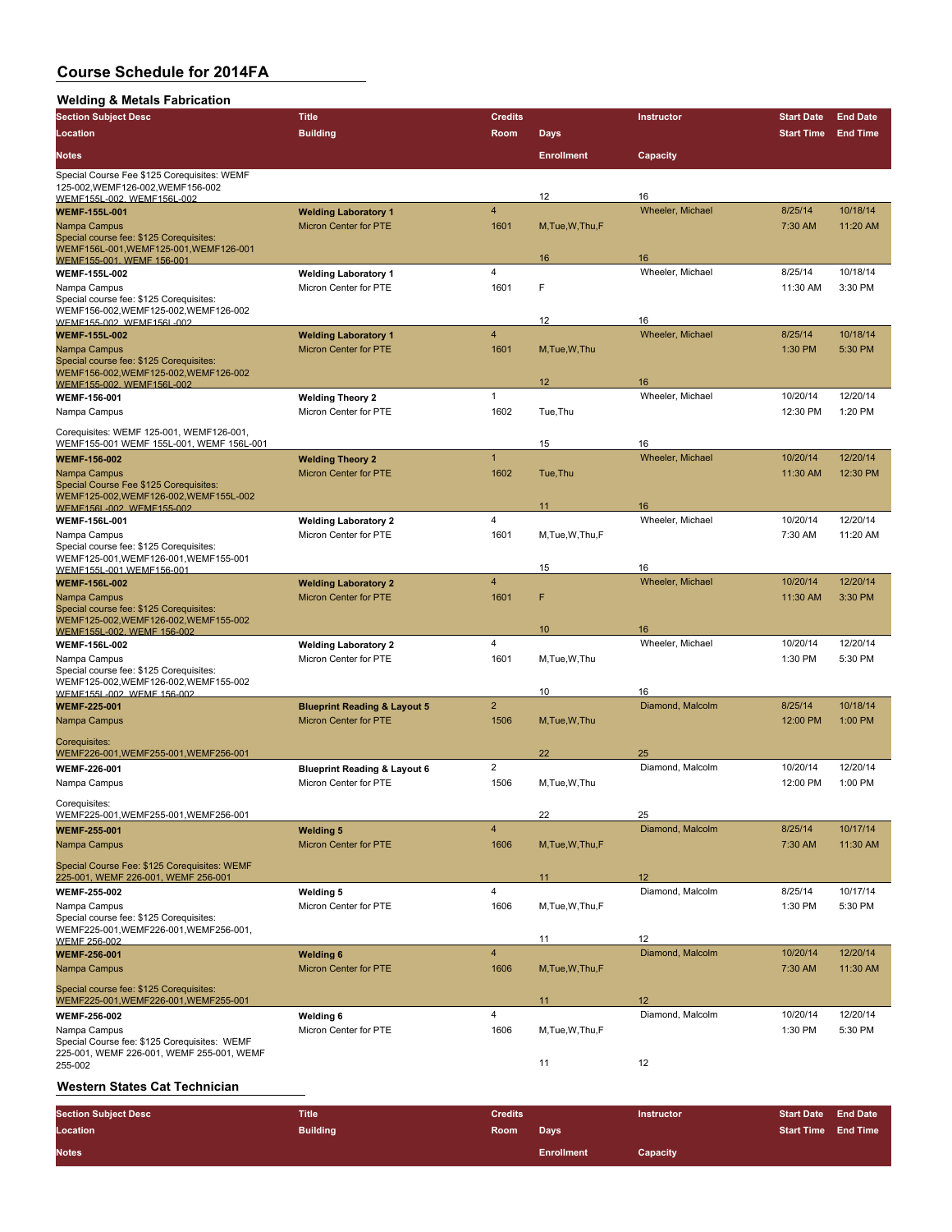#### **Welding & Metals Fabrication**

| <b>Trelating &amp; Metals I application</b><br><b>Section Subject Desc</b>          | <b>Title</b>                                     | <b>Credits</b>          |                   | Instructor             | <b>Start Date</b> | <b>End Date</b> |
|-------------------------------------------------------------------------------------|--------------------------------------------------|-------------------------|-------------------|------------------------|-------------------|-----------------|
| Location                                                                            | <b>Building</b>                                  | Room                    |                   |                        | <b>Start Time</b> | <b>End Time</b> |
|                                                                                     |                                                  |                         | <b>Days</b>       |                        |                   |                 |
| <b>Notes</b>                                                                        |                                                  |                         | <b>Enrollment</b> | Capacity               |                   |                 |
| Special Course Fee \$125 Corequisites: WEMF<br>125-002, WEMF126-002, WEMF156-002    |                                                  |                         | 12                | 16                     |                   |                 |
| WEMF155L-002. WEMF156L-002<br><b>WEMF-155L-001</b>                                  | <b>Welding Laboratory 1</b>                      | $\overline{\mathbf{4}}$ |                   | Wheeler, Michael       | 8/25/14           | 10/18/14        |
| Nampa Campus                                                                        | <b>Micron Center for PTE</b>                     | 1601                    | M, Tue, W, Thu, F |                        | 7:30 AM           | 11:20 AM        |
| Special course fee: \$125 Corequisites:                                             |                                                  |                         |                   |                        |                   |                 |
| WEMF156L-001, WEMF125-001, WEMF126-001<br>WEMF155-001, WEMF 156-001                 |                                                  |                         | 16                | 16                     |                   |                 |
| <b>WEMF-155L-002</b>                                                                | <b>Welding Laboratory 1</b>                      | 4                       |                   | Wheeler, Michael       | 8/25/14           | 10/18/14        |
| Nampa Campus                                                                        | Micron Center for PTE                            | 1601                    | F                 |                        | 11:30 AM          | 3:30 PM         |
| Special course fee: \$125 Corequisites:                                             |                                                  |                         |                   |                        |                   |                 |
| WEMF156-002, WEMF125-002, WEMF126-002<br>WEMF155-002. WEMF156L-002                  |                                                  |                         | 12                | 16                     |                   |                 |
| <b>WEMF 155L 002</b>                                                                | <b>Welding Laboratory 1</b>                      | $\overline{4}$          |                   | Wheeler, Michael       | 8/25/14           | 10/18/14        |
| Nampa Campus                                                                        | <b>Micron Center for PTE</b>                     | 1601                    | M, Tue, W, Thu    |                        | 1:30 PM           | 5:30 PM         |
| Special course fee: \$125 Corequisites:                                             |                                                  |                         |                   |                        |                   |                 |
| WEMF156-002, WEMF125-002, WEMF126-002<br>WEMF155-002, WEMF156L-002                  |                                                  |                         | 12                | 16                     |                   |                 |
| WEMF-156-001                                                                        | <b>Welding Theory 2</b>                          | $\mathbf{1}$            |                   | Wheeler, Michael       | 10/20/14          | 12/20/14        |
| Nampa Campus                                                                        | Micron Center for PTE                            | 1602                    | Tue, Thu          |                        | 12:30 PM          | 1:20 PM         |
|                                                                                     |                                                  |                         |                   |                        |                   |                 |
| Corequisites: WEMF 125-001, WEMF126-001,                                            |                                                  |                         |                   |                        |                   |                 |
| WEMF155-001 WEMF 155L-001, WEMF 156L-001                                            |                                                  | $\mathbf{1}$            | 15                | 16<br>Wheeler, Michael | 10/20/14          | 12/20/14        |
| <b>WEMF 156-002</b>                                                                 | <b>Welding Theory 2</b>                          |                         |                   |                        |                   |                 |
| Nampa Campus<br>Special Course Fee \$125 Corequisites:                              | <b>Micron Center for PTE</b>                     | 1602                    | Tue, Thu          |                        | 11:30 AM          | 12:30 PM        |
| WEMF125-002, WEMF126-002, WEMF155L-002                                              |                                                  |                         |                   |                        |                   |                 |
| WEMF156L-002. WEMF155-002                                                           |                                                  |                         | 11                | 16                     |                   |                 |
| <b>WEMF-156L-001</b>                                                                | <b>Welding Laboratory 2</b>                      | 4                       |                   | Wheeler, Michael       | 10/20/14          | 12/20/14        |
| Nampa Campus<br>Special course fee: \$125 Corequisites:                             | Micron Center for PTE                            | 1601                    | M, Tue, W, Thu, F |                        | 7:30 AM           | 11:20 AM        |
| WEMF125-001, WEMF126-001, WEMF155-001                                               |                                                  |                         |                   |                        |                   |                 |
| WEMF155L-001.WEMF156-001                                                            |                                                  |                         | 15                | 16                     |                   |                 |
| <b>WEMF-156L-002</b>                                                                | <b>Welding Laboratory 2</b>                      | $\overline{\mathbf{4}}$ |                   | Wheeler, Michael       | 10/20/14          | 12/20/14        |
| Nampa Campus                                                                        | <b>Micron Center for PTE</b>                     | 1601                    | F                 |                        | 11:30 AM          | 3:30 PM         |
| Special course fee: \$125 Corequisites:<br>WEMF125-002, WEMF126-002, WEMF155-002    |                                                  |                         |                   |                        |                   |                 |
| WEMF155L-002, WEMF 156-002                                                          |                                                  |                         | 10                | 16                     |                   |                 |
| <b>WEMF-156L-002</b>                                                                | <b>Welding Laboratory 2</b>                      | $\overline{4}$          |                   | Wheeler, Michael       | 10/20/14          | 12/20/14        |
| Nampa Campus                                                                        | Micron Center for PTE                            | 1601                    | M, Tue, W, Thu    |                        | 1:30 PM           | 5:30 PM         |
| Special course fee: \$125 Corequisites:                                             |                                                  |                         |                   |                        |                   |                 |
| WEMF125-002, WEMF126-002, WEMF155-002<br>WEMF155L-002. WEMF 156-002                 |                                                  |                         | 10                | 16                     |                   |                 |
| <b>WEMF-225-001</b>                                                                 | <b>Blueprint Reading &amp; Layout 5</b>          | $\overline{2}$          |                   | Diamond, Malcolm       | 8/25/14           | 10/18/14        |
| Nampa Campus                                                                        | <b>Micron Center for PTE</b>                     | 1506                    | M, Tue, W, Thu    |                        | 12:00 PM          | 1:00 PM         |
| Corequisites:                                                                       |                                                  |                         |                   |                        |                   |                 |
| WEMF226-001,WEMF255-001,WEMF256-001                                                 |                                                  |                         | 22                | 25                     |                   |                 |
| <b>WEMF 226-001</b>                                                                 | <b>Blueprint Reading &amp; Layout 6</b>          | $\overline{2}$          |                   | Diamond, Malcolm       | 10/20/14          | 12/20/14        |
| Nampa Campus                                                                        | Micron Center for PTE                            | 1506                    | M.Tue, W.Thu      |                        | 12:00 PM          | 1:00 PM         |
|                                                                                     |                                                  |                         |                   |                        |                   |                 |
| Corequisites:<br>WEMF225-001, WEMF255-001, WEMF256-001                              |                                                  |                         | 22                | 25                     |                   |                 |
| <b>WEMF-255-001</b>                                                                 | <b>Welding 5</b>                                 | 4                       |                   | Diamond, Malcolm       | 8/25/14           | 10/17/14        |
| Nampa Campus                                                                        | <b>Micron Center for PTE</b>                     | 1606                    | M, Tue, W, Thu, F |                        | 7:30 AM           | 11:30 AM        |
|                                                                                     |                                                  |                         |                   |                        |                   |                 |
| Special Course Fee: \$125 Corequisites: WEMF<br>225-001, WEMF 226-001, WEMF 256-001 |                                                  |                         | 11                | 12                     |                   |                 |
| <b>WEMF-255-002</b>                                                                 | <b>Welding 5</b>                                 | 4                       |                   | Diamond, Malcolm       | 8/25/14           | 10/17/14        |
| Nampa Campus                                                                        | Micron Center for PTE                            | 1606                    | M, Tue, W, Thu, F |                        | 1:30 PM           | 5:30 PM         |
| Special course fee: \$125 Corequisites:                                             |                                                  |                         |                   |                        |                   |                 |
| WEMF225-001, WEMF226-001, WEMF256-001,                                              |                                                  |                         |                   | 12                     |                   |                 |
| WEMF 256-002<br><b>WEMF 256-001</b>                                                 |                                                  | $\overline{4}$          | 11                | Diamond, Malcolm       | 10/20/14          | 12/20/14        |
| Nampa Campus                                                                        | <b>Welding 6</b><br><b>Micron Center for PTE</b> | 1606                    | M, Tue, W, Thu, F |                        | 7:30 AM           | 11:30 AM        |
|                                                                                     |                                                  |                         |                   |                        |                   |                 |
| Special course fee: \$125 Corequisites:                                             |                                                  |                         |                   |                        |                   |                 |
| WEMF225-001, WEMF226-001, WEMF255-001                                               |                                                  |                         | 11                | 12                     |                   |                 |
| <b>WEMF-256-002</b>                                                                 | <b>Welding 6</b>                                 | 4                       |                   | Diamond, Malcolm       | 10/20/14          | 12/20/14        |
| Nampa Campus<br>Special Course fee: \$125 Corequisites: WEMF                        | Micron Center for PTE                            | 1606                    | M, Tue, W, Thu, F |                        | 1:30 PM           | 5:30 PM         |
| 225-001, WEMF 226-001, WEMF 255-001, WEMF                                           |                                                  |                         |                   |                        |                   |                 |
| 255-002                                                                             |                                                  |                         | 11                | 12                     |                   |                 |

### **Western States Cat Technician**

| <b>Section Subject Desc</b> | Title           | <b>Credits</b> |                   | <b>Instructor</b> | <b>Start Date End Date</b> |  |
|-----------------------------|-----------------|----------------|-------------------|-------------------|----------------------------|--|
| Location                    | <b>Building</b> | Room           | Days              |                   | <b>Start Time End Time</b> |  |
| <b>Notes</b>                |                 |                | <b>Enrollment</b> | Capacity          |                            |  |